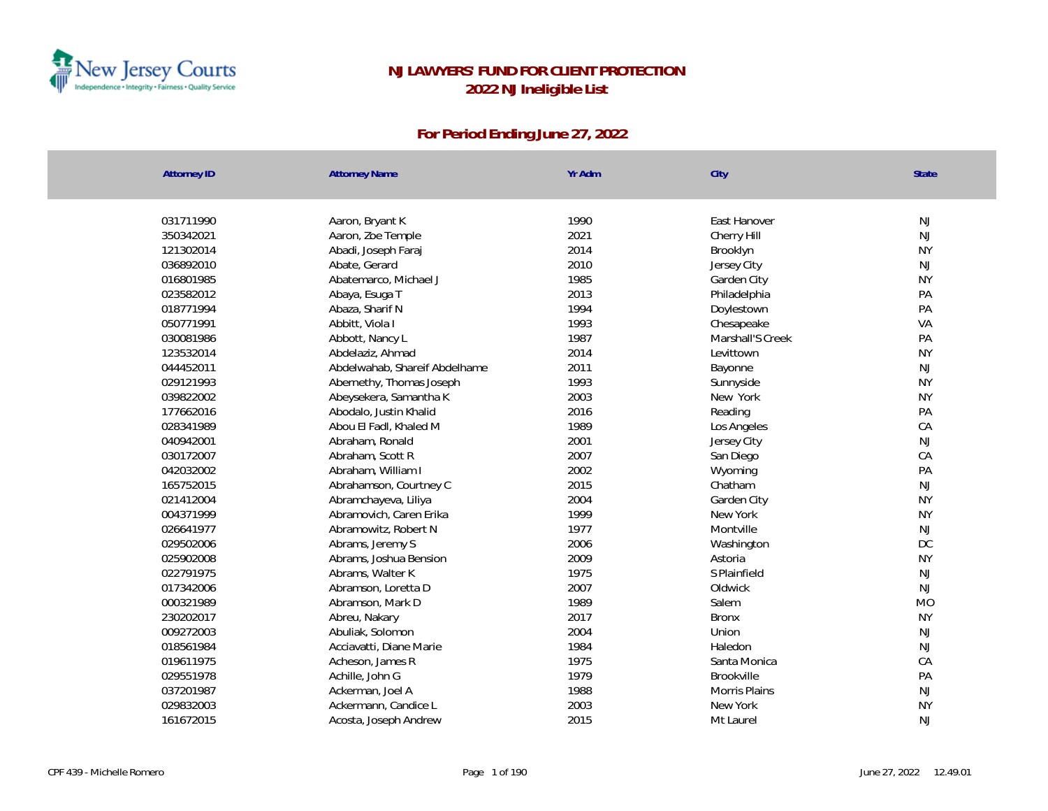

| <b>Attorney ID</b> | <b>Attorney Name</b>          | Yr Adm | City             | State     |
|--------------------|-------------------------------|--------|------------------|-----------|
|                    |                               |        |                  |           |
| 031711990          | Aaron, Bryant K               | 1990   | East Hanover     | NJ        |
| 350342021          | Aaron, Zoe Temple             | 2021   | Cherry Hill      | NJ        |
| 121302014          | Abadi, Joseph Faraj           | 2014   | Brooklyn         | <b>NY</b> |
| 036892010          | Abate, Gerard                 | 2010   | Jersey City      | NJ        |
| 016801985          | Abatemarco, Michael J         | 1985   | Garden City      | <b>NY</b> |
| 023582012          | Abaya, Esuga T                | 2013   | Philadelphia     | PA        |
| 018771994          | Abaza, Sharif N               | 1994   | Doylestown       | PA        |
| 050771991          | Abbitt, Viola I               | 1993   | Chesapeake       | VA        |
| 030081986          | Abbott, Nancy L               | 1987   | Marshall'S Creek | PA        |
| 123532014          | Abdelaziz, Ahmad              | 2014   | Levittown        | <b>NY</b> |
| 044452011          | Abdelwahab, Shareif Abdelhame | 2011   | Bayonne          | NJ        |
| 029121993          | Abernethy, Thomas Joseph      | 1993   | Sunnyside        | <b>NY</b> |
| 039822002          | Abeysekera, Samantha K        | 2003   | New York         | <b>NY</b> |
| 177662016          | Abodalo, Justin Khalid        | 2016   | Reading          | PA        |
| 028341989          | Abou El Fadl, Khaled M        | 1989   | Los Angeles      | CA        |
| 040942001          | Abraham, Ronald               | 2001   | Jersey City      | NJ        |
| 030172007          | Abraham, Scott R              | 2007   | San Diego        | CA        |
| 042032002          | Abraham, William I            | 2002   | Wyoming          | PA        |
| 165752015          | Abrahamson, Courtney C        | 2015   | Chatham          | <b>NJ</b> |
| 021412004          | Abramchayeva, Liliya          | 2004   | Garden City      | <b>NY</b> |
| 004371999          | Abramovich, Caren Erika       | 1999   | New York         | <b>NY</b> |
| 026641977          | Abramowitz, Robert N          | 1977   | Montville        | NJ        |
| 029502006          | Abrams, Jeremy S              | 2006   | Washington       | DC        |
| 025902008          | Abrams, Joshua Bension        | 2009   | Astoria          | <b>NY</b> |
| 022791975          | Abrams, Walter K              | 1975   | S Plainfield     | NJ        |
| 017342006          | Abramson, Loretta D           | 2007   | Oldwick          | <b>NJ</b> |
| 000321989          | Abramson, Mark D              | 1989   | Salem            | <b>MO</b> |
| 230202017          | Abreu, Nakary                 | 2017   | <b>Bronx</b>     | <b>NY</b> |
| 009272003          | Abuliak, Solomon              | 2004   | Union            | NJ        |
| 018561984          | Acciavatti, Diane Marie       | 1984   | Haledon          | NJ        |
| 019611975          | Acheson, James R              | 1975   | Santa Monica     | CA        |
| 029551978          | Achille, John G               | 1979   | Brookville       | PA        |
| 037201987          | Ackerman, Joel A              | 1988   | Morris Plains    | <b>NJ</b> |
| 029832003          | Ackermann, Candice L          | 2003   | New York         | <b>NY</b> |
| 161672015          | Acosta, Joseph Andrew         | 2015   | Mt Laurel        | <b>NJ</b> |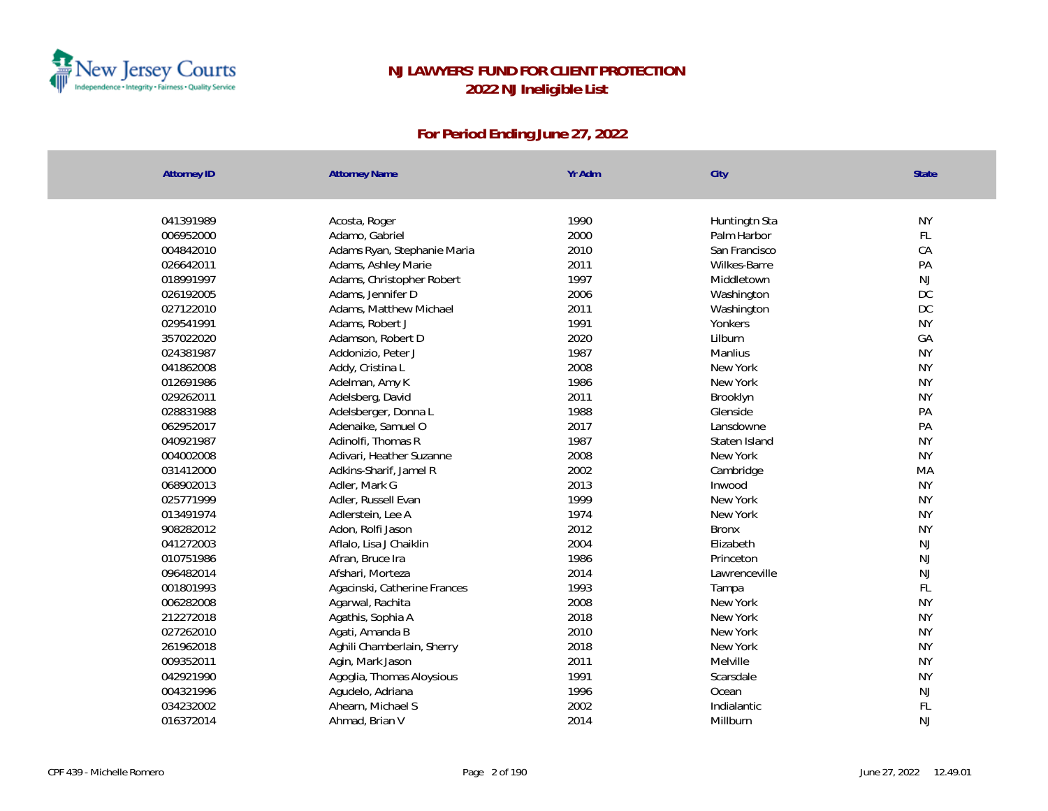

| <b>Attorney ID</b> | <b>Attorney Name</b>         | Yr Adm | City          | State         |
|--------------------|------------------------------|--------|---------------|---------------|
| 041391989          | Acosta, Roger                | 1990   | Huntingtn Sta | <b>NY</b>     |
| 006952000          | Adamo, Gabriel               | 2000   | Palm Harbor   | FL            |
| 004842010          | Adams Ryan, Stephanie Maria  | 2010   | San Francisco | CA            |
| 026642011          | Adams, Ashley Marie          | 2011   | Wilkes-Barre  | PA            |
| 018991997          | Adams, Christopher Robert    | 1997   | Middletown    | NJ            |
| 026192005          | Adams, Jennifer D            | 2006   | Washington    | DC            |
| 027122010          | Adams, Matthew Michael       | 2011   | Washington    | DC            |
| 029541991          | Adams, Robert J              | 1991   | Yonkers       | <b>NY</b>     |
| 357022020          | Adamson, Robert D            | 2020   | Lilburn       | GA            |
| 024381987          | Addonizio, Peter J           | 1987   | Manlius       | <b>NY</b>     |
| 041862008          | Addy, Cristina L             | 2008   | New York      | <b>NY</b>     |
| 012691986          | Adelman, Amy K               | 1986   | New York      | <b>NY</b>     |
| 029262011          | Adelsberg, David             | 2011   | Brooklyn      | <b>NY</b>     |
| 028831988          | Adelsberger, Donna L         | 1988   | Glenside      | PA            |
| 062952017          | Adenaike, Samuel O           | 2017   | I ansdowne    | PA            |
| 040921987          | Adinolfi, Thomas R           | 1987   | Staten Island | <b>NY</b>     |
| 004002008          | Adivari, Heather Suzanne     | 2008   | New York      | <b>NY</b>     |
| 031412000          | Adkins-Sharif, Jamel R       | 2002   | Cambridge     | MA            |
| 068902013          | Adler, Mark G                | 2013   | Inwood        | <b>NY</b>     |
| 025771999          | Adler, Russell Evan          | 1999   | New York      | <b>NY</b>     |
| 013491974          | Adlerstein, Lee A            | 1974   | New York      | <b>NY</b>     |
| 908282012          | Adon, Rolfi Jason            | 2012   | <b>Bronx</b>  | <b>NY</b>     |
| 041272003          | Aflalo, Lisa J Chaiklin      | 2004   | Elizabeth     | NJ            |
| 010751986          | Afran, Bruce Ira             | 1986   | Princeton     | <b>NJ</b>     |
| 096482014          | Afshari, Morteza             | 2014   | Lawrenceville | NJ            |
| 001801993          | Agacinski, Catherine Frances | 1993   | Tampa         | $\mathsf{FL}$ |
| 006282008          | Agarwal, Rachita             | 2008   | New York      | <b>NY</b>     |
| 212272018          | Agathis, Sophia A            | 2018   | New York      | <b>NY</b>     |
| 027262010          | Agati, Amanda B              | 2010   | New York      | <b>NY</b>     |
| 261962018          | Aghili Chamberlain, Sherry   | 2018   | New York      | <b>NY</b>     |
| 009352011          | Agin, Mark Jason             | 2011   | Melville      | <b>NY</b>     |
| 042921990          | Agoglia, Thomas Aloysious    | 1991   | Scarsdale     | <b>NY</b>     |
| 004321996          | Agudelo, Adriana             | 1996   | Ocean         | NJ            |
| 034232002          | Ahearn, Michael S            | 2002   | Indialantic   | FL            |
| 016372014          | Ahmad, Brian V               | 2014   | Millburn      | <b>NJ</b>     |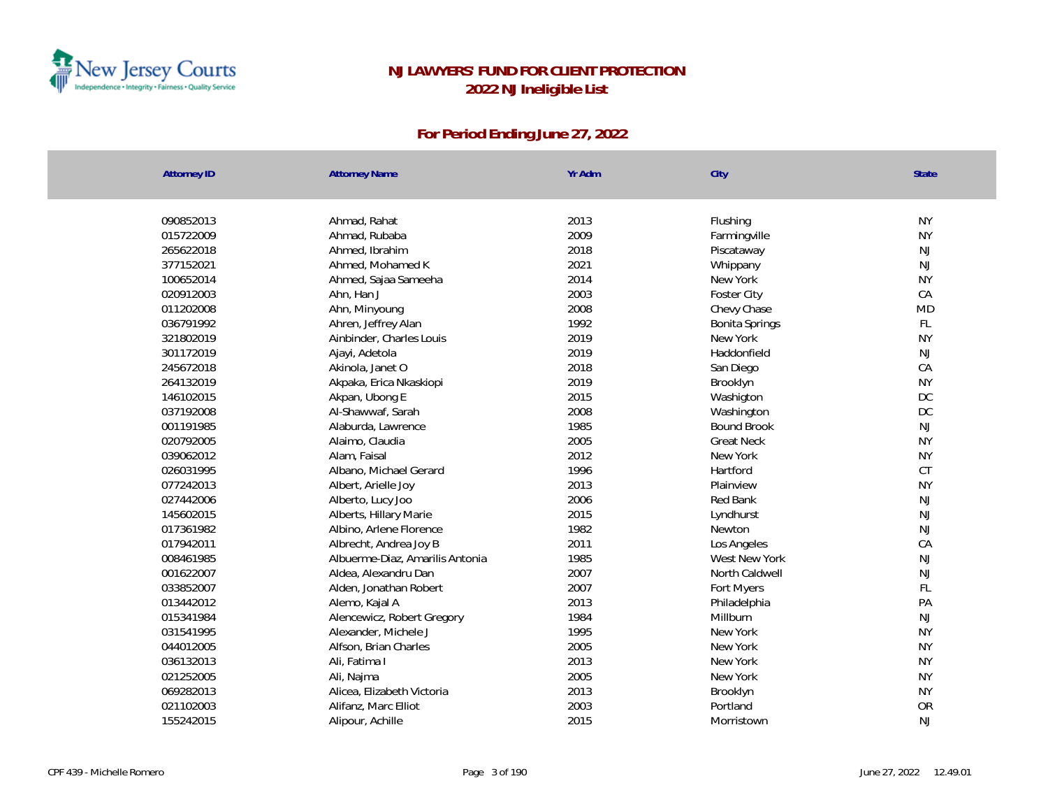

| <b>Attorney ID</b> | <b>Attorney Name</b>            | Yr Adm | City               | <b>State</b>  |
|--------------------|---------------------------------|--------|--------------------|---------------|
|                    |                                 |        |                    |               |
| 090852013          | Ahmad, Rahat                    | 2013   | Flushing           | <b>NY</b>     |
| 015722009          | Ahmad, Rubaba                   | 2009   | Farmingville       | <b>NY</b>     |
| 265622018          | Ahmed, Ibrahim                  | 2018   | Piscataway         | NJ            |
| 377152021          | Ahmed, Mohamed K                | 2021   | Whippany           | NJ            |
| 100652014          | Ahmed, Sajaa Sameeha            | 2014   | New York           | <b>NY</b>     |
| 020912003          | Ahn, Han J                      | 2003   | Foster City        | CA            |
| 011202008          | Ahn, Minyoung                   | 2008   | Chevy Chase        | MD            |
| 036791992          | Ahren, Jeffrey Alan             | 1992   | Bonita Springs     | FL            |
| 321802019          | Ainbinder, Charles Louis        | 2019   | New York           | <b>NY</b>     |
| 301172019          | Ajayi, Adetola                  | 2019   | Haddonfield        | $\mathsf{NJ}$ |
| 245672018          | Akinola, Janet O                | 2018   | San Diego          | CA            |
| 264132019          | Akpaka, Erica Nkaskiopi         | 2019   | Brooklyn           | <b>NY</b>     |
| 146102015          | Akpan, Ubong E                  | 2015   | Washigton          | DC            |
| 037192008          | Al-Shawwaf, Sarah               | 2008   | Washington         | DC            |
| 001191985          | Alaburda, Lawrence              | 1985   | <b>Bound Brook</b> | NJ            |
| 020792005          | Alaimo, Claudia                 | 2005   | <b>Great Neck</b>  | <b>NY</b>     |
| 039062012          | Alam, Faisal                    | 2012   | New York           | <b>NY</b>     |
| 026031995          | Albano, Michael Gerard          | 1996   | Hartford           | CT            |
| 077242013          | Albert, Arielle Joy             | 2013   | Plainview          | <b>NY</b>     |
| 027442006          | Alberto, Lucy Joo               | 2006   | Red Bank           | NJ            |
| 145602015          | Alberts, Hillary Marie          | 2015   | Lyndhurst          | NJ            |
| 017361982          | Albino, Arlene Florence         | 1982   | Newton             | $\mathsf{NJ}$ |
| 017942011          | Albrecht, Andrea Joy B          | 2011   | Los Angeles        | CA            |
| 008461985          | Albuerme-Diaz, Amarilis Antonia | 1985   | West New York      | NJ            |
| 001622007          | Aldea, Alexandru Dan            | 2007   | North Caldwell     | <b>NJ</b>     |
| 033852007          | Alden, Jonathan Robert          | 2007   | Fort Myers         | FL            |
| 013442012          | Alemo, Kajal A                  | 2013   | Philadelphia       | PA            |
| 015341984          | Alencewicz, Robert Gregory      | 1984   | Millburn           | NJ            |
| 031541995          | Alexander, Michele J            | 1995   | New York           | <b>NY</b>     |
| 044012005          | Alfson, Brian Charles           | 2005   | New York           | <b>NY</b>     |
| 036132013          | Ali, Fatima I                   | 2013   | New York           | <b>NY</b>     |
| 021252005          | Ali, Najma                      | 2005   | New York           | <b>NY</b>     |
| 069282013          | Alicea, Elizabeth Victoria      | 2013   | Brooklyn           | <b>NY</b>     |
| 021102003          | Alifanz, Marc Elliot            | 2003   | Portland           | OR            |
| 155242015          | Alipour, Achille                | 2015   | Morristown         | <b>NJ</b>     |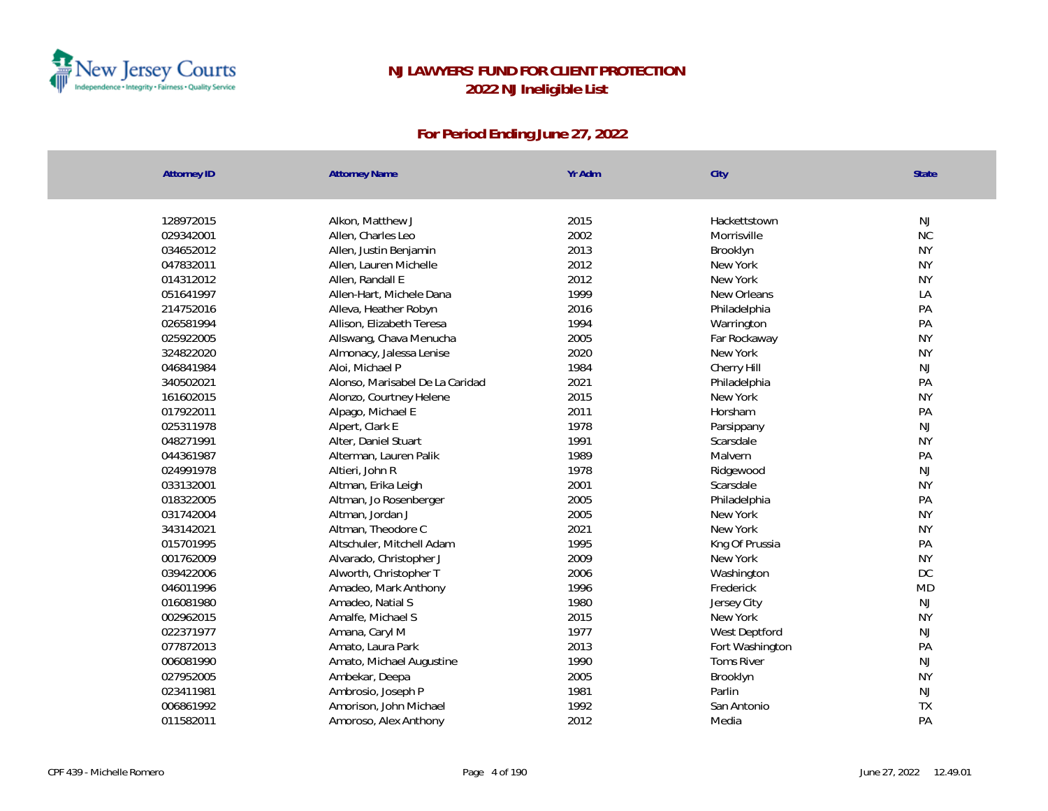

| <b>Attorney ID</b> | <b>Attorney Name</b>            | Yr Adm | City              | <b>State</b>  |
|--------------------|---------------------------------|--------|-------------------|---------------|
|                    |                                 |        |                   |               |
| 128972015          | Alkon, Matthew J                | 2015   | Hackettstown      | <b>NJ</b>     |
| 029342001          | Allen, Charles Leo              | 2002   | Morrisville       | $\rm NC$      |
| 034652012          | Allen, Justin Benjamin          | 2013   | Brooklyn          | <b>NY</b>     |
| 047832011          | Allen, Lauren Michelle          | 2012   | New York          | <b>NY</b>     |
| 014312012          | Allen, Randall E                | 2012   | New York          | <b>NY</b>     |
| 051641997          | Allen-Hart, Michele Dana        | 1999   | New Orleans       | LA            |
| 214752016          | Alleva, Heather Robyn           | 2016   | Philadelphia      | PA            |
| 026581994          | Allison, Elizabeth Teresa       | 1994   | Warrington        | PA            |
| 025922005          | Allswang, Chava Menucha         | 2005   | Far Rockaway      | <b>NY</b>     |
| 324822020          | Almonacy, Jalessa Lenise        | 2020   | New York          | <b>NY</b>     |
| 046841984          | Aloi, Michael P                 | 1984   | Cherry Hill       | NJ            |
| 340502021          | Alonso, Marisabel De La Caridad | 2021   | Philadelphia      | PA            |
| 161602015          | Alonzo, Courtney Helene         | 2015   | New York          | <b>NY</b>     |
| 017922011          | Alpago, Michael E               | 2011   | Horsham           | PA            |
| 025311978          | Alpert, Clark E                 | 1978   | Parsippany        | <b>NJ</b>     |
| 048271991          | Alter, Daniel Stuart            | 1991   | Scarsdale         | <b>NY</b>     |
| 044361987          | Alterman, Lauren Palik          | 1989   | Malvern           | PA            |
| 024991978          | Altieri, John R                 | 1978   | Ridgewood         | NJ            |
| 033132001          | Altman, Erika Leigh             | 2001   | Scarsdale         | <b>NY</b>     |
| 018322005          | Altman, Jo Rosenberger          | 2005   | Philadelphia      | PA            |
| 031742004          | Altman, Jordan J                | 2005   | New York          | <b>NY</b>     |
| 343142021          | Altman, Theodore C              | 2021   | New York          | <b>NY</b>     |
| 015701995          | Altschuler, Mitchell Adam       | 1995   | Kng Of Prussia    | PA            |
| 001762009          | Alvarado, Christopher J         | 2009   | New York          | <b>NY</b>     |
| 039422006          | Alworth, Christopher T          | 2006   | Washington        | $\mathsf{DC}$ |
| 046011996          | Amadeo, Mark Anthony            | 1996   | Frederick         | <b>MD</b>     |
| 016081980          | Amadeo, Natial S                | 1980   | Jersey City       | <b>NJ</b>     |
| 002962015          | Amalfe, Michael S               | 2015   | New York          | <b>NY</b>     |
| 022371977          | Amana, Caryl M                  | 1977   | West Deptford     | NJ            |
| 077872013          | Amato, Laura Park               | 2013   | Fort Washington   | PA            |
| 006081990          | Amato, Michael Augustine        | 1990   | <b>Toms River</b> | <b>NJ</b>     |
| 027952005          | Ambekar, Deepa                  | 2005   | Brooklyn          | <b>NY</b>     |
| 023411981          | Ambrosio, Joseph P              | 1981   | Parlin            | NJ            |
| 006861992          | Amorison, John Michael          | 1992   | San Antonio       | TX            |
| 011582011          | Amoroso, Alex Anthony           | 2012   | Media             | PA            |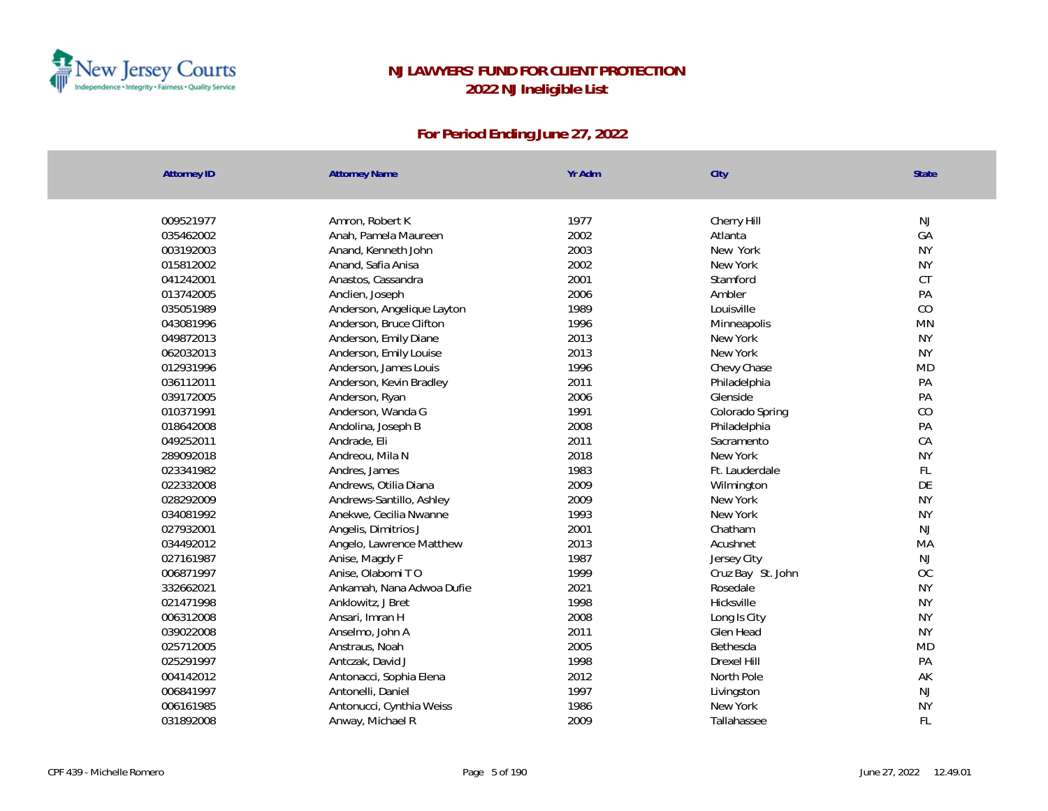

| <b>Attorney ID</b> | <b>Attorney Name</b>       | Yr Adm | City              | State     |
|--------------------|----------------------------|--------|-------------------|-----------|
|                    |                            |        |                   |           |
| 009521977          | Amron, Robert K            | 1977   | Cherry Hill       | <b>NJ</b> |
| 035462002          | Anah, Pamela Maureen       | 2002   | Atlanta           | GA        |
| 003192003          | Anand, Kenneth John        | 2003   | New York          | <b>NY</b> |
| 015812002          | Anand, Safia Anisa         | 2002   | New York          | <b>NY</b> |
| 041242001          | Anastos, Cassandra         | 2001   | Stamford          | CT        |
| 013742005          | Anclien, Joseph            | 2006   | Ambler            | PA        |
| 035051989          | Anderson, Angelique Layton | 1989   | Louisville        | CO        |
| 043081996          | Anderson, Bruce Clifton    | 1996   | Minneapolis       | <b>MN</b> |
| 049872013          | Anderson, Emily Diane      | 2013   | New York          | <b>NY</b> |
| 062032013          | Anderson, Emily Louise     | 2013   | New York          | <b>NY</b> |
| 012931996          | Anderson, James Louis      | 1996   | Chevy Chase       | <b>MD</b> |
| 036112011          | Anderson, Kevin Bradley    | 2011   | Philadelphia      | PA        |
| 039172005          | Anderson, Ryan             | 2006   | Glenside          | PA        |
| 010371991          | Anderson, Wanda G          | 1991   | Colorado Spring   | $\rm CO$  |
| 018642008          | Andolina, Joseph B         | 2008   | Philadelphia      | PA        |
| 049252011          | Andrade, Eli               | 2011   | Sacramento        | CA        |
| 289092018          | Andreou, Mila N            | 2018   | New York          | <b>NY</b> |
| 023341982          | Andres, James              | 1983   | Ft. Lauderdale    | FL        |
| 022332008          | Andrews, Otilia Diana      | 2009   | Wilmington        | DE        |
| 028292009          | Andrews-Santillo, Ashley   | 2009   | New York          | <b>NY</b> |
| 034081992          | Anekwe, Cecilia Nwanne     | 1993   | New York          | <b>NY</b> |
| 027932001          | Angelis, Dimitrios J       | 2001   | Chatham           | NJ        |
| 034492012          | Angelo, Lawrence Matthew   | 2013   | Acushnet          | MA        |
| 027161987          | Anise, Magdy F             | 1987   | Jersey City       | NJ        |
| 006871997          | Anise, Olabomi TO          | 1999   | Cruz Bay St. John | OC        |
| 332662021          | Ankamah, Nana Adwoa Dufie  | 2021   | Rosedale          | <b>NY</b> |
| 021471998          | Anklowitz, J Bret          | 1998   | Hicksville        | <b>NY</b> |
| 006312008          | Ansari, Imran H            | 2008   | Long Is City      | <b>NY</b> |
| 039022008          | Anselmo, John A            | 2011   | Glen Head         | <b>NY</b> |
| 025712005          | Anstraus, Noah             | 2005   | Bethesda          | <b>MD</b> |
| 025291997          | Antczak, David J           | 1998   | Drexel Hill       | PA        |
| 004142012          | Antonacci, Sophia Elena    | 2012   | North Pole        | AK        |
| 006841997          | Antonelli, Daniel          | 1997   | Livingston        | <b>NJ</b> |
| 006161985          | Antonucci, Cynthia Weiss   | 1986   | New York          | <b>NY</b> |
| 031892008          | Anway, Michael R           | 2009   | Tallahassee       | <b>FL</b> |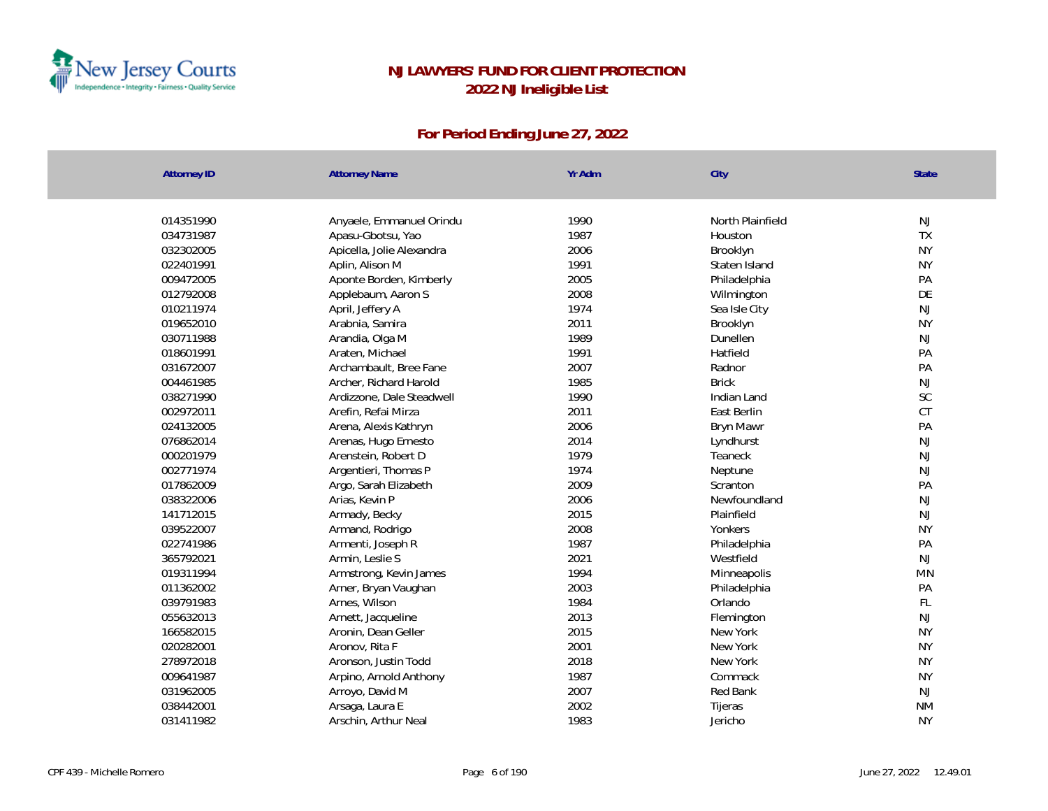

| <b>Attorney ID</b> | <b>Attorney Name</b>      | Yr Adm | City             | State     |
|--------------------|---------------------------|--------|------------------|-----------|
|                    |                           |        |                  |           |
| 014351990          | Anyaele, Emmanuel Orindu  | 1990   | North Plainfield | <b>NJ</b> |
| 034731987          | Apasu-Gbotsu, Yao         | 1987   | Houston          | TX        |
| 032302005          | Apicella, Jolie Alexandra | 2006   | Brooklyn         | <b>NY</b> |
| 022401991          | Aplin, Alison M           | 1991   | Staten Island    | <b>NY</b> |
| 009472005          | Aponte Borden, Kimberly   | 2005   | Philadelphia     | PA        |
| 012792008          | Applebaum, Aaron S        | 2008   | Wilmington       | DE        |
| 010211974          | April, Jeffery A          | 1974   | Sea Isle City    | NJ        |
| 019652010          | Arabnia, Samira           | 2011   | Brooklyn         | <b>NY</b> |
| 030711988          | Arandia, Olga M           | 1989   | Dunellen         | <b>NJ</b> |
| 018601991          | Araten, Michael           | 1991   | Hatfield         | PA        |
| 031672007          | Archambault, Bree Fane    | 2007   | Radnor           | PA        |
| 004461985          | Archer, Richard Harold    | 1985   | <b>Brick</b>     | <b>NJ</b> |
| 038271990          | Ardizzone, Dale Steadwell | 1990   | Indian Land      | SC        |
| 002972011          | Arefin, Refai Mirza       | 2011   | East Berlin      | CT        |
| 024132005          | Arena, Alexis Kathryn     | 2006   | Bryn Mawr        | PA        |
| 076862014          | Arenas, Hugo Ernesto      | 2014   | Lyndhurst        | <b>NJ</b> |
| 000201979          | Arenstein, Robert D       | 1979   | Teaneck          | <b>NJ</b> |
| 002771974          | Argentieri, Thomas P      | 1974   | Neptune          | <b>NJ</b> |
| 017862009          | Argo, Sarah Elizabeth     | 2009   | Scranton         | PA        |
| 038322006          | Arias, Kevin P            | 2006   | Newfoundland     | <b>NJ</b> |
| 141712015          | Armady, Becky             | 2015   | Plainfield       | <b>NJ</b> |
| 039522007          | Armand, Rodrigo           | 2008   | Yonkers          | <b>NY</b> |
| 022741986          | Armenti, Joseph R         | 1987   | Philadelphia     | PA        |
| 365792021          | Armin, Leslie S           | 2021   | Westfield        | <b>NJ</b> |
| 019311994          | Armstrong, Kevin James    | 1994   | Minneapolis      | <b>MN</b> |
| 011362002          | Arner, Bryan Vaughan      | 2003   | Philadelphia     | PA        |
| 039791983          | Arnes, Wilson             | 1984   | Orlando          | FL        |
| 055632013          | Arnett, Jacqueline        | 2013   | Flemington       | <b>NJ</b> |
| 166582015          | Aronin, Dean Geller       | 2015   | New York         | <b>NY</b> |
| 020282001          | Aronov, Rita F            | 2001   | New York         | <b>NY</b> |
| 278972018          | Aronson, Justin Todd      | 2018   | New York         | <b>NY</b> |
| 009641987          | Arpino, Arnold Anthony    | 1987   | Commack          | <b>NY</b> |
| 031962005          | Arroyo, David M           | 2007   | Red Bank         | <b>NJ</b> |
| 038442001          | Arsaga, Laura E           | 2002   | Tijeras          | <b>NM</b> |
| 031411982          | Arschin, Arthur Neal      | 1983   | Jericho          | <b>NY</b> |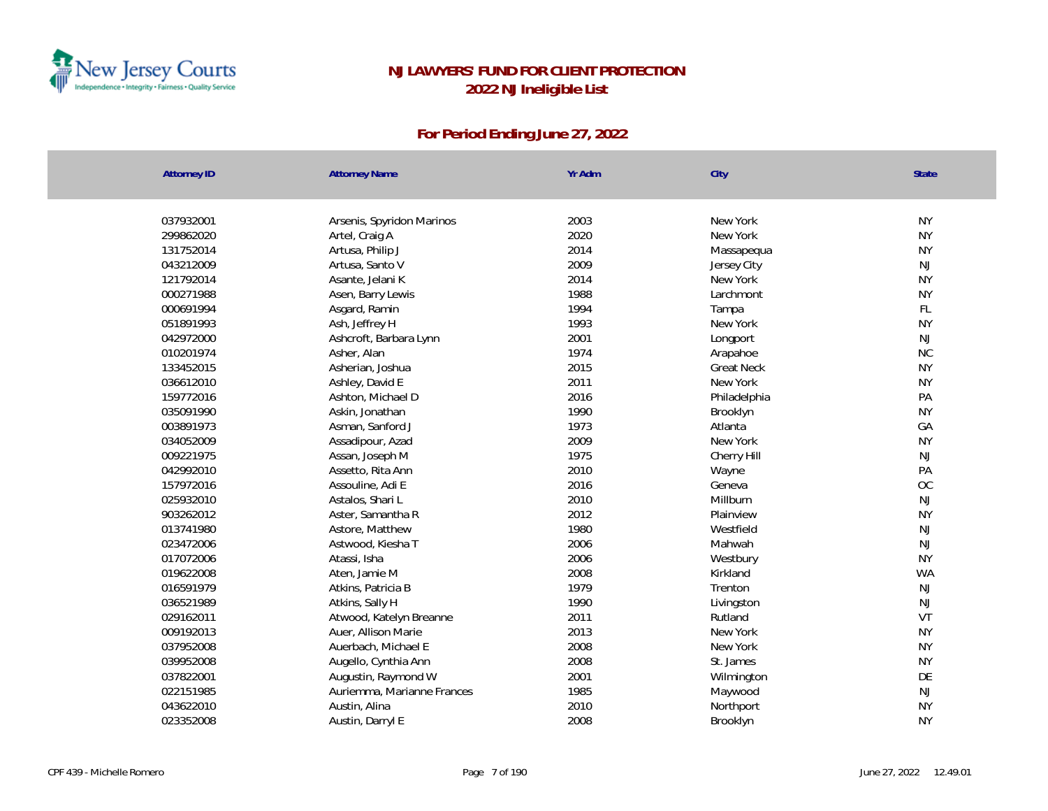

| 037932001<br>2003<br>New York<br><b>NY</b><br>Arsenis, Spyridon Marinos<br>2020<br><b>NY</b><br>299862020<br>Artel, Craig A<br>New York<br>2014<br><b>NY</b><br>131752014<br>Artusa, Philip J<br>Massapequa<br>2009<br>NJ<br>043212009<br>Artusa, Santo V<br>Jersey City<br>2014<br><b>NY</b><br>121792014<br>Asante, Jelani K<br>New York<br>000271988<br>1988<br><b>NY</b><br>Asen, Barry Lewis<br>Larchmont<br>FL<br>1994<br>000691994<br>Asgard, Ramin<br>Tampa<br><b>NY</b><br>Ash, Jeffrey H<br>1993<br>051891993<br>New York<br>2001<br>042972000<br>Ashcroft, Barbara Lynn<br>NJ<br>Longport<br>1974<br><b>NC</b><br>010201974<br>Asher, Alan<br>Arapahoe<br>2015<br><b>NY</b><br>133452015<br>Asherian, Joshua<br><b>Great Neck</b><br>036612010<br>2011<br>New York<br><b>NY</b><br>Ashley, David E<br>159772016<br>2016<br>PA<br>Ashton, Michael D<br>Philadelphia<br>1990<br><b>NY</b><br>035091990<br>Askin, Jonathan<br>Brooklyn<br>1973<br>GA<br>003891973<br>Asman, Sanford J<br>Atlanta<br>2009<br><b>NY</b><br>034052009<br>New York<br>Assadipour, Azad<br>NJ<br>009221975<br>1975<br>Assan, Joseph M<br>Cherry Hill<br>PA<br>042992010<br>2010<br>Assetto, Rita Ann<br>Wayne<br>OC<br>157972016<br>2016<br>Assouline, Adi E<br>Geneva<br>NJ<br>025932010<br>2010<br>Astalos, Shari L<br>Millburn<br>2012<br><b>NY</b><br>903262012<br>Aster, Samantha R<br>Plainview<br>1980<br>013741980<br>Astore, Matthew<br>Westfield<br>NJ<br>2006<br>023472006<br>Mahwah<br>NJ<br>Astwood, Kiesha T<br>017072006<br>2006<br><b>NY</b><br>Atassi, Isha<br>Westbury<br>019622008<br>2008<br><b>WA</b><br>Aten, Jamie M<br>Kirkland<br>1979<br>NJ<br>016591979<br>Trenton<br>Atkins, Patricia B<br>1990<br>NJ<br>036521989<br>Atkins, Sally H<br>Livingston<br>VT<br>2011<br>029162011<br>Atwood, Katelyn Breanne<br>Rutland<br><b>NY</b><br>009192013<br>Auer, Allison Marie<br>2013<br>New York<br><b>NY</b><br>2008<br>New York<br>037952008<br>Auerbach, Michael E<br>039952008<br>2008<br><b>NY</b><br>St. James<br>Augello, Cynthia Ann<br>2001<br>DE<br>037822001<br>Augustin, Raymond W<br>Wilmington<br>NJ<br>022151985<br>Auriemma, Marianne Frances<br>1985<br>Maywood<br><b>NY</b><br>2010<br>043622010<br>Austin, Alina<br>Northport<br>2008<br>023352008<br><b>NY</b><br>Austin, Darryl E<br>Brooklyn | <b>Attorney ID</b> | <b>Attorney Name</b> | Yr Adm | City | State |
|----------------------------------------------------------------------------------------------------------------------------------------------------------------------------------------------------------------------------------------------------------------------------------------------------------------------------------------------------------------------------------------------------------------------------------------------------------------------------------------------------------------------------------------------------------------------------------------------------------------------------------------------------------------------------------------------------------------------------------------------------------------------------------------------------------------------------------------------------------------------------------------------------------------------------------------------------------------------------------------------------------------------------------------------------------------------------------------------------------------------------------------------------------------------------------------------------------------------------------------------------------------------------------------------------------------------------------------------------------------------------------------------------------------------------------------------------------------------------------------------------------------------------------------------------------------------------------------------------------------------------------------------------------------------------------------------------------------------------------------------------------------------------------------------------------------------------------------------------------------------------------------------------------------------------------------------------------------------------------------------------------------------------------------------------------------------------------------------------------------------------------------------------------------------------------------------------------------------------------------------------------------------------------------------------------------------------|--------------------|----------------------|--------|------|-------|
|                                                                                                                                                                                                                                                                                                                                                                                                                                                                                                                                                                                                                                                                                                                                                                                                                                                                                                                                                                                                                                                                                                                                                                                                                                                                                                                                                                                                                                                                                                                                                                                                                                                                                                                                                                                                                                                                                                                                                                                                                                                                                                                                                                                                                                                                                                                            |                    |                      |        |      |       |
|                                                                                                                                                                                                                                                                                                                                                                                                                                                                                                                                                                                                                                                                                                                                                                                                                                                                                                                                                                                                                                                                                                                                                                                                                                                                                                                                                                                                                                                                                                                                                                                                                                                                                                                                                                                                                                                                                                                                                                                                                                                                                                                                                                                                                                                                                                                            |                    |                      |        |      |       |
|                                                                                                                                                                                                                                                                                                                                                                                                                                                                                                                                                                                                                                                                                                                                                                                                                                                                                                                                                                                                                                                                                                                                                                                                                                                                                                                                                                                                                                                                                                                                                                                                                                                                                                                                                                                                                                                                                                                                                                                                                                                                                                                                                                                                                                                                                                                            |                    |                      |        |      |       |
|                                                                                                                                                                                                                                                                                                                                                                                                                                                                                                                                                                                                                                                                                                                                                                                                                                                                                                                                                                                                                                                                                                                                                                                                                                                                                                                                                                                                                                                                                                                                                                                                                                                                                                                                                                                                                                                                                                                                                                                                                                                                                                                                                                                                                                                                                                                            |                    |                      |        |      |       |
|                                                                                                                                                                                                                                                                                                                                                                                                                                                                                                                                                                                                                                                                                                                                                                                                                                                                                                                                                                                                                                                                                                                                                                                                                                                                                                                                                                                                                                                                                                                                                                                                                                                                                                                                                                                                                                                                                                                                                                                                                                                                                                                                                                                                                                                                                                                            |                    |                      |        |      |       |
|                                                                                                                                                                                                                                                                                                                                                                                                                                                                                                                                                                                                                                                                                                                                                                                                                                                                                                                                                                                                                                                                                                                                                                                                                                                                                                                                                                                                                                                                                                                                                                                                                                                                                                                                                                                                                                                                                                                                                                                                                                                                                                                                                                                                                                                                                                                            |                    |                      |        |      |       |
|                                                                                                                                                                                                                                                                                                                                                                                                                                                                                                                                                                                                                                                                                                                                                                                                                                                                                                                                                                                                                                                                                                                                                                                                                                                                                                                                                                                                                                                                                                                                                                                                                                                                                                                                                                                                                                                                                                                                                                                                                                                                                                                                                                                                                                                                                                                            |                    |                      |        |      |       |
|                                                                                                                                                                                                                                                                                                                                                                                                                                                                                                                                                                                                                                                                                                                                                                                                                                                                                                                                                                                                                                                                                                                                                                                                                                                                                                                                                                                                                                                                                                                                                                                                                                                                                                                                                                                                                                                                                                                                                                                                                                                                                                                                                                                                                                                                                                                            |                    |                      |        |      |       |
|                                                                                                                                                                                                                                                                                                                                                                                                                                                                                                                                                                                                                                                                                                                                                                                                                                                                                                                                                                                                                                                                                                                                                                                                                                                                                                                                                                                                                                                                                                                                                                                                                                                                                                                                                                                                                                                                                                                                                                                                                                                                                                                                                                                                                                                                                                                            |                    |                      |        |      |       |
|                                                                                                                                                                                                                                                                                                                                                                                                                                                                                                                                                                                                                                                                                                                                                                                                                                                                                                                                                                                                                                                                                                                                                                                                                                                                                                                                                                                                                                                                                                                                                                                                                                                                                                                                                                                                                                                                                                                                                                                                                                                                                                                                                                                                                                                                                                                            |                    |                      |        |      |       |
|                                                                                                                                                                                                                                                                                                                                                                                                                                                                                                                                                                                                                                                                                                                                                                                                                                                                                                                                                                                                                                                                                                                                                                                                                                                                                                                                                                                                                                                                                                                                                                                                                                                                                                                                                                                                                                                                                                                                                                                                                                                                                                                                                                                                                                                                                                                            |                    |                      |        |      |       |
|                                                                                                                                                                                                                                                                                                                                                                                                                                                                                                                                                                                                                                                                                                                                                                                                                                                                                                                                                                                                                                                                                                                                                                                                                                                                                                                                                                                                                                                                                                                                                                                                                                                                                                                                                                                                                                                                                                                                                                                                                                                                                                                                                                                                                                                                                                                            |                    |                      |        |      |       |
|                                                                                                                                                                                                                                                                                                                                                                                                                                                                                                                                                                                                                                                                                                                                                                                                                                                                                                                                                                                                                                                                                                                                                                                                                                                                                                                                                                                                                                                                                                                                                                                                                                                                                                                                                                                                                                                                                                                                                                                                                                                                                                                                                                                                                                                                                                                            |                    |                      |        |      |       |
|                                                                                                                                                                                                                                                                                                                                                                                                                                                                                                                                                                                                                                                                                                                                                                                                                                                                                                                                                                                                                                                                                                                                                                                                                                                                                                                                                                                                                                                                                                                                                                                                                                                                                                                                                                                                                                                                                                                                                                                                                                                                                                                                                                                                                                                                                                                            |                    |                      |        |      |       |
|                                                                                                                                                                                                                                                                                                                                                                                                                                                                                                                                                                                                                                                                                                                                                                                                                                                                                                                                                                                                                                                                                                                                                                                                                                                                                                                                                                                                                                                                                                                                                                                                                                                                                                                                                                                                                                                                                                                                                                                                                                                                                                                                                                                                                                                                                                                            |                    |                      |        |      |       |
|                                                                                                                                                                                                                                                                                                                                                                                                                                                                                                                                                                                                                                                                                                                                                                                                                                                                                                                                                                                                                                                                                                                                                                                                                                                                                                                                                                                                                                                                                                                                                                                                                                                                                                                                                                                                                                                                                                                                                                                                                                                                                                                                                                                                                                                                                                                            |                    |                      |        |      |       |
|                                                                                                                                                                                                                                                                                                                                                                                                                                                                                                                                                                                                                                                                                                                                                                                                                                                                                                                                                                                                                                                                                                                                                                                                                                                                                                                                                                                                                                                                                                                                                                                                                                                                                                                                                                                                                                                                                                                                                                                                                                                                                                                                                                                                                                                                                                                            |                    |                      |        |      |       |
|                                                                                                                                                                                                                                                                                                                                                                                                                                                                                                                                                                                                                                                                                                                                                                                                                                                                                                                                                                                                                                                                                                                                                                                                                                                                                                                                                                                                                                                                                                                                                                                                                                                                                                                                                                                                                                                                                                                                                                                                                                                                                                                                                                                                                                                                                                                            |                    |                      |        |      |       |
|                                                                                                                                                                                                                                                                                                                                                                                                                                                                                                                                                                                                                                                                                                                                                                                                                                                                                                                                                                                                                                                                                                                                                                                                                                                                                                                                                                                                                                                                                                                                                                                                                                                                                                                                                                                                                                                                                                                                                                                                                                                                                                                                                                                                                                                                                                                            |                    |                      |        |      |       |
|                                                                                                                                                                                                                                                                                                                                                                                                                                                                                                                                                                                                                                                                                                                                                                                                                                                                                                                                                                                                                                                                                                                                                                                                                                                                                                                                                                                                                                                                                                                                                                                                                                                                                                                                                                                                                                                                                                                                                                                                                                                                                                                                                                                                                                                                                                                            |                    |                      |        |      |       |
|                                                                                                                                                                                                                                                                                                                                                                                                                                                                                                                                                                                                                                                                                                                                                                                                                                                                                                                                                                                                                                                                                                                                                                                                                                                                                                                                                                                                                                                                                                                                                                                                                                                                                                                                                                                                                                                                                                                                                                                                                                                                                                                                                                                                                                                                                                                            |                    |                      |        |      |       |
|                                                                                                                                                                                                                                                                                                                                                                                                                                                                                                                                                                                                                                                                                                                                                                                                                                                                                                                                                                                                                                                                                                                                                                                                                                                                                                                                                                                                                                                                                                                                                                                                                                                                                                                                                                                                                                                                                                                                                                                                                                                                                                                                                                                                                                                                                                                            |                    |                      |        |      |       |
|                                                                                                                                                                                                                                                                                                                                                                                                                                                                                                                                                                                                                                                                                                                                                                                                                                                                                                                                                                                                                                                                                                                                                                                                                                                                                                                                                                                                                                                                                                                                                                                                                                                                                                                                                                                                                                                                                                                                                                                                                                                                                                                                                                                                                                                                                                                            |                    |                      |        |      |       |
|                                                                                                                                                                                                                                                                                                                                                                                                                                                                                                                                                                                                                                                                                                                                                                                                                                                                                                                                                                                                                                                                                                                                                                                                                                                                                                                                                                                                                                                                                                                                                                                                                                                                                                                                                                                                                                                                                                                                                                                                                                                                                                                                                                                                                                                                                                                            |                    |                      |        |      |       |
|                                                                                                                                                                                                                                                                                                                                                                                                                                                                                                                                                                                                                                                                                                                                                                                                                                                                                                                                                                                                                                                                                                                                                                                                                                                                                                                                                                                                                                                                                                                                                                                                                                                                                                                                                                                                                                                                                                                                                                                                                                                                                                                                                                                                                                                                                                                            |                    |                      |        |      |       |
|                                                                                                                                                                                                                                                                                                                                                                                                                                                                                                                                                                                                                                                                                                                                                                                                                                                                                                                                                                                                                                                                                                                                                                                                                                                                                                                                                                                                                                                                                                                                                                                                                                                                                                                                                                                                                                                                                                                                                                                                                                                                                                                                                                                                                                                                                                                            |                    |                      |        |      |       |
|                                                                                                                                                                                                                                                                                                                                                                                                                                                                                                                                                                                                                                                                                                                                                                                                                                                                                                                                                                                                                                                                                                                                                                                                                                                                                                                                                                                                                                                                                                                                                                                                                                                                                                                                                                                                                                                                                                                                                                                                                                                                                                                                                                                                                                                                                                                            |                    |                      |        |      |       |
|                                                                                                                                                                                                                                                                                                                                                                                                                                                                                                                                                                                                                                                                                                                                                                                                                                                                                                                                                                                                                                                                                                                                                                                                                                                                                                                                                                                                                                                                                                                                                                                                                                                                                                                                                                                                                                                                                                                                                                                                                                                                                                                                                                                                                                                                                                                            |                    |                      |        |      |       |
|                                                                                                                                                                                                                                                                                                                                                                                                                                                                                                                                                                                                                                                                                                                                                                                                                                                                                                                                                                                                                                                                                                                                                                                                                                                                                                                                                                                                                                                                                                                                                                                                                                                                                                                                                                                                                                                                                                                                                                                                                                                                                                                                                                                                                                                                                                                            |                    |                      |        |      |       |
|                                                                                                                                                                                                                                                                                                                                                                                                                                                                                                                                                                                                                                                                                                                                                                                                                                                                                                                                                                                                                                                                                                                                                                                                                                                                                                                                                                                                                                                                                                                                                                                                                                                                                                                                                                                                                                                                                                                                                                                                                                                                                                                                                                                                                                                                                                                            |                    |                      |        |      |       |
|                                                                                                                                                                                                                                                                                                                                                                                                                                                                                                                                                                                                                                                                                                                                                                                                                                                                                                                                                                                                                                                                                                                                                                                                                                                                                                                                                                                                                                                                                                                                                                                                                                                                                                                                                                                                                                                                                                                                                                                                                                                                                                                                                                                                                                                                                                                            |                    |                      |        |      |       |
|                                                                                                                                                                                                                                                                                                                                                                                                                                                                                                                                                                                                                                                                                                                                                                                                                                                                                                                                                                                                                                                                                                                                                                                                                                                                                                                                                                                                                                                                                                                                                                                                                                                                                                                                                                                                                                                                                                                                                                                                                                                                                                                                                                                                                                                                                                                            |                    |                      |        |      |       |
|                                                                                                                                                                                                                                                                                                                                                                                                                                                                                                                                                                                                                                                                                                                                                                                                                                                                                                                                                                                                                                                                                                                                                                                                                                                                                                                                                                                                                                                                                                                                                                                                                                                                                                                                                                                                                                                                                                                                                                                                                                                                                                                                                                                                                                                                                                                            |                    |                      |        |      |       |
|                                                                                                                                                                                                                                                                                                                                                                                                                                                                                                                                                                                                                                                                                                                                                                                                                                                                                                                                                                                                                                                                                                                                                                                                                                                                                                                                                                                                                                                                                                                                                                                                                                                                                                                                                                                                                                                                                                                                                                                                                                                                                                                                                                                                                                                                                                                            |                    |                      |        |      |       |
|                                                                                                                                                                                                                                                                                                                                                                                                                                                                                                                                                                                                                                                                                                                                                                                                                                                                                                                                                                                                                                                                                                                                                                                                                                                                                                                                                                                                                                                                                                                                                                                                                                                                                                                                                                                                                                                                                                                                                                                                                                                                                                                                                                                                                                                                                                                            |                    |                      |        |      |       |
|                                                                                                                                                                                                                                                                                                                                                                                                                                                                                                                                                                                                                                                                                                                                                                                                                                                                                                                                                                                                                                                                                                                                                                                                                                                                                                                                                                                                                                                                                                                                                                                                                                                                                                                                                                                                                                                                                                                                                                                                                                                                                                                                                                                                                                                                                                                            |                    |                      |        |      |       |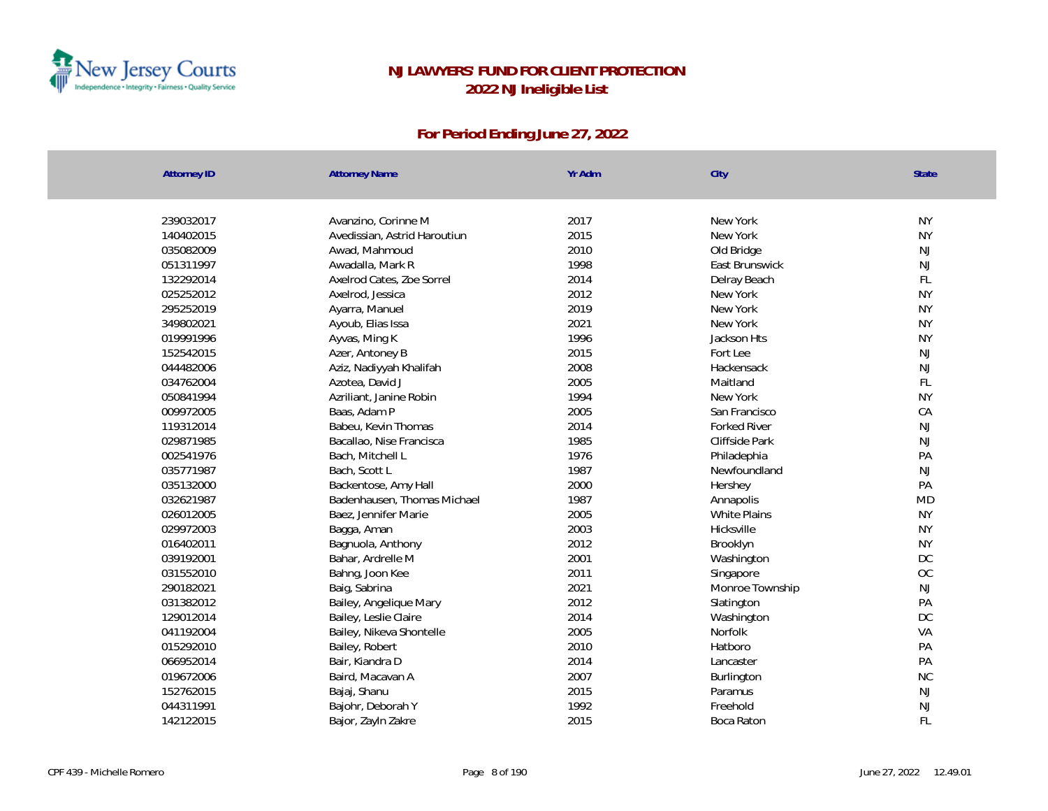

| <b>Attorney ID</b> | <b>Attorney Name</b>         | Yr Adm       | City                | State           |
|--------------------|------------------------------|--------------|---------------------|-----------------|
|                    |                              |              |                     |                 |
| 239032017          | Avanzino, Corinne M          | 2017         | New York            | <b>NY</b>       |
| 140402015          | Avedissian, Astrid Haroutiun | 2015         | New York            | <b>NY</b>       |
| 035082009          | Awad, Mahmoud                | 2010<br>1998 | Old Bridge          | NJ              |
| 051311997          | Awadalla, Mark R             |              | East Brunswick      | NJ              |
| 132292014          | Axelrod Cates, Zoe Sorrel    | 2014         | Delray Beach        | FL<br><b>NY</b> |
| 025252012          | Axelrod, Jessica             | 2012         | New York            |                 |
| 295252019          | Ayarra, Manuel               | 2019         | New York            | <b>NY</b>       |
| 349802021          | Ayoub, Elias Issa            | 2021         | New York            | <b>NY</b>       |
| 019991996          | Ayvas, Ming K                | 1996         | Jackson Hts         | <b>NY</b>       |
| 152542015          | Azer, Antoney B              | 2015         | Fort Lee            | <b>NJ</b>       |
| 044482006          | Aziz, Nadiyyah Khalifah      | 2008         | Hackensack          | $\mathsf{NJ}$   |
| 034762004          | Azotea, David J              | 2005         | Maitland            | FL              |
| 050841994          | Azriliant, Janine Robin      | 1994         | New York            | <b>NY</b>       |
| 009972005          | Baas, Adam P                 | 2005         | San Francisco       | CA              |
| 119312014          | Babeu, Kevin Thomas          | 2014         | <b>Forked River</b> | NJ              |
| 029871985          | Bacallao, Nise Francisca     | 1985         | Cliffside Park      | NJ              |
| 002541976          | Bach, Mitchell L             | 1976         | Philadephia         | PA              |
| 035771987          | Bach, Scott L                | 1987         | Newfoundland        | $\mathsf{NJ}$   |
| 035132000          | Backentose, Amy Hall         | 2000         | Hershey             | PA              |
| 032621987          | Badenhausen, Thomas Michael  | 1987         | Annapolis           | MD              |
| 026012005          | Baez, Jennifer Marie         | 2005         | White Plains        | <b>NY</b>       |
| 029972003          | Bagga, Aman                  | 2003         | Hicksville          | <b>NY</b>       |
| 016402011          | Bagnuola, Anthony            | 2012         | Brooklyn            | <b>NY</b>       |
| 039192001          | Bahar, Ardrelle M            | 2001         | Washington          | DC              |
| 031552010          | Bahng, Joon Kee              | 2011         | Singapore           | OC              |
| 290182021          | Baig, Sabrina                | 2021         | Monroe Township     | NJ              |
| 031382012          | Bailey, Angelique Mary       | 2012         | Slatington          | PA              |
| 129012014          | Bailey, Leslie Claire        | 2014         | Washington          | <b>DC</b>       |
| 041192004          | Bailey, Nikeva Shontelle     | 2005         | Norfolk             | VA              |
| 015292010          | Bailey, Robert               | 2010         | Hatboro             | PA              |
| 066952014          | Bair, Kiandra D              | 2014         | Lancaster           | PA              |
| 019672006          | Baird, Macavan A             | 2007         | Burlington          | <b>NC</b>       |
| 152762015          | Bajaj, Shanu                 | 2015         | Paramus             | NJ              |
| 044311991          | Bajohr, Deborah Y            | 1992         | Freehold            | NJ              |
| 142122015          | Bajor, Zayln Zakre           | 2015         | Boca Raton          | FL              |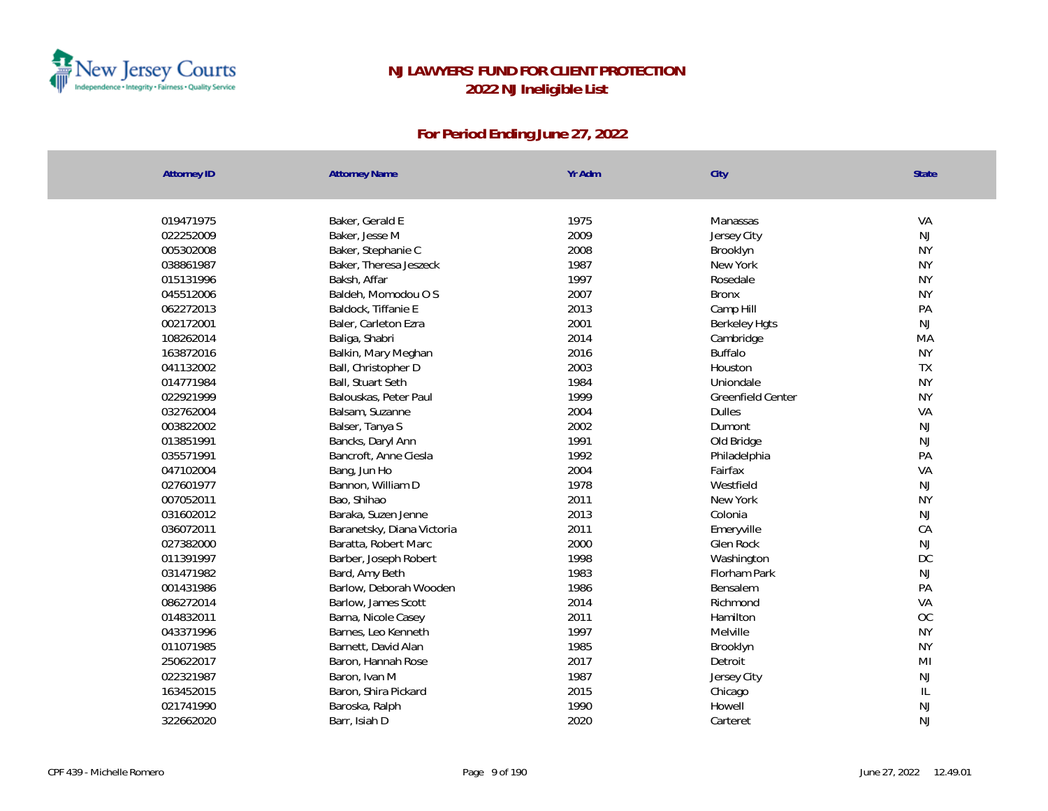

| <b>Attorney ID</b> | <b>Attorney Name</b>       | Yr Adm | City                 | State          |
|--------------------|----------------------------|--------|----------------------|----------------|
|                    |                            |        |                      |                |
| 019471975          | Baker, Gerald E            | 1975   | Manassas             | VA             |
| 022252009          | Baker, Jesse M             | 2009   | Jersey City          | NJ             |
| 005302008          | Baker, Stephanie C         | 2008   | Brooklyn             | <b>NY</b>      |
| 038861987          | Baker, Theresa Jeszeck     | 1987   | New York             | <b>NY</b>      |
| 015131996          | Baksh, Affar               | 1997   | Rosedale             | <b>NY</b>      |
| 045512006          | Baldeh, Momodou O S        | 2007   | <b>Bronx</b>         | <b>NY</b>      |
| 062272013          | Baldock, Tiffanie E        | 2013   | Camp Hill            | PA             |
| 002172001          | Baler, Carleton Ezra       | 2001   | <b>Berkeley Hgts</b> | NJ             |
| 108262014          | Baliga, Shabri             | 2014   | Cambridge            | MA             |
| 163872016          | Balkin, Mary Meghan        | 2016   | <b>Buffalo</b>       | <b>NY</b>      |
| 041132002          | Ball, Christopher D        | 2003   | Houston              | TX             |
| 014771984          | Ball, Stuart Seth          | 1984   | Uniondale            | <b>NY</b>      |
| 022921999          | Balouskas, Peter Paul      | 1999   | Greenfield Center    | <b>NY</b>      |
| 032762004          | Balsam, Suzanne            | 2004   | <b>Dulles</b>        | VA             |
| 003822002          | Balser, Tanya S            | 2002   | Dumont               | NJ             |
| 013851991          | Bancks, Daryl Ann          | 1991   | Old Bridge           | NJ             |
| 035571991          | Bancroft, Anne Ciesla      | 1992   | Philadelphia         | PA             |
| 047102004          | Bang, Jun Ho               | 2004   | Fairfax              | VA             |
| 027601977          | Bannon, William D          | 1978   | Westfield            | $\mathsf{NJ}$  |
| 007052011          | Bao, Shihao                | 2011   | New York             | <b>NY</b>      |
| 031602012          | Baraka, Suzen Jenne        | 2013   | Colonia              | NJ             |
| 036072011          | Baranetsky, Diana Victoria | 2011   | Emeryville           | CA             |
| 027382000          | Baratta, Robert Marc       | 2000   | Glen Rock            | NJ             |
| 011391997          | Barber, Joseph Robert      | 1998   | Washington           | DC             |
| 031471982          | Bard, Amy Beth             | 1983   | Florham Park         | $\mathsf{NJ}$  |
| 001431986          | Barlow, Deborah Wooden     | 1986   | Bensalem             | PA             |
| 086272014          | Barlow, James Scott        | 2014   | Richmond             | VA             |
| 014832011          | Barna, Nicole Casey        | 2011   | Hamilton             | OC             |
| 043371996          | Barnes, Leo Kenneth        | 1997   | Melville             | <b>NY</b>      |
| 011071985          | Barnett, David Alan        | 1985   | Brooklyn             | <b>NY</b>      |
| 250622017          | Baron, Hannah Rose         | 2017   | Detroit              | M <sub>l</sub> |
| 022321987          | Baron, Ivan M              | 1987   | Jersey City          | NJ             |
| 163452015          | Baron, Shira Pickard       | 2015   | Chicago              | $\mathsf{IL}$  |
| 021741990          | Baroska, Ralph             | 1990   | Howell               | $\mathsf{NJ}$  |
| 322662020          | Barr, Isiah D              | 2020   | Carteret             | <b>NJ</b>      |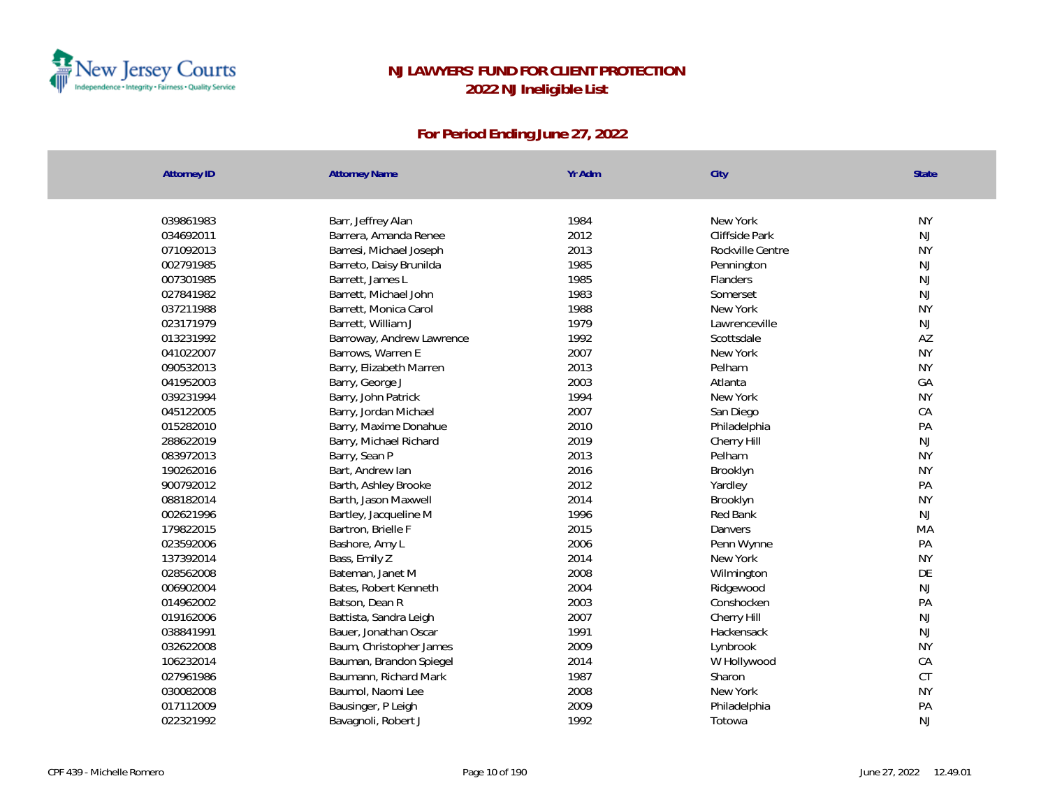

| <b>Attorney ID</b> | <b>Attorney Name</b>      | Yr Adm | City             | State     |
|--------------------|---------------------------|--------|------------------|-----------|
|                    |                           |        |                  |           |
| 039861983          | Barr, Jeffrey Alan        | 1984   | New York         | <b>NY</b> |
| 034692011          | Barrera, Amanda Renee     | 2012   | Cliffside Park   | NJ        |
| 071092013          | Barresi, Michael Joseph   | 2013   | Rockville Centre | <b>NY</b> |
| 002791985          | Barreto, Daisy Brunilda   | 1985   | Pennington       | NJ        |
| 007301985          | Barrett, James L          | 1985   | Flanders         | NJ        |
| 027841982          | Barrett, Michael John     | 1983   | Somerset         | NJ        |
| 037211988          | Barrett, Monica Carol     | 1988   | New York         | <b>NY</b> |
| 023171979          | Barrett, William J        | 1979   | Lawrenceville    | <b>NJ</b> |
| 013231992          | Barroway, Andrew Lawrence | 1992   | Scottsdale       | AZ        |
| 041022007          | Barrows, Warren E         | 2007   | New York         | <b>NY</b> |
| 090532013          | Barry, Elizabeth Marren   | 2013   | Pelham           | <b>NY</b> |
| 041952003          | Barry, George J           | 2003   | Atlanta          | GA        |
| 039231994          | Barry, John Patrick       | 1994   | New York         | <b>NY</b> |
| 045122005          | Barry, Jordan Michael     | 2007   | San Diego        | CA        |
| 015282010          | Barry, Maxime Donahue     | 2010   | Philadelphia     | PA        |
| 288622019          | Barry, Michael Richard    | 2019   | Cherry Hill      | <b>NJ</b> |
| 083972013          | Barry, Sean P             | 2013   | Pelham           | <b>NY</b> |
| 190262016          | Bart, Andrew lan          | 2016   | Brooklyn         | <b>NY</b> |
| 900792012          | Barth, Ashley Brooke      | 2012   | Yardley          | PA        |
| 088182014          | Barth, Jason Maxwell      | 2014   | Brooklyn         | <b>NY</b> |
| 002621996          | Bartley, Jacqueline M     | 1996   | Red Bank         | NJ        |
| 179822015          | Bartron, Brielle F        | 2015   | Danvers          | MA        |
| 023592006          | Bashore, Amy L            | 2006   | Penn Wynne       | PA        |
| 137392014          | Bass, Emily Z             | 2014   | New York         | <b>NY</b> |
| 028562008          | Bateman, Janet M          | 2008   | Wilmington       | DE        |
| 006902004          | Bates, Robert Kenneth     | 2004   | Ridgewood        | NJ        |
| 014962002          | Batson, Dean R            | 2003   | Conshocken       | PA        |
| 019162006          | Battista, Sandra Leigh    | 2007   | Cherry Hill      | <b>NJ</b> |
| 038841991          | Bauer, Jonathan Oscar     | 1991   | Hackensack       | <b>NJ</b> |
| 032622008          | Baum, Christopher James   | 2009   | Lynbrook         | <b>NY</b> |
| 106232014          | Bauman, Brandon Spiegel   | 2014   | W Hollywood      | CA        |
| 027961986          | Baumann, Richard Mark     | 1987   | Sharon           | CT        |
| 030082008          | Baumol, Naomi Lee         | 2008   | New York         | <b>NY</b> |
| 017112009          | Bausinger, P Leigh        | 2009   | Philadelphia     | PA        |
| 022321992          | Bavagnoli, Robert J       | 1992   | Totowa           | <b>NJ</b> |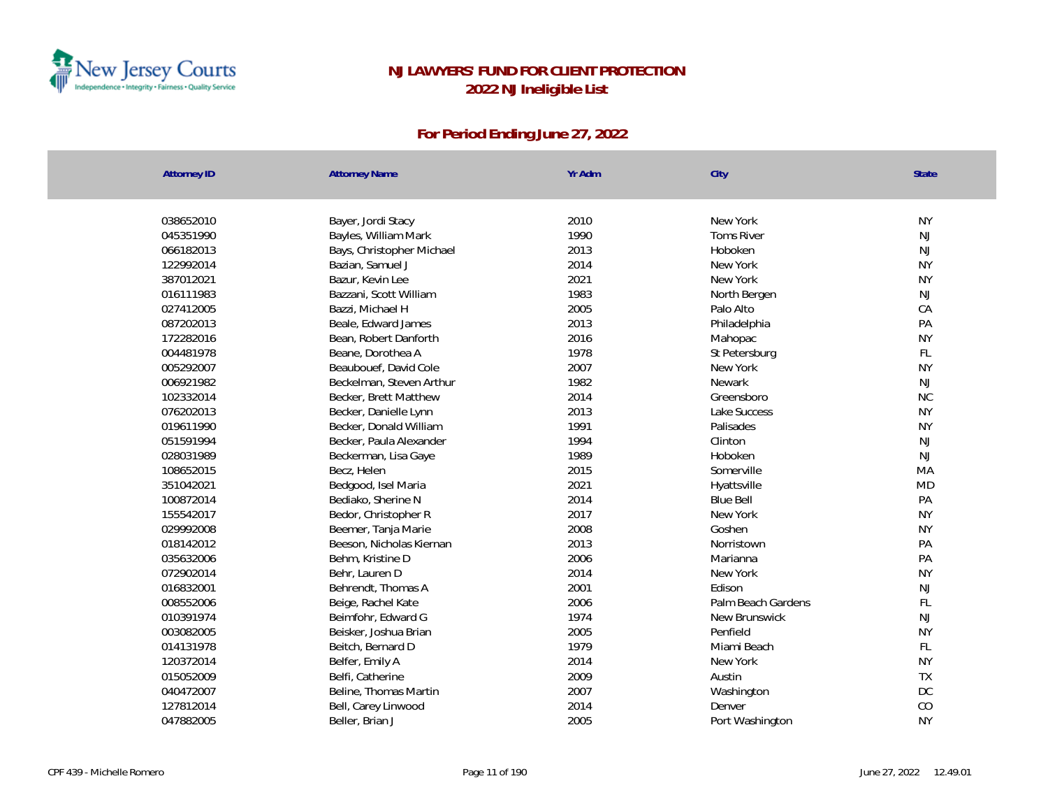

| <b>Attorney ID</b>     | <b>Attorney Name</b>      | Yr Adm       | City               | State               |
|------------------------|---------------------------|--------------|--------------------|---------------------|
|                        |                           |              |                    |                     |
| 038652010              | Bayer, Jordi Stacy        | 2010         | New York           | <b>NY</b>           |
| 045351990              | Bayles, William Mark      | 1990         | <b>Toms River</b>  | NJ                  |
| 066182013              | Bays, Christopher Michael | 2013         | Hoboken            | NJ<br><b>NY</b>     |
| 122992014              | Bazian, Samuel J          | 2014         | New York           | <b>NY</b>           |
| 387012021<br>016111983 | Bazur, Kevin Lee          | 2021<br>1983 | New York           |                     |
|                        | Bazzani, Scott William    |              | North Bergen       | $\mathsf{NJ}$<br>CA |
| 027412005              | Bazzi, Michael H          | 2005         | Palo Alto          |                     |
| 087202013<br>172282016 | Beale, Edward James       | 2013<br>2016 | Philadelphia       | PA<br><b>NY</b>     |
|                        | Bean, Robert Danforth     | 1978         | Mahopac            |                     |
| 004481978              | Beane, Dorothea A         |              | St Petersburg      | FL<br><b>NY</b>     |
| 005292007              | Beaubouef, David Cole     | 2007         | New York           |                     |
| 006921982              | Beckelman, Steven Arthur  | 1982         | <b>Newark</b>      | NJ                  |
| 102332014              | Becker, Brett Matthew     | 2014         | Greensboro         | <b>NC</b>           |
| 076202013              | Becker, Danielle Lynn     | 2013         | Lake Success       | <b>NY</b>           |
| 019611990              | Becker, Donald William    | 1991         | Palisades          | <b>NY</b>           |
| 051591994              | Becker, Paula Alexander   | 1994         | Clinton            | <b>NJ</b>           |
| 028031989              | Beckerman, Lisa Gaye      | 1989         | Hoboken            | <b>NJ</b>           |
| 108652015              | Becz, Helen               | 2015         | Somerville         | MA                  |
| 351042021              | Bedgood, Isel Maria       | 2021         | Hyattsville        | <b>MD</b>           |
| 100872014              | Bediako, Sherine N        | 2014         | <b>Blue Bell</b>   | PA                  |
| 155542017              | Bedor, Christopher R      | 2017         | New York           | <b>NY</b>           |
| 029992008              | Beemer, Tanja Marie       | 2008         | Goshen             | <b>NY</b>           |
| 018142012              | Beeson, Nicholas Kiernan  | 2013         | Norristown         | PA                  |
| 035632006              | Behm, Kristine D          | 2006         | Marianna           | PA                  |
| 072902014              | Behr, Lauren D            | 2014         | New York           | <b>NY</b>           |
| 016832001              | Behrendt, Thomas A        | 2001         | Fdison             | NJ                  |
| 008552006              | Beige, Rachel Kate        | 2006         | Palm Beach Gardens | FL                  |
| 010391974              | Beimfohr, Edward G        | 1974         | New Brunswick      | NJ                  |
| 003082005              | Beisker, Joshua Brian     | 2005         | Penfield           | <b>NY</b>           |
| 014131978              | Beitch, Bernard D         | 1979         | Miami Beach        | FL                  |
| 120372014              | Belfer, Emily A           | 2014         | New York           | <b>NY</b>           |
| 015052009              | Belfi, Catherine          | 2009         | Austin             | <b>TX</b>           |
| 040472007              | Beline, Thomas Martin     | 2007         | Washington         | DC                  |
| 127812014              | Bell, Carey Linwood       | 2014         | Denver             | CO                  |
| 047882005              | Beller, Brian J           | 2005         | Port Washington    | <b>NY</b>           |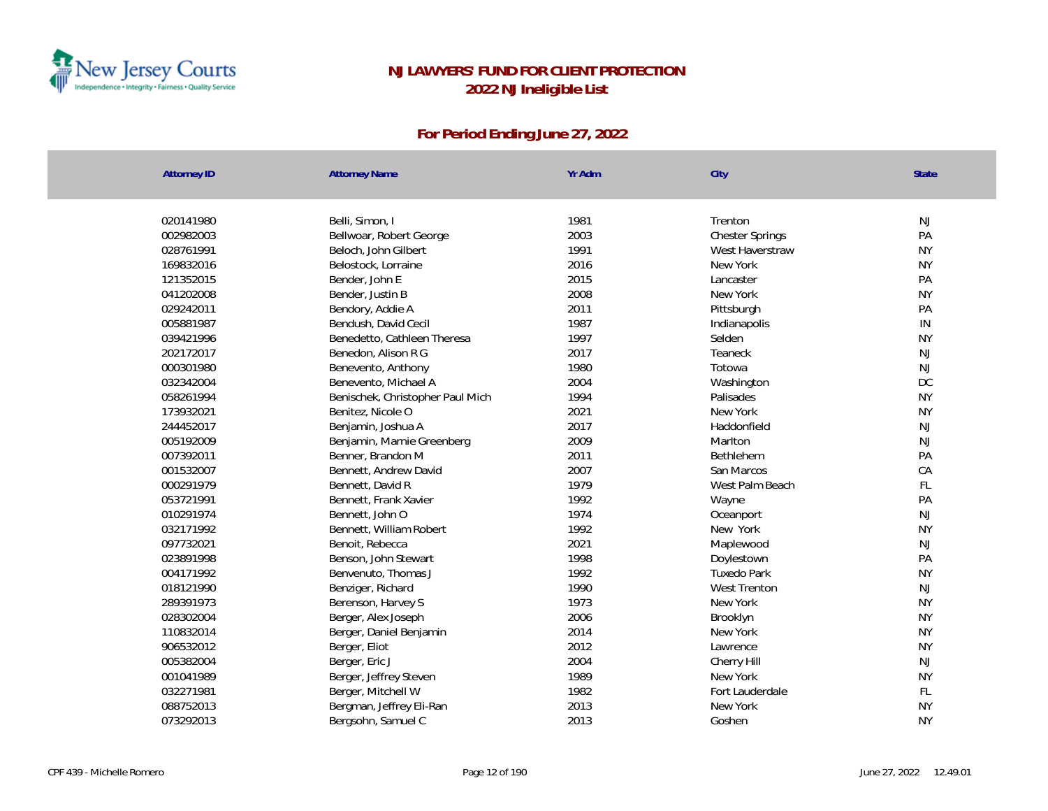

| <b>Attorney ID</b> | <b>Attorney Name</b>             | Yr Adm | City                   | <b>State</b>  |
|--------------------|----------------------------------|--------|------------------------|---------------|
|                    |                                  |        |                        |               |
| 020141980          | Belli, Simon, I                  | 1981   | Trenton                | <b>NJ</b>     |
| 002982003          | Bellwoar, Robert George          | 2003   | <b>Chester Springs</b> | PA            |
| 028761991          | Beloch, John Gilbert             | 1991   | West Haverstraw        | <b>NY</b>     |
| 169832016          | Belostock, Lorraine              | 2016   | New York               | <b>NY</b>     |
| 121352015          | Bender, John E                   | 2015   | Lancaster              | PA            |
| 041202008          | Bender, Justin B                 | 2008   | New York               | <b>NY</b>     |
| 029242011          | Bendory, Addie A                 | 2011   | Pittsburgh             | PA            |
| 005881987          | Bendush, David Cecil             | 1987   | Indianapolis           | $\mathsf{IN}$ |
| 039421996          | Benedetto, Cathleen Theresa      | 1997   | Selden                 | <b>NY</b>     |
| 202172017          | Benedon, Alison R G              | 2017   | Teaneck                | <b>NJ</b>     |
| 000301980          | Benevento, Anthony               | 1980   | Totowa                 | NJ            |
| 032342004          | Benevento, Michael A             | 2004   | Washington             | $DC$          |
| 058261994          | Benischek, Christopher Paul Mich | 1994   | Palisades              | <b>NY</b>     |
| 173932021          | Benitez, Nicole O                | 2021   | New York               | <b>NY</b>     |
| 244452017          | Benjamin, Joshua A               | 2017   | Haddonfield            | <b>NJ</b>     |
| 005192009          | Benjamin, Marnie Greenberg       | 2009   | Marlton                | <b>NJ</b>     |
| 007392011          | Benner, Brandon M                | 2011   | Bethlehem              | PA            |
| 001532007          | Bennett, Andrew David            | 2007   | San Marcos             | CA            |
| 000291979          | Bennett, David R                 | 1979   | West Palm Beach        | FL            |
| 053721991          | Bennett, Frank Xavier            | 1992   | Wayne                  | PA            |
| 010291974          | Bennett, John O                  | 1974   | Oceanport              | NJ            |
| 032171992          | Bennett, William Robert          | 1992   | New York               | <b>NY</b>     |
| 097732021          | Benoit, Rebecca                  | 2021   | Maplewood              | <b>NJ</b>     |
| 023891998          | Benson, John Stewart             | 1998   | Doylestown             | PA            |
| 004171992          | Benvenuto, Thomas J              | 1992   | <b>Tuxedo Park</b>     | <b>NY</b>     |
| 018121990          | Benziger, Richard                | 1990   | <b>West Trenton</b>    | <b>NJ</b>     |
| 289391973          | Berenson, Harvey S               | 1973   | New York               | <b>NY</b>     |
| 028302004          | Berger, Alex Joseph              | 2006   | Brooklyn               | <b>NY</b>     |
| 110832014          | Berger, Daniel Benjamin          | 2014   | New York               | <b>NY</b>     |
| 906532012          | Berger, Eliot                    | 2012   | Lawrence               | <b>NY</b>     |
| 005382004          | Berger, Eric J                   | 2004   | Cherry Hill            | NJ            |
| 001041989          | Berger, Jeffrey Steven           | 1989   | New York               | <b>NY</b>     |
| 032271981          | Berger, Mitchell W               | 1982   | Fort Lauderdale        | FL            |
| 088752013          | Bergman, Jeffrey Eli-Ran         | 2013   | New York               | <b>NY</b>     |
| 073292013          | Bergsohn, Samuel C               | 2013   | Goshen                 | <b>NY</b>     |
|                    |                                  |        |                        |               |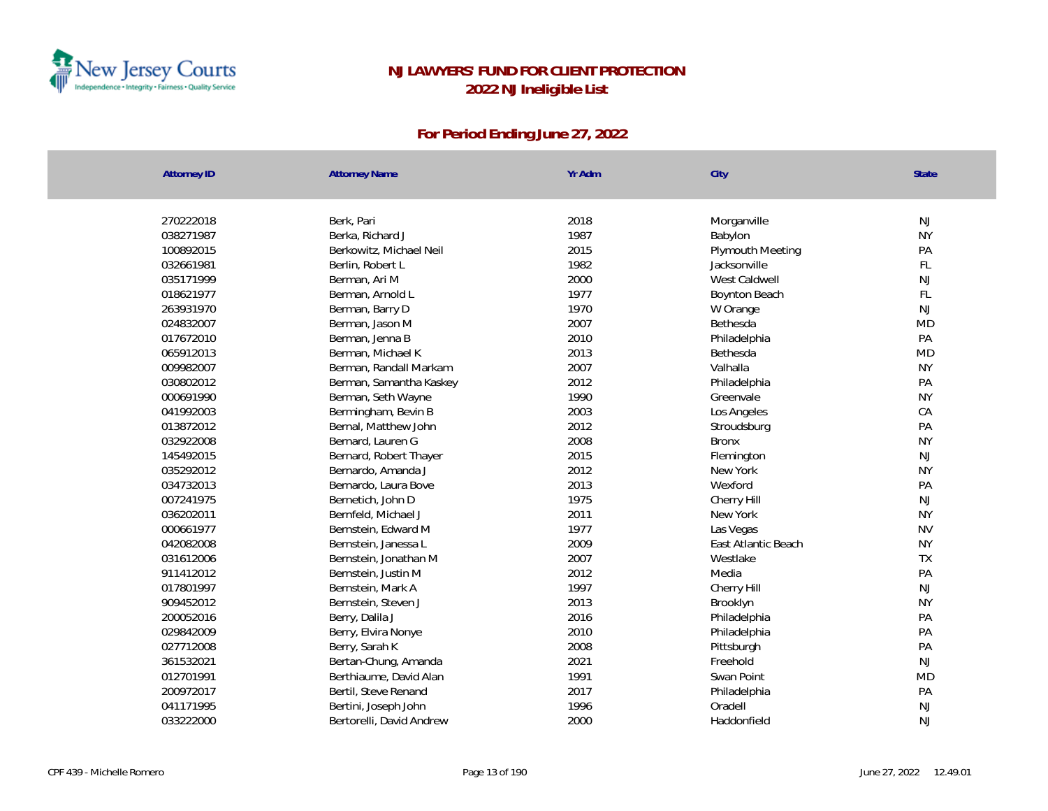

| Attorney ID            | <b>Attorney Name</b>                        | Yr Adm | City                             | State           |
|------------------------|---------------------------------------------|--------|----------------------------------|-----------------|
|                        | Berk, Pari                                  | 2018   |                                  |                 |
| 270222018<br>038271987 | Berka, Richard J                            | 1987   | Morganville<br>Babylon           | NJ<br><b>NY</b> |
|                        |                                             | 2015   |                                  | PA              |
| 100892015<br>032661981 | Berkowitz, Michael Neil<br>Berlin, Robert L | 1982   | Plymouth Meeting<br>Jacksonville | FL              |
| 035171999              | Berman, Ari M                               | 2000   | West Caldwell                    | <b>NJ</b>       |
| 018621977              | Berman, Arnold L                            | 1977   | Boynton Beach                    | $\mathsf{FL}$   |
| 263931970              | Berman, Barry D                             | 1970   | W Orange                         | <b>NJ</b>       |
| 024832007              | Berman, Jason M                             | 2007   | Bethesda                         | <b>MD</b>       |
| 017672010              | Berman, Jenna B                             | 2010   | Philadelphia                     | PA              |
| 065912013              | Berman, Michael K                           | 2013   | Bethesda                         | <b>MD</b>       |
| 009982007              | Berman, Randall Markam                      | 2007   | Valhalla                         | <b>NY</b>       |
| 030802012              | Berman, Samantha Kaskey                     | 2012   | Philadelphia                     | PA              |
| 000691990              | Berman, Seth Wayne                          | 1990   | Greenvale                        | <b>NY</b>       |
| 041992003              | Bermingham, Bevin B                         | 2003   | Los Angeles                      | CA              |
| 013872012              | Bernal, Matthew John                        | 2012   | Stroudsburg                      | PA              |
| 032922008              | Bernard, Lauren G                           | 2008   | <b>Bronx</b>                     | <b>NY</b>       |
| 145492015              | Bernard, Robert Thayer                      | 2015   | Flemington                       | <b>NJ</b>       |
| 035292012              | Bernardo, Amanda J                          | 2012   | New York                         | <b>NY</b>       |
| 034732013              | Bernardo, Laura Bove                        | 2013   | Wexford                          | PA              |
| 007241975              | Bernetich, John D                           | 1975   | Cherry Hill                      | NJ              |
| 036202011              | Bernfeld, Michael J                         | 2011   | New York                         | <b>NY</b>       |
| 000661977              | Bernstein, Edward M                         | 1977   | Las Vegas                        | <b>NV</b>       |
| 042082008              | Bernstein, Janessa L                        | 2009   | East Atlantic Beach              | <b>NY</b>       |
| 031612006              | Bernstein, Jonathan M                       | 2007   | Westlake                         | <b>TX</b>       |
| 911412012              | Bernstein, Justin M                         | 2012   | Media                            | PA              |
| 017801997              | Bernstein, Mark A                           | 1997   | Cherry Hill                      | NJ              |
| 909452012              | Bernstein, Steven J                         | 2013   | Brooklyn                         | <b>NY</b>       |
| 200052016              | Berry, Dalila J                             | 2016   | Philadelphia                     | PA              |
| 029842009              | Berry, Elvira Nonye                         | 2010   | Philadelphia                     | PA              |
| 027712008              | Berry, Sarah K                              | 2008   | Pittsburgh                       | PA              |
| 361532021              | Bertan-Chung, Amanda                        | 2021   | Freehold                         | <b>NJ</b>       |
| 012701991              | Berthiaume, David Alan                      | 1991   | Swan Point                       | <b>MD</b>       |
| 200972017              | Bertil, Steve Renand                        | 2017   | Philadelphia                     | PA              |
| 041171995              | Bertini, Joseph John                        | 1996   | Oradell                          | NJ              |
| 033222000              | Bertorelli, David Andrew                    | 2000   | Haddonfield                      | <b>NJ</b>       |
|                        |                                             |        |                                  |                 |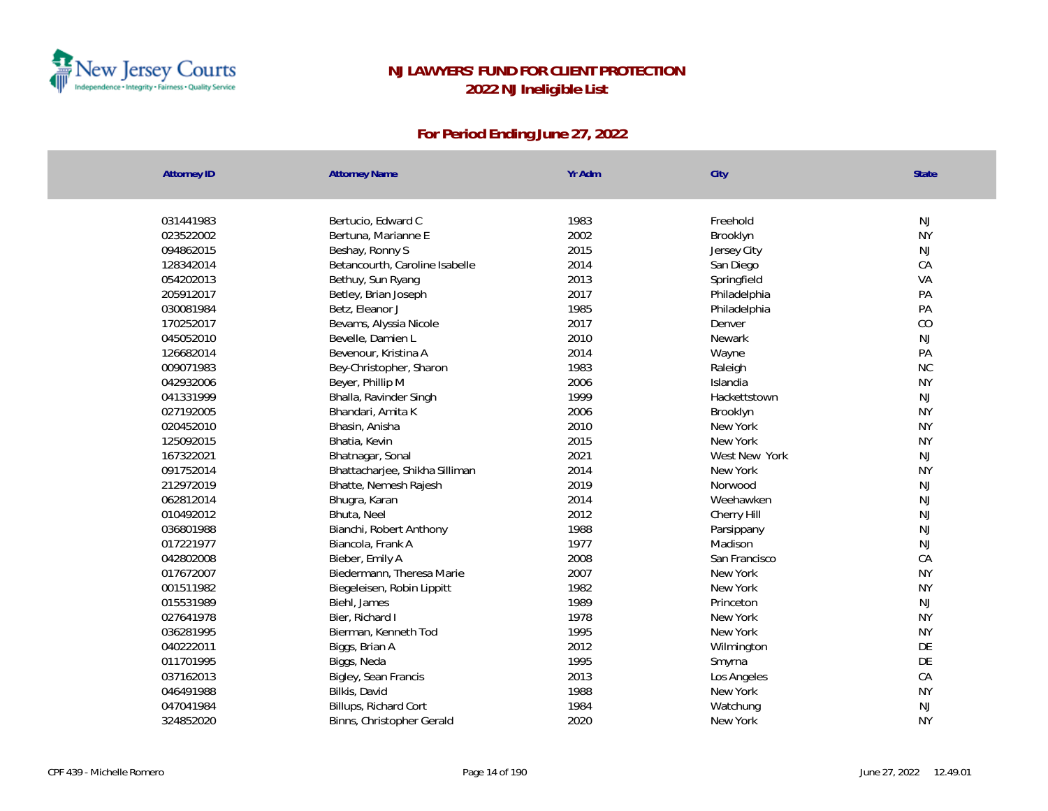

| <b>Attorney ID</b> | <b>Attorney Name</b>           | Yr Adm | City          | State     |
|--------------------|--------------------------------|--------|---------------|-----------|
|                    |                                |        |               |           |
| 031441983          | Bertucio, Edward C             | 1983   | Freehold      | NJ        |
| 023522002          | Bertuna, Marianne E            | 2002   | Brooklyn      | <b>NY</b> |
| 094862015          | Beshay, Ronny S                | 2015   | Jersey City   | NJ        |
| 128342014          | Betancourth, Caroline Isabelle | 2014   | San Diego     | CA        |
| 054202013          | Bethuy, Sun Ryang              | 2013   | Springfield   | VA        |
| 205912017          | Betley, Brian Joseph           | 2017   | Philadelphia  | PA        |
| 030081984          | Betz, Eleanor J                | 1985   | Philadelphia  | PA        |
| 170252017          | Bevams, Alyssia Nicole         | 2017   | Denver        | CO        |
| 045052010          | Bevelle, Damien L              | 2010   | Newark        | NJ        |
| 126682014          | Bevenour, Kristina A           | 2014   | Wayne         | PA        |
| 009071983          | Bey-Christopher, Sharon        | 1983   | Raleigh       | NC        |
| 042932006          | Beyer, Phillip M               | 2006   | Islandia      | <b>NY</b> |
| 041331999          | Bhalla, Ravinder Singh         | 1999   | Hackettstown  | <b>NJ</b> |
| 027192005          | Bhandari, Amita K              | 2006   | Brooklyn      | <b>NY</b> |
| 020452010          | Bhasin, Anisha                 | 2010   | New York      | <b>NY</b> |
| 125092015          | Bhatia, Kevin                  | 2015   | New York      | <b>NY</b> |
| 167322021          | Bhatnagar, Sonal               | 2021   | West New York | NJ        |
| 091752014          | Bhattacharjee, Shikha Silliman | 2014   | New York      | <b>NY</b> |
| 212972019          | Bhatte, Nemesh Rajesh          | 2019   | Norwood       | <b>NJ</b> |
| 062812014          | Bhugra, Karan                  | 2014   | Weehawken     | NJ        |
| 010492012          | Bhuta, Neel                    | 2012   | Cherry Hill   | <b>NJ</b> |
| 036801988          | Bianchi, Robert Anthony        | 1988   | Parsippany    | <b>NJ</b> |
| 017221977          | Biancola, Frank A              | 1977   | Madison       | <b>NJ</b> |
| 042802008          | Bieber, Emily A                | 2008   | San Francisco | CA        |
| 017672007          | Biedermann, Theresa Marie      | 2007   | New York      | <b>NY</b> |
| 001511982          | Biegeleisen, Robin Lippitt     | 1982   | New York      | <b>NY</b> |
| 015531989          | Biehl, James                   | 1989   | Princeton     | <b>NJ</b> |
| 027641978          | Bier, Richard I                | 1978   | New York      | <b>NY</b> |
| 036281995          | Bierman, Kenneth Tod           | 1995   | New York      | <b>NY</b> |
| 040222011          | Biggs, Brian A                 | 2012   | Wilmington    | DE        |
| 011701995          | Biggs, Neda                    | 1995   | Smyrna        | DE        |
| 037162013          | Bigley, Sean Francis           | 2013   | Los Angeles   | CA        |
| 046491988          | Bilkis, David                  | 1988   | New York      | <b>NY</b> |
| 047041984          | Billups, Richard Cort          | 1984   | Watchung      | <b>NJ</b> |
| 324852020          | Binns, Christopher Gerald      | 2020   | New York      | <b>NY</b> |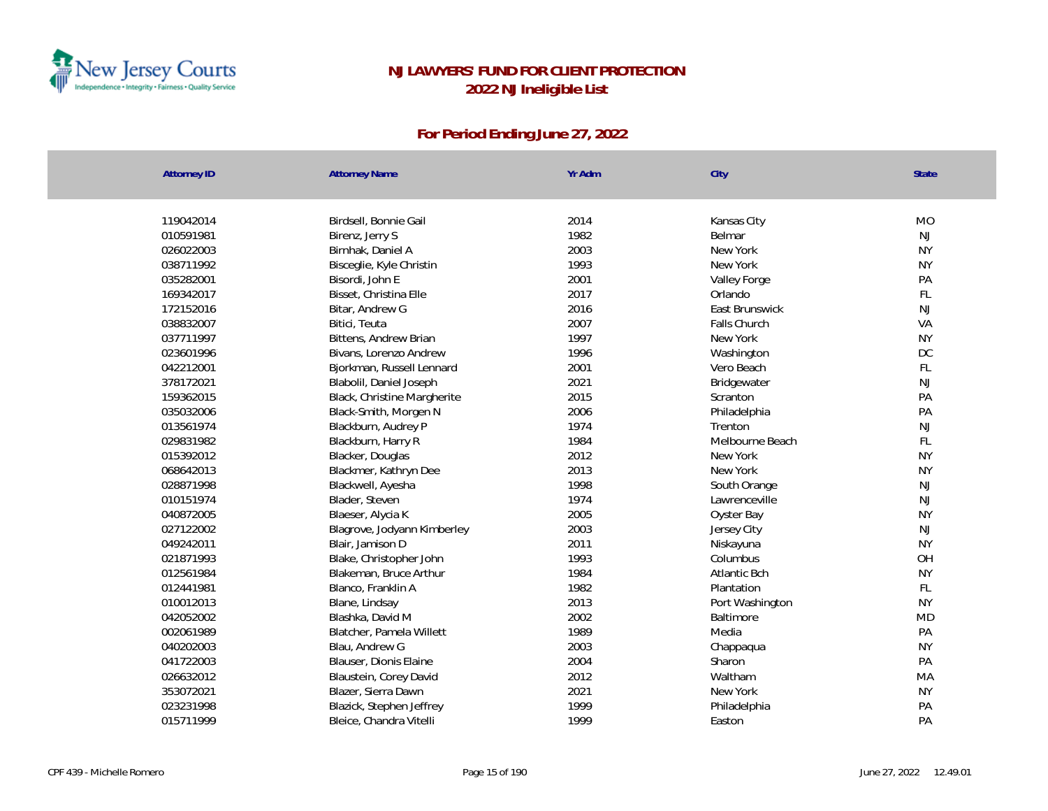

| <b>Attorney ID</b> | <b>Attorney Name</b>        | Yr Adm | City            | State     |
|--------------------|-----------------------------|--------|-----------------|-----------|
|                    |                             |        |                 |           |
| 119042014          | Birdsell, Bonnie Gail       | 2014   | Kansas City     | <b>MO</b> |
| 010591981          | Birenz, Jerry S             | 1982   | Belmar          | NJ        |
| 026022003          | Birnhak, Daniel A           | 2003   | New York        | <b>NY</b> |
| 038711992          | Bisceglie, Kyle Christin    | 1993   | New York        | <b>NY</b> |
| 035282001          | Bisordi, John E             | 2001   | Valley Forge    | PA        |
| 169342017          | Bisset, Christina Elle      | 2017   | Orlando         | FL        |
| 172152016          | Bitar, Andrew G             | 2016   | East Brunswick  | NJ        |
| 038832007          | Bitici, Teuta               | 2007   | Falls Church    | VA        |
| 037711997          | Bittens, Andrew Brian       | 1997   | New York        | <b>NY</b> |
| 023601996          | Bivans, Lorenzo Andrew      | 1996   | Washington      | DC        |
| 042212001          | Bjorkman, Russell Lennard   | 2001   | Vero Beach      | FL        |
| 378172021          | Blabolil, Daniel Joseph     | 2021   | Bridgewater     | NJ        |
| 159362015          | Black, Christine Margherite | 2015   | Scranton        | PA        |
| 035032006          | Black-Smith, Morgen N       | 2006   | Philadelphia    | PA        |
| 013561974          | Blackburn, Audrey P         | 1974   | Trenton         | NJ        |
| 029831982          | Blackburn, Harry R          | 1984   | Melbourne Beach | FL        |
| 015392012          | Blacker, Douglas            | 2012   | New York        | <b>NY</b> |
| 068642013          | Blackmer, Kathryn Dee       | 2013   | New York        | <b>NY</b> |
| 028871998          | Blackwell, Ayesha           | 1998   | South Orange    | NJ        |
| 010151974          | Blader, Steven              | 1974   | Lawrenceville   | NJ        |
| 040872005          | Blaeser, Alycia K           | 2005   | Oyster Bay      | <b>NY</b> |
| 027122002          | Blagrove, Jodyann Kimberley | 2003   | Jersey City     | NJ        |
| 049242011          | Blair, Jamison D            | 2011   | Niskayuna       | <b>NY</b> |
| 021871993          | Blake, Christopher John     | 1993   | Columbus        | OH        |
| 012561984          | Blakeman, Bruce Arthur      | 1984   | Atlantic Bch    | <b>NY</b> |
| 012441981          | Blanco, Franklin A          | 1982   | Plantation      | FL        |
| 010012013          | Blane, Lindsay              | 2013   | Port Washington | <b>NY</b> |
| 042052002          | Blashka, David M            | 2002   | Baltimore       | <b>MD</b> |
| 002061989          | Blatcher, Pamela Willett    | 1989   | Media           | PA        |
| 040202003          | Blau, Andrew G              | 2003   | Chappaqua       | <b>NY</b> |
| 041722003          | Blauser, Dionis Elaine      | 2004   | Sharon          | PA        |
| 026632012          | Blaustein, Corey David      | 2012   | Waltham         | MA        |
| 353072021          | Blazer, Sierra Dawn         | 2021   | New York        | <b>NY</b> |
| 023231998          | Blazick, Stephen Jeffrey    | 1999   | Philadelphia    | PA        |
| 015711999          | Bleice, Chandra Vitelli     | 1999   | Easton          | PA        |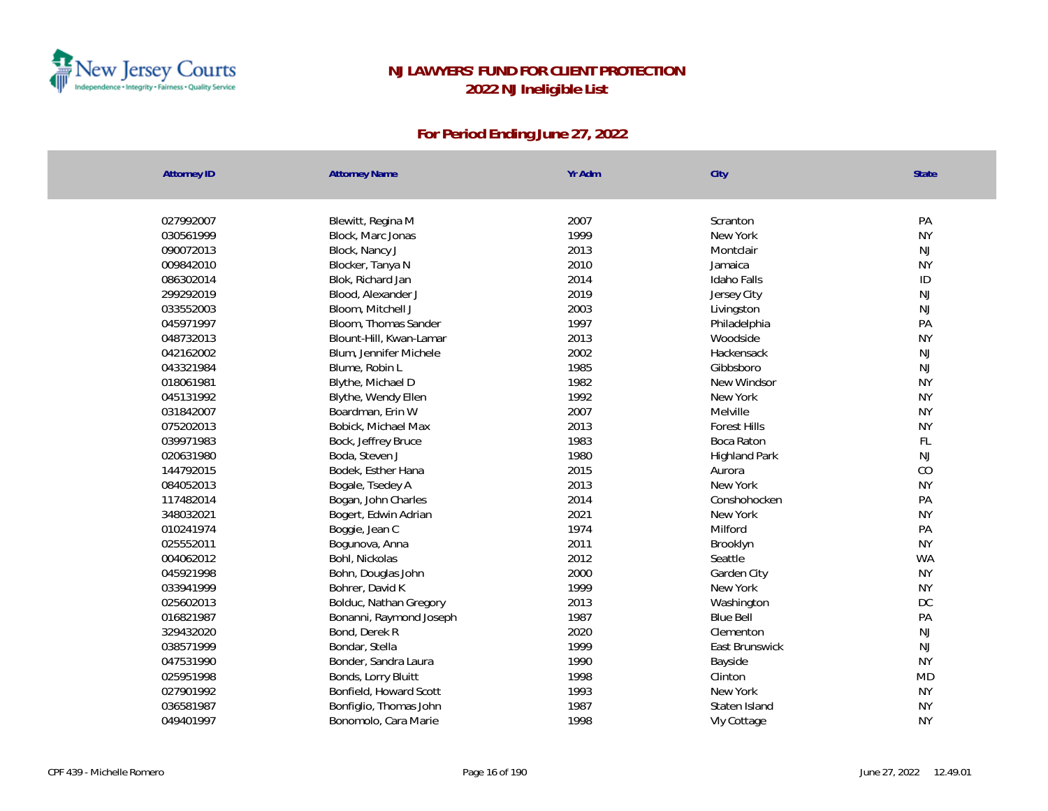

| <b>Attorney ID</b> | <b>Attorney Name</b>    | Yr Adm | City                 | <b>State</b> |
|--------------------|-------------------------|--------|----------------------|--------------|
|                    |                         |        |                      |              |
| 027992007          | Blewitt, Regina M       | 2007   | Scranton             | PA           |
| 030561999          | Block, Marc Jonas       | 1999   | New York             | <b>NY</b>    |
| 090072013          | Block, Nancy J          | 2013   | Montclair            | <b>NJ</b>    |
| 009842010          | Blocker, Tanya N        | 2010   | Jamaica              | <b>NY</b>    |
| 086302014          | Blok, Richard Jan       | 2014   | Idaho Falls          | ID           |
| 299292019          | Blood, Alexander J      | 2019   | Jersey City          | NJ           |
| 033552003          | Bloom, Mitchell J       | 2003   | Livingston           | <b>NJ</b>    |
| 045971997          | Bloom, Thomas Sander    | 1997   | Philadelphia         | PA           |
| 048732013          | Blount-Hill, Kwan-Lamar | 2013   | Woodside             | <b>NY</b>    |
| 042162002          | Blum, Jennifer Michele  | 2002   | Hackensack           | <b>NJ</b>    |
| 043321984          | Blume, Robin L          | 1985   | Gibbsboro            | <b>NJ</b>    |
| 018061981          | Blythe, Michael D       | 1982   | New Windsor          | <b>NY</b>    |
| 045131992          | Blythe, Wendy Ellen     | 1992   | New York             | <b>NY</b>    |
| 031842007          | Boardman, Erin W        | 2007   | Melville             | <b>NY</b>    |
| 075202013          | Bobick, Michael Max     | 2013   | <b>Forest Hills</b>  | <b>NY</b>    |
| 039971983          | Bock, Jeffrey Bruce     | 1983   | Boca Raton           | FL           |
| 020631980          | Boda, Steven J          | 1980   | <b>Highland Park</b> | <b>NJ</b>    |
| 144792015          | Bodek, Esther Hana      | 2015   | Aurora               | CO           |
| 084052013          | Bogale, Tsedey A        | 2013   | New York             | <b>NY</b>    |
| 117482014          | Bogan, John Charles     | 2014   | Conshohocken         | PA           |
| 348032021          | Bogert, Edwin Adrian    | 2021   | New York             | <b>NY</b>    |
| 010241974          | Boggie, Jean C          | 1974   | Milford              | PA           |
| 025552011          | Bogunova, Anna          | 2011   | Brooklyn             | <b>NY</b>    |
| 004062012          | Bohl, Nickolas          | 2012   | Seattle              | <b>WA</b>    |
| 045921998          | Bohn, Douglas John      | 2000   | Garden City          | <b>NY</b>    |
| 033941999          | Bohrer, David K         | 1999   | New York             | <b>NY</b>    |
| 025602013          | Bolduc, Nathan Gregory  | 2013   | Washington           | DC           |
| 016821987          | Bonanni, Raymond Joseph | 1987   | <b>Blue Bell</b>     | PA           |
| 329432020          | Bond, Derek R           | 2020   | Clementon            | <b>NJ</b>    |
| 038571999          | Bondar, Stella          | 1999   | East Brunswick       | <b>NJ</b>    |
| 047531990          | Bonder, Sandra Laura    | 1990   | Bayside              | <b>NY</b>    |
| 025951998          | Bonds, Lorry Bluitt     | 1998   | Clinton              | <b>MD</b>    |
| 027901992          | Bonfield, Howard Scott  | 1993   | New York             | <b>NY</b>    |
| 036581987          | Bonfiglio, Thomas John  | 1987   | Staten Island        | <b>NY</b>    |
| 049401997          | Bonomolo, Cara Marie    | 1998   | Vly Cottage          | <b>NY</b>    |
|                    |                         |        |                      |              |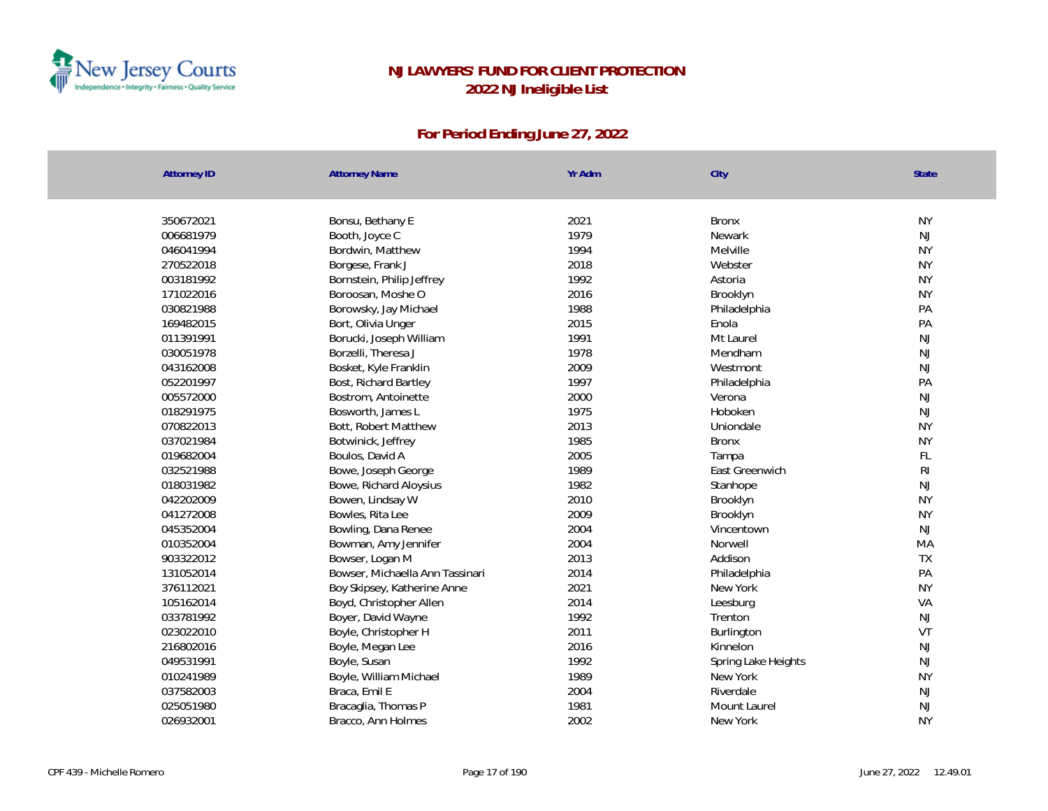

| <b>Attorney ID</b> | <b>Attorney Name</b>            | Yr Adm | City                | State          |
|--------------------|---------------------------------|--------|---------------------|----------------|
|                    |                                 |        |                     |                |
| 350672021          | Bonsu, Bethany E                | 2021   | <b>Bronx</b>        | <b>NY</b>      |
| 006681979          | Booth, Joyce C                  | 1979   | Newark              | NJ             |
| 046041994          | Bordwin, Matthew                | 1994   | Melville            | <b>NY</b>      |
| 270522018          | Borgese, Frank J                | 2018   | Webster             | <b>NY</b>      |
| 003181992          | Bornstein, Philip Jeffrey       | 1992   | Astoria             | <b>NY</b>      |
| 171022016          | Boroosan, Moshe O               | 2016   | Brooklyn            | <b>NY</b>      |
| 030821988          | Borowsky, Jay Michael           | 1988   | Philadelphia        | PA             |
| 169482015          | Bort, Olivia Unger              | 2015   | Enola               | PA             |
| 011391991          | Borucki, Joseph William         | 1991   | Mt Laurel           | NJ             |
| 030051978          | Borzelli, Theresa J             | 1978   | Mendham             | NJ             |
| 043162008          | Bosket, Kyle Franklin           | 2009   | Westmont            | NJ             |
| 052201997          | Bost, Richard Bartley           | 1997   | Philadelphia        | PA             |
| 005572000          | Bostrom, Antoinette             | 2000   | Verona              | NJ             |
| 018291975          | Bosworth, James L               | 1975   | Hoboken             | NJ             |
| 070822013          | Bott, Robert Matthew            | 2013   | Uniondale           | <b>NY</b>      |
| 037021984          | Botwinick, Jeffrey              | 1985   | <b>Bronx</b>        | <b>NY</b>      |
| 019682004          | Boulos, David A                 | 2005   | Tampa               | FL             |
| 032521988          | Bowe, Joseph George             | 1989   | East Greenwich      | R <sub>l</sub> |
| 018031982          | Bowe, Richard Aloysius          | 1982   | Stanhope            | NJ             |
| 042202009          | Bowen, Lindsay W                | 2010   | Brooklyn            | <b>NY</b>      |
| 041272008          | Bowles, Rita Lee                | 2009   | Brooklyn            | <b>NY</b>      |
| 045352004          | Bowling, Dana Renee             | 2004   | Vincentown          | <b>NJ</b>      |
| 010352004          | Bowman, Amy Jennifer            | 2004   | Norwell             | MA             |
| 903322012          | Bowser, Logan M                 | 2013   | Addison             | <b>TX</b>      |
| 131052014          | Bowser, Michaella Ann Tassinari | 2014   | Philadelphia        | PA             |
| 376112021          | Boy Skipsey, Katherine Anne     | 2021   | New York            | <b>NY</b>      |
| 105162014          | Boyd, Christopher Allen         | 2014   | Leesburg            | VA             |
| 033781992          | Boyer, David Wayne              | 1992   | Trenton             | NJ             |
| 023022010          | Boyle, Christopher H            | 2011   | Burlington          | VT             |
| 216802016          | Boyle, Megan Lee                | 2016   | Kinnelon            | NJ             |
| 049531991          | Boyle, Susan                    | 1992   | Spring Lake Heights | NJ             |
| 010241989          | Boyle, William Michael          | 1989   | New York            | <b>NY</b>      |
| 037582003          | Braca, Emil E                   | 2004   | Riverdale           | NJ             |
| 025051980          | Bracaglia, Thomas P             | 1981   | Mount Laurel        | $\mathsf{NJ}$  |
| 026932001          | Bracco, Ann Holmes              | 2002   | New York            | <b>NY</b>      |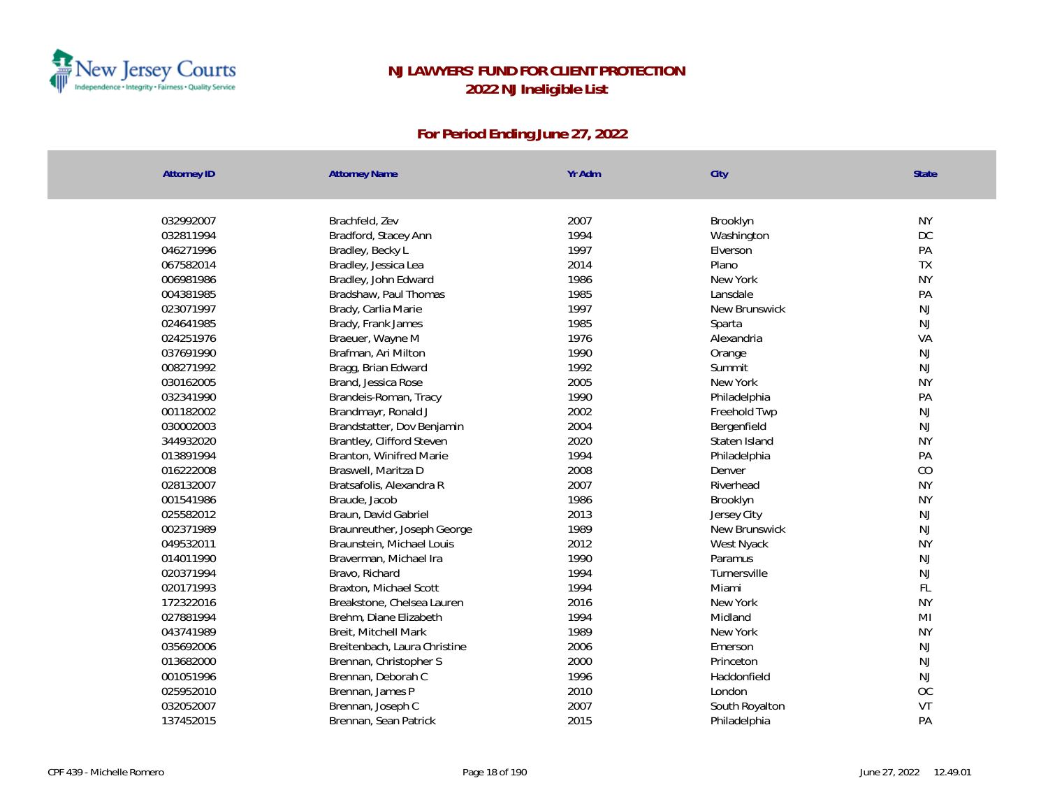

| <b>Attorney ID</b> | <b>Attorney Name</b>         | Yr Adm | City           | State         |
|--------------------|------------------------------|--------|----------------|---------------|
| 032992007          | Brachfeld, Zev               | 2007   | Brooklyn       | <b>NY</b>     |
| 032811994          | Bradford, Stacey Ann         | 1994   | Washington     | <b>DC</b>     |
| 046271996          | Bradley, Becky L             | 1997   | Elverson       | PA            |
| 067582014          | Bradley, Jessica Lea         | 2014   | Plano          | <b>TX</b>     |
| 006981986          | Bradley, John Edward         | 1986   | New York       | <b>NY</b>     |
| 004381985          | Bradshaw, Paul Thomas        | 1985   | Lansdale       | PA            |
| 023071997          | Brady, Carlia Marie          | 1997   | New Brunswick  | NJ            |
| 024641985          | Brady, Frank James           | 1985   | Sparta         | NJ            |
| 024251976          | Braeuer, Wayne M             | 1976   | Alexandria     | VA            |
| 037691990          | Brafman, Ari Milton          | 1990   | Orange         | NJ            |
| 008271992          | Bragg, Brian Edward          | 1992   | Summit         | NJ            |
| 030162005          | Brand, Jessica Rose          | 2005   | New York       | <b>NY</b>     |
| 032341990          | Brandeis-Roman, Tracy        | 1990   | Philadelphia   | PA            |
| 001182002          | Brandmayr, Ronald J          | 2002   | Freehold Twp   | $\mathsf{NJ}$ |
| 030002003          | Brandstatter, Dov Benjamin   | 2004   | Bergenfield    | NJ            |
| 344932020          | Brantley, Clifford Steven    | 2020   | Staten Island  | <b>NY</b>     |
| 013891994          | Branton, Winifred Marie      | 1994   | Philadelphia   | PA            |
| 016222008          | Braswell, Maritza D          | 2008   | Denver         | CO            |
| 028132007          | Bratsafolis, Alexandra R     | 2007   | Riverhead      | <b>NY</b>     |
| 001541986          | Braude, Jacob                | 1986   | Brooklyn       | <b>NY</b>     |
| 025582012          | Braun, David Gabriel         | 2013   | Jersey City    | NJ            |
| 002371989          | Braunreuther, Joseph George  | 1989   | New Brunswick  | NJ            |
| 049532011          | Braunstein, Michael Louis    | 2012   | West Nyack     | <b>NY</b>     |
| 014011990          | Braverman, Michael Ira       | 1990   | Paramus        | $\mathsf{NJ}$ |
| 020371994          | Bravo, Richard               | 1994   | Turnersville   | <b>NJ</b>     |
| 020171993          | Braxton, Michael Scott       | 1994   | Miami          | FL            |
| 172322016          | Breakstone, Chelsea Lauren   | 2016   | New York       | <b>NY</b>     |
| 027881994          | Brehm, Diane Elizabeth       | 1994   | Midland        | MI            |
| 043741989          | Breit, Mitchell Mark         | 1989   | New York       | <b>NY</b>     |
| 035692006          | Breitenbach, Laura Christine | 2006   | Emerson        | NJ            |
| 013682000          | Brennan, Christopher S       | 2000   | Princeton      | NJ            |
| 001051996          | Brennan, Deborah C           | 1996   | Haddonfield    | NJ            |
| 025952010          | Brennan, James P             | 2010   | London         | <b>OC</b>     |
| 032052007          | Brennan, Joseph C            | 2007   | South Royalton | VT            |
| 137452015          | Brennan, Sean Patrick        | 2015   | Philadelphia   | PA            |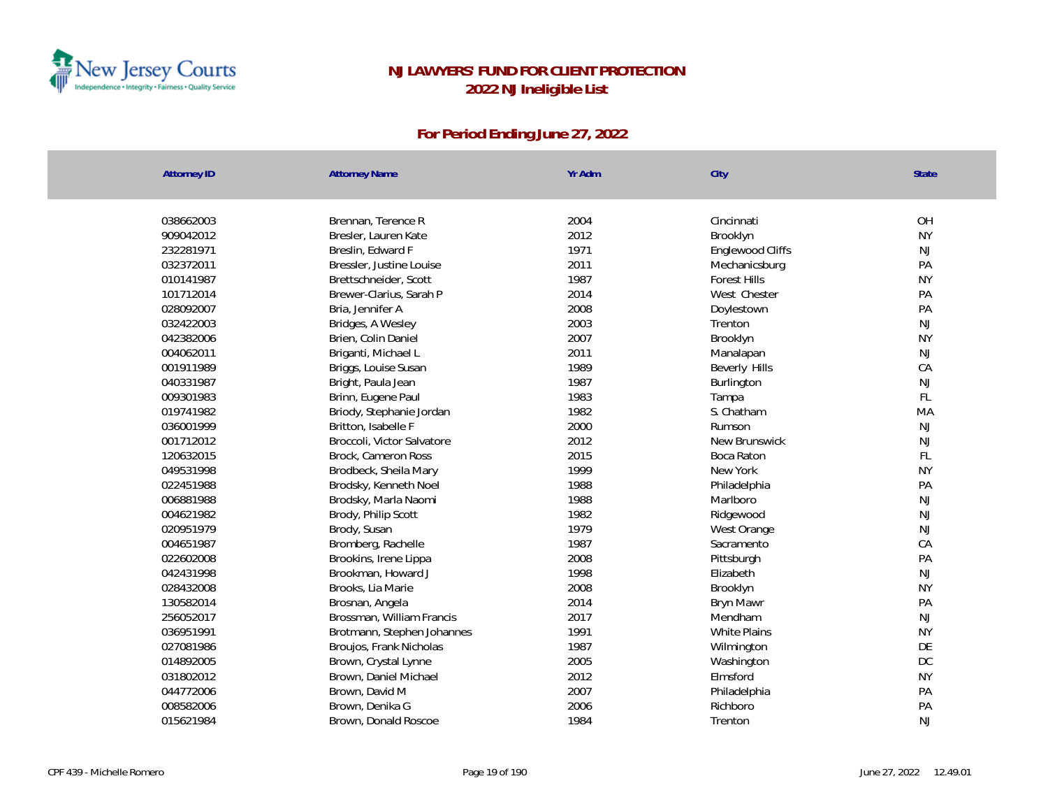

| <b>Attorney ID</b> | <b>Attorney Name</b>       | Yr Adm | City                | State     |
|--------------------|----------------------------|--------|---------------------|-----------|
|                    |                            |        |                     |           |
| 038662003          | Brennan, Terence R         | 2004   | Cincinnati          | OH        |
| 909042012          | Bresler, Lauren Kate       | 2012   | Brooklyn            | <b>NY</b> |
| 232281971          | Breslin, Edward F          | 1971   | Englewood Cliffs    | NJ        |
| 032372011          | Bressler, Justine Louise   | 2011   | Mechanicsburg       | PA        |
| 010141987          | Brettschneider, Scott      | 1987   | <b>Forest Hills</b> | <b>NY</b> |
| 101712014          | Brewer-Clarius, Sarah P    | 2014   | West Chester        | PA        |
| 028092007          | Bria, Jennifer A           | 2008   | Doylestown          | PA        |
| 032422003          | Bridges, A Wesley          | 2003   | Trenton             | NJ        |
| 042382006          | Brien, Colin Daniel        | 2007   | Brooklyn            | <b>NY</b> |
| 004062011          | Briganti, Michael L        | 2011   | Manalapan           | <b>NJ</b> |
| 001911989          | Briggs, Louise Susan       | 1989   | Beverly Hills       | CA        |
| 040331987          | Bright, Paula Jean         | 1987   | Burlington          | <b>NJ</b> |
| 009301983          | Brinn, Eugene Paul         | 1983   | Tampa               | FL        |
| 019741982          | Briody, Stephanie Jordan   | 1982   | S. Chatham          | MA        |
| 036001999          | Britton, Isabelle F        | 2000   | Rumson              | <b>NJ</b> |
| 001712012          | Broccoli, Victor Salvatore | 2012   | New Brunswick       | <b>NJ</b> |
| 120632015          | Brock, Cameron Ross        | 2015   | Boca Raton          | FL        |
| 049531998          | Brodbeck, Sheila Mary      | 1999   | New York            | <b>NY</b> |
| 022451988          | Brodsky, Kenneth Noel      | 1988   | Philadelphia        | PA        |
| 006881988          | Brodsky, Marla Naomi       | 1988   | Marlboro            | NJ        |
| 004621982          | Brody, Philip Scott        | 1982   | Ridgewood           | NJ        |
| 020951979          | Brody, Susan               | 1979   | West Orange         | NJ        |
| 004651987          | Bromberg, Rachelle         | 1987   | Sacramento          | CA        |
| 022602008          | Brookins, Irene Lippa      | 2008   | Pittsburgh          | PA        |
| 042431998          | Brookman, Howard J         | 1998   | Elizabeth           | NJ        |
| 028432008          | Brooks, Lia Marie          | 2008   | Brooklyn            | <b>NY</b> |
| 130582014          | Brosnan, Angela            | 2014   | Bryn Mawr           | PA        |
| 256052017          | Brossman, William Francis  | 2017   | Mendham             | NJ        |
| 036951991          | Brotmann, Stephen Johannes | 1991   | <b>White Plains</b> | <b>NY</b> |
| 027081986          | Broujos, Frank Nicholas    | 1987   | Wilmington          | DE        |
| 014892005          | Brown, Crystal Lynne       | 2005   | Washington          | DC        |
| 031802012          | Brown, Daniel Michael      | 2012   | Elmsford            | <b>NY</b> |
| 044772006          | Brown, David M             | 2007   | Philadelphia        | PA        |
| 008582006          | Brown, Denika G            | 2006   | Richboro            | PA        |
| 015621984          | Brown, Donald Roscoe       | 1984   | Trenton             | <b>NJ</b> |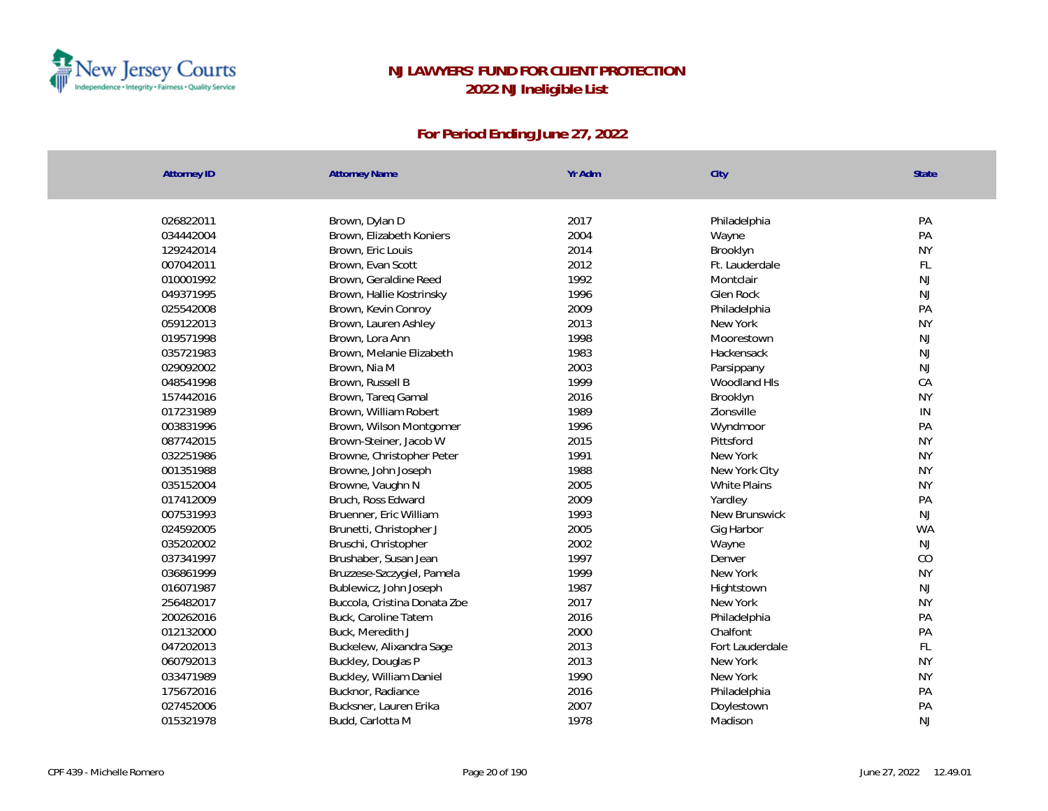

| <b>Attorney ID</b>     | <b>Attorney Name</b>         | Yr Adm       | City                       | State           |
|------------------------|------------------------------|--------------|----------------------------|-----------------|
| 026822011              |                              | 2017         |                            | PA              |
|                        | Brown, Dylan D               |              | Philadelphia               |                 |
| 034442004              | Brown, Elizabeth Koniers     | 2004         | Wayne                      | PA              |
| 129242014              | Brown, Eric Louis            | 2014<br>2012 | Brooklyn                   | <b>NY</b><br>FL |
| 007042011              | Brown, Evan Scott            | 1992         | Ft. Lauderdale             | NJ              |
| 010001992<br>049371995 | Brown, Geraldine Reed        | 1996         | Montclair<br>Glen Rock     | NJ              |
|                        | Brown, Hallie Kostrinsky     |              |                            | PA              |
| 025542008              | Brown, Kevin Conroy          | 2009         | Philadelphia               | <b>NY</b>       |
| 059122013<br>019571998 | Brown, Lauren Ashley         | 2013<br>1998 | New York<br>Moorestown     | $\mathsf{NJ}$   |
|                        | Brown, Lora Ann              | 1983         |                            |                 |
| 035721983              | Brown, Melanie Elizabeth     | 2003         | Hackensack                 | NJ<br>NJ        |
| 029092002              | Brown, Nia M                 | 1999         | Parsippany<br>Woodland HIs |                 |
| 048541998              | Brown, Russell B             |              |                            | CA              |
| 157442016              | Brown, Tareq Gamal           | 2016         | Brooklyn                   | <b>NY</b>       |
| 017231989              | Brown, William Robert        | 1989         | Zionsville                 | IN              |
| 003831996              | Brown, Wilson Montgomer      | 1996         | Wyndmoor                   | PA              |
| 087742015              | Brown-Steiner, Jacob W       | 2015         | Pittsford                  | <b>NY</b>       |
| 032251986              | Browne, Christopher Peter    | 1991         | New York                   | <b>NY</b>       |
| 001351988              | Browne, John Joseph          | 1988         | New York City              | <b>NY</b>       |
| 035152004              | Browne, Vaughn N             | 2005         | White Plains               | <b>NY</b>       |
| 017412009              | Bruch, Ross Edward           | 2009         | Yardley                    | PA              |
| 007531993              | Bruenner, Eric William       | 1993         | New Brunswick              | NJ              |
| 024592005              | Brunetti, Christopher J      | 2005         | Gig Harbor                 | <b>WA</b>       |
| 035202002              | Bruschi, Christopher         | 2002         | Wayne                      | NJ              |
| 037341997              | Brushaber, Susan Jean        | 1997         | Denver                     | CO              |
| 036861999              | Bruzzese-Szczygiel, Pamela   | 1999         | New York                   | <b>NY</b>       |
| 016071987              | Bublewicz, John Joseph       | 1987         | Hightstown                 | $\mathsf{NJ}$   |
| 256482017              | Buccola, Cristina Donata Zoe | 2017         | New York                   | <b>NY</b>       |
| 200262016              | Buck, Caroline Tatem         | 2016         | Philadelphia               | PA              |
| 012132000              | Buck, Meredith J             | 2000         | Chalfont                   | PA              |
| 047202013              | Buckelew, Alixandra Sage     | 2013         | Fort Lauderdale            | FL              |
| 060792013              | Buckley, Douglas P           | 2013         | New York                   | <b>NY</b>       |
| 033471989              | Buckley, William Daniel      | 1990         | New York                   | <b>NY</b>       |
| 175672016              | Bucknor, Radiance            | 2016         | Philadelphia               | PA              |
| 027452006              | Bucksner, Lauren Erika       | 2007         | Doylestown                 | PA              |
| 015321978              | Budd, Carlotta M             | 1978         | Madison                    | <b>NJ</b>       |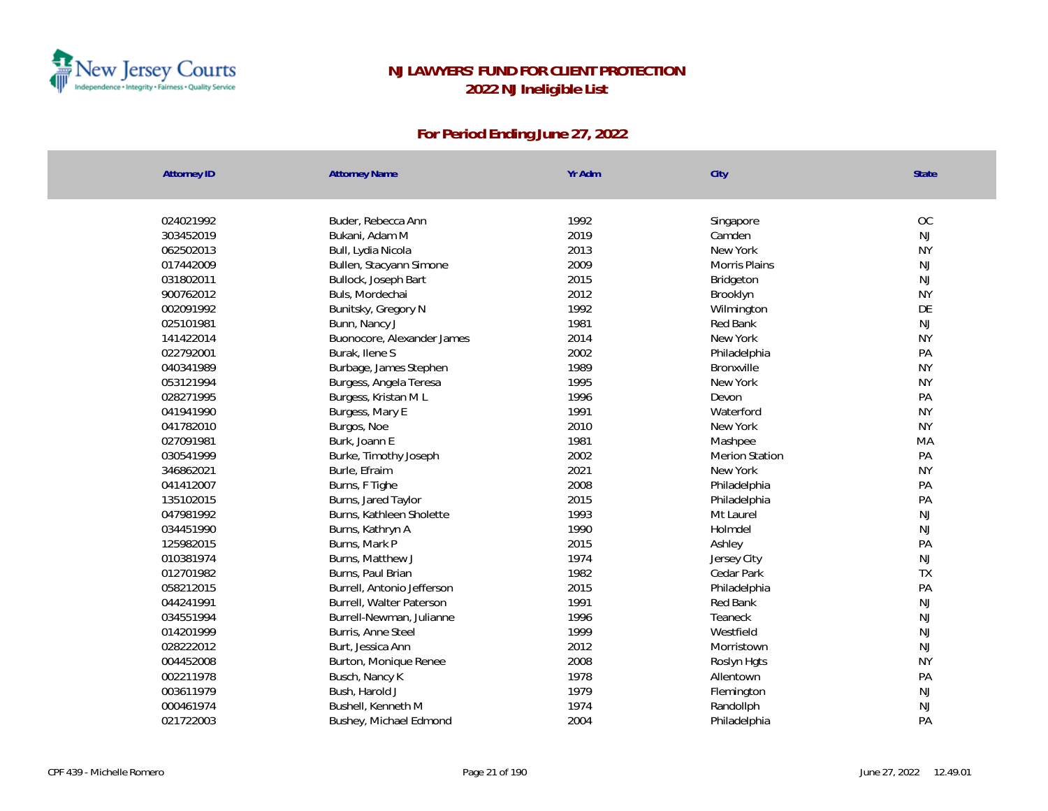

| <b>Attorney ID</b> | <b>Attorney Name</b>       | Yr Adm | City                  | State     |
|--------------------|----------------------------|--------|-----------------------|-----------|
|                    |                            |        |                       |           |
| 024021992          | Buder, Rebecca Ann         | 1992   | Singapore             | OC        |
| 303452019          | Bukani, Adam M             | 2019   | Camden                | <b>NJ</b> |
| 062502013          | Bull, Lydia Nicola         | 2013   | New York              | <b>NY</b> |
| 017442009          | Bullen, Stacyann Simone    | 2009   | Morris Plains         | NJ        |
| 031802011          | Bullock, Joseph Bart       | 2015   | Bridgeton             | NJ        |
| 900762012          | Buls, Mordechai            | 2012   | Brooklyn              | <b>NY</b> |
| 002091992          | Bunitsky, Gregory N        | 1992   | Wilmington            | DE        |
| 025101981          | Bunn, Nancy J              | 1981   | Red Bank              | <b>NJ</b> |
| 141422014          | Buonocore, Alexander James | 2014   | New York              | <b>NY</b> |
| 022792001          | Burak, Ilene S             | 2002   | Philadelphia          | PA        |
| 040341989          | Burbage, James Stephen     | 1989   | Bronxville            | <b>NY</b> |
| 053121994          | Burgess, Angela Teresa     | 1995   | New York              | <b>NY</b> |
| 028271995          | Burgess, Kristan ML        | 1996   | Devon                 | PA        |
| 041941990          | Burgess, Mary E            | 1991   | Waterford             | <b>NY</b> |
| 041782010          | Burgos, Noe                | 2010   | New York              | <b>NY</b> |
| 027091981          | Burk, Joann E              | 1981   | Mashpee               | MA        |
| 030541999          | Burke, Timothy Joseph      | 2002   | <b>Merion Station</b> | PA        |
| 346862021          | Burle, Efraim              | 2021   | New York              | <b>NY</b> |
| 041412007          | Burns, F Tighe             | 2008   | Philadelphia          | PA        |
| 135102015          | Burns, Jared Taylor        | 2015   | Philadelphia          | PA        |
| 047981992          | Burns, Kathleen Sholette   | 1993   | Mt Laurel             | NJ        |
| 034451990          | Burns, Kathryn A           | 1990   | Holmdel               | <b>NJ</b> |
| 125982015          | Burns, Mark P              | 2015   | Ashley                | PA        |
| 010381974          | Burns, Matthew J           | 1974   | Jersey City           | NJ        |
| 012701982          | Burns, Paul Brian          | 1982   | Cedar Park            | <b>TX</b> |
| 058212015          | Burrell, Antonio Jefferson | 2015   | Philadelphia          | PA        |
| 044241991          | Burrell, Walter Paterson   | 1991   | Red Bank              | NJ        |
| 034551994          | Burrell-Newman, Julianne   | 1996   | Teaneck               | <b>NJ</b> |
| 014201999          | Burris, Anne Steel         | 1999   | Westfield             | NJ        |
| 028222012          | Burt, Jessica Ann          | 2012   | Morristown            | <b>NJ</b> |
| 004452008          | Burton, Monique Renee      | 2008   | Roslyn Hgts           | <b>NY</b> |
| 002211978          | Busch, Nancy K             | 1978   | Allentown             | PA        |
| 003611979          | Bush, Harold J             | 1979   | Flemington            | NJ        |
| 000461974          | Bushell, Kenneth M         | 1974   | Randollph             | <b>NJ</b> |
| 021722003          | Bushey, Michael Edmond     | 2004   | Philadelphia          | PA        |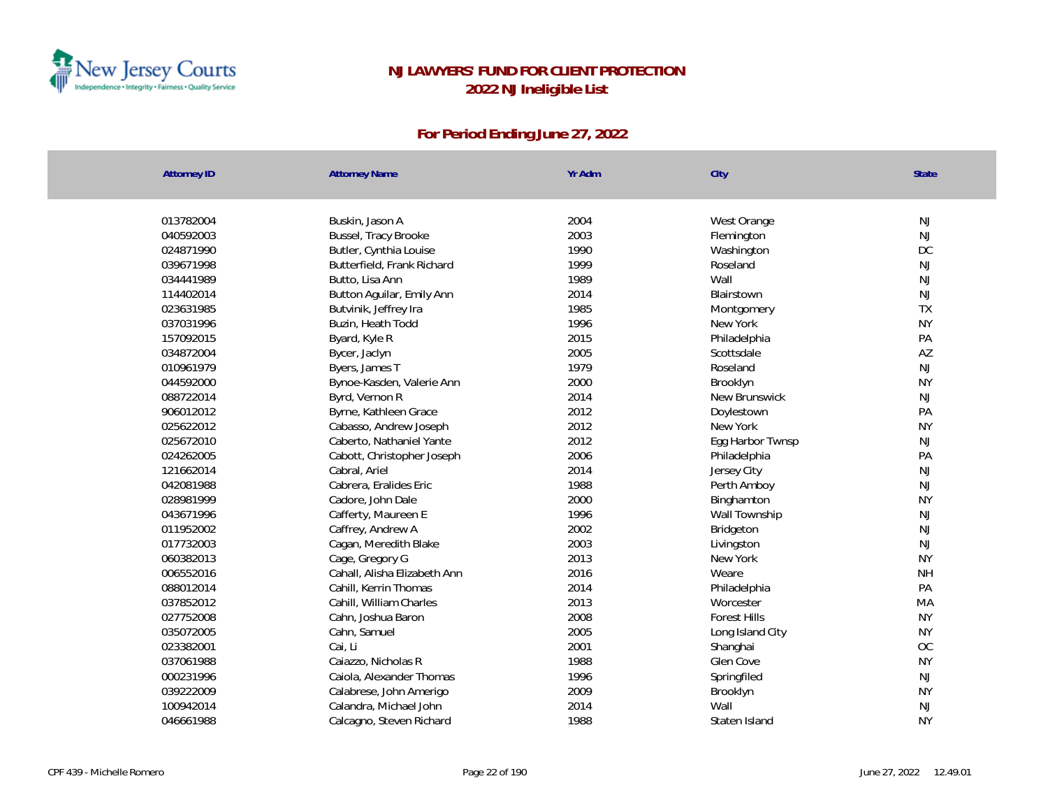

| <b>Attorney ID</b> | <b>Attorney Name</b>            | Yr Adm | City                   | <b>State</b> |
|--------------------|---------------------------------|--------|------------------------|--------------|
| 013782004          | Buskin, Jason A                 | 2004   | West Orange            | NJ           |
| 040592003          | Bussel, Tracy Brooke            | 2003   | Flemington             | <b>NJ</b>    |
| 024871990          | Butler, Cynthia Louise          | 1990   |                        | DC           |
| 039671998          | Butterfield, Frank Richard      | 1999   | Washington<br>Roseland | <b>NJ</b>    |
| 034441989          | Butto, Lisa Ann                 | 1989   | Wall                   | <b>NJ</b>    |
| 114402014          | Button Aguilar, Emily Ann       | 2014   | Blairstown             | NJ           |
| 023631985          | Butvinik, Jeffrey Ira           | 1985   |                        | <b>TX</b>    |
| 037031996          | Buzin, Heath Todd               | 1996   | Montgomery<br>New York | <b>NY</b>    |
| 157092015          |                                 | 2015   | Philadelphia           | PA           |
| 034872004          | Byard, Kyle R                   | 2005   | Scottsdale             | AZ           |
| 010961979          | Bycer, Jaclyn<br>Byers, James T | 1979   | Roseland               | NJ           |
| 044592000          |                                 | 2000   |                        | <b>NY</b>    |
|                    | Bynoe-Kasden, Valerie Ann       |        | Brooklyn               |              |
| 088722014          | Byrd, Vernon R                  | 2014   | New Brunswick          | <b>NJ</b>    |
| 906012012          | Byrne, Kathleen Grace           | 2012   | Doylestown             | PA           |
| 025622012          | Cabasso, Andrew Joseph          | 2012   | New York               | <b>NY</b>    |
| 025672010          | Caberto, Nathaniel Yante        | 2012   | Egg Harbor Twnsp       | <b>NJ</b>    |
| 024262005          | Cabott, Christopher Joseph      | 2006   | Philadelphia           | PA           |
| 121662014          | Cabral, Ariel                   | 2014   | Jersey City            | <b>NJ</b>    |
| 042081988          | Cabrera, Eralides Eric          | 1988   | Perth Amboy            | NJ           |
| 028981999          | Cadore, John Dale               | 2000   | Binghamton             | <b>NY</b>    |
| 043671996          | Cafferty, Maureen E             | 1996   | Wall Township          | <b>NJ</b>    |
| 011952002          | Caffrey, Andrew A               | 2002   | Bridgeton              | <b>NJ</b>    |
| 017732003          | Cagan, Meredith Blake           | 2003   | Livingston             | NJ           |
| 060382013          | Cage, Gregory G                 | 2013   | New York               | <b>NY</b>    |
| 006552016          | Cahall, Alisha Elizabeth Ann    | 2016   | Weare                  | <b>NH</b>    |
| 088012014          | Cahill, Kerrin Thomas           | 2014   | Philadelphia           | PA           |
| 037852012          | Cahill, William Charles         | 2013   | Worcester              | MA           |
| 027752008          | Cahn, Joshua Baron              | 2008   | <b>Forest Hills</b>    | <b>NY</b>    |
| 035072005          | Cahn, Samuel                    | 2005   | Long Island City       | <b>NY</b>    |
| 023382001          | Cai, Li                         | 2001   | Shanghai               | OC           |
| 037061988          | Caiazzo, Nicholas R             | 1988   | Glen Cove              | <b>NY</b>    |
| 000231996          | Caiola, Alexander Thomas        | 1996   | Springfiled            | NJ           |
| 039222009          | Calabrese, John Amerigo         | 2009   | Brooklyn               | <b>NY</b>    |
| 100942014          | Calandra, Michael John          | 2014   | Wall                   | <b>NJ</b>    |
| 046661988          | Calcagno, Steven Richard        | 1988   | Staten Island          | <b>NY</b>    |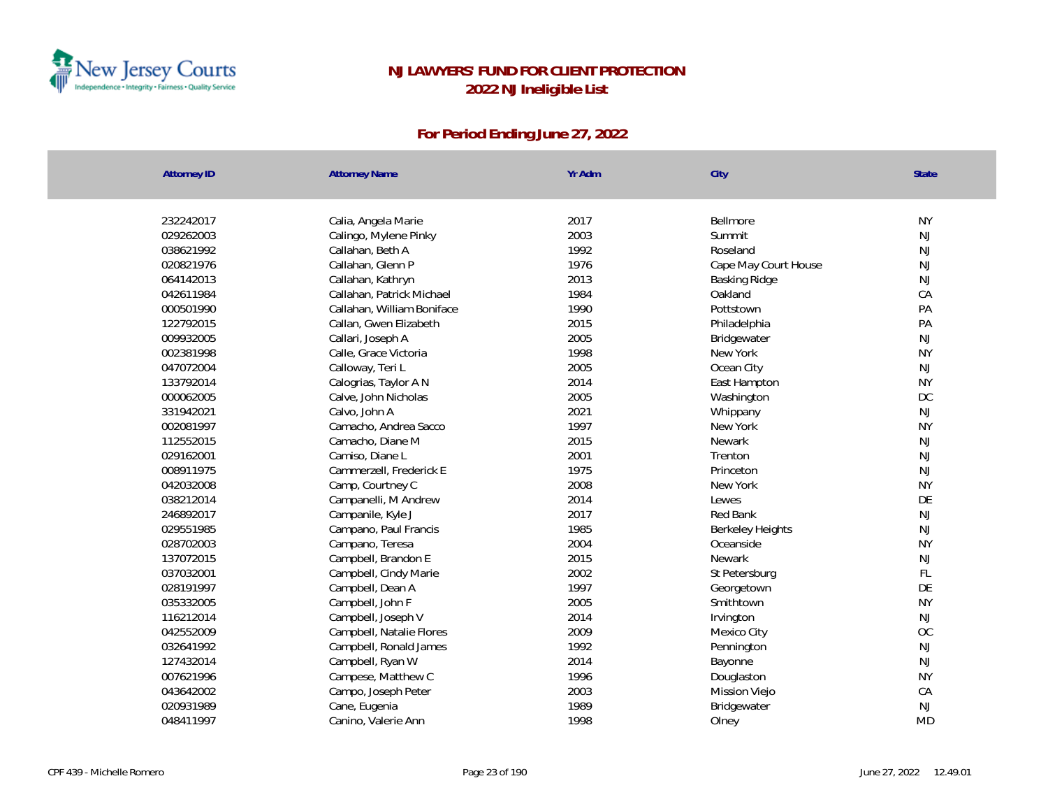

| <b>Attorney ID</b> | <b>Attorney Name</b>  |                            | Yr Adm       | City                 | State         |
|--------------------|-----------------------|----------------------------|--------------|----------------------|---------------|
|                    |                       |                            |              |                      |               |
| 232242017          | Calia, Angela Marie   |                            | 2017         | Bellmore             | <b>NY</b>     |
| 029262003          |                       | Calingo, Mylene Pinky      | 2003         | Summit               | $\mathsf{NJ}$ |
| 038621992          | Callahan, Beth A      |                            | 1992         | Roseland             | $\mathsf{NJ}$ |
| 020821976          | Callahan, Glenn P     |                            | 1976         | Cape May Court House | $\mathsf{NJ}$ |
| 064142013          | Callahan, Kathryn     |                            | 2013<br>1984 | Basking Ridge        | NJ            |
| 042611984          |                       | Callahan, Patrick Michael  |              | Oakland              | CA            |
| 000501990          |                       | Callahan, William Boniface | 1990         | Pottstown            | PA            |
| 122792015          |                       | Callan, Gwen Elizabeth     | 2015         | Philadelphia         | PA            |
| 009932005          | Callari, Joseph A     |                            | 2005         | Bridgewater          | $\mathsf{NJ}$ |
| 002381998          | Calle, Grace Victoria |                            | 1998         | New York             | <b>NY</b>     |
| 047072004          | Calloway, Teri L      |                            | 2005         | Ocean City           | NJ            |
| 133792014          |                       | Calogrias, Taylor A N      | 2014         | East Hampton         | <b>NY</b>     |
| 000062005          |                       | Calve, John Nicholas       | 2005         | Washington           | <b>DC</b>     |
| 331942021          | Calvo, John A         |                            | 2021         | Whippany             | NJ            |
| 002081997          |                       | Camacho, Andrea Sacco      | 1997         | New York             | <b>NY</b>     |
| 112552015          | Camacho, Diane M      |                            | 2015         | <b>Newark</b>        | NJ            |
| 029162001          | Camiso, Diane L       |                            | 2001         | Trenton              | NJ            |
| 008911975          |                       | Cammerzell, Frederick E    | 1975         | Princeton            | NJ            |
| 042032008          | Camp, Courtney C      |                            | 2008         | New York             | <b>NY</b>     |
| 038212014          |                       | Campanelli, M Andrew       | 2014         | Lewes                | DE            |
| 246892017          | Campanile, Kyle J     |                            | 2017         | Red Bank             | NJ            |
| 029551985          |                       | Campano, Paul Francis      | 1985         | Berkeley Heights     | $\mathsf{NJ}$ |
| 028702003          | Campano, Teresa       |                            | 2004         | Oceanside            | <b>NY</b>     |
| 137072015          |                       | Campbell, Brandon E        | 2015         | Newark               | NJ            |
| 037032001          |                       | Campbell, Cindy Marie      | 2002         | St Petersburg        | FL            |
| 028191997          | Campbell, Dean A      |                            | 1997         | Georgetown           | DE            |
| 035332005          | Campbell, John F      |                            | 2005         | Smithtown            | <b>NY</b>     |
| 116212014          | Campbell, Joseph V    |                            | 2014         | Irvington            | NJ            |
| 042552009          |                       | Campbell, Natalie Flores   | 2009         | Mexico City          | <b>OC</b>     |
| 032641992          |                       | Campbell, Ronald James     | 1992         | Pennington           | NJ            |
| 127432014          | Campbell, Ryan W      |                            | 2014         | Bayonne              | NJ            |
| 007621996          |                       | Campese, Matthew C         | 1996         | Douglaston           | <b>NY</b>     |
| 043642002          |                       | Campo, Joseph Peter        | 2003         | <b>Mission Viejo</b> | CA            |
| 020931989          | Cane, Eugenia         |                            | 1989         | Bridgewater          | $\mathsf{NJ}$ |
| 048411997          | Canino, Valerie Ann   |                            | 1998         | Olney                | <b>MD</b>     |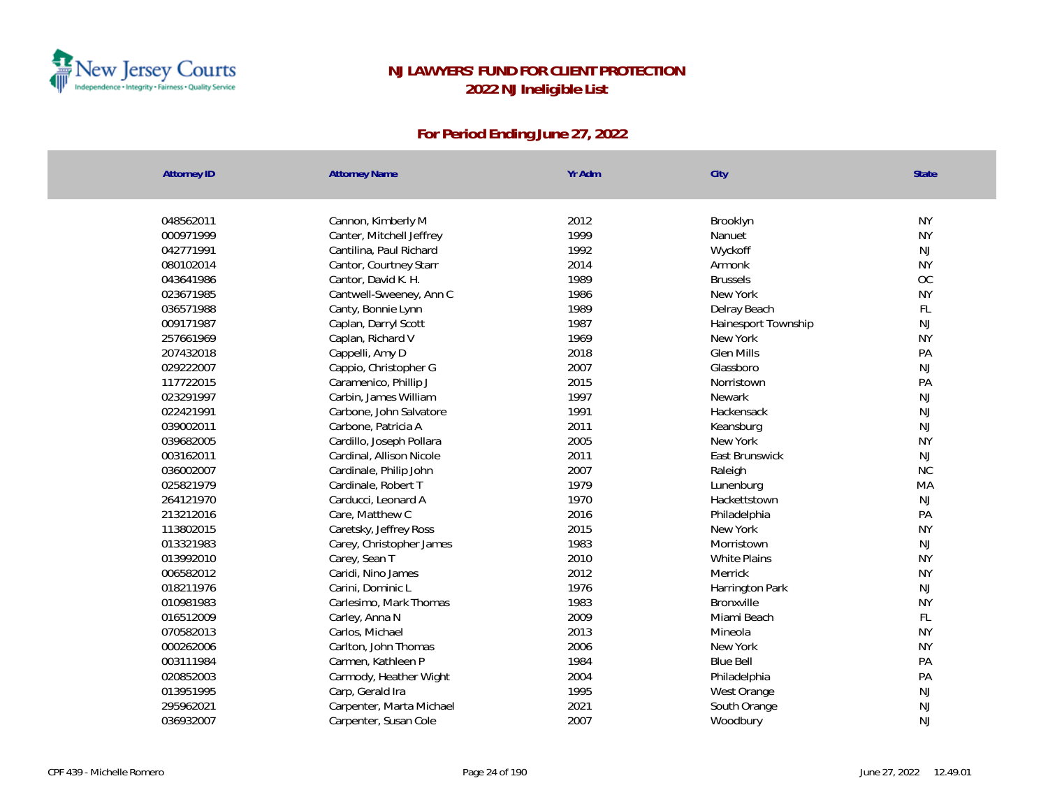

| 048562011<br>2012<br>Cannon, Kimberly M<br>Brooklyn<br>1999<br>000971999<br>Canter, Mitchell Jeffrey<br>Nanuet<br>1992<br>042771991<br>Cantilina, Paul Richard<br>Wyckoff<br>2014<br>080102014<br>Cantor, Courtney Starr<br>Armonk<br>1989<br>043641986<br>Cantor, David K. H.<br><b>Brussels</b><br>1986<br>023671985<br>Cantwell-Sweeney, Ann C<br>New York<br>036571988<br>1989<br>Canty, Bonnie Lynn<br>Delray Beach |           |
|--------------------------------------------------------------------------------------------------------------------------------------------------------------------------------------------------------------------------------------------------------------------------------------------------------------------------------------------------------------------------------------------------------------------------|-----------|
|                                                                                                                                                                                                                                                                                                                                                                                                                          |           |
|                                                                                                                                                                                                                                                                                                                                                                                                                          | <b>NY</b> |
|                                                                                                                                                                                                                                                                                                                                                                                                                          | <b>NY</b> |
|                                                                                                                                                                                                                                                                                                                                                                                                                          | <b>NJ</b> |
|                                                                                                                                                                                                                                                                                                                                                                                                                          | <b>NY</b> |
|                                                                                                                                                                                                                                                                                                                                                                                                                          | OC        |
|                                                                                                                                                                                                                                                                                                                                                                                                                          | <b>NY</b> |
|                                                                                                                                                                                                                                                                                                                                                                                                                          | FL        |
| 009171987<br>1987<br>Caplan, Darryl Scott<br>Hainesport Township                                                                                                                                                                                                                                                                                                                                                         | NJ        |
| 1969<br>257661969<br>Caplan, Richard V<br>New York                                                                                                                                                                                                                                                                                                                                                                       | <b>NY</b> |
| 2018<br>207432018<br>Cappelli, Amy D<br><b>Glen Mills</b>                                                                                                                                                                                                                                                                                                                                                                | PA        |
| 2007<br>029222007<br>Cappio, Christopher G<br>Glassboro                                                                                                                                                                                                                                                                                                                                                                  | NJ        |
| 2015<br>117722015<br>Caramenico, Phillip J<br>Norristown                                                                                                                                                                                                                                                                                                                                                                 | PA        |
| 1997<br>023291997<br>Carbin, James William<br>Newark                                                                                                                                                                                                                                                                                                                                                                     | <b>NJ</b> |
| 1991<br>022421991<br>Carbone, John Salvatore<br>Hackensack                                                                                                                                                                                                                                                                                                                                                               | NJ        |
| 2011<br>039002011<br>Carbone, Patricia A<br>Keansburg                                                                                                                                                                                                                                                                                                                                                                    | NJ        |
| 2005<br>039682005<br>Cardillo, Joseph Pollara<br>New York                                                                                                                                                                                                                                                                                                                                                                | <b>NY</b> |
| 2011<br>East Brunswick<br>003162011<br>Cardinal, Allison Nicole                                                                                                                                                                                                                                                                                                                                                          | <b>NJ</b> |
| 2007<br>036002007<br>Cardinale, Philip John<br>Raleigh                                                                                                                                                                                                                                                                                                                                                                   | NC        |
| 1979<br>025821979<br>Cardinale, Robert T<br>Lunenburg                                                                                                                                                                                                                                                                                                                                                                    | MA        |
| 264121970<br>Carducci, Leonard A<br>1970<br>Hackettstown                                                                                                                                                                                                                                                                                                                                                                 | NJ        |
| 213212016<br>2016<br>Care, Matthew C<br>Philadelphia                                                                                                                                                                                                                                                                                                                                                                     | PA        |
| 2015<br>113802015<br>Caretsky, Jeffrey Ross<br>New York                                                                                                                                                                                                                                                                                                                                                                  | <b>NY</b> |
| 013321983<br>1983<br>Carey, Christopher James<br>Morristown                                                                                                                                                                                                                                                                                                                                                              | NJ        |
| 2010<br>013992010<br>Carey, Sean T<br>White Plains                                                                                                                                                                                                                                                                                                                                                                       | <b>NY</b> |
| 2012<br>006582012<br>Caridi, Nino James<br>Merrick                                                                                                                                                                                                                                                                                                                                                                       | <b>NY</b> |
| 018211976<br>Carini, Dominic L<br>1976<br>Harrington Park                                                                                                                                                                                                                                                                                                                                                                | NJ        |
| 010981983<br>Carlesimo, Mark Thomas<br>1983<br>Bronxville                                                                                                                                                                                                                                                                                                                                                                | <b>NY</b> |
| 2009<br>016512009<br>Carley, Anna N<br>Miami Beach                                                                                                                                                                                                                                                                                                                                                                       | FL        |
| 2013<br>070582013<br>Carlos, Michael<br>Mineola                                                                                                                                                                                                                                                                                                                                                                          | <b>NY</b> |
| 2006<br>000262006<br>Carlton, John Thomas<br>New York                                                                                                                                                                                                                                                                                                                                                                    | <b>NY</b> |
| 1984<br>003111984<br>Carmen, Kathleen P<br><b>Blue Bell</b>                                                                                                                                                                                                                                                                                                                                                              | PA        |
| 2004<br>020852003<br>Carmody, Heather Wight<br>Philadelphia                                                                                                                                                                                                                                                                                                                                                              | PA        |
| 013951995<br>1995<br>Carp, Gerald Ira<br>West Orange                                                                                                                                                                                                                                                                                                                                                                     | NJ        |
| 2021<br>295962021<br>Carpenter, Marta Michael<br>South Orange                                                                                                                                                                                                                                                                                                                                                            | <b>NJ</b> |
| 2007<br>036932007<br>Carpenter, Susan Cole<br>Woodbury                                                                                                                                                                                                                                                                                                                                                                   | <b>NJ</b> |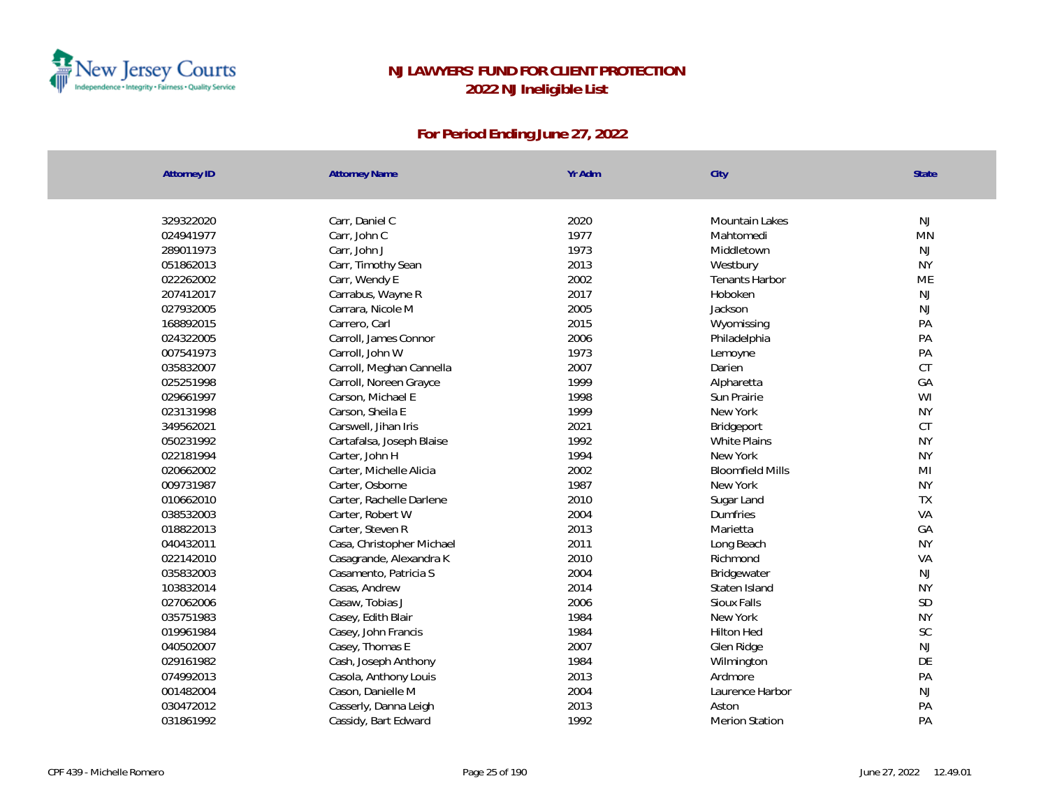

| <b>Attorney ID</b> | <b>Attorney Name</b>      | Yr Adm | City                    | State     |
|--------------------|---------------------------|--------|-------------------------|-----------|
|                    |                           |        |                         |           |
| 329322020          | Carr, Daniel C            | 2020   | Mountain Lakes          | NJ        |
| 024941977          | Carr, John C              | 1977   | Mahtomedi               | <b>MN</b> |
| 289011973          | Carr, John J              | 1973   | Middletown              | <b>NJ</b> |
| 051862013          | Carr, Timothy Sean        | 2013   | Westbury                | <b>NY</b> |
| 022262002          | Carr, Wendy E             | 2002   | <b>Tenants Harbor</b>   | ME        |
| 207412017          | Carrabus, Wayne R         | 2017   | Hoboken                 | NJ        |
| 027932005          | Carrara, Nicole M         | 2005   | Jackson                 | NJ        |
| 168892015          | Carrero, Carl             | 2015   | Wyomissing              | PA        |
| 024322005          | Carroll, James Connor     | 2006   | Philadelphia            | PA        |
| 007541973          | Carroll, John W           | 1973   | Lemoyne                 | PA        |
| 035832007          | Carroll, Meghan Cannella  | 2007   | Darien                  | CT        |
| 025251998          | Carroll, Noreen Grayce    | 1999   | Alpharetta              | GA        |
| 029661997          | Carson, Michael E         | 1998   | Sun Prairie             | WI        |
| 023131998          | Carson, Sheila E          | 1999   | New York                | <b>NY</b> |
| 349562021          | Carswell, Jihan Iris      | 2021   | Bridgeport              | CT        |
| 050231992          | Cartafalsa, Joseph Blaise | 1992   | <b>White Plains</b>     | <b>NY</b> |
| 022181994          | Carter, John H            | 1994   | New York                | <b>NY</b> |
| 020662002          | Carter, Michelle Alicia   | 2002   | <b>Bloomfield Mills</b> | MI        |
| 009731987          | Carter, Osborne           | 1987   | New York                | <b>NY</b> |
| 010662010          | Carter, Rachelle Darlene  | 2010   | Sugar Land              | TX        |
| 038532003          | Carter, Robert W          | 2004   | Dumfries                | VA        |
| 018822013          | Carter, Steven R          | 2013   | Marietta                | GA        |
| 040432011          | Casa, Christopher Michael | 2011   | Long Beach              | <b>NY</b> |
| 022142010          | Casagrande, Alexandra K   | 2010   | Richmond                | VA        |
| 035832003          | Casamento, Patricia S     | 2004   | Bridgewater             | <b>NJ</b> |
| 103832014          | Casas, Andrew             | 2014   | Staten Island           | <b>NY</b> |
| 027062006          | Casaw, Tobias J           | 2006   | Sioux Falls             | SD        |
| 035751983          | Casey, Edith Blair        | 1984   | New York                | <b>NY</b> |
| 019961984          | Casey, John Francis       | 1984   | <b>Hilton Hed</b>       | SC        |
| 040502007          | Casey, Thomas E           | 2007   | Glen Ridge              | NJ        |
| 029161982          | Cash, Joseph Anthony      | 1984   | Wilmington              | DE        |
| 074992013          | Casola, Anthony Louis     | 2013   | Ardmore                 | PA        |
| 001482004          | Cason, Danielle M         | 2004   | Laurence Harbor         | NJ        |
| 030472012          | Casserly, Danna Leigh     | 2013   | Aston                   | PA        |
| 031861992          | Cassidy, Bart Edward      | 1992   | <b>Merion Station</b>   | PA        |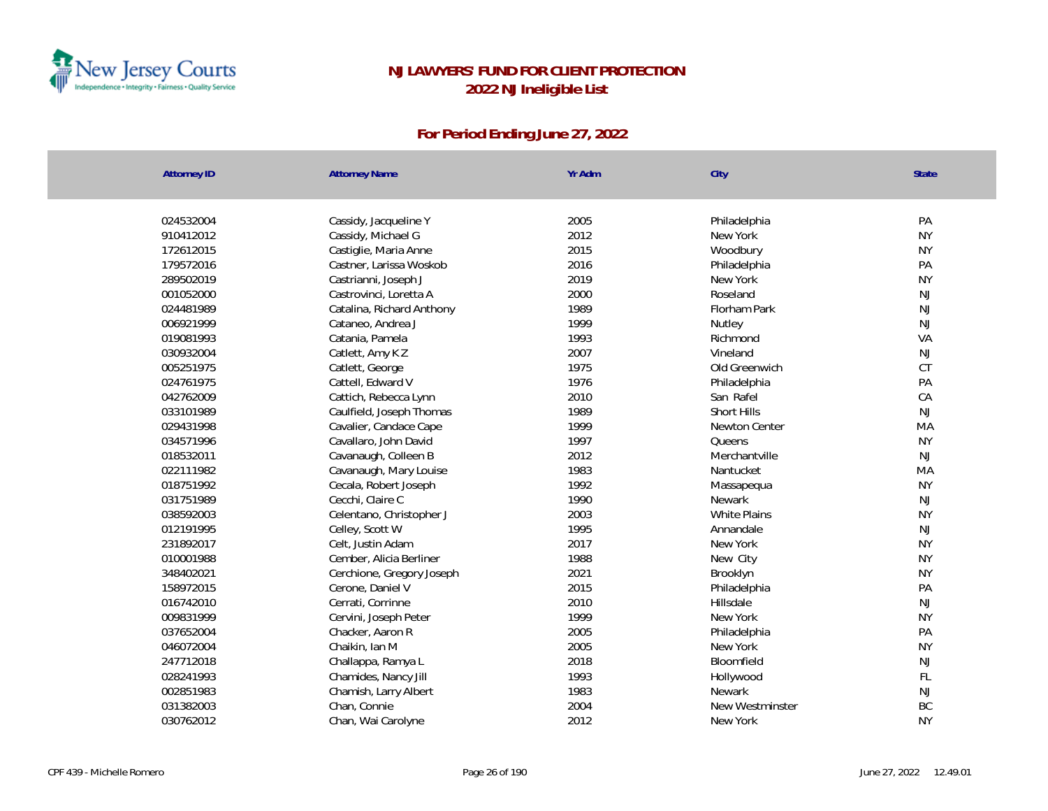

| <b>Attorney ID</b> | Yr Adm<br><b>Attorney Name</b>    | City                | State         |
|--------------------|-----------------------------------|---------------------|---------------|
|                    |                                   |                     |               |
| 024532004          | 2005<br>Cassidy, Jacqueline Y     | Philadelphia        | PA            |
| 910412012          | 2012<br>Cassidy, Michael G        | New York            | <b>NY</b>     |
| 172612015          | 2015<br>Castiglie, Maria Anne     | Woodbury            | <b>NY</b>     |
| 179572016          | 2016<br>Castner, Larissa Woskob   | Philadelphia        | PA            |
| 289502019          | 2019<br>Castrianni, Joseph J      | New York            | <b>NY</b>     |
| 001052000          | 2000<br>Castrovinci, Loretta A    | Roseland            | NJ            |
| 024481989          | 1989<br>Catalina, Richard Anthony | Florham Park        | $\mathsf{NJ}$ |
| 006921999          | 1999<br>Cataneo, Andrea J         | Nutley              | NJ            |
| 019081993          | Catania, Pamela<br>1993           | Richmond            | VA            |
| 030932004          | 2007<br>Catlett, Amy KZ           | Vineland            | NJ            |
| 005251975          | 1975<br>Catlett, George           | Old Greenwich       | CT            |
| 024761975          | 1976<br>Cattell, Edward V         | Philadelphia        | PA            |
| 042762009          | 2010<br>Cattich, Rebecca Lynn     | San Rafel           | CA            |
| 033101989          | 1989<br>Caulfield, Joseph Thomas  | Short Hills         | NJ            |
| 029431998          | 1999<br>Cavalier, Candace Cape    | Newton Center       | MA            |
| 034571996          | 1997<br>Cavallaro, John David     | Queens              | <b>NY</b>     |
| 018532011          | 2012<br>Cavanaugh, Colleen B      | Merchantville       | <b>NJ</b>     |
| 022111982          | 1983<br>Cavanaugh, Mary Louise    | Nantucket           | MA            |
| 018751992          | 1992<br>Cecala, Robert Joseph     | Massapequa          | <b>NY</b>     |
| 031751989          | Cecchi, Claire C<br>1990          | <b>Newark</b>       | NJ            |
| 038592003          | 2003<br>Celentano, Christopher J  | <b>White Plains</b> | <b>NY</b>     |
| 012191995          | Celley, Scott W<br>1995           | Annandale           | NJ            |
| 231892017          | 2017<br>Celt, Justin Adam         | New York            | <b>NY</b>     |
| 010001988          | 1988<br>Cember, Alicia Berliner   | New City            | <b>NY</b>     |
| 348402021          | 2021<br>Cerchione, Gregory Joseph | Brooklyn            | <b>NY</b>     |
| 158972015          | 2015<br>Cerone, Daniel V          | Philadelphia        | PA            |
| 016742010          | 2010<br>Cerrati, Corrinne         | Hillsdale           | NJ            |
| 009831999          | 1999<br>Cervini, Joseph Peter     | New York            | <b>NY</b>     |
| 037652004          | 2005<br>Chacker, Aaron R          | Philadelphia        | PA            |
| 046072004          | 2005<br>Chaikin, Ian M            | New York            | <b>NY</b>     |
| 247712018          | 2018<br>Challappa, Ramya L        | Bloomfield          | NJ            |
| 028241993          | Chamides, Nancy Jill<br>1993      | Hollywood           | FL            |
| 002851983          | Chamish, Larry Albert<br>1983     | Newark              | NJ            |
| 031382003          | 2004<br>Chan, Connie              | New Westminster     | BC            |
| 030762012          | 2012<br>Chan, Wai Carolyne        | New York            | <b>NY</b>     |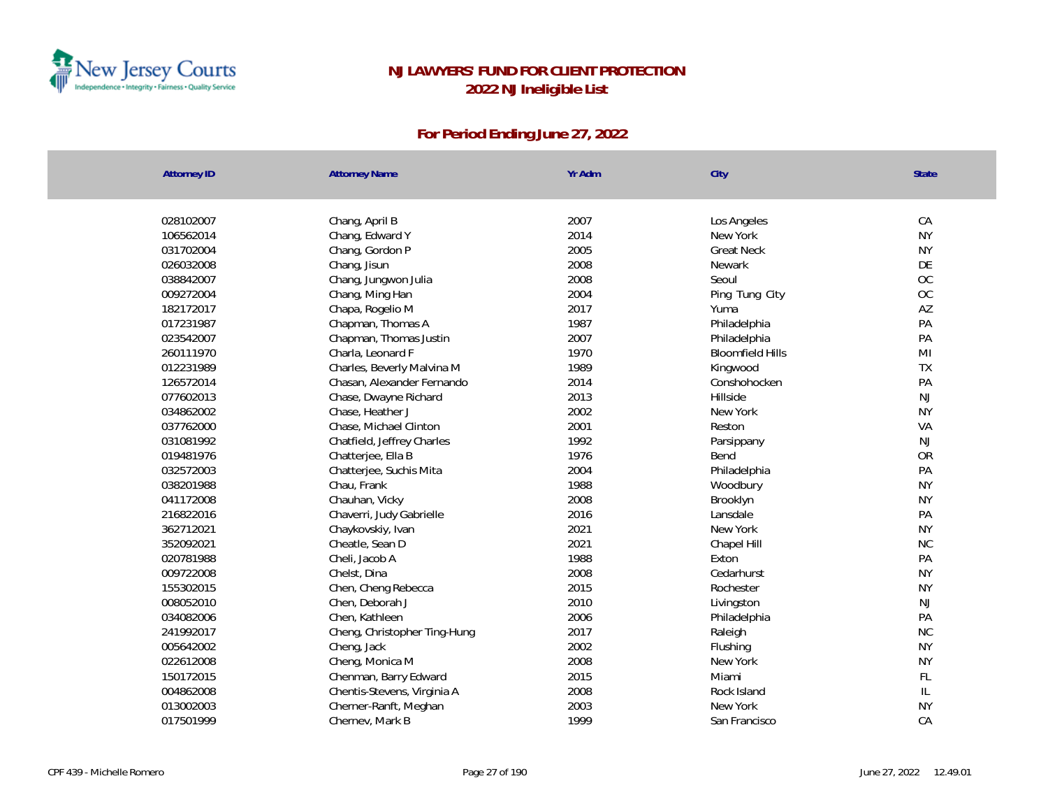

| Yr Adm<br><b>Attorney ID</b><br><b>Attorney Name</b><br>City      | <b>State</b>  |
|-------------------------------------------------------------------|---------------|
|                                                                   |               |
| 028102007<br>2007<br>Chang, April B<br>Los Angeles                | CA            |
| 2014<br>106562014<br>Chang, Edward Y<br>New York                  | <b>NY</b>     |
| 2005<br>031702004<br>Chang, Gordon P<br><b>Great Neck</b>         | <b>NY</b>     |
| 2008<br>026032008<br>Chang, Jisun<br>Newark                       | DE            |
| 2008<br>038842007<br>Chang, Jungwon Julia<br>Seoul                | OC            |
| 2004<br>009272004<br>Ping Tung City<br>Chang, Ming Han            | OC            |
| 182172017<br>Chapa, Rogelio M<br>2017<br>Yuma                     | AZ            |
| 1987<br>017231987<br>Chapman, Thomas A<br>Philadelphia            | PA            |
| 2007<br>023542007<br>Chapman, Thomas Justin<br>Philadelphia       | PA            |
| 260111970<br>Charla, Leonard F<br>1970<br><b>Bloomfield Hills</b> | MI            |
| 1989<br>012231989<br>Charles, Beverly Malvina M<br>Kingwood       | TX            |
| 2014<br>126572014<br>Chasan, Alexander Fernando<br>Conshohocken   | PA            |
| 2013<br>077602013<br>Chase, Dwayne Richard<br>Hillside            | <b>NJ</b>     |
| 2002<br>034862002<br>Chase, Heather J<br>New York                 | <b>NY</b>     |
| 2001<br>037762000<br>Chase, Michael Clinton<br>Reston             | VA            |
| 1992<br>031081992<br>Chatfield, Jeffrey Charles<br>Parsippany     | <b>NJ</b>     |
| 1976<br>019481976<br>Chatterjee, Ella B<br>Bend                   | <b>OR</b>     |
| 032572003<br>Chatterjee, Suchis Mita<br>2004<br>Philadelphia      | PA            |
| 1988<br>038201988<br>Chau, Frank<br>Woodbury                      | <b>NY</b>     |
| 2008<br>041172008<br>Chauhan, Vicky<br>Brooklyn                   | <b>NY</b>     |
| 216822016<br>2016<br>Chaverri, Judy Gabrielle<br>Lansdale         | PA            |
| 2021<br>362712021<br>Chaykovskiy, Ivan<br>New York                | <b>NY</b>     |
| 2021<br>352092021<br>Cheatle, Sean D<br>Chapel Hill               | <b>NC</b>     |
| 1988<br>020781988<br>Cheli, Jacob A<br>Exton                      | PA            |
| 009722008<br>Chelst, Dina<br>2008<br>Cedarhurst                   | <b>NY</b>     |
| 155302015<br>2015<br>Chen, Cheng Rebecca<br>Rochester             | <b>NY</b>     |
| 2010<br>008052010<br>Chen, Deborah J<br>Livingston                | NJ            |
| 2006<br>034082006<br>Chen, Kathleen<br>Philadelphia               | PA            |
| 2017<br>241992017<br>Cheng, Christopher Ting-Hung<br>Raleigh      | NC            |
| 2002<br>005642002<br>Cheng, Jack<br>Flushing                      | <b>NY</b>     |
| 2008<br>022612008<br>New York<br>Cheng, Monica M                  | <b>NY</b>     |
| 2015<br>150172015<br>Chenman, Barry Edward<br>Miami               | FL            |
| 2008<br>004862008<br>Chentis-Stevens, Virginia A<br>Rock Island   | $\mathsf{IL}$ |
| 2003<br>013002003<br>Cherner-Ranft, Meghan<br>New York            | <b>NY</b>     |
| 017501999<br>1999<br>Chernev, Mark B<br>San Francisco             | CA            |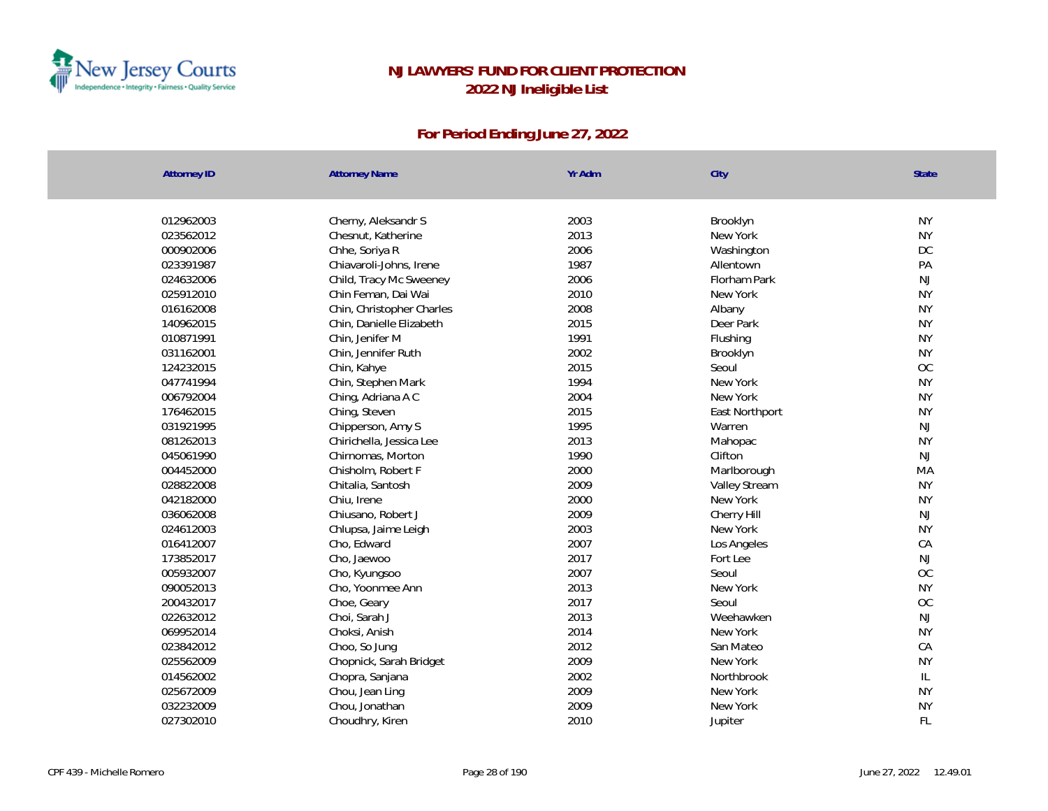

| <b>Attorney ID</b> | <b>Attorney Name</b>      | Yr Adm | City           | <b>State</b> |
|--------------------|---------------------------|--------|----------------|--------------|
|                    |                           |        |                |              |
| 012962003          | Cherny, Aleksandr S       | 2003   | Brooklyn       | <b>NY</b>    |
| 023562012          | Chesnut, Katherine        | 2013   | New York       | <b>NY</b>    |
| 000902006          | Chhe, Soriya R            | 2006   | Washington     | DC           |
| 023391987          | Chiavaroli-Johns, Irene   | 1987   | Allentown      | PA           |
| 024632006          | Child, Tracy Mc Sweeney   | 2006   | Florham Park   | NJ           |
| 025912010          | Chin Feman, Dai Wai       | 2010   | New York       | <b>NY</b>    |
| 016162008          | Chin, Christopher Charles | 2008   | Albany         | <b>NY</b>    |
| 140962015          | Chin, Danielle Elizabeth  | 2015   | Deer Park      | <b>NY</b>    |
| 010871991          | Chin, Jenifer M           | 1991   | Flushing       | <b>NY</b>    |
| 031162001          | Chin, Jennifer Ruth       | 2002   | Brooklyn       | <b>NY</b>    |
| 124232015          | Chin, Kahye               | 2015   | Seoul          | OC           |
| 047741994          | Chin, Stephen Mark        | 1994   | New York       | <b>NY</b>    |
| 006792004          | Ching, Adriana A C        | 2004   | New York       | <b>NY</b>    |
| 176462015          | Ching, Steven             | 2015   | East Northport | <b>NY</b>    |
| 031921995          | Chipperson, Amy S         | 1995   | Warren         | <b>NJ</b>    |
| 081262013          | Chirichella, Jessica Lee  | 2013   | Mahopac        | <b>NY</b>    |
| 045061990          | Chirnomas, Morton         | 1990   | Clifton        | NJ           |
| 004452000          | Chisholm, Robert F        | 2000   | Marlborough    | MA           |
| 028822008          | Chitalia, Santosh         | 2009   | Valley Stream  | <b>NY</b>    |
| 042182000          | Chiu, Irene               | 2000   | New York       | <b>NY</b>    |
| 036062008          | Chiusano, Robert J        | 2009   | Cherry Hill    | NJ           |
| 024612003          | Chlupsa, Jaime Leigh      | 2003   | New York       | <b>NY</b>    |
| 016412007          | Cho, Edward               | 2007   | Los Angeles    | CA           |
| 173852017          | Cho, Jaewoo               | 2017   | Fort Lee       | NJ           |
| 005932007          | Cho, Kyungsoo             | 2007   | Seoul          | OC           |
| 090052013          | Cho, Yoonmee Ann          | 2013   | New York       | <b>NY</b>    |
| 200432017          | Choe, Geary               | 2017   | Seoul          | OC           |
| 022632012          | Choi, Sarah J             | 2013   | Weehawken      | NJ           |
| 069952014          | Choksi, Anish             | 2014   | New York       | <b>NY</b>    |
| 023842012          | Choo, So Jung             | 2012   | San Mateo      | CA           |
| 025562009          | Chopnick, Sarah Bridget   | 2009   | New York       | <b>NY</b>    |
| 014562002          | Chopra, Sanjana           | 2002   | Northbrook     | L            |
| 025672009          | Chou, Jean Ling           | 2009   | New York       | <b>NY</b>    |
| 032232009          | Chou, Jonathan            | 2009   | New York       | <b>NY</b>    |
| 027302010          | Choudhry, Kiren           | 2010   | Jupiter        | FL           |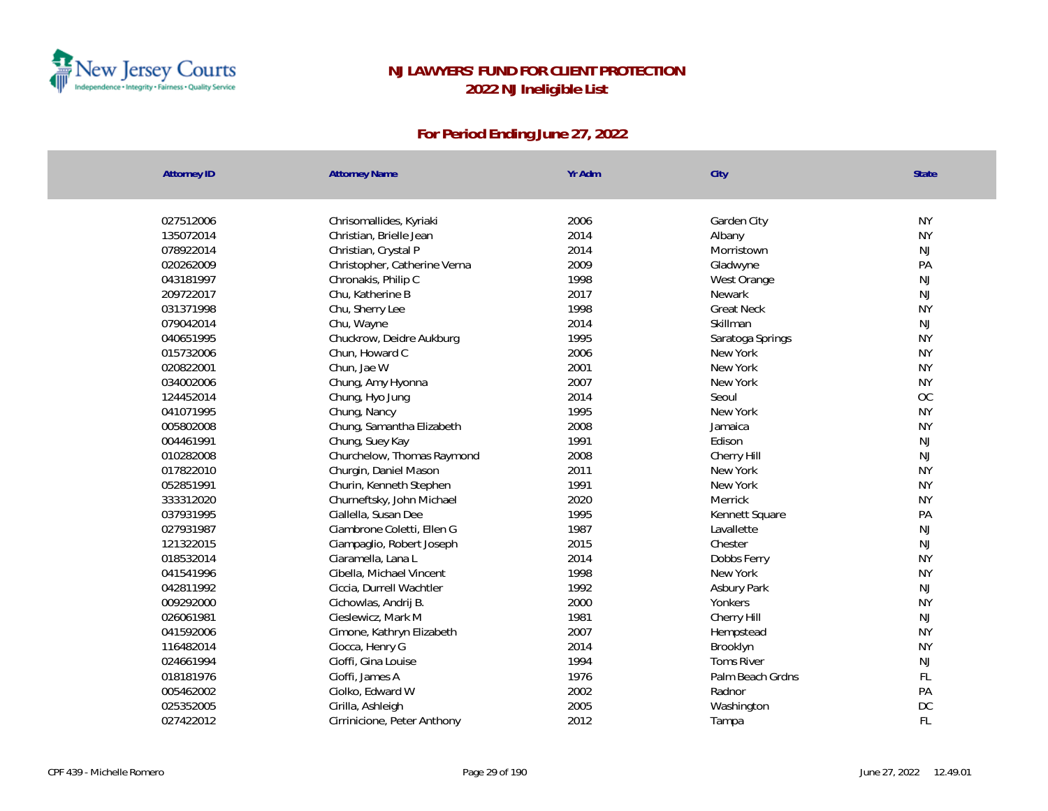

| <b>Attorney ID</b> | <b>Attorney Name</b>         | Yr Adm | City              | State     |
|--------------------|------------------------------|--------|-------------------|-----------|
| 027512006          | Chrisomallides, Kyriaki      | 2006   | Garden City       | <b>NY</b> |
| 135072014          | Christian, Brielle Jean      | 2014   | Albany            | <b>NY</b> |
| 078922014          | Christian, Crystal P         | 2014   | Morristown        | NJ        |
| 020262009          | Christopher, Catherine Verna | 2009   | Gladwyne          | PA        |
| 043181997          | Chronakis, Philip C          | 1998   | West Orange       | NJ        |
| 209722017          | Chu, Katherine B             | 2017   | Newark            | NJ        |
| 031371998          | Chu, Sherry Lee              | 1998   | <b>Great Neck</b> | <b>NY</b> |
| 079042014          | Chu, Wayne                   | 2014   | Skillman          | <b>NJ</b> |
| 040651995          | Chuckrow, Deidre Aukburg     | 1995   | Saratoga Springs  | <b>NY</b> |
| 015732006          | Chun, Howard C               | 2006   | New York          | <b>NY</b> |
| 020822001          | Chun, Jae W                  | 2001   | New York          | <b>NY</b> |
| 034002006          | Chung, Amy Hyonna            | 2007   | New York          | <b>NY</b> |
| 124452014          | Chung, Hyo Jung              | 2014   | Seoul             | <b>OC</b> |
| 041071995          | Chung, Nancy                 | 1995   | New York          | <b>NY</b> |
| 005802008          | Chung, Samantha Elizabeth    | 2008   | Jamaica           | <b>NY</b> |
| 004461991          | Chung, Suey Kay              | 1991   | Edison            | <b>NJ</b> |
| 010282008          | Churchelow, Thomas Raymond   | 2008   | Cherry Hill       | NJ        |
| 017822010          | Churgin, Daniel Mason        | 2011   | New York          | <b>NY</b> |
| 052851991          | Churin, Kenneth Stephen      | 1991   | New York          | <b>NY</b> |
| 333312020          | Churneftsky, John Michael    | 2020   | Merrick           | <b>NY</b> |
| 037931995          | Ciallella, Susan Dee         | 1995   | Kennett Square    | PA        |
| 027931987          | Ciambrone Coletti, Ellen G   | 1987   | Lavallette        | NJ        |
| 121322015          | Ciampaglio, Robert Joseph    | 2015   | Chester           | NJ        |
| 018532014          | Ciaramella, Lana L           | 2014   | Dobbs Ferry       | <b>NY</b> |
| 041541996          | Cibella, Michael Vincent     | 1998   | New York          | <b>NY</b> |
| 042811992          | Ciccia, Durrell Wachtler     | 1992   | Asbury Park       | NJ        |
| 009292000          | Cichowlas, Andrij B.         | 2000   | Yonkers           | <b>NY</b> |
| 026061981          | Cieslewicz, Mark M           | 1981   | Cherry Hill       | NJ        |
| 041592006          | Cimone, Kathryn Elizabeth    | 2007   | Hempstead         | <b>NY</b> |
| 116482014          | Ciocca, Henry G              | 2014   | Brooklyn          | <b>NY</b> |
| 024661994          | Cioffi, Gina Louise          | 1994   | <b>Toms River</b> | NJ        |
| 018181976          | Cioffi, James A              | 1976   | Palm Beach Grdns  | FL        |
| 005462002          | Ciolko, Edward W             | 2002   | Radnor            | PA        |
| 025352005          | Cirilla, Ashleigh            | 2005   | Washington        | DC        |
| 027422012          | Cirrinicione, Peter Anthony  | 2012   | Tampa             | FL        |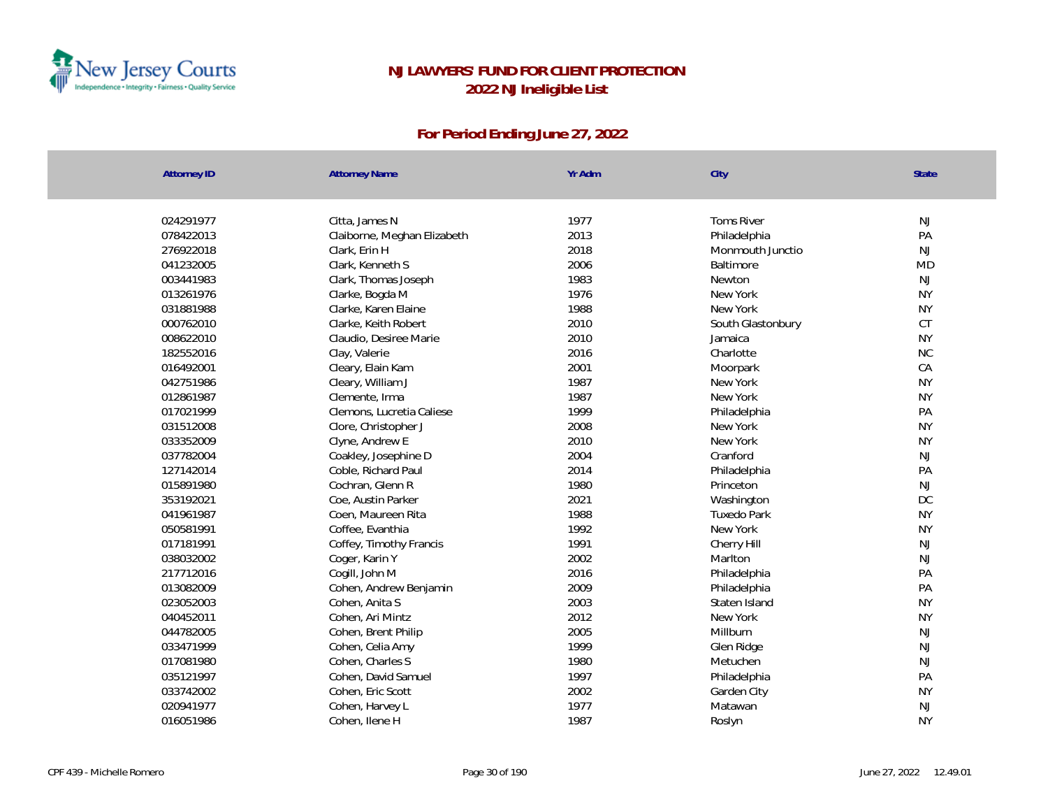

| <b>Attorney ID</b> | <b>Attorney Name</b>        | Yr Adm | City               | State         |
|--------------------|-----------------------------|--------|--------------------|---------------|
|                    |                             |        |                    |               |
| 024291977          | Citta, James N              | 1977   | <b>Toms River</b>  | NJ            |
| 078422013          | Claiborne, Meghan Elizabeth | 2013   | Philadelphia       | PA            |
| 276922018          | Clark, Erin H               | 2018   | Monmouth Junctio   | NJ            |
| 041232005          | Clark, Kenneth S            | 2006   | Baltimore          | <b>MD</b>     |
| 003441983          | Clark, Thomas Joseph        | 1983   | Newton             | NJ            |
| 013261976          | Clarke, Bogda M             | 1976   | New York           | <b>NY</b>     |
| 031881988          | Clarke, Karen Elaine        | 1988   | New York           | <b>NY</b>     |
| 000762010          | Clarke, Keith Robert        | 2010   | South Glastonbury  | <b>CT</b>     |
| 008622010          | Claudio, Desiree Marie      | 2010   | Jamaica            | <b>NY</b>     |
| 182552016          | Clay, Valerie               | 2016   | Charlotte          | <b>NC</b>     |
| 016492001          | Cleary, Elain Kam           | 2001   | Moorpark           | CA            |
| 042751986          | Cleary, William J           | 1987   | New York           | <b>NY</b>     |
| 012861987          | Clemente, Irma              | 1987   | New York           | <b>NY</b>     |
| 017021999          | Clemons, Lucretia Caliese   | 1999   | Philadelphia       | PA            |
| 031512008          | Clore, Christopher J        | 2008   | New York           | <b>NY</b>     |
| 033352009          | Clyne, Andrew E             | 2010   | New York           | <b>NY</b>     |
| 037782004          | Coakley, Josephine D        | 2004   | Cranford           | NJ            |
| 127142014          | Coble, Richard Paul         | 2014   | Philadelphia       | PA            |
| 015891980          | Cochran, Glenn R            | 1980   | Princeton          | $\mathsf{NJ}$ |
| 353192021          | Coe, Austin Parker          | 2021   | Washington         | DC            |
| 041961987          | Coen, Maureen Rita          | 1988   | <b>Tuxedo Park</b> | <b>NY</b>     |
| 050581991          | Coffee, Evanthia            | 1992   | New York           | <b>NY</b>     |
| 017181991          | Coffey, Timothy Francis     | 1991   | Cherry Hill        | NJ            |
| 038032002          | Coger, Karin Y              | 2002   | Marlton            | NJ            |
| 217712016          | Cogill, John M              | 2016   | Philadelphia       | PA            |
| 013082009          | Cohen, Andrew Benjamin      | 2009   | Philadelphia       | PA            |
| 023052003          | Cohen, Anita S              | 2003   | Staten Island      | <b>NY</b>     |
| 040452011          | Cohen, Ari Mintz            | 2012   | New York           | <b>NY</b>     |
| 044782005          | Cohen, Brent Philip         | 2005   | Millburn           | NJ            |
| 033471999          | Cohen, Celia Amy            | 1999   | Glen Ridge         | NJ            |
| 017081980          | Cohen, Charles S            | 1980   | Metuchen           | NJ            |
| 035121997          | Cohen, David Samuel         | 1997   | Philadelphia       | PA            |
| 033742002          | Cohen, Eric Scott           | 2002   | Garden City        | <b>NY</b>     |
| 020941977          | Cohen, Harvey L             | 1977   | Matawan            | NJ            |
| 016051986          | Cohen, Ilene H              | 1987   | Roslyn             | <b>NY</b>     |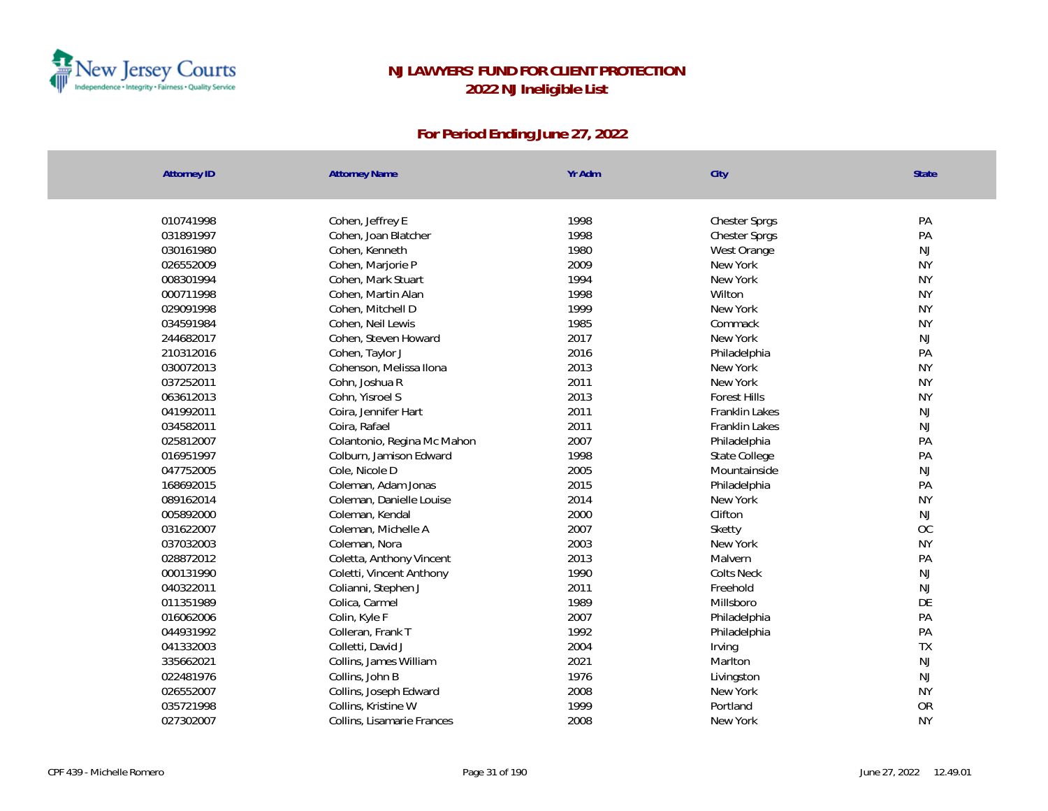

| <b>Attorney ID</b> | <b>Attorney Name</b>        | Yr Adm | City                  | State     |
|--------------------|-----------------------------|--------|-----------------------|-----------|
|                    |                             |        |                       |           |
| 010741998          | Cohen, Jeffrey E            | 1998   | <b>Chester Sprgs</b>  | PA        |
| 031891997          | Cohen, Joan Blatcher        | 1998   | <b>Chester Sprgs</b>  | PA        |
| 030161980          | Cohen, Kenneth              | 1980   | West Orange           | <b>NJ</b> |
| 026552009          | Cohen, Marjorie P           | 2009   | New York              | <b>NY</b> |
| 008301994          | Cohen, Mark Stuart          | 1994   | New York              | <b>NY</b> |
| 000711998          | Cohen, Martin Alan          | 1998   | Wilton                | <b>NY</b> |
| 029091998          | Cohen, Mitchell D           | 1999   | New York              | <b>NY</b> |
| 034591984          | Cohen, Neil Lewis           | 1985   | Commack               | <b>NY</b> |
| 244682017          | Cohen, Steven Howard        | 2017   | New York              | <b>NJ</b> |
| 210312016          | Cohen, Taylor J             | 2016   | Philadelphia          | PA        |
| 030072013          | Cohenson, Melissa Ilona     | 2013   | New York              | <b>NY</b> |
| 037252011          | Cohn, Joshua R              | 2011   | New York              | <b>NY</b> |
| 063612013          | Cohn, Yisroel S             | 2013   | <b>Forest Hills</b>   | <b>NY</b> |
| 041992011          | Coira, Jennifer Hart        | 2011   | <b>Franklin Lakes</b> | <b>NJ</b> |
| 034582011          | Coira, Rafael               | 2011   | Franklin Lakes        | <b>NJ</b> |
| 025812007          | Colantonio, Regina Mc Mahon | 2007   | Philadelphia          | PA        |
| 016951997          | Colburn, Jamison Edward     | 1998   | State College         | PA        |
| 047752005          | Cole, Nicole D              | 2005   | Mountainside          | NJ        |
| 168692015          | Coleman, Adam Jonas         | 2015   | Philadelphia          | PA        |
| 089162014          | Coleman, Danielle Louise    | 2014   | New York              | <b>NY</b> |
| 005892000          | Coleman, Kendal             | 2000   | Clifton               | NJ        |
| 031622007          | Coleman, Michelle A         | 2007   | Sketty                | OC        |
| 037032003          | Coleman, Nora               | 2003   | New York              | <b>NY</b> |
| 028872012          | Coletta, Anthony Vincent    | 2013   | Malvern               | PA        |
| 000131990          | Coletti, Vincent Anthony    | 1990   | <b>Colts Neck</b>     | NJ        |
| 040322011          | Colianni, Stephen J         | 2011   | Freehold              | NJ        |
| 011351989          | Colica, Carmel              | 1989   | Millsboro             | DE        |
| 016062006          | Colin, Kyle F               | 2007   | Philadelphia          | PA        |
| 044931992          | Colleran, Frank T           | 1992   | Philadelphia          | PA        |
| 041332003          | Colletti, David J           | 2004   | Irving                | <b>TX</b> |
| 335662021          | Collins, James William      | 2021   | Marlton               | NJ        |
| 022481976          | Collins, John B             | 1976   | Livingston            | NJ        |
| 026552007          | Collins, Joseph Edward      | 2008   | New York              | <b>NY</b> |
| 035721998          | Collins, Kristine W         | 1999   | Portland              | OR        |
| 027302007          | Collins, Lisamarie Frances  | 2008   | New York              | <b>NY</b> |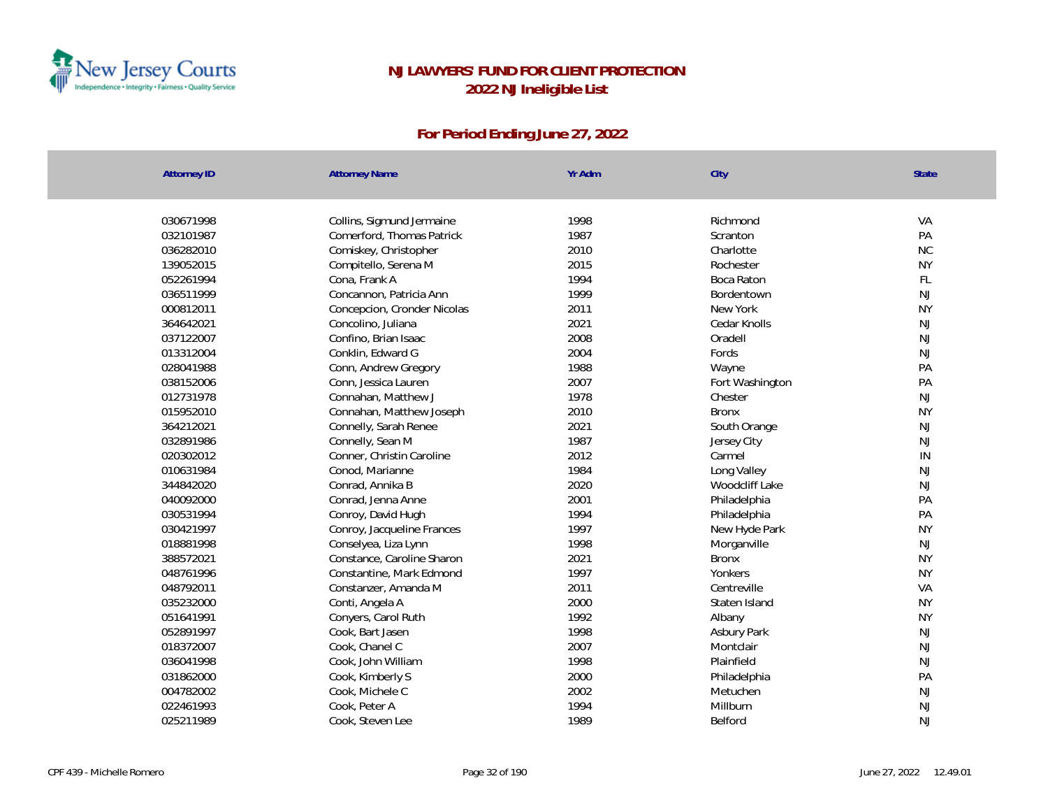

| <b>Attorney ID</b> | <b>Attorney Name</b>        | Yr Adm | City            | <b>State</b> |
|--------------------|-----------------------------|--------|-----------------|--------------|
|                    |                             |        |                 |              |
| 030671998          | Collins, Sigmund Jermaine   | 1998   | Richmond        | VA           |
| 032101987          | Comerford, Thomas Patrick   | 1987   | Scranton        | PA           |
| 036282010          | Comiskey, Christopher       | 2010   | Charlotte       | <b>NC</b>    |
| 139052015          | Compitello, Serena M        | 2015   | Rochester       | <b>NY</b>    |
| 052261994          | Cona, Frank A               | 1994   | Boca Raton      | FL           |
| 036511999          | Concannon, Patricia Ann     | 1999   | Bordentown      | <b>NJ</b>    |
| 000812011          | Concepcion, Cronder Nicolas | 2011   | New York        | <b>NY</b>    |
| 364642021          | Concolino, Juliana          | 2021   | Cedar Knolls    | <b>NJ</b>    |
| 037122007          | Confino, Brian Isaac        | 2008   | Oradell         | <b>NJ</b>    |
| 013312004          | Conklin, Edward G           | 2004   | Fords           | <b>NJ</b>    |
| 028041988          | Conn, Andrew Gregory        | 1988   | Wayne           | PA           |
| 038152006          | Conn, Jessica Lauren        | 2007   | Fort Washington | PA           |
| 012731978          | Connahan, Matthew J         | 1978   | Chester         | <b>NJ</b>    |
| 015952010          | Connahan, Matthew Joseph    | 2010   | <b>Bronx</b>    | <b>NY</b>    |
| 364212021          | Connelly, Sarah Renee       | 2021   | South Orange    | <b>NJ</b>    |
| 032891986          | Connelly, Sean M            | 1987   | Jersey City     | <b>NJ</b>    |
| 020302012          | Conner, Christin Caroline   | 2012   | Carmel          | IN           |
| 010631984          | Conod, Marianne             | 1984   | Long Valley     | <b>NJ</b>    |
| 344842020          | Conrad, Annika B            | 2020   | Woodcliff Lake  | NJ           |
| 040092000          | Conrad, Jenna Anne          | 2001   | Philadelphia    | PA           |
| 030531994          | Conroy, David Hugh          | 1994   | Philadelphia    | PA           |
| 030421997          | Conroy, Jacqueline Frances  | 1997   | New Hyde Park   | <b>NY</b>    |
| 018881998          | Conselyea, Liza Lynn        | 1998   | Morganville     | <b>NJ</b>    |
| 388572021          | Constance, Caroline Sharon  | 2021   | <b>Bronx</b>    | <b>NY</b>    |
| 048761996          | Constantine, Mark Edmond    | 1997   | Yonkers         | <b>NY</b>    |
| 048792011          | Constanzer, Amanda M        | 2011   | Centreville     | VA           |
| 035232000          | Conti, Angela A             | 2000   | Staten Island   | <b>NY</b>    |
| 051641991          | Conyers, Carol Ruth         | 1992   | Albany          | <b>NY</b>    |
| 052891997          | Cook, Bart Jasen            | 1998   | Asbury Park     | <b>NJ</b>    |
| 018372007          | Cook, Chanel C              | 2007   | Montclair       | <b>NJ</b>    |
| 036041998          | Cook, John William          | 1998   | Plainfield      | <b>NJ</b>    |
| 031862000          | Cook, Kimberly S            | 2000   | Philadelphia    | PA           |
| 004782002          | Cook, Michele C             | 2002   | Metuchen        | <b>NJ</b>    |
| 022461993          | Cook, Peter A               | 1994   | Millburn        | <b>NJ</b>    |
| 025211989          | Cook, Steven Lee            | 1989   | Belford         | <b>NJ</b>    |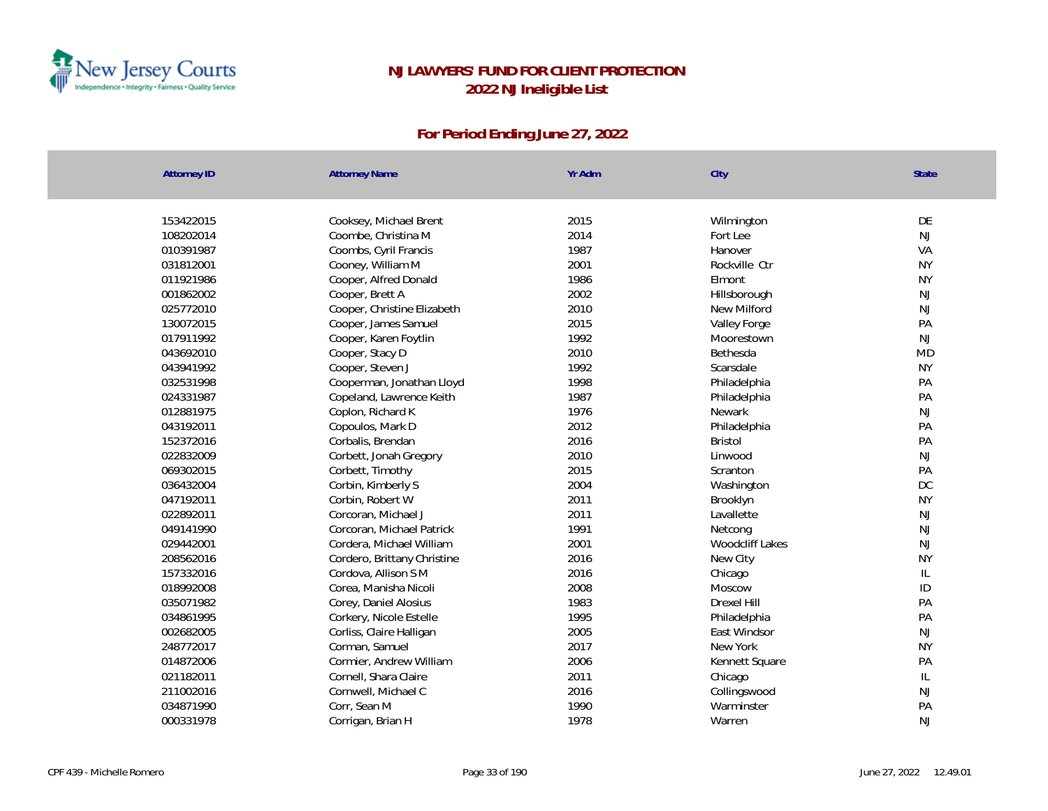

| <b>Attorney ID</b> | <b>Attorney Name</b>        | Yr Adm | City            | State         |
|--------------------|-----------------------------|--------|-----------------|---------------|
|                    |                             |        |                 |               |
| 153422015          | Cooksey, Michael Brent      | 2015   | Wilmington      | DE            |
| 108202014          | Coombe, Christina M         | 2014   | Fort Lee        | <b>NJ</b>     |
| 010391987          | Coombs, Cyril Francis       | 1987   | Hanover         | VA            |
| 031812001          | Cooney, William M           | 2001   | Rockville Ctr   | <b>NY</b>     |
| 011921986          | Cooper, Alfred Donald       | 1986   | Elmont          | <b>NY</b>     |
| 001862002          | Cooper, Brett A             | 2002   | Hillsborough    | NJ            |
| 025772010          | Cooper, Christine Elizabeth | 2010   | New Milford     | NJ            |
| 130072015          | Cooper, James Samuel        | 2015   | Valley Forge    | PA            |
| 017911992          | Cooper, Karen Foytlin       | 1992   | Moorestown      | <b>NJ</b>     |
| 043692010          | Cooper, Stacy D             | 2010   | Bethesda        | <b>MD</b>     |
| 043941992          | Cooper, Steven J            | 1992   | Scarsdale       | <b>NY</b>     |
| 032531998          | Cooperman, Jonathan Lloyd   | 1998   | Philadelphia    | PA            |
| 024331987          | Copeland, Lawrence Keith    | 1987   | Philadelphia    | PA            |
| 012881975          | Coplon, Richard K           | 1976   | Newark          | NJ            |
| 043192011          | Copoulos, Mark D            | 2012   | Philadelphia    | PA            |
| 152372016          | Corbalis, Brendan           | 2016   | <b>Bristol</b>  | PA            |
| 022832009          | Corbett, Jonah Gregory      | 2010   | Linwood         | NJ            |
| 069302015          | Corbett, Timothy            | 2015   | Scranton        | PA            |
| 036432004          | Corbin, Kimberly S          | 2004   | Washington      | $D C$         |
| 047192011          | Corbin, Robert W            | 2011   | Brooklyn        | <b>NY</b>     |
| 022892011          | Corcoran, Michael J         | 2011   | Lavallette      | NJ            |
| 049141990          | Corcoran, Michael Patrick   | 1991   | Netcong         | NJ            |
| 029442001          | Cordera, Michael William    | 2001   | Woodcliff Lakes | NJ            |
| 208562016          | Cordero, Brittany Christine | 2016   | New City        | <b>NY</b>     |
| 157332016          | Cordova, Allison S M        | 2016   | Chicago         | $\mathsf{IL}$ |
| 018992008          | Corea, Manisha Nicoli       | 2008   | Moscow          | ID            |
| 035071982          | Corey, Daniel Alosius       | 1983   | Drexel Hill     | PA            |
| 034861995          | Corkery, Nicole Estelle     | 1995   | Philadelphia    | PA            |
| 002682005          | Corliss, Claire Halligan    | 2005   | East Windsor    | <b>NJ</b>     |
| 248772017          | Corman, Samuel              | 2017   | New York        | <b>NY</b>     |
| 014872006          | Cormier, Andrew William     | 2006   | Kennett Square  | PA            |
| 021182011          | Cornell, Shara Claire       | 2011   | Chicago         | $\mathsf{IL}$ |
| 211002016          | Cornwell, Michael C         | 2016   | Collingswood    | <b>NJ</b>     |
| 034871990          | Corr, Sean M                | 1990   | Warminster      | PA            |
| 000331978          | Corrigan, Brian H           | 1978   | Warren          | <b>NJ</b>     |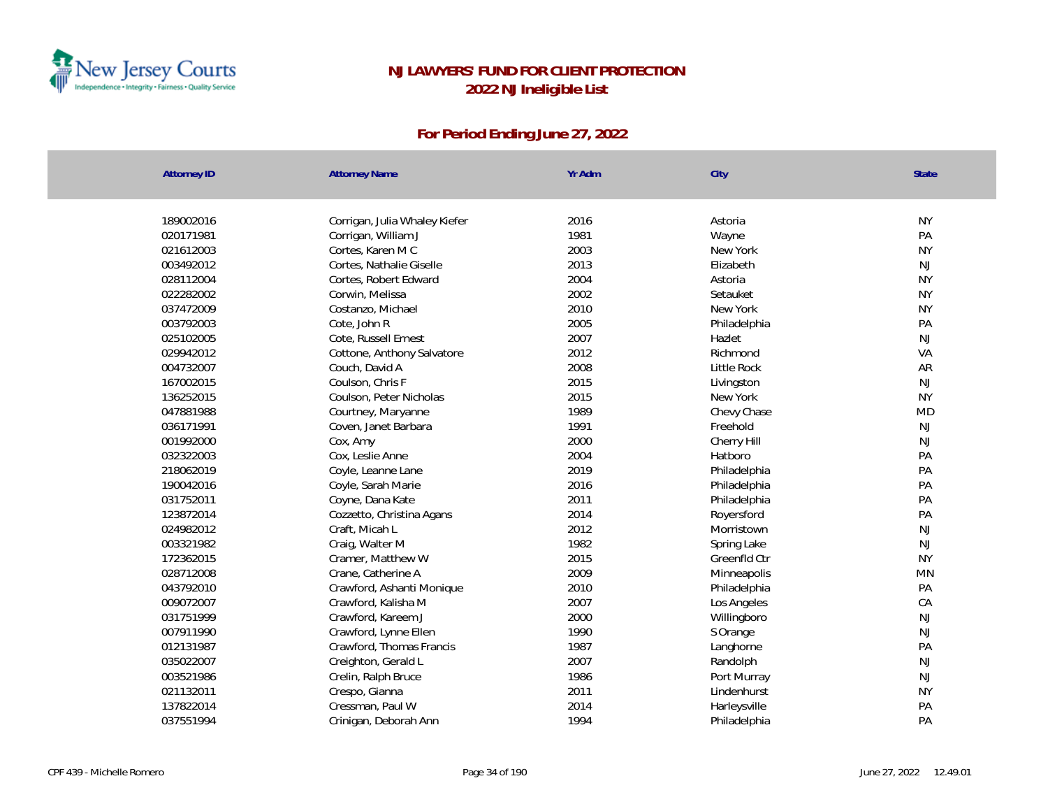

| <b>Attorney ID</b> | <b>Attorney Name</b>          | Yr Adm | City               | State     |
|--------------------|-------------------------------|--------|--------------------|-----------|
|                    |                               |        |                    |           |
| 189002016          | Corrigan, Julia Whaley Kiefer | 2016   | Astoria            | <b>NY</b> |
| 020171981          | Corrigan, William J           | 1981   | Wayne              | PA        |
| 021612003          | Cortes, Karen M C             | 2003   | New York           | <b>NY</b> |
| 003492012          | Cortes, Nathalie Giselle      | 2013   | Elizabeth          | <b>NJ</b> |
| 028112004          | Cortes, Robert Edward         | 2004   | Astoria            | <b>NY</b> |
| 022282002          | Corwin, Melissa               | 2002   | Setauket           | <b>NY</b> |
| 037472009          | Costanzo, Michael             | 2010   | New York           | <b>NY</b> |
| 003792003          | Cote, John R                  | 2005   | Philadelphia       | PA        |
| 025102005          | Cote, Russell Ernest          | 2007   | Hazlet             | <b>NJ</b> |
| 029942012          | Cottone, Anthony Salvatore    | 2012   | Richmond           | VA        |
| 004732007          | Couch, David A                | 2008   | <b>Little Rock</b> | AR        |
| 167002015          | Coulson, Chris F              | 2015   | Livingston         | NJ        |
| 136252015          | Coulson, Peter Nicholas       | 2015   | New York           | <b>NY</b> |
| 047881988          | Courtney, Maryanne            | 1989   | Chevy Chase        | <b>MD</b> |
| 036171991          | Coven, Janet Barbara          | 1991   | Freehold           | NJ        |
| 001992000          | Cox, Amy                      | 2000   | Cherry Hill        | NJ        |
| 032322003          | Cox, Leslie Anne              | 2004   | Hatboro            | PA        |
| 218062019          | Coyle, Leanne Lane            | 2019   | Philadelphia       | PA        |
| 190042016          | Coyle, Sarah Marie            | 2016   | Philadelphia       | PA        |
| 031752011          | Coyne, Dana Kate              | 2011   | Philadelphia       | PA        |
| 123872014          | Cozzetto, Christina Agans     | 2014   | Royersford         | PA        |
| 024982012          | Craft, Micah L                | 2012   | Morristown         | NJ        |
| 003321982          | Craig, Walter M               | 1982   | Spring Lake        | NJ        |
| 172362015          | Cramer, Matthew W             | 2015   | Greenfld Ctr       | <b>NY</b> |
| 028712008          | Crane, Catherine A            | 2009   | Minneapolis        | MN        |
| 043792010          | Crawford, Ashanti Monique     | 2010   | Philadelphia       | PA        |
| 009072007          | Crawford, Kalisha M           | 2007   | Los Angeles        | CA        |
| 031751999          | Crawford, Kareem J            | 2000   | Willingboro        | NJ        |
| 007911990          | Crawford, Lynne Ellen         | 1990   | S Orange           | NJ        |
| 012131987          | Crawford, Thomas Francis      | 1987   | Langhorne          | PA        |
| 035022007          | Creighton, Gerald L           | 2007   | Randolph           | NJ        |
| 003521986          | Crelin, Ralph Bruce           | 1986   | Port Murray        | NJ        |
| 021132011          | Crespo, Gianna                | 2011   | Lindenhurst        | <b>NY</b> |
| 137822014          | Cressman, Paul W              | 2014   | Harleysville       | PA        |
| 037551994          | Crinigan, Deborah Ann         | 1994   | Philadelphia       | PA        |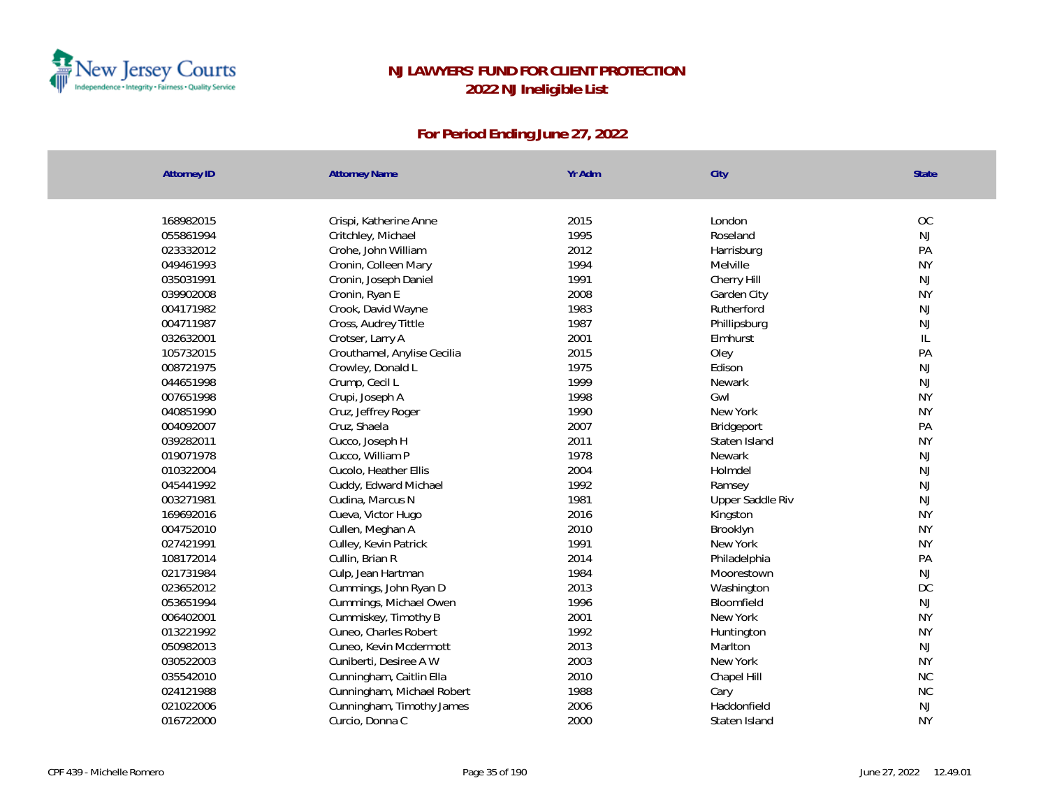

| <b>OC</b><br>168982015<br>2015<br>London<br>Crispi, Katherine Anne<br>1995<br>Roseland<br><b>NJ</b><br>055861994<br>Critchley, Michael<br>2012<br>PA<br>023332012<br>Crohe, John William<br>Harrisburg<br><b>NY</b><br>049461993<br>Cronin, Colleen Mary<br>1994<br>Melville<br>1991<br><b>NJ</b><br>035031991<br>Cronin, Joseph Daniel<br>Cherry Hill<br>039902008<br>2008<br><b>NY</b><br>Cronin, Ryan E<br>Garden City<br>1983<br><b>NJ</b><br>004171982<br>Crook, David Wayne<br>Rutherford<br>1987<br>NJ<br>004711987<br>Cross, Audrey Tittle<br>Phillipsburg<br>2001<br>032632001<br>IL<br>Crotser, Larry A<br>Elmhurst<br>2015<br>PA<br>105732015<br>Crouthamel, Anylise Cecilia<br>Oley<br>1975<br>NJ<br>008721975<br>Crowley, Donald L<br>Edison<br>1999<br>044651998<br>NJ<br>Crump, Cecil L<br><b>Newark</b><br>1998<br><b>NY</b><br>007651998<br>Crupi, Joseph A<br>Gwl<br>1990<br><b>NY</b><br>040851990<br>Cruz, Jeffrey Roger<br>New York<br>2007<br>PA<br>004092007<br>Cruz, Shaela<br>Bridgeport<br>2011<br><b>NY</b><br>039282011<br>Cucco, Joseph H<br>Staten Island<br><b>NJ</b><br>019071978<br>1978<br>Cucco, William P<br><b>Newark</b><br><b>NJ</b><br>010322004<br>2004<br>Cucolo, Heather Ellis<br>Holmdel<br>045441992<br>1992<br>NJ<br>Cuddy, Edward Michael<br>Ramsey<br>1981<br><b>NJ</b><br>003271981<br>Cudina, Marcus N<br>Upper Saddle Riv<br>2016<br><b>NY</b><br>169692016<br>Cueva, Victor Hugo<br>Kingston<br>2010<br><b>NY</b><br>004752010<br>Cullen, Meghan A<br>Brooklyn<br>027421991<br>1991<br>New York<br><b>NY</b><br>Culley, Kevin Patrick<br>108172014<br>Cullin, Brian R<br>2014<br>PA<br>Philadelphia<br>021731984<br>1984<br>NJ<br>Culp, Jean Hartman<br>Moorestown<br>2013<br>DC<br>023652012<br>Cummings, John Ryan D<br>Washington<br><b>NJ</b><br>Cummings, Michael Owen<br>1996<br>053651994<br>Bloomfield<br>2001<br><b>NY</b><br>Cummiskey, Timothy B<br>006402001<br>New York<br>Cuneo, Charles Robert<br>1992<br><b>NY</b><br>013221992<br>Huntington<br>2013<br><b>NJ</b><br>050982013<br>Cuneo, Kevin Mcdermott<br>Marlton<br>030522003<br>2003<br><b>NY</b><br>Cuniberti, Desiree A W<br>New York<br>2010<br><b>NC</b><br>035542010<br>Cunningham, Caitlin Ella<br>Chapel Hill<br><b>NC</b><br>024121988<br>1988<br>Cunningham, Michael Robert<br>Cary | <b>Attorney ID</b> | <b>Attorney Name</b>      | Yr Adm | City        | <b>State</b> |
|-----------------------------------------------------------------------------------------------------------------------------------------------------------------------------------------------------------------------------------------------------------------------------------------------------------------------------------------------------------------------------------------------------------------------------------------------------------------------------------------------------------------------------------------------------------------------------------------------------------------------------------------------------------------------------------------------------------------------------------------------------------------------------------------------------------------------------------------------------------------------------------------------------------------------------------------------------------------------------------------------------------------------------------------------------------------------------------------------------------------------------------------------------------------------------------------------------------------------------------------------------------------------------------------------------------------------------------------------------------------------------------------------------------------------------------------------------------------------------------------------------------------------------------------------------------------------------------------------------------------------------------------------------------------------------------------------------------------------------------------------------------------------------------------------------------------------------------------------------------------------------------------------------------------------------------------------------------------------------------------------------------------------------------------------------------------------------------------------------------------------------------------------------------------------------------------------------------------------------------------------------------------------------------------------------------------------|--------------------|---------------------------|--------|-------------|--------------|
|                                                                                                                                                                                                                                                                                                                                                                                                                                                                                                                                                                                                                                                                                                                                                                                                                                                                                                                                                                                                                                                                                                                                                                                                                                                                                                                                                                                                                                                                                                                                                                                                                                                                                                                                                                                                                                                                                                                                                                                                                                                                                                                                                                                                                                                                                                                       |                    |                           |        |             |              |
|                                                                                                                                                                                                                                                                                                                                                                                                                                                                                                                                                                                                                                                                                                                                                                                                                                                                                                                                                                                                                                                                                                                                                                                                                                                                                                                                                                                                                                                                                                                                                                                                                                                                                                                                                                                                                                                                                                                                                                                                                                                                                                                                                                                                                                                                                                                       |                    |                           |        |             |              |
|                                                                                                                                                                                                                                                                                                                                                                                                                                                                                                                                                                                                                                                                                                                                                                                                                                                                                                                                                                                                                                                                                                                                                                                                                                                                                                                                                                                                                                                                                                                                                                                                                                                                                                                                                                                                                                                                                                                                                                                                                                                                                                                                                                                                                                                                                                                       |                    |                           |        |             |              |
|                                                                                                                                                                                                                                                                                                                                                                                                                                                                                                                                                                                                                                                                                                                                                                                                                                                                                                                                                                                                                                                                                                                                                                                                                                                                                                                                                                                                                                                                                                                                                                                                                                                                                                                                                                                                                                                                                                                                                                                                                                                                                                                                                                                                                                                                                                                       |                    |                           |        |             |              |
|                                                                                                                                                                                                                                                                                                                                                                                                                                                                                                                                                                                                                                                                                                                                                                                                                                                                                                                                                                                                                                                                                                                                                                                                                                                                                                                                                                                                                                                                                                                                                                                                                                                                                                                                                                                                                                                                                                                                                                                                                                                                                                                                                                                                                                                                                                                       |                    |                           |        |             |              |
|                                                                                                                                                                                                                                                                                                                                                                                                                                                                                                                                                                                                                                                                                                                                                                                                                                                                                                                                                                                                                                                                                                                                                                                                                                                                                                                                                                                                                                                                                                                                                                                                                                                                                                                                                                                                                                                                                                                                                                                                                                                                                                                                                                                                                                                                                                                       |                    |                           |        |             |              |
|                                                                                                                                                                                                                                                                                                                                                                                                                                                                                                                                                                                                                                                                                                                                                                                                                                                                                                                                                                                                                                                                                                                                                                                                                                                                                                                                                                                                                                                                                                                                                                                                                                                                                                                                                                                                                                                                                                                                                                                                                                                                                                                                                                                                                                                                                                                       |                    |                           |        |             |              |
|                                                                                                                                                                                                                                                                                                                                                                                                                                                                                                                                                                                                                                                                                                                                                                                                                                                                                                                                                                                                                                                                                                                                                                                                                                                                                                                                                                                                                                                                                                                                                                                                                                                                                                                                                                                                                                                                                                                                                                                                                                                                                                                                                                                                                                                                                                                       |                    |                           |        |             |              |
|                                                                                                                                                                                                                                                                                                                                                                                                                                                                                                                                                                                                                                                                                                                                                                                                                                                                                                                                                                                                                                                                                                                                                                                                                                                                                                                                                                                                                                                                                                                                                                                                                                                                                                                                                                                                                                                                                                                                                                                                                                                                                                                                                                                                                                                                                                                       |                    |                           |        |             |              |
|                                                                                                                                                                                                                                                                                                                                                                                                                                                                                                                                                                                                                                                                                                                                                                                                                                                                                                                                                                                                                                                                                                                                                                                                                                                                                                                                                                                                                                                                                                                                                                                                                                                                                                                                                                                                                                                                                                                                                                                                                                                                                                                                                                                                                                                                                                                       |                    |                           |        |             |              |
|                                                                                                                                                                                                                                                                                                                                                                                                                                                                                                                                                                                                                                                                                                                                                                                                                                                                                                                                                                                                                                                                                                                                                                                                                                                                                                                                                                                                                                                                                                                                                                                                                                                                                                                                                                                                                                                                                                                                                                                                                                                                                                                                                                                                                                                                                                                       |                    |                           |        |             |              |
|                                                                                                                                                                                                                                                                                                                                                                                                                                                                                                                                                                                                                                                                                                                                                                                                                                                                                                                                                                                                                                                                                                                                                                                                                                                                                                                                                                                                                                                                                                                                                                                                                                                                                                                                                                                                                                                                                                                                                                                                                                                                                                                                                                                                                                                                                                                       |                    |                           |        |             |              |
|                                                                                                                                                                                                                                                                                                                                                                                                                                                                                                                                                                                                                                                                                                                                                                                                                                                                                                                                                                                                                                                                                                                                                                                                                                                                                                                                                                                                                                                                                                                                                                                                                                                                                                                                                                                                                                                                                                                                                                                                                                                                                                                                                                                                                                                                                                                       |                    |                           |        |             |              |
|                                                                                                                                                                                                                                                                                                                                                                                                                                                                                                                                                                                                                                                                                                                                                                                                                                                                                                                                                                                                                                                                                                                                                                                                                                                                                                                                                                                                                                                                                                                                                                                                                                                                                                                                                                                                                                                                                                                                                                                                                                                                                                                                                                                                                                                                                                                       |                    |                           |        |             |              |
|                                                                                                                                                                                                                                                                                                                                                                                                                                                                                                                                                                                                                                                                                                                                                                                                                                                                                                                                                                                                                                                                                                                                                                                                                                                                                                                                                                                                                                                                                                                                                                                                                                                                                                                                                                                                                                                                                                                                                                                                                                                                                                                                                                                                                                                                                                                       |                    |                           |        |             |              |
|                                                                                                                                                                                                                                                                                                                                                                                                                                                                                                                                                                                                                                                                                                                                                                                                                                                                                                                                                                                                                                                                                                                                                                                                                                                                                                                                                                                                                                                                                                                                                                                                                                                                                                                                                                                                                                                                                                                                                                                                                                                                                                                                                                                                                                                                                                                       |                    |                           |        |             |              |
|                                                                                                                                                                                                                                                                                                                                                                                                                                                                                                                                                                                                                                                                                                                                                                                                                                                                                                                                                                                                                                                                                                                                                                                                                                                                                                                                                                                                                                                                                                                                                                                                                                                                                                                                                                                                                                                                                                                                                                                                                                                                                                                                                                                                                                                                                                                       |                    |                           |        |             |              |
|                                                                                                                                                                                                                                                                                                                                                                                                                                                                                                                                                                                                                                                                                                                                                                                                                                                                                                                                                                                                                                                                                                                                                                                                                                                                                                                                                                                                                                                                                                                                                                                                                                                                                                                                                                                                                                                                                                                                                                                                                                                                                                                                                                                                                                                                                                                       |                    |                           |        |             |              |
|                                                                                                                                                                                                                                                                                                                                                                                                                                                                                                                                                                                                                                                                                                                                                                                                                                                                                                                                                                                                                                                                                                                                                                                                                                                                                                                                                                                                                                                                                                                                                                                                                                                                                                                                                                                                                                                                                                                                                                                                                                                                                                                                                                                                                                                                                                                       |                    |                           |        |             |              |
|                                                                                                                                                                                                                                                                                                                                                                                                                                                                                                                                                                                                                                                                                                                                                                                                                                                                                                                                                                                                                                                                                                                                                                                                                                                                                                                                                                                                                                                                                                                                                                                                                                                                                                                                                                                                                                                                                                                                                                                                                                                                                                                                                                                                                                                                                                                       |                    |                           |        |             |              |
|                                                                                                                                                                                                                                                                                                                                                                                                                                                                                                                                                                                                                                                                                                                                                                                                                                                                                                                                                                                                                                                                                                                                                                                                                                                                                                                                                                                                                                                                                                                                                                                                                                                                                                                                                                                                                                                                                                                                                                                                                                                                                                                                                                                                                                                                                                                       |                    |                           |        |             |              |
|                                                                                                                                                                                                                                                                                                                                                                                                                                                                                                                                                                                                                                                                                                                                                                                                                                                                                                                                                                                                                                                                                                                                                                                                                                                                                                                                                                                                                                                                                                                                                                                                                                                                                                                                                                                                                                                                                                                                                                                                                                                                                                                                                                                                                                                                                                                       |                    |                           |        |             |              |
|                                                                                                                                                                                                                                                                                                                                                                                                                                                                                                                                                                                                                                                                                                                                                                                                                                                                                                                                                                                                                                                                                                                                                                                                                                                                                                                                                                                                                                                                                                                                                                                                                                                                                                                                                                                                                                                                                                                                                                                                                                                                                                                                                                                                                                                                                                                       |                    |                           |        |             |              |
|                                                                                                                                                                                                                                                                                                                                                                                                                                                                                                                                                                                                                                                                                                                                                                                                                                                                                                                                                                                                                                                                                                                                                                                                                                                                                                                                                                                                                                                                                                                                                                                                                                                                                                                                                                                                                                                                                                                                                                                                                                                                                                                                                                                                                                                                                                                       |                    |                           |        |             |              |
|                                                                                                                                                                                                                                                                                                                                                                                                                                                                                                                                                                                                                                                                                                                                                                                                                                                                                                                                                                                                                                                                                                                                                                                                                                                                                                                                                                                                                                                                                                                                                                                                                                                                                                                                                                                                                                                                                                                                                                                                                                                                                                                                                                                                                                                                                                                       |                    |                           |        |             |              |
|                                                                                                                                                                                                                                                                                                                                                                                                                                                                                                                                                                                                                                                                                                                                                                                                                                                                                                                                                                                                                                                                                                                                                                                                                                                                                                                                                                                                                                                                                                                                                                                                                                                                                                                                                                                                                                                                                                                                                                                                                                                                                                                                                                                                                                                                                                                       |                    |                           |        |             |              |
|                                                                                                                                                                                                                                                                                                                                                                                                                                                                                                                                                                                                                                                                                                                                                                                                                                                                                                                                                                                                                                                                                                                                                                                                                                                                                                                                                                                                                                                                                                                                                                                                                                                                                                                                                                                                                                                                                                                                                                                                                                                                                                                                                                                                                                                                                                                       |                    |                           |        |             |              |
|                                                                                                                                                                                                                                                                                                                                                                                                                                                                                                                                                                                                                                                                                                                                                                                                                                                                                                                                                                                                                                                                                                                                                                                                                                                                                                                                                                                                                                                                                                                                                                                                                                                                                                                                                                                                                                                                                                                                                                                                                                                                                                                                                                                                                                                                                                                       |                    |                           |        |             |              |
|                                                                                                                                                                                                                                                                                                                                                                                                                                                                                                                                                                                                                                                                                                                                                                                                                                                                                                                                                                                                                                                                                                                                                                                                                                                                                                                                                                                                                                                                                                                                                                                                                                                                                                                                                                                                                                                                                                                                                                                                                                                                                                                                                                                                                                                                                                                       |                    |                           |        |             |              |
|                                                                                                                                                                                                                                                                                                                                                                                                                                                                                                                                                                                                                                                                                                                                                                                                                                                                                                                                                                                                                                                                                                                                                                                                                                                                                                                                                                                                                                                                                                                                                                                                                                                                                                                                                                                                                                                                                                                                                                                                                                                                                                                                                                                                                                                                                                                       |                    |                           |        |             |              |
|                                                                                                                                                                                                                                                                                                                                                                                                                                                                                                                                                                                                                                                                                                                                                                                                                                                                                                                                                                                                                                                                                                                                                                                                                                                                                                                                                                                                                                                                                                                                                                                                                                                                                                                                                                                                                                                                                                                                                                                                                                                                                                                                                                                                                                                                                                                       |                    |                           |        |             |              |
|                                                                                                                                                                                                                                                                                                                                                                                                                                                                                                                                                                                                                                                                                                                                                                                                                                                                                                                                                                                                                                                                                                                                                                                                                                                                                                                                                                                                                                                                                                                                                                                                                                                                                                                                                                                                                                                                                                                                                                                                                                                                                                                                                                                                                                                                                                                       |                    |                           |        |             |              |
|                                                                                                                                                                                                                                                                                                                                                                                                                                                                                                                                                                                                                                                                                                                                                                                                                                                                                                                                                                                                                                                                                                                                                                                                                                                                                                                                                                                                                                                                                                                                                                                                                                                                                                                                                                                                                                                                                                                                                                                                                                                                                                                                                                                                                                                                                                                       |                    |                           |        |             |              |
|                                                                                                                                                                                                                                                                                                                                                                                                                                                                                                                                                                                                                                                                                                                                                                                                                                                                                                                                                                                                                                                                                                                                                                                                                                                                                                                                                                                                                                                                                                                                                                                                                                                                                                                                                                                                                                                                                                                                                                                                                                                                                                                                                                                                                                                                                                                       |                    |                           |        |             |              |
|                                                                                                                                                                                                                                                                                                                                                                                                                                                                                                                                                                                                                                                                                                                                                                                                                                                                                                                                                                                                                                                                                                                                                                                                                                                                                                                                                                                                                                                                                                                                                                                                                                                                                                                                                                                                                                                                                                                                                                                                                                                                                                                                                                                                                                                                                                                       | 021022006          | Cunningham, Timothy James | 2006   | Haddonfield | NJ           |
| 2000<br><b>NY</b><br>016722000<br>Curcio, Donna C<br>Staten Island                                                                                                                                                                                                                                                                                                                                                                                                                                                                                                                                                                                                                                                                                                                                                                                                                                                                                                                                                                                                                                                                                                                                                                                                                                                                                                                                                                                                                                                                                                                                                                                                                                                                                                                                                                                                                                                                                                                                                                                                                                                                                                                                                                                                                                                    |                    |                           |        |             |              |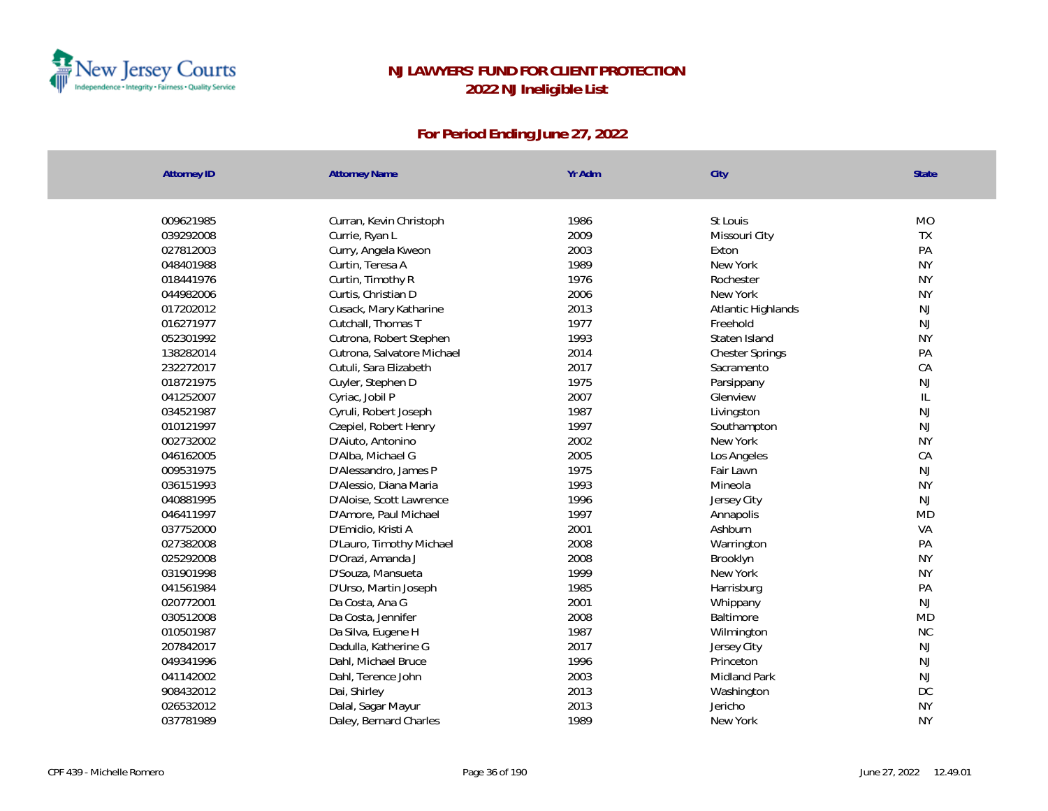

| <b>Attorney ID</b> | <b>Attorney Name</b>       | Yr Adm | City                   | State     |
|--------------------|----------------------------|--------|------------------------|-----------|
|                    |                            |        |                        |           |
| 009621985          | Curran, Kevin Christoph    | 1986   | St Louis               | <b>MO</b> |
| 039292008          | Currie, Ryan L             | 2009   | Missouri City          | TX        |
| 027812003          | Curry, Angela Kweon        | 2003   | Exton                  | PA        |
| 048401988          | Curtin, Teresa A           | 1989   | New York               | <b>NY</b> |
| 018441976          | Curtin, Timothy R          | 1976   | Rochester              | <b>NY</b> |
| 044982006          | Curtis, Christian D        | 2006   | New York               | <b>NY</b> |
| 017202012          | Cusack, Mary Katharine     | 2013   | Atlantic Highlands     | NJ        |
| 016271977          | Cutchall, Thomas T         | 1977   | Freehold               | <b>NJ</b> |
| 052301992          | Cutrona, Robert Stephen    | 1993   | Staten Island          | <b>NY</b> |
| 138282014          | Cutrona, Salvatore Michael | 2014   | <b>Chester Springs</b> | PA        |
| 232272017          | Cutuli, Sara Elizabeth     | 2017   | Sacramento             | CA        |
| 018721975          | Cuyler, Stephen D          | 1975   | Parsippany             | <b>NJ</b> |
| 041252007          | Cyriac, Jobil P            | 2007   | Glenview               | IL        |
| 034521987          | Cyruli, Robert Joseph      | 1987   | Livingston             | NJ        |
| 010121997          | Czepiel, Robert Henry      | 1997   | Southampton            | <b>NJ</b> |
| 002732002          | D'Aiuto, Antonino          | 2002   | New York               | <b>NY</b> |
| 046162005          | D'Alba, Michael G          | 2005   | Los Angeles            | CA        |
| 009531975          | D'Alessandro, James P      | 1975   | Fair Lawn              | NJ        |
| 036151993          | D'Alessio, Diana Maria     | 1993   | Mineola                | <b>NY</b> |
| 040881995          | D'Aloise, Scott Lawrence   | 1996   | Jersey City            | NJ        |
| 046411997          | D'Amore, Paul Michael      | 1997   | Annapolis              | <b>MD</b> |
| 037752000          | D'Emidio, Kristi A         | 2001   | Ashburn                | VA        |
| 027382008          | D'Lauro, Timothy Michael   | 2008   | Warrington             | PA        |
| 025292008          | D'Orazi, Amanda J          | 2008   | Brooklyn               | <b>NY</b> |
| 031901998          | D'Souza, Mansueta          | 1999   | New York               | <b>NY</b> |
| 041561984          | D'Urso, Martin Joseph      | 1985   | Harrisburg             | PA        |
| 020772001          | Da Costa, Ana G            | 2001   | Whippany               | NJ        |
| 030512008          | Da Costa, Jennifer         | 2008   | Baltimore              | <b>MD</b> |
| 010501987          | Da Silva, Eugene H         | 1987   | Wilmington             | <b>NC</b> |
| 207842017          | Dadulla, Katherine G       | 2017   | Jersey City            | <b>NJ</b> |
| 049341996          | Dahl, Michael Bruce        | 1996   | Princeton              | NJ        |
| 041142002          | Dahl, Terence John         | 2003   | <b>Midland Park</b>    | NJ        |
| 908432012          | Dai, Shirley               | 2013   | Washington             | DC        |
| 026532012          | Dalal, Sagar Mayur         | 2013   | Jericho                | <b>NY</b> |
| 037781989          | Daley, Bernard Charles     | 1989   | New York               | <b>NY</b> |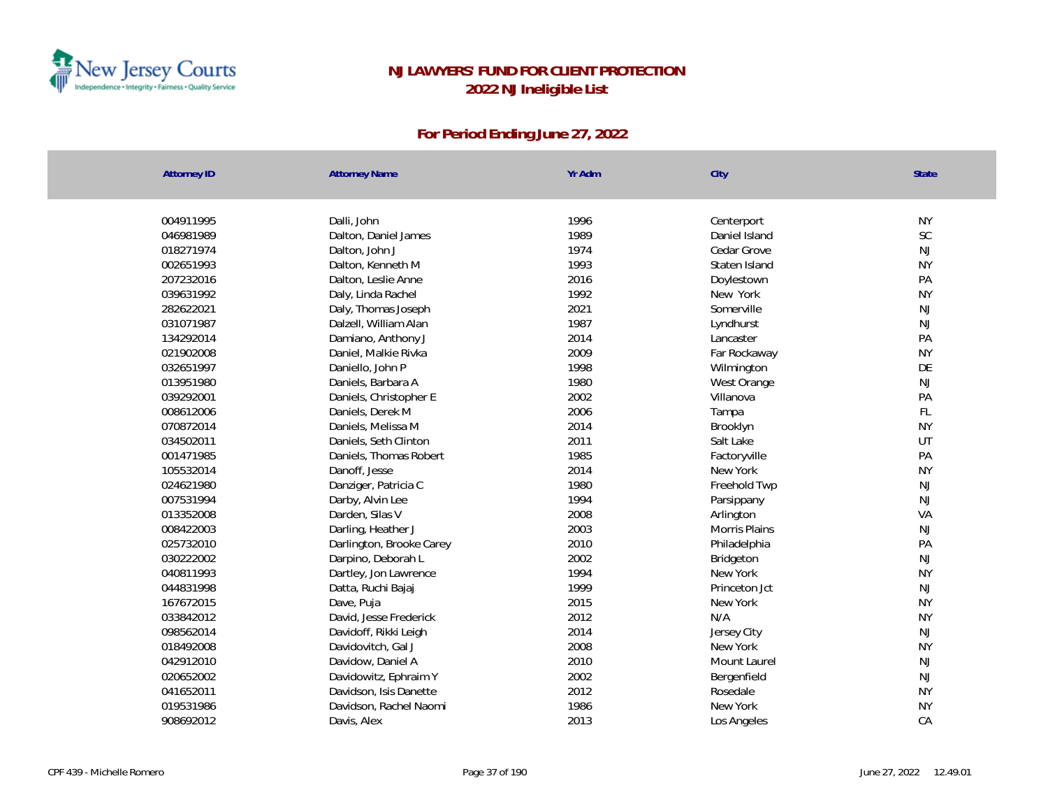

| <b>Attorney ID</b> | <b>Attorney Name</b>     | Yr Adm | City          | <b>State</b>  |
|--------------------|--------------------------|--------|---------------|---------------|
|                    |                          |        |               |               |
| 004911995          | Dalli, John              | 1996   | Centerport    | <b>NY</b>     |
| 046981989          | Dalton, Daniel James     | 1989   | Daniel Island | SC            |
| 018271974          | Dalton, John J           | 1974   | Cedar Grove   | $\mathsf{NJ}$ |
| 002651993          | Dalton, Kenneth M        | 1993   | Staten Island | <b>NY</b>     |
| 207232016          | Dalton, Leslie Anne      | 2016   | Doylestown    | PA            |
| 039631992          | Daly, Linda Rachel       | 1992   | New York      | <b>NY</b>     |
| 282622021          | Daly, Thomas Joseph      | 2021   | Somerville    | <b>NJ</b>     |
| 031071987          | Dalzell, William Alan    | 1987   | Lyndhurst     | NJ            |
| 134292014          | Damiano, Anthony J       | 2014   | Lancaster     | PA            |
| 021902008          | Daniel, Malkie Rivka     | 2009   | Far Rockaway  | <b>NY</b>     |
| 032651997          | Daniello, John P         | 1998   | Wilmington    | DE            |
| 013951980          | Daniels, Barbara A       | 1980   | West Orange   | <b>NJ</b>     |
| 039292001          | Daniels, Christopher E   | 2002   | Villanova     | PA            |
| 008612006          | Daniels, Derek M         | 2006   | Tampa         | $\mathsf{FL}$ |
| 070872014          | Daniels, Melissa M       | 2014   | Brooklyn      | <b>NY</b>     |
| 034502011          | Daniels, Seth Clinton    | 2011   | Salt Lake     | UT            |
| 001471985          | Daniels, Thomas Robert   | 1985   | Factoryville  | PA            |
| 105532014          | Danoff, Jesse            | 2014   | New York      | <b>NY</b>     |
| 024621980          | Danziger, Patricia C     | 1980   | Freehold Twp  | $\mathsf{NJ}$ |
| 007531994          | Darby, Alvin Lee         | 1994   | Parsippany    | NJ            |
| 013352008          | Darden, Silas V          | 2008   | Arlington     | VA            |
| 008422003          | Darling, Heather J       | 2003   | Morris Plains | $\mathsf{NJ}$ |
| 025732010          | Darlington, Brooke Carey | 2010   | Philadelphia  | PA            |
| 030222002          | Darpino, Deborah L       | 2002   | Bridgeton     | <b>NJ</b>     |
| 040811993          | Dartley, Jon Lawrence    | 1994   | New York      | <b>NY</b>     |
| 044831998          | Datta, Ruchi Bajaj       | 1999   | Princeton Jct | <b>NJ</b>     |
| 167672015          | Dave, Puja               | 2015   | New York      | <b>NY</b>     |
| 033842012          | David, Jesse Frederick   | 2012   | N/A           | <b>NY</b>     |
| 098562014          | Davidoff, Rikki Leigh    | 2014   | Jersey City   | $\mathsf{NJ}$ |
| 018492008          | Davidovitch, Gal J       | 2008   | New York      | <b>NY</b>     |
| 042912010          | Davidow, Daniel A        | 2010   | Mount Laurel  | <b>NJ</b>     |
| 020652002          | Davidowitz, Ephraim Y    | 2002   | Bergenfield   | <b>NJ</b>     |
| 041652011          | Davidson, Isis Danette   | 2012   | Rosedale      | <b>NY</b>     |
| 019531986          | Davidson, Rachel Naomi   | 1986   | New York      | <b>NY</b>     |
| 908692012          | Davis, Alex              | 2013   | Los Angeles   | CA            |
|                    |                          |        |               |               |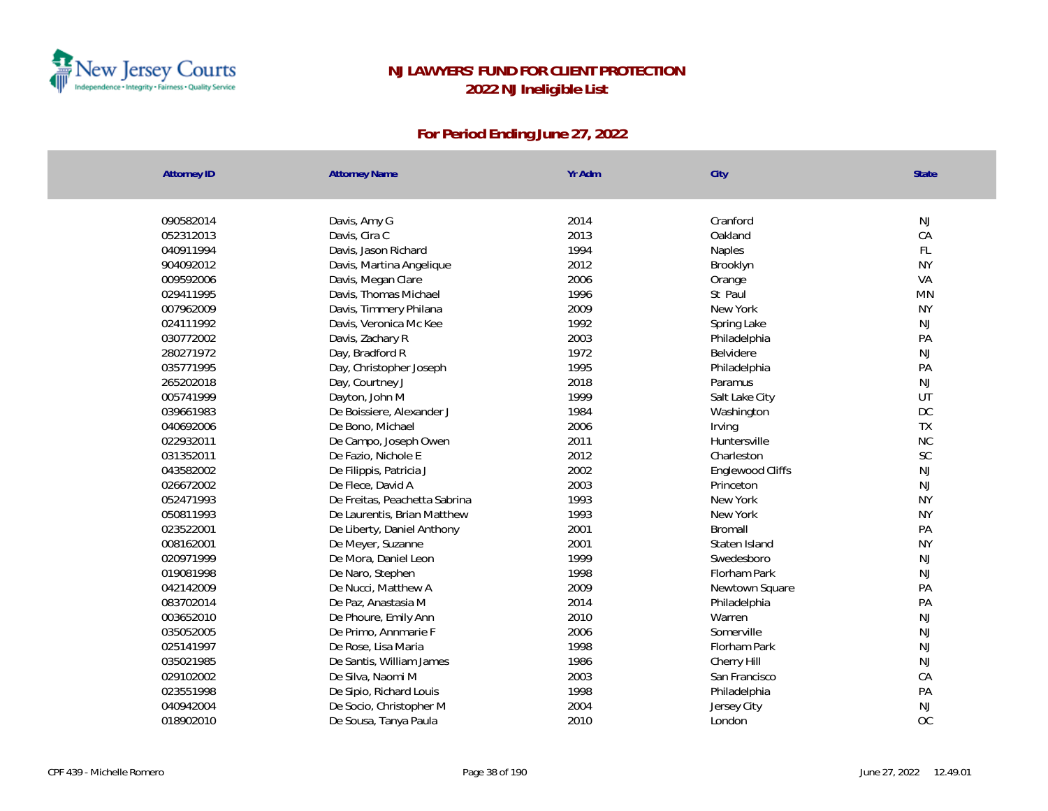

| <b>Attorney ID</b> | <b>Attorney Name</b>          | Yr Adm | City             | <b>State</b>  |
|--------------------|-------------------------------|--------|------------------|---------------|
|                    |                               |        |                  |               |
| 090582014          | Davis, Amy G                  | 2014   | Cranford         | NJ            |
| 052312013          | Davis, Cira C                 | 2013   | Oakland          | CA            |
| 040911994          | Davis, Jason Richard          | 1994   | Naples           | FL            |
| 904092012          | Davis, Martina Angelique      | 2012   | Brooklyn         | <b>NY</b>     |
| 009592006          | Davis, Megan Clare            | 2006   | Orange           | VA            |
| 029411995          | Davis, Thomas Michael         | 1996   | St Paul          | <b>MN</b>     |
| 007962009          | Davis, Timmery Philana        | 2009   | New York         | <b>NY</b>     |
| 024111992          | Davis, Veronica Mc Kee        | 1992   | Spring Lake      | $\mathsf{NJ}$ |
| 030772002          | Davis, Zachary R              | 2003   | Philadelphia     | PA            |
| 280271972          | Day, Bradford R               | 1972   | Belvidere        | <b>NJ</b>     |
| 035771995          | Day, Christopher Joseph       | 1995   | Philadelphia     | PA            |
| 265202018          | Day, Courtney J               | 2018   | Paramus          | NJ            |
| 005741999          | Dayton, John M                | 1999   | Salt Lake City   | UT            |
| 039661983          | De Boissiere, Alexander J     | 1984   | Washington       | DC            |
| 040692006          | De Bono, Michael              | 2006   | Irving           | TX            |
| 022932011          | De Campo, Joseph Owen         | 2011   | Huntersville     | <b>NC</b>     |
| 031352011          | De Fazio, Nichole E           | 2012   | Charleston       | SC            |
| 043582002          | De Filippis, Patricia J       | 2002   | Englewood Cliffs | $\mathsf{NJ}$ |
| 026672002          | De Flece, David A             | 2003   | Princeton        | $\mathsf{NJ}$ |
| 052471993          | De Freitas, Peachetta Sabrina | 1993   | New York         | <b>NY</b>     |
| 050811993          | De Laurentis, Brian Matthew   | 1993   | New York         | <b>NY</b>     |
| 023522001          | De Liberty, Daniel Anthony    | 2001   | Bromall          | PA            |
| 008162001          | De Meyer, Suzanne             | 2001   | Staten Island    | <b>NY</b>     |
| 020971999          | De Mora, Daniel Leon          | 1999   | Swedesboro       | <b>NJ</b>     |
| 019081998          | De Naro, Stephen              | 1998   | Florham Park     | <b>NJ</b>     |
| 042142009          | De Nucci, Matthew A           | 2009   | Newtown Square   | PA            |
| 083702014          | De Paz, Anastasia M           | 2014   | Philadelphia     | PA            |
| 003652010          | De Phoure, Emily Ann          | 2010   | Warren           | NJ            |
| 035052005          | De Primo, Annmarie F          | 2006   | Somerville       | <b>NJ</b>     |
| 025141997          | De Rose, Lisa Maria           | 1998   | Florham Park     | <b>NJ</b>     |
| 035021985          | De Santis, William James      | 1986   | Cherry Hill      | $\mathsf{NJ}$ |
| 029102002          | De Silva, Naomi M             | 2003   | San Francisco    | CA            |
| 023551998          | De Sipio, Richard Louis       | 1998   | Philadelphia     | PA            |
| 040942004          | De Socio, Christopher M       | 2004   | Jersey City      | NJ            |
| 018902010          | De Sousa, Tanya Paula         | 2010   | London           | OC            |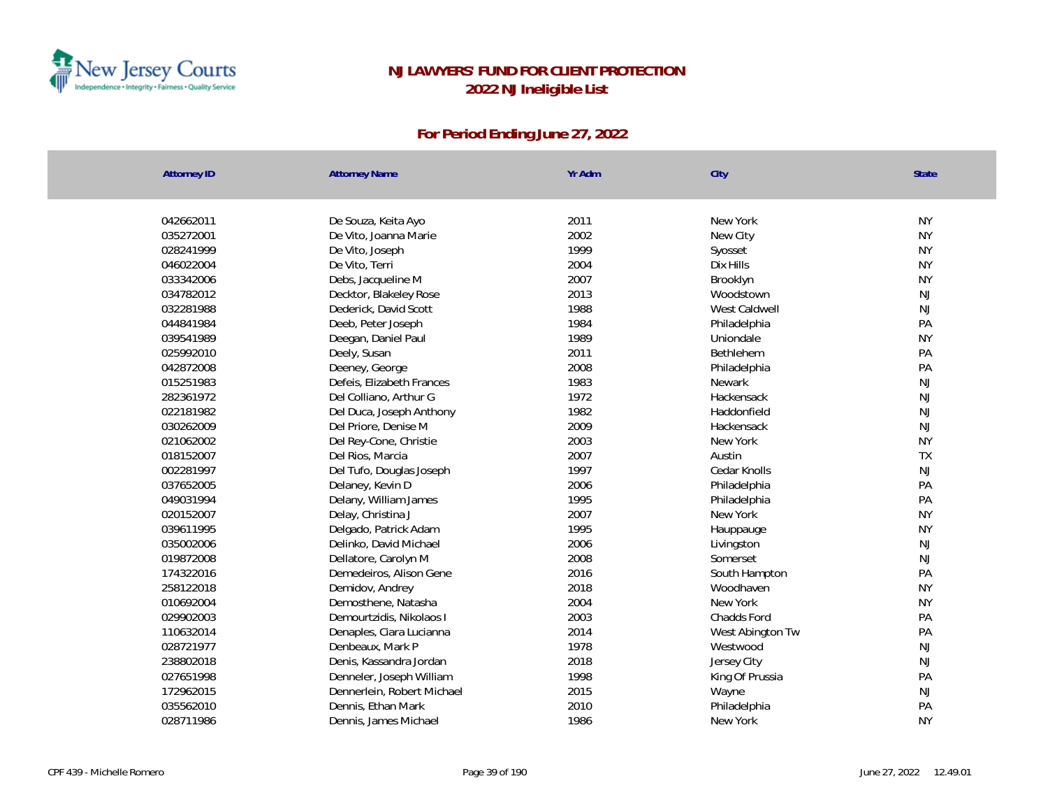

| <b>Attorney ID</b> | <b>Attorney Name</b>       | Yr Adm | City             | <b>State</b>  |
|--------------------|----------------------------|--------|------------------|---------------|
|                    |                            |        |                  |               |
| 042662011          | De Souza, Keita Ayo        | 2011   | New York         | <b>NY</b>     |
| 035272001          | De Vito, Joanna Marie      | 2002   | New City         | <b>NY</b>     |
| 028241999          | De Vito, Joseph            | 1999   | Syosset          | <b>NY</b>     |
| 046022004          | De Vito, Terri             | 2004   | Dix Hills        | <b>NY</b>     |
| 033342006          | Debs, Jacqueline M         | 2007   | Brooklyn         | <b>NY</b>     |
| 034782012          | Decktor, Blakeley Rose     | 2013   | Woodstown        | NJ            |
| 032281988          | Dederick, David Scott      | 1988   | West Caldwell    | $\mathsf{NJ}$ |
| 044841984          | Deeb, Peter Joseph         | 1984   | Philadelphia     | PA            |
| 039541989          | Deegan, Daniel Paul        | 1989   | Uniondale        | <b>NY</b>     |
| 025992010          | Deely, Susan               | 2011   | Bethlehem        | PA            |
| 042872008          | Deeney, George             | 2008   | Philadelphia     | PA            |
| 015251983          | Defeis, Elizabeth Frances  | 1983   | Newark           | NJ            |
| 282361972          | Del Colliano, Arthur G     | 1972   | Hackensack       | $\mathsf{NJ}$ |
| 022181982          | Del Duca, Joseph Anthony   | 1982   | Haddonfield      | NJ            |
| 030262009          | Del Priore, Denise M       | 2009   | Hackensack       | <b>NJ</b>     |
| 021062002          | Del Rey-Cone, Christie     | 2003   | New York         | <b>NY</b>     |
| 018152007          | Del Rios, Marcia           | 2007   | Austin           | TX            |
| 002281997          | Del Tufo, Douglas Joseph   | 1997   | Cedar Knolls     | NJ            |
| 037652005          | Delaney, Kevin D           | 2006   | Philadelphia     | PA            |
| 049031994          | Delany, William James      | 1995   | Philadelphia     | PA            |
| 020152007          | Delay, Christina J         | 2007   | New York         | <b>NY</b>     |
| 039611995          | Delgado, Patrick Adam      | 1995   | Hauppauge        | <b>NY</b>     |
| 035002006          | Delinko, David Michael     | 2006   | Livingston       | NJ            |
| 019872008          | Dellatore, Carolyn M       | 2008   | Somerset         | NJ            |
| 174322016          | Demedeiros, Alison Gene    | 2016   | South Hampton    | PA            |
| 258122018          | Demidov, Andrey            | 2018   | Woodhaven        | <b>NY</b>     |
| 010692004          | Demosthene, Natasha        | 2004   | New York         | <b>NY</b>     |
| 029902003          | Demourtzidis, Nikolaos I   | 2003   | Chadds Ford      | PA            |
| 110632014          | Denaples, Ciara Lucianna   | 2014   | West Abington Tw | PA            |
| 028721977          | Denbeaux, Mark P           | 1978   | Westwood         | NJ            |
| 238802018          | Denis, Kassandra Jordan    | 2018   | Jersey City      | NJ            |
| 027651998          | Denneler, Joseph William   | 1998   | King Of Prussia  | PA            |
| 172962015          | Dennerlein, Robert Michael | 2015   | Wayne            | NJ            |
| 035562010          | Dennis, Ethan Mark         | 2010   | Philadelphia     | PA            |
| 028711986          | Dennis, James Michael      | 1986   | New York         | <b>NY</b>     |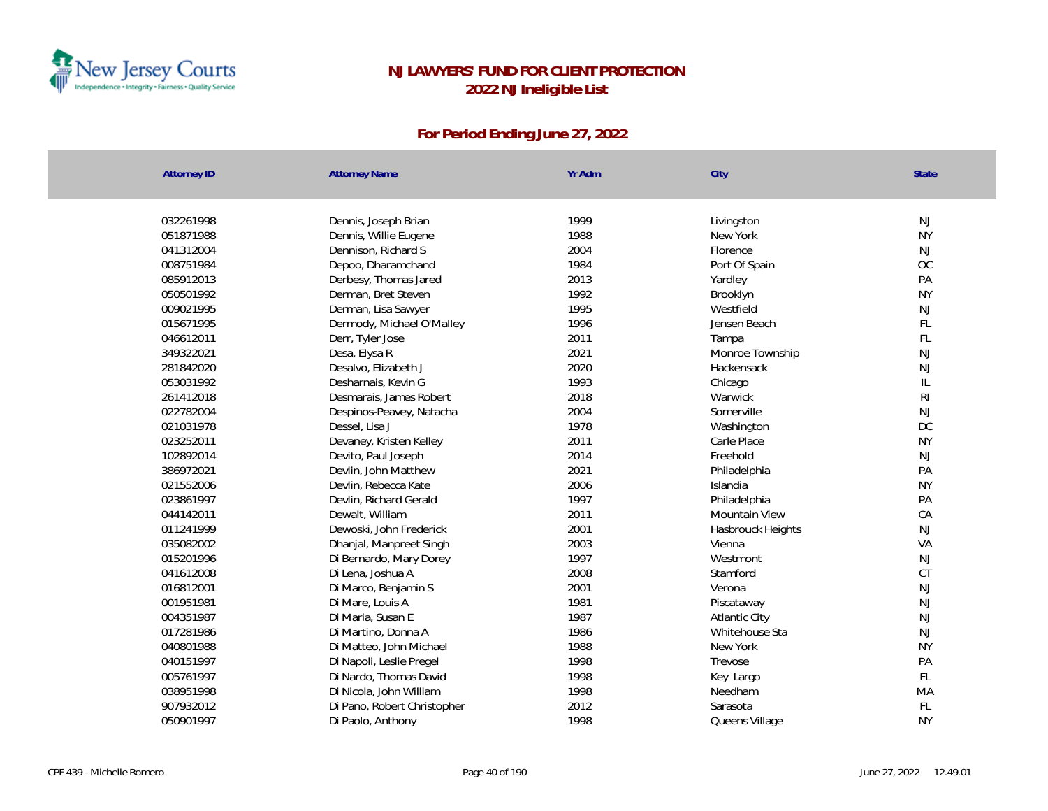

| <b>Attorney ID</b> | <b>Attorney Name</b>        | Yr Adm | City              | State           |
|--------------------|-----------------------------|--------|-------------------|-----------------|
|                    |                             |        |                   |                 |
| 032261998          | Dennis, Joseph Brian        | 1999   | Livingston        | NJ<br><b>NY</b> |
| 051871988          | Dennis, Willie Eugene       | 1988   | New York          |                 |
| 041312004          | Dennison, Richard S         | 2004   | Florence          | NJ<br>OC        |
| 008751984          | Depoo, Dharamchand          | 1984   | Port Of Spain     |                 |
| 085912013          | Derbesy, Thomas Jared       | 2013   | Yardley           | PA<br><b>NY</b> |
| 050501992          | Derman, Bret Steven         | 1992   | Brooklyn          |                 |
| 009021995          | Derman, Lisa Sawyer         | 1995   | Westfield         | NJ              |
| 015671995          | Dermody, Michael O'Malley   | 1996   | Jensen Beach      | FL              |
| 046612011          | Derr, Tyler Jose            | 2011   | Tampa             | FL              |
| 349322021          | Desa, Elysa R               | 2021   | Monroe Township   | NJ              |
| 281842020          | Desalvo, Elizabeth J        | 2020   | Hackensack        | <b>NJ</b>       |
| 053031992          | Desharnais, Kevin G         | 1993   | Chicago           | IL              |
| 261412018          | Desmarais, James Robert     | 2018   | Warwick           | R <sub>l</sub>  |
| 022782004          | Despinos-Peavey, Natacha    | 2004   | Somerville        | NJ              |
| 021031978          | Dessel, Lisa J              | 1978   | Washington        | DC              |
| 023252011          | Devaney, Kristen Kelley     | 2011   | Carle Place       | <b>NY</b>       |
| 102892014          | Devito, Paul Joseph         | 2014   | Freehold          | NJ              |
| 386972021          | Devlin, John Matthew        | 2021   | Philadelphia      | PA              |
| 021552006          | Devlin, Rebecca Kate        | 2006   | Islandia          | <b>NY</b>       |
| 023861997          | Devlin, Richard Gerald      | 1997   | Philadelphia      | PA              |
| 044142011          | Dewalt, William             | 2011   | Mountain View     | CA              |
| 011241999          | Dewoski, John Frederick     | 2001   | Hasbrouck Heights | <b>NJ</b>       |
| 035082002          | Dhanjal, Manpreet Singh     | 2003   | Vienna            | VA              |
| 015201996          | Di Bernardo, Mary Dorey     | 1997   | Westmont          | NJ              |
| 041612008          | Di Lena, Joshua A           | 2008   | Stamford          | CT              |
| 016812001          | Di Marco, Benjamin S        | 2001   | Verona            | NJ              |
| 001951981          | Di Mare, Louis A            | 1981   | Piscataway        | NJ              |
| 004351987          | Di Maria, Susan E           | 1987   | Atlantic City     | <b>NJ</b>       |
| 017281986          | Di Martino, Donna A         | 1986   | Whitehouse Sta    | NJ              |
| 040801988          | Di Matteo, John Michael     | 1988   | New York          | <b>NY</b>       |
| 040151997          | Di Napoli, Leslie Pregel    | 1998   | Trevose           | PA              |
| 005761997          | Di Nardo, Thomas David      | 1998   | Key Largo         | FL              |
| 038951998          | Di Nicola, John William     | 1998   | Needham           | MA              |
| 907932012          | Di Pano, Robert Christopher | 2012   | Sarasota          | FL              |
| 050901997          | Di Paolo, Anthony           | 1998   | Queens Village    | <b>NY</b>       |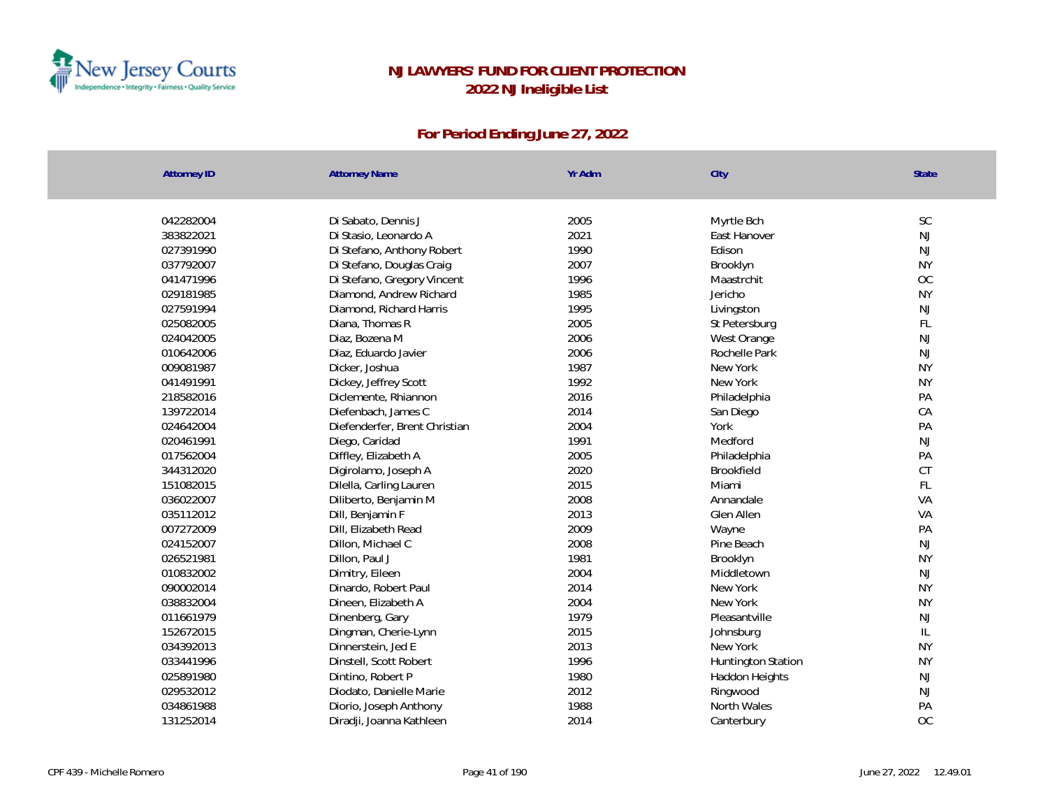

| <b>Attorney ID</b> | <b>Attorney Name</b>          | Yr Adm | City               | <b>State</b> |
|--------------------|-------------------------------|--------|--------------------|--------------|
| 042282004          | Di Sabato, Dennis J           | 2005   | Myrtle Bch         | SC           |
| 383822021          | Di Stasio, Leonardo A         | 2021   | East Hanover       | NJ           |
| 027391990          | Di Stefano, Anthony Robert    | 1990   | Edison             | NJ           |
| 037792007          | Di Stefano, Douglas Craig     | 2007   | Brooklyn           | <b>NY</b>    |
| 041471996          | Di Stefano, Gregory Vincent   | 1996   | Maastrchit         | OC           |
| 029181985          | Diamond, Andrew Richard       | 1985   | Jericho            | <b>NY</b>    |
| 027591994          | Diamond, Richard Harris       | 1995   | Livingston         | <b>NJ</b>    |
| 025082005          | Diana, Thomas R               | 2005   | St Petersburg      | FL           |
| 024042005          | Diaz, Bozena M                | 2006   | West Orange        | NJ           |
| 010642006          | Diaz, Eduardo Javier          | 2006   | Rochelle Park      | <b>NJ</b>    |
| 009081987          | Dicker, Joshua                | 1987   | New York           | <b>NY</b>    |
| 041491991          | Dickey, Jeffrey Scott         | 1992   | New York           | <b>NY</b>    |
| 218582016          | Diclemente, Rhiannon          | 2016   | Philadelphia       | PA           |
| 139722014          | Diefenbach, James C           | 2014   | San Diego          | CA           |
| 024642004          | Diefenderfer, Brent Christian | 2004   | York               | PA           |
| 020461991          | Diego, Caridad                | 1991   | Medford            | <b>NJ</b>    |
| 017562004          | Diffley, Elizabeth A          | 2005   | Philadelphia       | PA           |
| 344312020          | Digirolamo, Joseph A          | 2020   | <b>Brookfield</b>  | CT           |
| 151082015          | Dilella, Carling Lauren       | 2015   | Miami              | FL           |
| 036022007          | Diliberto, Benjamin M         | 2008   | Annandale          | VA           |
| 035112012          | Dill, Benjamin F              | 2013   | Glen Allen         | VA           |
| 007272009          | Dill, Elizabeth Read          | 2009   | Wayne              | PA           |
| 024152007          | Dillon, Michael C             | 2008   | Pine Beach         | <b>NJ</b>    |
| 026521981          | Dillon, Paul J                | 1981   | Brooklyn           | <b>NY</b>    |
| 010832002          | Dimitry, Eileen               | 2004   | Middletown         | NJ           |
| 090002014          | Dinardo, Robert Paul          | 2014   | New York           | <b>NY</b>    |
| 038832004          | Dineen, Elizabeth A           | 2004   | New York           | <b>NY</b>    |
| 011661979          | Dinenberg, Gary               | 1979   | Pleasantville      | <b>NJ</b>    |
| 152672015          | Dingman, Cherie-Lynn          | 2015   | Johnsburg          | L            |
| 034392013          | Dinnerstein, Jed E            | 2013   | New York           | <b>NY</b>    |
| 033441996          | Dinstell, Scott Robert        | 1996   | Huntington Station | <b>NY</b>    |
| 025891980          | Dintino, Robert P             | 1980   | Haddon Heights     | NJ           |
| 029532012          | Diodato, Danielle Marie       | 2012   | Ringwood           | <b>NJ</b>    |
| 034861988          | Diorio, Joseph Anthony        | 1988   | North Wales        | PA           |
| 131252014          | Diradji, Joanna Kathleen      | 2014   | Canterbury         | OC           |
|                    |                               |        |                    |              |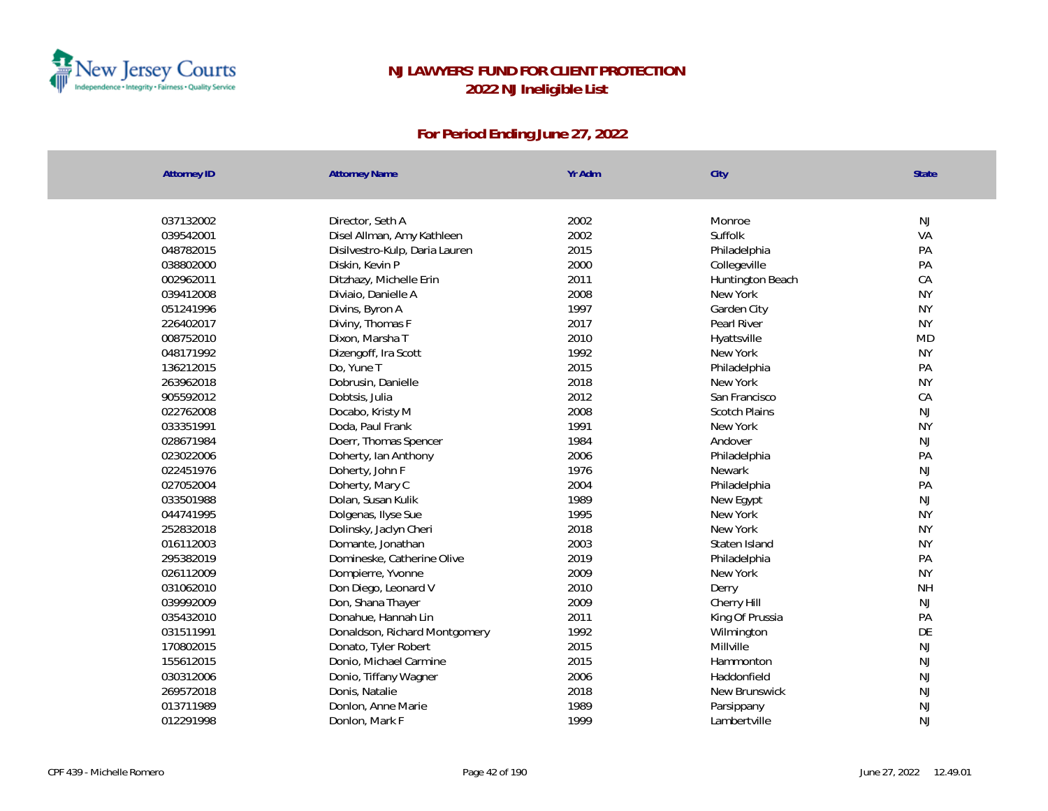

| <b>Attorney ID</b> | <b>Attorney Name</b>           | Yr Adm | City                 | <b>State</b> |
|--------------------|--------------------------------|--------|----------------------|--------------|
|                    |                                |        |                      |              |
| 037132002          | Director, Seth A               | 2002   | Monroe               | NJ           |
| 039542001          | Disel Allman, Amy Kathleen     | 2002   | Suffolk              | VA           |
| 048782015          | Disilvestro-Kulp, Daria Lauren | 2015   | Philadelphia         | PA           |
| 038802000          | Diskin, Kevin P                | 2000   | Collegeville         | PA           |
| 002962011          | Ditzhazy, Michelle Erin        | 2011   | Huntington Beach     | CA           |
| 039412008          | Diviaio, Danielle A            | 2008   | New York             | <b>NY</b>    |
| 051241996          | Divins, Byron A                | 1997   | Garden City          | <b>NY</b>    |
| 226402017          | Diviny, Thomas F               | 2017   | Pearl River          | <b>NY</b>    |
| 008752010          | Dixon, Marsha T                | 2010   | Hyattsville          | <b>MD</b>    |
| 048171992          | Dizengoff, Ira Scott           | 1992   | New York             | <b>NY</b>    |
| 136212015          | Do, Yune T                     | 2015   | Philadelphia         | PA           |
| 263962018          | Dobrusin, Danielle             | 2018   | New York             | <b>NY</b>    |
| 905592012          | Dobtsis, Julia                 | 2012   | San Francisco        | CA           |
| 022762008          | Docabo, Kristy M               | 2008   | <b>Scotch Plains</b> | <b>NJ</b>    |
| 033351991          | Doda, Paul Frank               | 1991   | New York             | <b>NY</b>    |
| 028671984          | Doerr, Thomas Spencer          | 1984   | Andover              | <b>NJ</b>    |
| 023022006          | Doherty, Ian Anthony           | 2006   | Philadelphia         | PA           |
| 022451976          | Doherty, John F                | 1976   | <b>Newark</b>        | <b>NJ</b>    |
| 027052004          | Doherty, Mary C                | 2004   | Philadelphia         | PA           |
| 033501988          | Dolan, Susan Kulik             | 1989   | New Egypt            | NJ           |
| 044741995          | Dolgenas, Ilyse Sue            | 1995   | New York             | <b>NY</b>    |
| 252832018          | Dolinsky, Jaclyn Cheri         | 2018   | New York             | <b>NY</b>    |
| 016112003          | Domante, Jonathan              | 2003   | Staten Island        | <b>NY</b>    |
| 295382019          | Domineske, Catherine Olive     | 2019   | Philadelphia         | PA           |
| 026112009          | Dompierre, Yvonne              | 2009   | New York             | <b>NY</b>    |
| 031062010          | Don Diego, Leonard V           | 2010   | Derry                | <b>NH</b>    |
| 039992009          | Don, Shana Thayer              | 2009   | Cherry Hill          | <b>NJ</b>    |
| 035432010          | Donahue, Hannah Lin            | 2011   | King Of Prussia      | PA           |
| 031511991          | Donaldson, Richard Montgomery  | 1992   | Wilmington           | DE           |
| 170802015          | Donato, Tyler Robert           | 2015   | Millville            | NJ           |
| 155612015          | Donio, Michael Carmine         | 2015   | Hammonton            | <b>NJ</b>    |
| 030312006          | Donio, Tiffany Wagner          | 2006   | Haddonfield          | NJ           |
| 269572018          | Donis, Natalie                 | 2018   | New Brunswick        | NJ           |
| 013711989          | Donlon, Anne Marie             | 1989   | Parsippany           | <b>NJ</b>    |
| 012291998          | Donlon, Mark F                 | 1999   | Lambertville         | <b>NJ</b>    |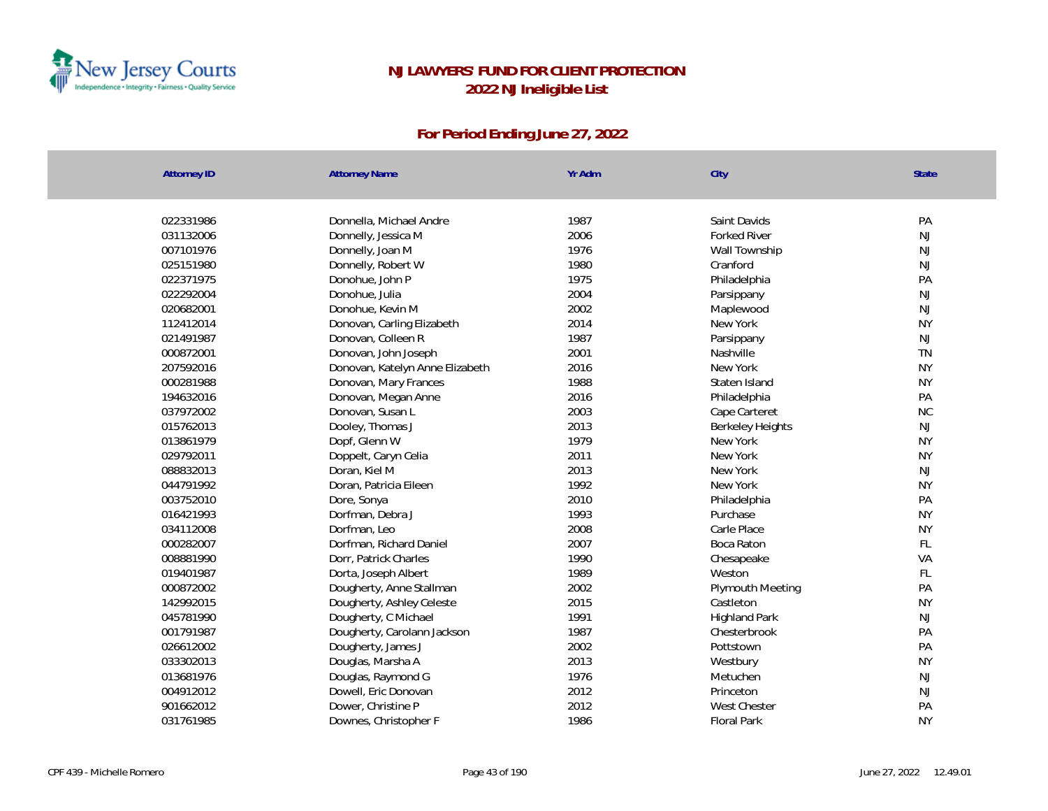

| Yr Adm<br><b>Attorney ID</b><br><b>Attorney Name</b><br>City      | <b>State</b>                  |
|-------------------------------------------------------------------|-------------------------------|
|                                                                   |                               |
| 022331986<br>1987<br>Saint Davids<br>Donnella, Michael Andre      | PA                            |
| 2006<br>031132006<br>Donnelly, Jessica M<br><b>Forked River</b>   | NJ                            |
| 007101976<br>Donnelly, Joan M<br>1976<br>Wall Township            | <b>NJ</b>                     |
| 1980<br>025151980<br>Donnelly, Robert W<br>Cranford               | <b>NJ</b>                     |
| 022371975<br>Donohue, John P<br>1975<br>Philadelphia              | PA                            |
| 022292004<br>Donohue, Julia<br>2004<br>Parsippany                 | NJ                            |
| 2002<br>020682001<br>Donohue, Kevin M<br>Maplewood                | $\mathsf{NJ}$                 |
| 112412014<br>2014<br>Donovan, Carling Elizabeth<br>New York       | <b>NY</b>                     |
| 1987<br>021491987<br>Donovan, Colleen R<br>Parsippany             | NJ                            |
| 2001<br>000872001<br>Donovan, John Joseph<br>Nashville            | <b>TN</b>                     |
| 207592016<br>2016<br>New York<br>Donovan, Katelyn Anne Elizabeth  | <b>NY</b>                     |
| 000281988<br>1988<br>Donovan, Mary Frances<br>Staten Island       | <b>NY</b>                     |
| 2016<br>194632016<br>Donovan, Megan Anne<br>Philadelphia          | PA                            |
| 037972002<br>2003<br>Donovan, Susan L<br>Cape Carteret            | <b>NC</b>                     |
| 015762013<br>Dooley, Thomas J<br>2013                             | NJ<br><b>Berkeley Heights</b> |
| 1979<br>013861979<br>Dopf, Glenn W<br>New York                    | <b>NY</b>                     |
| 2011<br>029792011<br>New York<br>Doppelt, Caryn Celia             | <b>NY</b>                     |
| 088832013<br>2013<br>New York<br>Doran, Kiel M                    | <b>NJ</b>                     |
| Doran, Patricia Eileen<br>1992<br>044791992<br>New York           | <b>NY</b>                     |
| 003752010<br>2010<br>Dore, Sonya<br>Philadelphia                  | PA                            |
| 016421993<br>1993<br>Dorfman, Debra J<br>Purchase                 | <b>NY</b>                     |
| 034112008<br>2008<br>Carle Place<br>Dorfman, Leo                  | <b>NY</b>                     |
| 2007<br>000282007<br>Dorfman, Richard Daniel<br>Boca Raton        | FL                            |
| 008881990<br>1990<br>Dorr, Patrick Charles<br>Chesapeake          | VA                            |
| 1989<br>019401987<br>Dorta, Joseph Albert<br>Weston               | FL                            |
| 2002<br>000872002<br>Dougherty, Anne Stallman                     | PA<br>Plymouth Meeting        |
| 2015<br>142992015<br>Dougherty, Ashley Celeste<br>Castleton       | <b>NY</b>                     |
| 045781990<br>1991<br>Dougherty, C Michael<br><b>Highland Park</b> | <b>NJ</b>                     |
| 1987<br>001791987<br>Dougherty, Carolann Jackson<br>Chesterbrook  | PA                            |
| 2002<br>026612002<br>Dougherty, James J<br>Pottstown              | PA                            |
| 2013<br>033302013<br>Douglas, Marsha A<br>Westbury                | <b>NY</b>                     |
| 013681976<br>1976<br>Douglas, Raymond G<br>Metuchen               | NJ                            |
| 2012<br>004912012<br>Dowell, Eric Donovan<br>Princeton            | NJ                            |
| 901662012<br>2012<br>Dower, Christine P<br><b>West Chester</b>    | PA                            |
| 1986<br>031761985<br>Downes, Christopher F<br><b>Floral Park</b>  | <b>NY</b>                     |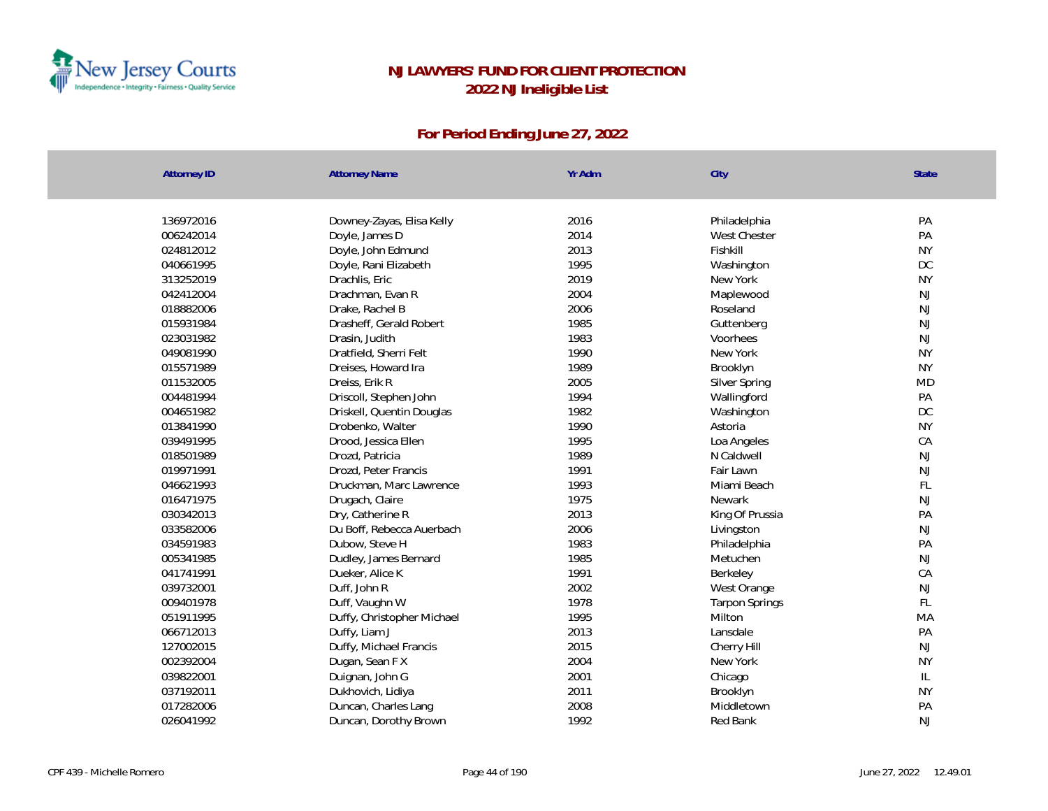

| <b>Attorney ID</b> | <b>Attorney Name</b>       | Yr Adm | City                  | <b>State</b>  |
|--------------------|----------------------------|--------|-----------------------|---------------|
|                    |                            |        |                       |               |
| 136972016          | Downey-Zayas, Elisa Kelly  | 2016   | Philadelphia          | PA            |
| 006242014          | Doyle, James D             | 2014   | West Chester          | PA            |
| 024812012          | Doyle, John Edmund         | 2013   | Fishkill              | <b>NY</b>     |
| 040661995          | Doyle, Rani Elizabeth      | 1995   | Washington            | <b>DC</b>     |
| 313252019          | Drachlis, Eric             | 2019   | New York              | <b>NY</b>     |
| 042412004          | Drachman, Evan R           | 2004   | Maplewood             | <b>NJ</b>     |
| 018882006          | Drake, Rachel B            | 2006   | Roseland              | <b>NJ</b>     |
| 015931984          | Drasheff, Gerald Robert    | 1985   | Guttenberg            | <b>NJ</b>     |
| 023031982          | Drasin, Judith             | 1983   | Voorhees              | <b>NJ</b>     |
| 049081990          | Dratfield, Sherri Felt     | 1990   | New York              | <b>NY</b>     |
| 015571989          | Dreises, Howard Ira        | 1989   | Brooklyn              | <b>NY</b>     |
| 011532005          | Dreiss, Erik R             | 2005   | Silver Spring         | <b>MD</b>     |
| 004481994          | Driscoll, Stephen John     | 1994   | Wallingford           | PA            |
| 004651982          | Driskell, Quentin Douglas  | 1982   | Washington            | DC            |
| 013841990          | Drobenko, Walter           | 1990   | Astoria               | <b>NY</b>     |
| 039491995          | Drood, Jessica Ellen       | 1995   | Loa Angeles           | CA            |
| 018501989          | Drozd, Patricia            | 1989   | N Caldwell            | <b>NJ</b>     |
| 019971991          | Drozd, Peter Francis       | 1991   | Fair Lawn             | <b>NJ</b>     |
| 046621993          | Druckman, Marc Lawrence    | 1993   | Miami Beach           | $\mathsf{FL}$ |
| 016471975          | Drugach, Claire            | 1975   | Newark                | NJ            |
| 030342013          | Dry, Catherine R           | 2013   | King Of Prussia       | PA            |
| 033582006          | Du Boff, Rebecca Auerbach  | 2006   | Livingston            | <b>NJ</b>     |
| 034591983          | Dubow, Steve H             | 1983   | Philadelphia          | PA            |
| 005341985          | Dudley, James Bernard      | 1985   | Metuchen              | <b>NJ</b>     |
| 041741991          | Dueker, Alice K            | 1991   | Berkeley              | CA            |
| 039732001          | Duff, John R               | 2002   | West Orange           | NJ            |
| 009401978          | Duff, Vaughn W             | 1978   | <b>Tarpon Springs</b> | FL            |
| 051911995          | Duffy, Christopher Michael | 1995   | Milton                | MA            |
| 066712013          | Duffy, Liam J              | 2013   | Lansdale              | PA            |
| 127002015          | Duffy, Michael Francis     | 2015   | Cherry Hill           | <b>NJ</b>     |
| 002392004          | Dugan, Sean F X            | 2004   | New York              | <b>NY</b>     |
| 039822001          | Duignan, John G            | 2001   | Chicago               | IL            |
| 037192011          | Dukhovich, Lidiya          | 2011   | Brooklyn              | <b>NY</b>     |
| 017282006          | Duncan, Charles Lang       | 2008   | Middletown            | PA            |
| 026041992          | Duncan, Dorothy Brown      | 1992   | Red Bank              | <b>NJ</b>     |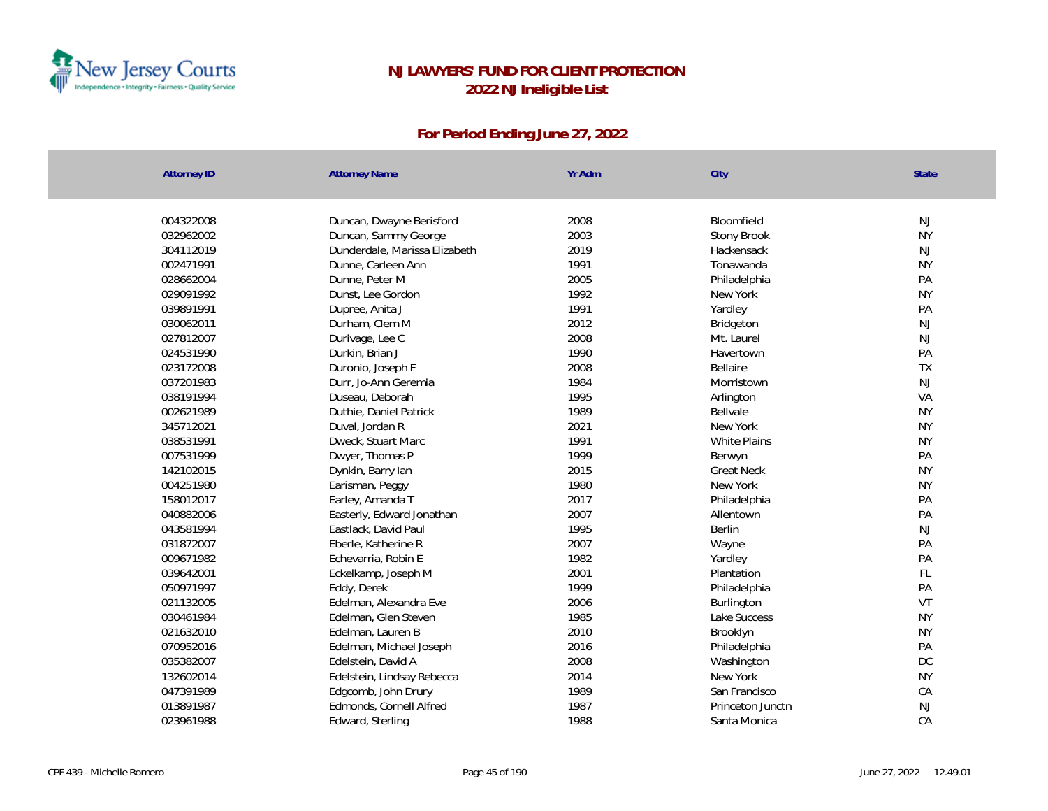

| Yr Adm<br><b>Attorney ID</b><br><b>Attorney Name</b><br>City | State                             |
|--------------------------------------------------------------|-----------------------------------|
|                                                              |                                   |
| 004322008<br>2008<br>Duncan, Dwayne Berisford                | Bloomfield<br>NJ                  |
| 2003<br>032962002<br>Duncan, Sammy George                    | <b>NY</b><br>Stony Brook          |
| Dunderdale, Marissa Elizabeth<br>2019<br>304112019           | Hackensack<br>NJ                  |
| 1991<br>002471991<br>Dunne, Carleen Ann                      | <b>NY</b><br>Tonawanda            |
| 2005<br>028662004<br>Dunne, Peter M                          | PA<br>Philadelphia                |
| 1992<br>029091992<br>Dunst, Lee Gordon<br>New York           | <b>NY</b>                         |
| 039891991<br>1991<br>Yardley<br>Dupree, Anita J              | PA                                |
| 2012<br>030062011<br>Durham, Clem M                          | NJ<br>Bridgeton                   |
| 2008<br>027812007<br>Durivage, Lee C                         | NJ<br>Mt. Laurel                  |
| 024531990<br>1990<br>Durkin, Brian J                         | PA<br>Havertown                   |
| 2008<br>023172008<br>Duronio, Joseph F<br>Bellaire           | TX                                |
| 1984<br>037201983<br>Durr, Jo-Ann Geremia                    | NJ<br>Morristown                  |
| 1995<br>038191994<br>Duseau, Deborah<br>Arlington            | VA                                |
| 1989<br>002621989<br>Duthie, Daniel Patrick<br>Bellvale      | <b>NY</b>                         |
| 2021<br>New York<br>345712021<br>Duval, Jordan R             | <b>NY</b>                         |
| 1991<br>038531991<br>Dweck, Stuart Marc                      | White Plains<br><b>NY</b>         |
| 1999<br>007531999<br>Dwyer, Thomas P<br>Berwyn               | PA                                |
| 2015<br>142102015<br>Dynkin, Barry lan                       | <b>NY</b><br><b>Great Neck</b>    |
| 1980<br>004251980<br>Earisman, Peggy<br>New York             | <b>NY</b>                         |
| 2017<br>158012017<br>Earley, Amanda T                        | PA<br>Philadelphia                |
| 2007<br>040882006<br>Easterly, Edward Jonathan               | PA<br>Allentown                   |
| 1995<br>043581994<br>Eastlack, David Paul<br>Berlin          | NJ                                |
| 031872007<br>Eberle, Katherine R<br>2007<br>Wayne            | PA                                |
| 009671982<br>1982<br>Echevarria, Robin E<br>Yardley          | PA                                |
| 2001<br>039642001<br>Eckelkamp, Joseph M                     | FL<br>Plantation                  |
| 050971997<br>1999<br>Eddy, Derek                             | PA<br>Philadelphia                |
| 021132005<br>Edelman, Alexandra Eve<br>2006                  | VT<br>Burlington                  |
| Edelman, Glen Steven<br>1985<br>030461984                    | Lake Success<br><b>NY</b>         |
| 2010<br>021632010<br>Edelman, Lauren B<br>Brooklyn           | <b>NY</b>                         |
| 2016<br>070952016<br>Edelman, Michael Joseph                 | PA<br>Philadelphia                |
| 2008<br>035382007<br>Edelstein, David A                      | DC<br>Washington                  |
| 2014<br>132602014<br>New York<br>Edelstein, Lindsay Rebecca  | <b>NY</b>                         |
| 047391989<br>Edgcomb, John Drury<br>1989                     | CA<br>San Francisco               |
| 1987<br>013891987<br>Edmonds, Cornell Alfred                 | $\mathsf{NJ}$<br>Princeton Junctn |
| 1988<br>023961988<br>Edward, Sterling                        | CA<br>Santa Monica                |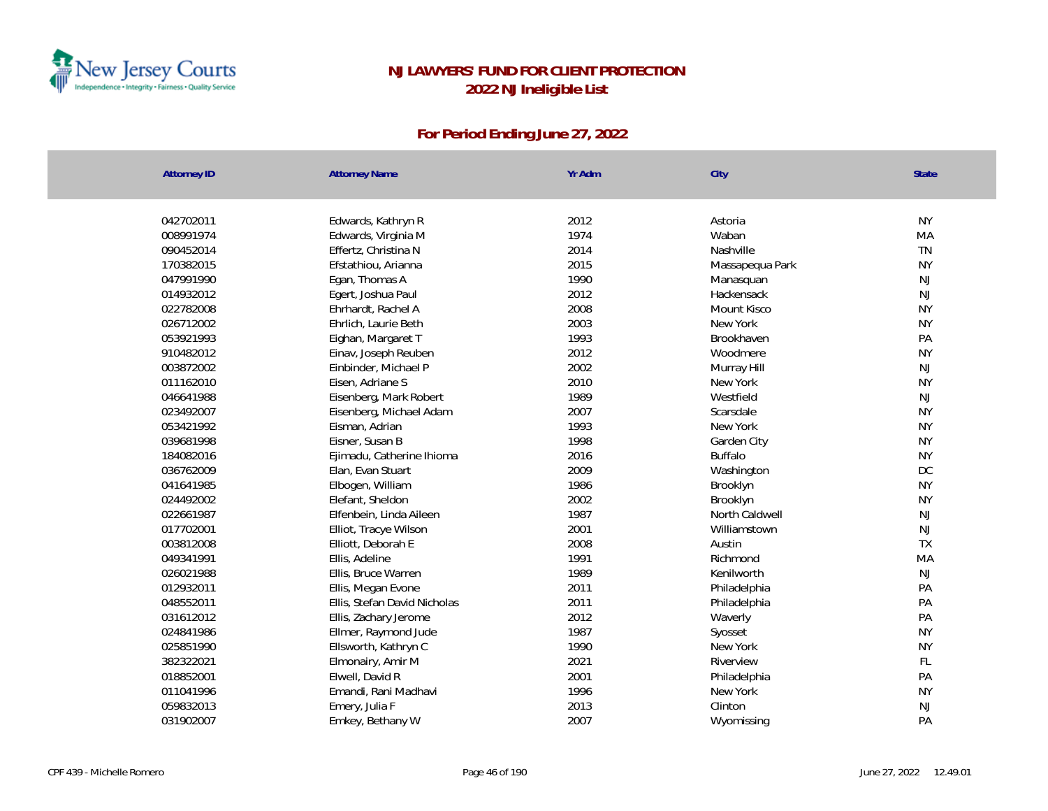

| <b>Attorney ID</b> | <b>Attorney Name</b>         | Yr Adm | City            | State     |
|--------------------|------------------------------|--------|-----------------|-----------|
|                    |                              |        |                 |           |
| 042702011          | Edwards, Kathryn R           | 2012   | Astoria         | <b>NY</b> |
| 008991974          | Edwards, Virginia M          | 1974   | Waban           | MA        |
| 090452014          | Effertz, Christina N         | 2014   | Nashville       | <b>TN</b> |
| 170382015          | Efstathiou, Arianna          | 2015   | Massapequa Park | <b>NY</b> |
| 047991990          | Egan, Thomas A               | 1990   | Manasquan       | <b>NJ</b> |
| 014932012          | Egert, Joshua Paul           | 2012   | Hackensack      | <b>NJ</b> |
| 022782008          | Ehrhardt, Rachel A           | 2008   | Mount Kisco     | <b>NY</b> |
| 026712002          | Ehrlich, Laurie Beth         | 2003   | New York        | <b>NY</b> |
| 053921993          | Eighan, Margaret T           | 1993   | Brookhaven      | PA        |
| 910482012          | Einav, Joseph Reuben         | 2012   | Woodmere        | <b>NY</b> |
| 003872002          | Einbinder, Michael P         | 2002   | Murray Hill     | <b>NJ</b> |
| 011162010          | Eisen, Adriane S             | 2010   | New York        | <b>NY</b> |
| 046641988          | Eisenberg, Mark Robert       | 1989   | Westfield       | NJ        |
| 023492007          | Eisenberg, Michael Adam      | 2007   | Scarsdale       | <b>NY</b> |
| 053421992          | Eisman, Adrian               | 1993   | New York        | <b>NY</b> |
| 039681998          | Eisner, Susan B              | 1998   | Garden City     | <b>NY</b> |
| 184082016          | Ejimadu, Catherine Ihioma    | 2016   | <b>Buffalo</b>  | <b>NY</b> |
| 036762009          | Elan, Evan Stuart            | 2009   | Washington      | DC        |
| 041641985          | Elbogen, William             | 1986   | Brooklyn        | <b>NY</b> |
| 024492002          | Elefant, Sheldon             | 2002   | Brooklyn        | <b>NY</b> |
| 022661987          | Elfenbein, Linda Aileen      | 1987   | North Caldwell  | <b>NJ</b> |
| 017702001          | Elliot, Tracye Wilson        | 2001   | Williamstown    | <b>NJ</b> |
| 003812008          | Elliott, Deborah E           | 2008   | Austin          | TX        |
| 049341991          | Ellis, Adeline               | 1991   | Richmond        | MA        |
| 026021988          | Ellis, Bruce Warren          | 1989   | Kenilworth      | <b>NJ</b> |
| 012932011          | Ellis, Megan Evone           | 2011   | Philadelphia    | PA        |
| 048552011          | Ellis, Stefan David Nicholas | 2011   | Philadelphia    | PA        |
| 031612012          | Ellis, Zachary Jerome        | 2012   | Waverly         | PA        |
| 024841986          | Ellmer, Raymond Jude         | 1987   | Syosset         | <b>NY</b> |
| 025851990          | Ellsworth, Kathryn C         | 1990   | New York        | <b>NY</b> |
| 382322021          | Elmonairy, Amir M            | 2021   | Riverview       | FL        |
| 018852001          | Elwell, David R              | 2001   | Philadelphia    | PA        |
| 011041996          | Emandi, Rani Madhavi         | 1996   | New York        | <b>NY</b> |
| 059832013          | Emery, Julia F               | 2013   | Clinton         | NJ        |
| 031902007          | Emkey, Bethany W             | 2007   | Wyomissing      | PA        |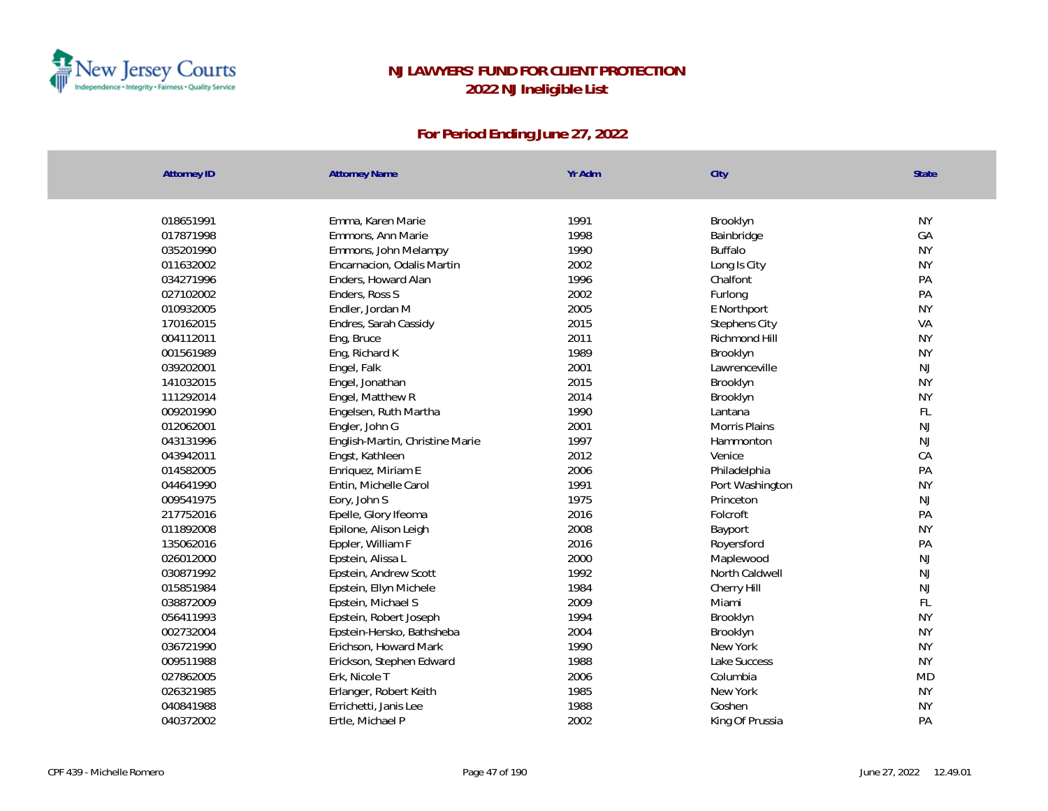

| <b>Attorney ID</b> | <b>Attorney Name</b>            | Yr Adm | City                 | State     |
|--------------------|---------------------------------|--------|----------------------|-----------|
|                    |                                 |        |                      |           |
| 018651991          | Emma, Karen Marie               | 1991   | Brooklyn             | <b>NY</b> |
| 017871998          | Emmons, Ann Marie               | 1998   | Bainbridge           | GA        |
| 035201990          | Emmons, John Melampy            | 1990   | <b>Buffalo</b>       | <b>NY</b> |
| 011632002          | Encarnacion, Odalis Martin      | 2002   | Long Is City         | <b>NY</b> |
| 034271996          | Enders, Howard Alan             | 1996   | Chalfont             | PA        |
| 027102002          | Enders, Ross S                  | 2002   | Furlong              | PA        |
| 010932005          | Endler, Jordan M                | 2005   | E Northport          | <b>NY</b> |
| 170162015          | Endres, Sarah Cassidy           | 2015   | <b>Stephens City</b> | VA        |
| 004112011          | Eng, Bruce                      | 2011   | Richmond Hill        | <b>NY</b> |
| 001561989          | Eng, Richard K                  | 1989   | Brooklyn             | <b>NY</b> |
| 039202001          | Engel, Falk                     | 2001   | Lawrenceville        | NJ        |
| 141032015          | Engel, Jonathan                 | 2015   | Brooklyn             | <b>NY</b> |
| 111292014          | Engel, Matthew R                | 2014   | Brooklyn             | <b>NY</b> |
| 009201990          | Engelsen, Ruth Martha           | 1990   | Lantana              | FL        |
| 012062001          | Engler, John G                  | 2001   | <b>Morris Plains</b> | <b>NJ</b> |
| 043131996          | English-Martin, Christine Marie | 1997   | Hammonton            | <b>NJ</b> |
| 043942011          | Engst, Kathleen                 | 2012   | Venice               | CA        |
| 014582005          | Enriquez, Miriam E              | 2006   | Philadelphia         | PA        |
| 044641990          | Entin, Michelle Carol           | 1991   | Port Washington      | <b>NY</b> |
| 009541975          | Eory, John S                    | 1975   | Princeton            | NJ        |
| 217752016          | Epelle, Glory Ifeoma            | 2016   | Folcroft             | PA        |
| 011892008          | Epilone, Alison Leigh           | 2008   | Bayport              | <b>NY</b> |
| 135062016          | Eppler, William F               | 2016   | Royersford           | PA        |
| 026012000          | Epstein, Alissa L               | 2000   | Maplewood            | <b>NJ</b> |
| 030871992          | Epstein, Andrew Scott           | 1992   | North Caldwell       | <b>NJ</b> |
| 015851984          | Epstein, Ellyn Michele          | 1984   | Cherry Hill          | NJ        |
| 038872009          | Epstein, Michael S              | 2009   | Miami                | FL        |
| 056411993          | Epstein, Robert Joseph          | 1994   | Brooklyn             | <b>NY</b> |
| 002732004          | Epstein-Hersko, Bathsheba       | 2004   | Brooklyn             | <b>NY</b> |
| 036721990          | Erichson, Howard Mark           | 1990   | New York             | <b>NY</b> |
| 009511988          | Erickson, Stephen Edward        | 1988   | Lake Success         | <b>NY</b> |
| 027862005          | Erk, Nicole T                   | 2006   | Columbia             | <b>MD</b> |
| 026321985          | Erlanger, Robert Keith          | 1985   | New York             | <b>NY</b> |
| 040841988          | Errichetti, Janis Lee           | 1988   | Goshen               | <b>NY</b> |
| 040372002          | Ertle, Michael P                | 2002   | King Of Prussia      | PA        |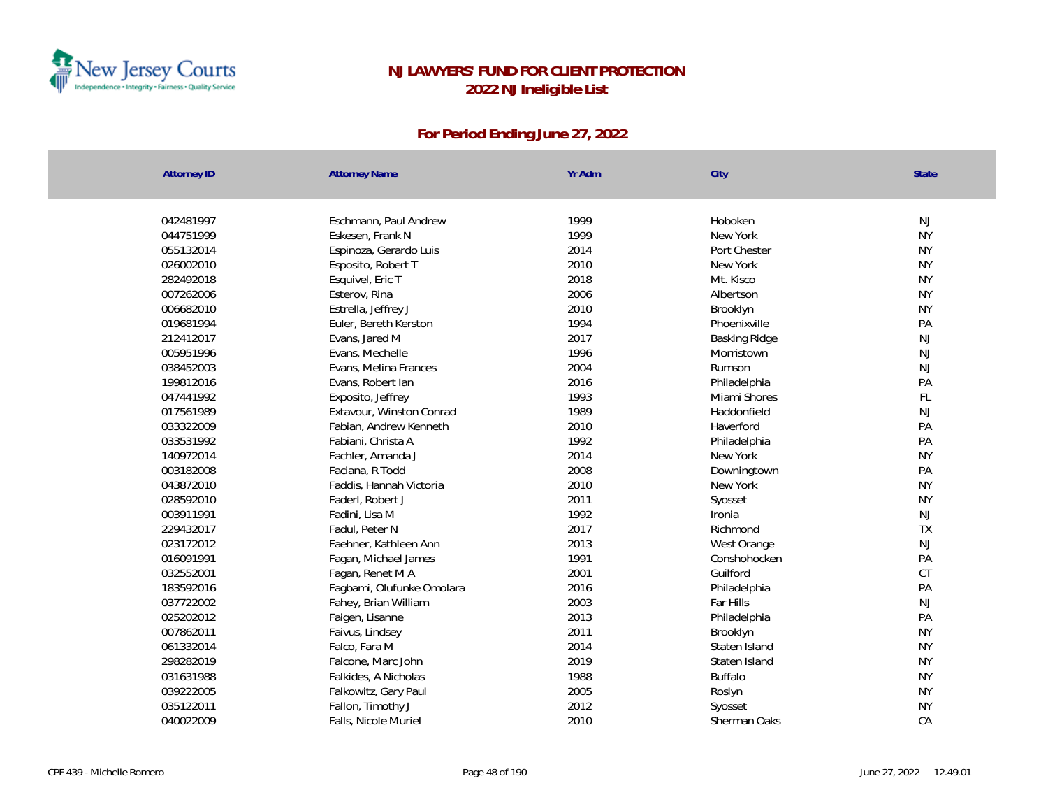

| Yr Adm<br><b>Attorney ID</b><br><b>Attorney Name</b> | City<br><b>State</b>          |  |
|------------------------------------------------------|-------------------------------|--|
|                                                      |                               |  |
| 042481997<br>Eschmann, Paul Andrew<br>1999           | Hoboken<br><b>NJ</b>          |  |
| 1999<br>044751999<br>Eskesen, Frank N                | <b>NY</b><br>New York         |  |
| 2014<br>055132014<br>Espinoza, Gerardo Luis          | <b>NY</b><br>Port Chester     |  |
| 2010<br>026002010<br>Esposito, Robert T              | New York<br><b>NY</b>         |  |
| 2018<br>282492018<br>Esquivel, Eric T                | <b>NY</b><br>Mt. Kisco        |  |
| 2006<br>007262006<br>Esterov, Rina                   | <b>NY</b><br>Albertson        |  |
| 2010<br>006682010<br>Estrella, Jeffrey J             | <b>NY</b><br>Brooklyn         |  |
| 019681994<br>1994<br>Euler, Bereth Kerston           | PA<br>Phoenixville            |  |
| 2017<br>212412017<br>Evans, Jared M                  | NJ<br>Basking Ridge           |  |
| 1996<br>005951996<br>Evans, Mechelle                 | <b>NJ</b><br>Morristown       |  |
| 2004<br>038452003<br>Evans, Melina Frances           | <b>NJ</b><br>Rumson           |  |
| 199812016<br>2016<br>Evans, Robert Ian               | PA<br>Philadelphia            |  |
| 047441992<br>1993<br>Exposito, Jeffrey               | $\mathsf{FL}$<br>Miami Shores |  |
| 017561989<br>Extavour, Winston Conrad<br>1989        | <b>NJ</b><br>Haddonfield      |  |
| 033322009<br>Fabian, Andrew Kenneth<br>2010          | Haverford<br>PA               |  |
| 1992<br>033531992<br>Fabiani, Christa A              | PA<br>Philadelphia            |  |
| 140972014<br>2014<br>Fachler, Amanda J               | <b>NY</b><br>New York         |  |
| 003182008<br>2008<br>Faciana, R Todd                 | PA<br>Downingtown             |  |
| 043872010<br>2010<br>Faddis, Hannah Victoria         | <b>NY</b><br>New York         |  |
| 028592010<br>2011<br>Faderl, Robert J                | <b>NY</b><br>Syosset          |  |
| 1992<br>003911991<br>Fadini, Lisa M                  | NJ<br>Ironia                  |  |
| 2017<br>229432017<br>Fadul, Peter N                  | <b>TX</b><br>Richmond         |  |
| 2013<br>023172012<br>Faehner, Kathleen Ann           | <b>NJ</b><br>West Orange      |  |
| 1991<br>016091991<br>Fagan, Michael James            | PA<br>Conshohocken            |  |
| 2001<br>032552001<br>Fagan, Renet M A                | CT<br>Guilford                |  |
| 183592016<br>2016<br>Fagbami, Olufunke Omolara       | PA<br>Philadelphia            |  |
| 037722002<br>2003<br>Fahey, Brian William            | <b>NJ</b><br>Far Hills        |  |
| 2013<br>025202012<br>Faigen, Lisanne                 | PA<br>Philadelphia            |  |
| 2011<br>007862011<br>Faivus, Lindsey                 | <b>NY</b><br>Brooklyn         |  |
| 2014<br>061332014<br>Falco, Fara M                   | <b>NY</b><br>Staten Island    |  |
| 2019<br>298282019<br>Falcone, Marc John              | <b>NY</b><br>Staten Island    |  |
| 1988<br>031631988<br>Falkides, A Nicholas            | <b>Buffalo</b><br><b>NY</b>   |  |
| 039222005<br>2005<br>Falkowitz, Gary Paul            | <b>NY</b><br>Roslyn           |  |
| 2012<br>035122011<br>Fallon, Timothy J               | <b>NY</b><br>Syosset          |  |
| 2010<br>040022009<br>Falls, Nicole Muriel            | CA<br>Sherman Oaks            |  |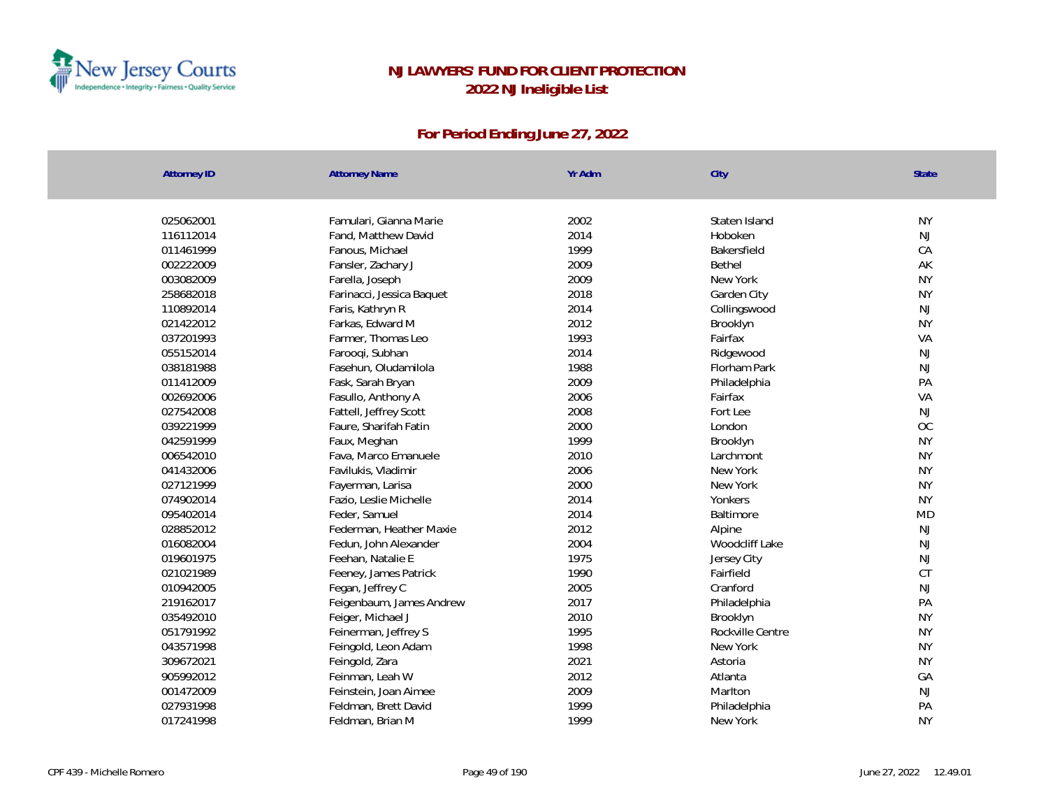

| <b>Attorney ID</b> | <b>Attorney Name</b>      | Yr Adm | City             | State     |
|--------------------|---------------------------|--------|------------------|-----------|
|                    |                           |        |                  |           |
| 025062001          | Famulari, Gianna Marie    | 2002   | Staten Island    | <b>NY</b> |
| 116112014          | Fand, Matthew David       | 2014   | Hoboken          | <b>NJ</b> |
| 011461999          | Fanous, Michael           | 1999   | Bakersfield      | CA        |
| 002222009          | Fansler, Zachary J        | 2009   | Bethel           | AK        |
| 003082009          | Farella, Joseph           | 2009   | New York         | <b>NY</b> |
| 258682018          | Farinacci, Jessica Baquet | 2018   | Garden City      | <b>NY</b> |
| 110892014          | Faris, Kathryn R          | 2014   | Collingswood     | NJ        |
| 021422012          | Farkas, Edward M          | 2012   | Brooklyn         | <b>NY</b> |
| 037201993          | Farmer, Thomas Leo        | 1993   | Fairfax          | VA        |
| 055152014          | Farooqi, Subhan           | 2014   | Ridgewood        | <b>NJ</b> |
| 038181988          | Fasehun, Oludamilola      | 1988   | Florham Park     | <b>NJ</b> |
| 011412009          | Fask, Sarah Bryan         | 2009   | Philadelphia     | PA        |
| 002692006          | Fasullo, Anthony A        | 2006   | Fairfax          | VA        |
| 027542008          | Fattell, Jeffrey Scott    | 2008   | Fort Lee         | <b>NJ</b> |
| 039221999          | Faure, Sharifah Fatin     | 2000   | London           | OC        |
| 042591999          | Faux, Meghan              | 1999   | Brooklyn         | <b>NY</b> |
| 006542010          | Fava, Marco Emanuele      | 2010   | Larchmont        | <b>NY</b> |
| 041432006          | Favilukis, Vladimir       | 2006   | New York         | <b>NY</b> |
| 027121999          | Fayerman, Larisa          | 2000   | New York         | <b>NY</b> |
| 074902014          | Fazio, Leslie Michelle    | 2014   | Yonkers          | <b>NY</b> |
| 095402014          | Feder, Samuel             | 2014   | Baltimore        | <b>MD</b> |
| 028852012          | Federman, Heather Maxie   | 2012   | Alpine           | <b>NJ</b> |
| 016082004          | Fedun, John Alexander     | 2004   | Woodcliff Lake   | <b>NJ</b> |
| 019601975          | Feehan, Natalie E         | 1975   | Jersey City      | <b>NJ</b> |
| 021021989          | Feeney, James Patrick     | 1990   | Fairfield        | <b>CT</b> |
| 010942005          | Fegan, Jeffrey C          | 2005   | Cranford         | <b>NJ</b> |
| 219162017          | Feigenbaum, James Andrew  | 2017   | Philadelphia     | PA        |
| 035492010          | Feiger, Michael J         | 2010   | Brooklyn         | <b>NY</b> |
| 051791992          | Feinerman, Jeffrey S      | 1995   | Rockville Centre | <b>NY</b> |
| 043571998          | Feingold, Leon Adam       | 1998   | New York         | <b>NY</b> |
| 309672021          | Feingold, Zara            | 2021   | Astoria          | <b>NY</b> |
| 905992012          | Feinman, Leah W           | 2012   | Atlanta          | GA        |
| 001472009          | Feinstein, Joan Aimee     | 2009   | Marlton          | <b>NJ</b> |
| 027931998          | Feldman, Brett David      | 1999   | Philadelphia     | PA        |
| 017241998          | Feldman, Brian M          | 1999   | New York         | <b>NY</b> |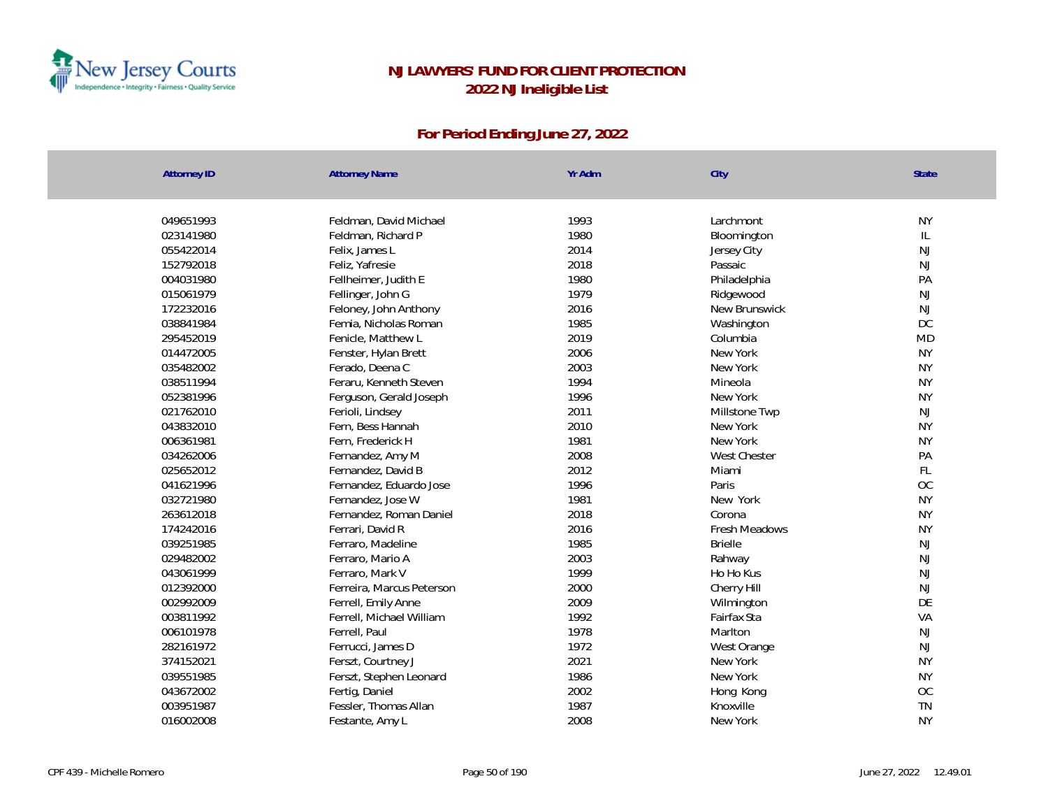

| <b>Attorney ID</b> | <b>Attorney Name</b>      | Yr Adm | City                | <b>State</b> |
|--------------------|---------------------------|--------|---------------------|--------------|
|                    |                           |        |                     |              |
| 049651993          | Feldman, David Michael    | 1993   | Larchmont           | <b>NY</b>    |
| 023141980          | Feldman, Richard P        | 1980   | Bloomington         | IL           |
| 055422014          | Felix, James L            | 2014   | Jersey City         | NJ           |
| 152792018          | Feliz, Yafresie           | 2018   | Passaic             | NJ           |
| 004031980          | Fellheimer, Judith E      | 1980   | Philadelphia        | PA           |
| 015061979          | Fellinger, John G         | 1979   | Ridgewood           | NJ           |
| 172232016          | Feloney, John Anthony     | 2016   | New Brunswick       | NJ           |
| 038841984          | Femia, Nicholas Roman     | 1985   | Washington          | DC           |
| 295452019          | Fenicle, Matthew L        | 2019   | Columbia            | <b>MD</b>    |
| 014472005          | Fenster, Hylan Brett      | 2006   | New York            | <b>NY</b>    |
| 035482002          | Ferado, Deena C           | 2003   | New York            | <b>NY</b>    |
| 038511994          | Feraru, Kenneth Steven    | 1994   | Mineola             | <b>NY</b>    |
| 052381996          | Ferguson, Gerald Joseph   | 1996   | New York            | <b>NY</b>    |
| 021762010          | Ferioli, Lindsey          | 2011   | Millstone Twp       | <b>NJ</b>    |
| 043832010          | Fern, Bess Hannah         | 2010   | New York            | <b>NY</b>    |
| 006361981          | Fern, Frederick H         | 1981   | New York            | <b>NY</b>    |
| 034262006          | Fernandez, Amy M          | 2008   | <b>West Chester</b> | PA           |
| 025652012          | Fernandez, David B        | 2012   | Miami               | FL           |
| 041621996          | Fernandez, Eduardo Jose   | 1996   | Paris               | <b>OC</b>    |
| 032721980          | Fernandez, Jose W         | 1981   | New York            | <b>NY</b>    |
| 263612018          | Fernandez, Roman Daniel   | 2018   | Corona              | <b>NY</b>    |
| 174242016          | Ferrari, David R          | 2016   | Fresh Meadows       | <b>NY</b>    |
| 039251985          | Ferraro, Madeline         | 1985   | <b>Brielle</b>      | NJ           |
| 029482002          | Ferraro, Mario A          | 2003   | Rahway              | NJ           |
| 043061999          | Ferraro, Mark V           | 1999   | Ho Ho Kus           | NJ           |
| 012392000          | Ferreira, Marcus Peterson | 2000   | Cherry Hill         | NJ           |
| 002992009          | Ferrell, Emily Anne       | 2009   | Wilmington          | DE           |
| 003811992          | Ferrell, Michael William  | 1992   | Fairfax Sta         | VA           |
| 006101978          | Ferrell, Paul             | 1978   | Marlton             | NJ           |
| 282161972          | Ferrucci, James D         | 1972   | West Orange         | NJ           |
| 374152021          | Ferszt, Courtney J        | 2021   | New York            | <b>NY</b>    |
| 039551985          | Ferszt, Stephen Leonard   | 1986   | New York            | <b>NY</b>    |
| 043672002          | Fertig, Daniel            | 2002   | Hong Kong           | OC           |
| 003951987          | Fessler, Thomas Allan     | 1987   | Knoxville           | <b>TN</b>    |
| 016002008          | Festante, Amy L           | 2008   | New York            | <b>NY</b>    |
|                    |                           |        |                     |              |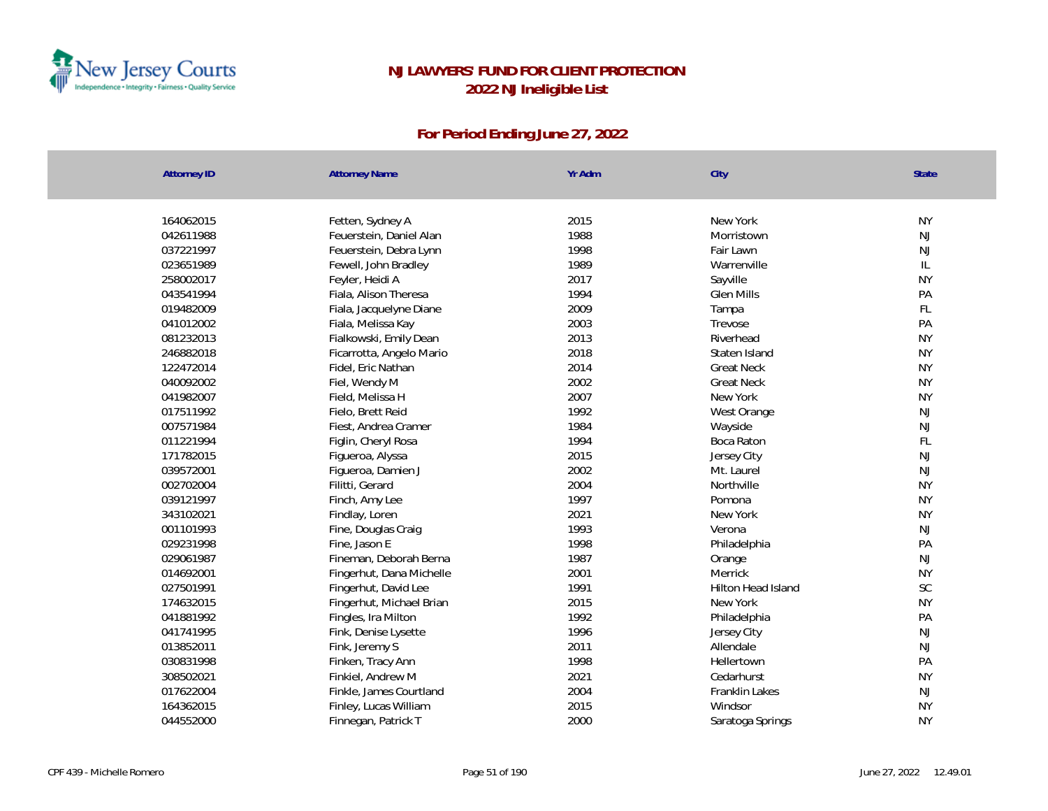

| <b>Attorney ID</b> | <b>Attorney Name</b>     | Yr Adm | City               | State     |
|--------------------|--------------------------|--------|--------------------|-----------|
|                    |                          |        |                    |           |
| 164062015          | Fetten, Sydney A         | 2015   | New York           | <b>NY</b> |
| 042611988          | Feuerstein, Daniel Alan  | 1988   | Morristown         | NJ        |
| 037221997          | Feuerstein, Debra Lynn   | 1998   | Fair Lawn          | NJ        |
| 023651989          | Fewell, John Bradley     | 1989   | Warrenville        | L         |
| 258002017          | Feyler, Heidi A          | 2017   | Sayville           | <b>NY</b> |
| 043541994          | Fiala, Alison Theresa    | 1994   | <b>Glen Mills</b>  | PA        |
| 019482009          | Fiala, Jacquelyne Diane  | 2009   | Tampa              | FL        |
| 041012002          | Fiala, Melissa Kay       | 2003   | Trevose            | PA        |
| 081232013          | Fialkowski, Emily Dean   | 2013   | Riverhead          | <b>NY</b> |
| 246882018          | Ficarrotta, Angelo Mario | 2018   | Staten Island      | <b>NY</b> |
| 122472014          | Fidel, Eric Nathan       | 2014   | <b>Great Neck</b>  | <b>NY</b> |
| 040092002          | Fiel, Wendy M            | 2002   | <b>Great Neck</b>  | <b>NY</b> |
| 041982007          | Field, Melissa H         | 2007   | New York           | <b>NY</b> |
| 017511992          | Fielo, Brett Reid        | 1992   | West Orange        | NJ        |
| 007571984          | Fiest, Andrea Cramer     | 1984   | Wayside            | NJ        |
| 011221994          | Figlin, Cheryl Rosa      | 1994   | Boca Raton         | FL        |
| 171782015          | Figueroa, Alyssa         | 2015   | Jersey City        | NJ        |
| 039572001          | Figueroa, Damien J       | 2002   | Mt. Laurel         | NJ        |
| 002702004          | Filitti, Gerard          | 2004   | Northville         | <b>NY</b> |
| 039121997          | Finch, Amy Lee           | 1997   | Pomona             | <b>NY</b> |
| 343102021          | Findlay, Loren           | 2021   | New York           | <b>NY</b> |
| 001101993          | Fine, Douglas Craig      | 1993   | Verona             | NJ        |
| 029231998          | Fine, Jason E            | 1998   | Philadelphia       | PA        |
| 029061987          | Fineman, Deborah Berna   | 1987   | Orange             | NJ        |
| 014692001          | Fingerhut, Dana Michelle | 2001   | Merrick            | <b>NY</b> |
| 027501991          | Fingerhut, David Lee     | 1991   | Hilton Head Island | SC        |
| 174632015          | Fingerhut, Michael Brian | 2015   | New York           | <b>NY</b> |
| 041881992          | Fingles, Ira Milton      | 1992   | Philadelphia       | PA        |
| 041741995          | Fink, Denise Lysette     | 1996   | Jersey City        | NJ        |
| 013852011          | Fink, Jeremy S           | 2011   | Allendale          | NJ        |
| 030831998          | Finken, Tracy Ann        | 1998   | Hellertown         | PA        |
| 308502021          | Finkiel, Andrew M        | 2021   | Cedarhurst         | <b>NY</b> |
| 017622004          | Finkle, James Courtland  | 2004   | Franklin Lakes     | NJ        |
| 164362015          | Finley, Lucas William    | 2015   | Windsor            | <b>NY</b> |
| 044552000          | Finnegan, Patrick T      | 2000   | Saratoga Springs   | <b>NY</b> |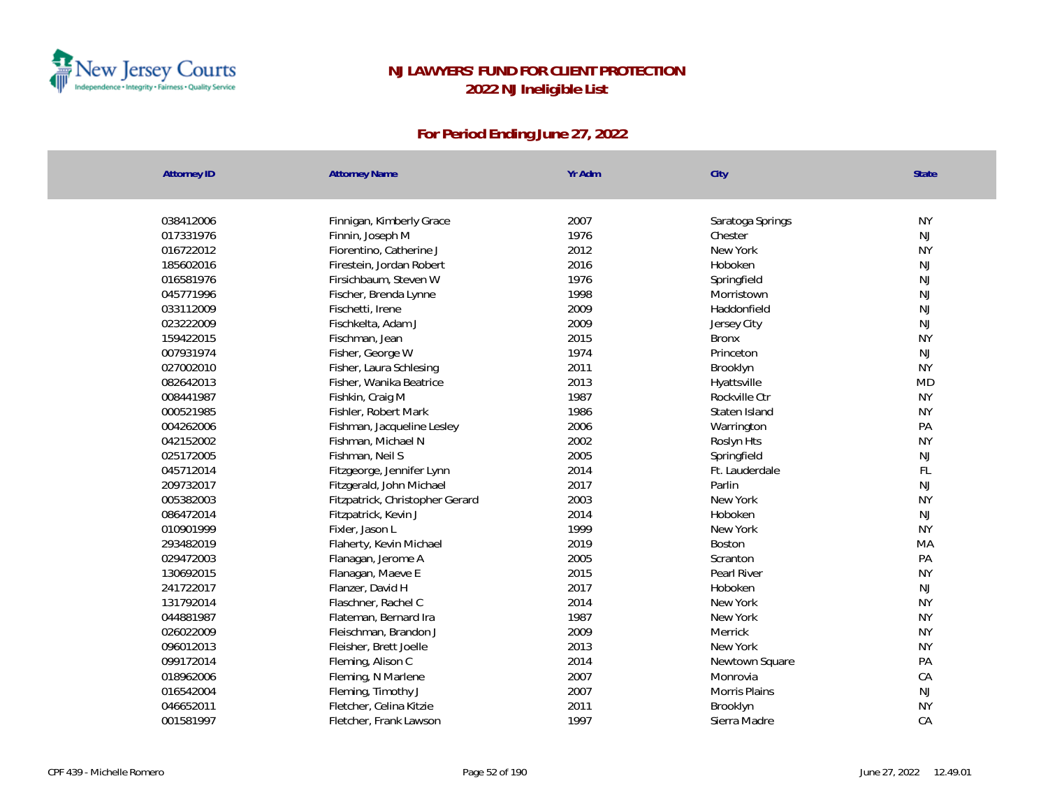

| <b>Attorney ID</b> | <b>Attorney Name</b>            | Yr Adm | City             | <b>State</b>  |
|--------------------|---------------------------------|--------|------------------|---------------|
|                    |                                 |        |                  |               |
| 038412006          | Finnigan, Kimberly Grace        | 2007   | Saratoga Springs | <b>NY</b>     |
| 017331976          | Finnin, Joseph M                | 1976   | Chester          | NJ            |
| 016722012          | Fiorentino, Catherine J         | 2012   | New York         | <b>NY</b>     |
| 185602016          | Firestein, Jordan Robert        | 2016   | Hoboken          | <b>NJ</b>     |
| 016581976          | Firsichbaum, Steven W           | 1976   | Springfield      | NJ            |
| 045771996          | Fischer, Brenda Lynne           | 1998   | Morristown       | NJ            |
| 033112009          | Fischetti, Irene                | 2009   | Haddonfield      | $\mathsf{NJ}$ |
| 023222009          | Fischkelta, Adam J              | 2009   | Jersey City      | NJ            |
| 159422015          | Fischman, Jean                  | 2015   | <b>Bronx</b>     | <b>NY</b>     |
| 007931974          | Fisher, George W                | 1974   | Princeton        | <b>NJ</b>     |
| 027002010          | Fisher, Laura Schlesing         | 2011   | Brooklyn         | <b>NY</b>     |
| 082642013          | Fisher, Wanika Beatrice         | 2013   | Hyattsville      | <b>MD</b>     |
| 008441987          | Fishkin, Craig M                | 1987   | Rockville Ctr    | <b>NY</b>     |
| 000521985          | Fishler, Robert Mark            | 1986   | Staten Island    | <b>NY</b>     |
| 004262006          | Fishman, Jacqueline Lesley      | 2006   | Warrington       | PA            |
| 042152002          | Fishman, Michael N              | 2002   | Roslyn Hts       | <b>NY</b>     |
| 025172005          | Fishman, Neil S                 | 2005   | Springfield      | NJ            |
| 045712014          | Fitzgeorge, Jennifer Lynn       | 2014   | Ft. Lauderdale   | FL            |
| 209732017          | Fitzgerald, John Michael        | 2017   | Parlin           | NJ            |
| 005382003          | Fitzpatrick, Christopher Gerard | 2003   | New York         | <b>NY</b>     |
| 086472014          | Fitzpatrick, Kevin J            | 2014   | Hoboken          | NJ            |
| 010901999          | Fixler, Jason L                 | 1999   | New York         | <b>NY</b>     |
| 293482019          | Flaherty, Kevin Michael         | 2019   | <b>Boston</b>    | MA            |
| 029472003          | Flanagan, Jerome A              | 2005   | Scranton         | PA            |
| 130692015          | Flanagan, Maeve E               | 2015   | Pearl River      | <b>NY</b>     |
| 241722017          | Flanzer, David H                | 2017   | Hoboken          | NJ            |
| 131792014          | Flaschner, Rachel C             | 2014   | New York         | <b>NY</b>     |
| 044881987          | Flateman, Bernard Ira           | 1987   | New York         | <b>NY</b>     |
| 026022009          | Fleischman, Brandon J           | 2009   | Merrick          | <b>NY</b>     |
| 096012013          | Fleisher, Brett Joelle          | 2013   | New York         | <b>NY</b>     |
| 099172014          | Fleming, Alison C               | 2014   | Newtown Square   | PA            |
| 018962006          | Fleming, N Marlene              | 2007   | Monrovia         | CA            |
| 016542004          | Fleming, Timothy J              | 2007   | Morris Plains    | NJ            |
| 046652011          | Fletcher, Celina Kitzie         | 2011   | Brooklyn         | <b>NY</b>     |
| 001581997          | Fletcher, Frank Lawson          | 1997   | Sierra Madre     | CA            |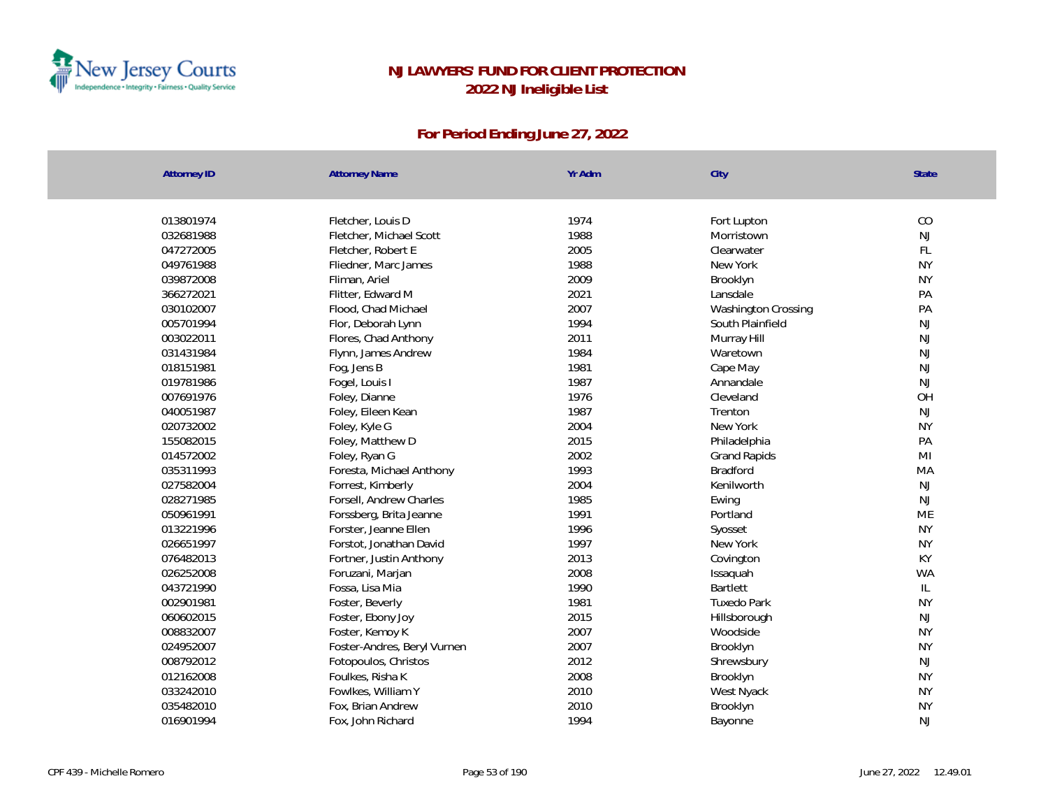

| 013801974<br>Fletcher, Louis D<br>1974<br>Fort Lupton<br>1988<br>032681988<br>Fletcher, Michael Scott<br>Morristown<br>2005<br>047272005<br>Fletcher, Robert E<br>Clearwater<br>1988<br>049761988<br>Fliedner, Marc James<br>New York<br>039872008<br>Fliman, Ariel<br>2009<br>Brooklyn | CO<br>NJ<br>FL<br><b>NY</b><br><b>NY</b><br>PA<br>PA<br>NJ<br>NJ |
|-----------------------------------------------------------------------------------------------------------------------------------------------------------------------------------------------------------------------------------------------------------------------------------------|------------------------------------------------------------------|
|                                                                                                                                                                                                                                                                                         |                                                                  |
|                                                                                                                                                                                                                                                                                         |                                                                  |
|                                                                                                                                                                                                                                                                                         |                                                                  |
|                                                                                                                                                                                                                                                                                         |                                                                  |
|                                                                                                                                                                                                                                                                                         |                                                                  |
|                                                                                                                                                                                                                                                                                         |                                                                  |
| 2021<br>366272021<br>Flitter, Edward M<br>Lansdale                                                                                                                                                                                                                                      |                                                                  |
| 030102007<br>2007<br>Flood, Chad Michael<br>Washington Crossing                                                                                                                                                                                                                         |                                                                  |
| 1994<br>005701994<br>Flor, Deborah Lynn<br>South Plainfield                                                                                                                                                                                                                             |                                                                  |
| 2011<br>003022011<br>Flores, Chad Anthony<br>Murray Hill                                                                                                                                                                                                                                |                                                                  |
| 1984<br>031431984<br>Flynn, James Andrew<br>Waretown                                                                                                                                                                                                                                    | <b>NJ</b>                                                        |
| 018151981<br>1981<br>Fog, Jens B<br>Cape May                                                                                                                                                                                                                                            | <b>NJ</b>                                                        |
| 1987<br>019781986<br>Fogel, Louis I<br>Annandale                                                                                                                                                                                                                                        | <b>NJ</b>                                                        |
| 007691976<br>1976<br>Foley, Dianne<br>Cleveland                                                                                                                                                                                                                                         | OH                                                               |
| 1987<br>040051987<br>Foley, Eileen Kean<br>Trenton                                                                                                                                                                                                                                      | NJ                                                               |
| 2004<br>020732002<br>New York<br>Foley, Kyle G                                                                                                                                                                                                                                          | <b>NY</b>                                                        |
| 2015<br>155082015<br>Foley, Matthew D<br>Philadelphia                                                                                                                                                                                                                                   | PA                                                               |
| 2002<br>014572002<br>Foley, Ryan G<br><b>Grand Rapids</b>                                                                                                                                                                                                                               | MI                                                               |
| 035311993<br>1993<br>Foresta, Michael Anthony<br>Bradford                                                                                                                                                                                                                               | MA                                                               |
| 027582004<br>2004<br>Kenilworth<br>Forrest, Kimberly                                                                                                                                                                                                                                    | $\mathsf{NJ}$                                                    |
| 028271985<br>1985<br>Forsell, Andrew Charles<br>Ewing                                                                                                                                                                                                                                   | <b>NJ</b>                                                        |
| 050961991<br>1991<br>Portland<br>Forssberg, Brita Jeanne                                                                                                                                                                                                                                | ME                                                               |
| 1996<br>013221996<br>Forster, Jeanne Ellen<br>Syosset                                                                                                                                                                                                                                   | <b>NY</b>                                                        |
| 1997<br>026651997<br>New York<br>Forstot, Jonathan David                                                                                                                                                                                                                                | <b>NY</b>                                                        |
| 076482013<br>2013<br>Fortner, Justin Anthony<br>Covington                                                                                                                                                                                                                               | KY                                                               |
| 026252008<br>2008<br>Foruzani, Marjan<br>Issaquah                                                                                                                                                                                                                                       | <b>WA</b>                                                        |
| 043721990<br>1990<br>Fossa, Lisa Mia<br><b>Bartlett</b>                                                                                                                                                                                                                                 | IL                                                               |
| 1981<br>002901981<br>Foster, Beverly<br><b>Tuxedo Park</b>                                                                                                                                                                                                                              | <b>NY</b>                                                        |
| 060602015<br>2015<br>Foster, Ebony Joy<br>Hillsborough                                                                                                                                                                                                                                  | NJ                                                               |
| 2007<br>008832007<br>Foster, Kemoy K<br>Woodside                                                                                                                                                                                                                                        | <b>NY</b>                                                        |
| 2007<br>024952007<br>Foster-Andres, Beryl Vurnen<br>Brooklyn                                                                                                                                                                                                                            | <b>NY</b>                                                        |
| 2012<br>008792012<br>Fotopoulos, Christos<br>Shrewsbury                                                                                                                                                                                                                                 | NJ                                                               |
| 2008<br>012162008<br>Foulkes, Risha K<br>Brooklyn                                                                                                                                                                                                                                       | <b>NY</b>                                                        |
| 033242010<br>Fowlkes, William Y<br>2010<br>West Nyack                                                                                                                                                                                                                                   | <b>NY</b>                                                        |
| 2010<br>035482010<br>Fox, Brian Andrew<br>Brooklyn                                                                                                                                                                                                                                      | <b>NY</b>                                                        |
| 1994<br>016901994<br>Fox, John Richard<br>Bayonne                                                                                                                                                                                                                                       | <b>NJ</b>                                                        |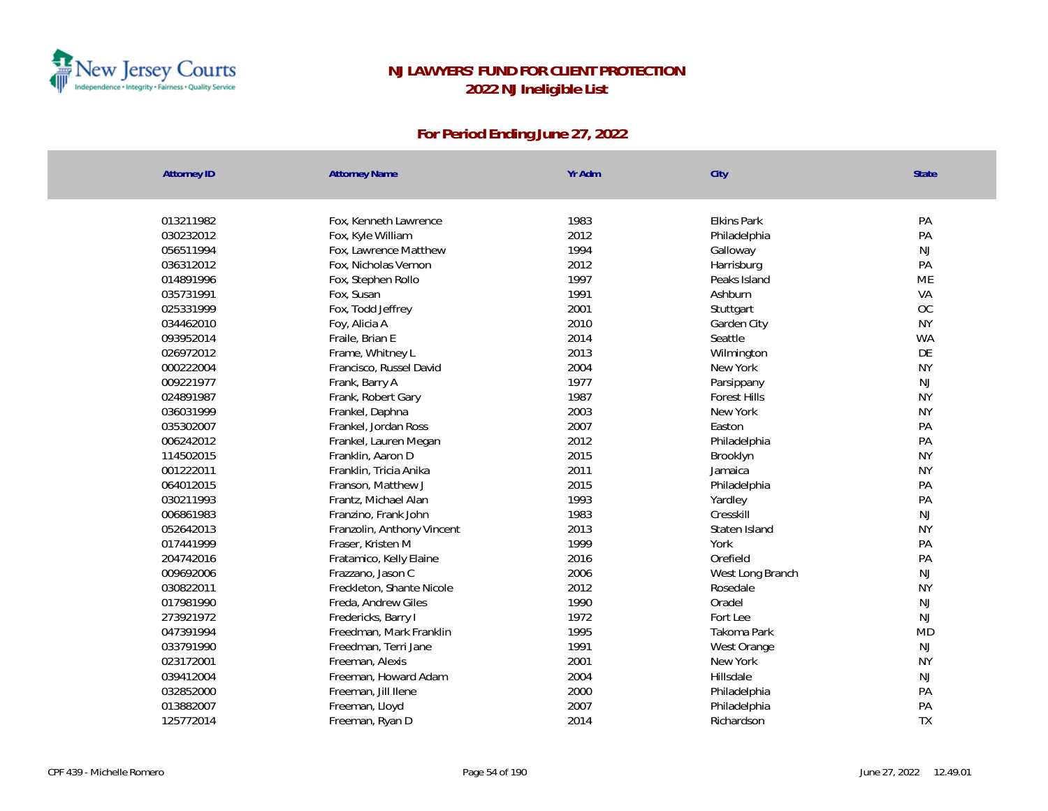

| <b>Attorney ID</b> | <b>Attorney Name</b>       | Yr Adm | City                | <b>State</b>  |
|--------------------|----------------------------|--------|---------------------|---------------|
|                    |                            |        |                     |               |
| 013211982          | Fox, Kenneth Lawrence      | 1983   | <b>Elkins Park</b>  | PA            |
| 030232012          | Fox, Kyle William          | 2012   | Philadelphia        | PA            |
| 056511994          | Fox, Lawrence Matthew      | 1994   | Galloway            | NJ            |
| 036312012          | Fox, Nicholas Vernon       | 2012   | Harrisburg          | PA            |
| 014891996          | Fox, Stephen Rollo         | 1997   | Peaks Island        | ME            |
| 035731991          | Fox, Susan                 | 1991   | Ashburn             | VA            |
| 025331999          | Fox, Todd Jeffrey          | 2001   | Stuttgart           | OC            |
| 034462010          | Foy, Alicia A              | 2010   | Garden City         | <b>NY</b>     |
| 093952014          | Fraile, Brian E            | 2014   | Seattle             | <b>WA</b>     |
| 026972012          | Frame, Whitney L           | 2013   | Wilmington          | DE            |
| 000222004          | Francisco, Russel David    | 2004   | New York            | <b>NY</b>     |
| 009221977          | Frank, Barry A             | 1977   | Parsippany          | NJ            |
| 024891987          | Frank, Robert Gary         | 1987   | <b>Forest Hills</b> | <b>NY</b>     |
| 036031999          | Frankel, Daphna            | 2003   | New York            | <b>NY</b>     |
| 035302007          | Frankel, Jordan Ross       | 2007   | Easton              | PA            |
| 006242012          | Frankel, Lauren Megan      | 2012   | Philadelphia        | PA            |
| 114502015          | Franklin, Aaron D          | 2015   | Brooklyn            | <b>NY</b>     |
| 001222011          | Franklin, Tricia Anika     | 2011   | Jamaica             | <b>NY</b>     |
| 064012015          | Franson, Matthew J         | 2015   | Philadelphia        | PA            |
| 030211993          | Frantz, Michael Alan       | 1993   | Yardley             | PA            |
| 006861983          | Franzino, Frank John       | 1983   | Cresskill           | NJ            |
| 052642013          | Franzolin, Anthony Vincent | 2013   | Staten Island       | <b>NY</b>     |
| 017441999          | Fraser, Kristen M          | 1999   | York                | PA            |
| 204742016          | Fratamico, Kelly Elaine    | 2016   | Orefield            | PA            |
| 009692006          | Frazzano, Jason C          | 2006   | West Long Branch    | $\mathsf{NJ}$ |
| 030822011          | Freckleton, Shante Nicole  | 2012   | Rosedale            | <b>NY</b>     |
| 017981990          | Freda, Andrew Giles        | 1990   | Oradel              | NJ            |
| 273921972          | Fredericks, Barry I        | 1972   | Fortlee             | NJ            |
| 047391994          | Freedman, Mark Franklin    | 1995   | Takoma Park         | MD            |
| 033791990          | Freedman, Terri Jane       | 1991   | West Orange         | <b>NJ</b>     |
| 023172001          | Freeman, Alexis            | 2001   | New York            | <b>NY</b>     |
| 039412004          | Freeman, Howard Adam       | 2004   | Hillsdale           | $\mathsf{NJ}$ |
| 032852000          | Freeman, Jill Ilene        | 2000   | Philadelphia        | PA            |
| 013882007          | Freeman, Lloyd             | 2007   | Philadelphia        | PA            |
| 125772014          | Freeman, Ryan D            | 2014   | Richardson          | <b>TX</b>     |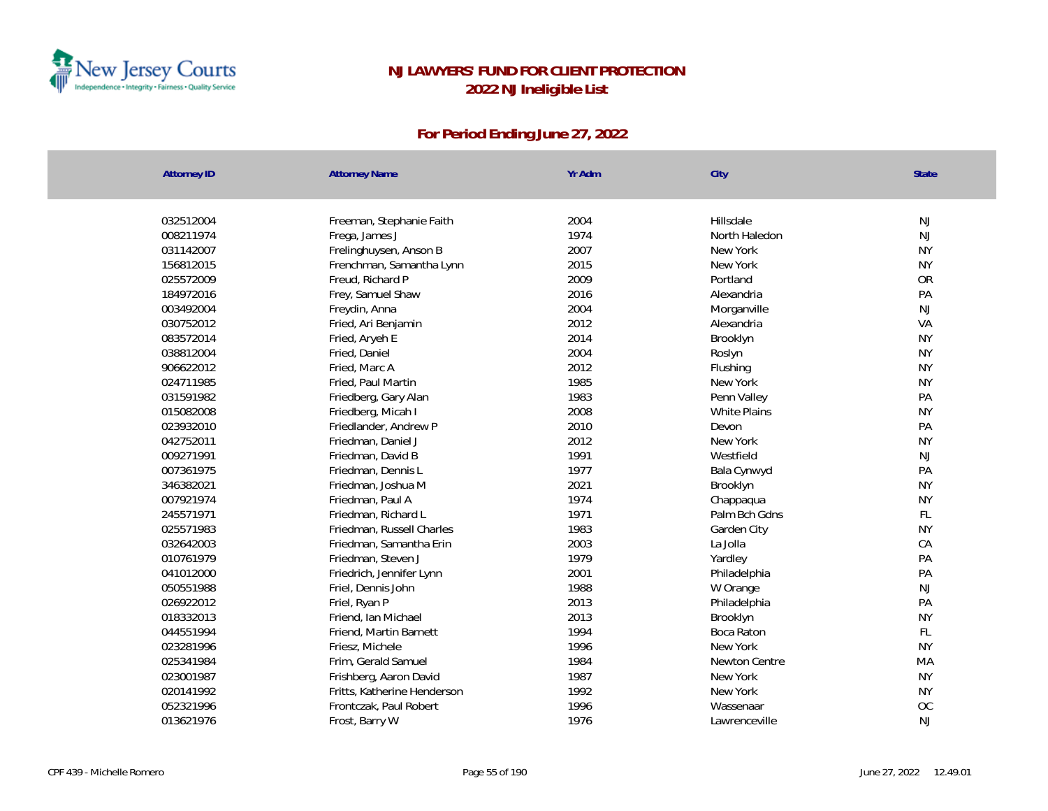

| <b>Attorney ID</b> | <b>Attorney Name</b>        | Yr Adm | City          | State     |
|--------------------|-----------------------------|--------|---------------|-----------|
|                    |                             |        |               |           |
| 032512004          | Freeman, Stephanie Faith    | 2004   | Hillsdale     | NJ        |
| 008211974          | Frega, James J              | 1974   | North Haledon | NJ        |
| 031142007          | Frelinghuysen, Anson B      | 2007   | New York      | <b>NY</b> |
| 156812015          | Frenchman, Samantha Lynn    | 2015   | New York      | <b>NY</b> |
| 025572009          | Freud, Richard P            | 2009   | Portland      | OR        |
| 184972016          | Frey, Samuel Shaw           | 2016   | Alexandria    | PA        |
| 003492004          | Freydin, Anna               | 2004   | Morganville   | NJ        |
| 030752012          | Fried, Ari Benjamin         | 2012   | Alexandria    | VA        |
| 083572014          | Fried, Aryeh E              | 2014   | Brooklyn      | <b>NY</b> |
| 038812004          | Fried, Daniel               | 2004   | Roslyn        | <b>NY</b> |
| 906622012          | Fried, Marc A               | 2012   | Flushing      | <b>NY</b> |
| 024711985          | Fried, Paul Martin          | 1985   | New York      | <b>NY</b> |
| 031591982          | Friedberg, Gary Alan        | 1983   | Penn Valley   | PA        |
| 015082008          | Friedberg, Micah I          | 2008   | White Plains  | <b>NY</b> |
| 023932010          | Friedlander, Andrew P       | 2010   | Devon         | PA        |
| 042752011          | Friedman, Daniel J          | 2012   | New York      | <b>NY</b> |
| 009271991          | Friedman, David B           | 1991   | Westfield     | NJ        |
| 007361975          | Friedman, Dennis L          | 1977   | Bala Cynwyd   | PA        |
| 346382021          | Friedman, Joshua M          | 2021   | Brooklyn      | <b>NY</b> |
| 007921974          | Friedman, Paul A            | 1974   | Chappaqua     | <b>NY</b> |
| 245571971          | Friedman, Richard L         | 1971   | Palm Bch Gdns | FL        |
| 025571983          | Friedman, Russell Charles   | 1983   | Garden City   | <b>NY</b> |
| 032642003          | Friedman, Samantha Erin     | 2003   | La Jolla      | CA        |
| 010761979          | Friedman, Steven J          | 1979   | Yardley       | PA        |
| 041012000          | Friedrich, Jennifer Lynn    | 2001   | Philadelphia  | PA        |
| 050551988          | Friel, Dennis John          | 1988   | W Orange      | NJ        |
| 026922012          | Friel, Ryan P               | 2013   | Philadelphia  | PA        |
| 018332013          | Friend, Ian Michael         | 2013   | Brooklyn      | <b>NY</b> |
| 044551994          | Friend, Martin Barnett      | 1994   | Boca Raton    | FL        |
| 023281996          | Friesz, Michele             | 1996   | New York      | <b>NY</b> |
| 025341984          | Frim, Gerald Samuel         | 1984   | Newton Centre | MA        |
| 023001987          | Frishberg, Aaron David      | 1987   | New York      | <b>NY</b> |
| 020141992          | Fritts, Katherine Henderson | 1992   | New York      | <b>NY</b> |
| 052321996          | Frontczak, Paul Robert      | 1996   | Wassenaar     | OC        |
| 013621976          | Frost, Barry W              | 1976   | Lawrenceville | <b>NJ</b> |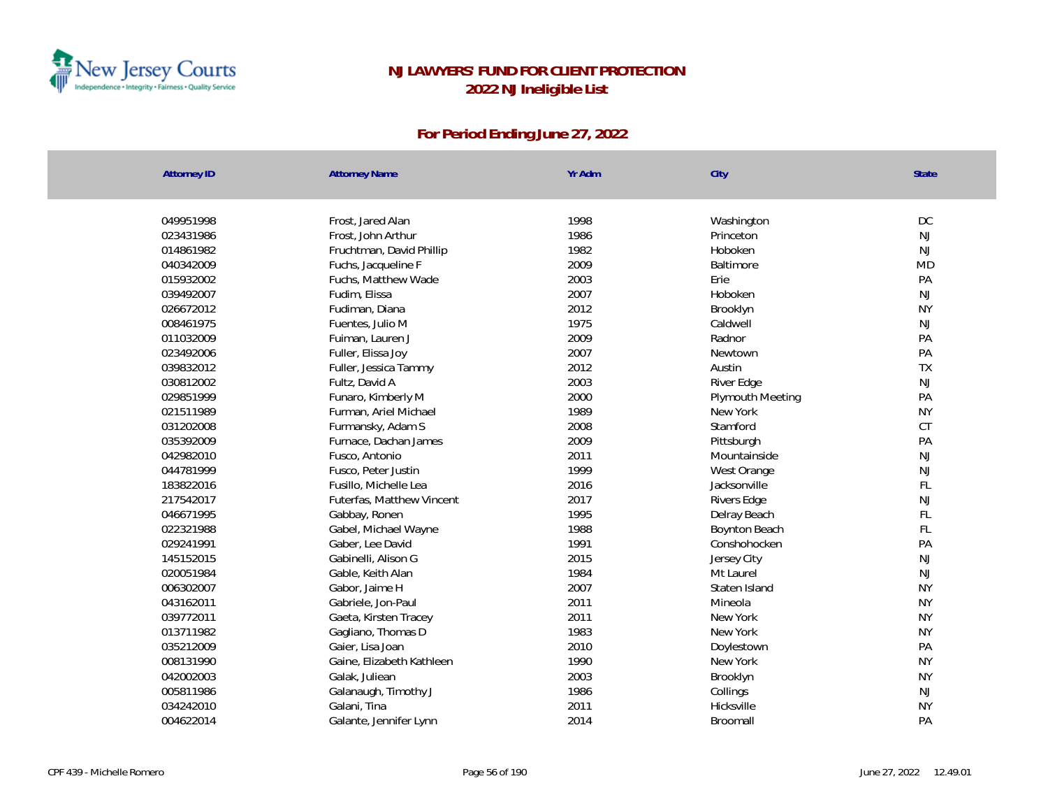

| 1998<br>DC<br>049951998<br>Frost, Jared Alan<br>Washington<br>Frost, John Arthur<br>1986<br>NJ<br>023431986<br>Princeton<br>1982<br>NJ<br>014861982<br>Fruchtman, David Phillip<br>Hoboken<br>2009<br><b>MD</b><br>040342009<br>Fuchs, Jacqueline F<br>Baltimore<br>2003<br>PA<br>015932002<br>Fuchs, Matthew Wade<br>Erie<br>2007<br>NJ<br>039492007<br>Fudim, Elissa<br>Hoboken<br><b>NY</b><br>2012<br>026672012<br>Fudiman, Diana<br>Brooklyn<br>1975<br>008461975<br>NJ<br>Fuentes, Julio M<br>Caldwell<br>011032009<br>2009<br>PA<br>Fuiman, Lauren J<br>Radnor<br>PA<br>2007<br>023492006<br>Fuller, Elissa Joy<br>Newtown<br>2012<br>TX<br>039832012<br>Austin<br>Fuller, Jessica Tammy<br>2003<br>NJ<br>030812002<br>Fultz, David A<br>River Edge<br>2000<br>029851999<br>Funaro, Kimberly M<br>PA<br>Plymouth Meeting<br><b>NY</b><br>021511989<br>Furman, Ariel Michael<br>1989<br>New York<br>2008<br>CT<br>031202008<br>Furmansky, Adam S<br>Stamford<br>2009<br>PA<br>035392009<br>Furnace, Dachan James<br>Pittsburgh<br>NJ<br>042982010<br>Fusco, Antonio<br>2011<br>Mountainside<br>1999<br>NJ<br>044781999<br>Fusco, Peter Justin<br>West Orange<br>FL<br>183822016<br>2016<br>Fusillo, Michelle Lea<br>Jacksonville<br>NJ<br>217542017<br>2017<br>Rivers Edge<br>Futerfas, Matthew Vincent<br>1995<br>FL<br>046671995<br>Gabbay, Ronen<br>Delray Beach<br>FL<br>022321988<br>1988<br>Gabel, Michael Wayne<br>Boynton Beach<br>1991<br>PA<br>029241991<br>Gaber, Lee David<br>Conshohocken<br>145152015<br>2015<br>NJ<br>Gabinelli, Alison G<br>Jersey City<br>020051984<br>1984<br>$\mathsf{NJ}$<br>Gable, Keith Alan<br>Mt Laurel<br>2007<br><b>NY</b><br>006302007<br>Gabor, Jaime H<br>Staten Island<br>2011<br>043162011<br>Gabriele, Jon-Paul<br>Mineola<br><b>NY</b><br>2011<br>039772011<br><b>NY</b><br>Gaeta, Kirsten Tracey<br>New York<br>013711982<br>1983<br>New York<br><b>NY</b><br>Gagliano, Thomas D<br>Gaier, Lisa Joan<br>2010<br>PA<br>035212009<br>Doylestown<br>1990<br><b>NY</b><br>008131990<br>Gaine, Elizabeth Kathleen<br>New York<br>2003<br><b>NY</b><br>042002003<br>Galak, Juliean<br>Brooklyn<br>NJ<br>005811986<br>1986<br>Galanaugh, Timothy J<br>Collings<br>2011<br>Hicksville<br><b>NY</b><br>034242010<br>Galani, Tina<br>PA<br>2014<br>004622014<br>Galante, Jennifer Lynn<br>Broomall | <b>Attorney ID</b> | <b>Attorney Name</b> | Yr Adm | City | <b>State</b> |
|--------------------------------------------------------------------------------------------------------------------------------------------------------------------------------------------------------------------------------------------------------------------------------------------------------------------------------------------------------------------------------------------------------------------------------------------------------------------------------------------------------------------------------------------------------------------------------------------------------------------------------------------------------------------------------------------------------------------------------------------------------------------------------------------------------------------------------------------------------------------------------------------------------------------------------------------------------------------------------------------------------------------------------------------------------------------------------------------------------------------------------------------------------------------------------------------------------------------------------------------------------------------------------------------------------------------------------------------------------------------------------------------------------------------------------------------------------------------------------------------------------------------------------------------------------------------------------------------------------------------------------------------------------------------------------------------------------------------------------------------------------------------------------------------------------------------------------------------------------------------------------------------------------------------------------------------------------------------------------------------------------------------------------------------------------------------------------------------------------------------------------------------------------------------------------------------------------------------------------------------------------------------------------------------------------------------------------------------------|--------------------|----------------------|--------|------|--------------|
|                                                                                                                                                                                                                                                                                                                                                                                                                                                                                                                                                                                                                                                                                                                                                                                                                                                                                                                                                                                                                                                                                                                                                                                                                                                                                                                                                                                                                                                                                                                                                                                                                                                                                                                                                                                                                                                                                                                                                                                                                                                                                                                                                                                                                                                                                                                                                  |                    |                      |        |      |              |
|                                                                                                                                                                                                                                                                                                                                                                                                                                                                                                                                                                                                                                                                                                                                                                                                                                                                                                                                                                                                                                                                                                                                                                                                                                                                                                                                                                                                                                                                                                                                                                                                                                                                                                                                                                                                                                                                                                                                                                                                                                                                                                                                                                                                                                                                                                                                                  |                    |                      |        |      |              |
|                                                                                                                                                                                                                                                                                                                                                                                                                                                                                                                                                                                                                                                                                                                                                                                                                                                                                                                                                                                                                                                                                                                                                                                                                                                                                                                                                                                                                                                                                                                                                                                                                                                                                                                                                                                                                                                                                                                                                                                                                                                                                                                                                                                                                                                                                                                                                  |                    |                      |        |      |              |
|                                                                                                                                                                                                                                                                                                                                                                                                                                                                                                                                                                                                                                                                                                                                                                                                                                                                                                                                                                                                                                                                                                                                                                                                                                                                                                                                                                                                                                                                                                                                                                                                                                                                                                                                                                                                                                                                                                                                                                                                                                                                                                                                                                                                                                                                                                                                                  |                    |                      |        |      |              |
|                                                                                                                                                                                                                                                                                                                                                                                                                                                                                                                                                                                                                                                                                                                                                                                                                                                                                                                                                                                                                                                                                                                                                                                                                                                                                                                                                                                                                                                                                                                                                                                                                                                                                                                                                                                                                                                                                                                                                                                                                                                                                                                                                                                                                                                                                                                                                  |                    |                      |        |      |              |
|                                                                                                                                                                                                                                                                                                                                                                                                                                                                                                                                                                                                                                                                                                                                                                                                                                                                                                                                                                                                                                                                                                                                                                                                                                                                                                                                                                                                                                                                                                                                                                                                                                                                                                                                                                                                                                                                                                                                                                                                                                                                                                                                                                                                                                                                                                                                                  |                    |                      |        |      |              |
|                                                                                                                                                                                                                                                                                                                                                                                                                                                                                                                                                                                                                                                                                                                                                                                                                                                                                                                                                                                                                                                                                                                                                                                                                                                                                                                                                                                                                                                                                                                                                                                                                                                                                                                                                                                                                                                                                                                                                                                                                                                                                                                                                                                                                                                                                                                                                  |                    |                      |        |      |              |
|                                                                                                                                                                                                                                                                                                                                                                                                                                                                                                                                                                                                                                                                                                                                                                                                                                                                                                                                                                                                                                                                                                                                                                                                                                                                                                                                                                                                                                                                                                                                                                                                                                                                                                                                                                                                                                                                                                                                                                                                                                                                                                                                                                                                                                                                                                                                                  |                    |                      |        |      |              |
|                                                                                                                                                                                                                                                                                                                                                                                                                                                                                                                                                                                                                                                                                                                                                                                                                                                                                                                                                                                                                                                                                                                                                                                                                                                                                                                                                                                                                                                                                                                                                                                                                                                                                                                                                                                                                                                                                                                                                                                                                                                                                                                                                                                                                                                                                                                                                  |                    |                      |        |      |              |
|                                                                                                                                                                                                                                                                                                                                                                                                                                                                                                                                                                                                                                                                                                                                                                                                                                                                                                                                                                                                                                                                                                                                                                                                                                                                                                                                                                                                                                                                                                                                                                                                                                                                                                                                                                                                                                                                                                                                                                                                                                                                                                                                                                                                                                                                                                                                                  |                    |                      |        |      |              |
|                                                                                                                                                                                                                                                                                                                                                                                                                                                                                                                                                                                                                                                                                                                                                                                                                                                                                                                                                                                                                                                                                                                                                                                                                                                                                                                                                                                                                                                                                                                                                                                                                                                                                                                                                                                                                                                                                                                                                                                                                                                                                                                                                                                                                                                                                                                                                  |                    |                      |        |      |              |
|                                                                                                                                                                                                                                                                                                                                                                                                                                                                                                                                                                                                                                                                                                                                                                                                                                                                                                                                                                                                                                                                                                                                                                                                                                                                                                                                                                                                                                                                                                                                                                                                                                                                                                                                                                                                                                                                                                                                                                                                                                                                                                                                                                                                                                                                                                                                                  |                    |                      |        |      |              |
|                                                                                                                                                                                                                                                                                                                                                                                                                                                                                                                                                                                                                                                                                                                                                                                                                                                                                                                                                                                                                                                                                                                                                                                                                                                                                                                                                                                                                                                                                                                                                                                                                                                                                                                                                                                                                                                                                                                                                                                                                                                                                                                                                                                                                                                                                                                                                  |                    |                      |        |      |              |
|                                                                                                                                                                                                                                                                                                                                                                                                                                                                                                                                                                                                                                                                                                                                                                                                                                                                                                                                                                                                                                                                                                                                                                                                                                                                                                                                                                                                                                                                                                                                                                                                                                                                                                                                                                                                                                                                                                                                                                                                                                                                                                                                                                                                                                                                                                                                                  |                    |                      |        |      |              |
|                                                                                                                                                                                                                                                                                                                                                                                                                                                                                                                                                                                                                                                                                                                                                                                                                                                                                                                                                                                                                                                                                                                                                                                                                                                                                                                                                                                                                                                                                                                                                                                                                                                                                                                                                                                                                                                                                                                                                                                                                                                                                                                                                                                                                                                                                                                                                  |                    |                      |        |      |              |
|                                                                                                                                                                                                                                                                                                                                                                                                                                                                                                                                                                                                                                                                                                                                                                                                                                                                                                                                                                                                                                                                                                                                                                                                                                                                                                                                                                                                                                                                                                                                                                                                                                                                                                                                                                                                                                                                                                                                                                                                                                                                                                                                                                                                                                                                                                                                                  |                    |                      |        |      |              |
|                                                                                                                                                                                                                                                                                                                                                                                                                                                                                                                                                                                                                                                                                                                                                                                                                                                                                                                                                                                                                                                                                                                                                                                                                                                                                                                                                                                                                                                                                                                                                                                                                                                                                                                                                                                                                                                                                                                                                                                                                                                                                                                                                                                                                                                                                                                                                  |                    |                      |        |      |              |
|                                                                                                                                                                                                                                                                                                                                                                                                                                                                                                                                                                                                                                                                                                                                                                                                                                                                                                                                                                                                                                                                                                                                                                                                                                                                                                                                                                                                                                                                                                                                                                                                                                                                                                                                                                                                                                                                                                                                                                                                                                                                                                                                                                                                                                                                                                                                                  |                    |                      |        |      |              |
|                                                                                                                                                                                                                                                                                                                                                                                                                                                                                                                                                                                                                                                                                                                                                                                                                                                                                                                                                                                                                                                                                                                                                                                                                                                                                                                                                                                                                                                                                                                                                                                                                                                                                                                                                                                                                                                                                                                                                                                                                                                                                                                                                                                                                                                                                                                                                  |                    |                      |        |      |              |
|                                                                                                                                                                                                                                                                                                                                                                                                                                                                                                                                                                                                                                                                                                                                                                                                                                                                                                                                                                                                                                                                                                                                                                                                                                                                                                                                                                                                                                                                                                                                                                                                                                                                                                                                                                                                                                                                                                                                                                                                                                                                                                                                                                                                                                                                                                                                                  |                    |                      |        |      |              |
|                                                                                                                                                                                                                                                                                                                                                                                                                                                                                                                                                                                                                                                                                                                                                                                                                                                                                                                                                                                                                                                                                                                                                                                                                                                                                                                                                                                                                                                                                                                                                                                                                                                                                                                                                                                                                                                                                                                                                                                                                                                                                                                                                                                                                                                                                                                                                  |                    |                      |        |      |              |
|                                                                                                                                                                                                                                                                                                                                                                                                                                                                                                                                                                                                                                                                                                                                                                                                                                                                                                                                                                                                                                                                                                                                                                                                                                                                                                                                                                                                                                                                                                                                                                                                                                                                                                                                                                                                                                                                                                                                                                                                                                                                                                                                                                                                                                                                                                                                                  |                    |                      |        |      |              |
|                                                                                                                                                                                                                                                                                                                                                                                                                                                                                                                                                                                                                                                                                                                                                                                                                                                                                                                                                                                                                                                                                                                                                                                                                                                                                                                                                                                                                                                                                                                                                                                                                                                                                                                                                                                                                                                                                                                                                                                                                                                                                                                                                                                                                                                                                                                                                  |                    |                      |        |      |              |
|                                                                                                                                                                                                                                                                                                                                                                                                                                                                                                                                                                                                                                                                                                                                                                                                                                                                                                                                                                                                                                                                                                                                                                                                                                                                                                                                                                                                                                                                                                                                                                                                                                                                                                                                                                                                                                                                                                                                                                                                                                                                                                                                                                                                                                                                                                                                                  |                    |                      |        |      |              |
|                                                                                                                                                                                                                                                                                                                                                                                                                                                                                                                                                                                                                                                                                                                                                                                                                                                                                                                                                                                                                                                                                                                                                                                                                                                                                                                                                                                                                                                                                                                                                                                                                                                                                                                                                                                                                                                                                                                                                                                                                                                                                                                                                                                                                                                                                                                                                  |                    |                      |        |      |              |
|                                                                                                                                                                                                                                                                                                                                                                                                                                                                                                                                                                                                                                                                                                                                                                                                                                                                                                                                                                                                                                                                                                                                                                                                                                                                                                                                                                                                                                                                                                                                                                                                                                                                                                                                                                                                                                                                                                                                                                                                                                                                                                                                                                                                                                                                                                                                                  |                    |                      |        |      |              |
|                                                                                                                                                                                                                                                                                                                                                                                                                                                                                                                                                                                                                                                                                                                                                                                                                                                                                                                                                                                                                                                                                                                                                                                                                                                                                                                                                                                                                                                                                                                                                                                                                                                                                                                                                                                                                                                                                                                                                                                                                                                                                                                                                                                                                                                                                                                                                  |                    |                      |        |      |              |
|                                                                                                                                                                                                                                                                                                                                                                                                                                                                                                                                                                                                                                                                                                                                                                                                                                                                                                                                                                                                                                                                                                                                                                                                                                                                                                                                                                                                                                                                                                                                                                                                                                                                                                                                                                                                                                                                                                                                                                                                                                                                                                                                                                                                                                                                                                                                                  |                    |                      |        |      |              |
|                                                                                                                                                                                                                                                                                                                                                                                                                                                                                                                                                                                                                                                                                                                                                                                                                                                                                                                                                                                                                                                                                                                                                                                                                                                                                                                                                                                                                                                                                                                                                                                                                                                                                                                                                                                                                                                                                                                                                                                                                                                                                                                                                                                                                                                                                                                                                  |                    |                      |        |      |              |
|                                                                                                                                                                                                                                                                                                                                                                                                                                                                                                                                                                                                                                                                                                                                                                                                                                                                                                                                                                                                                                                                                                                                                                                                                                                                                                                                                                                                                                                                                                                                                                                                                                                                                                                                                                                                                                                                                                                                                                                                                                                                                                                                                                                                                                                                                                                                                  |                    |                      |        |      |              |
|                                                                                                                                                                                                                                                                                                                                                                                                                                                                                                                                                                                                                                                                                                                                                                                                                                                                                                                                                                                                                                                                                                                                                                                                                                                                                                                                                                                                                                                                                                                                                                                                                                                                                                                                                                                                                                                                                                                                                                                                                                                                                                                                                                                                                                                                                                                                                  |                    |                      |        |      |              |
|                                                                                                                                                                                                                                                                                                                                                                                                                                                                                                                                                                                                                                                                                                                                                                                                                                                                                                                                                                                                                                                                                                                                                                                                                                                                                                                                                                                                                                                                                                                                                                                                                                                                                                                                                                                                                                                                                                                                                                                                                                                                                                                                                                                                                                                                                                                                                  |                    |                      |        |      |              |
|                                                                                                                                                                                                                                                                                                                                                                                                                                                                                                                                                                                                                                                                                                                                                                                                                                                                                                                                                                                                                                                                                                                                                                                                                                                                                                                                                                                                                                                                                                                                                                                                                                                                                                                                                                                                                                                                                                                                                                                                                                                                                                                                                                                                                                                                                                                                                  |                    |                      |        |      |              |
|                                                                                                                                                                                                                                                                                                                                                                                                                                                                                                                                                                                                                                                                                                                                                                                                                                                                                                                                                                                                                                                                                                                                                                                                                                                                                                                                                                                                                                                                                                                                                                                                                                                                                                                                                                                                                                                                                                                                                                                                                                                                                                                                                                                                                                                                                                                                                  |                    |                      |        |      |              |
|                                                                                                                                                                                                                                                                                                                                                                                                                                                                                                                                                                                                                                                                                                                                                                                                                                                                                                                                                                                                                                                                                                                                                                                                                                                                                                                                                                                                                                                                                                                                                                                                                                                                                                                                                                                                                                                                                                                                                                                                                                                                                                                                                                                                                                                                                                                                                  |                    |                      |        |      |              |
|                                                                                                                                                                                                                                                                                                                                                                                                                                                                                                                                                                                                                                                                                                                                                                                                                                                                                                                                                                                                                                                                                                                                                                                                                                                                                                                                                                                                                                                                                                                                                                                                                                                                                                                                                                                                                                                                                                                                                                                                                                                                                                                                                                                                                                                                                                                                                  |                    |                      |        |      |              |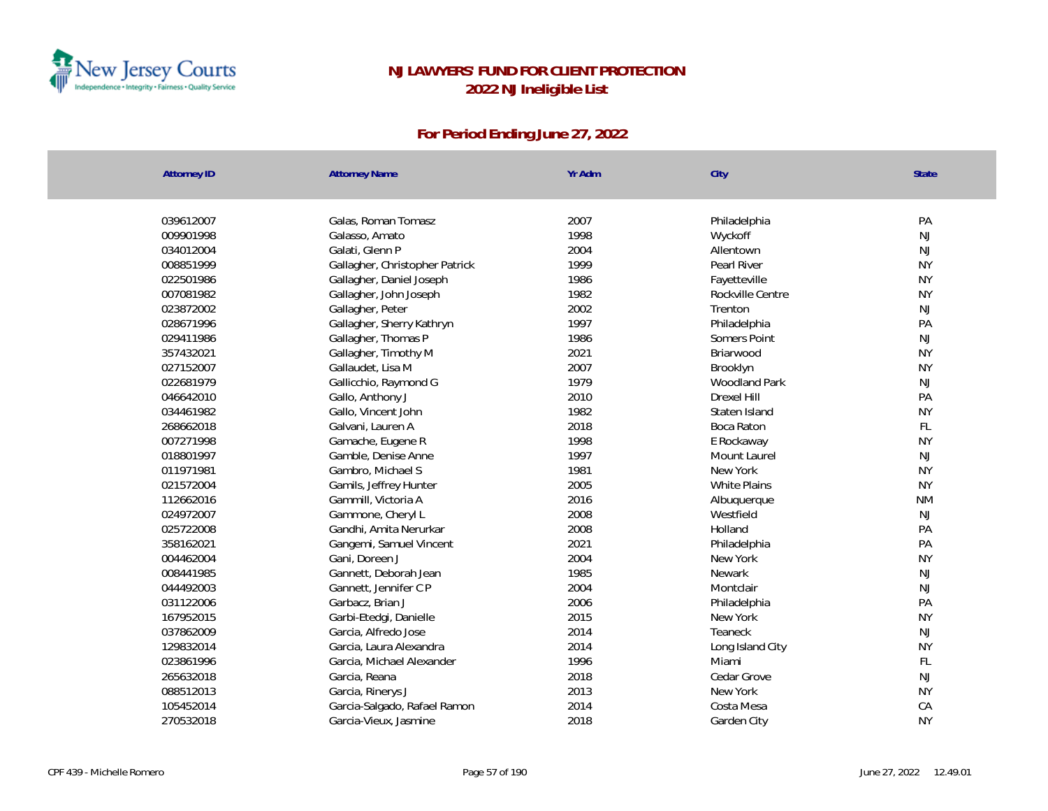

| <b>Attorney ID</b> | <b>Attorney Name</b>           | Yr Adm       | City                 | <b>State</b>    |
|--------------------|--------------------------------|--------------|----------------------|-----------------|
|                    |                                |              |                      | PA              |
| 039612007          | Galas, Roman Tomasz            | 2007         | Philadelphia         |                 |
| 009901998          | Galasso, Amato                 | 1998         | Wyckoff              | NJ              |
| 034012004          | Galati, Glenn P                | 2004<br>1999 | Allentown            | NJ<br><b>NY</b> |
| 008851999          | Gallagher, Christopher Patrick |              | Pearl River          |                 |
| 022501986          | Gallagher, Daniel Joseph       | 1986<br>1982 | Fayetteville         | <b>NY</b>       |
| 007081982          | Gallagher, John Joseph         |              | Rockville Centre     | <b>NY</b>       |
| 023872002          | Gallagher, Peter               | 2002         | Trenton              | NJ              |
| 028671996          | Gallagher, Sherry Kathryn      | 1997         | Philadelphia         | PA              |
| 029411986          | Gallagher, Thomas P            | 1986         | Somers Point         | NJ              |
| 357432021          | Gallagher, Timothy M           | 2021         | Briarwood            | <b>NY</b>       |
| 027152007          | Gallaudet, Lisa M              | 2007         | Brooklyn             | <b>NY</b>       |
| 022681979          | Gallicchio, Raymond G          | 1979         | <b>Woodland Park</b> | NJ              |
| 046642010          | Gallo, Anthony J               | 2010         | Drexel Hill          | PA              |
| 034461982          | Gallo, Vincent John            | 1982         | Staten Island        | <b>NY</b>       |
| 268662018          | Galvani, Lauren A              | 2018         | Boca Raton           | FL              |
| 007271998          | Gamache, Eugene R              | 1998         | E Rockaway           | <b>NY</b>       |
| 018801997          | Gamble, Denise Anne            | 1997         | Mount Laurel         | NJ              |
| 011971981          | Gambro, Michael S              | 1981         | New York             | <b>NY</b>       |
| 021572004          | Gamils, Jeffrey Hunter         | 2005         | <b>White Plains</b>  | <b>NY</b>       |
| 112662016          | Gammill, Victoria A            | 2016         | Albuquerque          | <b>NM</b>       |
| 024972007          | Gammone, Cheryl L              | 2008         | Westfield            | NJ              |
| 025722008          | Gandhi, Amita Nerurkar         | 2008         | Holland              | PA              |
| 358162021          | Gangemi, Samuel Vincent        | 2021         | Philadelphia         | PA              |
| 004462004          | Gani, Doreen J                 | 2004         | New York             | <b>NY</b>       |
| 008441985          | Gannett, Deborah Jean          | 1985         | Newark               | $\mathsf{NJ}$   |
| 044492003          | Gannett, Jennifer C P          | 2004         | Montclair            | NJ              |
| 031122006          | Garbacz, Brian J               | 2006         | Philadelphia         | PA              |
| 167952015          | Garbi-Etedgi, Danielle         | 2015         | New York             | <b>NY</b>       |
| 037862009          | Garcia, Alfredo Jose           | 2014         | Teaneck              | <b>NJ</b>       |
| 129832014          | Garcia, Laura Alexandra        | 2014         | Long Island City     | <b>NY</b>       |
| 023861996          | Garcia, Michael Alexander      | 1996         | Miami                | $\mathsf{FL}$   |
| 265632018          | Garcia, Reana                  | 2018         | Cedar Grove          | NJ              |
| 088512013          | Garcia, Rinerys J              | 2013         | New York             | <b>NY</b>       |
| 105452014          | Garcia-Salgado, Rafael Ramon   | 2014         | Costa Mesa           | CA              |
| 270532018          | Garcia-Vieux, Jasmine          | 2018         | Garden City          | <b>NY</b>       |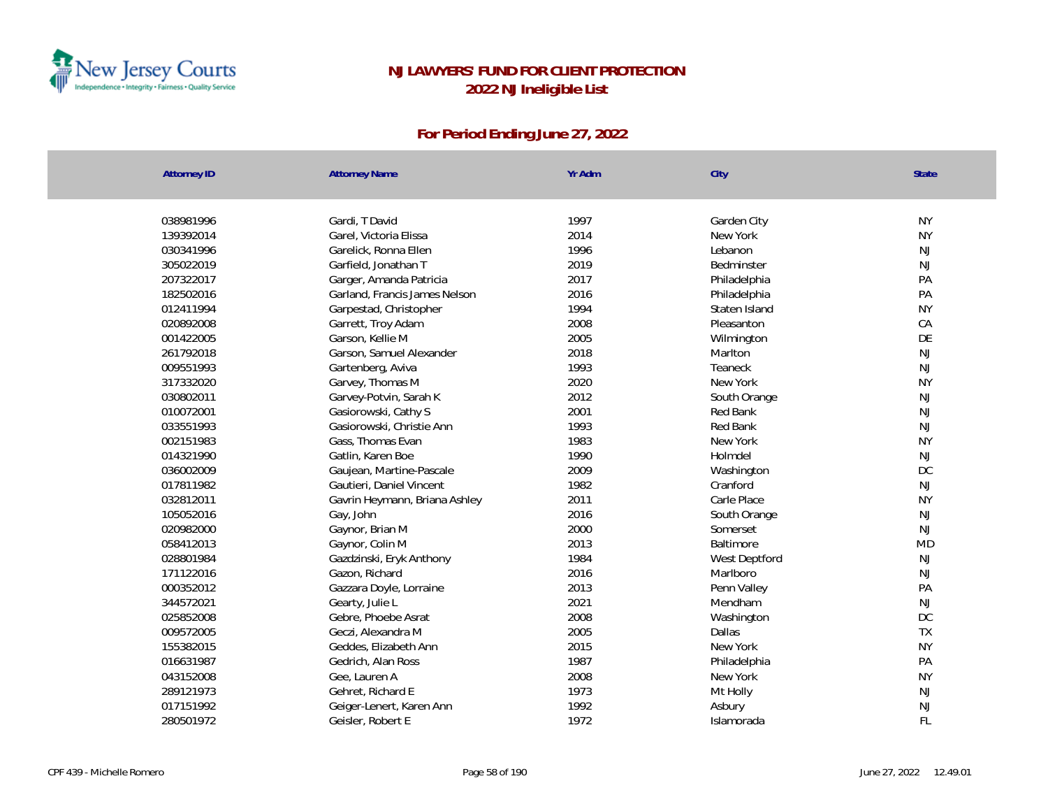

| <b>Attorney ID</b> | <b>Attorney Name</b>          | Yr Adm | City          | <b>State</b> |
|--------------------|-------------------------------|--------|---------------|--------------|
|                    |                               |        |               |              |
| 038981996          | Gardi, T David                | 1997   | Garden City   | <b>NY</b>    |
| 139392014          | Garel, Victoria Elissa        | 2014   | New York      | <b>NY</b>    |
| 030341996          | Garelick, Ronna Ellen         | 1996   | Lebanon       | NJ           |
| 305022019          | Garfield, Jonathan T          | 2019   | Bedminster    | <b>NJ</b>    |
| 207322017          | Garger, Amanda Patricia       | 2017   | Philadelphia  | PA           |
| 182502016          | Garland, Francis James Nelson | 2016   | Philadelphia  | PA           |
| 012411994          | Garpestad, Christopher        | 1994   | Staten Island | <b>NY</b>    |
| 020892008          | Garrett, Troy Adam            | 2008   | Pleasanton    | CA           |
| 001422005          | Garson, Kellie M              | 2005   | Wilmington    | DE           |
| 261792018          | Garson, Samuel Alexander      | 2018   | Marlton       | <b>NJ</b>    |
| 009551993          | Gartenberg, Aviva             | 1993   | Teaneck       | <b>NJ</b>    |
| 317332020          | Garvey, Thomas M              | 2020   | New York      | <b>NY</b>    |
| 030802011          | Garvey-Potvin, Sarah K        | 2012   | South Orange  | <b>NJ</b>    |
| 010072001          | Gasiorowski, Cathy S          | 2001   | Red Bank      | NJ           |
| 033551993          | Gasiorowski, Christie Ann     | 1993   | Red Bank      | <b>NJ</b>    |
| 002151983          | Gass, Thomas Evan             | 1983   | New York      | <b>NY</b>    |
| 014321990          | Gatlin, Karen Boe             | 1990   | Holmdel       | NJ           |
| 036002009          | Gaujean, Martine-Pascale      | 2009   | Washington    | DC           |
| 017811982          | Gautieri, Daniel Vincent      | 1982   | Cranford      | NJ           |
| 032812011          | Gavrin Heymann, Briana Ashley | 2011   | Carle Place   | <b>NY</b>    |
| 105052016          | Gay, John                     | 2016   | South Orange  | NJ           |
| 020982000          | Gaynor, Brian M               | 2000   | Somerset      | NJ           |
| 058412013          | Gaynor, Colin M               | 2013   | Baltimore     | <b>MD</b>    |
| 028801984          | Gazdzinski, Eryk Anthony      | 1984   | West Deptford | <b>NJ</b>    |
| 171122016          | Gazon, Richard                | 2016   | Marlboro      | NJ           |
| 000352012          | Gazzara Doyle, Lorraine       | 2013   | Penn Valley   | PA           |
| 344572021          | Gearty, Julie L               | 2021   | Mendham       | NJ           |
| 025852008          | Gebre, Phoebe Asrat           | 2008   | Washington    | DC           |
| 009572005          | Geczi, Alexandra M            | 2005   | Dallas        | <b>TX</b>    |
| 155382015          | Geddes, Elizabeth Ann         | 2015   | New York      | <b>NY</b>    |
| 016631987          | Gedrich, Alan Ross            | 1987   | Philadelphia  | PA           |
| 043152008          | Gee, Lauren A                 | 2008   | New York      | <b>NY</b>    |
| 289121973          | Gehret, Richard E             | 1973   | Mt Holly      | NJ           |
| 017151992          | Geiger-Lenert, Karen Ann      | 1992   | Asbury        | NJ           |
| 280501972          | Geisler, Robert E             | 1972   | Islamorada    | FL           |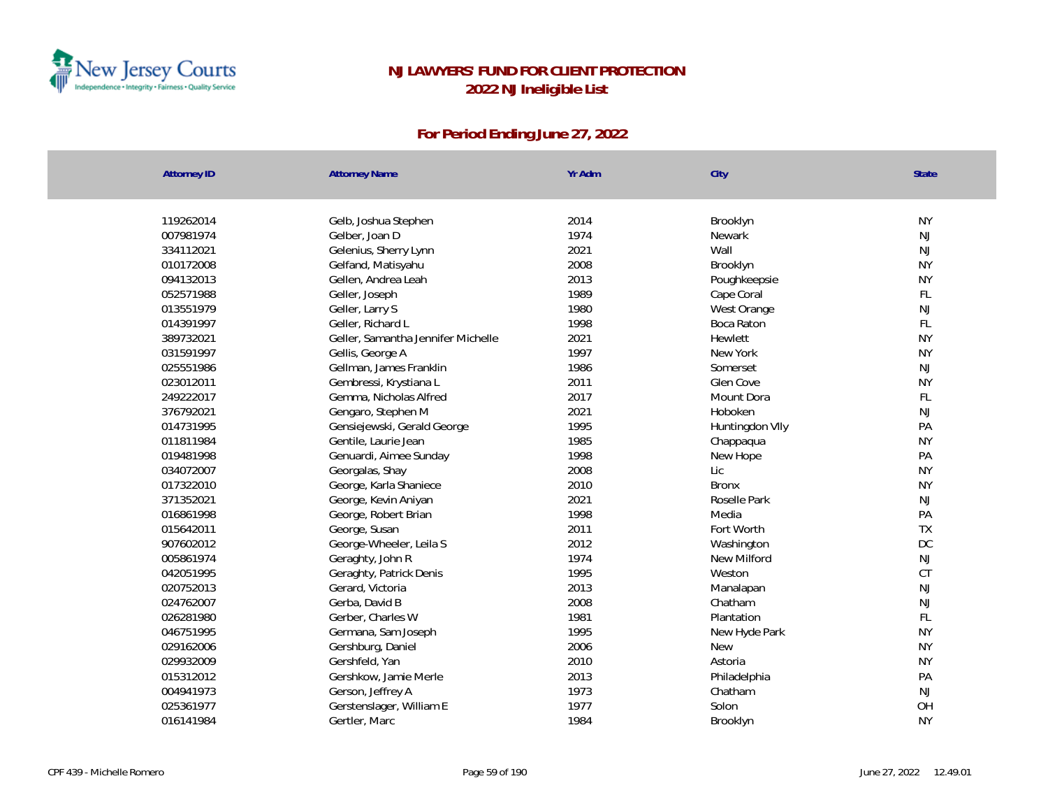

| <b>Attorney ID</b> | <b>Attorney Name</b>               | Yr Adm | City            | State         |
|--------------------|------------------------------------|--------|-----------------|---------------|
|                    |                                    |        |                 |               |
| 119262014          | Gelb, Joshua Stephen               | 2014   | Brooklyn        | <b>NY</b>     |
| 007981974          | Gelber, Joan D                     | 1974   | <b>Newark</b>   | NJ            |
| 334112021          | Gelenius, Sherry Lynn              | 2021   | Wall            | NJ            |
| 010172008          | Gelfand, Matisyahu                 | 2008   | Brooklyn        | <b>NY</b>     |
| 094132013          | Gellen, Andrea Leah                | 2013   | Poughkeepsie    | <b>NY</b>     |
| 052571988          | Geller, Joseph                     | 1989   | Cape Coral      | FL            |
| 013551979          | Geller, Larry S                    | 1980   | West Orange     | NJ            |
| 014391997          | Geller, Richard L                  | 1998   | Boca Raton      | FL            |
| 389732021          | Geller, Samantha Jennifer Michelle | 2021   | Hewlett         | <b>NY</b>     |
| 031591997          | Gellis, George A                   | 1997   | New York        | <b>NY</b>     |
| 025551986          | Gellman, James Franklin            | 1986   | Somerset        | NJ            |
| 023012011          | Gembressi, Krystiana L             | 2011   | Glen Cove       | <b>NY</b>     |
| 249222017          | Gemma, Nicholas Alfred             | 2017   | Mount Dora      | FL            |
| 376792021          | Gengaro, Stephen M                 | 2021   | Hoboken         | NJ            |
| 014731995          | Gensiejewski, Gerald George        | 1995   | Huntingdon VIIy | PA            |
| 011811984          | Gentile, Laurie Jean               | 1985   | Chappaqua       | <b>NY</b>     |
| 019481998          | Genuardi, Aimee Sunday             | 1998   | New Hope        | PA            |
| 034072007          | Georgalas, Shay                    | 2008   | Lic             | <b>NY</b>     |
| 017322010          | George, Karla Shaniece             | 2010   | <b>Bronx</b>    | <b>NY</b>     |
| 371352021          | George, Kevin Aniyan               | 2021   | Roselle Park    | NJ            |
| 016861998          | George, Robert Brian               | 1998   | Media           | PA            |
| 015642011          | George, Susan                      | 2011   | Fort Worth      | <b>TX</b>     |
| 907602012          | George-Wheeler, Leila S            | 2012   | Washington      | DC            |
| 005861974          | Geraghty, John R                   | 1974   | New Milford     | $\mathsf{NJ}$ |
| 042051995          | Geraghty, Patrick Denis            | 1995   | Weston          | <b>CT</b>     |
| 020752013          | Gerard, Victoria                   | 2013   | Manalapan       | NJ            |
| 024762007          | Gerba, David B                     | 2008   | Chatham         | NJ            |
| 026281980          | Gerber, Charles W                  | 1981   | Plantation      | FL            |
| 046751995          | Germana, Sam Joseph                | 1995   | New Hyde Park   | <b>NY</b>     |
| 029162006          | Gershburg, Daniel                  | 2006   | <b>New</b>      | <b>NY</b>     |
| 029932009          | Gershfeld, Yan                     | 2010   | Astoria         | <b>NY</b>     |
| 015312012          | Gershkow, Jamie Merle              | 2013   | Philadelphia    | PA            |
| 004941973          | Gerson, Jeffrey A                  | 1973   | Chatham         | NJ            |
| 025361977          | Gerstenslager, William E           | 1977   | Solon           | OH            |
| 016141984          | Gertler, Marc                      | 1984   | Brooklyn        | <b>NY</b>     |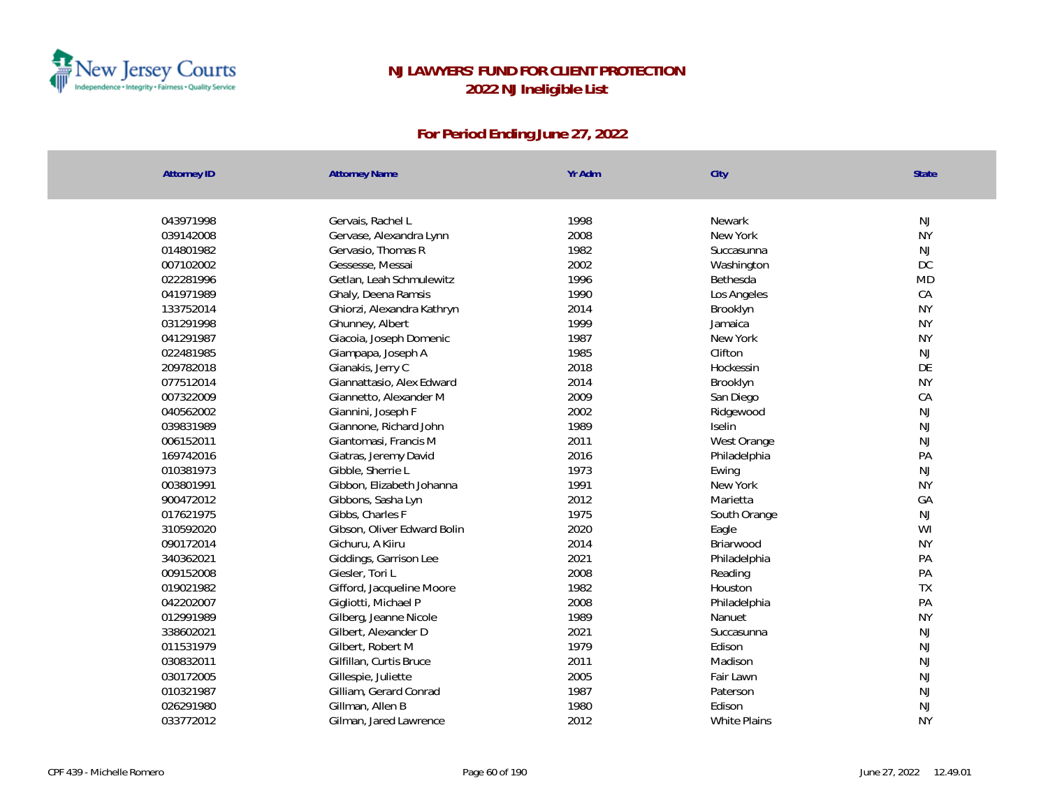

| <b>Attorney ID</b><br><b>Attorney Name</b><br>City                 |           |
|--------------------------------------------------------------------|-----------|
|                                                                    |           |
| 043971998<br>1998<br>Gervais, Rachel L<br>Newark                   | NJ        |
| 2008<br>039142008<br>Gervase, Alexandra Lynn<br>New York           | <b>NY</b> |
| 1982<br>014801982<br>Gervasio, Thomas R<br>Succasunna              | <b>NJ</b> |
| 2002<br>007102002<br>Gessesse, Messai<br>Washington                | <b>DC</b> |
| 022281996<br>1996<br>Getlan, Leah Schmulewitz<br>Bethesda          | <b>MD</b> |
| 1990<br>041971989<br>Ghaly, Deena Ramsis<br>Los Angeles            | CA        |
| 2014<br>133752014<br>Ghiorzi, Alexandra Kathryn<br>Brooklyn        | <b>NY</b> |
| 1999<br>031291998<br>Ghunney, Albert<br>Jamaica                    | <b>NY</b> |
| 1987<br>041291987<br>Giacoia, Joseph Domenic<br>New York           | <b>NY</b> |
| 1985<br>022481985<br>Giampapa, Joseph A<br>Clifton                 | <b>NJ</b> |
| 209782018<br>2018<br>Gianakis, Jerry C<br>Hockessin                | DE        |
| 077512014<br>2014<br>Giannattasio, Alex Edward<br>Brooklyn         | <b>NY</b> |
| 007322009<br>2009<br>Giannetto, Alexander M<br>San Diego           | CA        |
| 2002<br>040562002<br>Giannini, Joseph F<br>Ridgewood               | <b>NJ</b> |
| 039831989<br>Giannone, Richard John<br>1989<br><b>Iselin</b>       | <b>NJ</b> |
| 2011<br>Giantomasi, Francis M<br>006152011<br>West Orange          | <b>NJ</b> |
| 169742016<br>2016<br>Giatras, Jeremy David<br>Philadelphia         | PA        |
| 1973<br>010381973<br>Gibble, Sherrie L<br>Ewing                    | <b>NJ</b> |
| 1991<br>003801991<br>Gibbon, Elizabeth Johanna<br>New York         | <b>NY</b> |
| 900472012<br>2012<br>Gibbons, Sasha Lyn<br>Marietta                | GA        |
| 017621975<br>Gibbs, Charles F<br>1975<br>South Orange              | <b>NJ</b> |
| 2020<br>310592020<br>Gibson, Oliver Edward Bolin<br>Eagle          | WI        |
| 2014<br>090172014<br>Gichuru, A Kiiru<br>Briarwood                 | <b>NY</b> |
| 2021<br>340362021<br>Giddings, Garrison Lee<br>Philadelphia        | PA        |
| 009152008<br>2008<br>Giesler, Tori L<br>Reading                    | PA        |
| 1982<br>019021982<br>Gifford, Jacqueline Moore<br>Houston          | TX        |
| 2008<br>042202007<br>Gigliotti, Michael P<br>Philadelphia          | PA        |
| 012991989<br>1989<br>Gilberg, Jeanne Nicole<br>Nanuet              | <b>NY</b> |
| 2021<br>338602021<br>Gilbert, Alexander D<br>Succasunna            | <b>NJ</b> |
| 1979<br>011531979<br>Gilbert, Robert M<br>Edison                   | <b>NJ</b> |
| 2011<br>030832011<br>Madison<br>Gilfillan, Curtis Bruce            | <b>NJ</b> |
| 2005<br>030172005<br>Gillespie, Juliette<br>Fair Lawn              | NJ        |
| 1987<br>010321987<br>Gilliam, Gerard Conrad<br>Paterson            | NJ        |
| 1980<br>026291980<br>Gillman, Allen B<br>Edison                    | NJ        |
| 2012<br>033772012<br><b>White Plains</b><br>Gilman, Jared Lawrence | <b>NY</b> |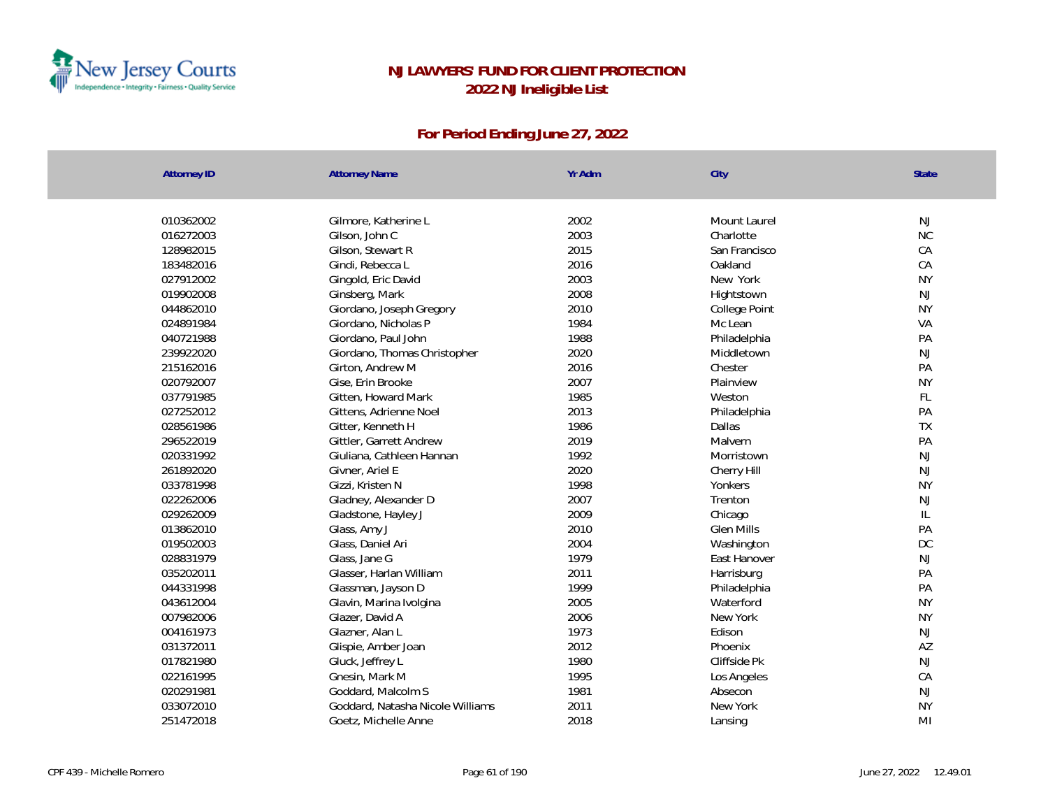

| <b>Attorney ID</b> | <b>Attorney Name</b>             | Yr Adm | City              | <b>State</b>  |
|--------------------|----------------------------------|--------|-------------------|---------------|
|                    |                                  |        |                   |               |
| 010362002          | Gilmore, Katherine L             | 2002   | Mount Laurel      | <b>NJ</b>     |
| 016272003          | Gilson, John C                   | 2003   | Charlotte         | $\rm NC$      |
| 128982015          | Gilson, Stewart R                | 2015   | San Francisco     | CA            |
| 183482016          | Gindi, Rebecca L                 | 2016   | Oakland           | CA            |
| 027912002          | Gingold, Eric David              | 2003   | New York          | <b>NY</b>     |
| 019902008          | Ginsberg, Mark                   | 2008   | Hightstown        | <b>NJ</b>     |
| 044862010          | Giordano, Joseph Gregory         | 2010   | College Point     | <b>NY</b>     |
| 024891984          | Giordano, Nicholas P             | 1984   | Mc Lean           | VA            |
| 040721988          | Giordano, Paul John              | 1988   | Philadelphia      | PA            |
| 239922020          | Giordano, Thomas Christopher     | 2020   | Middletown        | NJ            |
| 215162016          | Girton, Andrew M                 | 2016   | Chester           | PA            |
| 020792007          | Gise, Erin Brooke                | 2007   | Plainview         | <b>NY</b>     |
| 037791985          | Gitten, Howard Mark              | 1985   | Weston            | FL            |
| 027252012          | Gittens, Adrienne Noel           | 2013   | Philadelphia      | PA            |
| 028561986          | Gitter, Kenneth H                | 1986   | <b>Dallas</b>     | <b>TX</b>     |
| 296522019          | Gittler, Garrett Andrew          | 2019   | Malvern           | PA            |
| 020331992          | Giuliana, Cathleen Hannan        | 1992   | Morristown        | NJ            |
| 261892020          | Givner, Ariel E                  | 2020   | Cherry Hill       | NJ            |
| 033781998          | Gizzi, Kristen N                 | 1998   | Yonkers           | <b>NY</b>     |
| 022262006          | Gladney, Alexander D             | 2007   | Trenton           | NJ            |
| 029262009          | Gladstone, Hayley J              | 2009   | Chicago           | $\mathsf{IL}$ |
| 013862010          | Glass, Amy J                     | 2010   | <b>Glen Mills</b> | PA            |
| 019502003          | Glass, Daniel Ari                | 2004   | Washington        | DC            |
| 028831979          | Glass, Jane G                    | 1979   | East Hanover      | NJ            |
| 035202011          | Glasser, Harlan William          | 2011   | Harrisburg        | PA            |
| 044331998          | Glassman, Jayson D               | 1999   | Philadelphia      | PA            |
| 043612004          | Glavin, Marina Ivolgina          | 2005   | Waterford         | <b>NY</b>     |
| 007982006          | Glazer, David A                  | 2006   | New York          | <b>NY</b>     |
| 004161973          | Glazner, Alan L                  | 1973   | Edison            | <b>NJ</b>     |
| 031372011          | Glispie, Amber Joan              | 2012   | Phoenix           | AZ            |
| 017821980          | Gluck, Jeffrey L                 | 1980   | Cliffside Pk      | NJ            |
| 022161995          | Gnesin, Mark M                   | 1995   | Los Angeles       | CA            |
| 020291981          | Goddard, Malcolm S               | 1981   | Absecon           | <b>NJ</b>     |
| 033072010          | Goddard, Natasha Nicole Williams | 2011   | New York          | <b>NY</b>     |
| 251472018          | Goetz, Michelle Anne             | 2018   | Lansing           | MI            |
|                    |                                  |        |                   |               |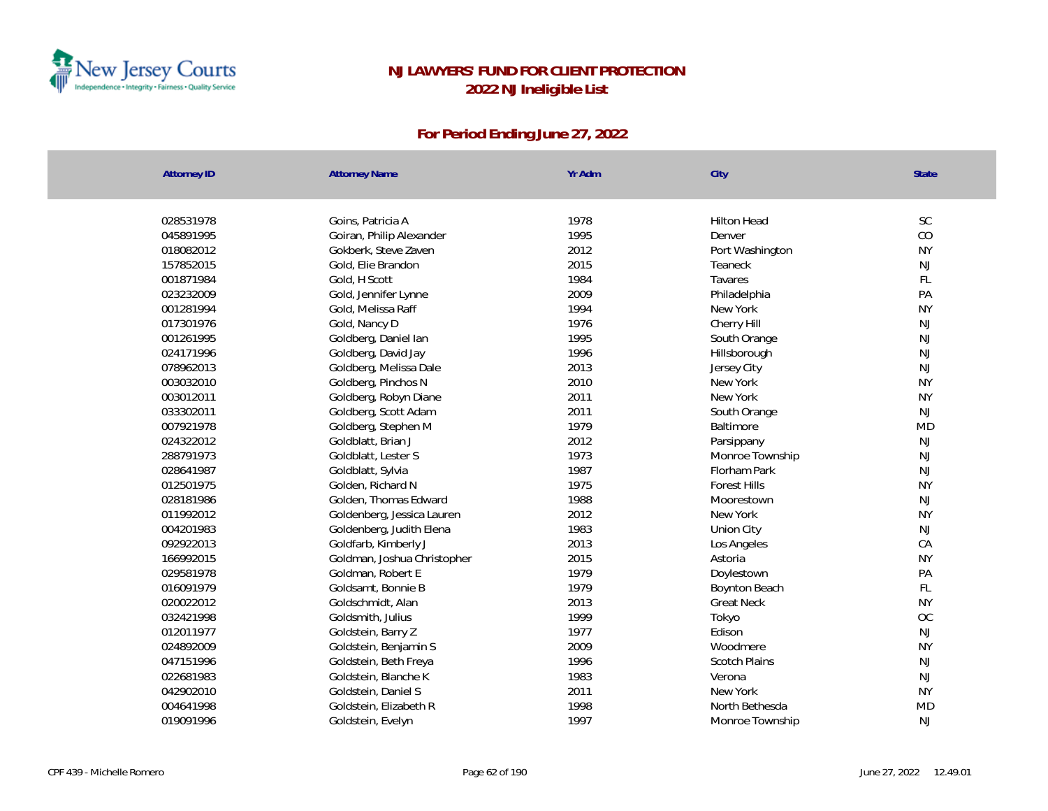

| <b>Attorney ID</b> | <b>Attorney Name</b>        | Yr Adm | City                 | <b>State</b> |
|--------------------|-----------------------------|--------|----------------------|--------------|
|                    |                             |        |                      |              |
| 028531978          | Goins, Patricia A           | 1978   | <b>Hilton Head</b>   | SC           |
| 045891995          | Goiran, Philip Alexander    | 1995   | Denver               | CO           |
| 018082012          | Gokberk, Steve Zaven        | 2012   | Port Washington      | <b>NY</b>    |
| 157852015          | Gold, Elie Brandon          | 2015   | Teaneck              | <b>NJ</b>    |
| 001871984          | Gold, H Scott               | 1984   | Tavares              | FL.          |
| 023232009          | Gold, Jennifer Lynne        | 2009   | Philadelphia         | PA           |
| 001281994          | Gold, Melissa Raff          | 1994   | New York             | <b>NY</b>    |
| 017301976          | Gold, Nancy D               | 1976   | Cherry Hill          | <b>NJ</b>    |
| 001261995          | Goldberg, Daniel lan        | 1995   | South Orange         | <b>NJ</b>    |
| 024171996          | Goldberg, David Jay         | 1996   | Hillsborough         | <b>NJ</b>    |
| 078962013          | Goldberg, Melissa Dale      | 2013   | Jersey City          | <b>NJ</b>    |
| 003032010          | Goldberg, Pinchos N         | 2010   | New York             | <b>NY</b>    |
| 003012011          | Goldberg, Robyn Diane       | 2011   | New York             | <b>NY</b>    |
| 033302011          | Goldberg, Scott Adam        | 2011   | South Orange         | NJ           |
| 007921978          | Goldberg, Stephen M         | 1979   | Baltimore            | <b>MD</b>    |
| 024322012          | Goldblatt, Brian J          | 2012   | Parsippany           | <b>NJ</b>    |
| 288791973          | Goldblatt, Lester S         | 1973   | Monroe Township      | <b>NJ</b>    |
| 028641987          | Goldblatt, Sylvia           | 1987   | Florham Park         | <b>NJ</b>    |
| 012501975          | Golden, Richard N           | 1975   | <b>Forest Hills</b>  | <b>NY</b>    |
| 028181986          | Golden, Thomas Edward       | 1988   | Moorestown           | NJ           |
| 011992012          | Goldenberg, Jessica Lauren  | 2012   | New York             | <b>NY</b>    |
| 004201983          | Goldenberg, Judith Elena    | 1983   | Union City           | NJ           |
| 092922013          | Goldfarb, Kimberly J        | 2013   | Los Angeles          | CA           |
| 166992015          | Goldman, Joshua Christopher | 2015   | Astoria              | <b>NY</b>    |
| 029581978          | Goldman, Robert E           | 1979   | Doylestown           | PA           |
| 016091979          | Goldsamt, Bonnie B          | 1979   | Boynton Beach        | FL           |
| 020022012          | Goldschmidt, Alan           | 2013   | <b>Great Neck</b>    | <b>NY</b>    |
| 032421998          | Goldsmith, Julius           | 1999   | Tokyo                | OC           |
| 012011977          | Goldstein, Barry Z          | 1977   | Edison               | NJ           |
| 024892009          | Goldstein, Benjamin S       | 2009   | Woodmere             | <b>NY</b>    |
| 047151996          | Goldstein, Beth Freya       | 1996   | <b>Scotch Plains</b> | <b>NJ</b>    |
| 022681983          | Goldstein, Blanche K        | 1983   | Verona               | NJ           |
| 042902010          | Goldstein, Daniel S         | 2011   | New York             | <b>NY</b>    |
| 004641998          | Goldstein, Elizabeth R      | 1998   | North Bethesda       | <b>MD</b>    |
| 019091996          | Goldstein, Evelyn           | 1997   | Monroe Township      | <b>NJ</b>    |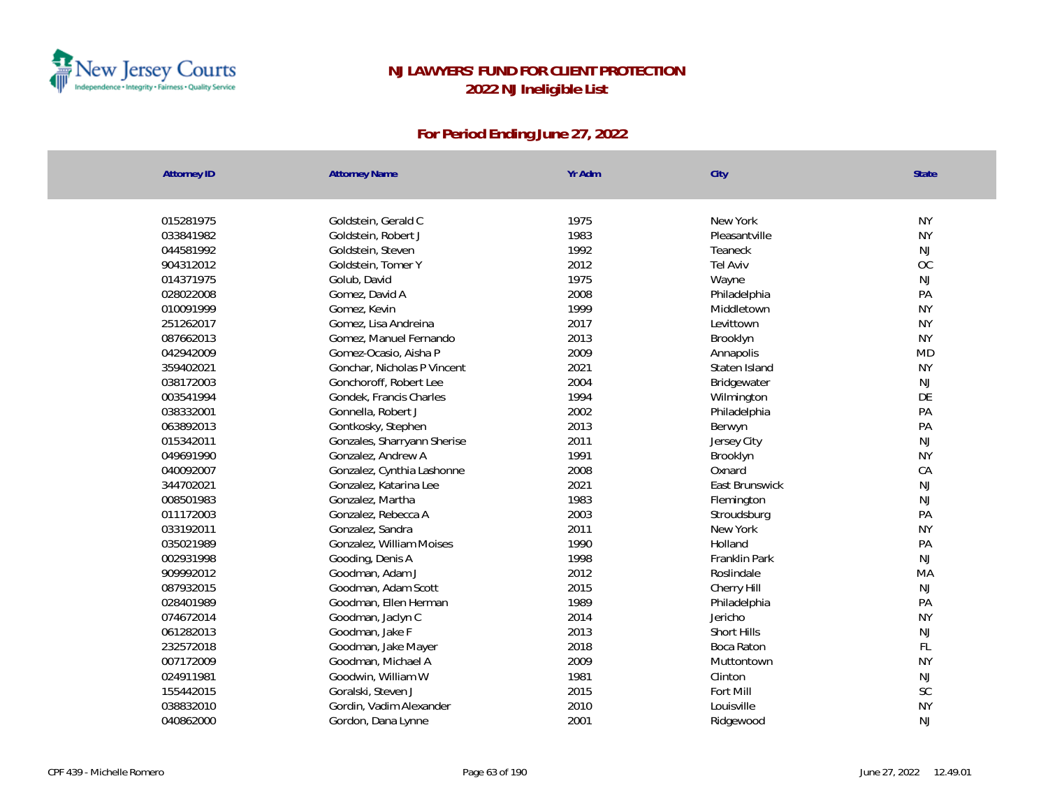

| <b>Attorney ID</b> | <b>Attorney Name</b>        | Yr Adm | City           | State     |
|--------------------|-----------------------------|--------|----------------|-----------|
|                    |                             |        |                |           |
| 015281975          | Goldstein, Gerald C         | 1975   | New York       | <b>NY</b> |
| 033841982          | Goldstein, Robert J         | 1983   | Pleasantville  | <b>NY</b> |
| 044581992          | Goldstein, Steven           | 1992   | Teaneck        | <b>NJ</b> |
| 904312012          | Goldstein, Tomer Y          | 2012   | Tel Aviv       | OC        |
| 014371975          | Golub, David                | 1975   | Wayne          | NJ        |
| 028022008          | Gomez, David A              | 2008   | Philadelphia   | PA        |
| 010091999          | Gomez, Kevin                | 1999   | Middletown     | <b>NY</b> |
| 251262017          | Gomez, Lisa Andreina        | 2017   | Levittown      | <b>NY</b> |
| 087662013          | Gomez, Manuel Fernando      | 2013   | Brooklyn       | <b>NY</b> |
| 042942009          | Gomez-Ocasio, Aisha P       | 2009   | Annapolis      | <b>MD</b> |
| 359402021          | Gonchar, Nicholas P Vincent | 2021   | Staten Island  | <b>NY</b> |
| 038172003          | Gonchoroff, Robert Lee      | 2004   | Bridgewater    | NJ        |
| 003541994          | Gondek, Francis Charles     | 1994   | Wilmington     | DE        |
| 038332001          | Gonnella, Robert J          | 2002   | Philadelphia   | PA        |
| 063892013          | Gontkosky, Stephen          | 2013   | Berwyn         | PA        |
| 015342011          | Gonzales, Sharryann Sherise | 2011   | Jersey City    | NJ        |
| 049691990          | Gonzalez, Andrew A          | 1991   | Brooklyn       | <b>NY</b> |
| 040092007          | Gonzalez, Cynthia Lashonne  | 2008   | Oxnard         | CA        |
| 344702021          | Gonzalez, Katarina Lee      | 2021   | East Brunswick | NJ        |
| 008501983          | Gonzalez, Martha            | 1983   | Flemington     | NJ        |
| 011172003          | Gonzalez, Rebecca A         | 2003   | Stroudsburg    | PA        |
| 033192011          | Gonzalez, Sandra            | 2011   | New York       | <b>NY</b> |
| 035021989          | Gonzalez, William Moises    | 1990   | Holland        | PA        |
| 002931998          | Gooding, Denis A            | 1998   | Franklin Park  | NJ        |
| 909992012          | Goodman, Adam J             | 2012   | Roslindale     | MA        |
| 087932015          | Goodman, Adam Scott         | 2015   | Cherry Hill    | <b>NJ</b> |
| 028401989          | Goodman, Ellen Herman       | 1989   | Philadelphia   | PA        |
| 074672014          | Goodman, Jaclyn C           | 2014   | Jericho        | <b>NY</b> |
| 061282013          | Goodman, Jake F             | 2013   | Short Hills    | NJ        |
| 232572018          | Goodman, Jake Mayer         | 2018   | Boca Raton     | FL        |
| 007172009          | Goodman, Michael A          | 2009   | Muttontown     | <b>NY</b> |
| 024911981          | Goodwin, William W          | 1981   | Clinton        | NJ        |
| 155442015          | Goralski, Steven J          | 2015   | Fort Mill      | SC        |
| 038832010          | Gordin, Vadim Alexander     | 2010   | Louisville     | <b>NY</b> |
| 040862000          | Gordon, Dana Lynne          | 2001   | Ridgewood      | <b>NJ</b> |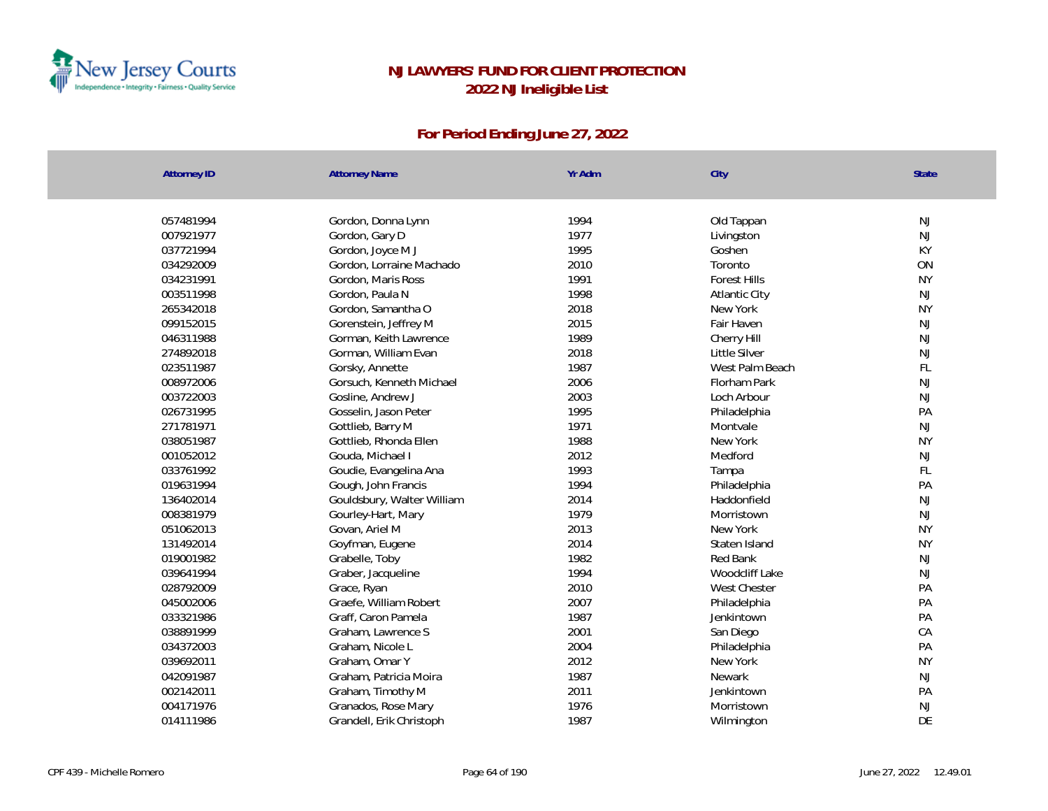

| <b>Attorney ID</b>     | <b>Attorney Name</b>                          | Yr Adm       | City                           | State     |
|------------------------|-----------------------------------------------|--------------|--------------------------------|-----------|
| 057481994              |                                               | 1994         | Old Tappan                     | NJ        |
| 007921977              | Gordon, Donna Lynn<br>Gordon, Gary D          | 1977         | Livingston                     | <b>NJ</b> |
| 037721994              |                                               | 1995         | Goshen                         | KY        |
| 034292009              | Gordon, Joyce M J<br>Gordon, Lorraine Machado | 2010         | Toronto                        | ON        |
| 034231991              | Gordon, Maris Ross                            | 1991         | <b>Forest Hills</b>            | <b>NY</b> |
| 003511998              | Gordon, Paula N                               | 1998         | Atlantic City                  | <b>NJ</b> |
| 265342018              | Gordon, Samantha O                            | 2018         | New York                       | <b>NY</b> |
| 099152015              | Gorenstein, Jeffrey M                         | 2015         | Fair Haven                     | NJ        |
| 046311988              | Gorman, Keith Lawrence                        | 1989         | Cherry Hill                    | <b>NJ</b> |
| 274892018              | Gorman, William Evan                          | 2018         | Little Silver                  | <b>NJ</b> |
| 023511987              | Gorsky, Annette                               | 1987         | West Palm Beach                | FL        |
| 008972006              | Gorsuch, Kenneth Michael                      | 2006         | Florham Park                   | <b>NJ</b> |
| 003722003              |                                               | 2003         | Loch Arbour                    | <b>NJ</b> |
| 026731995              | Gosline, Andrew J<br>Gosselin, Jason Peter    | 1995         | Philadelphia                   | PA        |
| 271781971              | Gottlieb, Barry M                             | 1971         | Montvale                       | <b>NJ</b> |
| 038051987              | Gottlieb, Rhonda Ellen                        | 1988         | New York                       | <b>NY</b> |
| 001052012              | Gouda, Michael I                              | 2012         | Medford                        | NJ        |
| 033761992              |                                               | 1993         |                                | FL        |
| 019631994              | Goudie, Evangelina Ana<br>Gough, John Francis | 1994         | Tampa                          | PA        |
| 136402014              | Gouldsbury, Walter William                    | 2014         | Philadelphia<br>Haddonfield    | <b>NJ</b> |
| 008381979              |                                               | 1979         | Morristown                     | NJ        |
| 051062013              | Gourley-Hart, Mary<br>Govan, Ariel M          | 2013         | New York                       | <b>NY</b> |
|                        |                                               | 2014         |                                |           |
| 131492014              | Goyfman, Eugene                               |              | Staten Island                  | <b>NY</b> |
| 019001982              | Grabelle, Toby                                | 1982<br>1994 | Red Bank                       | <b>NJ</b> |
| 039641994<br>028792009 | Graber, Jacqueline                            | 2010         | Woodcliff Lake<br>West Chester | NJ<br>PA  |
|                        | Grace, Ryan                                   |              |                                | PA        |
| 045002006              | Graefe, William Robert                        | 2007         | Philadelphia                   |           |
| 033321986              | Graff, Caron Pamela                           | 1987         | Jenkintown                     | PA        |
| 038891999              | Graham, Lawrence S                            | 2001         | San Diego                      | CA        |
| 034372003              | Graham, Nicole L                              | 2004         | Philadelphia                   | PA        |
| 039692011              | Graham, Omar Y                                | 2012         | New York                       | <b>NY</b> |
| 042091987              | Graham, Patricia Moira                        | 1987         | Newark                         | NJ        |
| 002142011              | Graham, Timothy M                             | 2011         | Jenkintown                     | PA        |
| 004171976              | Granados, Rose Mary                           | 1976         | Morristown                     | NJ        |
| 014111986              | Grandell, Erik Christoph                      | 1987         | Wilmington                     | DE        |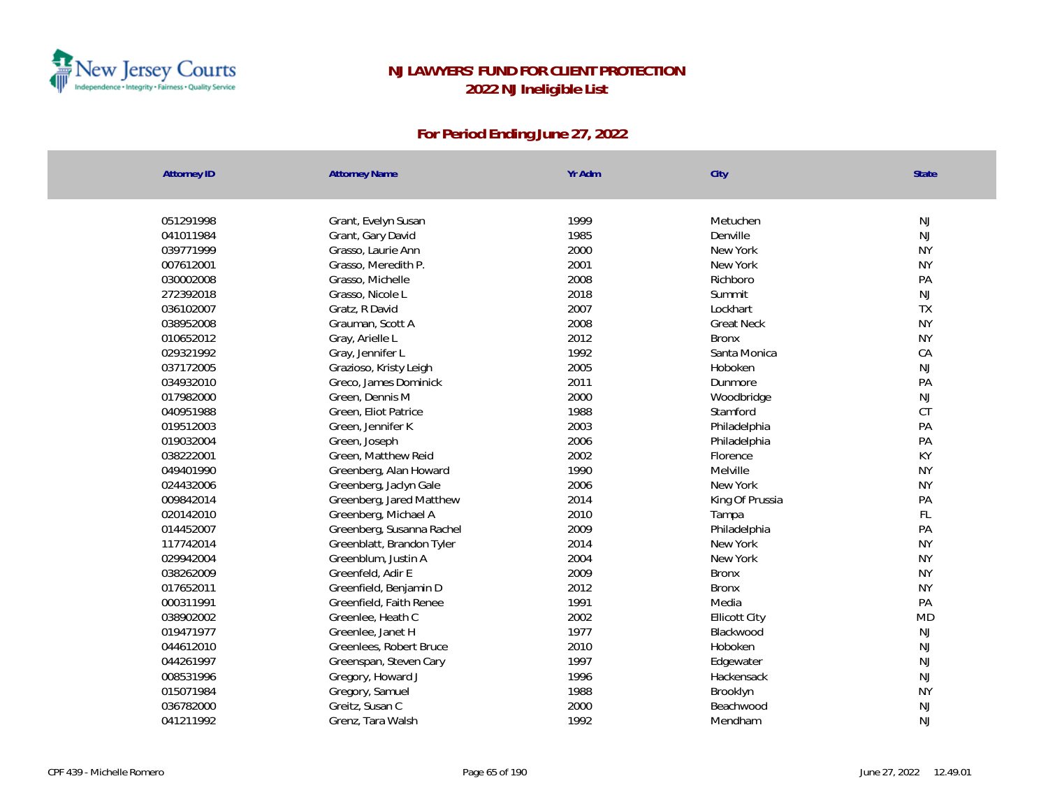

| <b>Attorney ID</b> | <b>Attorney Name</b>      | Yr Adm | City                 | State     |
|--------------------|---------------------------|--------|----------------------|-----------|
|                    |                           |        |                      |           |
| 051291998          | Grant, Evelyn Susan       | 1999   | Metuchen             | NJ        |
| 041011984          | Grant, Gary David         | 1985   | Denville             | <b>NJ</b> |
| 039771999          | Grasso, Laurie Ann        | 2000   | New York             | <b>NY</b> |
| 007612001          | Grasso, Meredith P.       | 2001   | New York             | <b>NY</b> |
| 030002008          | Grasso, Michelle          | 2008   | Richboro             | PA        |
| 272392018          | Grasso, Nicole L          | 2018   | Summit               | NJ        |
| 036102007          | Gratz, R David            | 2007   | Lockhart             | TX        |
| 038952008          | Grauman, Scott A          | 2008   | <b>Great Neck</b>    | <b>NY</b> |
| 010652012          | Gray, Arielle L           | 2012   | <b>Bronx</b>         | <b>NY</b> |
| 029321992          | Gray, Jennifer L          | 1992   | Santa Monica         | CA        |
| 037172005          | Grazioso, Kristy Leigh    | 2005   | Hoboken              | NJ        |
| 034932010          | Greco, James Dominick     | 2011   | Dunmore              | PA        |
| 017982000          | Green, Dennis M           | 2000   | Woodbridge           | <b>NJ</b> |
| 040951988          | Green, Eliot Patrice      | 1988   | Stamford             | <b>CT</b> |
| 019512003          | Green, Jennifer K         | 2003   | Philadelphia         | PA        |
| 019032004          | Green, Joseph             | 2006   | Philadelphia         | PA        |
| 038222001          | Green, Matthew Reid       | 2002   | Florence             | KY        |
| 049401990          | Greenberg, Alan Howard    | 1990   | Melville             | <b>NY</b> |
| 024432006          | Greenberg, Jaclyn Gale    | 2006   | New York             | <b>NY</b> |
| 009842014          | Greenberg, Jared Matthew  | 2014   | King Of Prussia      | PA        |
| 020142010          | Greenberg, Michael A      | 2010   | Tampa                | FL        |
| 014452007          | Greenberg, Susanna Rachel | 2009   | Philadelphia         | PA        |
| 117742014          | Greenblatt, Brandon Tyler | 2014   | New York             | <b>NY</b> |
| 029942004          | Greenblum, Justin A       | 2004   | New York             | <b>NY</b> |
| 038262009          | Greenfeld, Adir E         | 2009   | <b>Bronx</b>         | <b>NY</b> |
| 017652011          | Greenfield, Benjamin D    | 2012   | <b>Bronx</b>         | <b>NY</b> |
| 000311991          | Greenfield, Faith Renee   | 1991   | Media                | PA        |
| 038902002          | Greenlee, Heath C         | 2002   | <b>Ellicott City</b> | <b>MD</b> |
| 019471977          | Greenlee, Janet H         | 1977   | Blackwood            | <b>NJ</b> |
| 044612010          | Greenlees, Robert Bruce   | 2010   | Hoboken              | NJ        |
| 044261997          | Greenspan, Steven Cary    | 1997   | Edgewater            | NJ        |
| 008531996          | Gregory, Howard J         | 1996   | Hackensack           | NJ        |
| 015071984          | Gregory, Samuel           | 1988   | Brooklyn             | <b>NY</b> |
| 036782000          | Greitz, Susan C           | 2000   | Beachwood            | <b>NJ</b> |
| 041211992          | Grenz, Tara Walsh         | 1992   | Mendham              | <b>NJ</b> |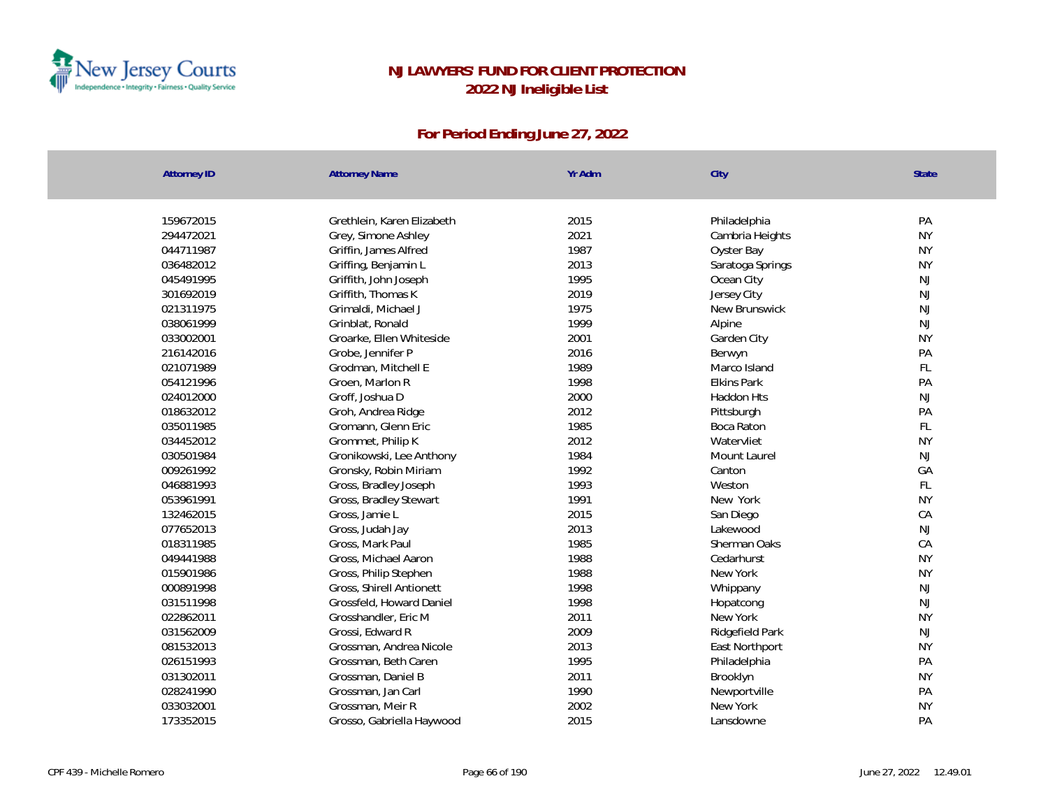

| <b>Attorney ID</b> | <b>Attorney Name</b>       | Yr Adm | City               | State         |
|--------------------|----------------------------|--------|--------------------|---------------|
|                    |                            |        |                    |               |
| 159672015          | Grethlein, Karen Elizabeth | 2015   | Philadelphia       | PA            |
| 294472021          | Grey, Simone Ashley        | 2021   | Cambria Heights    | <b>NY</b>     |
| 044711987          | Griffin, James Alfred      | 1987   | Oyster Bay         | <b>NY</b>     |
| 036482012          | Griffing, Benjamin L       | 2013   | Saratoga Springs   | <b>NY</b>     |
| 045491995          | Griffith, John Joseph      | 1995   | Ocean City         | <b>NJ</b>     |
| 301692019          | Griffith, Thomas K         | 2019   | Jersey City        | <b>NJ</b>     |
| 021311975          | Grimaldi, Michael J        | 1975   | New Brunswick      | NJ            |
| 038061999          | Grinblat, Ronald           | 1999   | Alpine             | NJ            |
| 033002001          | Groarke, Ellen Whiteside   | 2001   | Garden City        | <b>NY</b>     |
| 216142016          | Grobe, Jennifer P          | 2016   | Berwyn             | PA            |
| 021071989          | Grodman, Mitchell E        | 1989   | Marco Island       | FL            |
| 054121996          | Groen, Marlon R            | 1998   | <b>Elkins Park</b> | PA            |
| 024012000          | Groff, Joshua D            | 2000   | Haddon Hts         | NJ            |
| 018632012          | Groh, Andrea Ridge         | 2012   | Pittsburgh         | PA            |
| 035011985          | Gromann, Glenn Eric        | 1985   | Boca Raton         | FL            |
| 034452012          | Grommet, Philip K          | 2012   | Watervliet         | <b>NY</b>     |
| 030501984          | Gronikowski, Lee Anthony   | 1984   | Mount Laurel       | <b>NJ</b>     |
| 009261992          | Gronsky, Robin Miriam      | 1992   | Canton             | GA            |
| 046881993          | Gross, Bradley Joseph      | 1993   | Weston             | $\mathsf{FL}$ |
| 053961991          | Gross, Bradley Stewart     | 1991   | New York           | <b>NY</b>     |
| 132462015          | Gross, Jamie L             | 2015   | San Diego          | CA            |
| 077652013          | Gross, Judah Jay           | 2013   | Lakewood           | <b>NJ</b>     |
| 018311985          | Gross, Mark Paul           | 1985   | Sherman Oaks       | CA            |
| 049441988          | Gross, Michael Aaron       | 1988   | Cedarhurst         | <b>NY</b>     |
| 015901986          | Gross, Philip Stephen      | 1988   | New York           | <b>NY</b>     |
| 000891998          | Gross, Shirell Antionett   | 1998   | Whippany           | <b>NJ</b>     |
| 031511998          | Grossfeld, Howard Daniel   | 1998   | Hopatcong          | <b>NJ</b>     |
| 022862011          | Grosshandler, Eric M       | 2011   | New York           | <b>NY</b>     |
| 031562009          | Grossi, Edward R           | 2009   | Ridgefield Park    | <b>NJ</b>     |
| 081532013          | Grossman, Andrea Nicole    | 2013   | East Northport     | <b>NY</b>     |
| 026151993          | Grossman, Beth Caren       | 1995   | Philadelphia       | PA            |
| 031302011          | Grossman, Daniel B         | 2011   | Brooklyn           | <b>NY</b>     |
| 028241990          | Grossman, Jan Carl         | 1990   | Newportville       | PA            |
| 033032001          | Grossman, Meir R           | 2002   | New York           | <b>NY</b>     |
| 173352015          | Grosso, Gabriella Haywood  | 2015   | Lansdowne          | PA            |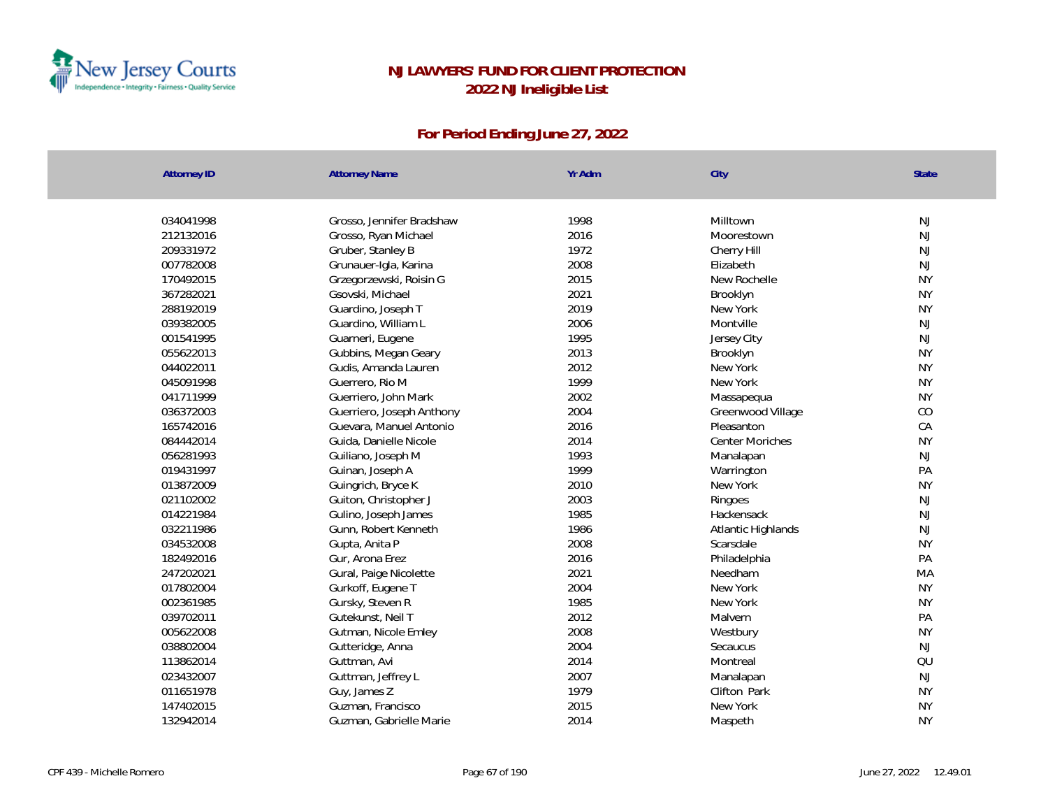

| <b>Attorney ID</b> | <b>Attorney Name</b>      | Yr Adm | City                   | <b>State</b> |
|--------------------|---------------------------|--------|------------------------|--------------|
| 034041998          | Grosso, Jennifer Bradshaw | 1998   | Milltown               | <b>NJ</b>    |
| 212132016          | Grosso, Ryan Michael      | 2016   | Moorestown             | NJ           |
| 209331972          | Gruber, Stanley B         | 1972   | Cherry Hill            | NJ           |
| 007782008          | Grunauer-Igla, Karina     | 2008   | Elizabeth              | NJ           |
| 170492015          | Grzegorzewski, Roisin G   | 2015   | New Rochelle           | <b>NY</b>    |
| 367282021          | Gsovski, Michael          | 2021   | Brooklyn               | <b>NY</b>    |
| 288192019          | Guardino, Joseph T        | 2019   | New York               | <b>NY</b>    |
| 039382005          | Guardino, William L       | 2006   | Montville              | NJ           |
| 001541995          | Guarneri, Eugene          | 1995   | Jersey City            | NJ           |
| 055622013          | Gubbins, Megan Geary      | 2013   | Brooklyn               | <b>NY</b>    |
| 044022011          | Gudis, Amanda Lauren      | 2012   | New York               | <b>NY</b>    |
| 045091998          | Guerrero, Rio M           | 1999   | New York               | <b>NY</b>    |
| 041711999          | Guerriero, John Mark      | 2002   | Massapequa             | <b>NY</b>    |
| 036372003          | Guerriero, Joseph Anthony | 2004   | Greenwood Village      | CO           |
| 165742016          | Guevara, Manuel Antonio   | 2016   | Pleasanton             | CA           |
| 084442014          | Guida, Danielle Nicole    | 2014   | <b>Center Moriches</b> | <b>NY</b>    |
| 056281993          | Guiliano, Joseph M        | 1993   | Manalapan              | NJ           |
| 019431997          | Guinan, Joseph A          | 1999   | Warrington             | PA           |
| 013872009          | Guingrich, Bryce K        | 2010   | New York               | <b>NY</b>    |
| 021102002          | Guiton, Christopher J     | 2003   | Ringoes                | NJ           |
| 014221984          | Gulino, Joseph James      | 1985   | Hackensack             | NJ           |
| 032211986          | Gunn, Robert Kenneth      | 1986   | Atlantic Highlands     | NJ           |
| 034532008          | Gupta, Anita P            | 2008   | Scarsdale              | <b>NY</b>    |
| 182492016          | Gur, Arona Erez           | 2016   | Philadelphia           | PA           |
| 247202021          | Gural, Paige Nicolette    | 2021   | Needham                | MA           |
| 017802004          | Gurkoff, Eugene T         | 2004   | New York               | <b>NY</b>    |
| 002361985          | Gursky, Steven R          | 1985   | New York               | <b>NY</b>    |
| 039702011          | Gutekunst, Neil T         | 2012   | Malvern                | PA           |
| 005622008          | Gutman, Nicole Emley      | 2008   | Westbury               | <b>NY</b>    |
| 038802004          | Gutteridge, Anna          | 2004   | Secaucus               | NJ           |
| 113862014          | Guttman, Avi              | 2014   | Montreal               | QU           |
| 023432007          | Guttman, Jeffrey L        | 2007   | Manalapan              | NJ           |
| 011651978          | Guy, James Z              | 1979   | Clifton Park           | <b>NY</b>    |
| 147402015          | Guzman, Francisco         | 2015   | New York               | <b>NY</b>    |
| 132942014          | Guzman, Gabrielle Marie   | 2014   | Maspeth                | <b>NY</b>    |
|                    |                           |        |                        |              |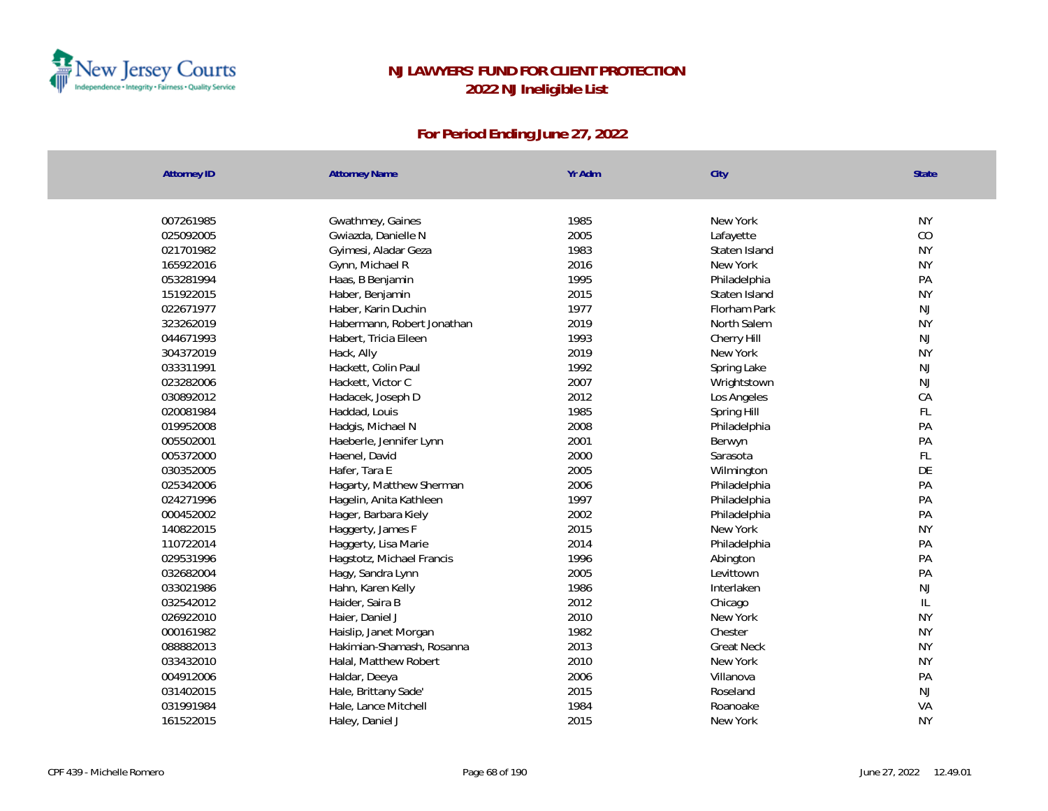

| <b>Attorney ID</b> | <b>Attorney Name</b>       | Yr Adm | City              | <b>State</b>  |
|--------------------|----------------------------|--------|-------------------|---------------|
|                    |                            |        |                   |               |
| 007261985          | Gwathmey, Gaines           | 1985   | New York          | <b>NY</b>     |
| 025092005          | Gwiazda, Danielle N        | 2005   | Lafayette         | CO            |
| 021701982          | Gyimesi, Aladar Geza       | 1983   | Staten Island     | <b>NY</b>     |
| 165922016          | Gynn, Michael R            | 2016   | New York          | <b>NY</b>     |
| 053281994          | Haas, B Benjamin           | 1995   | Philadelphia      | PA            |
| 151922015          | Haber, Benjamin            | 2015   | Staten Island     | <b>NY</b>     |
| 022671977          | Haber, Karin Duchin        | 1977   | Florham Park      | $\mathsf{NJ}$ |
| 323262019          | Habermann, Robert Jonathan | 2019   | North Salem       | <b>NY</b>     |
| 044671993          | Habert, Tricia Eileen      | 1993   | Cherry Hill       | <b>NJ</b>     |
| 304372019          | Hack, Ally                 | 2019   | New York          | <b>NY</b>     |
| 033311991          | Hackett, Colin Paul        | 1992   | Spring Lake       | NJ            |
| 023282006          | Hackett, Victor C          | 2007   | Wrightstown       | NJ            |
| 030892012          | Hadacek, Joseph D          | 2012   | Los Angeles       | CA            |
| 020081984          | Haddad, Louis              | 1985   | Spring Hill       | FL            |
| 019952008          | Hadgis, Michael N          | 2008   | Philadelphia      | PA            |
| 005502001          | Haeberle, Jennifer Lynn    | 2001   | Berwyn            | PA            |
| 005372000          | Haenel, David              | 2000   | Sarasota          | FL            |
| 030352005          | Hafer, Tara E              | 2005   | Wilmington        | DE            |
| 025342006          | Hagarty, Matthew Sherman   | 2006   | Philadelphia      | PA            |
| 024271996          | Hagelin, Anita Kathleen    | 1997   | Philadelphia      | PA            |
| 000452002          | Hager, Barbara Kiely       | 2002   | Philadelphia      | PA            |
| 140822015          | Haggerty, James F          | 2015   | New York          | <b>NY</b>     |
| 110722014          | Haggerty, Lisa Marie       | 2014   | Philadelphia      | PA            |
| 029531996          | Hagstotz, Michael Francis  | 1996   | Abington          | PA            |
| 032682004          | Hagy, Sandra Lynn          | 2005   | Levittown         | PA            |
| 033021986          | Hahn, Karen Kelly          | 1986   | Interlaken        | NJ            |
| 032542012          | Haider, Saira B            | 2012   | Chicago           | $\mathsf{IL}$ |
| 026922010          | Haier, Daniel J            | 2010   | New York          | <b>NY</b>     |
| 000161982          | Haislip, Janet Morgan      | 1982   | Chester           | <b>NY</b>     |
| 088882013          | Hakimian-Shamash, Rosanna  | 2013   | <b>Great Neck</b> | <b>NY</b>     |
| 033432010          | Halal, Matthew Robert      | 2010   | New York          | <b>NY</b>     |
| 004912006          | Haldar, Deeya              | 2006   | Villanova         | PA            |
| 031402015          | Hale, Brittany Sade'       | 2015   | Roseland          | NJ            |
| 031991984          | Hale, Lance Mitchell       | 1984   | Roanoake          | VA            |
| 161522015          | Haley, Daniel J            | 2015   | New York          | <b>NY</b>     |
|                    |                            |        |                   |               |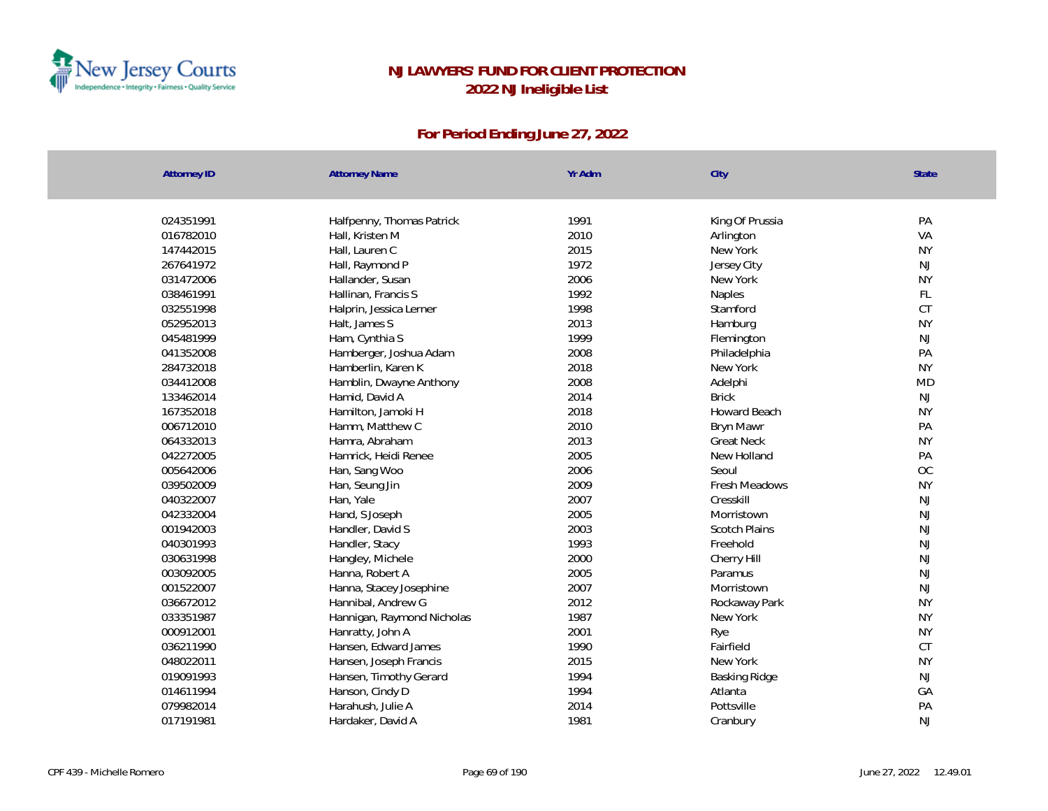

| <b>Attorney ID</b>     | <b>Attorney Name</b>                    | Yr Adm       | City                 | State                      |
|------------------------|-----------------------------------------|--------------|----------------------|----------------------------|
|                        |                                         |              |                      |                            |
| 024351991              | Halfpenny, Thomas Patrick               | 1991         | King Of Prussia      | PA                         |
| 016782010              | Hall, Kristen M                         | 2010         | Arlington            | VA                         |
| 147442015              | Hall, Lauren C                          | 2015<br>1972 | New York             | <b>NY</b>                  |
| 267641972              | Hall, Raymond P                         |              | Jersey City          | <b>NJ</b>                  |
| 031472006<br>038461991 | Hallander, Susan<br>Hallinan, Francis S | 2006<br>1992 | New York             | <b>NY</b><br>$\mathsf{FL}$ |
|                        |                                         |              | Naples               | <b>CT</b>                  |
| 032551998              | Halprin, Jessica Lerner                 | 1998         | Stamford             |                            |
| 052952013              | Halt, James S                           | 2013<br>1999 | Hamburg              | <b>NY</b><br>NJ            |
| 045481999              | Ham, Cynthia S                          |              | Flemington           | PA                         |
| 041352008              | Hamberger, Joshua Adam                  | 2008         | Philadelphia         | <b>NY</b>                  |
| 284732018              | Hamberlin, Karen K                      | 2018         | New York             |                            |
| 034412008              | Hamblin, Dwayne Anthony                 | 2008         | Adelphi              | <b>MD</b>                  |
| 133462014              | Hamid, David A                          | 2014         | <b>Brick</b>         | $\mathsf{NJ}$              |
| 167352018              | Hamilton, Jamoki H                      | 2018         | Howard Beach         | <b>NY</b>                  |
| 006712010              | Hamm, Matthew C                         | 2010         | Bryn Mawr            | PA                         |
| 064332013              | Hamra, Abraham                          | 2013         | <b>Great Neck</b>    | <b>NY</b>                  |
| 042272005              | Hamrick, Heidi Renee                    | 2005         | New Holland          | PA                         |
| 005642006              | Han, Sang Woo                           | 2006         | Seoul                | OC                         |
| 039502009              | Han, Seung Jin                          | 2009         | Fresh Meadows        | <b>NY</b>                  |
| 040322007              | Han, Yale                               | 2007         | Cresskill            | NJ                         |
| 042332004              | Hand, S Joseph                          | 2005         | Morristown           | NJ                         |
| 001942003              | Handler, David S                        | 2003         | <b>Scotch Plains</b> | NJ                         |
| 040301993              | Handler, Stacy                          | 1993         | Freehold             | NJ                         |
| 030631998              | Hangley, Michele                        | 2000         | Cherry Hill          | $\mathsf{NJ}$              |
| 003092005              | Hanna, Robert A                         | 2005         | Paramus              | NJ                         |
| 001522007              | Hanna, Stacey Josephine                 | 2007         | Morristown           | NJ                         |
| 036672012              | Hannibal, Andrew G                      | 2012         | Rockaway Park        | <b>NY</b>                  |
| 033351987              | Hannigan, Raymond Nicholas              | 1987         | New York             | <b>NY</b>                  |
| 000912001              | Hanratty, John A                        | 2001         | Rye                  | <b>NY</b>                  |
| 036211990              | Hansen, Edward James                    | 1990         | Fairfield            | CT                         |
| 048022011              | Hansen, Joseph Francis                  | 2015         | New York             | <b>NY</b>                  |
| 019091993              | Hansen, Timothy Gerard                  | 1994         | Basking Ridge        | NJ                         |
| 014611994              | Hanson, Cindy D                         | 1994         | Atlanta              | GA                         |
| 079982014              | Harahush, Julie A                       | 2014         | Pottsville           | PA                         |
| 017191981              | Hardaker, David A                       | 1981         | Cranbury             | NJ                         |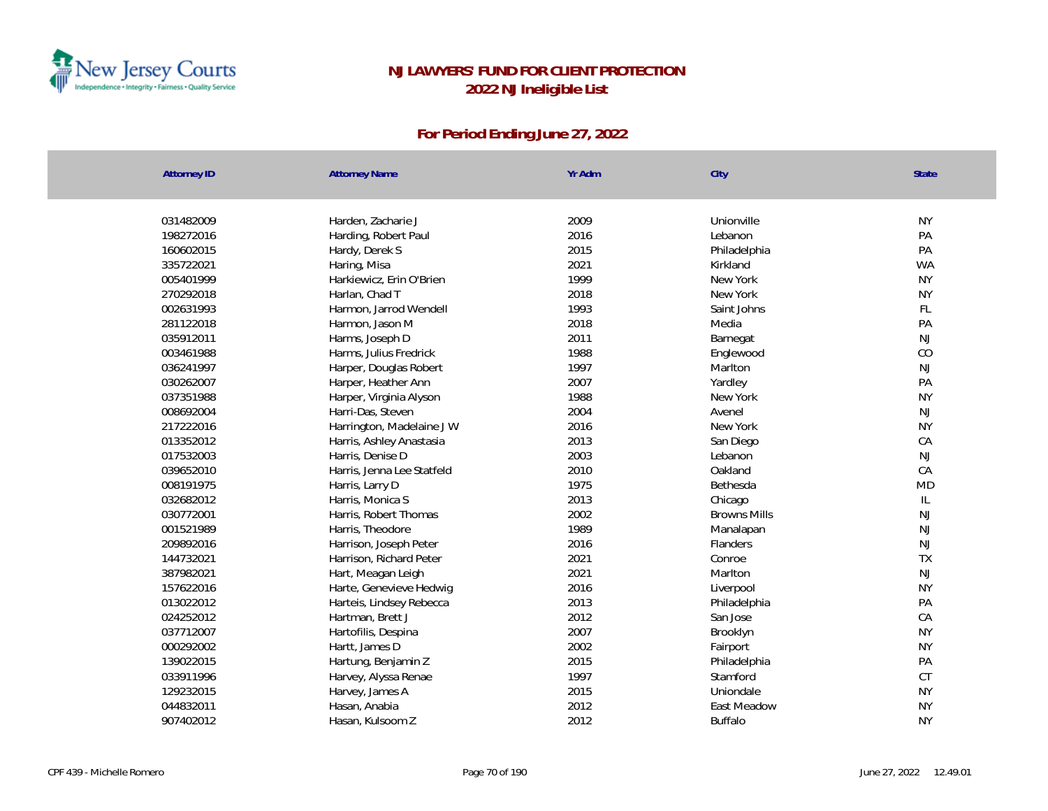

| <b>Attorney ID</b> | <b>Attorney Name</b>       | Yr Adm | City                | <b>State</b>  |
|--------------------|----------------------------|--------|---------------------|---------------|
|                    |                            | 2009   | Unionville          | <b>NY</b>     |
| 031482009          | Harden, Zacharie J         | 2016   |                     |               |
| 198272016          | Harding, Robert Paul       |        | Lebanon             | PA            |
| 160602015          | Hardy, Derek S             | 2015   | Philadelphia        | PA            |
| 335722021          | Haring, Misa               | 2021   | Kirkland            | <b>WA</b>     |
| 005401999          | Harkiewicz, Erin O'Brien   | 1999   | New York            | <b>NY</b>     |
| 270292018          | Harlan, Chad T             | 2018   | New York            | <b>NY</b>     |
| 002631993          | Harmon, Jarrod Wendell     | 1993   | Saint Johns         | FL            |
| 281122018          | Harmon, Jason M            | 2018   | Media               | PA            |
| 035912011          | Harms, Joseph D            | 2011   | Barnegat            | NJ            |
| 003461988          | Harms, Julius Fredrick     | 1988   | Englewood           | CO            |
| 036241997          | Harper, Douglas Robert     | 1997   | Marlton             | <b>NJ</b>     |
| 030262007          | Harper, Heather Ann        | 2007   | Yardley             | PA            |
| 037351988          | Harper, Virginia Alyson    | 1988   | New York            | <b>NY</b>     |
| 008692004          | Harri-Das, Steven          | 2004   | Avenel              | <b>NJ</b>     |
| 217222016          | Harrington, Madelaine J W  | 2016   | New York            | <b>NY</b>     |
| 013352012          | Harris, Ashley Anastasia   | 2013   | San Diego           | CA            |
| 017532003          | Harris, Denise D           | 2003   | Lebanon             | <b>NJ</b>     |
| 039652010          | Harris, Jenna Lee Statfeld | 2010   | Oakland             | CA            |
| 008191975          | Harris, Larry D            | 1975   | Bethesda            | <b>MD</b>     |
| 032682012          | Harris, Monica S           | 2013   | Chicago             | $\mathsf{IL}$ |
| 030772001          | Harris, Robert Thomas      | 2002   | <b>Browns Mills</b> | NJ            |
| 001521989          | Harris, Theodore           | 1989   | Manalapan           | <b>NJ</b>     |
| 209892016          | Harrison, Joseph Peter     | 2016   | Flanders            | <b>NJ</b>     |
| 144732021          | Harrison, Richard Peter    | 2021   | Conroe              | <b>TX</b>     |
| 387982021          | Hart, Meagan Leigh         | 2021   | Marlton             | <b>NJ</b>     |
| 157622016          | Harte, Genevieve Hedwig    | 2016   | Liverpool           | <b>NY</b>     |
| 013022012          | Harteis, Lindsey Rebecca   | 2013   | Philadelphia        | PA            |
| 024252012          | Hartman, Brett J           | 2012   | San Jose            | CA            |
| 037712007          | Hartofilis, Despina        | 2007   | Brooklyn            | <b>NY</b>     |
| 000292002          | Hartt, James D             | 2002   | Fairport            | <b>NY</b>     |
| 139022015          | Hartung, Benjamin Z        | 2015   | Philadelphia        | PA            |
| 033911996          | Harvey, Alyssa Renae       | 1997   | Stamford            | CT            |
| 129232015          | Harvey, James A            | 2015   | Uniondale           | <b>NY</b>     |
| 044832011          | Hasan, Anabia              | 2012   | East Meadow         | <b>NY</b>     |
| 907402012          | Hasan, Kulsoom Z           | 2012   | <b>Buffalo</b>      | <b>NY</b>     |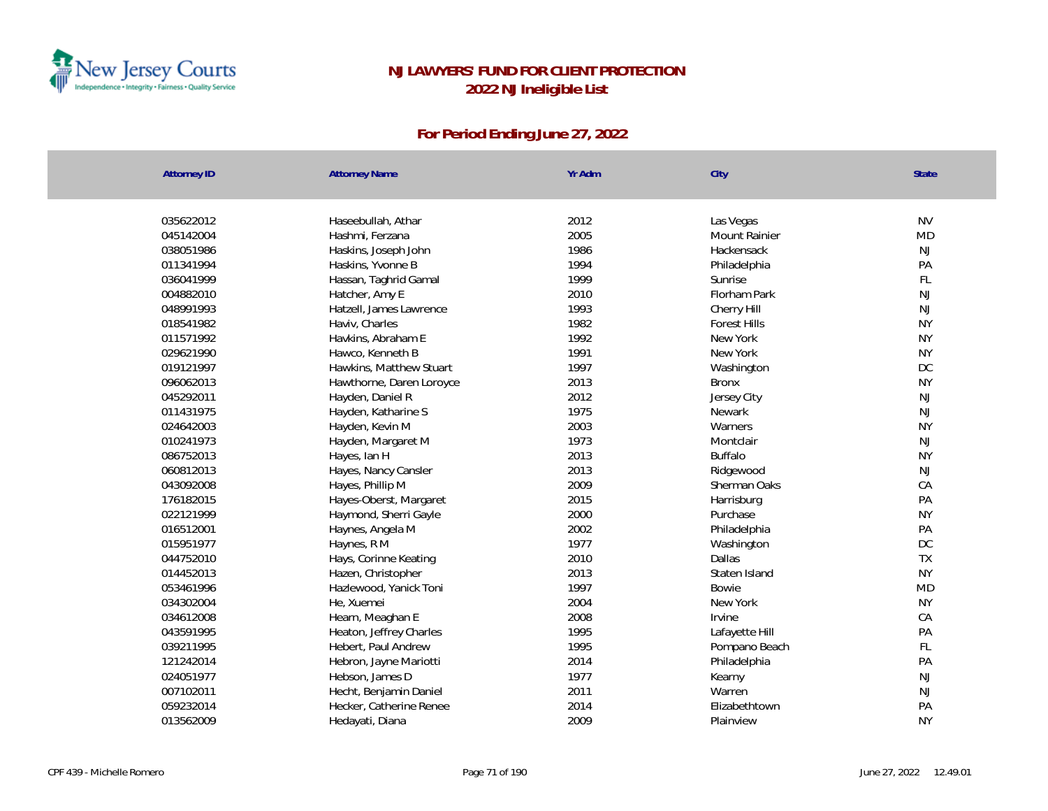

| <b>Attorney ID</b> | <b>Attorney Name</b>     | Yr Adm | City                 | <b>State</b> |
|--------------------|--------------------------|--------|----------------------|--------------|
|                    |                          |        |                      |              |
| 035622012          | Haseebullah, Athar       | 2012   | Las Vegas            | <b>NV</b>    |
| 045142004          | Hashmi, Ferzana          | 2005   | <b>Mount Rainier</b> | <b>MD</b>    |
| 038051986          | Haskins, Joseph John     | 1986   | Hackensack           | NJ           |
| 011341994          | Haskins, Yvonne B        | 1994   | Philadelphia         | PA           |
| 036041999          | Hassan, Taghrid Gamal    | 1999   | Sunrise              | FL           |
| 004882010          | Hatcher, Amy E           | 2010   | Florham Park         | NJ           |
| 048991993          | Hatzell, James Lawrence  | 1993   | Cherry Hill          | NJ           |
| 018541982          | Haviv, Charles           | 1982   | <b>Forest Hills</b>  | <b>NY</b>    |
| 011571992          | Havkins, Abraham E       | 1992   | New York             | <b>NY</b>    |
| 029621990          | Hawco, Kenneth B         | 1991   | New York             | <b>NY</b>    |
| 019121997          | Hawkins, Matthew Stuart  | 1997   | Washington           | DC           |
| 096062013          | Hawthorne, Daren Loroyce | 2013   | <b>Bronx</b>         | <b>NY</b>    |
| 045292011          | Hayden, Daniel R         | 2012   | Jersey City          | NJ           |
| 011431975          | Hayden, Katharine S      | 1975   | Newark               | <b>NJ</b>    |
| 024642003          | Hayden, Kevin M          | 2003   | Warners              | <b>NY</b>    |
| 010241973          | Hayden, Margaret M       | 1973   | Montclair            | NJ           |
| 086752013          | Hayes, Ian H             | 2013   | <b>Buffalo</b>       | <b>NY</b>    |
| 060812013          | Hayes, Nancy Cansler     | 2013   | Ridgewood            | NJ           |
| 043092008          | Hayes, Phillip M         | 2009   | Sherman Oaks         | CA           |
| 176182015          | Hayes-Oberst, Margaret   | 2015   | Harrisburg           | PA           |
| 022121999          | Haymond, Sherri Gayle    | 2000   | Purchase             | <b>NY</b>    |
| 016512001          | Haynes, Angela M         | 2002   | Philadelphia         | PA           |
| 015951977          | Haynes, R M              | 1977   | Washington           | DC           |
| 044752010          | Hays, Corinne Keating    | 2010   | Dallas               | TX           |
| 014452013          | Hazen, Christopher       | 2013   | Staten Island        | <b>NY</b>    |
| 053461996          | Hazlewood, Yanick Toni   | 1997   | Bowie                | <b>MD</b>    |
| 034302004          | He, Xuemei               | 2004   | New York             | <b>NY</b>    |
| 034612008          | Hearn, Meaghan E         | 2008   | Irvine               | CA           |
| 043591995          | Heaton, Jeffrey Charles  | 1995   | Lafayette Hill       | PA           |
| 039211995          | Hebert, Paul Andrew      | 1995   | Pompano Beach        | FL           |
| 121242014          | Hebron, Jayne Mariotti   | 2014   | Philadelphia         | PA           |
| 024051977          | Hebson, James D          | 1977   | Kearny               | NJ           |
| 007102011          | Hecht, Benjamin Daniel   | 2011   | Warren               | NJ           |
| 059232014          | Hecker, Catherine Renee  | 2014   | Elizabethtown        | PA           |
| 013562009          | Hedayati, Diana          | 2009   | Plainview            | <b>NY</b>    |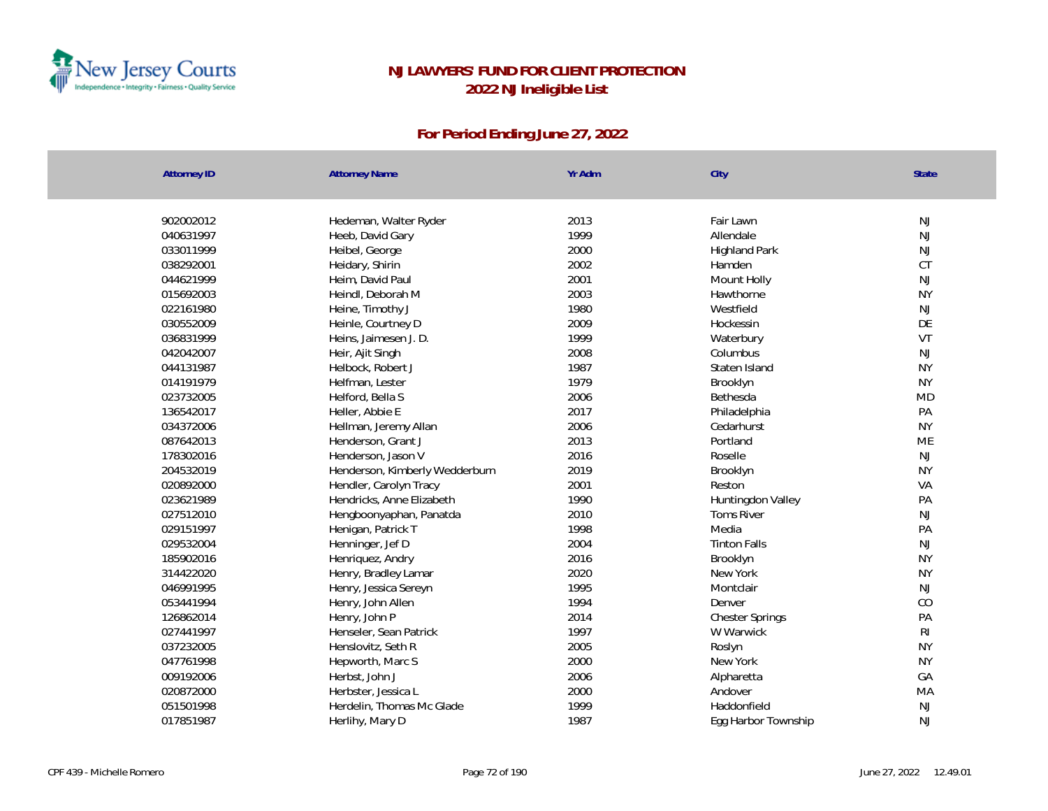

| Attorney ID | <b>Attorney Name</b>           | Yr Adm | City                   | State          |
|-------------|--------------------------------|--------|------------------------|----------------|
|             |                                |        |                        |                |
| 902002012   | Hedeman, Walter Ryder          | 2013   | Fair Lawn              | NJ             |
| 040631997   | Heeb, David Gary               | 1999   | Allendale              | NJ             |
| 033011999   | Heibel, George                 | 2000   | <b>Highland Park</b>   | NJ             |
| 038292001   | Heidary, Shirin                | 2002   | Hamden                 | CT             |
| 044621999   | Heim, David Paul               | 2001   | Mount Holly            | NJ             |
| 015692003   | Heindl, Deborah M              | 2003   | Hawthorne              | <b>NY</b>      |
| 022161980   | Heine, Timothy J               | 1980   | Westfield              | NJ             |
| 030552009   | Heinle, Courtney D             | 2009   | Hockessin              | DE             |
| 036831999   | Heins, Jaimesen J. D.          | 1999   | Waterbury              | VT             |
| 042042007   | Heir, Ajit Singh               | 2008   | Columbus               | <b>NJ</b>      |
| 044131987   | Helbock, Robert J              | 1987   | Staten Island          | <b>NY</b>      |
| 014191979   | Helfman, Lester                | 1979   | Brooklyn               | <b>NY</b>      |
| 023732005   | Helford, Bella S               | 2006   | Bethesda               | <b>MD</b>      |
| 136542017   | Heller, Abbie E                | 2017   | Philadelphia           | PA             |
| 034372006   | Hellman, Jeremy Allan          | 2006   | Cedarhurst             | <b>NY</b>      |
| 087642013   | Henderson, Grant J             | 2013   | Portland               | ME             |
| 178302016   | Henderson, Jason V             | 2016   | Roselle                | NJ             |
| 204532019   | Henderson, Kimberly Wedderburn | 2019   | Brooklyn               | <b>NY</b>      |
| 020892000   | Hendler, Carolyn Tracy         | 2001   | Reston                 | VA             |
| 023621989   | Hendricks, Anne Elizabeth      | 1990   | Huntingdon Valley      | PA             |
| 027512010   | Hengboonyaphan, Panatda        | 2010   | Toms River             | NJ             |
| 029151997   | Henigan, Patrick T             | 1998   | Media                  | PA             |
| 029532004   | Henninger, Jef D               | 2004   | <b>Tinton Falls</b>    | NJ             |
| 185902016   | Henriquez, Andry               | 2016   | Brooklyn               | <b>NY</b>      |
| 314422020   | Henry, Bradley Lamar           | 2020   | New York               | <b>NY</b>      |
| 046991995   | Henry, Jessica Sereyn          | 1995   | Montclair              | NJ             |
| 053441994   | Henry, John Allen              | 1994   | Denver                 | CO             |
| 126862014   | Henry, John P                  | 2014   | <b>Chester Springs</b> | PA             |
| 027441997   | Henseler, Sean Patrick         | 1997   | W Warwick              | R <sub>l</sub> |
| 037232005   | Henslovitz, Seth R             | 2005   | Roslyn                 | <b>NY</b>      |
| 047761998   | Hepworth, Marc S               | 2000   | New York               | <b>NY</b>      |
| 009192006   | Herbst, John J                 | 2006   | Alpharetta             | GA             |
| 020872000   | Herbster, Jessica L            | 2000   | Andover                | MA             |
| 051501998   | Herdelin, Thomas Mc Glade      | 1999   | Haddonfield            | $\mathsf{NJ}$  |
| 017851987   | Herlihy, Mary D                | 1987   | Egg Harbor Township    | NJ             |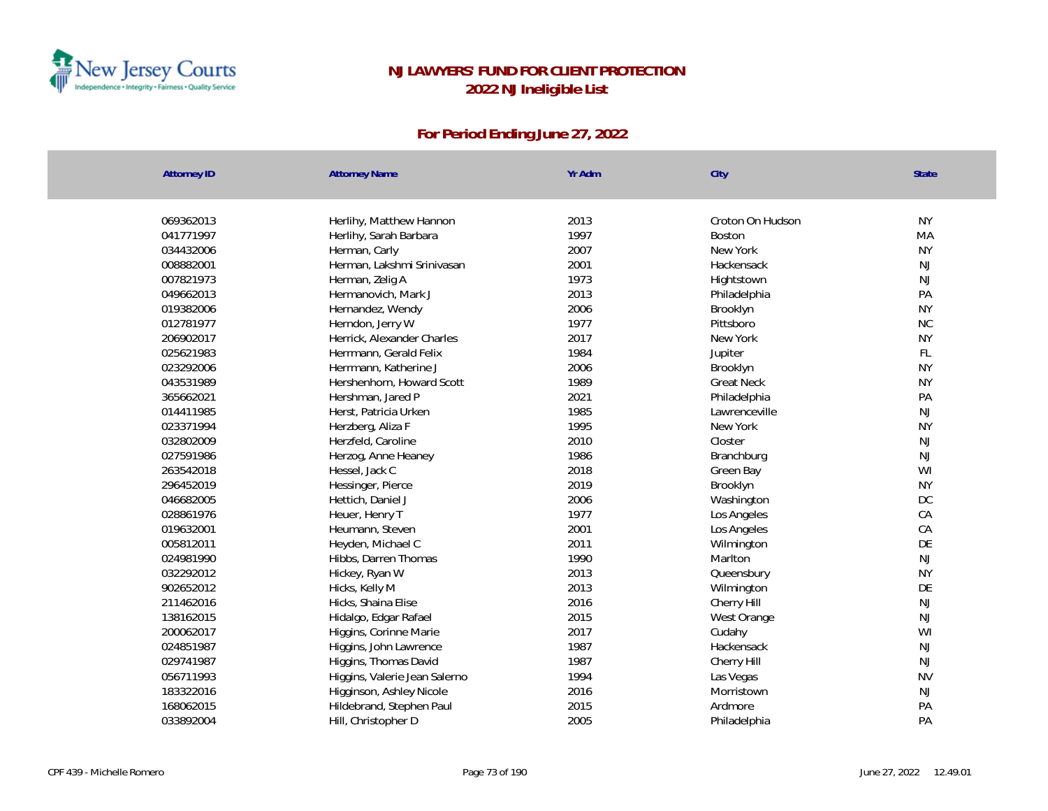

| <b>Attorney ID</b> | <b>Attorney Name</b>          | Yr Adm | City              | <b>State</b> |
|--------------------|-------------------------------|--------|-------------------|--------------|
|                    |                               |        |                   |              |
| 069362013          | Herlihy, Matthew Hannon       | 2013   | Croton On Hudson  | <b>NY</b>    |
| 041771997          | Herlihy, Sarah Barbara        | 1997   | Boston            | MA           |
| 034432006          | Herman, Carly                 | 2007   | New York          | <b>NY</b>    |
| 008882001          | Herman, Lakshmi Srinivasan    | 2001   | Hackensack        | NJ           |
| 007821973          | Herman, Zelig A               | 1973   | Hightstown        | NJ           |
| 049662013          | Hermanovich, Mark J           | 2013   | Philadelphia      | PA           |
| 019382006          | Hernandez, Wendy              | 2006   | Brooklyn          | <b>NY</b>    |
| 012781977          | Herndon, Jerry W              | 1977   | Pittsboro         | $\rm NC$     |
| 206902017          | Herrick, Alexander Charles    | 2017   | New York          | <b>NY</b>    |
| 025621983          | Herrmann, Gerald Felix        | 1984   | Jupiter           | FL           |
| 023292006          | Herrmann, Katherine J         | 2006   | Brooklyn          | <b>NY</b>    |
| 043531989          | Hershenhorn, Howard Scott     | 1989   | <b>Great Neck</b> | <b>NY</b>    |
| 365662021          | Hershman, Jared P             | 2021   | Philadelphia      | PA           |
| 014411985          | Herst, Patricia Urken         | 1985   | Lawrenceville     | <b>NJ</b>    |
| 023371994          | Herzberg, Aliza F             | 1995   | New York          | <b>NY</b>    |
| 032802009          | Herzfeld, Caroline            | 2010   | Closter           | <b>NJ</b>    |
| 027591986          | Herzog, Anne Heaney           | 1986   | Branchburg        | NJ           |
| 263542018          | Hessel, Jack C                | 2018   | Green Bay         | WI           |
| 296452019          | Hessinger, Pierce             | 2019   | Brooklyn          | <b>NY</b>    |
| 046682005          | Hettich, Daniel J             | 2006   | Washington        | $DC$         |
| 028861976          | Heuer, Henry T                | 1977   | Los Angeles       | CA           |
| 019632001          | Heumann, Steven               | 2001   | Los Angeles       | CA           |
| 005812011          | Heyden, Michael C             | 2011   | Wilmington        | DE           |
| 024981990          | Hibbs, Darren Thomas          | 1990   | Marlton           | NJ           |
| 032292012          | Hickey, Ryan W                | 2013   | Queensbury        | <b>NY</b>    |
| 902652012          | Hicks, Kelly M                | 2013   | Wilmington        | DE           |
| 211462016          | Hicks, Shaina Elise           | 2016   | Cherry Hill       | NJ           |
| 138162015          | Hidalgo, Edgar Rafael         | 2015   | West Orange       | NJ           |
| 200062017          | Higgins, Corinne Marie        | 2017   | Cudahy            | WI           |
| 024851987          | Higgins, John Lawrence        | 1987   | Hackensack        | NJ           |
| 029741987          | Higgins, Thomas David         | 1987   | Cherry Hill       | NJ           |
| 056711993          | Higgins, Valerie Jean Salerno | 1994   | Las Vegas         | <b>NV</b>    |
| 183322016          | Higginson, Ashley Nicole      | 2016   | Morristown        | NJ           |
| 168062015          | Hildebrand, Stephen Paul      | 2015   | Ardmore           | PA           |
| 033892004          | Hill, Christopher D           | 2005   | Philadelphia      | PA           |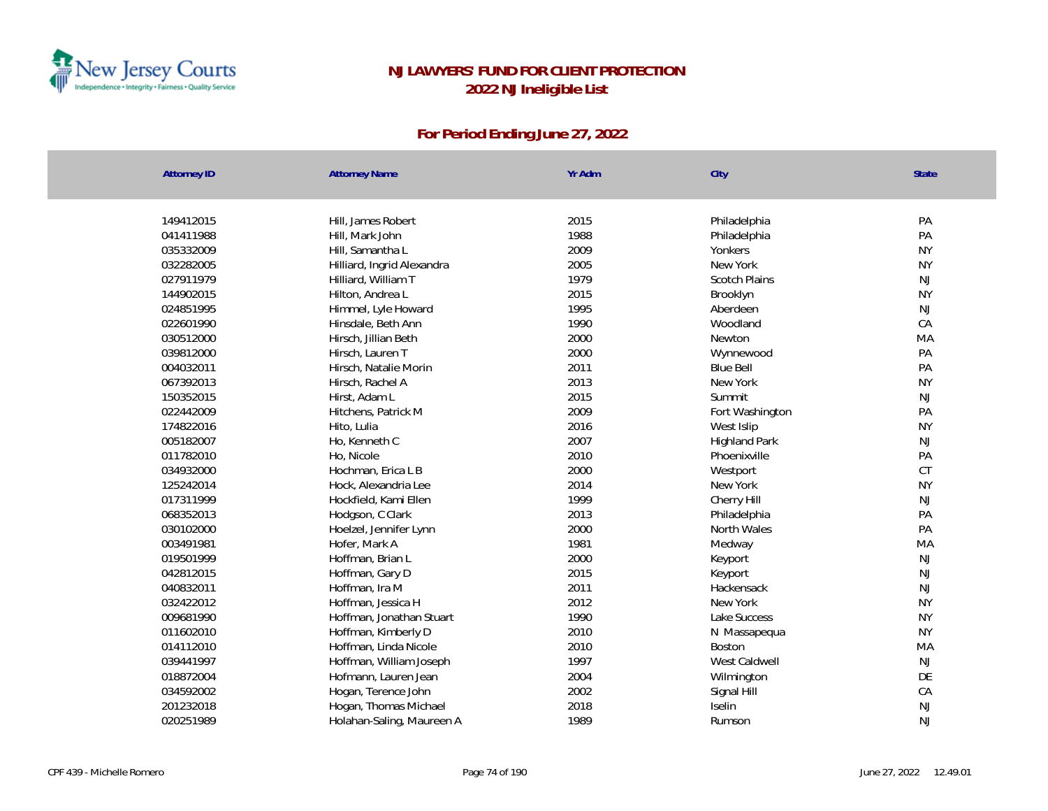

| <b>Attorney ID</b> | <b>Attorney Name</b>       | Yr Adm | City                 | State     |
|--------------------|----------------------------|--------|----------------------|-----------|
|                    |                            |        |                      |           |
| 149412015          | Hill, James Robert         | 2015   | Philadelphia         | PA        |
| 041411988          | Hill, Mark John            | 1988   | Philadelphia         | PA        |
| 035332009          | Hill, Samantha L           | 2009   | Yonkers              | <b>NY</b> |
| 032282005          | Hilliard, Ingrid Alexandra | 2005   | New York             | <b>NY</b> |
| 027911979          | Hilliard, William T        | 1979   | <b>Scotch Plains</b> | NJ        |
| 144902015          | Hilton, Andrea L           | 2015   | Brooklyn             | <b>NY</b> |
| 024851995          | Himmel, Lyle Howard        | 1995   | Aberdeen             | NJ        |
| 022601990          | Hinsdale, Beth Ann         | 1990   | Woodland             | CA        |
| 030512000          | Hirsch, Jillian Beth       | 2000   | Newton               | MA        |
| 039812000          | Hirsch, Lauren T           | 2000   | Wynnewood            | PA        |
| 004032011          | Hirsch, Natalie Morin      | 2011   | <b>Blue Bell</b>     | PA        |
| 067392013          | Hirsch, Rachel A           | 2013   | New York             | <b>NY</b> |
| 150352015          | Hirst, Adam L              | 2015   | Summit               | NJ        |
| 022442009          | Hitchens, Patrick M        | 2009   | Fort Washington      | PA        |
| 174822016          | Hito, Lulia                | 2016   | West Islip           | <b>NY</b> |
| 005182007          | Ho, Kenneth C              | 2007   | <b>Highland Park</b> | NJ        |
| 011782010          | Ho, Nicole                 | 2010   | Phoenixville         | PA        |
| 034932000          | Hochman, Erica L B         | 2000   | Westport             | CT        |
| 125242014          | Hock, Alexandria Lee       | 2014   | New York             | <b>NY</b> |
| 017311999          | Hockfield, Kami Ellen      | 1999   | Cherry Hill          | NJ        |
| 068352013          | Hodgson, C Clark           | 2013   | Philadelphia         | PA        |
| 030102000          | Hoelzel, Jennifer Lynn     | 2000   | North Wales          | PA        |
| 003491981          | Hofer, Mark A              | 1981   | Medway               | MA        |
| 019501999          | Hoffman, Brian L           | 2000   | Keyport              | NJ        |
| 042812015          | Hoffman, Gary D            | 2015   | Keyport              | NJ        |
| 040832011          | Hoffman, Ira M             | 2011   | Hackensack           | NJ        |
| 032422012          | Hoffman, Jessica H         | 2012   | New York             | <b>NY</b> |
| 009681990          | Hoffman, Jonathan Stuart   | 1990   | Lake Success         | <b>NY</b> |
| 011602010          | Hoffman, Kimberly D        | 2010   | N Massapequa         | <b>NY</b> |
| 014112010          | Hoffman, Linda Nicole      | 2010   | Boston               | MA        |
| 039441997          | Hoffman, William Joseph    | 1997   | West Caldwell        | NJ        |
| 018872004          | Hofmann, Lauren Jean       | 2004   | Wilmington           | DE        |
| 034592002          | Hogan, Terence John        | 2002   | Signal Hill          | CA        |
| 201232018          | Hogan, Thomas Michael      | 2018   | Iselin               | NJ        |
| 020251989          | Holahan-Saling, Maureen A  | 1989   | Rumson               | <b>NJ</b> |
|                    |                            |        |                      |           |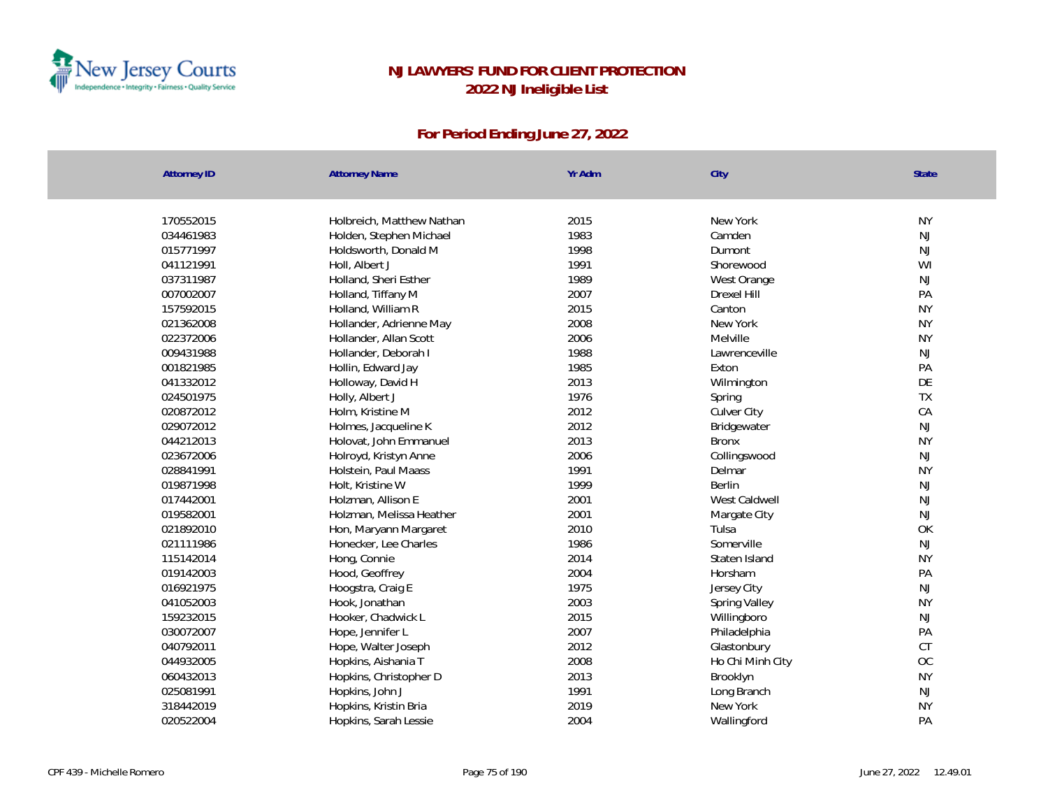

| <b>Attorney ID</b> | <b>Attorney Name</b>      | Yr Adm | City             | State         |
|--------------------|---------------------------|--------|------------------|---------------|
|                    |                           |        |                  |               |
| 170552015          | Holbreich, Matthew Nathan | 2015   | New York         | <b>NY</b>     |
| 034461983          | Holden, Stephen Michael   | 1983   | Camden           | $\mathsf{NJ}$ |
| 015771997          | Holdsworth, Donald M      | 1998   | Dumont           | NJ            |
| 041121991          | Holl, Albert J            | 1991   | Shorewood        | WI            |
| 037311987          | Holland, Sheri Esther     | 1989   | West Orange      | NJ            |
| 007002007          | Holland, Tiffany M        | 2007   | Drexel Hill      | PA            |
| 157592015          | Holland, William R        | 2015   | Canton           | <b>NY</b>     |
| 021362008          | Hollander, Adrienne May   | 2008   | New York         | <b>NY</b>     |
| 022372006          | Hollander, Allan Scott    | 2006   | Melville         | <b>NY</b>     |
| 009431988          | Hollander, Deborah I      | 1988   | Lawrenceville    | NJ            |
| 001821985          | Hollin, Edward Jay        | 1985   | Exton            | PA            |
| 041332012          | Holloway, David H         | 2013   | Wilmington       | DE            |
| 024501975          | Holly, Albert J           | 1976   | Spring           | TX            |
| 020872012          | Holm, Kristine M          | 2012   | Culver City      | CA            |
| 029072012          | Holmes, Jacqueline K      | 2012   | Bridgewater      | NJ            |
| 044212013          | Holovat, John Emmanuel    | 2013   | <b>Bronx</b>     | <b>NY</b>     |
| 023672006          | Holroyd, Kristyn Anne     | 2006   | Collingswood     | NJ            |
| 028841991          | Holstein, Paul Maass      | 1991   | Delmar           | <b>NY</b>     |
| 019871998          | Holt, Kristine W          | 1999   | Berlin           | NJ            |
| 017442001          | Holzman, Allison E        | 2001   | West Caldwell    | NJ            |
| 019582001          | Holzman, Melissa Heather  | 2001   | Margate City     | NJ            |
| 021892010          | Hon, Maryann Margaret     | 2010   | Tulsa            | OK            |
| 021111986          | Honecker, Lee Charles     | 1986   | Somerville       | NJ            |
| 115142014          | Hong, Connie              | 2014   | Staten Island    | <b>NY</b>     |
| 019142003          | Hood, Geoffrey            | 2004   | Horsham          | PA            |
| 016921975          | Hoogstra, Craig E         | 1975   | Jersey City      | $\mathsf{NJ}$ |
| 041052003          | Hook, Jonathan            | 2003   | Spring Valley    | <b>NY</b>     |
| 159232015          | Hooker, Chadwick L        | 2015   | Willingboro      | NJ            |
| 030072007          | Hope, Jennifer L          | 2007   | Philadelphia     | PA            |
| 040792011          | Hope, Walter Joseph       | 2012   | Glastonbury      | CT            |
| 044932005          | Hopkins, Aishania T       | 2008   | Ho Chi Minh City | OC            |
| 060432013          | Hopkins, Christopher D    | 2013   | Brooklyn         | <b>NY</b>     |
| 025081991          | Hopkins, John J           | 1991   | Long Branch      | $\mathsf{NJ}$ |
| 318442019          | Hopkins, Kristin Bria     | 2019   | New York         | <b>NY</b>     |
| 020522004          | Hopkins, Sarah Lessie     | 2004   | Wallingford      | PA            |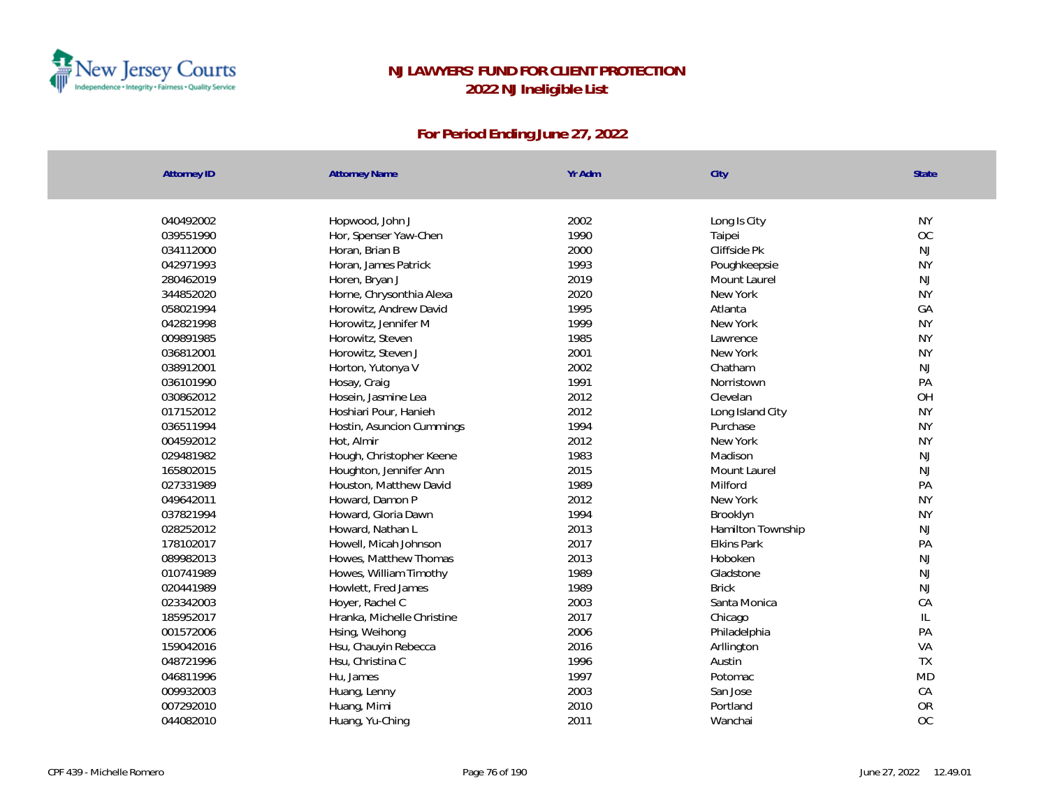

| <b>Attorney ID</b> | <b>Attorney Name</b>       | Yr Adm | City              | State     |
|--------------------|----------------------------|--------|-------------------|-----------|
|                    |                            |        |                   |           |
| 040492002          | Hopwood, John J            | 2002   | Long Is City      | <b>NY</b> |
| 039551990          | Hor, Spenser Yaw-Chen      | 1990   | Taipei            | <b>OC</b> |
| 034112000          | Horan, Brian B             | 2000   | Cliffside Pk      | <b>NJ</b> |
| 042971993          | Horan, James Patrick       | 1993   | Poughkeepsie      | <b>NY</b> |
| 280462019          | Horen, Bryan J             | 2019   | Mount Laurel      | NJ        |
| 344852020          | Horne, Chrysonthia Alexa   | 2020   | New York          | <b>NY</b> |
| 058021994          | Horowitz, Andrew David     | 1995   | Atlanta           | GA        |
| 042821998          | Horowitz, Jennifer M       | 1999   | New York          | <b>NY</b> |
| 009891985          | Horowitz, Steven           | 1985   | Lawrence          | <b>NY</b> |
| 036812001          | Horowitz, Steven J         | 2001   | New York          | <b>NY</b> |
| 038912001          | Horton, Yutonya V          | 2002   | Chatham           | NJ        |
| 036101990          | Hosay, Craig               | 1991   | Norristown        | PA        |
| 030862012          | Hosein, Jasmine Lea        | 2012   | Clevelan          | OH        |
| 017152012          | Hoshiari Pour, Hanieh      | 2012   | Long Island City  | <b>NY</b> |
| 036511994          | Hostin, Asuncion Cummings  | 1994   | Purchase          | <b>NY</b> |
| 004592012          | Hot, Almir                 | 2012   | New York          | <b>NY</b> |
| 029481982          | Hough, Christopher Keene   | 1983   | Madison           | NJ        |
| 165802015          | Houghton, Jennifer Ann     | 2015   | Mount Laurel      | NJ        |
| 027331989          | Houston, Matthew David     | 1989   | Milford           | PA        |
| 049642011          | Howard, Damon P            | 2012   | New York          | <b>NY</b> |
| 037821994          | Howard, Gloria Dawn        | 1994   | Brooklyn          | <b>NY</b> |
| 028252012          | Howard, Nathan L           | 2013   | Hamilton Township | <b>NJ</b> |
| 178102017          | Howell, Micah Johnson      | 2017   | Elkins Park       | PA        |
| 089982013          | Howes, Matthew Thomas      | 2013   | Hoboken           | <b>NJ</b> |
| 010741989          | Howes, William Timothy     | 1989   | Gladstone         | <b>NJ</b> |
| 020441989          | Howlett, Fred James        | 1989   | <b>Brick</b>      | NJ        |
| 023342003          | Hoyer, Rachel C            | 2003   | Santa Monica      | CA        |
| 185952017          | Hranka, Michelle Christine | 2017   | Chicago           | L         |
| 001572006          | Hsing, Weihong             | 2006   | Philadelphia      | PA        |
| 159042016          | Hsu, Chauyin Rebecca       | 2016   | Arllington        | VA        |
| 048721996          | Hsu, Christina C           | 1996   | Austin            | <b>TX</b> |
| 046811996          | Hu, James                  | 1997   | Potomac           | <b>MD</b> |
| 009932003          | Huang, Lenny               | 2003   | San Jose          | CA        |
| 007292010          | Huang, Mimi                | 2010   | Portland          | OR        |
| 044082010          | Huang, Yu-Ching            | 2011   | Wanchai           | OC        |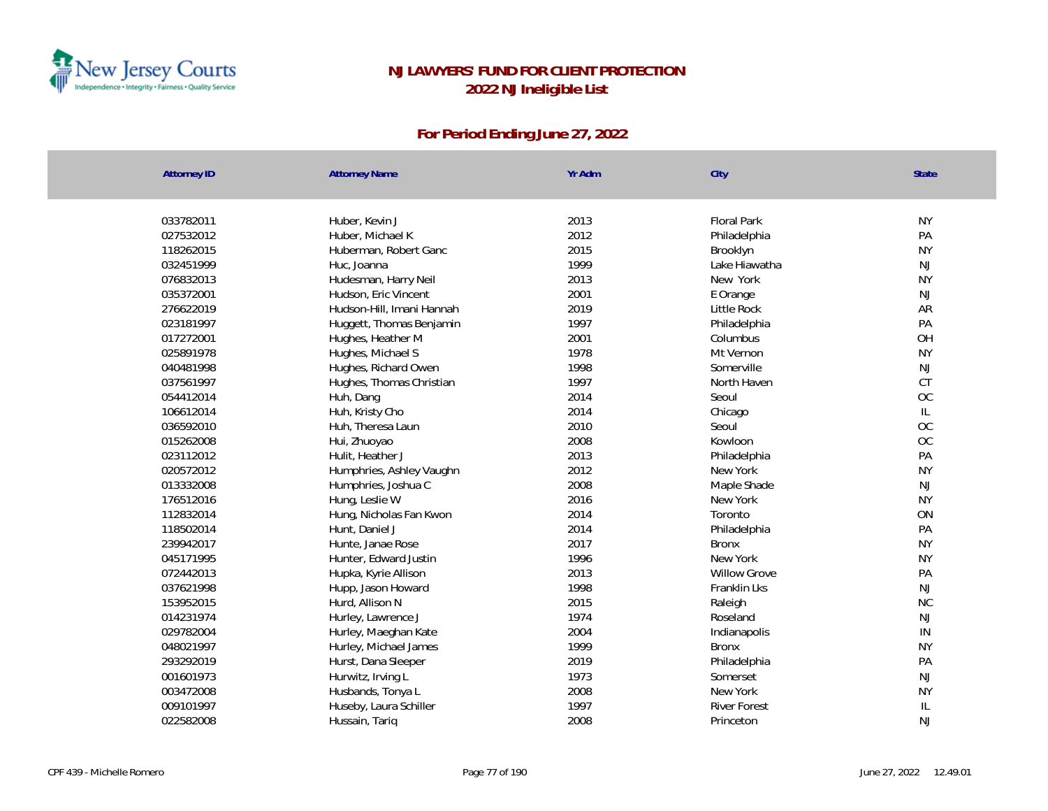

| <b>Attorney ID</b> | <b>Attorney Name</b>      | Yr Adm | City                | <b>State</b>  |
|--------------------|---------------------------|--------|---------------------|---------------|
|                    |                           |        |                     |               |
| 033782011          | Huber, Kevin J            | 2013   | <b>Floral Park</b>  | <b>NY</b>     |
| 027532012          | Huber, Michael K          | 2012   | Philadelphia        | PA            |
| 118262015          | Huberman, Robert Ganc     | 2015   | Brooklyn            | <b>NY</b>     |
| 032451999          | Huc, Joanna               | 1999   | Lake Hiawatha       | NJ            |
| 076832013          | Hudesman, Harry Neil      | 2013   | New York            | <b>NY</b>     |
| 035372001          | Hudson, Eric Vincent      | 2001   | E Orange            | $\mathsf{NJ}$ |
| 276622019          | Hudson-Hill, Imani Hannah | 2019   | Little Rock         | AR            |
| 023181997          | Huggett, Thomas Benjamin  | 1997   | Philadelphia        | PA            |
| 017272001          | Hughes, Heather M         | 2001   | Columbus            | OH            |
| 025891978          | Hughes, Michael S         | 1978   | Mt Vernon           | <b>NY</b>     |
| 040481998          | Hughes, Richard Owen      | 1998   | Somerville          | NJ            |
| 037561997          | Hughes, Thomas Christian  | 1997   | North Haven         | <b>CT</b>     |
| 054412014          | Huh, Dang                 | 2014   | Seoul               | OC            |
| 106612014          | Huh, Kristy Cho           | 2014   | Chicago             | L             |
| 036592010          | Huh, Theresa Laun         | 2010   | Seoul               | OC            |
| 015262008          | Hui, Zhuoyao              | 2008   | Kowloon             | OC            |
| 023112012          | Hulit, Heather J          | 2013   | Philadelphia        | PA            |
| 020572012          | Humphries, Ashley Vaughn  | 2012   | New York            | <b>NY</b>     |
| 013332008          | Humphries, Joshua C       | 2008   | Maple Shade         | $\mathsf{NJ}$ |
| 176512016          | Hung, Leslie W            | 2016   | New York            | <b>NY</b>     |
| 112832014          | Hung, Nicholas Fan Kwon   | 2014   | Toronto             | ON            |
| 118502014          | Hunt, Daniel J            | 2014   | Philadelphia        | PA            |
| 239942017          | Hunte, Janae Rose         | 2017   | <b>Bronx</b>        | <b>NY</b>     |
| 045171995          | Hunter, Edward Justin     | 1996   | New York            | <b>NY</b>     |
| 072442013          | Hupka, Kyrie Allison      | 2013   | <b>Willow Grove</b> | PA            |
| 037621998          | Hupp, Jason Howard        | 1998   | Franklin Lks        | NJ            |
| 153952015          | Hurd, Allison N           | 2015   | Raleigh             | <b>NC</b>     |
| 014231974          | Hurley, Lawrence J        | 1974   | Roseland            | NJ            |
| 029782004          | Hurley, Maeghan Kate      | 2004   | Indianapolis        | IN            |
| 048021997          | Hurley, Michael James     | 1999   | <b>Bronx</b>        | <b>NY</b>     |
| 293292019          | Hurst, Dana Sleeper       | 2019   | Philadelphia        | PA            |
| 001601973          | Hurwitz, Irving L         | 1973   | Somerset            | NJ            |
| 003472008          | Husbands, Tonya L         | 2008   | New York            | <b>NY</b>     |
| 009101997          | Huseby, Laura Schiller    | 1997   | <b>River Forest</b> | $\mathbb{L}$  |
| 022582008          | Hussain, Tariq            | 2008   | Princeton           | <b>NJ</b>     |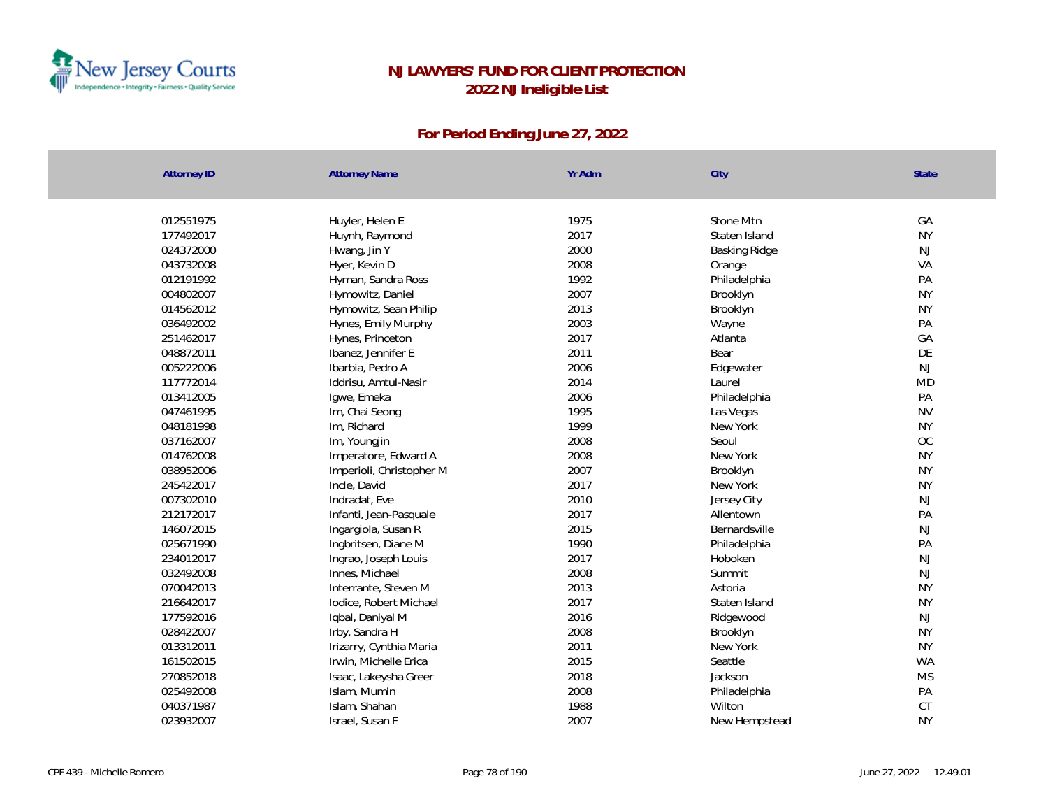

| <b>Attorney ID</b> | <b>Attorney Name</b>     | Yr Adm       | City                 | <b>State</b>    |
|--------------------|--------------------------|--------------|----------------------|-----------------|
|                    |                          |              |                      |                 |
| 012551975          | Huyler, Helen E          | 1975<br>2017 | Stone Mtn            | GA<br><b>NY</b> |
| 177492017          | Huynh, Raymond           |              | Staten Island        |                 |
| 024372000          | Hwang, Jin Y             | 2000         | <b>Basking Ridge</b> | <b>NJ</b><br>VA |
| 043732008          | Hyer, Kevin D            | 2008         | Orange               |                 |
| 012191992          | Hyman, Sandra Ross       | 1992         | Philadelphia         | PA              |
| 004802007          | Hymowitz, Daniel         | 2007         | Brooklyn             | <b>NY</b>       |
| 014562012          | Hymowitz, Sean Philip    | 2013         | Brooklyn             | <b>NY</b>       |
| 036492002          | Hynes, Emily Murphy      | 2003         | Wayne                | PA              |
| 251462017          | Hynes, Princeton         | 2017         | Atlanta              | GA              |
| 048872011          | Ibanez, Jennifer E       | 2011         | Bear                 | DE              |
| 005222006          | Ibarbia, Pedro A         | 2006         | Edgewater            | <b>NJ</b>       |
| 117772014          | Iddrisu, Amtul-Nasir     | 2014         | Laurel               | <b>MD</b>       |
| 013412005          | Igwe, Emeka              | 2006         | Philadelphia         | PA              |
| 047461995          | Im, Chai Seong           | 1995         | Las Vegas            | <b>NV</b>       |
| 048181998          | Im, Richard              | 1999         | New York             | <b>NY</b>       |
| 037162007          | Im, Youngjin             | 2008         | Seoul                | $OC$            |
| 014762008          | Imperatore, Edward A     | 2008         | New York             | <b>NY</b>       |
| 038952006          | Imperioli, Christopher M | 2007         | Brooklyn             | <b>NY</b>       |
| 245422017          | Incle, David             | 2017         | New York             | <b>NY</b>       |
| 007302010          | Indradat, Eve            | 2010         | Jersey City          | $\mathsf{NJ}$   |
| 212172017          | Infanti, Jean-Pasquale   | 2017         | Allentown            | PA              |
| 146072015          | Ingargiola, Susan R      | 2015         | Bernardsville        | $\mathsf{NJ}$   |
| 025671990          | Ingbritsen, Diane M      | 1990         | Philadelphia         | PA              |
| 234012017          | Ingrao, Joseph Louis     | 2017         | Hoboken              | <b>NJ</b>       |
| 032492008          | Innes, Michael           | 2008         | Summit               | <b>NJ</b>       |
| 070042013          | Interrante, Steven M     | 2013         | Astoria              | <b>NY</b>       |
| 216642017          | lodice, Robert Michael   | 2017         | Staten Island        | <b>NY</b>       |
| 177592016          | Iqbal, Daniyal M         | 2016         | Ridgewood            | NJ              |
| 028422007          | Irby, Sandra H           | 2008         | Brooklyn             | <b>NY</b>       |
| 013312011          | Irizarry, Cynthia Maria  | 2011         | New York             | <b>NY</b>       |
| 161502015          | Irwin, Michelle Erica    | 2015         | Seattle              | <b>WA</b>       |
| 270852018          | Isaac, Lakeysha Greer    | 2018         | Jackson              | <b>MS</b>       |
| 025492008          | Islam, Mumin             | 2008         | Philadelphia         | PA              |
| 040371987          | Islam, Shahan            | 1988         | Wilton               | CT              |
| 023932007          | Israel, Susan F          | 2007         | New Hempstead        | <b>NY</b>       |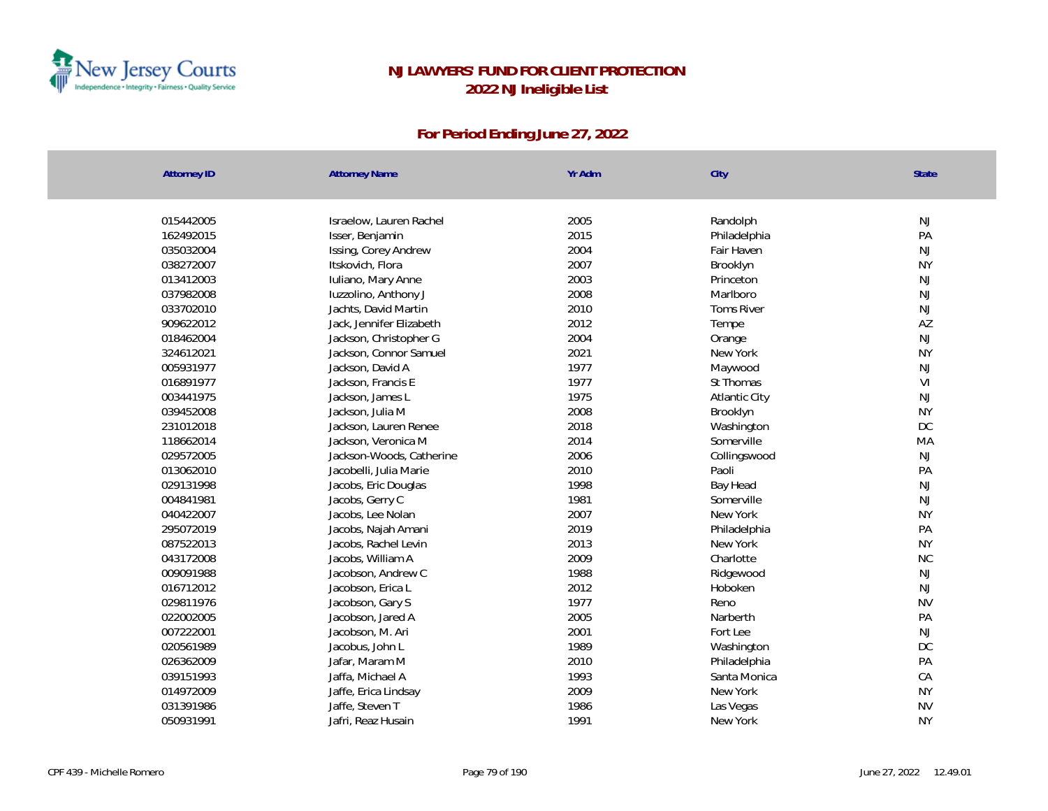

| <b>Attorney ID</b> | <b>Attorney Name</b>     | Yr Adm | City                 | State          |
|--------------------|--------------------------|--------|----------------------|----------------|
|                    |                          |        |                      |                |
| 015442005          | Israelow, Lauren Rachel  | 2005   | Randolph             | NJ             |
| 162492015          | Isser, Benjamin          | 2015   | Philadelphia         | PA             |
| 035032004          | Issing, Corey Andrew     | 2004   | Fair Haven           | NJ             |
| 038272007          | Itskovich, Flora         | 2007   | Brooklyn             | <b>NY</b>      |
| 013412003          | Iuliano, Mary Anne       | 2003   | Princeton            | NJ             |
| 037982008          | luzzolino, Anthony J     | 2008   | Marlboro             | NJ             |
| 033702010          | Jachts, David Martin     | 2010   | <b>Toms River</b>    | NJ             |
| 909622012          | Jack, Jennifer Elizabeth | 2012   | Tempe                | AZ             |
| 018462004          | Jackson, Christopher G   | 2004   | Orange               | NJ             |
| 324612021          | Jackson, Connor Samuel   | 2021   | New York             | <b>NY</b>      |
| 005931977          | Jackson, David A         | 1977   | Maywood              | $\mathsf{NJ}$  |
| 016891977          | Jackson, Francis E       | 1977   | St Thomas            | V <sub>l</sub> |
| 003441975          | Jackson, James L         | 1975   | <b>Atlantic City</b> | NJ             |
| 039452008          | Jackson, Julia M         | 2008   | Brooklyn             | <b>NY</b>      |
| 231012018          | Jackson, Lauren Renee    | 2018   | Washington           | DC             |
| 118662014          | Jackson, Veronica M      | 2014   | Somerville           | MA             |
| 029572005          | Jackson-Woods, Catherine | 2006   | Collingswood         | NJ             |
| 013062010          | Jacobelli, Julia Marie   | 2010   | Paoli                | PA             |
| 029131998          | Jacobs, Eric Douglas     | 1998   | Bay Head             | NJ             |
| 004841981          | Jacobs, Gerry C          | 1981   | Somerville           | NJ             |
| 040422007          | Jacobs, Lee Nolan        | 2007   | New York             | <b>NY</b>      |
| 295072019          | Jacobs, Najah Amani      | 2019   | Philadelphia         | PA             |
| 087522013          | Jacobs, Rachel Levin     | 2013   | New York             | <b>NY</b>      |
| 043172008          | Jacobs, William A        | 2009   | Charlotte            | NC             |
| 009091988          | Jacobson, Andrew C       | 1988   | Ridgewood            | $\mathsf{NJ}$  |
| 016712012          | Jacobson, Erica L        | 2012   | Hoboken              | NJ             |
| 029811976          | Jacobson, Gary S         | 1977   | Reno                 | <b>NV</b>      |
| 022002005          | Jacobson, Jared A        | 2005   | Narberth             | PA             |
| 007222001          | Jacobson, M. Ari         | 2001   | Fort Lee             | NJ             |
| 020561989          | Jacobus, John L          | 1989   | Washington           | DC             |
| 026362009          | Jafar, Maram M           | 2010   | Philadelphia         | PA             |
| 039151993          | Jaffa, Michael A         | 1993   | Santa Monica         | CA             |
| 014972009          | Jaffe, Erica Lindsay     | 2009   | New York             | <b>NY</b>      |
| 031391986          | Jaffe, Steven T          | 1986   | Las Vegas            | <b>NV</b>      |
| 050931991          | Jafri, Reaz Husain       | 1991   | New York             | <b>NY</b>      |
|                    |                          |        |                      |                |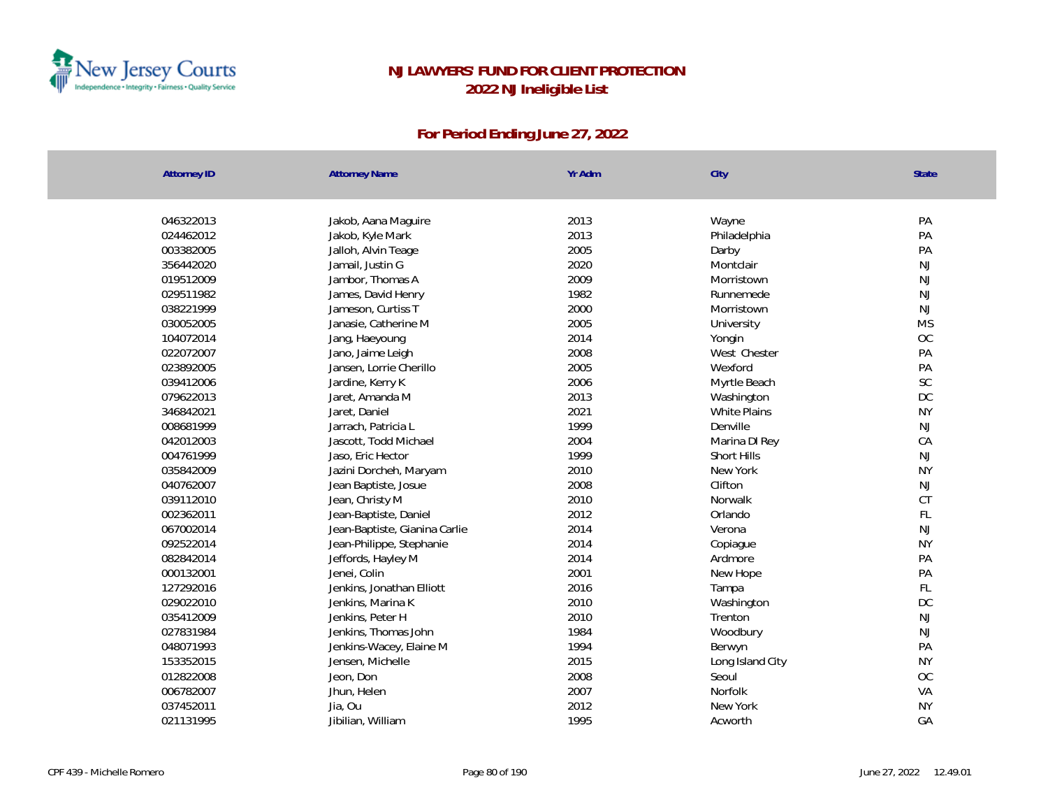

| <b>Attorney ID</b> | <b>Attorney Name</b>          | Yr Adm | City                | State         |
|--------------------|-------------------------------|--------|---------------------|---------------|
|                    |                               |        |                     |               |
| 046322013          | Jakob, Aana Maguire           | 2013   | Wayne               | PA            |
| 024462012          | Jakob, Kyle Mark              | 2013   | Philadelphia        | PA            |
| 003382005          | Jalloh, Alvin Teage           | 2005   | Darby               | PA            |
| 356442020          | Jamail, Justin G              | 2020   | Montclair           | <b>NJ</b>     |
| 019512009          | Jambor, Thomas A              | 2009   | Morristown          | NJ            |
| 029511982          | James, David Henry            | 1982   | Runnemede           | NJ            |
| 038221999          | Jameson, Curtiss T            | 2000   | Morristown          | NJ            |
| 030052005          | Janasie, Catherine M          | 2005   | University          | <b>MS</b>     |
| 104072014          | Jang, Haeyoung                | 2014   | Yongin              | OC            |
| 022072007          | Jano, Jaime Leigh             | 2008   | West Chester        | PA            |
| 023892005          | Jansen, Lorrie Cherillo       | 2005   | Wexford             | PA            |
| 039412006          | Jardine, Kerry K              | 2006   | Myrtle Beach        | SC            |
| 079622013          | Jaret, Amanda M               | 2013   | Washington          | DC            |
| 346842021          | Jaret, Daniel                 | 2021   | <b>White Plains</b> | <b>NY</b>     |
| 008681999          | Jarrach, Patricia L           | 1999   | Denville            | NJ            |
| 042012003          | Jascott, Todd Michael         | 2004   | Marina DI Rey       | CA            |
| 004761999          | Jaso, Eric Hector             | 1999   | Short Hills         | NJ            |
| 035842009          | Jazini Dorcheh, Maryam        | 2010   | New York            | <b>NY</b>     |
| 040762007          | Jean Baptiste, Josue          | 2008   | Clifton             | NJ            |
| 039112010          | Jean, Christy M               | 2010   | Norwalk             | CT            |
| 002362011          | Jean-Baptiste, Daniel         | 2012   | Orlando             | $\mathsf{FL}$ |
| 067002014          | Jean-Baptiste, Gianina Carlie | 2014   | Verona              | NJ            |
| 092522014          | Jean-Philippe, Stephanie      | 2014   | Copiague            | <b>NY</b>     |
| 082842014          | Jeffords, Hayley M            | 2014   | Ardmore             | PA            |
| 000132001          | Jenei, Colin                  | 2001   | New Hope            | PA            |
| 127292016          | Jenkins, Jonathan Elliott     | 2016   | Tampa               | FL            |
| 029022010          | Jenkins, Marina K             | 2010   | Washington          | DC            |
| 035412009          | Jenkins, Peter H              | 2010   | Trenton             | NJ            |
| 027831984          | Jenkins, Thomas John          | 1984   | Woodbury            | NJ            |
| 048071993          | Jenkins-Wacey, Elaine M       | 1994   | Berwyn              | PA            |
| 153352015          | Jensen, Michelle              | 2015   | Long Island City    | <b>NY</b>     |
| 012822008          | Jeon, Don                     | 2008   | Seoul               | OC            |
| 006782007          | Jhun, Helen                   | 2007   | Norfolk             | VA            |
| 037452011          | Jia, Ou                       | 2012   | New York            | <b>NY</b>     |
| 021131995          | Jibilian, William             | 1995   | Acworth             | GA            |
|                    |                               |        |                     |               |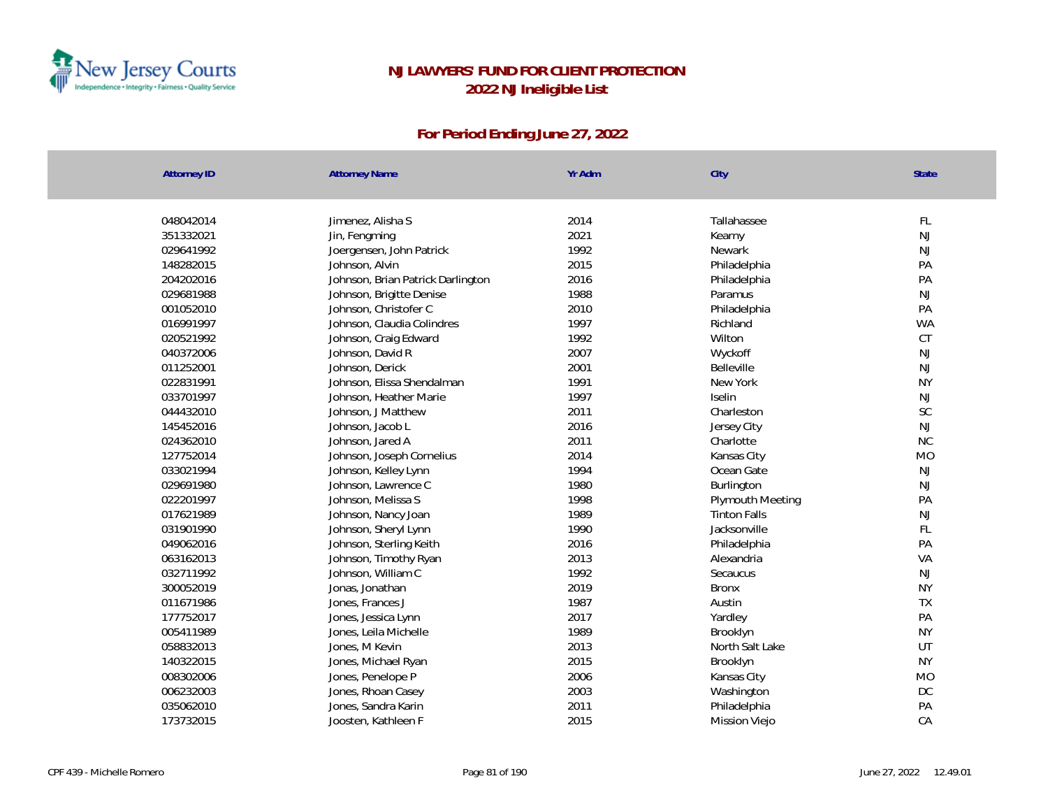

| <b>Attorney ID</b> | <b>Attorney Name</b>              | Yr Adm | City                | State         |
|--------------------|-----------------------------------|--------|---------------------|---------------|
| 048042014          | Jimenez, Alisha S                 | 2014   | Tallahassee         | $\mathsf{FL}$ |
| 351332021          | Jin, Fengming                     | 2021   | Kearny              | $\mathsf{NJ}$ |
| 029641992          | Joergensen, John Patrick          | 1992   | Newark              | NJ            |
| 148282015          | Johnson, Alvin                    | 2015   | Philadelphia        | PA            |
| 204202016          | Johnson, Brian Patrick Darlington | 2016   | Philadelphia        | PA            |
| 029681988          | Johnson, Brigitte Denise          | 1988   | Paramus             | $\mathsf{NJ}$ |
| 001052010          | Johnson, Christofer C             | 2010   | Philadelphia        | PA            |
| 016991997          | Johnson, Claudia Colindres        | 1997   | Richland            | <b>WA</b>     |
| 020521992          | Johnson, Craig Edward             | 1992   | Wilton              | CT            |
| 040372006          | Johnson, David R                  | 2007   | Wyckoff             | $\mathsf{NJ}$ |
| 011252001          | Johnson, Derick                   | 2001   | Belleville          | $\mathsf{NJ}$ |
| 022831991          | Johnson, Elissa Shendalman        | 1991   | New York            | <b>NY</b>     |
| 033701997          | Johnson, Heather Marie            | 1997   | Iselin              | $\mathsf{NJ}$ |
| 044432010          | Johnson, J Matthew                | 2011   | Charleston          | $\mathsf{SC}$ |
| 145452016          | Johnson, Jacob L                  | 2016   | Jersey City         | NJ            |
| 024362010          | Johnson, Jared A                  | 2011   | Charlotte           | <b>NC</b>     |
| 127752014          | Johnson, Joseph Cornelius         | 2014   | Kansas City         | <b>MO</b>     |
| 033021994          | Johnson, Kelley Lynn              | 1994   | Ocean Gate          | NJ            |
| 029691980          | Johnson, Lawrence C               | 1980   | Burlington          | NJ            |
| 022201997          | Johnson, Melissa S                | 1998   | Plymouth Meeting    | PA            |
| 017621989          | Johnson, Nancy Joan               | 1989   | <b>Tinton Falls</b> | $\mathsf{NJ}$ |
| 031901990          | Johnson, Sheryl Lynn              | 1990   | Jacksonville        | FL            |
| 049062016          | Johnson, Sterling Keith           | 2016   | Philadelphia        | PA            |
| 063162013          | Johnson, Timothy Ryan             | 2013   | Alexandria          | VA            |
| 032711992          | Johnson, William C                | 1992   | Secaucus            | $\mathsf{NJ}$ |
| 300052019          | Jonas, Jonathan                   | 2019   | <b>Bronx</b>        | <b>NY</b>     |
| 011671986          | Jones, Frances J                  | 1987   | Austin              | TX            |
| 177752017          | Jones, Jessica Lynn               | 2017   | Yardley             | PA            |
| 005411989          | Jones, Leila Michelle             | 1989   | Brooklyn            | <b>NY</b>     |
| 058832013          | Jones, M Kevin                    | 2013   | North Salt Lake     | UT            |
| 140322015          | Jones, Michael Ryan               | 2015   | Brooklyn            | <b>NY</b>     |
| 008302006          | Jones, Penelope P                 | 2006   | Kansas City         | <b>MO</b>     |
| 006232003          | Jones, Rhoan Casey                | 2003   | Washington          | DC            |
| 035062010          | Jones, Sandra Karin               | 2011   | Philadelphia        | PA            |
| 173732015          | Joosten, Kathleen F               | 2015   | Mission Viejo       | CA            |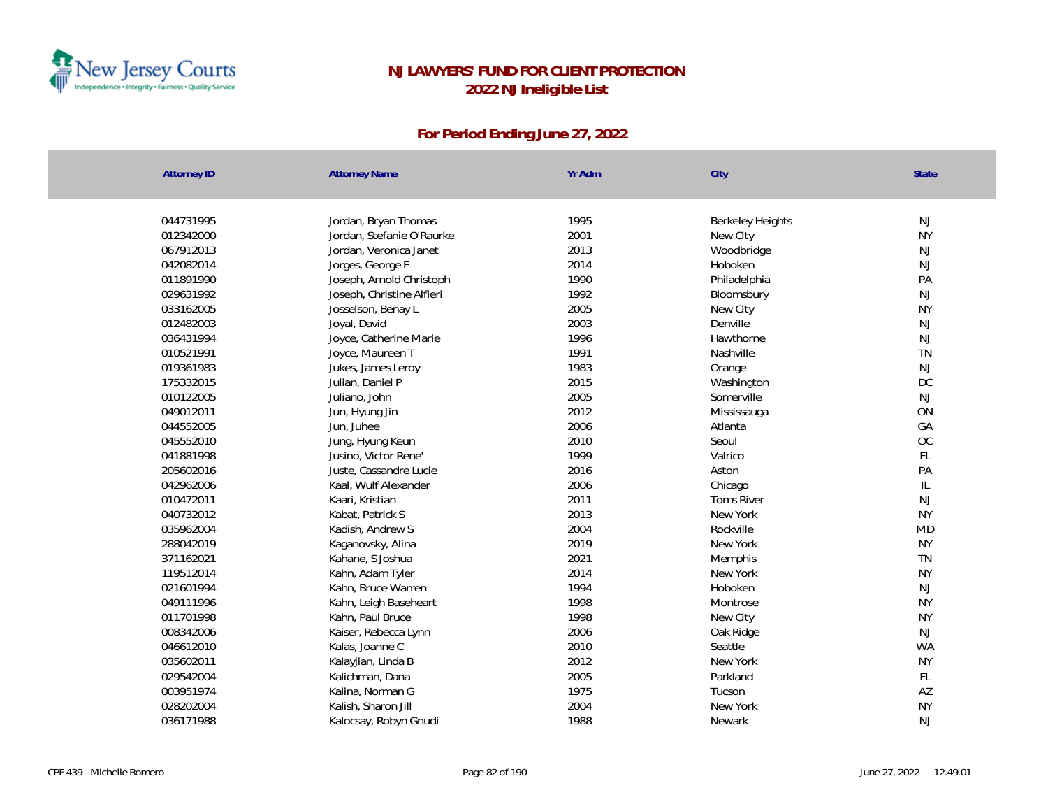

| Attorney ID | <b>Attorney Name</b>      | Yr Adm | City                    | State     |
|-------------|---------------------------|--------|-------------------------|-----------|
|             |                           |        |                         |           |
| 044731995   | Jordan, Bryan Thomas      | 1995   | <b>Berkeley Heights</b> | NJ        |
| 012342000   | Jordan, Stefanie O'Raurke | 2001   | New City                | <b>NY</b> |
| 067912013   | Jordan, Veronica Janet    | 2013   | Woodbridge              | <b>NJ</b> |
| 042082014   | Jorges, George F          | 2014   | Hoboken                 | <b>NJ</b> |
| 011891990   | Joseph, Arnold Christoph  | 1990   | Philadelphia            | PA        |
| 029631992   | Joseph, Christine Alfieri | 1992   | Bloomsbury              | NJ        |
| 033162005   | Josselson, Benay L        | 2005   | New City                | <b>NY</b> |
| 012482003   | Joyal, David              | 2003   | Denville                | <b>NJ</b> |
| 036431994   | Joyce, Catherine Marie    | 1996   | Hawthorne               | <b>NJ</b> |
| 010521991   | Joyce, Maureen T          | 1991   | Nashville               | <b>TN</b> |
| 019361983   | Jukes, James Leroy        | 1983   | Orange                  | <b>NJ</b> |
| 175332015   | Julian, Daniel P          | 2015   | Washington              | DC        |
| 010122005   | Juliano, John             | 2005   | Somerville              | <b>NJ</b> |
| 049012011   | Jun, Hyung Jin            | 2012   | Mississauga             | ON        |
| 044552005   | Jun, Juhee                | 2006   | Atlanta                 | GA        |
| 045552010   | Jung, Hyung Keun          | 2010   | Seoul                   | OC        |
| 041881998   | Jusino, Victor Rene'      | 1999   | Valrico                 | FL        |
| 205602016   | Juste, Cassandre Lucie    | 2016   | Aston                   | PA        |
| 042962006   | Kaal, Wulf Alexander      | 2006   | Chicago                 | IL        |
| 010472011   | Kaari, Kristian           | 2011   | <b>Toms River</b>       | NJ        |
| 040732012   | Kabat, Patrick S          | 2013   | New York                | <b>NY</b> |
| 035962004   | Kadish, Andrew S          | 2004   | Rockville               | <b>MD</b> |
| 288042019   | Kaganovsky, Alina         | 2019   | New York                | <b>NY</b> |
| 371162021   | Kahane, S Joshua          | 2021   | Memphis                 | <b>TN</b> |
| 119512014   | Kahn, Adam Tyler          | 2014   | New York                | <b>NY</b> |
| 021601994   | Kahn, Bruce Warren        | 1994   | Hoboken                 | <b>NJ</b> |
| 049111996   | Kahn, Leigh Baseheart     | 1998   | Montrose                | <b>NY</b> |
| 011701998   | Kahn, Paul Bruce          | 1998   | New City                | <b>NY</b> |
| 008342006   | Kaiser, Rebecca Lynn      | 2006   | Oak Ridge               | NJ        |
| 046612010   | Kalas, Joanne C           | 2010   | Seattle                 | <b>WA</b> |
| 035602011   | Kalayjian, Linda B        | 2012   | New York                | <b>NY</b> |
| 029542004   | Kalichman, Dana           | 2005   | Parkland                | FL        |
| 003951974   | Kalina, Norman G          | 1975   | Tucson                  | AZ        |
| 028202004   | Kalish, Sharon Jill       | 2004   | New York                | <b>NY</b> |
| 036171988   | Kalocsay, Robyn Gnudi     | 1988   | Newark                  | <b>NJ</b> |
|             |                           |        |                         |           |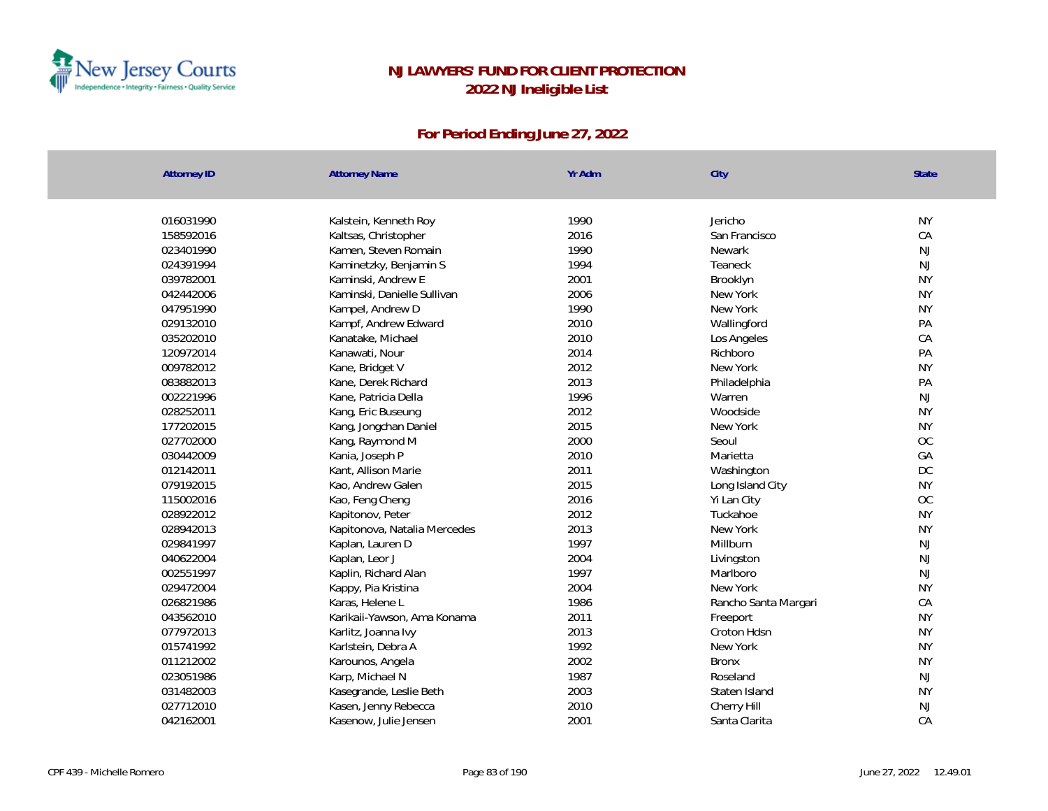

| <b>Attorney ID</b> | <b>Attorney Name</b>         | Yr Adm | City                 | State     |
|--------------------|------------------------------|--------|----------------------|-----------|
| 016031990          | Kalstein, Kenneth Roy        | 1990   | Jericho              | <b>NY</b> |
| 158592016          | Kaltsas, Christopher         | 2016   | San Francisco        | CA        |
| 023401990          | Kamen, Steven Romain         | 1990   | Newark               | NJ        |
| 024391994          | Kaminetzky, Benjamin S       | 1994   | Teaneck              | NJ        |
| 039782001          | Kaminski, Andrew E           | 2001   | Brooklyn             | <b>NY</b> |
| 042442006          | Kaminski, Danielle Sullivan  | 2006   | New York             | <b>NY</b> |
| 047951990          | Kampel, Andrew D             | 1990   | New York             | <b>NY</b> |
| 029132010          | Kampf, Andrew Edward         | 2010   | Wallingford          | PA        |
| 035202010          | Kanatake, Michael            | 2010   | Los Angeles          | CA        |
| 120972014          | Kanawati, Nour               | 2014   | Richboro             | PA        |
| 009782012          | Kane, Bridget V              | 2012   | New York             | <b>NY</b> |
| 083882013          | Kane, Derek Richard          | 2013   | Philadelphia         | PA        |
| 002221996          | Kane, Patricia Della         | 1996   | Warren               | NJ        |
| 028252011          | Kang, Eric Buseung           | 2012   | Woodside             | <b>NY</b> |
| 177202015          | Kang, Jongchan Daniel        | 2015   | New York             | <b>NY</b> |
| 027702000          | Kang, Raymond M              | 2000   | Seoul                | OC        |
| 030442009          | Kania, Joseph P              | 2010   | Marietta             | GA        |
| 012142011          | Kant, Allison Marie          | 2011   | Washington           | DC        |
| 079192015          | Kao, Andrew Galen            | 2015   | Long Island City     | <b>NY</b> |
| 115002016          | Kao, Feng Cheng              | 2016   | Yi Lan City          | OC        |
| 028922012          | Kapitonov, Peter             | 2012   | Tuckahoe             | <b>NY</b> |
| 028942013          | Kapitonova, Natalia Mercedes | 2013   | New York             | <b>NY</b> |
| 029841997          | Kaplan, Lauren D             | 1997   | Millburn             | NJ        |
| 040622004          | Kaplan, Leor J               | 2004   | Livingston           | <b>NJ</b> |
| 002551997          | Kaplin, Richard Alan         | 1997   | Marlboro             | <b>NJ</b> |
| 029472004          | Kappy, Pia Kristina          | 2004   | New York             | <b>NY</b> |
| 026821986          | Karas, Helene L              | 1986   | Rancho Santa Margari | CA        |
| 043562010          | Karikaii-Yawson, Ama Konama  | 2011   | Freeport             | <b>NY</b> |
| 077972013          | Karlitz, Joanna Ivy          | 2013   | Croton Hdsn          | <b>NY</b> |
| 015741992          | Karlstein, Debra A           | 1992   | New York             | <b>NY</b> |
| 011212002          | Karounos, Angela             | 2002   | <b>Bronx</b>         | <b>NY</b> |
| 023051986          | Karp, Michael N              | 1987   | Roseland             | NJ        |
| 031482003          | Kasegrande, Leslie Beth      | 2003   | Staten Island        | <b>NY</b> |
| 027712010          | Kasen, Jenny Rebecca         | 2010   | Cherry Hill          | NJ        |
| 042162001          | Kasenow, Julie Jensen        | 2001   | Santa Clarita        | CA        |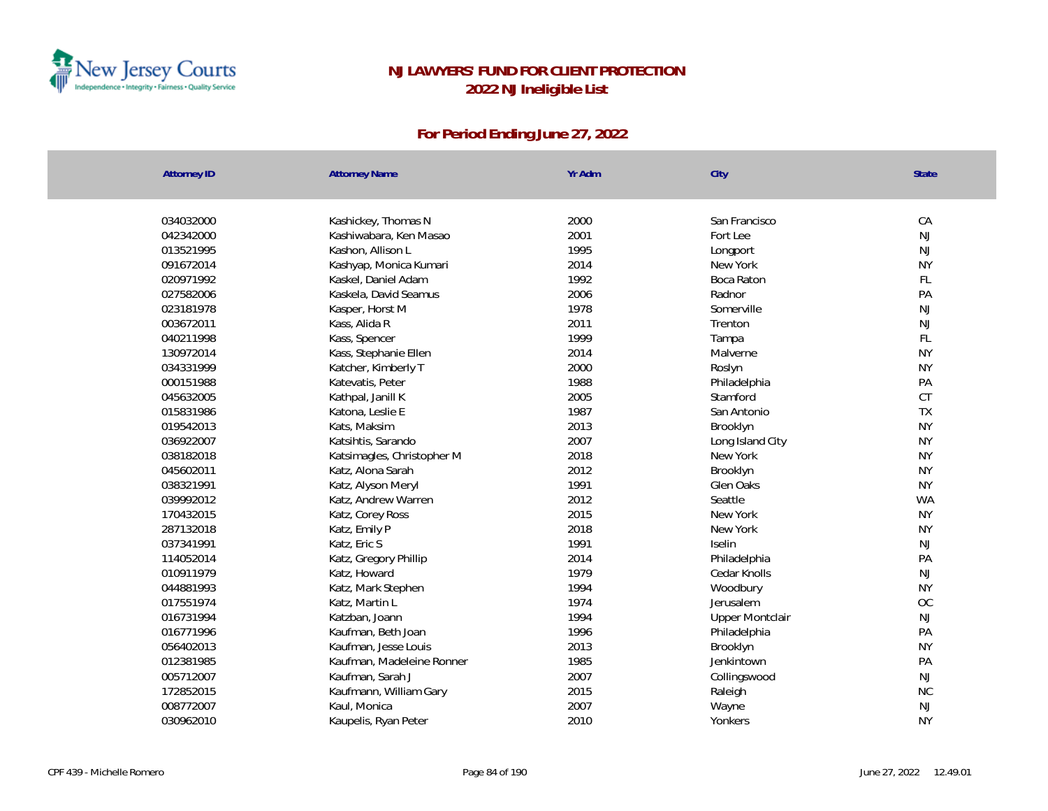

| <b>Attorney ID</b> | <b>Attorney Name</b>       | Yr Adm | City                   | <b>State</b> |
|--------------------|----------------------------|--------|------------------------|--------------|
|                    |                            |        |                        |              |
| 034032000          | Kashickey, Thomas N        | 2000   | San Francisco          | CA           |
| 042342000          | Kashiwabara, Ken Masao     | 2001   | Fort Lee               | <b>NJ</b>    |
| 013521995          | Kashon, Allison L          | 1995   | Longport               | <b>NJ</b>    |
| 091672014          | Kashyap, Monica Kumari     | 2014   | New York               | <b>NY</b>    |
| 020971992          | Kaskel, Daniel Adam        | 1992   | Boca Raton             | FL           |
| 027582006          | Kaskela, David Seamus      | 2006   | Radnor                 | PA           |
| 023181978          | Kasper, Horst M            | 1978   | Somerville             | NJ           |
| 003672011          | Kass, Alida R              | 2011   | Trenton                | <b>NJ</b>    |
| 040211998          | Kass, Spencer              | 1999   | Tampa                  | FL           |
| 130972014          | Kass, Stephanie Ellen      | 2014   | Malverne               | <b>NY</b>    |
| 034331999          | Katcher, Kimberly T        | 2000   | Roslyn                 | <b>NY</b>    |
| 000151988          | Katevatis, Peter           | 1988   | Philadelphia           | PA           |
| 045632005          | Kathpal, Janill K          | 2005   | Stamford               | CT           |
| 015831986          | Katona, Leslie E           | 1987   | San Antonio            | TX           |
| 019542013          | Kats, Maksim               | 2013   | Brooklyn               | <b>NY</b>    |
| 036922007          | Katsihtis, Sarando         | 2007   | Long Island City       | <b>NY</b>    |
| 038182018          | Katsimagles, Christopher M | 2018   | New York               | <b>NY</b>    |
| 045602011          | Katz, Alona Sarah          | 2012   | Brooklyn               | <b>NY</b>    |
| 038321991          | Katz, Alyson Meryl         | 1991   | Glen Oaks              | <b>NY</b>    |
| 039992012          | Katz, Andrew Warren        | 2012   | Seattle                | <b>WA</b>    |
| 170432015          | Katz, Corey Ross           | 2015   | New York               | <b>NY</b>    |
| 287132018          | Katz, Emily P              | 2018   | New York               | <b>NY</b>    |
| 037341991          | Katz, Eric S               | 1991   | Iselin                 | <b>NJ</b>    |
| 114052014          | Katz, Gregory Phillip      | 2014   | Philadelphia           | PA           |
| 010911979          | Katz, Howard               | 1979   | Cedar Knolls           | NJ           |
| 044881993          | Katz, Mark Stephen         | 1994   | Woodbury               | <b>NY</b>    |
| 017551974          | Katz, Martin L             | 1974   | Jerusalem              | OC           |
| 016731994          | Katzban, Joann             | 1994   | <b>Upper Montclair</b> | <b>NJ</b>    |
| 016771996          | Kaufman, Beth Joan         | 1996   | Philadelphia           | PA           |
| 056402013          | Kaufman, Jesse Louis       | 2013   | Brooklyn               | <b>NY</b>    |
| 012381985          | Kaufman, Madeleine Ronner  | 1985   | Jenkintown             | PA           |
| 005712007          | Kaufman, Sarah J           | 2007   | Collingswood           | <b>NJ</b>    |
| 172852015          | Kaufmann, William Gary     | 2015   | Raleigh                | <b>NC</b>    |
| 008772007          | Kaul, Monica               | 2007   | Wayne                  | <b>NJ</b>    |
| 030962010          | Kaupelis, Ryan Peter       | 2010   | Yonkers                | <b>NY</b>    |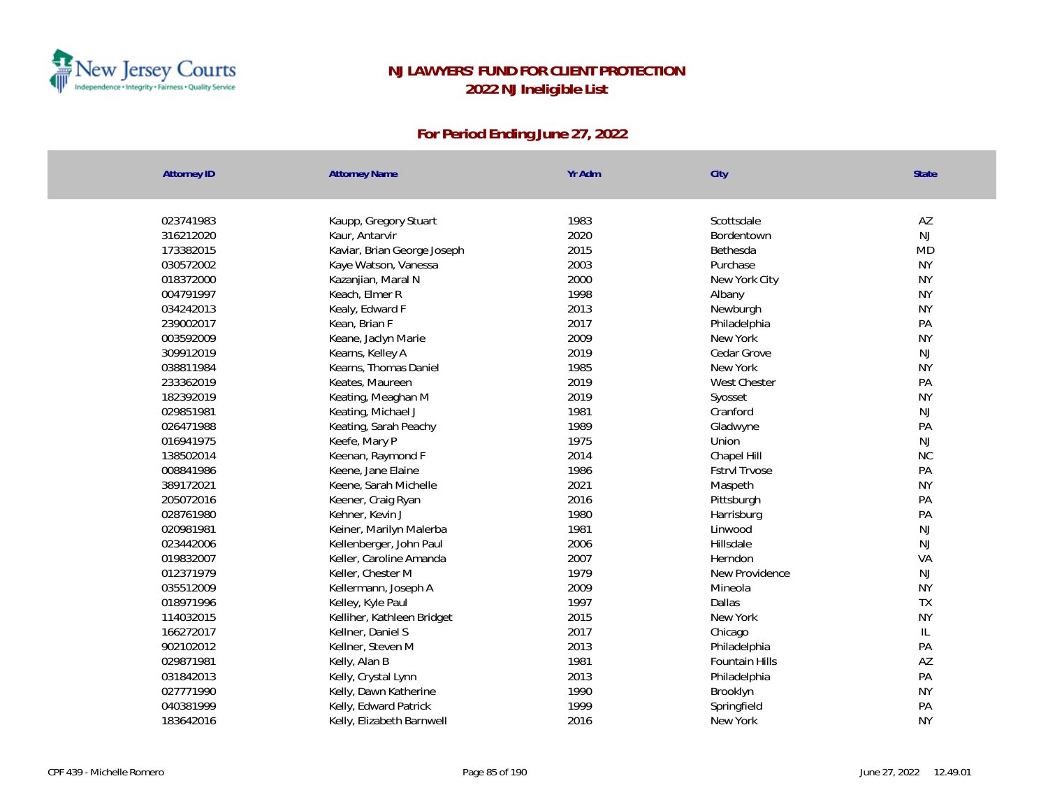

| <b>Attorney ID</b> | <b>Attorney Name</b>        | Yr Adm | City                 | State     |
|--------------------|-----------------------------|--------|----------------------|-----------|
|                    |                             |        |                      |           |
| 023741983          | Kaupp, Gregory Stuart       | 1983   | Scottsdale           | AZ        |
| 316212020          | Kaur, Antarvir              | 2020   | Bordentown           | <b>NJ</b> |
| 173382015          | Kaviar, Brian George Joseph | 2015   | Bethesda             | <b>MD</b> |
| 030572002          | Kaye Watson, Vanessa        | 2003   | Purchase             | <b>NY</b> |
| 018372000          | Kazanjian, Maral N          | 2000   | New York City        | <b>NY</b> |
| 004791997          | Keach, Elmer R              | 1998   | Albany               | <b>NY</b> |
| 034242013          | Kealy, Edward F             | 2013   | Newburgh             | <b>NY</b> |
| 239002017          | Kean, Brian F               | 2017   | Philadelphia         | PA        |
| 003592009          | Keane, Jaclyn Marie         | 2009   | New York             | <b>NY</b> |
| 309912019          | Kearns, Kelley A            | 2019   | Cedar Grove          | <b>NJ</b> |
| 038811984          | Kearns, Thomas Daniel       | 1985   | New York             | <b>NY</b> |
| 233362019          | Keates, Maureen             | 2019   | West Chester         | PA        |
| 182392019          | Keating, Meaghan M          | 2019   | Syosset              | <b>NY</b> |
| 029851981          | Keating, Michael J          | 1981   | Cranford             | NJ        |
| 026471988          | Keating, Sarah Peachy       | 1989   | Gladwyne             | PA        |
| 016941975          | Keefe, Mary P               | 1975   | Union                | <b>NJ</b> |
| 138502014          | Keenan, Raymond F           | 2014   | Chapel Hill          | NC        |
| 008841986          | Keene, Jane Elaine          | 1986   | <b>FstrvI Trvose</b> | PA        |
| 389172021          | Keene, Sarah Michelle       | 2021   | Maspeth              | <b>NY</b> |
| 205072016          | Keener, Craig Ryan          | 2016   | Pittsburgh           | PA        |
| 028761980          | Kehner, Kevin J             | 1980   | Harrisburg           | PA        |
| 020981981          | Keiner, Marilyn Malerba     | 1981   | Linwood              | NJ        |
| 023442006          | Kellenberger, John Paul     | 2006   | Hillsdale            | NJ        |
| 019832007          | Keller, Caroline Amanda     | 2007   | Herndon              | VA        |
| 012371979          | Keller, Chester M           | 1979   | New Providence       | <b>NJ</b> |
| 035512009          | Kellermann, Joseph A        | 2009   | Mineola              | <b>NY</b> |
| 018971996          | Kelley, Kyle Paul           | 1997   | Dallas               | TX        |
| 114032015          | Kelliher, Kathleen Bridget  | 2015   | New York             | <b>NY</b> |
| 166272017          | Kellner, Daniel S           | 2017   | Chicago              | IL        |
| 902102012          | Kellner, Steven M           | 2013   | Philadelphia         | PA        |
| 029871981          | Kelly, Alan B               | 1981   | Fountain Hills       | AZ        |
| 031842013          | Kelly, Crystal Lynn         | 2013   | Philadelphia         | PA        |
| 027771990          | Kelly, Dawn Katherine       | 1990   | Brooklyn             | <b>NY</b> |
| 040381999          | Kelly, Edward Patrick       | 1999   | Springfield          | PA        |
| 183642016          | Kelly, Elizabeth Barnwell   | 2016   | New York             | <b>NY</b> |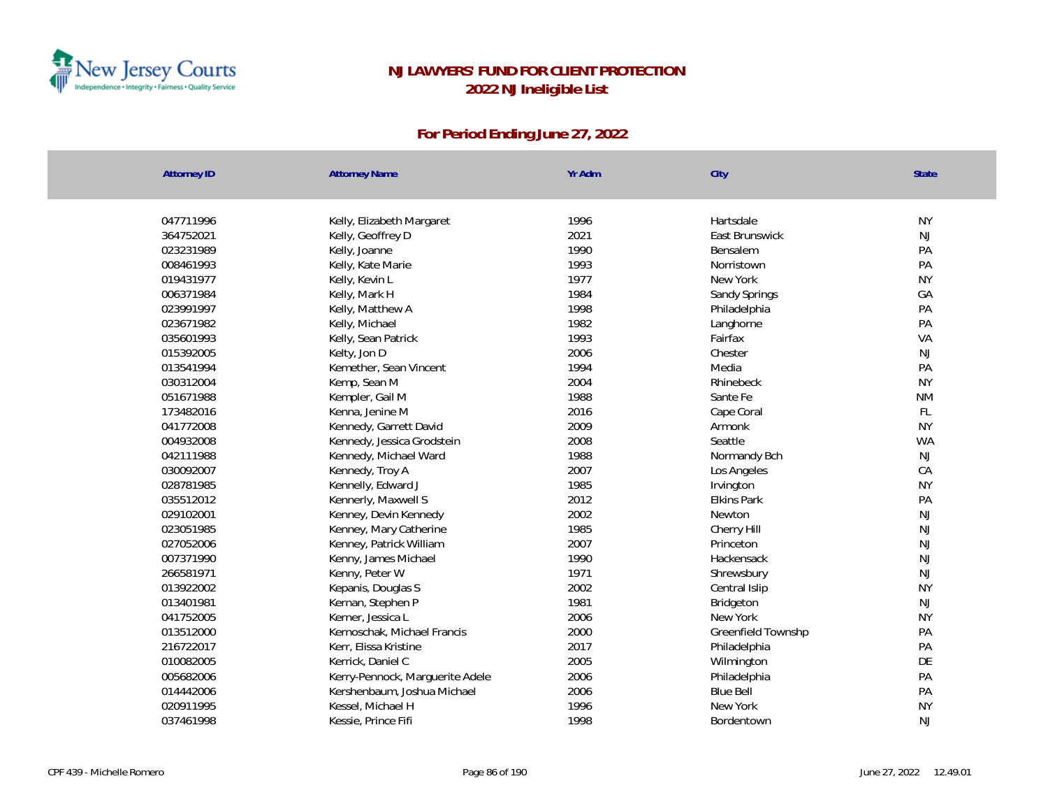

| <b>Attorney ID</b> | <b>Attorney Name</b>            | Yr Adm | City               | <b>State</b> |
|--------------------|---------------------------------|--------|--------------------|--------------|
|                    |                                 |        |                    |              |
| 047711996          | Kelly, Elizabeth Margaret       | 1996   | Hartsdale          | <b>NY</b>    |
| 364752021          | Kelly, Geoffrey D               | 2021   | East Brunswick     | <b>NJ</b>    |
| 023231989          | Kelly, Joanne                   | 1990   | Bensalem           | PA           |
| 008461993          | Kelly, Kate Marie               | 1993   | Norristown         | PA           |
| 019431977          | Kelly, Kevin L                  | 1977   | New York           | <b>NY</b>    |
| 006371984          | Kelly, Mark H                   | 1984   | Sandy Springs      | GA           |
| 023991997          | Kelly, Matthew A                | 1998   | Philadelphia       | PA           |
| 023671982          | Kelly, Michael                  | 1982   | Langhorne          | PA           |
| 035601993          | Kelly, Sean Patrick             | 1993   | Fairfax            | VA           |
| 015392005          | Kelty, Jon D                    | 2006   | Chester            | <b>NJ</b>    |
| 013541994          | Kemether, Sean Vincent          | 1994   | Media              | PA           |
| 030312004          | Kemp, Sean M                    | 2004   | Rhinebeck          | <b>NY</b>    |
| 051671988          | Kempler, Gail M                 | 1988   | Sante Fe           | <b>NM</b>    |
| 173482016          | Kenna, Jenine M                 | 2016   | Cape Coral         | FL           |
| 041772008          | Kennedy, Garrett David          | 2009   | Armonk             | <b>NY</b>    |
| 004932008          | Kennedy, Jessica Grodstein      | 2008   | Seattle            | <b>WA</b>    |
| 042111988          | Kennedy, Michael Ward           | 1988   | Normandy Bch       | <b>NJ</b>    |
| 030092007          | Kennedy, Troy A                 | 2007   | Los Angeles        | CA           |
| 028781985          | Kennelly, Edward J              | 1985   | Irvington          | <b>NY</b>    |
| 035512012          | Kennerly, Maxwell S             | 2012   | <b>Elkins Park</b> | PA           |
| 029102001          | Kenney, Devin Kennedy           | 2002   | Newton             | <b>NJ</b>    |
| 023051985          | Kenney, Mary Catherine          | 1985   | Cherry Hill        | <b>NJ</b>    |
| 027052006          | Kenney, Patrick William         | 2007   | Princeton          | <b>NJ</b>    |
| 007371990          | Kenny, James Michael            | 1990   | Hackensack         | NJ           |
| 266581971          | Kenny, Peter W                  | 1971   | Shrewsbury         | NJ           |
| 013922002          | Kepanis, Douglas S              | 2002   | Central Islip      | <b>NY</b>    |
| 013401981          | Kernan, Stephen P               | 1981   | Bridgeton          | <b>NJ</b>    |
| 041752005          | Kerner, Jessica L               | 2006   | New York           | <b>NY</b>    |
| 013512000          | Kernoschak, Michael Francis     | 2000   | Greenfield Townshp | PA           |
| 216722017          | Kerr, Elissa Kristine           | 2017   | Philadelphia       | PA           |
| 010082005          | Kerrick, Daniel C               | 2005   | Wilmington         | DE           |
| 005682006          | Kerry-Pennock, Marguerite Adele | 2006   | Philadelphia       | PA           |
| 014442006          | Kershenbaum, Joshua Michael     | 2006   | <b>Blue Bell</b>   | PA           |
| 020911995          | Kessel, Michael H               | 1996   | New York           | <b>NY</b>    |
| 037461998          | Kessie, Prince Fifi             | 1998   | Bordentown         | <b>NJ</b>    |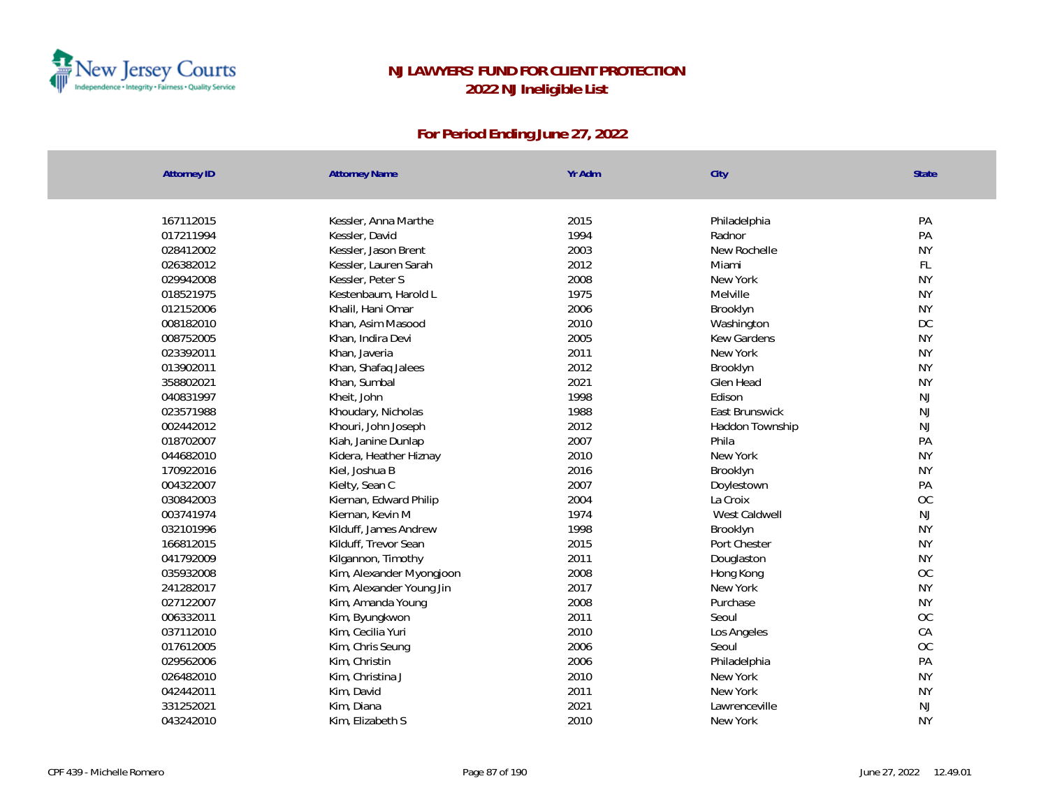

| <b>Attorney ID</b> | <b>Attorney Name</b>     | Yr Adm       | City            | <b>State</b>     |
|--------------------|--------------------------|--------------|-----------------|------------------|
|                    |                          | 2015         |                 |                  |
| 167112015          | Kessler, Anna Marthe     | 1994         | Philadelphia    | PA<br>PA         |
| 017211994          | Kessler, David           |              | Radnor          |                  |
| 028412002          | Kessler, Jason Brent     | 2003<br>2012 | New Rochelle    | <b>NY</b><br>FL. |
| 026382012          | Kessler, Lauren Sarah    |              | Miami           | <b>NY</b>        |
| 029942008          | Kessler, Peter S         | 2008<br>1975 | New York        |                  |
| 018521975          | Kestenbaum, Harold L     |              | Melville        | <b>NY</b>        |
| 012152006          | Khalil, Hani Omar        | 2006         | Brooklyn        | <b>NY</b>        |
| 008182010          | Khan, Asim Masood        | 2010         | Washington      | <b>DC</b>        |
| 008752005          | Khan, Indira Devi        | 2005         | Kew Gardens     | <b>NY</b>        |
| 023392011          | Khan, Javeria            | 2011         | New York        | <b>NY</b>        |
| 013902011          | Khan, Shafaq Jalees      | 2012         | Brooklyn        | <b>NY</b>        |
| 358802021          | Khan, Sumbal             | 2021         | Glen Head       | <b>NY</b>        |
| 040831997          | Kheit, John              | 1998         | Edison          | NJ               |
| 023571988          | Khoudary, Nicholas       | 1988         | East Brunswick  | <b>NJ</b>        |
| 002442012          | Khouri, John Joseph      | 2012         | Haddon Township | <b>NJ</b>        |
| 018702007          | Kiah, Janine Dunlap      | 2007         | Phila           | PA               |
| 044682010          | Kidera, Heather Hiznay   | 2010         | New York        | <b>NY</b>        |
| 170922016          | Kiel, Joshua B           | 2016         | Brooklyn        | <b>NY</b>        |
| 004322007          | Kielty, Sean C           | 2007         | Doylestown      | PA               |
| 030842003          | Kiernan, Edward Philip   | 2004         | La Croix        | OC               |
| 003741974          | Kiernan, Kevin M         | 1974         | West Caldwell   | <b>NJ</b>        |
| 032101996          | Kilduff, James Andrew    | 1998         | Brooklyn        | <b>NY</b>        |
| 166812015          | Kilduff, Trevor Sean     | 2015         | Port Chester    | <b>NY</b>        |
| 041792009          | Kilgannon, Timothy       | 2011         | Douglaston      | <b>NY</b>        |
| 035932008          | Kim, Alexander Myongjoon | 2008         | Hong Kong       | OC               |
| 241282017          | Kim, Alexander Young Jin | 2017         | New York        | <b>NY</b>        |
| 027122007          | Kim, Amanda Young        | 2008         | Purchase        | <b>NY</b>        |
| 006332011          | Kim, Byungkwon           | 2011         | Seoul           | OC               |
| 037112010          | Kim, Cecilia Yuri        | 2010         | Los Angeles     | CA               |
| 017612005          | Kim, Chris Seung         | 2006         | Seoul           | OC               |
| 029562006          | Kim, Christin            | 2006         | Philadelphia    | PA               |
| 026482010          | Kim, Christina J         | 2010         | New York        | <b>NY</b>        |
| 042442011          | Kim, David               | 2011         | New York        | <b>NY</b>        |
| 331252021          | Kim, Diana               | 2021         | Lawrenceville   | NJ               |
| 043242010          | Kim, Elizabeth S         | 2010         | New York        | <b>NY</b>        |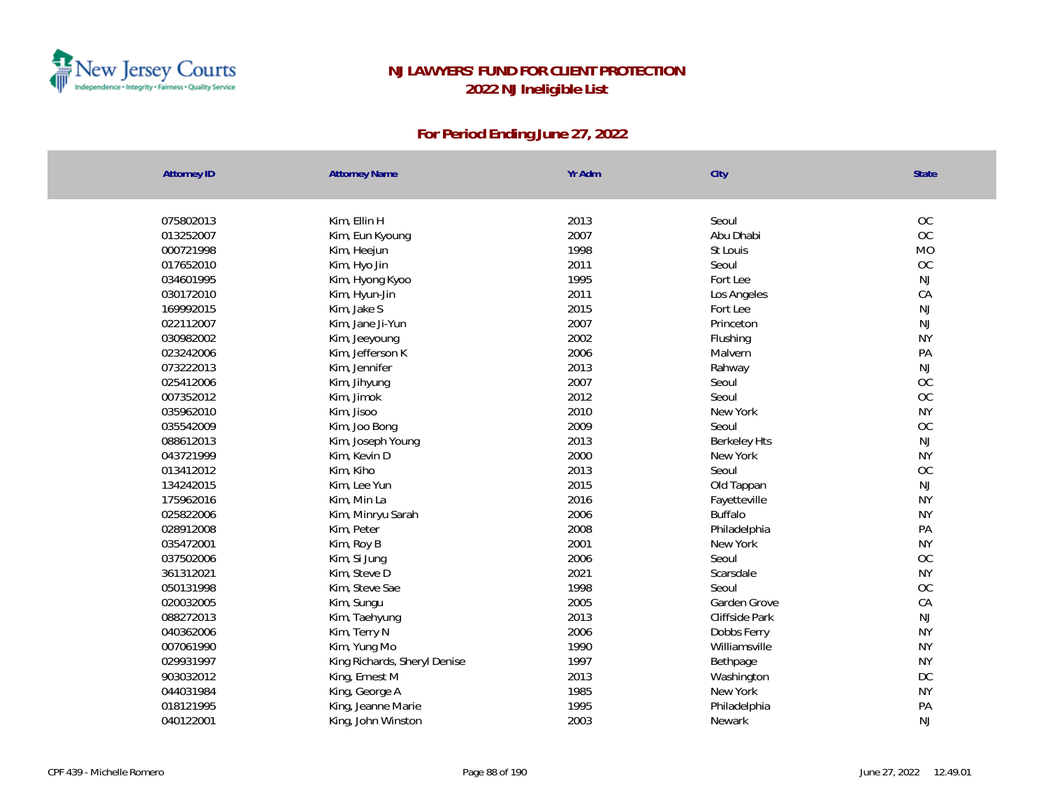

| <b>Attorney ID</b> | <b>Attorney Name</b>         | Yr Adm | City                | State         |
|--------------------|------------------------------|--------|---------------------|---------------|
|                    |                              |        |                     |               |
| 075802013          | Kim, Ellin H                 | 2013   | Seoul               | OC            |
| 013252007          | Kim, Eun Kyoung              | 2007   | Abu Dhabi           | OC            |
| 000721998          | Kim, Heejun                  | 1998   | St Louis            | <b>MO</b>     |
| 017652010          | Kim, Hyo Jin                 | 2011   | Seoul               | <b>OC</b>     |
| 034601995          | Kim, Hyong Kyoo              | 1995   | Fort Lee            | <b>NJ</b>     |
| 030172010          | Kim, Hyun-Jin                | 2011   | Los Angeles         | CA            |
| 169992015          | Kim, Jake S                  | 2015   | Fort Lee            | NJ            |
| 022112007          | Kim, Jane Ji-Yun             | 2007   | Princeton           | NJ            |
| 030982002          | Kim, Jeeyoung                | 2002   | Flushing            | <b>NY</b>     |
| 023242006          | Kim, Jefferson K             | 2006   | Malvern             | PA            |
| 073222013          | Kim, Jennifer                | 2013   | Rahway              | <b>NJ</b>     |
| 025412006          | Kim, Jihyung                 | 2007   | Seoul               | OC            |
| 007352012          | Kim, Jimok                   | 2012   | Seoul               | OC            |
| 035962010          | Kim, Jisoo                   | 2010   | New York            | <b>NY</b>     |
| 035542009          | Kim, Joo Bong                | 2009   | Seoul               | OC            |
| 088612013          | Kim, Joseph Young            | 2013   | <b>Berkeley Hts</b> | $\mathsf{NJ}$ |
| 043721999          | Kim, Kevin D                 | 2000   | New York            | <b>NY</b>     |
| 013412012          | Kim, Kiho                    | 2013   | Seoul               | OC            |
| 134242015          | Kim, Lee Yun                 | 2015   | Old Tappan          | $\mathsf{NJ}$ |
| 175962016          | Kim, Min La                  | 2016   | Fayetteville        | <b>NY</b>     |
| 025822006          | Kim, Minryu Sarah            | 2006   | <b>Buffalo</b>      | <b>NY</b>     |
| 028912008          | Kim, Peter                   | 2008   | Philadelphia        | PA            |
| 035472001          | Kim, Roy B                   | 2001   | New York            | <b>NY</b>     |
| 037502006          | Kim, Si Jung                 | 2006   | Seoul               | OC            |
| 361312021          | Kim, Steve D                 | 2021   | Scarsdale           | <b>NY</b>     |
| 050131998          | Kim, Steve Sae               | 1998   | Seoul               | OC            |
| 020032005          | Kim, Sungu                   | 2005   | Garden Grove        | CA            |
| 088272013          | Kim, Taehyung                | 2013   | Cliffside Park      | $\mathsf{NJ}$ |
| 040362006          | Kim, Terry N                 | 2006   | Dobbs Ferry         | <b>NY</b>     |
| 007061990          | Kim, Yung Mo                 | 1990   | Williamsville       | <b>NY</b>     |
| 029931997          | King Richards, Sheryl Denise | 1997   | Bethpage            | <b>NY</b>     |
| 903032012          | King, Ernest M               | 2013   | Washington          | DC            |
| 044031984          | King, George A               | 1985   | New York            | <b>NY</b>     |
| 018121995          | King, Jeanne Marie           | 1995   | Philadelphia        | PA            |
| 040122001          | King, John Winston           | 2003   | Newark              | <b>NJ</b>     |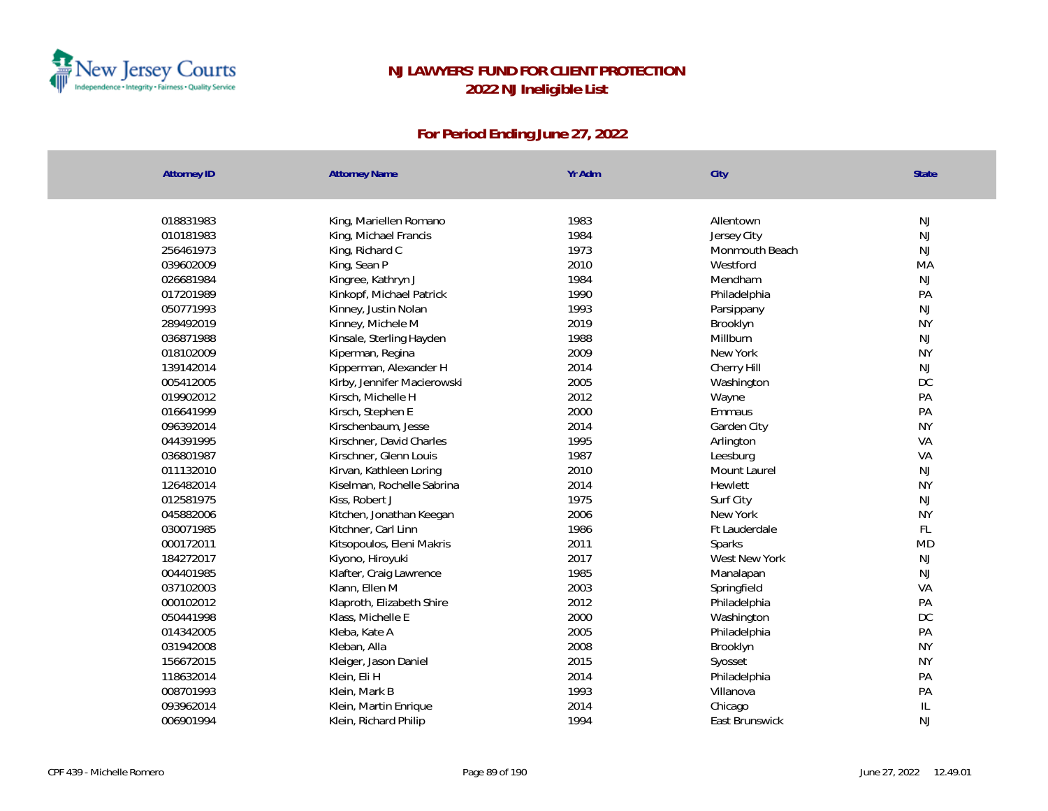

| <b>Attorney ID</b> | <b>Attorney Name</b>        | Yr Adm | City           | State     |
|--------------------|-----------------------------|--------|----------------|-----------|
|                    |                             |        |                |           |
| 018831983          | King, Mariellen Romano      | 1983   | Allentown      | NJ        |
| 010181983          | King, Michael Francis       | 1984   | Jersey City    | <b>NJ</b> |
| 256461973          | King, Richard C             | 1973   | Monmouth Beach | <b>NJ</b> |
| 039602009          | King, Sean P                | 2010   | Westford       | MA        |
| 026681984          | Kingree, Kathryn J          | 1984   | Mendham        | <b>NJ</b> |
| 017201989          | Kinkopf, Michael Patrick    | 1990   | Philadelphia   | PA        |
| 050771993          | Kinney, Justin Nolan        | 1993   | Parsippany     | <b>NJ</b> |
| 289492019          | Kinney, Michele M           | 2019   | Brooklyn       | <b>NY</b> |
| 036871988          | Kinsale, Sterling Hayden    | 1988   | Millburn       | <b>NJ</b> |
| 018102009          | Kiperman, Regina            | 2009   | New York       | <b>NY</b> |
| 139142014          | Kipperman, Alexander H      | 2014   | Cherry Hill    | <b>NJ</b> |
| 005412005          | Kirby, Jennifer Macierowski | 2005   | Washington     | DC        |
| 019902012          | Kirsch, Michelle H          | 2012   | Wayne          | PA        |
| 016641999          | Kirsch, Stephen E           | 2000   | Emmaus         | PA        |
| 096392014          | Kirschenbaum, Jesse         | 2014   | Garden City    | <b>NY</b> |
| 044391995          | Kirschner, David Charles    | 1995   | Arlington      | VA        |
| 036801987          | Kirschner, Glenn Louis      | 1987   | Leesburg       | VA        |
| 011132010          | Kirvan, Kathleen Loring     | 2010   | Mount Laurel   | NJ        |
| 126482014          | Kiselman, Rochelle Sabrina  | 2014   | Hewlett        | <b>NY</b> |
| 012581975          | Kiss, Robert J              | 1975   | Surf City      | <b>NJ</b> |
| 045882006          | Kitchen, Jonathan Keegan    | 2006   | New York       | <b>NY</b> |
| 030071985          | Kitchner, Carl Linn         | 1986   | Ft Lauderdale  | FL        |
| 000172011          | Kitsopoulos, Eleni Makris   | 2011   | Sparks         | <b>MD</b> |
| 184272017          | Kiyono, Hiroyuki            | 2017   | West New York  | NJ        |
| 004401985          | Klafter, Craig Lawrence     | 1985   | Manalapan      | NJ        |
| 037102003          | Klann, Ellen M              | 2003   | Springfield    | VA        |
| 000102012          | Klaproth, Elizabeth Shire   | 2012   | Philadelphia   | PA        |
| 050441998          | Klass, Michelle E           | 2000   | Washington     | DC        |
| 014342005          | Kleba, Kate A               | 2005   | Philadelphia   | PA        |
| 031942008          | Kleban, Alla                | 2008   | Brooklyn       | <b>NY</b> |
| 156672015          | Kleiger, Jason Daniel       | 2015   | Syosset        | <b>NY</b> |
| 118632014          | Klein, Eli H                | 2014   | Philadelphia   | PA        |
| 008701993          | Klein, Mark B               | 1993   | Villanova      | PA        |
| 093962014          | Klein, Martin Enrique       | 2014   | Chicago        | IL        |
| 006901994          | Klein, Richard Philip       | 1994   | East Brunswick | <b>NJ</b> |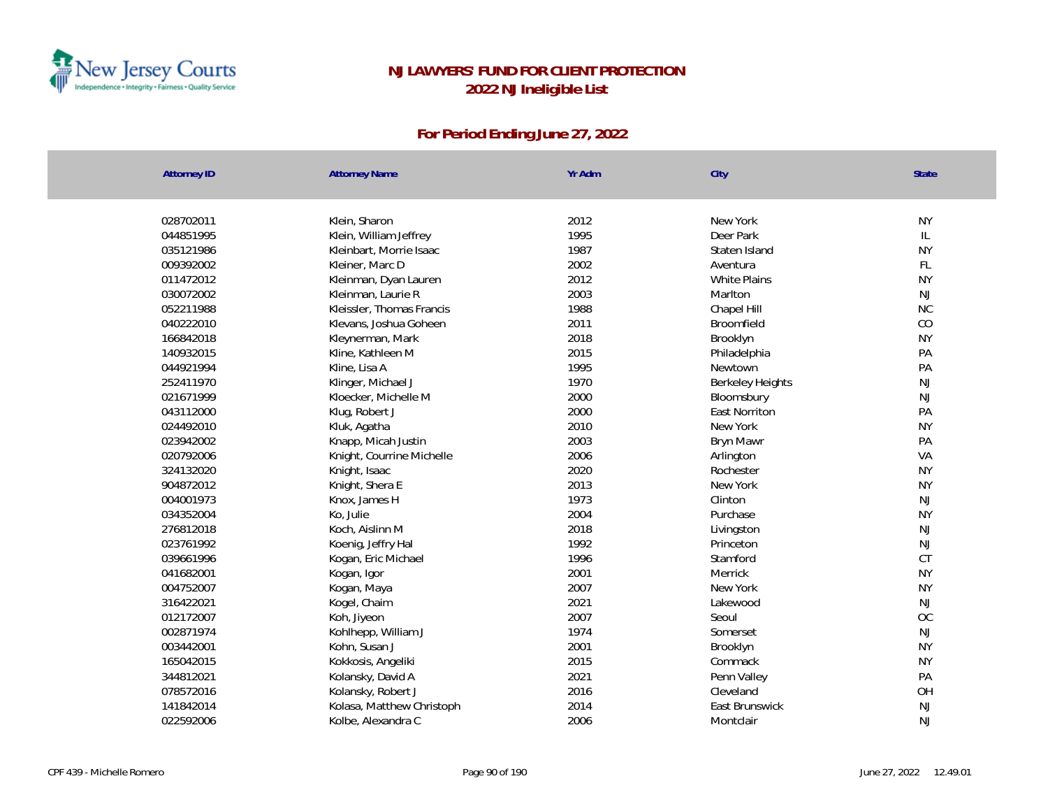

| <b>Attorney ID</b> | <b>Attorney Name</b>      | Yr Adm | City                    | <b>State</b>  |
|--------------------|---------------------------|--------|-------------------------|---------------|
|                    |                           |        |                         |               |
| 028702011          | Klein, Sharon             | 2012   | New York                | <b>NY</b>     |
| 044851995          | Klein, William Jeffrey    | 1995   | Deer Park               | L             |
| 035121986          | Kleinbart, Morrie Isaac   | 1987   | Staten Island           | <b>NY</b>     |
| 009392002          | Kleiner, Marc D           | 2002   | Aventura                | FL            |
| 011472012          | Kleinman, Dyan Lauren     | 2012   | White Plains            | <b>NY</b>     |
| 030072002          | Kleinman, Laurie R        | 2003   | Marlton                 | NJ            |
| 052211988          | Kleissler, Thomas Francis | 1988   | Chapel Hill             | <b>NC</b>     |
| 040222010          | Klevans, Joshua Goheen    | 2011   | Broomfield              | CO            |
| 166842018          | Kleynerman, Mark          | 2018   | Brooklyn                | <b>NY</b>     |
| 140932015          | Kline, Kathleen M         | 2015   | Philadelphia            | PA            |
| 044921994          | Kline, Lisa A             | 1995   | Newtown                 | PA            |
| 252411970          | Klinger, Michael J        | 1970   | <b>Berkeley Heights</b> | $\mathsf{NJ}$ |
| 021671999          | Kloecker, Michelle M      | 2000   | Bloomsbury              | NJ            |
| 043112000          | Klug, Robert J            | 2000   | <b>East Norriton</b>    | PA            |
| 024492010          | Kluk, Agatha              | 2010   | New York                | <b>NY</b>     |
| 023942002          | Knapp, Micah Justin       | 2003   | Bryn Mawr               | PA            |
| 020792006          | Knight, Courrine Michelle | 2006   | Arlington               | VA            |
| 324132020          | Knight, Isaac             | 2020   | Rochester               | <b>NY</b>     |
| 904872012          | Knight, Shera E           | 2013   | New York                | <b>NY</b>     |
| 004001973          | Knox, James H             | 1973   | Clinton                 | NJ            |
| 034352004          | Ko, Julie                 | 2004   | Purchase                | <b>NY</b>     |
| 276812018          | Koch, Aislinn M           | 2018   | Livingston              | NJ            |
| 023761992          | Koenig, Jeffry Hal        | 1992   | Princeton               | NJ            |
| 039661996          | Kogan, Eric Michael       | 1996   | Stamford                | <b>CT</b>     |
| 041682001          | Kogan, Igor               | 2001   | Merrick                 | <b>NY</b>     |
| 004752007          | Kogan, Maya               | 2007   | New York                | <b>NY</b>     |
| 316422021          | Kogel, Chaim              | 2021   | Lakewood                | NJ            |
| 012172007          | Koh, Jiyeon               | 2007   | Seoul                   | <b>OC</b>     |
| 002871974          | Kohlhepp, William J       | 1974   | Somerset                | NJ            |
| 003442001          | Kohn, Susan J             | 2001   | Brooklyn                | <b>NY</b>     |
| 165042015          | Kokkosis, Angeliki        | 2015   | Commack                 | <b>NY</b>     |
| 344812021          | Kolansky, David A         | 2021   | Penn Valley             | PA            |
| 078572016          | Kolansky, Robert J        | 2016   | Cleveland               | OH            |
| 141842014          | Kolasa, Matthew Christoph | 2014   | East Brunswick          | NJ            |
| 022592006          | Kolbe, Alexandra C        | 2006   | Montclair               | <b>NJ</b>     |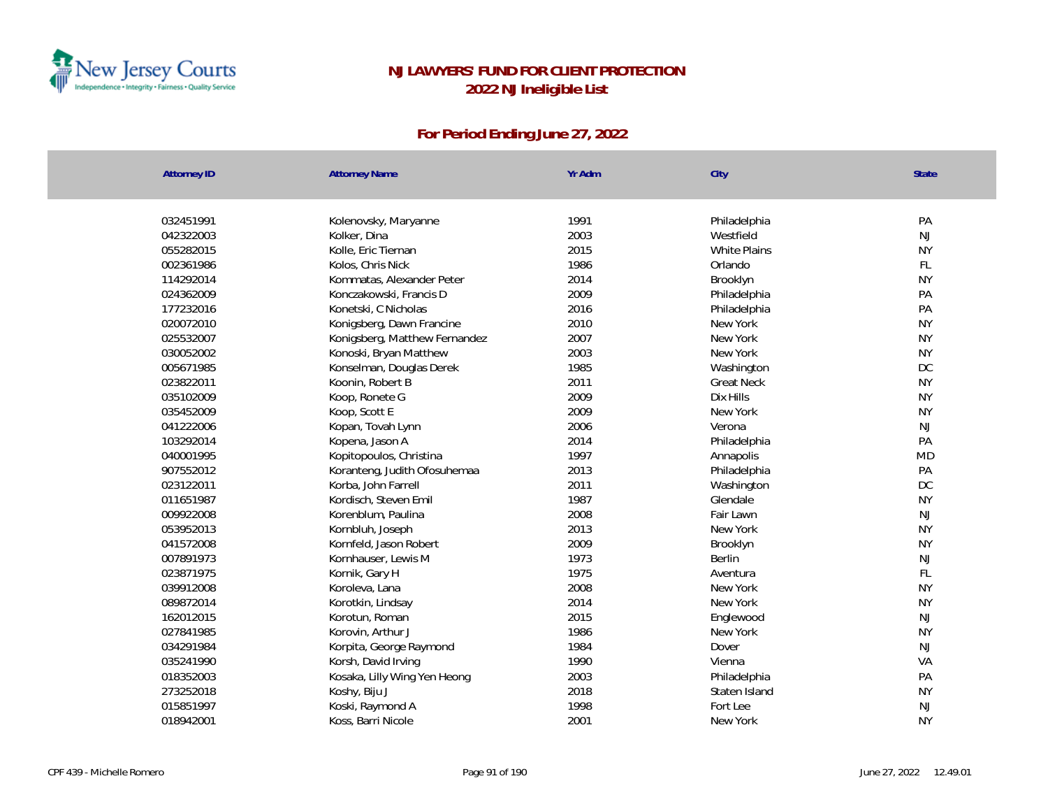

| <b>Attorney ID</b> | <b>Attorney Name</b>          | Yr Adm | City              | State         |
|--------------------|-------------------------------|--------|-------------------|---------------|
|                    |                               |        |                   |               |
| 032451991          | Kolenovsky, Maryanne          | 1991   | Philadelphia      | PA            |
| 042322003          | Kolker, Dina                  | 2003   | Westfield         | NJ            |
| 055282015          | Kolle, Eric Tiernan           | 2015   | White Plains      | <b>NY</b>     |
| 002361986          | Kolos, Chris Nick             | 1986   | Orlando           | FL            |
| 114292014          | Kommatas, Alexander Peter     | 2014   | Brooklyn          | <b>NY</b>     |
| 024362009          | Konczakowski, Francis D       | 2009   | Philadelphia      | PA            |
| 177232016          | Konetski, C Nicholas          | 2016   | Philadelphia      | PA            |
| 020072010          | Konigsberg, Dawn Francine     | 2010   | New York          | <b>NY</b>     |
| 025532007          | Konigsberg, Matthew Fernandez | 2007   | New York          | <b>NY</b>     |
| 030052002          | Konoski, Bryan Matthew        | 2003   | New York          | <b>NY</b>     |
| 005671985          | Konselman, Douglas Derek      | 1985   | Washington        | <b>DC</b>     |
| 023822011          | Koonin, Robert B              | 2011   | <b>Great Neck</b> | <b>NY</b>     |
| 035102009          | Koop, Ronete G                | 2009   | Dix Hills         | <b>NY</b>     |
| 035452009          | Koop, Scott E                 | 2009   | New York          | <b>NY</b>     |
| 041222006          | Kopan, Tovah Lynn             | 2006   | Verona            | NJ            |
| 103292014          | Kopena, Jason A               | 2014   | Philadelphia      | PA            |
| 040001995          | Kopitopoulos, Christina       | 1997   | Annapolis         | <b>MD</b>     |
| 907552012          | Koranteng, Judith Ofosuhemaa  | 2013   | Philadelphia      | PA            |
| 023122011          | Korba, John Farrell           | 2011   | Washington        | DC            |
| 011651987          | Kordisch, Steven Emil         | 1987   | Glendale          | <b>NY</b>     |
| 009922008          | Korenblum, Paulina            | 2008   | Fair Lawn         | NJ            |
| 053952013          | Kornbluh, Joseph              | 2013   | New York          | <b>NY</b>     |
| 041572008          | Kornfeld, Jason Robert        | 2009   | Brooklyn          | <b>NY</b>     |
| 007891973          | Kornhauser, Lewis M           | 1973   | Berlin            | $\mathsf{NJ}$ |
| 023871975          | Kornik, Gary H                | 1975   | Aventura          | $\mathsf{FL}$ |
| 039912008          | Koroleva, Lana                | 2008   | New York          | <b>NY</b>     |
| 089872014          | Korotkin, Lindsay             | 2014   | New York          | <b>NY</b>     |
| 162012015          | Korotun, Roman                | 2015   | Englewood         | NJ            |
| 027841985          | Korovin, Arthur J             | 1986   | New York          | <b>NY</b>     |
| 034291984          | Korpita, George Raymond       | 1984   | Dover             | NJ            |
| 035241990          | Korsh, David Irving           | 1990   | Vienna            | VA            |
| 018352003          | Kosaka, Lilly Wing Yen Heong  | 2003   | Philadelphia      | PA            |
| 273252018          | Koshy, Biju J                 | 2018   | Staten Island     | <b>NY</b>     |
| 015851997          | Koski, Raymond A              | 1998   | Fort Lee          | $\mathsf{NJ}$ |
| 018942001          | Koss, Barri Nicole            | 2001   | New York          | <b>NY</b>     |
|                    |                               |        |                   |               |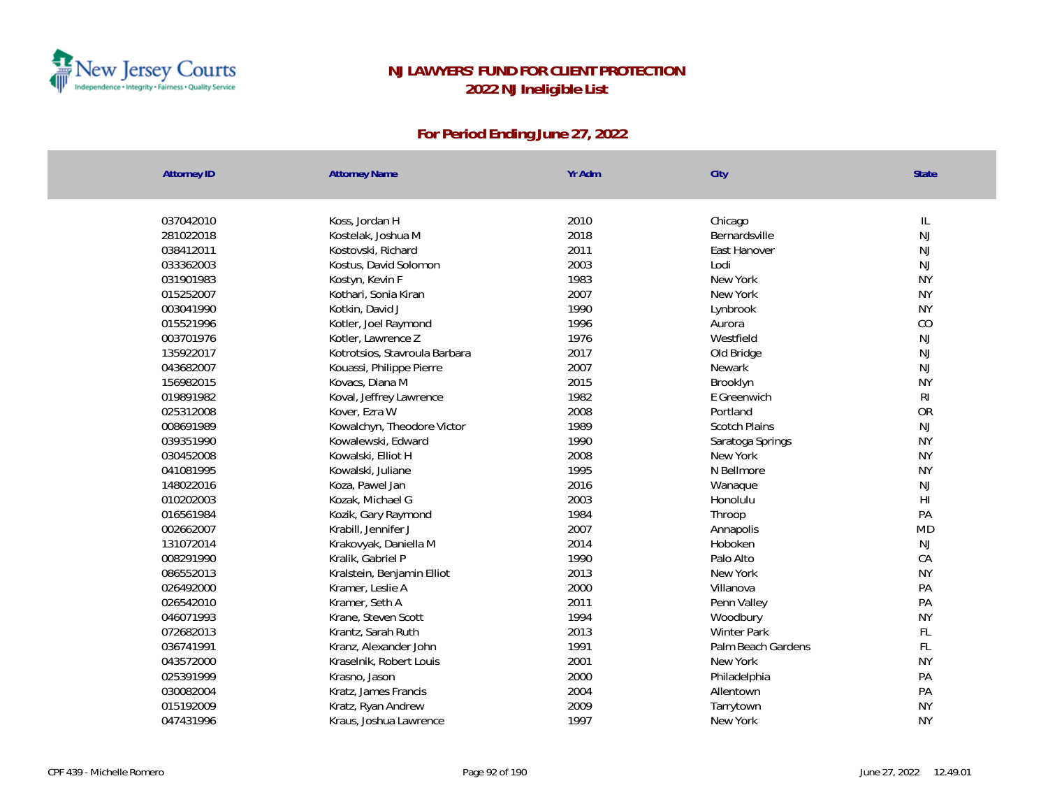

| <b>Attorney ID</b> | <b>Attorney Name</b>          | Yr Adm | City                 | State                   |
|--------------------|-------------------------------|--------|----------------------|-------------------------|
|                    |                               |        |                      |                         |
| 037042010          | Koss, Jordan H                | 2010   | Chicago              | IL                      |
| 281022018          | Kostelak, Joshua M            | 2018   | Bernardsville        | <b>NJ</b>               |
| 038412011          | Kostovski, Richard            | 2011   | East Hanover         | <b>NJ</b>               |
| 033362003          | Kostus, David Solomon         | 2003   | Lodi                 | <b>NJ</b>               |
| 031901983          | Kostyn, Kevin F               | 1983   | New York             | <b>NY</b>               |
| 015252007          | Kothari, Sonia Kiran          | 2007   | New York             | <b>NY</b>               |
| 003041990          | Kotkin, David J               | 1990   | Lynbrook             | <b>NY</b>               |
| 015521996          | Kotler, Joel Raymond          | 1996   | Aurora               | CO                      |
| 003701976          | Kotler, Lawrence Z            | 1976   | Westfield            | <b>NJ</b>               |
| 135922017          | Kotrotsios, Stavroula Barbara | 2017   | Old Bridge           | <b>NJ</b>               |
| 043682007          | Kouassi, Philippe Pierre      | 2007   | Newark               | <b>NJ</b>               |
| 156982015          | Kovacs, Diana M               | 2015   | Brooklyn             | <b>NY</b>               |
| 019891982          | Koval, Jeffrey Lawrence       | 1982   | E Greenwich          | $\mathsf{R} \mathsf{I}$ |
| 025312008          | Kover, Ezra W                 | 2008   | Portland             | <b>OR</b>               |
| 008691989          | Kowalchyn, Theodore Victor    | 1989   | <b>Scotch Plains</b> | NJ                      |
| 039351990          | Kowalewski, Edward            | 1990   | Saratoga Springs     | <b>NY</b>               |
| 030452008          | Kowalski, Elliot H            | 2008   | New York             | <b>NY</b>               |
| 041081995          | Kowalski, Juliane             | 1995   | N Bellmore           | <b>NY</b>               |
| 148022016          | Koza, Pawel Jan               | 2016   | Wanaque              | NJ                      |
| 010202003          | Kozak, Michael G              | 2003   | Honolulu             | $\mathsf{H}\mathsf{I}$  |
| 016561984          | Kozik, Gary Raymond           | 1984   | Throop               | PA                      |
| 002662007          | Krabill, Jennifer J           | 2007   | Annapolis            | <b>MD</b>               |
| 131072014          | Krakovyak, Daniella M         | 2014   | Hoboken              | NJ                      |
| 008291990          | Kralik, Gabriel P             | 1990   | Palo Alto            | CA                      |
| 086552013          | Kralstein, Benjamin Elliot    | 2013   | New York             | <b>NY</b>               |
| 026492000          | Kramer, Leslie A              | 2000   | Villanova            | PA                      |
| 026542010          | Kramer, Seth A                | 2011   | Penn Valley          | PA                      |
| 046071993          | Krane, Steven Scott           | 1994   | Woodbury             | <b>NY</b>               |
| 072682013          | Krantz, Sarah Ruth            | 2013   | <b>Winter Park</b>   | FL                      |
| 036741991          | Kranz, Alexander John         | 1991   | Palm Beach Gardens   | FL                      |
| 043572000          | Kraselnik, Robert Louis       | 2001   | New York             | <b>NY</b>               |
| 025391999          | Krasno, Jason                 | 2000   | Philadelphia         | PA                      |
| 030082004          | Kratz, James Francis          | 2004   | Allentown            | PA                      |
| 015192009          | Kratz, Ryan Andrew            | 2009   | Tarrytown            | <b>NY</b>               |
| 047431996          | Kraus, Joshua Lawrence        | 1997   | New York             | <b>NY</b>               |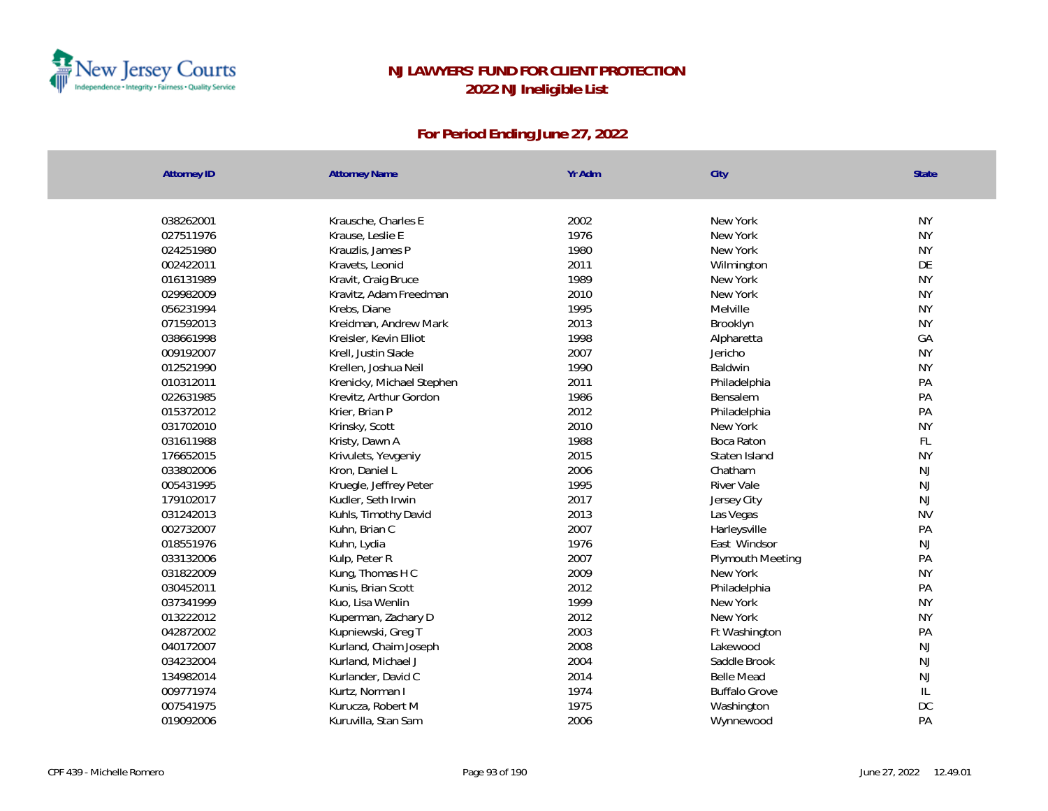

| <b>Attorney ID</b> | <b>Attorney Name</b>      | Yr Adm | City                 | <b>State</b>  |
|--------------------|---------------------------|--------|----------------------|---------------|
|                    |                           |        |                      |               |
| 038262001          | Krausche, Charles E       | 2002   | New York             | <b>NY</b>     |
| 027511976          | Krause, Leslie E          | 1976   | New York             | <b>NY</b>     |
| 024251980          | Krauzlis, James P         | 1980   | New York             | <b>NY</b>     |
| 002422011          | Kravets, Leonid           | 2011   | Wilmington           | DE            |
| 016131989          | Kravit, Craig Bruce       | 1989   | New York             | <b>NY</b>     |
| 029982009          | Kravitz, Adam Freedman    | 2010   | New York             | <b>NY</b>     |
| 056231994          | Krebs, Diane              | 1995   | Melville             | <b>NY</b>     |
| 071592013          | Kreidman, Andrew Mark     | 2013   | Brooklyn             | <b>NY</b>     |
| 038661998          | Kreisler, Kevin Elliot    | 1998   | Alpharetta           | GA            |
| 009192007          | Krell, Justin Slade       | 2007   | Jericho              | <b>NY</b>     |
| 012521990          | Krellen, Joshua Neil      | 1990   | Baldwin              | <b>NY</b>     |
| 010312011          | Krenicky, Michael Stephen | 2011   | Philadelphia         | PA            |
| 022631985          | Krevitz, Arthur Gordon    | 1986   | Bensalem             | PA            |
| 015372012          | Krier, Brian P            | 2012   | Philadelphia         | PA            |
| 031702010          | Krinsky, Scott            | 2010   | New York             | <b>NY</b>     |
| 031611988          | Kristy, Dawn A            | 1988   | Boca Raton           | FL            |
| 176652015          | Krivulets, Yevgeniy       | 2015   | Staten Island        | <b>NY</b>     |
| 033802006          | Kron, Daniel L            | 2006   | Chatham              | NJ            |
| 005431995          | Kruegle, Jeffrey Peter    | 1995   | River Vale           | NJ            |
| 179102017          | Kudler, Seth Irwin        | 2017   | Jersey City          | NJ            |
| 031242013          | Kuhls, Timothy David      | 2013   | Las Vegas            | <b>NV</b>     |
| 002732007          | Kuhn, Brian C             | 2007   | Harleysville         | PA            |
| 018551976          | Kuhn, Lydia               | 1976   | East Windsor         | NJ            |
| 033132006          | Kulp, Peter R             | 2007   | Plymouth Meeting     | PA            |
| 031822009          | Kung, Thomas H C          | 2009   | New York             | <b>NY</b>     |
| 030452011          | Kunis, Brian Scott        | 2012   | Philadelphia         | PA            |
| 037341999          | Kuo, Lisa Wenlin          | 1999   | New York             | <b>NY</b>     |
| 013222012          | Kuperman, Zachary D       | 2012   | New York             | <b>NY</b>     |
| 042872002          | Kupniewski, Greg T        | 2003   | Ft Washington        | PA            |
| 040172007          | Kurland, Chaim Joseph     | 2008   | Lakewood             | NJ            |
| 034232004          | Kurland, Michael J        | 2004   | Saddle Brook         | NJ            |
| 134982014          | Kurlander, David C        | 2014   | <b>Belle Mead</b>    | NJ            |
| 009771974          | Kurtz, Norman I           | 1974   | <b>Buffalo Grove</b> | $\mathsf{IL}$ |
| 007541975          | Kurucza, Robert M         | 1975   | Washington           | DC            |
| 019092006          | Kuruvilla, Stan Sam       | 2006   | Wynnewood            | PA            |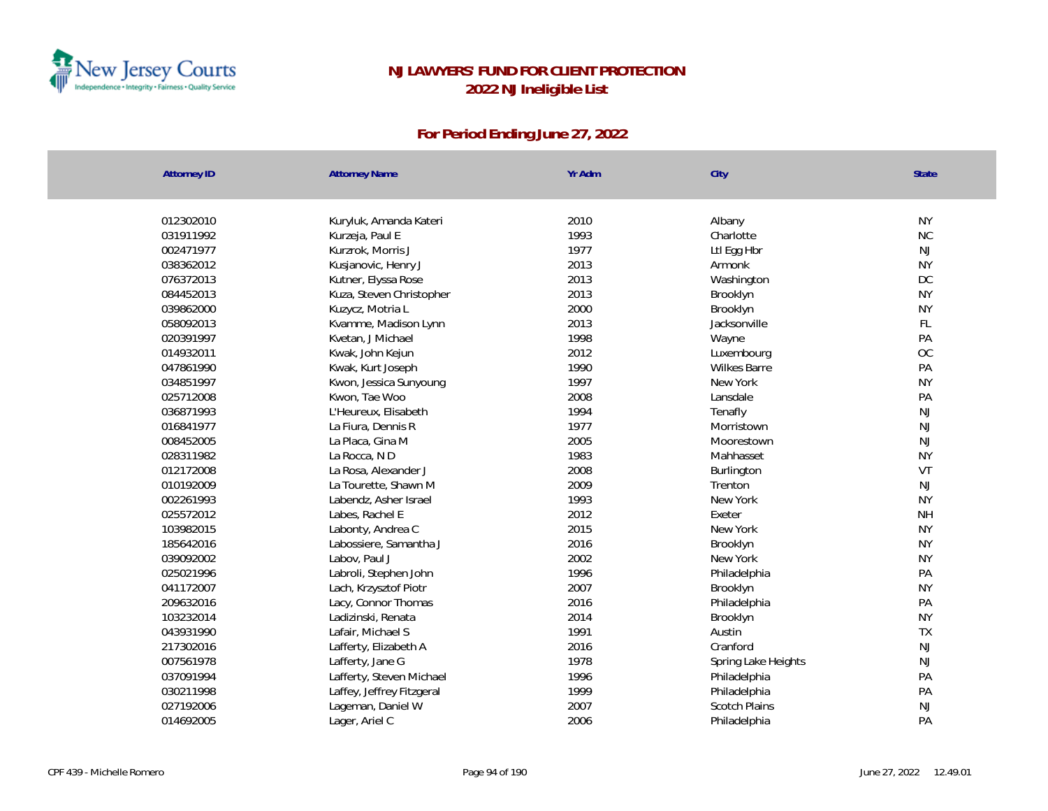

| <b>Attorney ID</b> | <b>Attorney Name</b>      | Yr Adm | City                 | State     |
|--------------------|---------------------------|--------|----------------------|-----------|
|                    |                           |        |                      |           |
| 012302010          | Kuryluk, Amanda Kateri    | 2010   | Albany               | <b>NY</b> |
| 031911992          | Kurzeja, Paul E           | 1993   | Charlotte            | NC        |
| 002471977          | Kurzrok, Morris J         | 1977   | Ltl Egg Hbr          | NJ        |
| 038362012          | Kusjanovic, Henry J       | 2013   | Armonk               | <b>NY</b> |
| 076372013          | Kutner, Elyssa Rose       | 2013   | Washington           | DC        |
| 084452013          | Kuza, Steven Christopher  | 2013   | Brooklyn             | <b>NY</b> |
| 039862000          | Kuzycz, Motria L          | 2000   | Brooklyn             | <b>NY</b> |
| 058092013          | Kvamme, Madison Lynn      | 2013   | Jacksonville         | FL        |
| 020391997          | Kvetan, J Michael         | 1998   | Wayne                | PA        |
| 014932011          | Kwak, John Kejun          | 2012   | Luxembourg           | OC        |
| 047861990          | Kwak, Kurt Joseph         | 1990   | <b>Wilkes Barre</b>  | PA        |
| 034851997          | Kwon, Jessica Sunyoung    | 1997   | New York             | <b>NY</b> |
| 025712008          | Kwon, Tae Woo             | 2008   | Lansdale             | PA        |
| 036871993          | L'Heureux, Elisabeth      | 1994   | Tenafly              | NJ        |
| 016841977          | La Fiura, Dennis R        | 1977   | Morristown           | NJ        |
| 008452005          | La Placa, Gina M          | 2005   | Moorestown           | NJ        |
| 028311982          | La Rocca, ND              | 1983   | Mahhasset            | <b>NY</b> |
| 012172008          | La Rosa, Alexander J      | 2008   | Burlington           | VT        |
| 010192009          | La Tourette, Shawn M      | 2009   | Trenton              | NJ        |
| 002261993          | Labendz, Asher Israel     | 1993   | New York             | <b>NY</b> |
| 025572012          | Labes, Rachel E           | 2012   | Exeter               | <b>NH</b> |
| 103982015          | Labonty, Andrea C         | 2015   | New York             | <b>NY</b> |
| 185642016          | Labossiere, Samantha J    | 2016   | Brooklyn             | <b>NY</b> |
| 039092002          | Labov, Paul J             | 2002   | New York             | <b>NY</b> |
| 025021996          | Labroli, Stephen John     | 1996   | Philadelphia         | PA        |
| 041172007          | Lach, Krzysztof Piotr     | 2007   | Brooklyn             | <b>NY</b> |
| 209632016          | Lacy, Connor Thomas       | 2016   | Philadelphia         | PA        |
| 103232014          | Ladizinski, Renata        | 2014   | Brooklyn             | <b>NY</b> |
| 043931990          | Lafair, Michael S         | 1991   | Austin               | TX        |
| 217302016          | Lafferty, Elizabeth A     | 2016   | Cranford             | NJ        |
| 007561978          | Lafferty, Jane G          | 1978   | Spring Lake Heights  | NJ        |
| 037091994          | Lafferty, Steven Michael  | 1996   | Philadelphia         | PA        |
| 030211998          | Laffey, Jeffrey Fitzgeral | 1999   | Philadelphia         | PA        |
| 027192006          | Lageman, Daniel W         | 2007   | <b>Scotch Plains</b> | NJ        |
| 014692005          | Lager, Ariel C            | 2006   | Philadelphia         | PA        |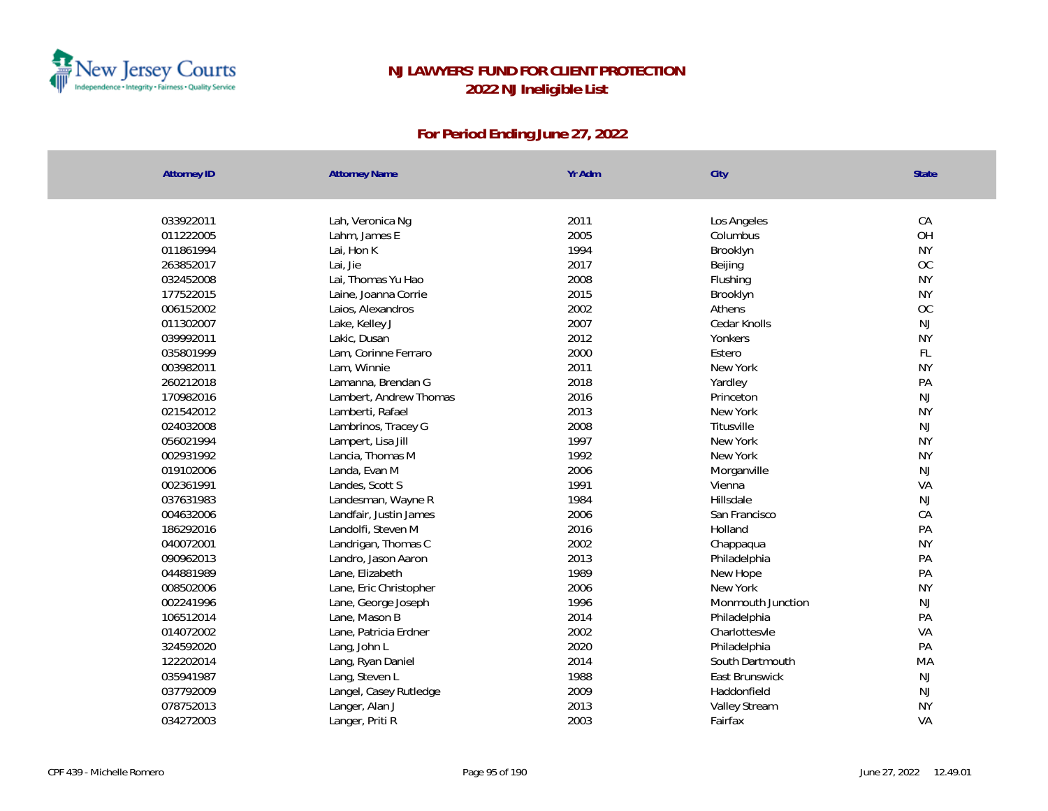

| 033922011<br>2011<br>CA<br>Lah, Veronica Ng<br>Los Angeles<br>011222005<br>2005<br>Lahm, James E<br>Columbus<br>1994<br><b>NY</b><br>011861994<br>Lai, Hon K<br>Brooklyn<br>2017<br>263852017<br>Lai, Jie<br>Beijing<br>Lai, Thomas Yu Hao<br>2008<br><b>NY</b><br>032452008<br>Flushing<br>2015<br><b>NY</b><br>177522015<br>Laine, Joanna Corrie<br>Brooklyn<br>2002<br>006152002<br>Laios, Alexandros<br>Athens<br>2007<br>011302007<br>Lake, Kelley J<br>Cedar Knolls<br>2012<br><b>NY</b><br>039992011<br>Yonkers<br>Lakic, Dusan<br>2000<br>035801999<br>Lam, Corinne Ferraro<br>Estero<br>003982011<br>Lam, Winnie<br>2011<br><b>NY</b><br>New York<br>260212018<br>2018<br>PA<br>Yardley<br>Lamanna, Brendan G<br>170982016<br>2016<br>Lambert, Andrew Thomas<br>Princeton<br>2013<br><b>NY</b><br>021542012<br>New York<br>Lamberti, Rafael<br>2008<br>024032008<br>Titusville<br>Lambrinos, Tracey G | State     |
|----------------------------------------------------------------------------------------------------------------------------------------------------------------------------------------------------------------------------------------------------------------------------------------------------------------------------------------------------------------------------------------------------------------------------------------------------------------------------------------------------------------------------------------------------------------------------------------------------------------------------------------------------------------------------------------------------------------------------------------------------------------------------------------------------------------------------------------------------------------------------------------------------------------|-----------|
|                                                                                                                                                                                                                                                                                                                                                                                                                                                                                                                                                                                                                                                                                                                                                                                                                                                                                                                |           |
|                                                                                                                                                                                                                                                                                                                                                                                                                                                                                                                                                                                                                                                                                                                                                                                                                                                                                                                |           |
|                                                                                                                                                                                                                                                                                                                                                                                                                                                                                                                                                                                                                                                                                                                                                                                                                                                                                                                | OH        |
|                                                                                                                                                                                                                                                                                                                                                                                                                                                                                                                                                                                                                                                                                                                                                                                                                                                                                                                |           |
|                                                                                                                                                                                                                                                                                                                                                                                                                                                                                                                                                                                                                                                                                                                                                                                                                                                                                                                | <b>OC</b> |
|                                                                                                                                                                                                                                                                                                                                                                                                                                                                                                                                                                                                                                                                                                                                                                                                                                                                                                                |           |
|                                                                                                                                                                                                                                                                                                                                                                                                                                                                                                                                                                                                                                                                                                                                                                                                                                                                                                                |           |
|                                                                                                                                                                                                                                                                                                                                                                                                                                                                                                                                                                                                                                                                                                                                                                                                                                                                                                                | OC        |
|                                                                                                                                                                                                                                                                                                                                                                                                                                                                                                                                                                                                                                                                                                                                                                                                                                                                                                                | NJ        |
|                                                                                                                                                                                                                                                                                                                                                                                                                                                                                                                                                                                                                                                                                                                                                                                                                                                                                                                |           |
|                                                                                                                                                                                                                                                                                                                                                                                                                                                                                                                                                                                                                                                                                                                                                                                                                                                                                                                | FL        |
|                                                                                                                                                                                                                                                                                                                                                                                                                                                                                                                                                                                                                                                                                                                                                                                                                                                                                                                |           |
|                                                                                                                                                                                                                                                                                                                                                                                                                                                                                                                                                                                                                                                                                                                                                                                                                                                                                                                |           |
|                                                                                                                                                                                                                                                                                                                                                                                                                                                                                                                                                                                                                                                                                                                                                                                                                                                                                                                | NJ        |
|                                                                                                                                                                                                                                                                                                                                                                                                                                                                                                                                                                                                                                                                                                                                                                                                                                                                                                                |           |
|                                                                                                                                                                                                                                                                                                                                                                                                                                                                                                                                                                                                                                                                                                                                                                                                                                                                                                                | <b>NJ</b> |
| 1997<br><b>NY</b><br>056021994<br>New York<br>Lampert, Lisa Jill                                                                                                                                                                                                                                                                                                                                                                                                                                                                                                                                                                                                                                                                                                                                                                                                                                               |           |
| 1992<br><b>NY</b><br>002931992<br>Lancia, Thomas M<br>New York                                                                                                                                                                                                                                                                                                                                                                                                                                                                                                                                                                                                                                                                                                                                                                                                                                                 |           |
| 2006<br>019102006<br>Landa, Evan M<br>Morganville                                                                                                                                                                                                                                                                                                                                                                                                                                                                                                                                                                                                                                                                                                                                                                                                                                                              | NJ        |
| 1991<br>002361991<br>Landes, Scott S<br>Vienna                                                                                                                                                                                                                                                                                                                                                                                                                                                                                                                                                                                                                                                                                                                                                                                                                                                                 | VA        |
| 037631983<br>1984<br>Hillsdale<br>Landesman, Wayne R                                                                                                                                                                                                                                                                                                                                                                                                                                                                                                                                                                                                                                                                                                                                                                                                                                                           | NJ        |
| 2006<br>CA<br>004632006<br>San Francisco<br>Landfair, Justin James                                                                                                                                                                                                                                                                                                                                                                                                                                                                                                                                                                                                                                                                                                                                                                                                                                             |           |
| 186292016<br>2016<br>PA<br>Landolfi, Steven M<br>Holland                                                                                                                                                                                                                                                                                                                                                                                                                                                                                                                                                                                                                                                                                                                                                                                                                                                       |           |
| 2002<br><b>NY</b><br>040072001<br>Landrigan, Thomas C<br>Chappaqua                                                                                                                                                                                                                                                                                                                                                                                                                                                                                                                                                                                                                                                                                                                                                                                                                                             |           |
| 2013<br>PA<br>090962013<br>Landro, Jason Aaron<br>Philadelphia                                                                                                                                                                                                                                                                                                                                                                                                                                                                                                                                                                                                                                                                                                                                                                                                                                                 |           |
| 1989<br>PA<br>044881989<br>New Hope<br>Lane, Elizabeth                                                                                                                                                                                                                                                                                                                                                                                                                                                                                                                                                                                                                                                                                                                                                                                                                                                         |           |
| 008502006<br>2006<br>New York<br><b>NY</b><br>Lane, Eric Christopher                                                                                                                                                                                                                                                                                                                                                                                                                                                                                                                                                                                                                                                                                                                                                                                                                                           |           |
| 1996<br>002241996<br>Lane, George Joseph<br>Monmouth Junction                                                                                                                                                                                                                                                                                                                                                                                                                                                                                                                                                                                                                                                                                                                                                                                                                                                  | NJ        |
| 2014<br>PA<br>106512014<br>Lane, Mason B<br>Philadelphia                                                                                                                                                                                                                                                                                                                                                                                                                                                                                                                                                                                                                                                                                                                                                                                                                                                       |           |
| 2002<br>014072002<br>Lane, Patricia Erdner<br>Charlottesvle                                                                                                                                                                                                                                                                                                                                                                                                                                                                                                                                                                                                                                                                                                                                                                                                                                                    | VA        |
| 2020<br>324592020<br>Lang, John L<br>Philadelphia                                                                                                                                                                                                                                                                                                                                                                                                                                                                                                                                                                                                                                                                                                                                                                                                                                                              | PA        |
| 2014<br>122202014<br>South Dartmouth<br>Lang, Ryan Daniel                                                                                                                                                                                                                                                                                                                                                                                                                                                                                                                                                                                                                                                                                                                                                                                                                                                      | MA        |
| 1988<br>035941987<br>Lang, Steven L<br>East Brunswick                                                                                                                                                                                                                                                                                                                                                                                                                                                                                                                                                                                                                                                                                                                                                                                                                                                          | <b>NJ</b> |
| 2009<br>037792009<br>Langel, Casey Rutledge<br>Haddonfield                                                                                                                                                                                                                                                                                                                                                                                                                                                                                                                                                                                                                                                                                                                                                                                                                                                     | NJ        |
| 2013<br><b>NY</b><br>078752013<br>Langer, Alan J<br>Valley Stream                                                                                                                                                                                                                                                                                                                                                                                                                                                                                                                                                                                                                                                                                                                                                                                                                                              |           |
| 2003<br>034272003<br>VA<br>Langer, Priti R<br>Fairfax                                                                                                                                                                                                                                                                                                                                                                                                                                                                                                                                                                                                                                                                                                                                                                                                                                                          |           |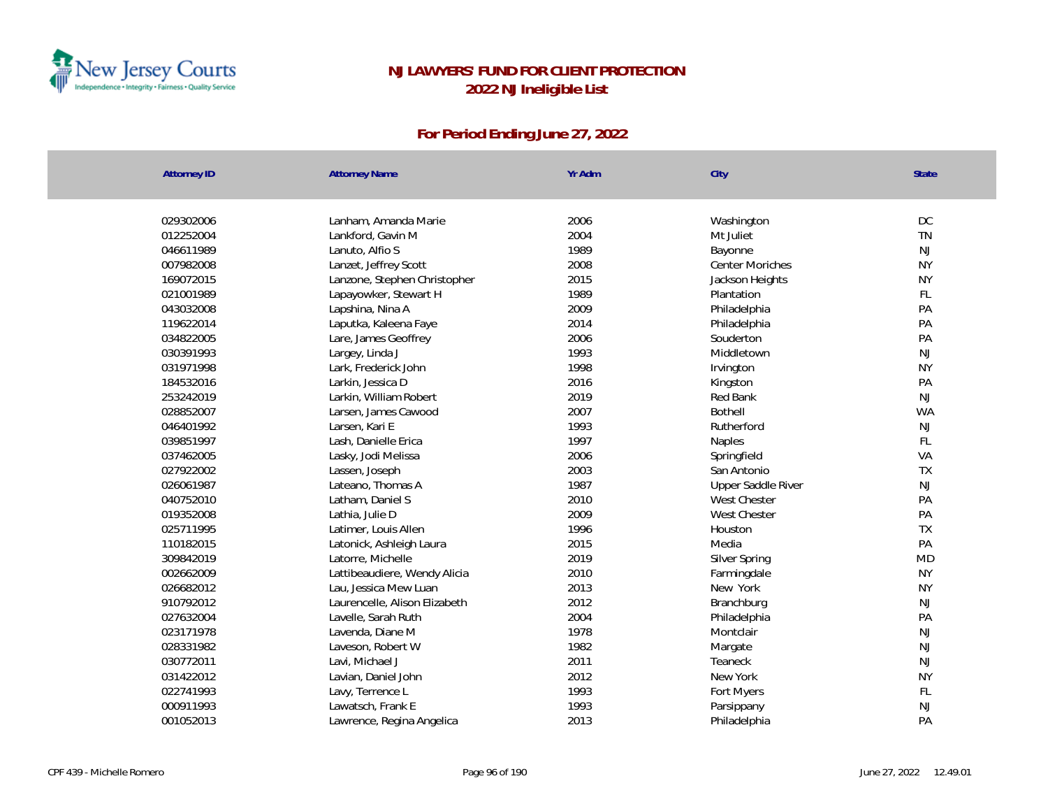

| <b>Attorney ID</b> | <b>Attorney Name</b>          | Yr Adm | City                   | <b>State</b> |
|--------------------|-------------------------------|--------|------------------------|--------------|
|                    |                               |        |                        |              |
| 029302006          | Lanham, Amanda Marie          | 2006   | Washington             | DC           |
| 012252004          | Lankford, Gavin M             | 2004   | Mt Juliet              | <b>TN</b>    |
| 046611989          | Lanuto, Alfio S               | 1989   | Bayonne                | NJ           |
| 007982008          | Lanzet, Jeffrey Scott         | 2008   | <b>Center Moriches</b> | <b>NY</b>    |
| 169072015          | Lanzone, Stephen Christopher  | 2015   | Jackson Heights        | <b>NY</b>    |
| 021001989          | Lapayowker, Stewart H         | 1989   | Plantation             | FL           |
| 043032008          | Lapshina, Nina A              | 2009   | Philadelphia           | PA           |
| 119622014          | Laputka, Kaleena Faye         | 2014   | Philadelphia           | PA           |
| 034822005          | Lare, James Geoffrey          | 2006   | Souderton              | PA           |
| 030391993          | Largey, Linda J               | 1993   | Middletown             | <b>NJ</b>    |
| 031971998          | Lark, Frederick John          | 1998   | Irvington              | <b>NY</b>    |
| 184532016          | Larkin, Jessica D             | 2016   | Kingston               | PA           |
| 253242019          | Larkin, William Robert        | 2019   | Red Bank               | <b>NJ</b>    |
| 028852007          | Larsen, James Cawood          | 2007   | <b>Bothell</b>         | <b>WA</b>    |
| 046401992          | Larsen, Kari E                | 1993   | Rutherford             | NJ           |
| 039851997          | Lash, Danielle Erica          | 1997   | Naples                 | FL           |
| 037462005          | Lasky, Jodi Melissa           | 2006   | Springfield            | VA           |
| 027922002          | Lassen, Joseph                | 2003   | San Antonio            | TX           |
| 026061987          | Lateano, Thomas A             | 1987   | Upper Saddle River     | <b>NJ</b>    |
| 040752010          | Latham, Daniel S              | 2010   | West Chester           | PA           |
| 019352008          | Lathia, Julie D               | 2009   | West Chester           | PA           |
| 025711995          | Latimer, Louis Allen          | 1996   | Houston                | TX           |
| 110182015          | Latonick, Ashleigh Laura      | 2015   | Media                  | PA           |
| 309842019          | Latorre, Michelle             | 2019   | Silver Spring          | <b>MD</b>    |
| 002662009          | Lattibeaudiere, Wendy Alicia  | 2010   | Farmingdale            | <b>NY</b>    |
| 026682012          | Lau, Jessica Mew Luan         | 2013   | New York               | <b>NY</b>    |
| 910792012          | Laurencelle, Alison Elizabeth | 2012   | Branchburg             | <b>NJ</b>    |
| 027632004          | Lavelle, Sarah Ruth           | 2004   | Philadelphia           | PA           |
| 023171978          | Lavenda, Diane M              | 1978   | Montclair              | NJ           |
| 028331982          | Laveson, Robert W             | 1982   | Margate                | <b>NJ</b>    |
| 030772011          | Lavi, Michael J               | 2011   | Teaneck                | NJ           |
| 031422012          | Lavian, Daniel John           | 2012   | New York               | <b>NY</b>    |
| 022741993          | Lavy, Terrence L              | 1993   | Fort Myers             | FL           |
| 000911993          | Lawatsch, Frank E             | 1993   | Parsippany             | <b>NJ</b>    |
| 001052013          | Lawrence, Regina Angelica     | 2013   | Philadelphia           | PA           |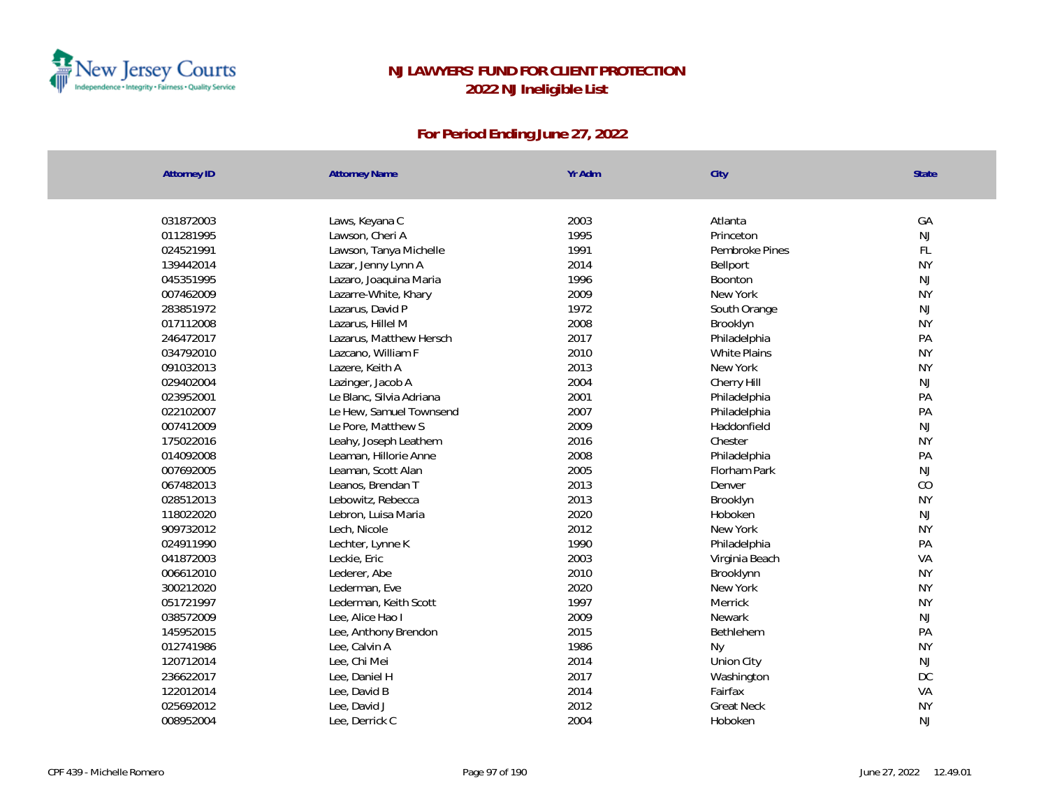

| <b>Attorney ID</b> | <b>Attorney Name</b>     | Yr Adm | City                | State     |
|--------------------|--------------------------|--------|---------------------|-----------|
|                    |                          |        |                     |           |
| 031872003          | Laws, Keyana C           | 2003   | Atlanta             | GA        |
| 011281995          | Lawson, Cheri A          | 1995   | Princeton           | <b>NJ</b> |
| 024521991          | Lawson, Tanya Michelle   | 1991   | Pembroke Pines      | FL        |
| 139442014          | Lazar, Jenny Lynn A      | 2014   | Bellport            | <b>NY</b> |
| 045351995          | Lazaro, Joaquina Maria   | 1996   | <b>Boonton</b>      | <b>NJ</b> |
| 007462009          | Lazarre-White, Khary     | 2009   | New York            | <b>NY</b> |
| 283851972          | Lazarus, David P         | 1972   | South Orange        | NJ        |
| 017112008          | Lazarus, Hillel M        | 2008   | Brooklyn            | <b>NY</b> |
| 246472017          | Lazarus, Matthew Hersch  | 2017   | Philadelphia        | PA        |
| 034792010          | Lazcano, William F       | 2010   | <b>White Plains</b> | <b>NY</b> |
| 091032013          | Lazere, Keith A          | 2013   | New York            | <b>NY</b> |
| 029402004          | Lazinger, Jacob A        | 2004   | Cherry Hill         | <b>NJ</b> |
| 023952001          | Le Blanc, Silvia Adriana | 2001   | Philadelphia        | PA        |
| 022102007          | Le Hew, Samuel Townsend  | 2007   | Philadelphia        | PA        |
| 007412009          | Le Pore, Matthew S       | 2009   | Haddonfield         | <b>NJ</b> |
| 175022016          | Leahy, Joseph Leathem    | 2016   | Chester             | <b>NY</b> |
| 014092008          | Leaman, Hillorie Anne    | 2008   | Philadelphia        | PA        |
| 007692005          | Leaman, Scott Alan       | 2005   | Florham Park        | <b>NJ</b> |
| 067482013          | Leanos, Brendan T        | 2013   | Denver              | CO        |
| 028512013          | Lebowitz, Rebecca        | 2013   | Brooklyn            | <b>NY</b> |
| 118022020          | Lebron, Luisa Maria      | 2020   | Hoboken             | <b>NJ</b> |
| 909732012          | Lech, Nicole             | 2012   | New York            | <b>NY</b> |
| 024911990          | Lechter, Lynne K         | 1990   | Philadelphia        | PA        |
| 041872003          | Leckie, Eric             | 2003   | Virginia Beach      | VA        |
| 006612010          | Lederer, Abe             | 2010   | Brooklynn           | <b>NY</b> |
| 300212020          | Lederman, Eve            | 2020   | New York            | <b>NY</b> |
| 051721997          | Lederman, Keith Scott    | 1997   | Merrick             | <b>NY</b> |
| 038572009          | Lee, Alice Hao I         | 2009   | Newark              | <b>NJ</b> |
| 145952015          | Lee, Anthony Brendon     | 2015   | Bethlehem           | PA        |
| 012741986          | Lee, Calvin A            | 1986   | Ny                  | <b>NY</b> |
| 120712014          | Lee, Chi Mei             | 2014   | Union City          | <b>NJ</b> |
| 236622017          | Lee, Daniel H            | 2017   | Washington          | DC        |
| 122012014          | Lee, David B             | 2014   | Fairfax             | VA        |
| 025692012          | Lee, David J             | 2012   | <b>Great Neck</b>   | <b>NY</b> |
| 008952004          | Lee, Derrick C           | 2004   | Hoboken             | NJ        |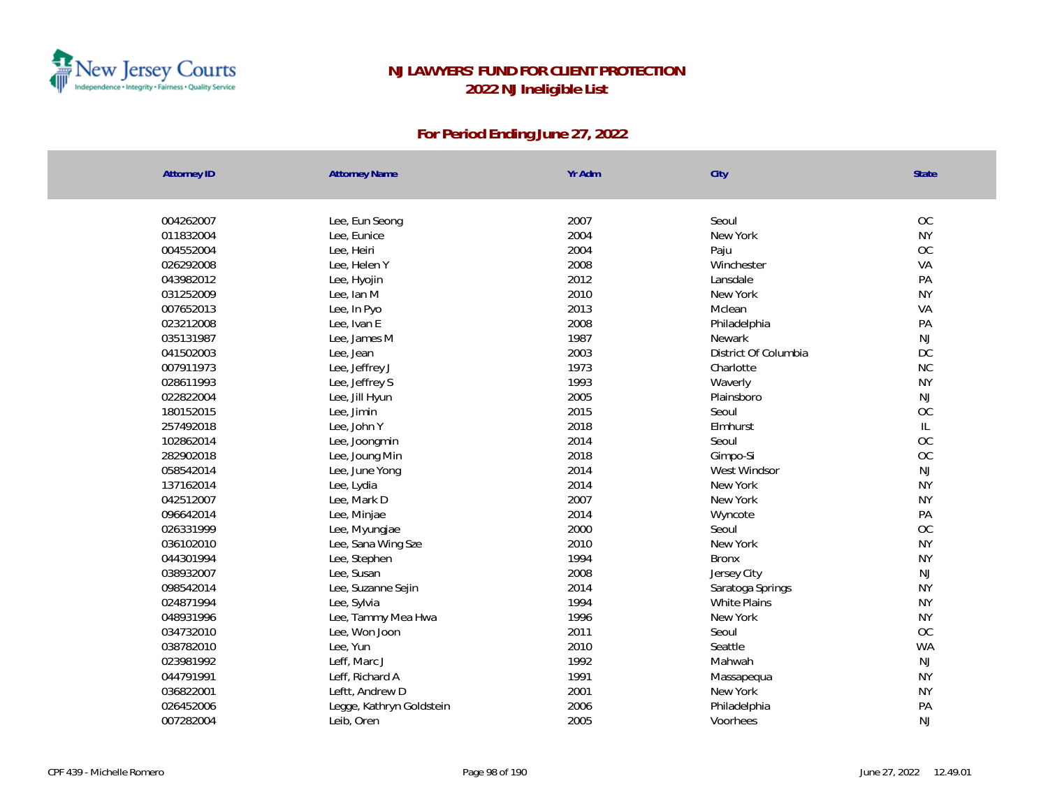

| <b>Attorney ID</b> | <b>Attorney Name</b>     | Yr Adm | City                 | <b>State</b> |
|--------------------|--------------------------|--------|----------------------|--------------|
|                    |                          |        |                      |              |
| 004262007          | Lee, Eun Seong           | 2007   | Seoul                | OC           |
| 011832004          | Lee, Eunice              | 2004   | New York             | <b>NY</b>    |
| 004552004          | Lee, Heiri               | 2004   | Paju                 | OC           |
| 026292008          | Lee, Helen Y             | 2008   | Winchester           | VA           |
| 043982012          | Lee, Hyojin              | 2012   | Lansdale             | PA           |
| 031252009          | Lee, Ian M               | 2010   | New York             | <b>NY</b>    |
| 007652013          | Lee, In Pyo              | 2013   | Mclean               | VA           |
| 023212008          | Lee, Ivan E              | 2008   | Philadelphia         | PA           |
| 035131987          | Lee, James M             | 1987   | Newark               | NJ           |
| 041502003          | Lee, Jean                | 2003   | District Of Columbia | $DC$         |
| 007911973          | Lee, Jeffrey J           | 1973   | Charlotte            | NC           |
| 028611993          | Lee, Jeffrey S           | 1993   | Waverly              | <b>NY</b>    |
| 022822004          | Lee, Jill Hyun           | 2005   | Plainsboro           | NJ           |
| 180152015          | Lee, Jimin               | 2015   | Seoul                | OC           |
| 257492018          | Lee, John Y              | 2018   | Elmhurst             | L            |
| 102862014          | Lee, Joongmin            | 2014   | Seoul                | OC           |
| 282902018          | Lee, Joung Min           | 2018   | Gimpo-Si             | $OC$         |
| 058542014          | Lee, June Yong           | 2014   | West Windsor         | NJ           |
| 137162014          | Lee, Lydia               | 2014   | New York             | <b>NY</b>    |
| 042512007          | Lee, Mark D              | 2007   | New York             | <b>NY</b>    |
| 096642014          | Lee, Minjae              | 2014   | Wyncote              | PA           |
| 026331999          | Lee, Myungjae            | 2000   | Seoul                | OC           |
| 036102010          | Lee, Sana Wing Sze       | 2010   | New York             | <b>NY</b>    |
| 044301994          | Lee, Stephen             | 1994   | <b>Bronx</b>         | <b>NY</b>    |
| 038932007          | Lee, Susan               | 2008   | Jersey City          | <b>NJ</b>    |
| 098542014          | Lee, Suzanne Sejin       | 2014   | Saratoga Springs     | <b>NY</b>    |
| 024871994          | Lee, Sylvia              | 1994   | White Plains         | <b>NY</b>    |
| 048931996          | Lee, Tammy Mea Hwa       | 1996   | New York             | <b>NY</b>    |
| 034732010          | Lee, Won Joon            | 2011   | Seoul                | OC           |
| 038782010          | Lee, Yun                 | 2010   | Seattle              | <b>WA</b>    |
| 023981992          | Leff, Marc J             | 1992   | Mahwah               | NJ           |
| 044791991          | Leff, Richard A          | 1991   | Massapequa           | <b>NY</b>    |
| 036822001          | Leftt, Andrew D          | 2001   | New York             | <b>NY</b>    |
| 026452006          | Legge, Kathryn Goldstein | 2006   | Philadelphia         | PA           |
| 007282004          | Leib, Oren               | 2005   | Voorhees             | NJ           |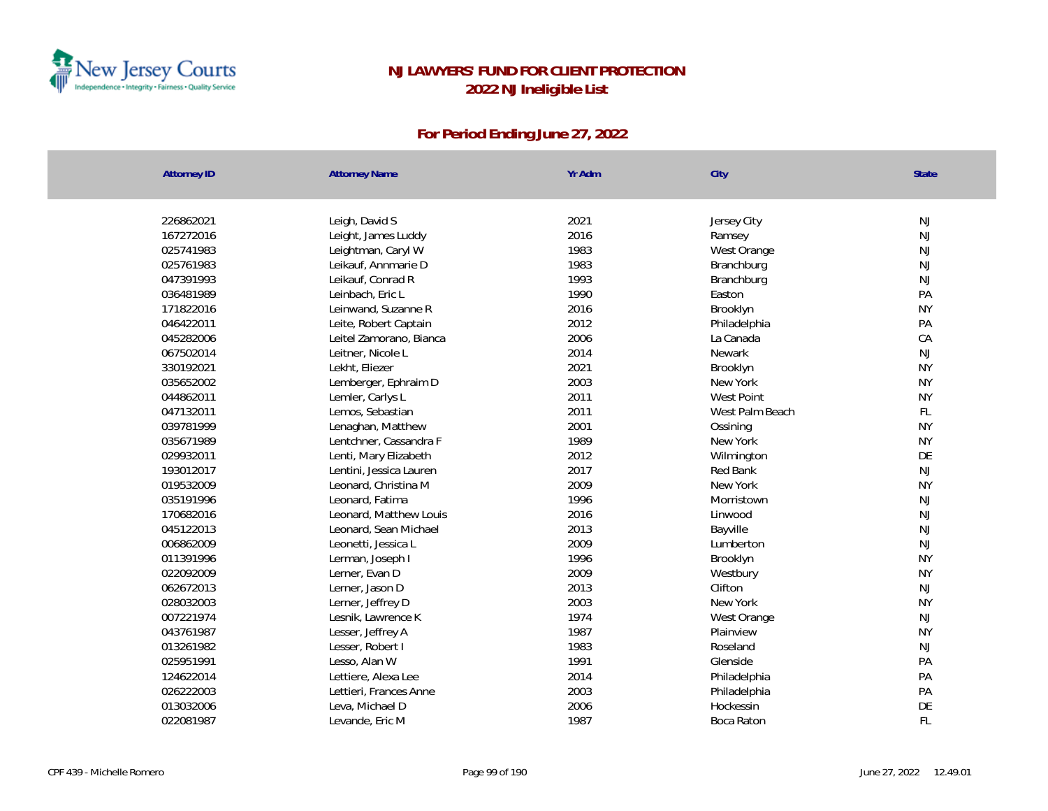

| <b>Attorney ID</b> | <b>Attorney Name</b>    | Yr Adm | City            | State     |
|--------------------|-------------------------|--------|-----------------|-----------|
|                    |                         |        |                 |           |
| 226862021          | Leigh, David S          | 2021   | Jersey City     | NJ        |
| 167272016          | Leight, James Luddy     | 2016   | Ramsey          | NJ        |
| 025741983          | Leightman, Caryl W      | 1983   | West Orange     | <b>NJ</b> |
| 025761983          | Leikauf, Annmarie D     | 1983   | Branchburg      | <b>NJ</b> |
| 047391993          | Leikauf, Conrad R       | 1993   | Branchburg      | NJ        |
| 036481989          | Leinbach, Eric L        | 1990   | Easton          | PA        |
| 171822016          | Leinwand, Suzanne R     | 2016   | Brooklyn        | <b>NY</b> |
| 046422011          | Leite, Robert Captain   | 2012   | Philadelphia    | PA        |
| 045282006          | Leitel Zamorano, Bianca | 2006   | La Canada       | CA        |
| 067502014          | Leitner, Nicole L       | 2014   | <b>Newark</b>   | NJ        |
| 330192021          | Lekht, Eliezer          | 2021   | Brooklyn        | <b>NY</b> |
| 035652002          | Lemberger, Ephraim D    | 2003   | New York        | <b>NY</b> |
| 044862011          | Lemler, Carlys L        | 2011   | West Point      | <b>NY</b> |
| 047132011          | Lemos, Sebastian        | 2011   | West Palm Beach | FL        |
| 039781999          | Lenaghan, Matthew       | 2001   | Ossining        | <b>NY</b> |
| 035671989          | Lentchner, Cassandra F  | 1989   | New York        | <b>NY</b> |
| 029932011          | Lenti, Mary Elizabeth   | 2012   | Wilmington      | DE        |
| 193012017          | Lentini, Jessica Lauren | 2017   | Red Bank        | NJ        |
| 019532009          | Leonard, Christina M    | 2009   | New York        | <b>NY</b> |
| 035191996          | Leonard, Fatima         | 1996   | Morristown      | NJ        |
| 170682016          | Leonard, Matthew Louis  | 2016   | Linwood         | NJ        |
| 045122013          | Leonard, Sean Michael   | 2013   | Bayville        | NJ        |
| 006862009          | Leonetti, Jessica L     | 2009   | Lumberton       | NJ        |
| 011391996          | Lerman, Joseph I        | 1996   | Brooklyn        | <b>NY</b> |
| 022092009          | Lerner, Evan D          | 2009   | Westbury        | <b>NY</b> |
| 062672013          | Lerner, Jason D         | 2013   | Clifton         | <b>NJ</b> |
| 028032003          | Lerner, Jeffrey D       | 2003   | New York        | <b>NY</b> |
| 007221974          | Lesnik, Lawrence K      | 1974   | West Orange     | NJ        |
| 043761987          | Lesser, Jeffrey A       | 1987   | Plainview       | <b>NY</b> |
| 013261982          | Lesser, Robert I        | 1983   | Roseland        | NJ        |
| 025951991          | Lesso, Alan W           | 1991   | Glenside        | PA        |
| 124622014          | Lettiere, Alexa Lee     | 2014   | Philadelphia    | PA        |
| 026222003          | Lettieri, Frances Anne  | 2003   | Philadelphia    | PA        |
| 013032006          | Leva, Michael D         | 2006   | Hockessin       | DE        |
| 022081987          | Levande, Eric M         | 1987   | Boca Raton      | FL        |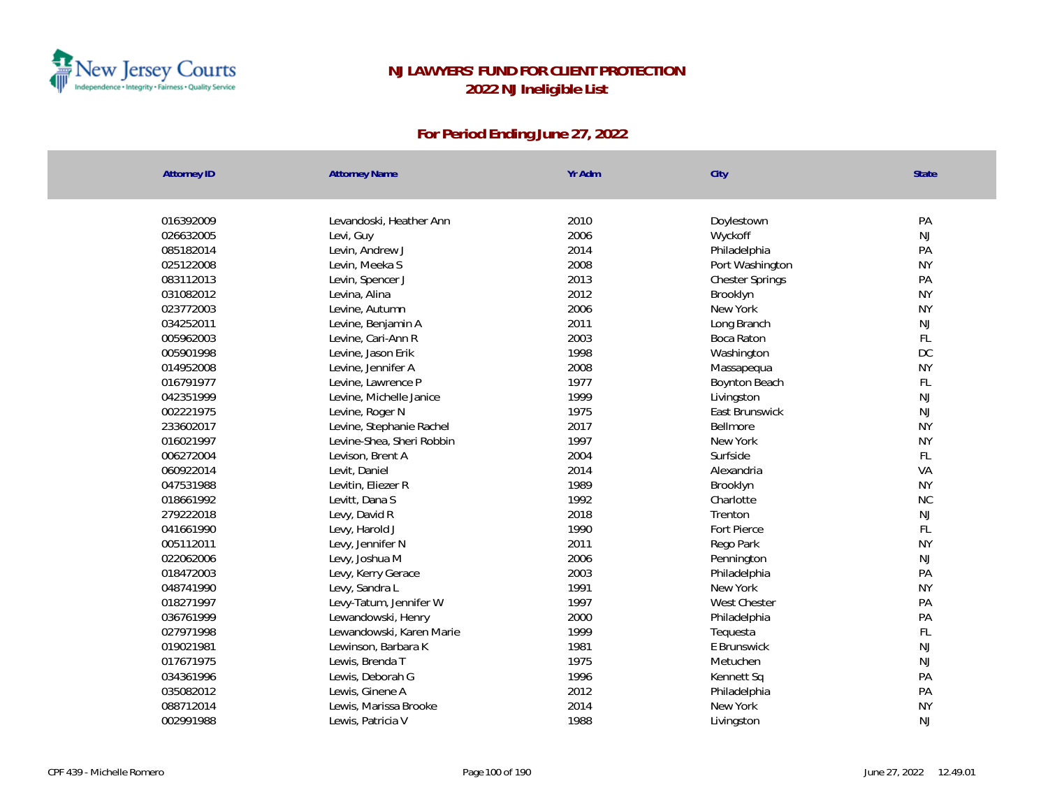

| <b>Attorney ID</b> | <b>Attorney Name</b>      | Yr Adm | City                   | State         |
|--------------------|---------------------------|--------|------------------------|---------------|
|                    |                           |        |                        |               |
| 016392009          | Levandoski, Heather Ann   | 2010   | Doylestown             | PA            |
| 026632005          | Levi, Guy                 | 2006   | Wyckoff                | NJ            |
| 085182014          | Levin, Andrew J           | 2014   | Philadelphia           | PA            |
| 025122008          | Levin, Meeka S            | 2008   | Port Washington        | <b>NY</b>     |
| 083112013          | Levin, Spencer J          | 2013   | <b>Chester Springs</b> | PA            |
| 031082012          | Levina, Alina             | 2012   | Brooklyn               | <b>NY</b>     |
| 023772003          | Levine, Autumn            | 2006   | New York               | <b>NY</b>     |
| 034252011          | Levine, Benjamin A        | 2011   | Long Branch            | $\mathsf{NJ}$ |
| 005962003          | Levine, Cari-Ann R        | 2003   | Boca Raton             | FL            |
| 005901998          | Levine, Jason Erik        | 1998   | Washington             | DC            |
| 014952008          | Levine, Jennifer A        | 2008   | Massapequa             | <b>NY</b>     |
| 016791977          | Levine, Lawrence P        | 1977   | Boynton Beach          | FL            |
| 042351999          | Levine, Michelle Janice   | 1999   | Livingston             | NJ            |
| 002221975          | Levine, Roger N           | 1975   | East Brunswick         | $\mathsf{NJ}$ |
| 233602017          | Levine, Stephanie Rachel  | 2017   | <b>Bellmore</b>        | <b>NY</b>     |
| 016021997          | Levine-Shea, Sheri Robbin | 1997   | New York               | <b>NY</b>     |
| 006272004          | Levison, Brent A          | 2004   | Surfside               | FL            |
| 060922014          | Levit, Daniel             | 2014   | Alexandria             | VA            |
| 047531988          | Levitin, Eliezer R        | 1989   | Brooklyn               | <b>NY</b>     |
| 018661992          | Levitt, Dana S            | 1992   | Charlotte              | <b>NC</b>     |
| 279222018          | Levy, David R             | 2018   | Trenton                | NJ            |
| 041661990          | Levy, Harold J            | 1990   | Fort Pierce            | FL            |
| 005112011          | Levy, Jennifer N          | 2011   | Rego Park              | <b>NY</b>     |
| 022062006          | Levy, Joshua M            | 2006   | Pennington             | NJ            |
| 018472003          | Levy, Kerry Gerace        | 2003   | Philadelphia           | PA            |
| 048741990          | Levy, Sandra L            | 1991   | New York               | <b>NY</b>     |
| 018271997          | Levy-Tatum, Jennifer W    | 1997   | <b>West Chester</b>    | PA            |
| 036761999          | Lewandowski, Henry        | 2000   | Philadelphia           | PA            |
| 027971998          | Lewandowski, Karen Marie  | 1999   | Tequesta               | FL            |
| 019021981          | Lewinson, Barbara K       | 1981   | E Brunswick            | NJ            |
| 017671975          | Lewis, Brenda T           | 1975   | Metuchen               | NJ            |
| 034361996          | Lewis, Deborah G          | 1996   | Kennett Sq             | PA            |
| 035082012          | Lewis, Ginene A           | 2012   | Philadelphia           | PA            |
| 088712014          | Lewis, Marissa Brooke     | 2014   | New York               | <b>NY</b>     |
| 002991988          | Lewis, Patricia V         | 1988   | Livingston             | <b>NJ</b>     |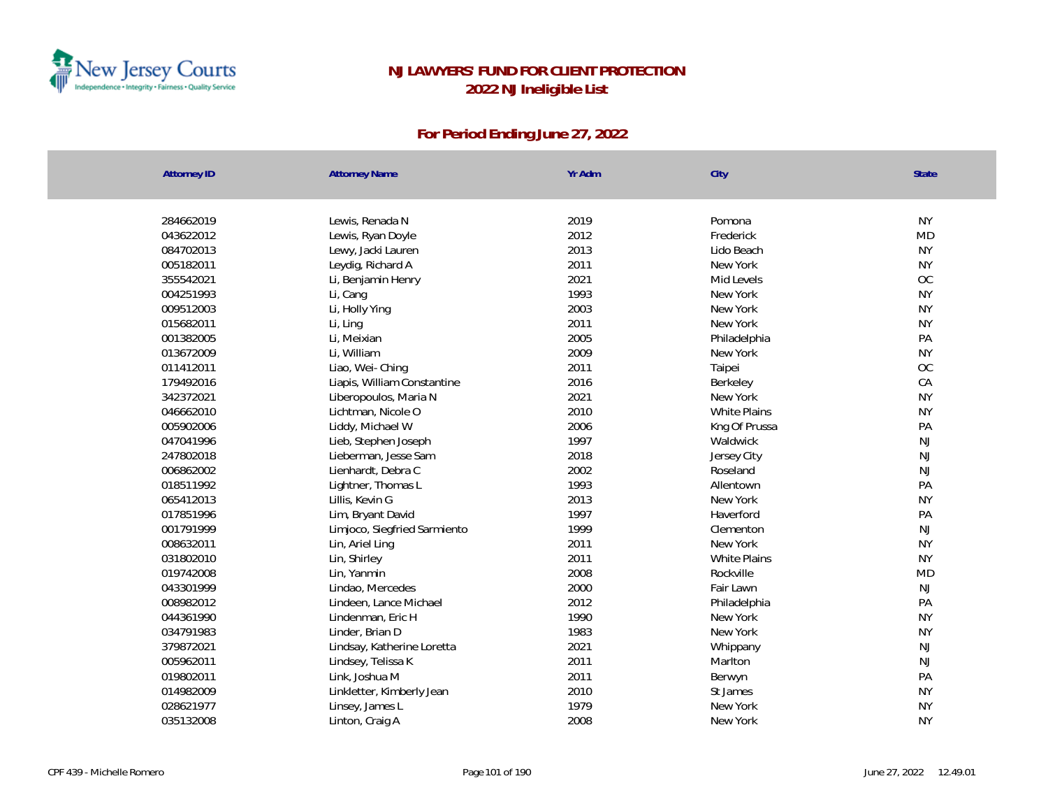

| <b>Attorney ID</b> | <b>Attorney Name</b>         | Yr Adm | City                | State     |
|--------------------|------------------------------|--------|---------------------|-----------|
|                    |                              |        |                     |           |
| 284662019          | Lewis, Renada N              | 2019   | Pomona              | <b>NY</b> |
| 043622012          | Lewis, Ryan Doyle            | 2012   | Frederick           | <b>MD</b> |
| 084702013          | Lewy, Jacki Lauren           | 2013   | Lido Beach          | <b>NY</b> |
| 005182011          | Leydig, Richard A            | 2011   | New York            | <b>NY</b> |
| 355542021          | Li, Benjamin Henry           | 2021   | Mid Levels          | OC        |
| 004251993          | Li, Cang                     | 1993   | New York            | <b>NY</b> |
| 009512003          | Li, Holly Ying               | 2003   | New York            | <b>NY</b> |
| 015682011          | Li, Ling                     | 2011   | New York            | <b>NY</b> |
| 001382005          | Li, Meixian                  | 2005   | Philadelphia        | PA        |
| 013672009          | Li, William                  | 2009   | New York            | <b>NY</b> |
| 011412011          | Liao, Wei-Ching              | 2011   | Taipei              | OC        |
| 179492016          | Liapis, William Constantine  | 2016   | Berkeley            | CA        |
| 342372021          | Liberopoulos, Maria N        | 2021   | New York            | <b>NY</b> |
| 046662010          | Lichtman, Nicole O           | 2010   | <b>White Plains</b> | <b>NY</b> |
| 005902006          | Liddy, Michael W             | 2006   | Kng Of Prussa       | PA        |
| 047041996          | Lieb, Stephen Joseph         | 1997   | Waldwick            | <b>NJ</b> |
| 247802018          | Lieberman, Jesse Sam         | 2018   | Jersey City         | NJ        |
| 006862002          | Lienhardt, Debra C           | 2002   | Roseland            | <b>NJ</b> |
| 018511992          | Lightner, Thomas L           | 1993   | Allentown           | PA        |
| 065412013          | Lillis, Kevin G              | 2013   | New York            | <b>NY</b> |
| 017851996          | Lim, Bryant David            | 1997   | Haverford           | PA        |
| 001791999          | Limjoco, Siegfried Sarmiento | 1999   | Clementon           | NJ        |
| 008632011          | Lin, Ariel Ling              | 2011   | New York            | <b>NY</b> |
| 031802010          | Lin, Shirley                 | 2011   | White Plains        | <b>NY</b> |
| 019742008          | Lin, Yanmin                  | 2008   | Rockville           | <b>MD</b> |
| 043301999          | Lindao, Mercedes             | 2000   | Fair Lawn           | NJ        |
| 008982012          | Lindeen, Lance Michael       | 2012   | Philadelphia        | PA        |
| 044361990          | Lindenman, Eric H            | 1990   | New York            | <b>NY</b> |
| 034791983          | Linder, Brian D              | 1983   | New York            | <b>NY</b> |
| 379872021          | Lindsay, Katherine Loretta   | 2021   | Whippany            | NJ        |
| 005962011          | Lindsey, Telissa K           | 2011   | Marlton             | <b>NJ</b> |
| 019802011          | Link, Joshua M               | 2011   | Berwyn              | PA        |
| 014982009          | Linkletter, Kimberly Jean    | 2010   | St James            | <b>NY</b> |
| 028621977          | Linsey, James L              | 1979   | New York            | <b>NY</b> |
| 035132008          | Linton, Craig A              | 2008   | New York            | <b>NY</b> |
|                    |                              |        |                     |           |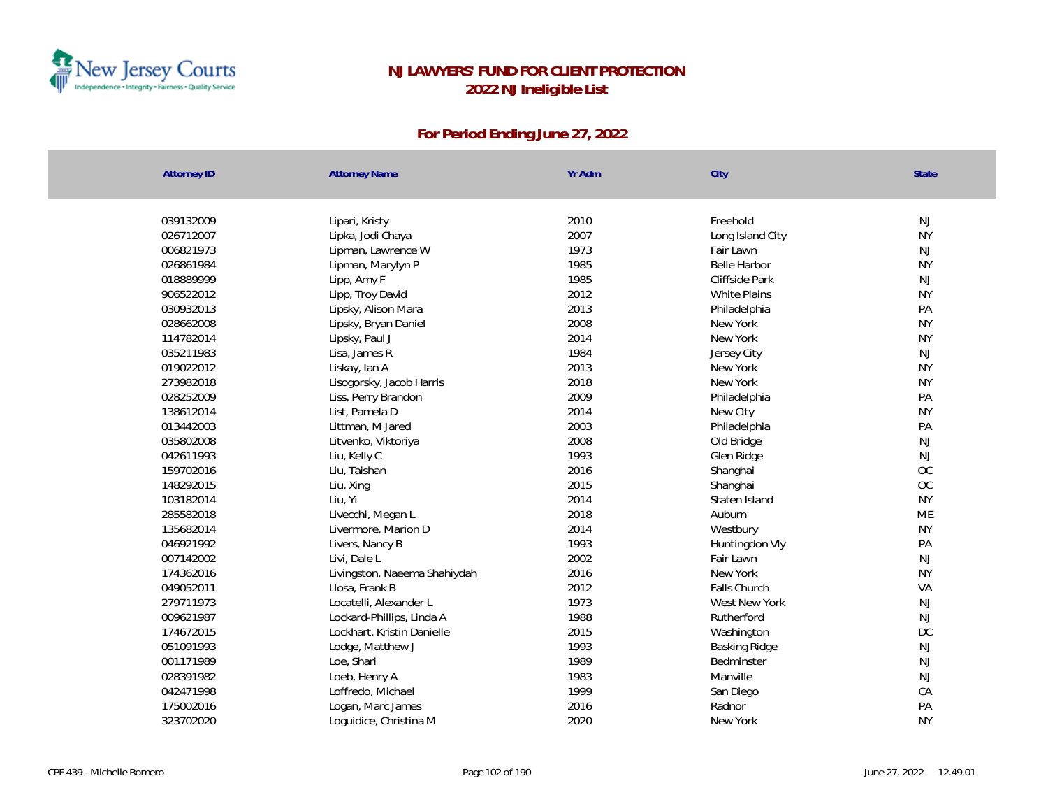

| <b>Attorney ID</b>     | <b>Attorney Name</b>            | Yr Adm | City                    | State         |
|------------------------|---------------------------------|--------|-------------------------|---------------|
| 039132009              | Lipari, Kristy                  | 2010   | Freehold                | NJ            |
| 026712007              | Lipka, Jodi Chaya               | 2007   | Long Island City        | <b>NY</b>     |
| 006821973              | Lipman, Lawrence W              | 1973   | Fair Lawn               | NJ            |
| 026861984              | Lipman, Marylyn P               | 1985   | <b>Belle Harbor</b>     | <b>NY</b>     |
| 018889999              | Lipp, Amy F                     | 1985   | Cliffside Park          | NJ            |
| 906522012              | Lipp, Troy David                | 2012   | White Plains            | <b>NY</b>     |
| 030932013              |                                 | 2013   | Philadelphia            | PA            |
| 028662008              | Lipsky, Alison Mara             | 2008   | New York                | <b>NY</b>     |
| 114782014              | Lipsky, Bryan Daniel            | 2014   | New York                | <b>NY</b>     |
|                        | Lipsky, Paul J<br>Lisa, James R | 1984   |                         | NJ            |
| 035211983<br>019022012 |                                 | 2013   | Jersey City<br>New York | <b>NY</b>     |
| 273982018              | Liskay, Ian A                   | 2018   | New York                | <b>NY</b>     |
|                        | Lisogorsky, Jacob Harris        |        |                         |               |
| 028252009              | Liss, Perry Brandon             | 2009   | Philadelphia            | PA            |
| 138612014              | List, Pamela D                  | 2014   | New City                | <b>NY</b>     |
| 013442003              | Littman, M Jared                | 2003   | Philadelphia            | PA            |
| 035802008              | Litvenko, Viktoriya             | 2008   | Old Bridge              | NJ            |
| 042611993              | Liu, Kelly C                    | 1993   | Glen Ridge              | $\mathsf{NJ}$ |
| 159702016              | Liu, Taishan                    | 2016   | Shanghai                | OC            |
| 148292015              | Liu, Xing                       | 2015   | Shanghai                | OC            |
| 103182014              | Liu, Yi                         | 2014   | Staten Island           | <b>NY</b>     |
| 285582018              | Livecchi, Megan L               | 2018   | Auburn                  | <b>ME</b>     |
| 135682014              | Livermore, Marion D             | 2014   | Westbury                | <b>NY</b>     |
| 046921992              | Livers, Nancy B                 | 1993   | Huntingdon Vly          | PA            |
| 007142002              | Livi, Dale L                    | 2002   | Fair Lawn               | <b>NJ</b>     |
| 174362016              | Livingston, Naeema Shahiydah    | 2016   | New York                | <b>NY</b>     |
| 049052011              | Llosa, Frank B                  | 2012   | Falls Church            | VA            |
| 279711973              | Locatelli, Alexander L          | 1973   | West New York           | NJ            |
| 009621987              | Lockard-Phillips, Linda A       | 1988   | Rutherford              | NJ            |
| 174672015              | Lockhart, Kristin Danielle      | 2015   | Washington              | DC            |
| 051091993              | Lodge, Matthew J                | 1993   | Basking Ridge           | NJ            |
| 001171989              | Loe, Shari                      | 1989   | Bedminster              | NJ            |
| 028391982              | Loeb, Henry A                   | 1983   | Manville                | NJ            |
| 042471998              | Loffredo, Michael               | 1999   | San Diego               | CA            |
| 175002016              | Logan, Marc James               | 2016   | Radnor                  | PA            |
| 323702020              | Loquidice, Christina M          | 2020   | New York                | <b>NY</b>     |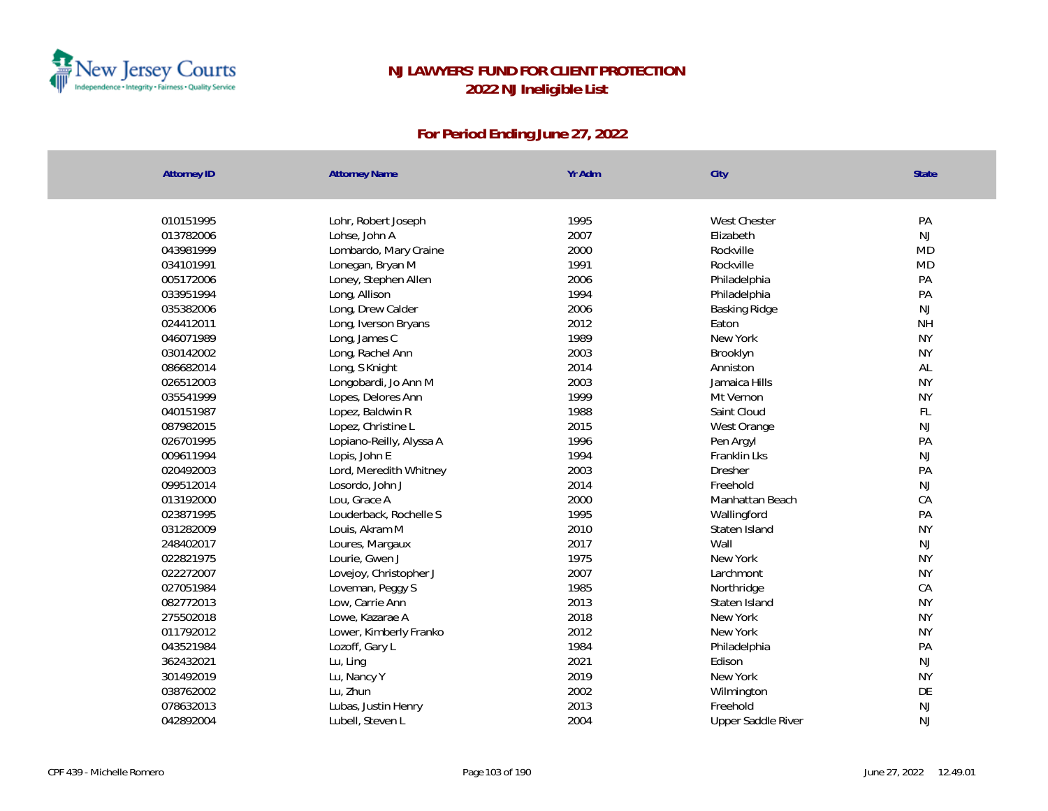

| <b>Attorney ID</b> | <b>Attorney Name</b>     | Yr Adm | City               | State     |
|--------------------|--------------------------|--------|--------------------|-----------|
|                    |                          |        |                    |           |
| 010151995          | Lohr, Robert Joseph      | 1995   | West Chester       | PA        |
| 013782006          | Lohse, John A            | 2007   | Elizabeth          | <b>NJ</b> |
| 043981999          | Lombardo, Mary Craine    | 2000   | Rockville          | <b>MD</b> |
| 034101991          | Lonegan, Bryan M         | 1991   | Rockville          | <b>MD</b> |
| 005172006          | Loney, Stephen Allen     | 2006   | Philadelphia       | PA        |
| 033951994          | Long, Allison            | 1994   | Philadelphia       | PA        |
| 035382006          | Long, Drew Calder        | 2006   | Basking Ridge      | NJ        |
| 024412011          | Long, Iverson Bryans     | 2012   | Eaton              | <b>NH</b> |
| 046071989          | Long, James C            | 1989   | New York           | <b>NY</b> |
| 030142002          | Long, Rachel Ann         | 2003   | Brooklyn           | <b>NY</b> |
| 086682014          | Long, S Knight           | 2014   | Anniston           | AL        |
| 026512003          | Longobardi, Jo Ann M     | 2003   | Jamaica Hills      | <b>NY</b> |
| 035541999          | Lopes, Delores Ann       | 1999   | Mt Vernon          | <b>NY</b> |
| 040151987          | Lopez, Baldwin R         | 1988   | Saint Cloud        | FL        |
| 087982015          | Lopez, Christine L       | 2015   | West Orange        | NJ        |
| 026701995          | Lopiano-Reilly, Alyssa A | 1996   | Pen Argyl          | PA        |
| 009611994          | Lopis, John E            | 1994   | Franklin Lks       | NJ        |
| 020492003          | Lord, Meredith Whitney   | 2003   | Dresher            | PA        |
| 099512014          | Losordo, John J          | 2014   | Freehold           | NJ        |
| 013192000          | Lou, Grace A             | 2000   | Manhattan Beach    | CA        |
| 023871995          | Louderback, Rochelle S   | 1995   | Wallingford        | PA        |
| 031282009          | Louis, Akram M           | 2010   | Staten Island      | <b>NY</b> |
| 248402017          | Loures, Margaux          | 2017   | Wall               | <b>NJ</b> |
| 022821975          | Lourie, Gwen J           | 1975   | New York           | <b>NY</b> |
| 022272007          | Lovejoy, Christopher J   | 2007   | Larchmont          | <b>NY</b> |
| 027051984          | Loveman, Peggy S         | 1985   | Northridge         | CA        |
| 082772013          | Low, Carrie Ann          | 2013   | Staten Island      | <b>NY</b> |
| 275502018          | Lowe, Kazarae A          | 2018   | New York           | <b>NY</b> |
| 011792012          | Lower, Kimberly Franko   | 2012   | New York           | <b>NY</b> |
| 043521984          | Lozoff, Gary L           | 1984   | Philadelphia       | PA        |
| 362432021          | Lu, Ling                 | 2021   | Edison             | NJ        |
| 301492019          | Lu, Nancy Y              | 2019   | New York           | <b>NY</b> |
| 038762002          | Lu, Zhun                 | 2002   | Wilmington         | DE        |
| 078632013          | Lubas, Justin Henry      | 2013   | Freehold           | <b>NJ</b> |
| 042892004          | Lubell, Steven L         | 2004   | Upper Saddle River | <b>NJ</b> |
|                    |                          |        |                    |           |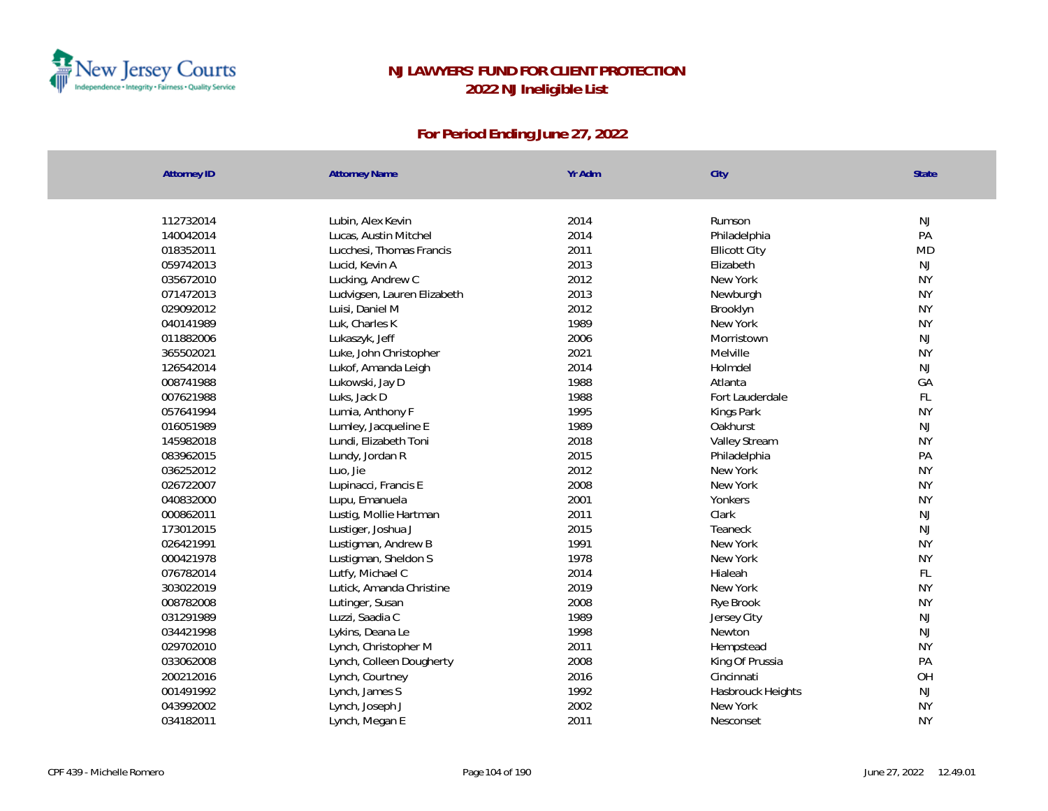

| <b>Attorney ID</b> | <b>Attorney Name</b>        | Yr Adm | City                 | State     |
|--------------------|-----------------------------|--------|----------------------|-----------|
|                    |                             |        |                      |           |
| 112732014          | Lubin, Alex Kevin           | 2014   | Rumson               | NJ        |
| 140042014          | Lucas, Austin Mitchel       | 2014   | Philadelphia         | PA        |
| 018352011          | Lucchesi, Thomas Francis    | 2011   | <b>Ellicott City</b> | <b>MD</b> |
| 059742013          | Lucid, Kevin A              | 2013   | Elizabeth            | NJ        |
| 035672010          | Lucking, Andrew C           | 2012   | New York             | <b>NY</b> |
| 071472013          | Ludvigsen, Lauren Elizabeth | 2013   | Newburgh             | <b>NY</b> |
| 029092012          | Luisi, Daniel M             | 2012   | Brooklyn             | <b>NY</b> |
| 040141989          | Luk, Charles K              | 1989   | New York             | <b>NY</b> |
| 011882006          | Lukaszyk, Jeff              | 2006   | Morristown           | NJ        |
| 365502021          | Luke, John Christopher      | 2021   | Melville             | <b>NY</b> |
| 126542014          | Lukof, Amanda Leigh         | 2014   | Holmdel              | NJ        |
| 008741988          | Lukowski, Jay D             | 1988   | Atlanta              | GA        |
| 007621988          | Luks, Jack D                | 1988   | Fort Lauderdale      | FL        |
| 057641994          | Lumia, Anthony F            | 1995   | Kings Park           | <b>NY</b> |
| 016051989          | Lumley, Jacqueline E        | 1989   | Oakhurst             | NJ        |
| 145982018          | Lundi, Elizabeth Toni       | 2018   | Valley Stream        | <b>NY</b> |
| 083962015          | Lundy, Jordan R             | 2015   | Philadelphia         | PA        |
| 036252012          | Luo, Jie                    | 2012   | New York             | <b>NY</b> |
| 026722007          | Lupinacci, Francis E        | 2008   | New York             | <b>NY</b> |
| 040832000          | Lupu, Emanuela              | 2001   | Yonkers              | <b>NY</b> |
| 000862011          | Lustig, Mollie Hartman      | 2011   | Clark                | NJ        |
| 173012015          | Lustiger, Joshua J          | 2015   | Teaneck              | NJ        |
| 026421991          | Lustigman, Andrew B         | 1991   | New York             | <b>NY</b> |
| 000421978          | Lustigman, Sheldon S        | 1978   | New York             | <b>NY</b> |
| 076782014          | Lutfy, Michael C            | 2014   | Hialeah              | FL        |
| 303022019          | Lutick, Amanda Christine    | 2019   | New York             | <b>NY</b> |
| 008782008          | Lutinger, Susan             | 2008   | Rye Brook            | <b>NY</b> |
| 031291989          | Luzzi, Saadia C             | 1989   | Jersey City          | NJ        |
| 034421998          | Lykins, Deana Le            | 1998   | Newton               | NJ        |
| 029702010          | Lynch, Christopher M        | 2011   | Hempstead            | <b>NY</b> |
| 033062008          | Lynch, Colleen Dougherty    | 2008   | King Of Prussia      | PA        |
| 200212016          | Lynch, Courtney             | 2016   | Cincinnati           | OH        |
| 001491992          | Lynch, James S              | 1992   | Hasbrouck Heights    | NJ        |
| 043992002          | Lynch, Joseph J             | 2002   | New York             | <b>NY</b> |
| 034182011          | Lynch, Megan E              | 2011   | Nesconset            | <b>NY</b> |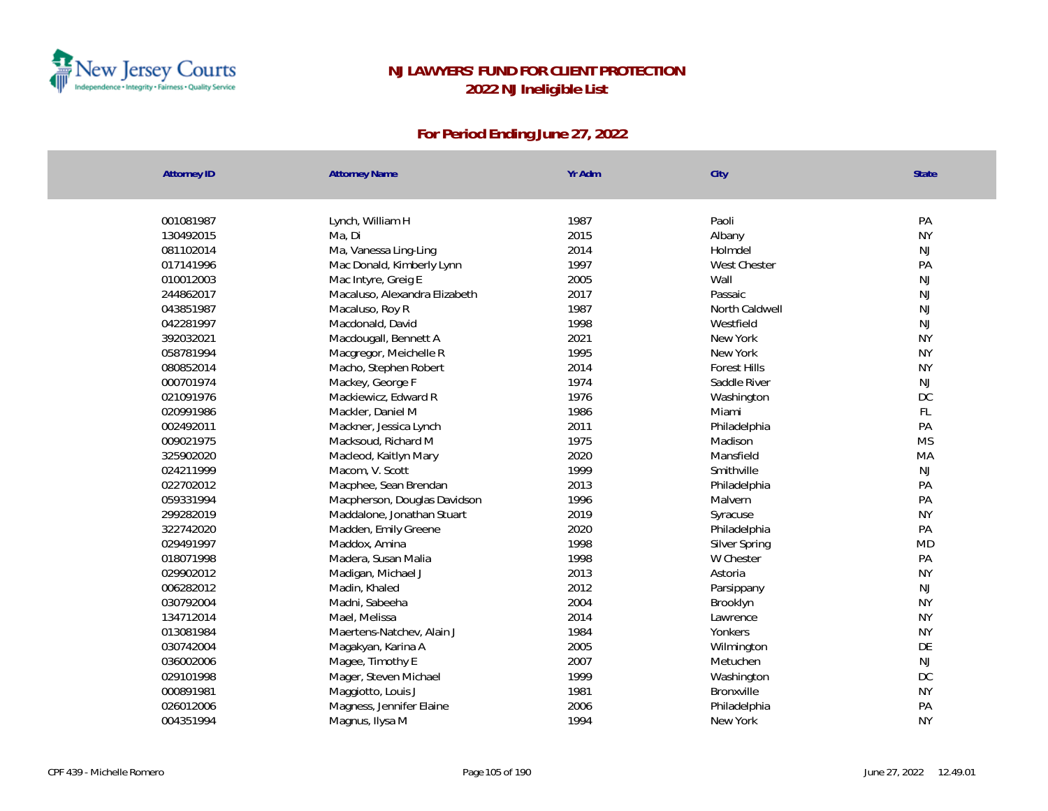

| <b>Attorney ID</b> | <b>Attorney Name</b>          | Yr Adm       | City                | State               |
|--------------------|-------------------------------|--------------|---------------------|---------------------|
|                    |                               | 1987         |                     |                     |
| 001081987          | Lynch, William H              |              | Paoli               | PA                  |
| 130492015          | Ma, Di                        | 2015         | Albany              | <b>NY</b>           |
| 081102014          | Ma, Vanessa Ling-Ling         | 2014<br>1997 | Holmdel             | $\mathsf{NJ}$<br>PA |
| 017141996          | Mac Donald, Kimberly Lynn     |              | West Chester        |                     |
| 010012003          | Mac Intyre, Greig E           | 2005         | Wall                | $\mathsf{NJ}$       |
| 244862017          | Macaluso, Alexandra Elizabeth | 2017         | Passaic             | $\mathsf{NJ}$       |
| 043851987          | Macaluso, Roy R               | 1987         | North Caldwell      | $\mathsf{NJ}$       |
| 042281997          | Macdonald, David              | 1998         | Westfield           | $\mathsf{NJ}$       |
| 392032021          | Macdougall, Bennett A         | 2021         | New York            | <b>NY</b>           |
| 058781994          | Macgregor, Meichelle R        | 1995         | New York            | <b>NY</b>           |
| 080852014          | Macho, Stephen Robert         | 2014         | <b>Forest Hills</b> | <b>NY</b>           |
| 000701974          | Mackey, George F              | 1974         | Saddle River        | NJ                  |
| 021091976          | Mackiewicz, Edward R          | 1976         | Washington          | DC                  |
| 020991986          | Mackler, Daniel M             | 1986         | Miami               | FL                  |
| 002492011          | Mackner, Jessica Lynch        | 2011         | Philadelphia        | PA                  |
| 009021975          | Macksoud, Richard M           | 1975         | Madison             | <b>MS</b>           |
| 325902020          | Macleod, Kaitlyn Mary         | 2020         | Mansfield           | MA                  |
| 024211999          | Macom, V. Scott               | 1999         | Smithville          | NJ                  |
| 022702012          | Macphee, Sean Brendan         | 2013         | Philadelphia        | PA                  |
| 059331994          | Macpherson, Douglas Davidson  | 1996         | Malvern             | PA                  |
| 299282019          | Maddalone, Jonathan Stuart    | 2019         | Syracuse            | <b>NY</b>           |
| 322742020          | Madden, Emily Greene          | 2020         | Philadelphia        | PA                  |
| 029491997          | Maddox, Amina                 | 1998         | Silver Spring       | <b>MD</b>           |
| 018071998          | Madera, Susan Malia           | 1998         | W Chester           | PA                  |
| 029902012          | Madigan, Michael J            | 2013         | Astoria             | <b>NY</b>           |
| 006282012          | Madin, Khaled                 | 2012         | Parsippany          | NJ                  |
| 030792004          | Madni, Sabeeha                | 2004         | Brooklyn            | <b>NY</b>           |
| 134712014          | Mael, Melissa                 | 2014         | Lawrence            | <b>NY</b>           |
| 013081984          | Maertens-Natchev, Alain J     | 1984         | Yonkers             | <b>NY</b>           |
| 030742004          | Magakyan, Karina A            | 2005         | Wilmington          | DE                  |
| 036002006          | Magee, Timothy E              | 2007         | Metuchen            | $\mathsf{NJ}$       |
| 029101998          | Mager, Steven Michael         | 1999         | Washington          | DC                  |
| 000891981          | Maggiotto, Louis J            | 1981         | Bronxville          | <b>NY</b>           |
| 026012006          | Magness, Jennifer Elaine      | 2006         | Philadelphia        | PA                  |
| 004351994          | Magnus, Ilysa M               | 1994         | New York            | <b>NY</b>           |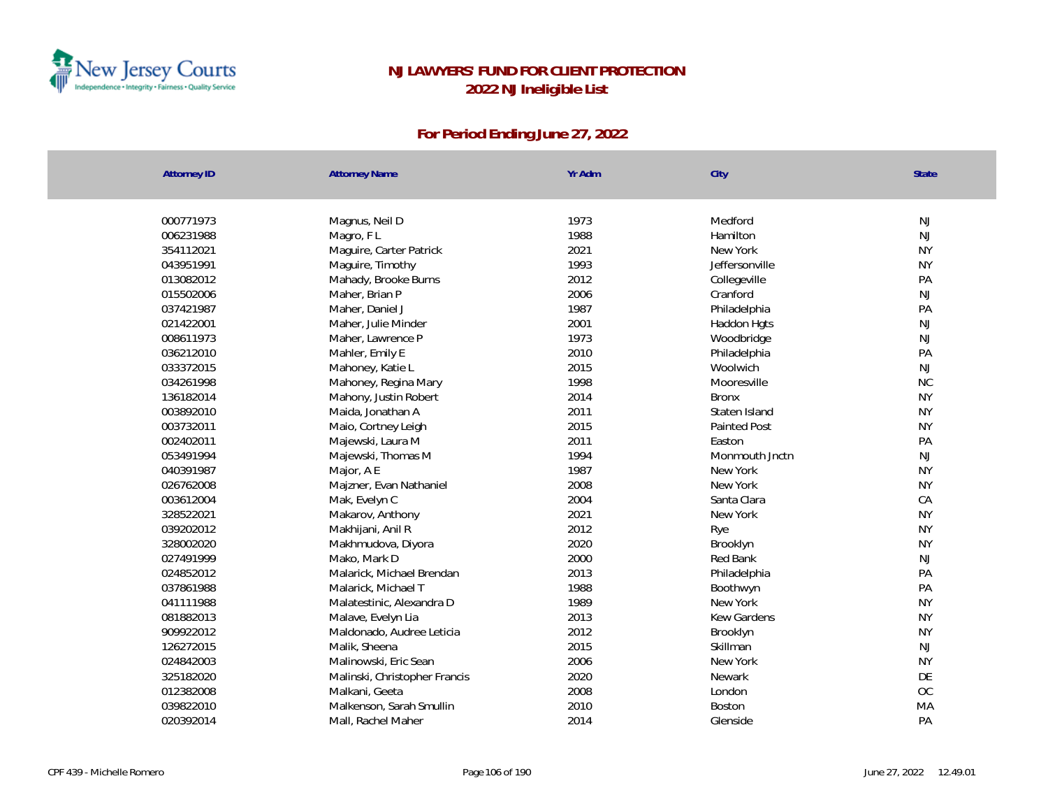

| <b>Attorney ID</b> | <b>Attorney Name</b>          | Yr Adm | City                | <b>State</b> |
|--------------------|-------------------------------|--------|---------------------|--------------|
|                    |                               |        |                     |              |
| 000771973          | Magnus, Neil D                | 1973   | Medford             | <b>NJ</b>    |
| 006231988          | Magro, FL                     | 1988   | Hamilton            | <b>NJ</b>    |
| 354112021          | Maguire, Carter Patrick       | 2021   | New York            | <b>NY</b>    |
| 043951991          | Maguire, Timothy              | 1993   | Jeffersonville      | <b>NY</b>    |
| 013082012          | Mahady, Brooke Burns          | 2012   | Collegeville        | PA           |
| 015502006          | Maher, Brian P                | 2006   | Cranford            | NJ           |
| 037421987          | Maher, Daniel J               | 1987   | Philadelphia        | PA           |
| 021422001          | Maher, Julie Minder           | 2001   | Haddon Hgts         | <b>NJ</b>    |
| 008611973          | Maher, Lawrence P             | 1973   | Woodbridge          | <b>NJ</b>    |
| 036212010          | Mahler, Emily E               | 2010   | Philadelphia        | PA           |
| 033372015          | Mahoney, Katie L              | 2015   | Woolwich            | NJ           |
| 034261998          | Mahoney, Regina Mary          | 1998   | Mooresville         | <b>NC</b>    |
| 136182014          | Mahony, Justin Robert         | 2014   | <b>Bronx</b>        | <b>NY</b>    |
| 003892010          | Maida, Jonathan A             | 2011   | Staten Island       | <b>NY</b>    |
| 003732011          | Maio, Cortney Leigh           | 2015   | <b>Painted Post</b> | <b>NY</b>    |
| 002402011          | Majewski, Laura M             | 2011   | Easton              | PA           |
| 053491994          | Majewski, Thomas M            | 1994   | Monmouth Jnctn      | <b>NJ</b>    |
| 040391987          | Major, A E                    | 1987   | New York            | <b>NY</b>    |
| 026762008          | Majzner, Evan Nathaniel       | 2008   | New York            | <b>NY</b>    |
| 003612004          | Mak, Evelyn C                 | 2004   | Santa Clara         | CA           |
| 328522021          | Makarov, Anthony              | 2021   | New York            | <b>NY</b>    |
| 039202012          | Makhijani, Anil R             | 2012   | Rye                 | <b>NY</b>    |
| 328002020          | Makhmudova, Diyora            | 2020   | Brooklyn            | <b>NY</b>    |
| 027491999          | Mako, Mark D                  | 2000   | Red Bank            | NJ           |
| 024852012          | Malarick, Michael Brendan     | 2013   | Philadelphia        | PA           |
| 037861988          | Malarick, Michael T           | 1988   | Boothwyn            | PA           |
| 041111988          | Malatestinic, Alexandra D     | 1989   | New York            | <b>NY</b>    |
| 081882013          | Malave, Evelyn Lia            | 2013   | Kew Gardens         | <b>NY</b>    |
| 909922012          | Maldonado, Audree Leticia     | 2012   | Brooklyn            | <b>NY</b>    |
| 126272015          | Malik, Sheena                 | 2015   | Skillman            | <b>NJ</b>    |
| 024842003          | Malinowski, Eric Sean         | 2006   | New York            | <b>NY</b>    |
| 325182020          | Malinski, Christopher Francis | 2020   | Newark              | DE           |
| 012382008          | Malkani, Geeta                | 2008   | London              | <b>OC</b>    |
| 039822010          | Malkenson, Sarah Smullin      | 2010   | Boston              | MA           |
| 020392014          | Mall, Rachel Maher            | 2014   | Glenside            | PA           |
|                    |                               |        |                     |              |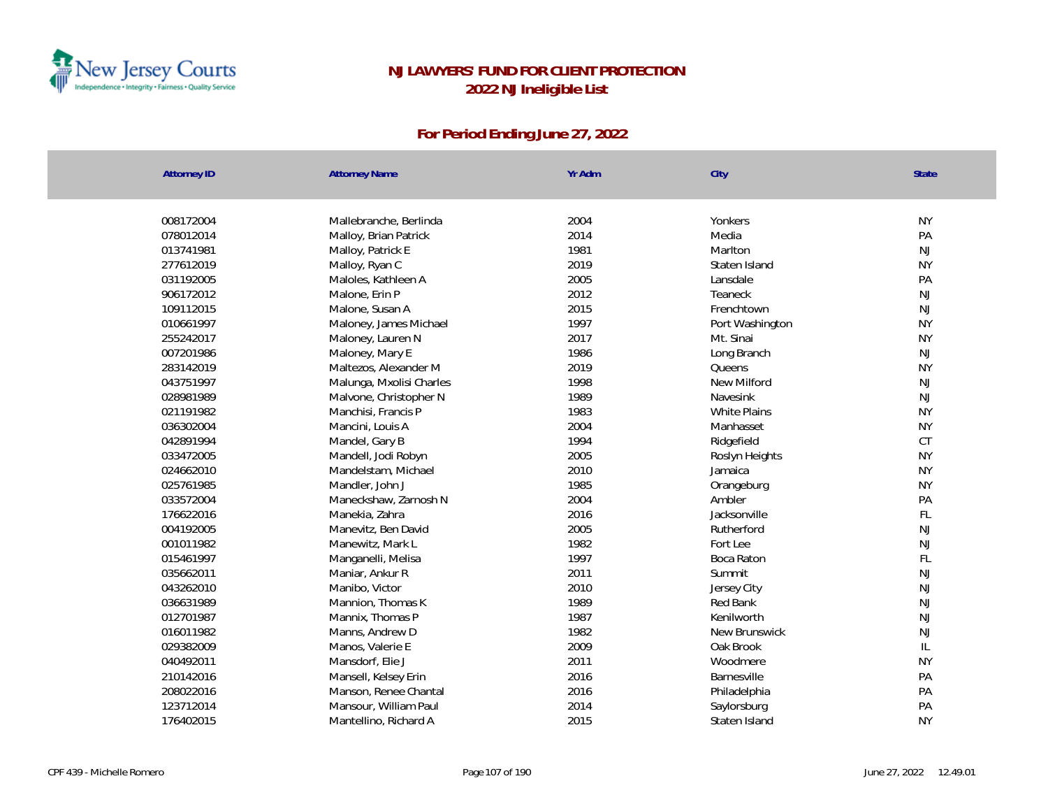

| <b>Attorney ID</b> | <b>Attorney Name</b>     | Yr Adm | City                | State         |
|--------------------|--------------------------|--------|---------------------|---------------|
|                    |                          |        |                     |               |
| 008172004          | Mallebranche, Berlinda   | 2004   | Yonkers             | <b>NY</b>     |
| 078012014          | Malloy, Brian Patrick    | 2014   | Media               | PA            |
| 013741981          | Malloy, Patrick E        | 1981   | Marlton             | NJ            |
| 277612019          | Malloy, Ryan C           | 2019   | Staten Island       | <b>NY</b>     |
| 031192005          | Maloles, Kathleen A      | 2005   | Lansdale            | PA            |
| 906172012          | Malone, Erin P           | 2012   | Teaneck             | NJ            |
| 109112015          | Malone, Susan A          | 2015   | Frenchtown          | NJ            |
| 010661997          | Maloney, James Michael   | 1997   | Port Washington     | <b>NY</b>     |
| 255242017          | Maloney, Lauren N        | 2017   | Mt. Sinai           | <b>NY</b>     |
| 007201986          | Maloney, Mary E          | 1986   | Long Branch         | NJ            |
| 283142019          | Maltezos, Alexander M    | 2019   | Queens              | <b>NY</b>     |
| 043751997          | Malunga, Mxolisi Charles | 1998   | New Milford         | $\mathsf{NJ}$ |
| 028981989          | Malvone, Christopher N   | 1989   | Navesink            | $\mathsf{NJ}$ |
| 021191982          | Manchisi, Francis P      | 1983   | <b>White Plains</b> | <b>NY</b>     |
| 036302004          | Mancini, Louis A         | 2004   | Manhasset           | <b>NY</b>     |
| 042891994          | Mandel, Gary B           | 1994   | Ridgefield          | CT            |
| 033472005          | Mandell, Jodi Robyn      | 2005   | Roslyn Heights      | <b>NY</b>     |
| 024662010          | Mandelstam, Michael      | 2010   | Jamaica             | <b>NY</b>     |
| 025761985          | Mandler, John J          | 1985   | Orangeburg          | <b>NY</b>     |
| 033572004          | Maneckshaw, Zarnosh N    | 2004   | Ambler              | PA            |
| 176622016          | Manekia, Zahra           | 2016   | Jacksonville        | FL            |
| 004192005          | Manevitz, Ben David      | 2005   | Rutherford          | NJ            |
| 001011982          | Manewitz, Mark L         | 1982   | Fortlee             | <b>NJ</b>     |
| 015461997          | Manganelli, Melisa       | 1997   | Boca Raton          | FL            |
| 035662011          | Maniar, Ankur R          | 2011   | Summit              | NJ            |
| 043262010          | Manibo, Victor           | 2010   | Jersey City         | NJ            |
| 036631989          | Mannion, Thomas K        | 1989   | Red Bank            | NJ            |
| 012701987          | Mannix, Thomas P         | 1987   | Kenilworth          | NJ            |
| 016011982          | Manns, Andrew D          | 1982   | New Brunswick       | NJ            |
| 029382009          | Manos, Valerie E         | 2009   | Oak Brook           | $\mathbb{L}$  |
| 040492011          | Mansdorf, Elie J         | 2011   | Woodmere            | <b>NY</b>     |
| 210142016          | Mansell, Kelsey Erin     | 2016   | Barnesville         | PA            |
| 208022016          | Manson, Renee Chantal    | 2016   | Philadelphia        | PA            |
| 123712014          | Mansour, William Paul    | 2014   | Saylorsburg         | PA            |
| 176402015          | Mantellino, Richard A    | 2015   | Staten Island       | <b>NY</b>     |
|                    |                          |        |                     |               |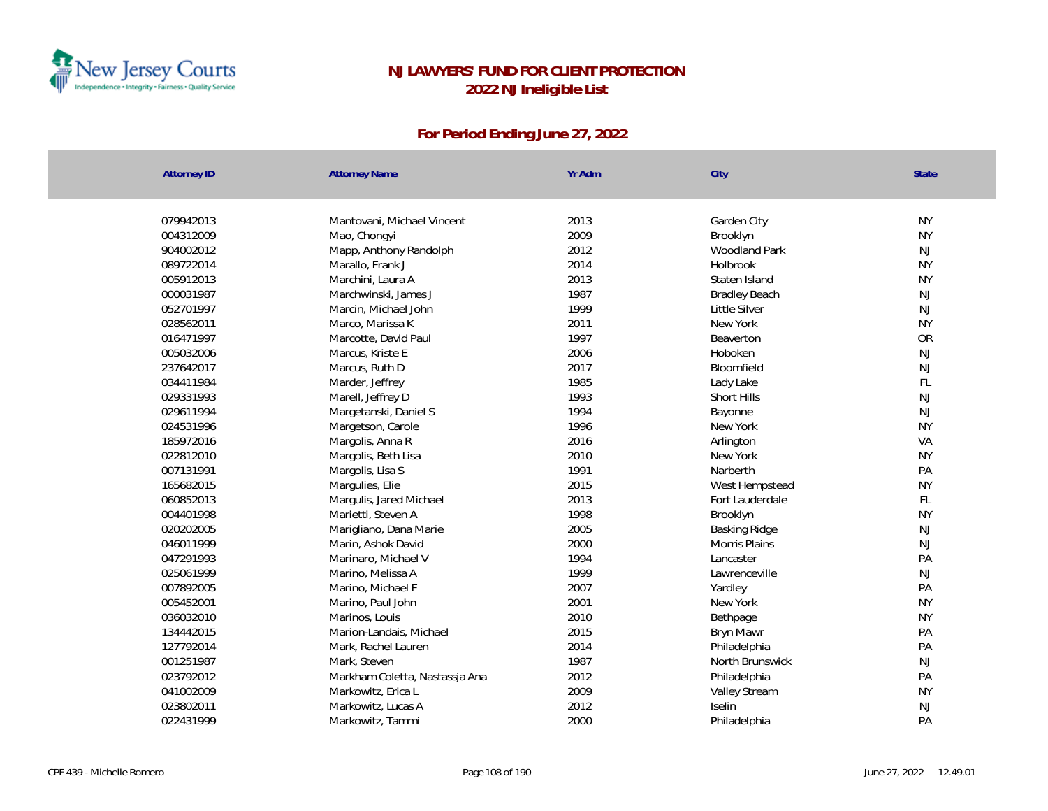

| <b>Attorney ID</b> | <b>Attorney Name</b>           | Yr Adm | City                 | <b>State</b>  |
|--------------------|--------------------------------|--------|----------------------|---------------|
|                    |                                |        |                      |               |
| 079942013          | Mantovani, Michael Vincent     | 2013   | Garden City          | <b>NY</b>     |
| 004312009          | Mao, Chongyi                   | 2009   | Brooklyn             | <b>NY</b>     |
| 904002012          | Mapp, Anthony Randolph         | 2012   | <b>Woodland Park</b> | <b>NJ</b>     |
| 089722014          | Marallo, Frank J               | 2014   | Holbrook             | <b>NY</b>     |
| 005912013          | Marchini, Laura A              | 2013   | Staten Island        | <b>NY</b>     |
| 000031987          | Marchwinski, James J           | 1987   | <b>Bradley Beach</b> | NJ            |
| 052701997          | Marcin, Michael John           | 1999   | Little Silver        | $\mathsf{NJ}$ |
| 028562011          | Marco, Marissa K               | 2011   | New York             | <b>NY</b>     |
| 016471997          | Marcotte, David Paul           | 1997   | Beaverton            | OR            |
| 005032006          | Marcus, Kriste E               | 2006   | Hoboken              | NJ            |
| 237642017          | Marcus, Ruth D                 | 2017   | Bloomfield           | <b>NJ</b>     |
| 034411984          | Marder, Jeffrey                | 1985   | Lady Lake            | FL            |
| 029331993          | Marell, Jeffrey D              | 1993   | Short Hills          | NJ            |
| 029611994          | Margetanski, Daniel S          | 1994   | Bayonne              | NJ            |
| 024531996          | Margetson, Carole              | 1996   | New York             | <b>NY</b>     |
| 185972016          | Margolis, Anna R               | 2016   | Arlington            | VA            |
| 022812010          | Margolis, Beth Lisa            | 2010   | New York             | <b>NY</b>     |
| 007131991          | Margolis, Lisa S               | 1991   | Narberth             | PA            |
| 165682015          | Margulies, Elie                | 2015   | West Hempstead       | <b>NY</b>     |
| 060852013          | Margulis, Jared Michael        | 2013   | Fort Lauderdale      | FL            |
| 004401998          | Marietti, Steven A             | 1998   | Brooklyn             | <b>NY</b>     |
| 020202005          | Marigliano, Dana Marie         | 2005   | Basking Ridge        | $\mathsf{NJ}$ |
| 046011999          | Marin, Ashok David             | 2000   | Morris Plains        | $\mathsf{NJ}$ |
| 047291993          | Marinaro, Michael V            | 1994   | Lancaster            | PA            |
| 025061999          | Marino, Melissa A              | 1999   | Lawrenceville        | NJ            |
| 007892005          | Marino, Michael F              | 2007   | Yardley              | PA            |
| 005452001          | Marino, Paul John              | 2001   | New York             | <b>NY</b>     |
| 036032010          | Marinos, Louis                 | 2010   | Bethpage             | <b>NY</b>     |
| 134442015          | Marion-Landais, Michael        | 2015   | Bryn Mawr            | PA            |
| 127792014          | Mark, Rachel Lauren            | 2014   | Philadelphia         | PA            |
| 001251987          | Mark, Steven                   | 1987   | North Brunswick      | NJ            |
| 023792012          | Markham Coletta, Nastassja Ana | 2012   | Philadelphia         | PA            |
| 041002009          | Markowitz, Erica L             | 2009   | Valley Stream        | <b>NY</b>     |
| 023802011          | Markowitz, Lucas A             | 2012   | Iselin               | NJ            |
| 022431999          | Markowitz, Tammi               | 2000   | Philadelphia         | PA            |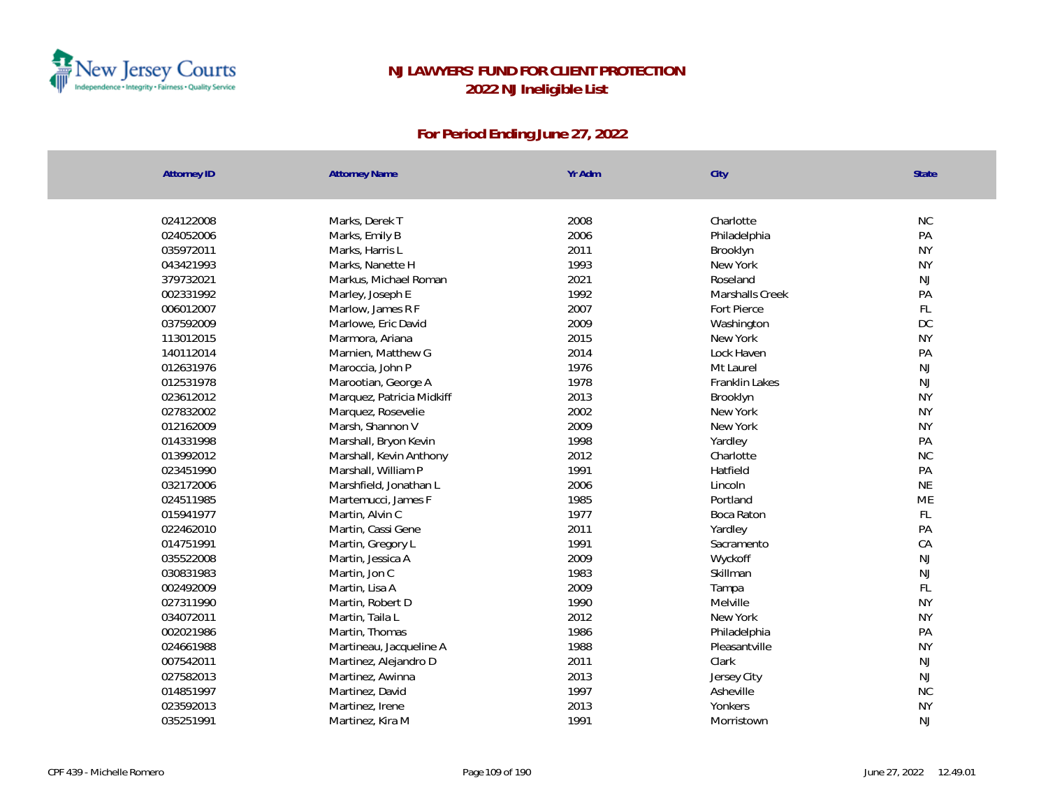

| <b>Attorney ID</b> | <b>Attorney Name</b>      | Yr Adm | City            | State         |
|--------------------|---------------------------|--------|-----------------|---------------|
|                    |                           |        |                 |               |
| 024122008          | Marks, Derek T            | 2008   | Charlotte       | <b>NC</b>     |
| 024052006          | Marks, Emily B            | 2006   | Philadelphia    | PA            |
| 035972011          | Marks, Harris L           | 2011   | Brooklyn        | <b>NY</b>     |
| 043421993          | Marks, Nanette H          | 1993   | New York        | <b>NY</b>     |
| 379732021          | Markus, Michael Roman     | 2021   | Roseland        | NJ            |
| 002331992          | Marley, Joseph E          | 1992   | Marshalls Creek | PA            |
| 006012007          | Marlow, James R F         | 2007   | Fort Pierce     | $\mathsf{FL}$ |
| 037592009          | Marlowe, Eric David       | 2009   | Washington      | DC            |
| 113012015          | Marmora, Ariana           | 2015   | New York        | <b>NY</b>     |
| 140112014          | Marnien, Matthew G        | 2014   | Lock Haven      | PA            |
| 012631976          | Maroccia, John P          | 1976   | Mt Laurel       | NJ            |
| 012531978          | Marootian, George A       | 1978   | Franklin Lakes  | NJ            |
| 023612012          | Marquez, Patricia Midkiff | 2013   | Brooklyn        | <b>NY</b>     |
| 027832002          | Marquez, Rosevelie        | 2002   | New York        | <b>NY</b>     |
| 012162009          | Marsh, Shannon V          | 2009   | New York        | <b>NY</b>     |
| 014331998          | Marshall, Bryon Kevin     | 1998   | Yardley         | PA            |
| 013992012          | Marshall, Kevin Anthony   | 2012   | Charlotte       | <b>NC</b>     |
| 023451990          | Marshall, William P       | 1991   | Hatfield        | PA            |
| 032172006          | Marshfield, Jonathan L    | 2006   | Lincoln         | <b>NE</b>     |
| 024511985          | Martemucci, James F       | 1985   | Portland        | <b>ME</b>     |
| 015941977          | Martin, Alvin C           | 1977   | Boca Raton      | FL            |
| 022462010          | Martin, Cassi Gene        | 2011   | Yardley         | PA            |
| 014751991          | Martin, Gregory L         | 1991   | Sacramento      | CA            |
| 035522008          | Martin, Jessica A         | 2009   | Wyckoff         | NJ            |
| 030831983          | Martin, Jon C             | 1983   | Skillman        | $\mathsf{NJ}$ |
| 002492009          | Martin, Lisa A            | 2009   | Tampa           | $\mathsf{FL}$ |
| 027311990          | Martin, Robert D          | 1990   | Melville        | <b>NY</b>     |
| 034072011          | Martin, Taila L           | 2012   | New York        | <b>NY</b>     |
| 002021986          | Martin, Thomas            | 1986   | Philadelphia    | PA            |
| 024661988          | Martineau, Jacqueline A   | 1988   | Pleasantville   | <b>NY</b>     |
| 007542011          | Martinez, Alejandro D     | 2011   | Clark           | NJ            |
| 027582013          | Martinez, Awinna          | 2013   | Jersey City     | NJ            |
| 014851997          | Martinez, David           | 1997   | Asheville       | <b>NC</b>     |
| 023592013          | Martinez, Irene           | 2013   | Yonkers         | <b>NY</b>     |
| 035251991          | Martinez, Kira M          | 1991   | Morristown      | NJ            |
|                    |                           |        |                 |               |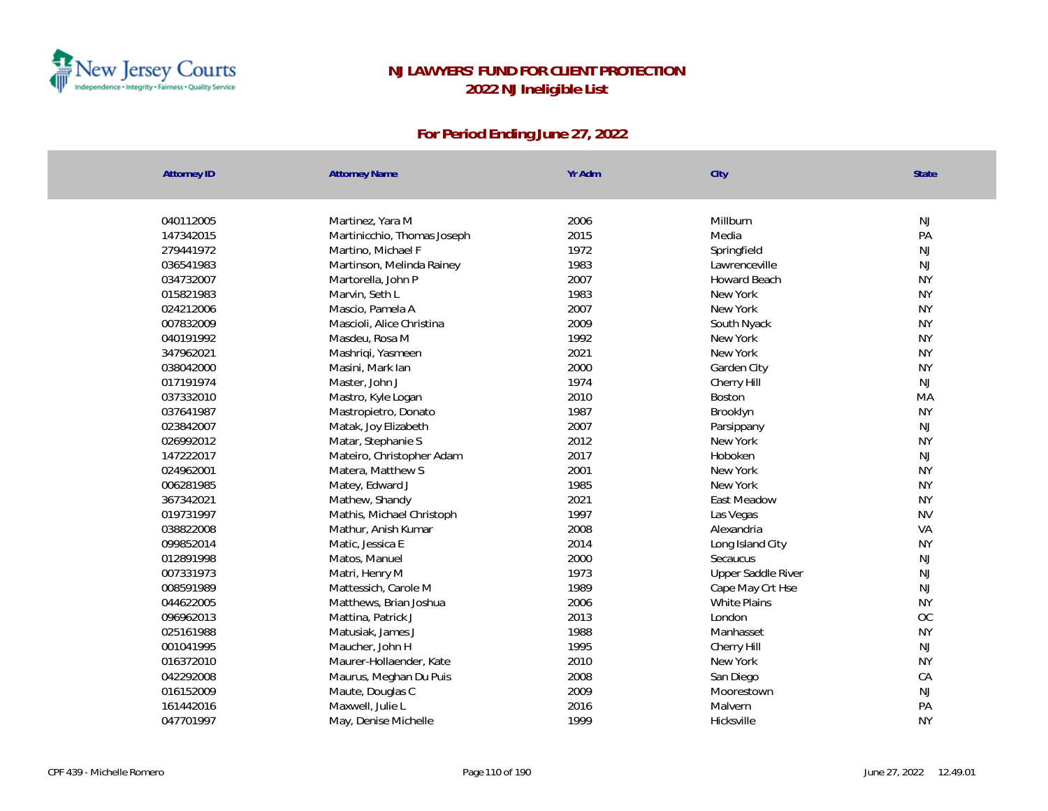

| <b>Attorney ID</b> | <b>Attorney Name</b>        | Yr Adm | City                | State         |
|--------------------|-----------------------------|--------|---------------------|---------------|
| 040112005          |                             | 2006   | Millburn            | NJ            |
|                    | Martinez, Yara M            | 2015   |                     | PA            |
| 147342015          | Martinicchio, Thomas Joseph |        | Media               |               |
| 279441972          | Martino, Michael F          | 1972   | Springfield         | NJ            |
| 036541983          | Martinson, Melinda Rainey   | 1983   | Lawrenceville       | <b>NJ</b>     |
| 034732007          | Martorella, John P          | 2007   | <b>Howard Beach</b> | <b>NY</b>     |
| 015821983          | Marvin, Seth L              | 1983   | New York            | <b>NY</b>     |
| 024212006          | Mascio, Pamela A            | 2007   | New York            | <b>NY</b>     |
| 007832009          | Mascioli, Alice Christina   | 2009   | South Nyack         | <b>NY</b>     |
| 040191992          | Masdeu, Rosa M              | 1992   | New York            | <b>NY</b>     |
| 347962021          | Mashriqi, Yasmeen           | 2021   | New York            | <b>NY</b>     |
| 038042000          | Masini, Mark Ian            | 2000   | Garden City         | <b>NY</b>     |
| 017191974          | Master, John J              | 1974   | Cherry Hill         | NJ            |
| 037332010          | Mastro, Kyle Logan          | 2010   | <b>Boston</b>       | MA            |
| 037641987          | Mastropietro, Donato        | 1987   | Brooklyn            | <b>NY</b>     |
| 023842007          | Matak, Joy Elizabeth        | 2007   | Parsippany          | NJ            |
| 026992012          | Matar, Stephanie S          | 2012   | New York            | <b>NY</b>     |
| 147222017          | Mateiro, Christopher Adam   | 2017   | Hoboken             | NJ            |
| 024962001          | Matera, Matthew S           | 2001   | New York            | <b>NY</b>     |
| 006281985          | Matey, Edward J             | 1985   | New York            | <b>NY</b>     |
| 367342021          | Mathew, Shandy              | 2021   | East Meadow         | <b>NY</b>     |
| 019731997          | Mathis, Michael Christoph   | 1997   | Las Vegas           | <b>NV</b>     |
| 038822008          | Mathur, Anish Kumar         | 2008   | Alexandria          | VA            |
| 099852014          | Matic, Jessica E            | 2014   | Long Island City    | <b>NY</b>     |
| 012891998          | Matos, Manuel               | 2000   | Secaucus            | <b>NJ</b>     |
| 007331973          | Matri, Henry M              | 1973   | Upper Saddle River  | $\mathsf{NJ}$ |
| 008591989          | Mattessich, Carole M        | 1989   | Cape May Crt Hse    | $\mathsf{NJ}$ |
| 044622005          | Matthews, Brian Joshua      | 2006   | <b>White Plains</b> | <b>NY</b>     |
| 096962013          | Mattina, Patrick J          | 2013   | London              | <b>OC</b>     |
| 025161988          | Matusiak, James J           | 1988   | Manhasset           | <b>NY</b>     |
| 001041995          | Maucher, John H             | 1995   | Cherry Hill         | NJ            |
| 016372010          | Maurer-Hollaender, Kate     | 2010   | New York            | <b>NY</b>     |
| 042292008          | Maurus, Meghan Du Puis      | 2008   | San Diego           | CA            |
| 016152009          | Maute, Douglas C            | 2009   | Moorestown          | $\mathsf{NJ}$ |
| 161442016          | Maxwell, Julie L            | 2016   | Malvern             | PA            |
| 047701997          | May, Denise Michelle        | 1999   | Hicksville          | <b>NY</b>     |
|                    |                             |        |                     |               |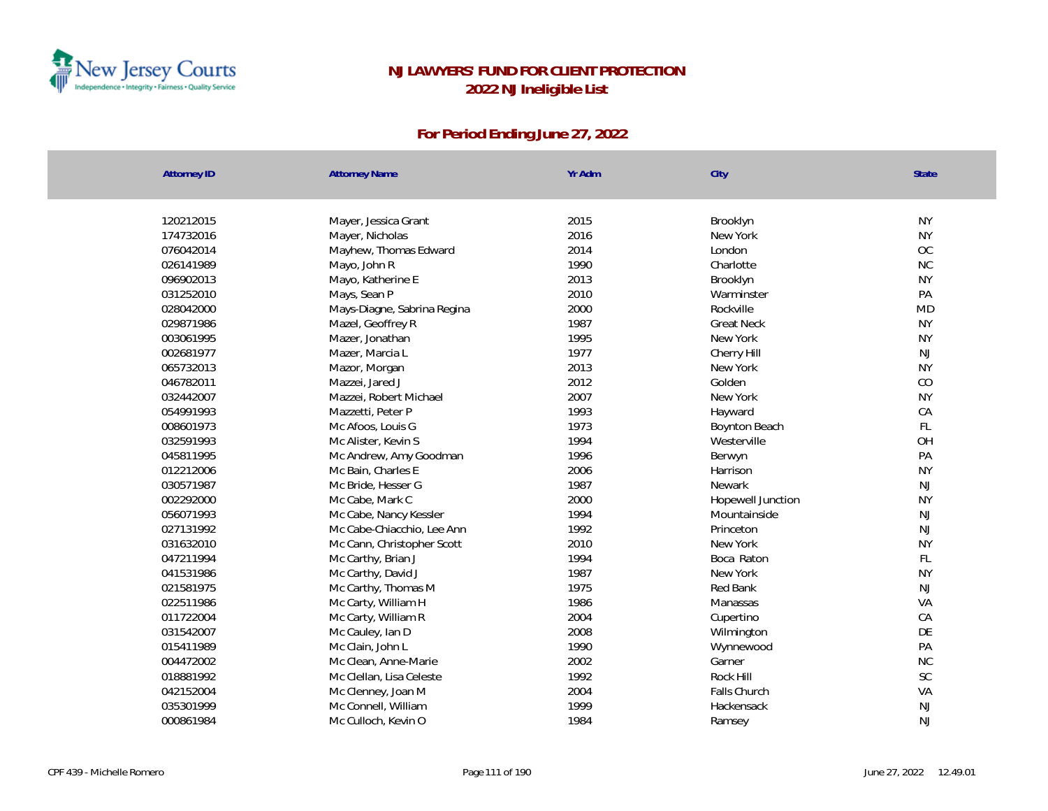

| <b>NY</b><br>120212015<br>2015<br>Brooklyn<br>Mayer, Jessica Grant<br>2016<br><b>NY</b><br>174732016<br>Mayer, Nicholas<br>New York<br>OC<br>2014<br>076042014<br>Mayhew, Thomas Edward<br>London<br>1990<br>NC<br>026141989<br>Mayo, John R<br>Charlotte<br>2013<br><b>NY</b><br>096902013<br>Mayo, Katherine E<br>Brooklyn<br>PA<br>031252010<br>2010<br>Mays, Sean P<br>Warminster<br><b>MD</b><br>028042000<br>2000<br>Mays-Diagne, Sabrina Regina<br>Rockville<br>1987<br><b>NY</b><br>029871986<br>Mazel, Geoffrey R<br><b>Great Neck</b><br>1995<br><b>NY</b><br>003061995<br>Mazer, Jonathan<br>New York<br>1977<br>NJ<br>002681977<br>Mazer, Marcia L<br>Cherry Hill<br>2013<br>065732013<br><b>NY</b><br>Mazor, Morgan<br>New York<br>2012<br>CO<br>046782011<br>Golden<br>Mazzei, Jared J<br>2007<br>New York<br><b>NY</b><br>032442007<br>Mazzei, Robert Michael<br>1993<br>CA<br>054991993<br>Hayward<br>Mazzetti, Peter P<br>1973<br>FL<br>008601973<br>Mc Afoos, Louis G<br>Boynton Beach<br>OH<br>032591993<br>1994<br>Mc Alister, Kevin S<br>Westerville<br>PA<br>045811995<br>1996<br>Mc Andrew, Amy Goodman<br>Berwyn<br><b>NY</b><br>012212006<br>2006<br>Mc Bain, Charles E<br>Harrison<br>030571987<br>1987<br><b>NJ</b><br>Mc Bride, Hesser G<br>Newark<br>2000<br><b>NY</b><br>002292000<br>Mc Cabe, Mark C<br>Hopewell Junction<br>1994<br>NJ<br>056071993<br>Mountainside<br>Mc Cabe, Nancy Kessler<br>1992<br>027131992<br>Mc Cabe-Chiacchio, Lee Ann<br><b>NJ</b><br>Princeton<br>2010<br>031632010<br>New York<br><b>NY</b><br>Mc Cann, Christopher Scott<br>$\mathsf{FL}$<br>047211994<br>1994<br>Mc Carthy, Brian J<br>Boca Raton<br>041531986<br>1987<br>New York<br><b>NY</b><br>Mc Carthy, David J<br><b>NJ</b><br>021581975<br>Mc Carthy, Thomas M<br>1975<br>Red Bank<br>VA<br>022511986<br>Mc Carty, William H<br>1986<br>Manassas<br>2004<br>CA<br>Mc Carty, William R<br>011722004<br>Cupertino<br>DE<br>2008<br>031542007<br>Mc Cauley, Ian D<br>Wilmington<br>PA<br>Mc Clain, John L<br>1990<br>015411989<br>Wynnewood<br>2002<br>NC<br>004472002<br>Mc Clean, Anne-Marie<br>Garner<br>SC<br>1992<br>018881992<br>Mc Clellan, Lisa Celeste<br>Rock Hill<br>VA<br>042152004<br>2004<br>Falls Church<br>Mc Clenney, Joan M<br>1999<br><b>NJ</b><br>035301999<br>Mc Connell, William<br>Hackensack<br>1984<br><b>NJ</b><br>000861984<br>Mc Culloch, Kevin O | <b>Attorney ID</b> | <b>Attorney Name</b> | Yr Adm | City   | State |
|---------------------------------------------------------------------------------------------------------------------------------------------------------------------------------------------------------------------------------------------------------------------------------------------------------------------------------------------------------------------------------------------------------------------------------------------------------------------------------------------------------------------------------------------------------------------------------------------------------------------------------------------------------------------------------------------------------------------------------------------------------------------------------------------------------------------------------------------------------------------------------------------------------------------------------------------------------------------------------------------------------------------------------------------------------------------------------------------------------------------------------------------------------------------------------------------------------------------------------------------------------------------------------------------------------------------------------------------------------------------------------------------------------------------------------------------------------------------------------------------------------------------------------------------------------------------------------------------------------------------------------------------------------------------------------------------------------------------------------------------------------------------------------------------------------------------------------------------------------------------------------------------------------------------------------------------------------------------------------------------------------------------------------------------------------------------------------------------------------------------------------------------------------------------------------------------------------------------------------------------------------------------------------------------------------------------------------------------------------------------------------------------------|--------------------|----------------------|--------|--------|-------|
|                                                                                                                                                                                                                                                                                                                                                                                                                                                                                                                                                                                                                                                                                                                                                                                                                                                                                                                                                                                                                                                                                                                                                                                                                                                                                                                                                                                                                                                                                                                                                                                                                                                                                                                                                                                                                                                                                                                                                                                                                                                                                                                                                                                                                                                                                                                                                                                                   |                    |                      |        |        |       |
|                                                                                                                                                                                                                                                                                                                                                                                                                                                                                                                                                                                                                                                                                                                                                                                                                                                                                                                                                                                                                                                                                                                                                                                                                                                                                                                                                                                                                                                                                                                                                                                                                                                                                                                                                                                                                                                                                                                                                                                                                                                                                                                                                                                                                                                                                                                                                                                                   |                    |                      |        |        |       |
|                                                                                                                                                                                                                                                                                                                                                                                                                                                                                                                                                                                                                                                                                                                                                                                                                                                                                                                                                                                                                                                                                                                                                                                                                                                                                                                                                                                                                                                                                                                                                                                                                                                                                                                                                                                                                                                                                                                                                                                                                                                                                                                                                                                                                                                                                                                                                                                                   |                    |                      |        |        |       |
|                                                                                                                                                                                                                                                                                                                                                                                                                                                                                                                                                                                                                                                                                                                                                                                                                                                                                                                                                                                                                                                                                                                                                                                                                                                                                                                                                                                                                                                                                                                                                                                                                                                                                                                                                                                                                                                                                                                                                                                                                                                                                                                                                                                                                                                                                                                                                                                                   |                    |                      |        |        |       |
|                                                                                                                                                                                                                                                                                                                                                                                                                                                                                                                                                                                                                                                                                                                                                                                                                                                                                                                                                                                                                                                                                                                                                                                                                                                                                                                                                                                                                                                                                                                                                                                                                                                                                                                                                                                                                                                                                                                                                                                                                                                                                                                                                                                                                                                                                                                                                                                                   |                    |                      |        |        |       |
|                                                                                                                                                                                                                                                                                                                                                                                                                                                                                                                                                                                                                                                                                                                                                                                                                                                                                                                                                                                                                                                                                                                                                                                                                                                                                                                                                                                                                                                                                                                                                                                                                                                                                                                                                                                                                                                                                                                                                                                                                                                                                                                                                                                                                                                                                                                                                                                                   |                    |                      |        |        |       |
|                                                                                                                                                                                                                                                                                                                                                                                                                                                                                                                                                                                                                                                                                                                                                                                                                                                                                                                                                                                                                                                                                                                                                                                                                                                                                                                                                                                                                                                                                                                                                                                                                                                                                                                                                                                                                                                                                                                                                                                                                                                                                                                                                                                                                                                                                                                                                                                                   |                    |                      |        |        |       |
|                                                                                                                                                                                                                                                                                                                                                                                                                                                                                                                                                                                                                                                                                                                                                                                                                                                                                                                                                                                                                                                                                                                                                                                                                                                                                                                                                                                                                                                                                                                                                                                                                                                                                                                                                                                                                                                                                                                                                                                                                                                                                                                                                                                                                                                                                                                                                                                                   |                    |                      |        |        |       |
|                                                                                                                                                                                                                                                                                                                                                                                                                                                                                                                                                                                                                                                                                                                                                                                                                                                                                                                                                                                                                                                                                                                                                                                                                                                                                                                                                                                                                                                                                                                                                                                                                                                                                                                                                                                                                                                                                                                                                                                                                                                                                                                                                                                                                                                                                                                                                                                                   |                    |                      |        |        |       |
|                                                                                                                                                                                                                                                                                                                                                                                                                                                                                                                                                                                                                                                                                                                                                                                                                                                                                                                                                                                                                                                                                                                                                                                                                                                                                                                                                                                                                                                                                                                                                                                                                                                                                                                                                                                                                                                                                                                                                                                                                                                                                                                                                                                                                                                                                                                                                                                                   |                    |                      |        |        |       |
|                                                                                                                                                                                                                                                                                                                                                                                                                                                                                                                                                                                                                                                                                                                                                                                                                                                                                                                                                                                                                                                                                                                                                                                                                                                                                                                                                                                                                                                                                                                                                                                                                                                                                                                                                                                                                                                                                                                                                                                                                                                                                                                                                                                                                                                                                                                                                                                                   |                    |                      |        |        |       |
|                                                                                                                                                                                                                                                                                                                                                                                                                                                                                                                                                                                                                                                                                                                                                                                                                                                                                                                                                                                                                                                                                                                                                                                                                                                                                                                                                                                                                                                                                                                                                                                                                                                                                                                                                                                                                                                                                                                                                                                                                                                                                                                                                                                                                                                                                                                                                                                                   |                    |                      |        |        |       |
|                                                                                                                                                                                                                                                                                                                                                                                                                                                                                                                                                                                                                                                                                                                                                                                                                                                                                                                                                                                                                                                                                                                                                                                                                                                                                                                                                                                                                                                                                                                                                                                                                                                                                                                                                                                                                                                                                                                                                                                                                                                                                                                                                                                                                                                                                                                                                                                                   |                    |                      |        |        |       |
|                                                                                                                                                                                                                                                                                                                                                                                                                                                                                                                                                                                                                                                                                                                                                                                                                                                                                                                                                                                                                                                                                                                                                                                                                                                                                                                                                                                                                                                                                                                                                                                                                                                                                                                                                                                                                                                                                                                                                                                                                                                                                                                                                                                                                                                                                                                                                                                                   |                    |                      |        |        |       |
|                                                                                                                                                                                                                                                                                                                                                                                                                                                                                                                                                                                                                                                                                                                                                                                                                                                                                                                                                                                                                                                                                                                                                                                                                                                                                                                                                                                                                                                                                                                                                                                                                                                                                                                                                                                                                                                                                                                                                                                                                                                                                                                                                                                                                                                                                                                                                                                                   |                    |                      |        |        |       |
|                                                                                                                                                                                                                                                                                                                                                                                                                                                                                                                                                                                                                                                                                                                                                                                                                                                                                                                                                                                                                                                                                                                                                                                                                                                                                                                                                                                                                                                                                                                                                                                                                                                                                                                                                                                                                                                                                                                                                                                                                                                                                                                                                                                                                                                                                                                                                                                                   |                    |                      |        |        |       |
|                                                                                                                                                                                                                                                                                                                                                                                                                                                                                                                                                                                                                                                                                                                                                                                                                                                                                                                                                                                                                                                                                                                                                                                                                                                                                                                                                                                                                                                                                                                                                                                                                                                                                                                                                                                                                                                                                                                                                                                                                                                                                                                                                                                                                                                                                                                                                                                                   |                    |                      |        |        |       |
|                                                                                                                                                                                                                                                                                                                                                                                                                                                                                                                                                                                                                                                                                                                                                                                                                                                                                                                                                                                                                                                                                                                                                                                                                                                                                                                                                                                                                                                                                                                                                                                                                                                                                                                                                                                                                                                                                                                                                                                                                                                                                                                                                                                                                                                                                                                                                                                                   |                    |                      |        |        |       |
|                                                                                                                                                                                                                                                                                                                                                                                                                                                                                                                                                                                                                                                                                                                                                                                                                                                                                                                                                                                                                                                                                                                                                                                                                                                                                                                                                                                                                                                                                                                                                                                                                                                                                                                                                                                                                                                                                                                                                                                                                                                                                                                                                                                                                                                                                                                                                                                                   |                    |                      |        |        |       |
|                                                                                                                                                                                                                                                                                                                                                                                                                                                                                                                                                                                                                                                                                                                                                                                                                                                                                                                                                                                                                                                                                                                                                                                                                                                                                                                                                                                                                                                                                                                                                                                                                                                                                                                                                                                                                                                                                                                                                                                                                                                                                                                                                                                                                                                                                                                                                                                                   |                    |                      |        |        |       |
|                                                                                                                                                                                                                                                                                                                                                                                                                                                                                                                                                                                                                                                                                                                                                                                                                                                                                                                                                                                                                                                                                                                                                                                                                                                                                                                                                                                                                                                                                                                                                                                                                                                                                                                                                                                                                                                                                                                                                                                                                                                                                                                                                                                                                                                                                                                                                                                                   |                    |                      |        |        |       |
|                                                                                                                                                                                                                                                                                                                                                                                                                                                                                                                                                                                                                                                                                                                                                                                                                                                                                                                                                                                                                                                                                                                                                                                                                                                                                                                                                                                                                                                                                                                                                                                                                                                                                                                                                                                                                                                                                                                                                                                                                                                                                                                                                                                                                                                                                                                                                                                                   |                    |                      |        |        |       |
|                                                                                                                                                                                                                                                                                                                                                                                                                                                                                                                                                                                                                                                                                                                                                                                                                                                                                                                                                                                                                                                                                                                                                                                                                                                                                                                                                                                                                                                                                                                                                                                                                                                                                                                                                                                                                                                                                                                                                                                                                                                                                                                                                                                                                                                                                                                                                                                                   |                    |                      |        |        |       |
|                                                                                                                                                                                                                                                                                                                                                                                                                                                                                                                                                                                                                                                                                                                                                                                                                                                                                                                                                                                                                                                                                                                                                                                                                                                                                                                                                                                                                                                                                                                                                                                                                                                                                                                                                                                                                                                                                                                                                                                                                                                                                                                                                                                                                                                                                                                                                                                                   |                    |                      |        |        |       |
|                                                                                                                                                                                                                                                                                                                                                                                                                                                                                                                                                                                                                                                                                                                                                                                                                                                                                                                                                                                                                                                                                                                                                                                                                                                                                                                                                                                                                                                                                                                                                                                                                                                                                                                                                                                                                                                                                                                                                                                                                                                                                                                                                                                                                                                                                                                                                                                                   |                    |                      |        |        |       |
|                                                                                                                                                                                                                                                                                                                                                                                                                                                                                                                                                                                                                                                                                                                                                                                                                                                                                                                                                                                                                                                                                                                                                                                                                                                                                                                                                                                                                                                                                                                                                                                                                                                                                                                                                                                                                                                                                                                                                                                                                                                                                                                                                                                                                                                                                                                                                                                                   |                    |                      |        |        |       |
|                                                                                                                                                                                                                                                                                                                                                                                                                                                                                                                                                                                                                                                                                                                                                                                                                                                                                                                                                                                                                                                                                                                                                                                                                                                                                                                                                                                                                                                                                                                                                                                                                                                                                                                                                                                                                                                                                                                                                                                                                                                                                                                                                                                                                                                                                                                                                                                                   |                    |                      |        |        |       |
|                                                                                                                                                                                                                                                                                                                                                                                                                                                                                                                                                                                                                                                                                                                                                                                                                                                                                                                                                                                                                                                                                                                                                                                                                                                                                                                                                                                                                                                                                                                                                                                                                                                                                                                                                                                                                                                                                                                                                                                                                                                                                                                                                                                                                                                                                                                                                                                                   |                    |                      |        |        |       |
|                                                                                                                                                                                                                                                                                                                                                                                                                                                                                                                                                                                                                                                                                                                                                                                                                                                                                                                                                                                                                                                                                                                                                                                                                                                                                                                                                                                                                                                                                                                                                                                                                                                                                                                                                                                                                                                                                                                                                                                                                                                                                                                                                                                                                                                                                                                                                                                                   |                    |                      |        |        |       |
|                                                                                                                                                                                                                                                                                                                                                                                                                                                                                                                                                                                                                                                                                                                                                                                                                                                                                                                                                                                                                                                                                                                                                                                                                                                                                                                                                                                                                                                                                                                                                                                                                                                                                                                                                                                                                                                                                                                                                                                                                                                                                                                                                                                                                                                                                                                                                                                                   |                    |                      |        |        |       |
|                                                                                                                                                                                                                                                                                                                                                                                                                                                                                                                                                                                                                                                                                                                                                                                                                                                                                                                                                                                                                                                                                                                                                                                                                                                                                                                                                                                                                                                                                                                                                                                                                                                                                                                                                                                                                                                                                                                                                                                                                                                                                                                                                                                                                                                                                                                                                                                                   |                    |                      |        |        |       |
|                                                                                                                                                                                                                                                                                                                                                                                                                                                                                                                                                                                                                                                                                                                                                                                                                                                                                                                                                                                                                                                                                                                                                                                                                                                                                                                                                                                                                                                                                                                                                                                                                                                                                                                                                                                                                                                                                                                                                                                                                                                                                                                                                                                                                                                                                                                                                                                                   |                    |                      |        |        |       |
|                                                                                                                                                                                                                                                                                                                                                                                                                                                                                                                                                                                                                                                                                                                                                                                                                                                                                                                                                                                                                                                                                                                                                                                                                                                                                                                                                                                                                                                                                                                                                                                                                                                                                                                                                                                                                                                                                                                                                                                                                                                                                                                                                                                                                                                                                                                                                                                                   |                    |                      |        |        |       |
|                                                                                                                                                                                                                                                                                                                                                                                                                                                                                                                                                                                                                                                                                                                                                                                                                                                                                                                                                                                                                                                                                                                                                                                                                                                                                                                                                                                                                                                                                                                                                                                                                                                                                                                                                                                                                                                                                                                                                                                                                                                                                                                                                                                                                                                                                                                                                                                                   |                    |                      |        |        |       |
|                                                                                                                                                                                                                                                                                                                                                                                                                                                                                                                                                                                                                                                                                                                                                                                                                                                                                                                                                                                                                                                                                                                                                                                                                                                                                                                                                                                                                                                                                                                                                                                                                                                                                                                                                                                                                                                                                                                                                                                                                                                                                                                                                                                                                                                                                                                                                                                                   |                    |                      |        |        |       |
|                                                                                                                                                                                                                                                                                                                                                                                                                                                                                                                                                                                                                                                                                                                                                                                                                                                                                                                                                                                                                                                                                                                                                                                                                                                                                                                                                                                                                                                                                                                                                                                                                                                                                                                                                                                                                                                                                                                                                                                                                                                                                                                                                                                                                                                                                                                                                                                                   |                    |                      |        | Ramsey |       |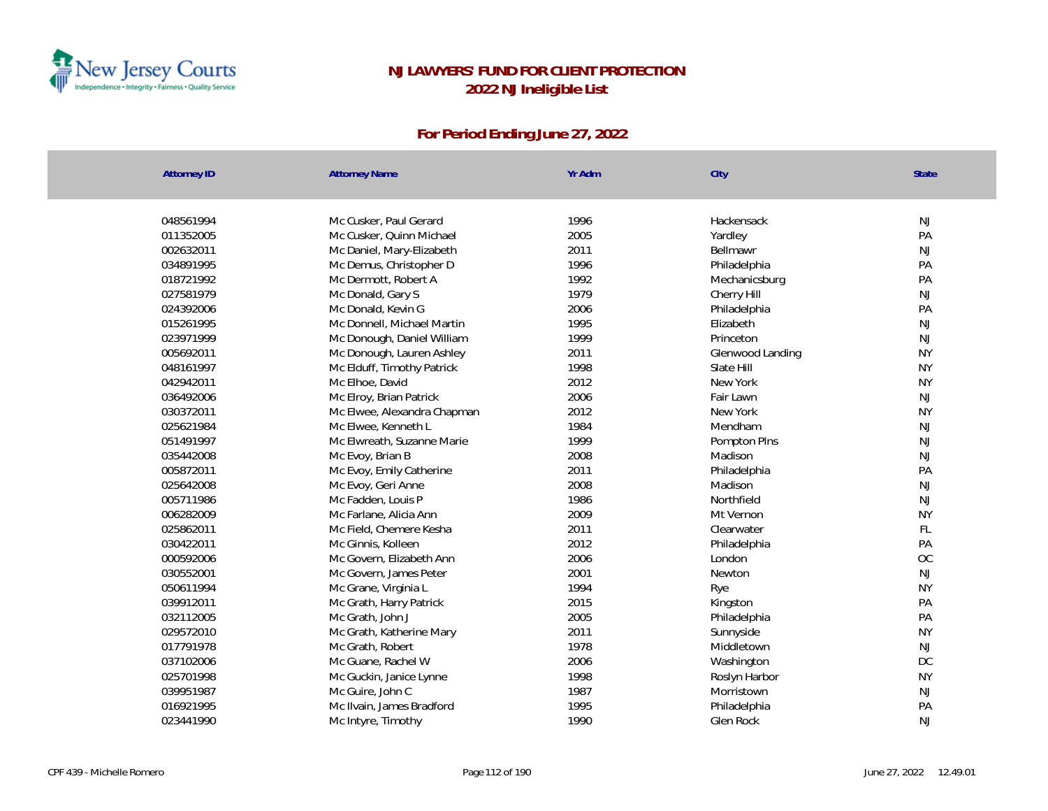

| <b>Attorney ID</b> | <b>Attorney Name</b>        | Yr Adm | City             | <b>State</b>  |
|--------------------|-----------------------------|--------|------------------|---------------|
|                    |                             |        |                  |               |
| 048561994          | Mc Cusker, Paul Gerard      | 1996   | Hackensack       | NJ            |
| 011352005          | Mc Cusker, Quinn Michael    | 2005   | Yardley          | PA            |
| 002632011          | Mc Daniel, Mary-Elizabeth   | 2011   | Bellmawr         | NJ            |
| 034891995          | Mc Demus, Christopher D     | 1996   | Philadelphia     | PA            |
| 018721992          | Mc Dermott, Robert A        | 1992   | Mechanicsburg    | PA            |
| 027581979          | Mc Donald, Gary S           | 1979   | Cherry Hill      | $\mathsf{NJ}$ |
| 024392006          | Mc Donald, Kevin G          | 2006   | Philadelphia     | PA            |
| 015261995          | Mc Donnell, Michael Martin  | 1995   | Elizabeth        | $\mathsf{NJ}$ |
| 023971999          | Mc Donough, Daniel William  | 1999   | Princeton        | NJ            |
| 005692011          | Mc Donough, Lauren Ashley   | 2011   | Glenwood Landing | <b>NY</b>     |
| 048161997          | Mc Elduff, Timothy Patrick  | 1998   | Slate Hill       | <b>NY</b>     |
| 042942011          | Mc Elhoe, David             | 2012   | New York         | <b>NY</b>     |
| 036492006          | Mc Elroy, Brian Patrick     | 2006   | Fair Lawn        | $\mathsf{NJ}$ |
| 030372011          | Mc Elwee, Alexandra Chapman | 2012   | New York         | <b>NY</b>     |
| 025621984          | Mc Elwee, Kenneth L         | 1984   | Mendham          | $\mathsf{NJ}$ |
| 051491997          | Mc Elwreath, Suzanne Marie  | 1999   | Pompton PIns     | <b>NJ</b>     |
| 035442008          | Mc Evoy, Brian B            | 2008   | Madison          | $\mathsf{NJ}$ |
| 005872011          | Mc Evoy, Emily Catherine    | 2011   | Philadelphia     | PA            |
| 025642008          | Mc Evoy, Geri Anne          | 2008   | Madison          | NJ            |
| 005711986          | Mc Fadden, Louis P          | 1986   | Northfield       | NJ            |
| 006282009          | Mc Farlane, Alicia Ann      | 2009   | Mt Vernon        | <b>NY</b>     |
| 025862011          | Mc Field, Chemere Kesha     | 2011   | Clearwater       | FL            |
| 030422011          | Mc Ginnis, Kolleen          | 2012   | Philadelphia     | PA            |
| 000592006          | Mc Govern, Elizabeth Ann    | 2006   | London           | <b>OC</b>     |
| 030552001          | Mc Govern, James Peter      | 2001   | Newton           | NJ            |
| 050611994          | Mc Grane, Virginia L        | 1994   | Rye              | <b>NY</b>     |
| 039912011          | Mc Grath, Harry Patrick     | 2015   | Kingston         | PA            |
| 032112005          | Mc Grath, John J            | 2005   | Philadelphia     | PA            |
| 029572010          | Mc Grath, Katherine Mary    | 2011   | Sunnyside        | <b>NY</b>     |
| 017791978          | Mc Grath, Robert            | 1978   | Middletown       | $\mathsf{NJ}$ |
| 037102006          | Mc Guane, Rachel W          | 2006   | Washington       | DC            |
| 025701998          | Mc Guckin, Janice Lynne     | 1998   | Roslyn Harbor    | <b>NY</b>     |
| 039951987          | Mc Guire, John C            | 1987   | Morristown       | NJ            |
| 016921995          | Mc Ilvain, James Bradford   | 1995   | Philadelphia     | PA            |
| 023441990          | Mc Intyre, Timothy          | 1990   | Glen Rock        | <b>NJ</b>     |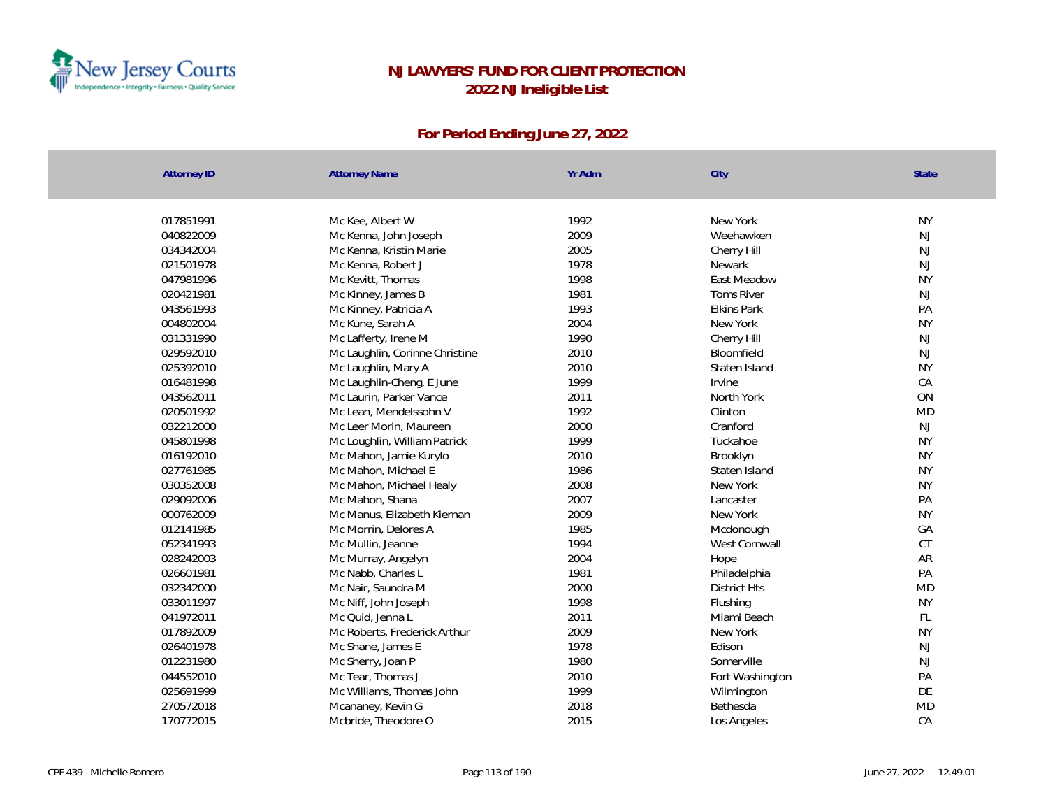

| <b>Attorney ID</b> | <b>Attorney Name</b>           | Yr Adm | City                | <b>State</b> |
|--------------------|--------------------------------|--------|---------------------|--------------|
|                    |                                |        |                     |              |
| 017851991          | Mc Kee, Albert W               | 1992   | New York            | <b>NY</b>    |
| 040822009          | Mc Kenna, John Joseph          | 2009   | Weehawken           | NJ           |
| 034342004          | Mc Kenna, Kristin Marie        | 2005   | Cherry Hill         | NJ           |
| 021501978          | Mc Kenna, Robert J             | 1978   | Newark              | NJ           |
| 047981996          | Mc Kevitt, Thomas              | 1998   | East Meadow         | <b>NY</b>    |
| 020421981          | Mc Kinney, James B             | 1981   | <b>Toms River</b>   | NJ           |
| 043561993          | Mc Kinney, Patricia A          | 1993   | <b>Elkins Park</b>  | PA           |
| 004802004          | Mc Kune, Sarah A               | 2004   | New York            | <b>NY</b>    |
| 031331990          | Mc Lafferty, Irene M           | 1990   | Cherry Hill         | NJ           |
| 029592010          | Mc Laughlin, Corinne Christine | 2010   | Bloomfield          | <b>NJ</b>    |
| 025392010          | Mc Laughlin, Mary A            | 2010   | Staten Island       | <b>NY</b>    |
| 016481998          | Mc Laughlin-Cheng, E June      | 1999   | Irvine              | CA           |
| 043562011          | Mc Laurin, Parker Vance        | 2011   | North York          | ON           |
| 020501992          | Mc Lean, Mendelssohn V         | 1992   | Clinton             | <b>MD</b>    |
| 032212000          | Mc Leer Morin, Maureen         | 2000   | Cranford            | NJ           |
| 045801998          | Mc Loughlin, William Patrick   | 1999   | Tuckahoe            | <b>NY</b>    |
| 016192010          | Mc Mahon, Jamie Kurylo         | 2010   | Brooklyn            | <b>NY</b>    |
| 027761985          | Mc Mahon, Michael E            | 1986   | Staten Island       | <b>NY</b>    |
| 030352008          | Mc Mahon, Michael Healy        | 2008   | New York            | <b>NY</b>    |
| 029092006          | Mc Mahon, Shana                | 2007   | Lancaster           | PA           |
| 000762009          | Mc Manus, Elizabeth Kiernan    | 2009   | New York            | <b>NY</b>    |
| 012141985          | Mc Morrin, Delores A           | 1985   | Mcdonough           | GA           |
| 052341993          | Mc Mullin, Jeanne              | 1994   | West Cornwall       | CT           |
| 028242003          | Mc Murray, Angelyn             | 2004   | Hope                | AR           |
| 026601981          | Mc Nabb, Charles L             | 1981   | Philadelphia        | PA           |
| 032342000          | Mc Nair, Saundra M             | 2000   | <b>District Hts</b> | <b>MD</b>    |
| 033011997          | Mc Niff, John Joseph           | 1998   | Flushing            | <b>NY</b>    |
| 041972011          | Mc Quid, Jenna L               | 2011   | Miami Beach         | FL           |
| 017892009          | Mc Roberts, Frederick Arthur   | 2009   | New York            | <b>NY</b>    |
| 026401978          | Mc Shane, James E              | 1978   | Edison              | <b>NJ</b>    |
| 012231980          | Mc Sherry, Joan P              | 1980   | Somerville          | NJ           |
| 044552010          | Mc Tear, Thomas J              | 2010   | Fort Washington     | PA           |
| 025691999          | Mc Williams, Thomas John       | 1999   | Wilmington          | DE           |
| 270572018          | Mcananey, Kevin G              | 2018   | Bethesda            | <b>MD</b>    |
| 170772015          | Mcbride, Theodore O            | 2015   | Los Angeles         | CA           |
|                    |                                |        |                     |              |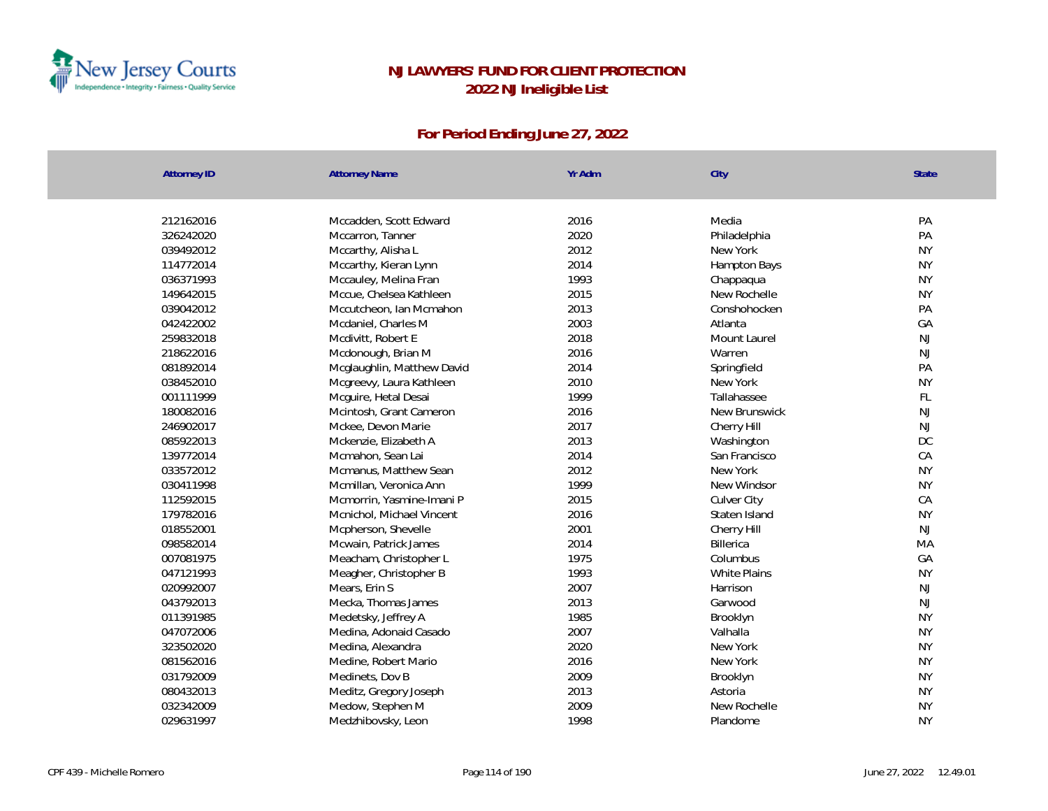

| <b>Attorney ID</b> | <b>Attorney Name</b>       | Yr Adm | City          | State     |
|--------------------|----------------------------|--------|---------------|-----------|
|                    |                            |        |               |           |
| 212162016          | Mccadden, Scott Edward     | 2016   | Media         | PA        |
| 326242020          | Mccarron, Tanner           | 2020   | Philadelphia  | PA        |
| 039492012          | Mccarthy, Alisha L         | 2012   | New York      | <b>NY</b> |
| 114772014          | Mccarthy, Kieran Lynn      | 2014   | Hampton Bays  | <b>NY</b> |
| 036371993          | Mccauley, Melina Fran      | 1993   | Chappaqua     | <b>NY</b> |
| 149642015          | Mccue, Chelsea Kathleen    | 2015   | New Rochelle  | <b>NY</b> |
| 039042012          | Mccutcheon, Ian Mcmahon    | 2013   | Conshohocken  | PA        |
| 042422002          | Mcdaniel, Charles M        | 2003   | Atlanta       | GA        |
| 259832018          | Mcdivitt, Robert E         | 2018   | Mount Laurel  | NJ        |
| 218622016          | Mcdonough, Brian M         | 2016   | Warren        | <b>NJ</b> |
| 081892014          | Mcglaughlin, Matthew David | 2014   | Springfield   | PA        |
| 038452010          | Mcgreevy, Laura Kathleen   | 2010   | New York      | <b>NY</b> |
| 001111999          | Mcguire, Hetal Desai       | 1999   | Tallahassee   | FL        |
| 180082016          | Mcintosh, Grant Cameron    | 2016   | New Brunswick | NJ        |
| 246902017          | Mckee, Devon Marie         | 2017   | Cherry Hill   | NJ        |
| 085922013          | Mckenzie, Elizabeth A      | 2013   | Washington    | <b>DC</b> |
| 139772014          | Mcmahon, Sean Lai          | 2014   | San Francisco | CA        |
| 033572012          | Mcmanus, Matthew Sean      | 2012   | New York      | <b>NY</b> |
| 030411998          | Mcmillan, Veronica Ann     | 1999   | New Windsor   | <b>NY</b> |
| 112592015          | Mcmorrin, Yasmine-Imani P  | 2015   | Culver City   | CA        |
| 179782016          | Mcnichol, Michael Vincent  | 2016   | Staten Island | <b>NY</b> |
| 018552001          | Mcpherson, Shevelle        | 2001   | Cherry Hill   | <b>NJ</b> |
| 098582014          | Mcwain, Patrick James      | 2014   | Billerica     | MA        |
| 007081975          | Meacham, Christopher L     | 1975   | Columbus      | GA        |
| 047121993          | Meagher, Christopher B     | 1993   | White Plains  | <b>NY</b> |
| 020992007          | Mears, Erin S              | 2007   | Harrison      | NJ        |
| 043792013          | Mecka, Thomas James        | 2013   | Garwood       | NJ        |
| 011391985          | Medetsky, Jeffrey A        | 1985   | Brooklyn      | <b>NY</b> |
| 047072006          | Medina, Adonaid Casado     | 2007   | Valhalla      | <b>NY</b> |
| 323502020          | Medina, Alexandra          | 2020   | New York      | <b>NY</b> |
| 081562016          | Medine, Robert Mario       | 2016   | New York      | <b>NY</b> |
| 031792009          | Medinets, Dov B            | 2009   | Brooklyn      | <b>NY</b> |
| 080432013          | Meditz, Gregory Joseph     | 2013   | Astoria       | <b>NY</b> |
| 032342009          | Medow, Stephen M           | 2009   | New Rochelle  | <b>NY</b> |
| 029631997          | Medzhibovsky, Leon         | 1998   | Plandome      | <b>NY</b> |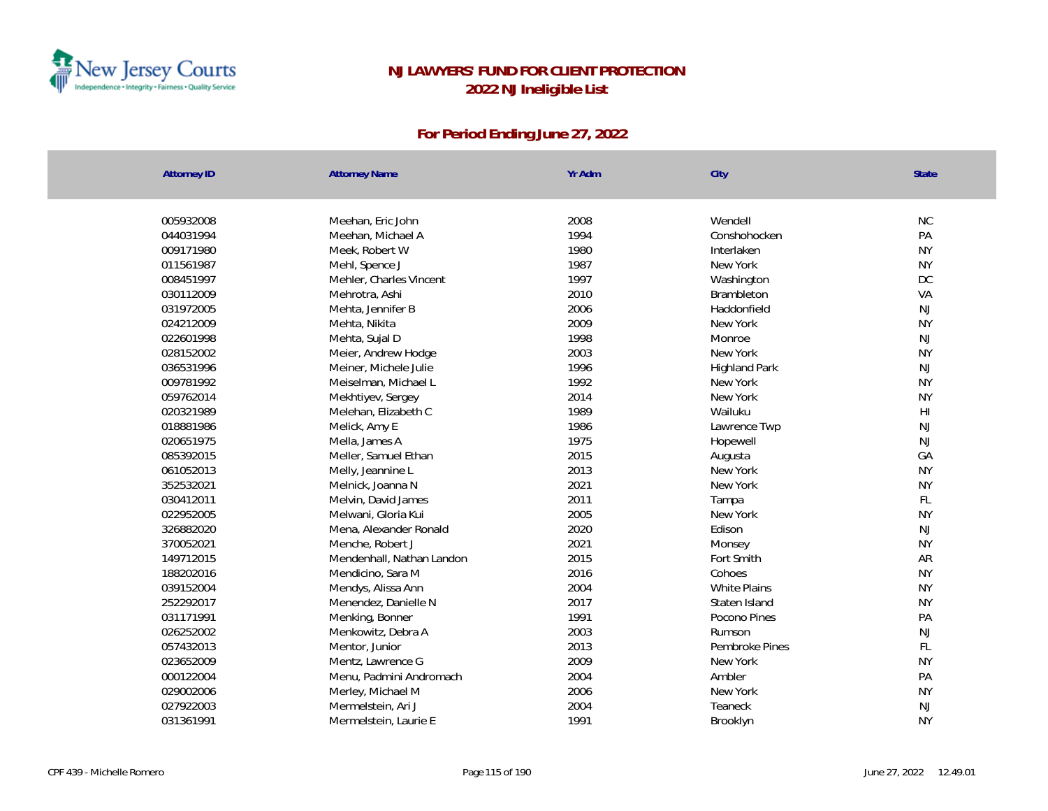

| <b>Attorney ID</b> | <b>Attorney Name</b>      | Yr Adm | City                 | State                  |
|--------------------|---------------------------|--------|----------------------|------------------------|
|                    |                           |        |                      |                        |
| 005932008          | Meehan, Eric John         | 2008   | Wendell              | <b>NC</b>              |
| 044031994          | Meehan, Michael A         | 1994   | Conshohocken         | PA                     |
| 009171980          | Meek, Robert W            | 1980   | Interlaken           | <b>NY</b>              |
| 011561987          | Mehl, Spence J            | 1987   | New York             | <b>NY</b>              |
| 008451997          | Mehler, Charles Vincent   | 1997   | Washington           | <b>DC</b>              |
| 030112009          | Mehrotra, Ashi            | 2010   | Brambleton           | VA                     |
| 031972005          | Mehta, Jennifer B         | 2006   | Haddonfield          | <b>NJ</b>              |
| 024212009          | Mehta, Nikita             | 2009   | New York             | <b>NY</b>              |
| 022601998          | Mehta, Sujal D            | 1998   | Monroe               | <b>NJ</b>              |
| 028152002          | Meier, Andrew Hodge       | 2003   | New York             | <b>NY</b>              |
| 036531996          | Meiner, Michele Julie     | 1996   | <b>Highland Park</b> | <b>NJ</b>              |
| 009781992          | Meiselman, Michael L      | 1992   | New York             | <b>NY</b>              |
| 059762014          | Mekhtiyev, Sergey         | 2014   | New York             | <b>NY</b>              |
| 020321989          | Melehan, Elizabeth C      | 1989   | Wailuku              | $\mathsf{H}\mathsf{I}$ |
| 018881986          | Melick, Amy E             | 1986   | Lawrence Twp         | <b>NJ</b>              |
| 020651975          | Mella, James A            | 1975   | Hopewell             | <b>NJ</b>              |
| 085392015          | Meller, Samuel Ethan      | 2015   | Augusta              | GA                     |
| 061052013          | Melly, Jeannine L         | 2013   | New York             | <b>NY</b>              |
| 352532021          | Melnick, Joanna N         | 2021   | New York             | <b>NY</b>              |
| 030412011          | Melvin, David James       | 2011   | Tampa                | FL                     |
| 022952005          | Melwani, Gloria Kui       | 2005   | New York             | <b>NY</b>              |
| 326882020          | Mena, Alexander Ronald    | 2020   | Edison               | <b>NJ</b>              |
| 370052021          | Menche, Robert J          | 2021   | Monsey               | <b>NY</b>              |
| 149712015          | Mendenhall, Nathan Landon | 2015   | Fort Smith           | AR                     |
| 188202016          | Mendicino, Sara M         | 2016   | Cohoes               | <b>NY</b>              |
| 039152004          | Mendys, Alissa Ann        | 2004   | <b>White Plains</b>  | <b>NY</b>              |
| 252292017          | Menendez, Danielle N      | 2017   | Staten Island        | <b>NY</b>              |
| 031171991          | Menking, Bonner           | 1991   | Pocono Pines         | PA                     |
| 026252002          | Menkowitz, Debra A        | 2003   | Rumson               | <b>NJ</b>              |
| 057432013          | Mentor, Junior            | 2013   | Pembroke Pines       | FL                     |
| 023652009          | Mentz, Lawrence G         | 2009   | New York             | <b>NY</b>              |
| 000122004          | Menu, Padmini Andromach   | 2004   | Ambler               | PA                     |
| 029002006          | Merley, Michael M         | 2006   | New York             | <b>NY</b>              |
| 027922003          | Mermelstein, Ari J        | 2004   | Teaneck              | NJ                     |
| 031361991          | Mermelstein, Laurie E     | 1991   | Brooklyn             | <b>NY</b>              |
|                    |                           |        |                      |                        |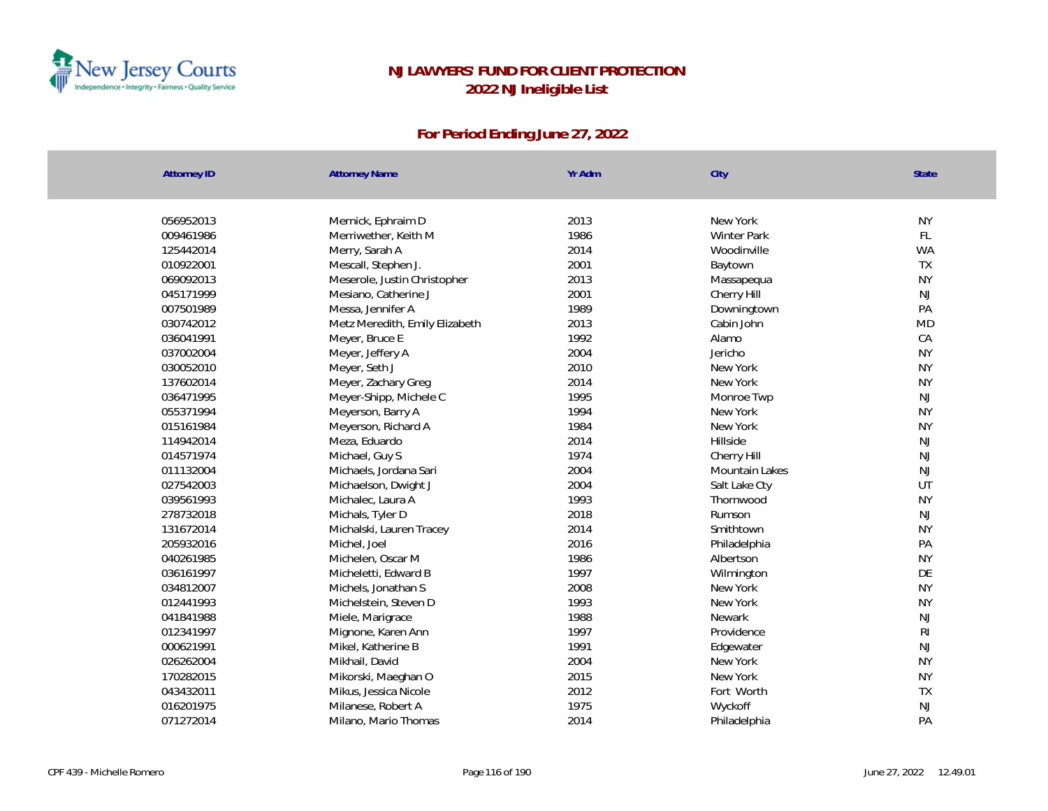

| New York<br>056952013<br>Mernick, Ephraim D<br>2013<br><b>NY</b><br>1986<br>FL<br>009461986<br>Merriwether, Keith M<br><b>Winter Park</b><br>2014<br><b>WA</b><br>125442014<br>Merry, Sarah A<br>Woodinville<br>2001<br>TX<br>010922001<br>Mescall, Stephen J.<br>Baytown<br><b>NY</b><br>069092013<br>Meserole, Justin Christopher<br>2013<br>Massapequa<br>2001<br>NJ<br>045171999<br>Mesiano, Catherine J<br>Cherry Hill<br>PA<br>007501989<br>1989<br>Messa, Jennifer A<br>Downingtown<br>030742012<br>2013<br>Cabin John<br><b>MD</b><br>Metz Meredith, Emily Elizabeth<br>1992<br>CA<br>036041991<br>Meyer, Bruce E<br>Alamo<br><b>NY</b><br>2004<br>Jericho<br>037002004<br>Meyer, Jeffery A<br>2010<br><b>NY</b><br>030052010<br>Meyer, Seth J<br>New York<br>2014<br><b>NY</b><br>137602014<br>Meyer, Zachary Greg<br>New York<br>036471995<br>Meyer-Shipp, Michele C<br>1995<br>Monroe Twp<br>NJ<br><b>NY</b><br>1994<br>055371994<br>Meyerson, Barry A<br>New York<br><b>NY</b><br>1984<br>015161984<br>Meyerson, Richard A<br>New York<br>2014<br><b>NJ</b><br>114942014<br>Meza, Eduardo<br>Hillside<br>NJ<br>1974<br>014571974<br>Michael, Guy S<br>Cherry Hill<br>NJ<br>011132004<br>Michaels, Jordana Sari<br>2004<br>Mountain Lakes<br>2004<br>UT<br>027542003<br>Michaelson, Dwight J<br>Salt Lake Cty<br><b>NY</b><br>039561993<br>1993<br>Michalec, Laura A<br>Thornwood<br>NJ<br>278732018<br>Michals, Tyler D<br>2018<br>Rumson<br>2014<br><b>NY</b><br>131672014<br>Smithtown<br>Michalski, Lauren Tracey<br>2016<br>PA<br>205932016<br>Michel, Joel<br>Philadelphia<br>040261985<br>1986<br><b>NY</b><br>Michelen, Oscar M<br>Albertson<br>1997<br>DE<br>036161997<br>Micheletti, Edward B<br>Wilmington<br>2008<br><b>NY</b><br>034812007<br>Michels, Jonathan S<br>New York<br>012441993<br>1993<br><b>NY</b><br>Michelstein, Steven D<br>New York<br>1988<br>NJ<br>041841988<br>Miele, Marigrace<br><b>Newark</b><br>R <sub>l</sub><br>1997<br>012341997<br>Mignone, Karen Ann<br>Providence<br>1991<br>NJ<br>000621991<br>Mikel, Katherine B<br>Edgewater<br>2004<br><b>NY</b><br>026262004<br>Mikhail, David<br>New York<br>2015<br><b>NY</b><br>170282015<br>New York<br>Mikorski, Maeghan O<br>TX<br>043432011<br>2012<br>Fort Worth<br>Mikus, Jessica Nicole<br>NJ<br>1975<br>016201975<br>Milanese, Robert A<br>Wyckoff<br>PA<br>2014<br>071272014<br>Milano, Mario Thomas<br>Philadelphia | <b>Attorney ID</b> | <b>Attorney Name</b> | Yr Adm | City | State |
|-----------------------------------------------------------------------------------------------------------------------------------------------------------------------------------------------------------------------------------------------------------------------------------------------------------------------------------------------------------------------------------------------------------------------------------------------------------------------------------------------------------------------------------------------------------------------------------------------------------------------------------------------------------------------------------------------------------------------------------------------------------------------------------------------------------------------------------------------------------------------------------------------------------------------------------------------------------------------------------------------------------------------------------------------------------------------------------------------------------------------------------------------------------------------------------------------------------------------------------------------------------------------------------------------------------------------------------------------------------------------------------------------------------------------------------------------------------------------------------------------------------------------------------------------------------------------------------------------------------------------------------------------------------------------------------------------------------------------------------------------------------------------------------------------------------------------------------------------------------------------------------------------------------------------------------------------------------------------------------------------------------------------------------------------------------------------------------------------------------------------------------------------------------------------------------------------------------------------------------------------------------------------------------------------------------------------------------------------------------------------------------------------------------------------------|--------------------|----------------------|--------|------|-------|
|                                                                                                                                                                                                                                                                                                                                                                                                                                                                                                                                                                                                                                                                                                                                                                                                                                                                                                                                                                                                                                                                                                                                                                                                                                                                                                                                                                                                                                                                                                                                                                                                                                                                                                                                                                                                                                                                                                                                                                                                                                                                                                                                                                                                                                                                                                                                                                                                                             |                    |                      |        |      |       |
|                                                                                                                                                                                                                                                                                                                                                                                                                                                                                                                                                                                                                                                                                                                                                                                                                                                                                                                                                                                                                                                                                                                                                                                                                                                                                                                                                                                                                                                                                                                                                                                                                                                                                                                                                                                                                                                                                                                                                                                                                                                                                                                                                                                                                                                                                                                                                                                                                             |                    |                      |        |      |       |
|                                                                                                                                                                                                                                                                                                                                                                                                                                                                                                                                                                                                                                                                                                                                                                                                                                                                                                                                                                                                                                                                                                                                                                                                                                                                                                                                                                                                                                                                                                                                                                                                                                                                                                                                                                                                                                                                                                                                                                                                                                                                                                                                                                                                                                                                                                                                                                                                                             |                    |                      |        |      |       |
|                                                                                                                                                                                                                                                                                                                                                                                                                                                                                                                                                                                                                                                                                                                                                                                                                                                                                                                                                                                                                                                                                                                                                                                                                                                                                                                                                                                                                                                                                                                                                                                                                                                                                                                                                                                                                                                                                                                                                                                                                                                                                                                                                                                                                                                                                                                                                                                                                             |                    |                      |        |      |       |
|                                                                                                                                                                                                                                                                                                                                                                                                                                                                                                                                                                                                                                                                                                                                                                                                                                                                                                                                                                                                                                                                                                                                                                                                                                                                                                                                                                                                                                                                                                                                                                                                                                                                                                                                                                                                                                                                                                                                                                                                                                                                                                                                                                                                                                                                                                                                                                                                                             |                    |                      |        |      |       |
|                                                                                                                                                                                                                                                                                                                                                                                                                                                                                                                                                                                                                                                                                                                                                                                                                                                                                                                                                                                                                                                                                                                                                                                                                                                                                                                                                                                                                                                                                                                                                                                                                                                                                                                                                                                                                                                                                                                                                                                                                                                                                                                                                                                                                                                                                                                                                                                                                             |                    |                      |        |      |       |
|                                                                                                                                                                                                                                                                                                                                                                                                                                                                                                                                                                                                                                                                                                                                                                                                                                                                                                                                                                                                                                                                                                                                                                                                                                                                                                                                                                                                                                                                                                                                                                                                                                                                                                                                                                                                                                                                                                                                                                                                                                                                                                                                                                                                                                                                                                                                                                                                                             |                    |                      |        |      |       |
|                                                                                                                                                                                                                                                                                                                                                                                                                                                                                                                                                                                                                                                                                                                                                                                                                                                                                                                                                                                                                                                                                                                                                                                                                                                                                                                                                                                                                                                                                                                                                                                                                                                                                                                                                                                                                                                                                                                                                                                                                                                                                                                                                                                                                                                                                                                                                                                                                             |                    |                      |        |      |       |
|                                                                                                                                                                                                                                                                                                                                                                                                                                                                                                                                                                                                                                                                                                                                                                                                                                                                                                                                                                                                                                                                                                                                                                                                                                                                                                                                                                                                                                                                                                                                                                                                                                                                                                                                                                                                                                                                                                                                                                                                                                                                                                                                                                                                                                                                                                                                                                                                                             |                    |                      |        |      |       |
|                                                                                                                                                                                                                                                                                                                                                                                                                                                                                                                                                                                                                                                                                                                                                                                                                                                                                                                                                                                                                                                                                                                                                                                                                                                                                                                                                                                                                                                                                                                                                                                                                                                                                                                                                                                                                                                                                                                                                                                                                                                                                                                                                                                                                                                                                                                                                                                                                             |                    |                      |        |      |       |
|                                                                                                                                                                                                                                                                                                                                                                                                                                                                                                                                                                                                                                                                                                                                                                                                                                                                                                                                                                                                                                                                                                                                                                                                                                                                                                                                                                                                                                                                                                                                                                                                                                                                                                                                                                                                                                                                                                                                                                                                                                                                                                                                                                                                                                                                                                                                                                                                                             |                    |                      |        |      |       |
|                                                                                                                                                                                                                                                                                                                                                                                                                                                                                                                                                                                                                                                                                                                                                                                                                                                                                                                                                                                                                                                                                                                                                                                                                                                                                                                                                                                                                                                                                                                                                                                                                                                                                                                                                                                                                                                                                                                                                                                                                                                                                                                                                                                                                                                                                                                                                                                                                             |                    |                      |        |      |       |
|                                                                                                                                                                                                                                                                                                                                                                                                                                                                                                                                                                                                                                                                                                                                                                                                                                                                                                                                                                                                                                                                                                                                                                                                                                                                                                                                                                                                                                                                                                                                                                                                                                                                                                                                                                                                                                                                                                                                                                                                                                                                                                                                                                                                                                                                                                                                                                                                                             |                    |                      |        |      |       |
|                                                                                                                                                                                                                                                                                                                                                                                                                                                                                                                                                                                                                                                                                                                                                                                                                                                                                                                                                                                                                                                                                                                                                                                                                                                                                                                                                                                                                                                                                                                                                                                                                                                                                                                                                                                                                                                                                                                                                                                                                                                                                                                                                                                                                                                                                                                                                                                                                             |                    |                      |        |      |       |
|                                                                                                                                                                                                                                                                                                                                                                                                                                                                                                                                                                                                                                                                                                                                                                                                                                                                                                                                                                                                                                                                                                                                                                                                                                                                                                                                                                                                                                                                                                                                                                                                                                                                                                                                                                                                                                                                                                                                                                                                                                                                                                                                                                                                                                                                                                                                                                                                                             |                    |                      |        |      |       |
|                                                                                                                                                                                                                                                                                                                                                                                                                                                                                                                                                                                                                                                                                                                                                                                                                                                                                                                                                                                                                                                                                                                                                                                                                                                                                                                                                                                                                                                                                                                                                                                                                                                                                                                                                                                                                                                                                                                                                                                                                                                                                                                                                                                                                                                                                                                                                                                                                             |                    |                      |        |      |       |
|                                                                                                                                                                                                                                                                                                                                                                                                                                                                                                                                                                                                                                                                                                                                                                                                                                                                                                                                                                                                                                                                                                                                                                                                                                                                                                                                                                                                                                                                                                                                                                                                                                                                                                                                                                                                                                                                                                                                                                                                                                                                                                                                                                                                                                                                                                                                                                                                                             |                    |                      |        |      |       |
|                                                                                                                                                                                                                                                                                                                                                                                                                                                                                                                                                                                                                                                                                                                                                                                                                                                                                                                                                                                                                                                                                                                                                                                                                                                                                                                                                                                                                                                                                                                                                                                                                                                                                                                                                                                                                                                                                                                                                                                                                                                                                                                                                                                                                                                                                                                                                                                                                             |                    |                      |        |      |       |
|                                                                                                                                                                                                                                                                                                                                                                                                                                                                                                                                                                                                                                                                                                                                                                                                                                                                                                                                                                                                                                                                                                                                                                                                                                                                                                                                                                                                                                                                                                                                                                                                                                                                                                                                                                                                                                                                                                                                                                                                                                                                                                                                                                                                                                                                                                                                                                                                                             |                    |                      |        |      |       |
|                                                                                                                                                                                                                                                                                                                                                                                                                                                                                                                                                                                                                                                                                                                                                                                                                                                                                                                                                                                                                                                                                                                                                                                                                                                                                                                                                                                                                                                                                                                                                                                                                                                                                                                                                                                                                                                                                                                                                                                                                                                                                                                                                                                                                                                                                                                                                                                                                             |                    |                      |        |      |       |
|                                                                                                                                                                                                                                                                                                                                                                                                                                                                                                                                                                                                                                                                                                                                                                                                                                                                                                                                                                                                                                                                                                                                                                                                                                                                                                                                                                                                                                                                                                                                                                                                                                                                                                                                                                                                                                                                                                                                                                                                                                                                                                                                                                                                                                                                                                                                                                                                                             |                    |                      |        |      |       |
|                                                                                                                                                                                                                                                                                                                                                                                                                                                                                                                                                                                                                                                                                                                                                                                                                                                                                                                                                                                                                                                                                                                                                                                                                                                                                                                                                                                                                                                                                                                                                                                                                                                                                                                                                                                                                                                                                                                                                                                                                                                                                                                                                                                                                                                                                                                                                                                                                             |                    |                      |        |      |       |
|                                                                                                                                                                                                                                                                                                                                                                                                                                                                                                                                                                                                                                                                                                                                                                                                                                                                                                                                                                                                                                                                                                                                                                                                                                                                                                                                                                                                                                                                                                                                                                                                                                                                                                                                                                                                                                                                                                                                                                                                                                                                                                                                                                                                                                                                                                                                                                                                                             |                    |                      |        |      |       |
|                                                                                                                                                                                                                                                                                                                                                                                                                                                                                                                                                                                                                                                                                                                                                                                                                                                                                                                                                                                                                                                                                                                                                                                                                                                                                                                                                                                                                                                                                                                                                                                                                                                                                                                                                                                                                                                                                                                                                                                                                                                                                                                                                                                                                                                                                                                                                                                                                             |                    |                      |        |      |       |
|                                                                                                                                                                                                                                                                                                                                                                                                                                                                                                                                                                                                                                                                                                                                                                                                                                                                                                                                                                                                                                                                                                                                                                                                                                                                                                                                                                                                                                                                                                                                                                                                                                                                                                                                                                                                                                                                                                                                                                                                                                                                                                                                                                                                                                                                                                                                                                                                                             |                    |                      |        |      |       |
|                                                                                                                                                                                                                                                                                                                                                                                                                                                                                                                                                                                                                                                                                                                                                                                                                                                                                                                                                                                                                                                                                                                                                                                                                                                                                                                                                                                                                                                                                                                                                                                                                                                                                                                                                                                                                                                                                                                                                                                                                                                                                                                                                                                                                                                                                                                                                                                                                             |                    |                      |        |      |       |
|                                                                                                                                                                                                                                                                                                                                                                                                                                                                                                                                                                                                                                                                                                                                                                                                                                                                                                                                                                                                                                                                                                                                                                                                                                                                                                                                                                                                                                                                                                                                                                                                                                                                                                                                                                                                                                                                                                                                                                                                                                                                                                                                                                                                                                                                                                                                                                                                                             |                    |                      |        |      |       |
|                                                                                                                                                                                                                                                                                                                                                                                                                                                                                                                                                                                                                                                                                                                                                                                                                                                                                                                                                                                                                                                                                                                                                                                                                                                                                                                                                                                                                                                                                                                                                                                                                                                                                                                                                                                                                                                                                                                                                                                                                                                                                                                                                                                                                                                                                                                                                                                                                             |                    |                      |        |      |       |
|                                                                                                                                                                                                                                                                                                                                                                                                                                                                                                                                                                                                                                                                                                                                                                                                                                                                                                                                                                                                                                                                                                                                                                                                                                                                                                                                                                                                                                                                                                                                                                                                                                                                                                                                                                                                                                                                                                                                                                                                                                                                                                                                                                                                                                                                                                                                                                                                                             |                    |                      |        |      |       |
|                                                                                                                                                                                                                                                                                                                                                                                                                                                                                                                                                                                                                                                                                                                                                                                                                                                                                                                                                                                                                                                                                                                                                                                                                                                                                                                                                                                                                                                                                                                                                                                                                                                                                                                                                                                                                                                                                                                                                                                                                                                                                                                                                                                                                                                                                                                                                                                                                             |                    |                      |        |      |       |
|                                                                                                                                                                                                                                                                                                                                                                                                                                                                                                                                                                                                                                                                                                                                                                                                                                                                                                                                                                                                                                                                                                                                                                                                                                                                                                                                                                                                                                                                                                                                                                                                                                                                                                                                                                                                                                                                                                                                                                                                                                                                                                                                                                                                                                                                                                                                                                                                                             |                    |                      |        |      |       |
|                                                                                                                                                                                                                                                                                                                                                                                                                                                                                                                                                                                                                                                                                                                                                                                                                                                                                                                                                                                                                                                                                                                                                                                                                                                                                                                                                                                                                                                                                                                                                                                                                                                                                                                                                                                                                                                                                                                                                                                                                                                                                                                                                                                                                                                                                                                                                                                                                             |                    |                      |        |      |       |
|                                                                                                                                                                                                                                                                                                                                                                                                                                                                                                                                                                                                                                                                                                                                                                                                                                                                                                                                                                                                                                                                                                                                                                                                                                                                                                                                                                                                                                                                                                                                                                                                                                                                                                                                                                                                                                                                                                                                                                                                                                                                                                                                                                                                                                                                                                                                                                                                                             |                    |                      |        |      |       |
|                                                                                                                                                                                                                                                                                                                                                                                                                                                                                                                                                                                                                                                                                                                                                                                                                                                                                                                                                                                                                                                                                                                                                                                                                                                                                                                                                                                                                                                                                                                                                                                                                                                                                                                                                                                                                                                                                                                                                                                                                                                                                                                                                                                                                                                                                                                                                                                                                             |                    |                      |        |      |       |
|                                                                                                                                                                                                                                                                                                                                                                                                                                                                                                                                                                                                                                                                                                                                                                                                                                                                                                                                                                                                                                                                                                                                                                                                                                                                                                                                                                                                                                                                                                                                                                                                                                                                                                                                                                                                                                                                                                                                                                                                                                                                                                                                                                                                                                                                                                                                                                                                                             |                    |                      |        |      |       |
|                                                                                                                                                                                                                                                                                                                                                                                                                                                                                                                                                                                                                                                                                                                                                                                                                                                                                                                                                                                                                                                                                                                                                                                                                                                                                                                                                                                                                                                                                                                                                                                                                                                                                                                                                                                                                                                                                                                                                                                                                                                                                                                                                                                                                                                                                                                                                                                                                             |                    |                      |        |      |       |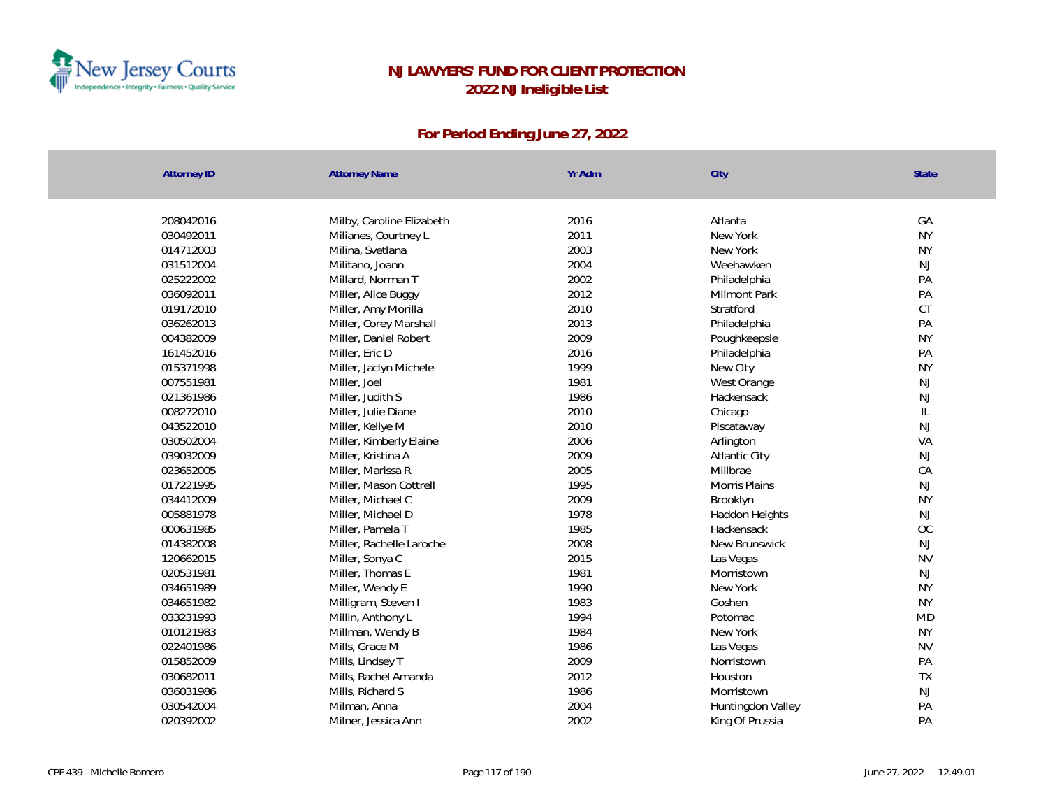

| <b>Attorney ID</b> | <b>Attorney Name</b>      | Yr Adm | City                 | State                             |
|--------------------|---------------------------|--------|----------------------|-----------------------------------|
|                    |                           |        |                      |                                   |
| 208042016          | Milby, Caroline Elizabeth | 2016   | Atlanta              | GA                                |
| 030492011          | Milianes, Courtney L      | 2011   | New York             | <b>NY</b>                         |
| 014712003          | Milina, Svetlana          | 2003   | New York             | <b>NY</b>                         |
| 031512004          | Militano, Joann           | 2004   | Weehawken            | NJ                                |
| 025222002          | Millard, Norman T         | 2002   | Philadelphia         | PA                                |
| 036092011          | Miller, Alice Buggy       | 2012   | <b>Milmont Park</b>  | PA                                |
| 019172010          | Miller, Amy Morilla       | 2010   | Stratford            | CT                                |
| 036262013          | Miller, Corey Marshall    | 2013   | Philadelphia         | PA                                |
| 004382009          | Miller, Daniel Robert     | 2009   | Poughkeepsie         | <b>NY</b>                         |
| 161452016          | Miller, Eric D            | 2016   | Philadelphia         | PA                                |
| 015371998          | Miller, Jaclyn Michele    | 1999   | New City             | <b>NY</b>                         |
| 007551981          | Miller, Joel              | 1981   | West Orange          | NJ                                |
| 021361986          | Miller, Judith S          | 1986   | Hackensack           | NJ                                |
| 008272010          | Miller, Julie Diane       | 2010   | Chicago              | $\ensuremath{\mathsf{IL}}\xspace$ |
| 043522010          | Miller, Kellye M          | 2010   | Piscataway           | NJ                                |
| 030502004          | Miller, Kimberly Elaine   | 2006   | Arlington            | VA                                |
| 039032009          | Miller, Kristina A        | 2009   | <b>Atlantic City</b> | $\mathsf{NJ}$                     |
| 023652005          | Miller, Marissa R         | 2005   | Millbrae             | CA                                |
| 017221995          | Miller, Mason Cottrell    | 1995   | Morris Plains        | NJ                                |
| 034412009          | Miller, Michael C         | 2009   | Brooklyn             | <b>NY</b>                         |
| 005881978          | Miller, Michael D         | 1978   | Haddon Heights       | NJ                                |
| 000631985          | Miller, Pamela T          | 1985   | Hackensack           | OC                                |
| 014382008          | Miller, Rachelle Laroche  | 2008   | New Brunswick        | <b>NJ</b>                         |
| 120662015          | Miller, Sonya C           | 2015   | Las Vegas            | <b>NV</b>                         |
| 020531981          | Miller, Thomas E          | 1981   | Morristown           | NJ                                |
| 034651989          | Miller, Wendy E           | 1990   | New York             | <b>NY</b>                         |
| 034651982          | Milligram, Steven I       | 1983   | Goshen               | <b>NY</b>                         |
| 033231993          | Millin, Anthony L         | 1994   | Potomac              | <b>MD</b>                         |
| 010121983          | Millman, Wendy B          | 1984   | New York             | <b>NY</b>                         |
| 022401986          | Mills, Grace M            | 1986   | Las Vegas            | <b>NV</b>                         |
| 015852009          | Mills, Lindsey T          | 2009   | Norristown           | PA                                |
| 030682011          | Mills, Rachel Amanda      | 2012   | Houston              | TX                                |
| 036031986          | Mills, Richard S          | 1986   | Morristown           | NJ                                |
| 030542004          | Milman, Anna              | 2004   | Huntingdon Valley    | PA                                |
| 020392002          | Milner, Jessica Ann       | 2002   | King Of Prussia      | PA                                |
|                    |                           |        |                      |                                   |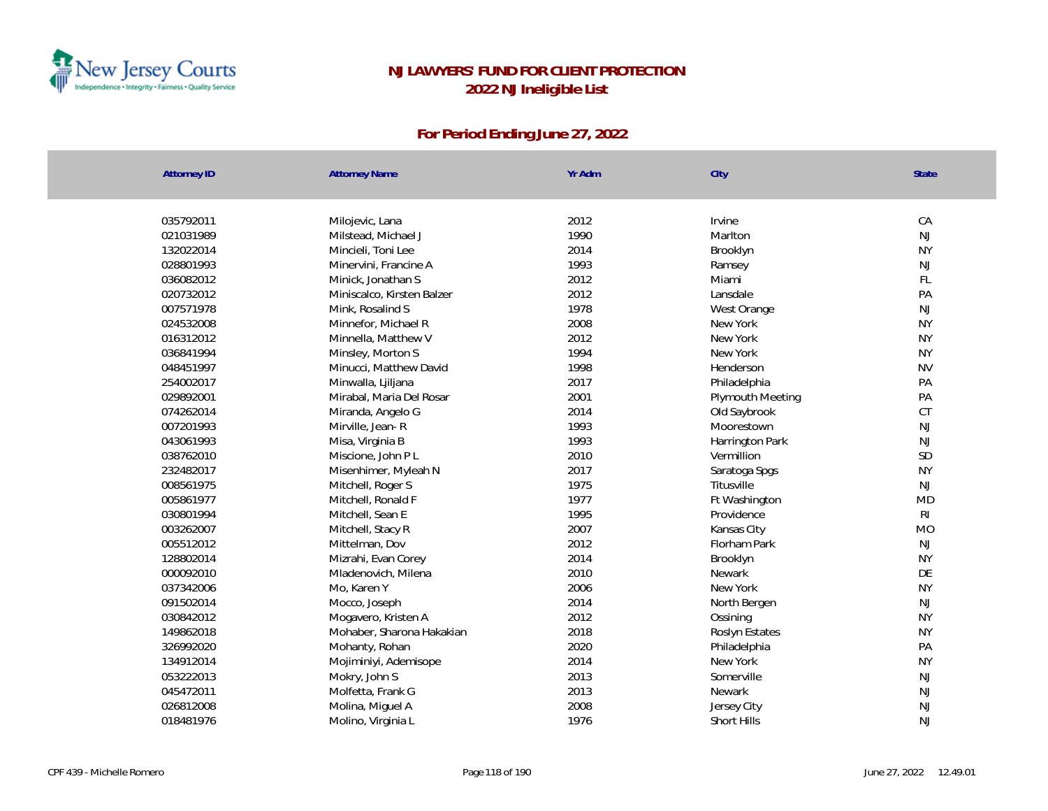

| <b>Attorney ID</b> | <b>Attorney Name</b>       | Yr Adm | City             | <b>State</b> |
|--------------------|----------------------------|--------|------------------|--------------|
|                    |                            |        |                  |              |
| 035792011          | Milojevic, Lana            | 2012   | Irvine           | CA           |
| 021031989          | Milstead, Michael J        | 1990   | Marlton          | NJ           |
| 132022014          | Mincieli, Toni Lee         | 2014   | Brooklyn         | <b>NY</b>    |
| 028801993          | Minervini, Francine A      | 1993   | Ramsey           | NJ           |
| 036082012          | Minick, Jonathan S         | 2012   | Miami            | FL           |
| 020732012          | Miniscalco, Kirsten Balzer | 2012   | Lansdale         | PA           |
| 007571978          | Mink, Rosalind S           | 1978   | West Orange      | NJ           |
| 024532008          | Minnefor, Michael R        | 2008   | New York         | <b>NY</b>    |
| 016312012          | Minnella, Matthew V        | 2012   | New York         | <b>NY</b>    |
| 036841994          | Minsley, Morton S          | 1994   | New York         | <b>NY</b>    |
| 048451997          | Minucci, Matthew David     | 1998   | Henderson        | <b>NV</b>    |
| 254002017          | Minwalla, Ljiljana         | 2017   | Philadelphia     | PA           |
| 029892001          | Mirabal, Maria Del Rosar   | 2001   | Plymouth Meeting | PA           |
| 074262014          | Miranda, Angelo G          | 2014   | Old Saybrook     | CT           |
| 007201993          | Mirville, Jean-R           | 1993   | Moorestown       | <b>NJ</b>    |
| 043061993          | Misa, Virginia B           | 1993   | Harrington Park  | <b>NJ</b>    |
| 038762010          | Miscione, John P L         | 2010   | Vermillion       | SD           |
| 232482017          | Misenhimer, Myleah N       | 2017   | Saratoga Spgs    | <b>NY</b>    |
| 008561975          | Mitchell, Roger S          | 1975   | Titusville       | NJ           |
| 005861977          | Mitchell, Ronald F         | 1977   | Ft Washington    | <b>MD</b>    |
| 030801994          | Mitchell, Sean E           | 1995   | Providence       | RI           |
| 003262007          | Mitchell, Stacy R          | 2007   | Kansas City      | <b>MO</b>    |
| 005512012          | Mittelman, Dov             | 2012   | Florham Park     | NJ           |
| 128802014          | Mizrahi, Evan Corey        | 2014   | Brooklyn         | <b>NY</b>    |
| 000092010          | Mladenovich, Milena        | 2010   | Newark           | DE           |
| 037342006          | Mo, Karen Y                | 2006   | New York         | <b>NY</b>    |
| 091502014          | Mocco, Joseph              | 2014   | North Bergen     | NJ           |
| 030842012          | Mogavero, Kristen A        | 2012   | Ossining         | <b>NY</b>    |
| 149862018          | Mohaber, Sharona Hakakian  | 2018   | Roslyn Estates   | <b>NY</b>    |
| 326992020          | Mohanty, Rohan             | 2020   | Philadelphia     | PA           |
| 134912014          | Mojiminiyi, Ademisope      | 2014   | New York         | <b>NY</b>    |
| 053222013          | Mokry, John S              | 2013   | Somerville       | NJ           |
| 045472011          | Molfetta, Frank G          | 2013   | Newark           | NJ           |
| 026812008          | Molina, Miguel A           | 2008   | Jersey City      | <b>NJ</b>    |
| 018481976          | Molino, Virginia L         | 1976   | Short Hills      | <b>NJ</b>    |
|                    |                            |        |                  |              |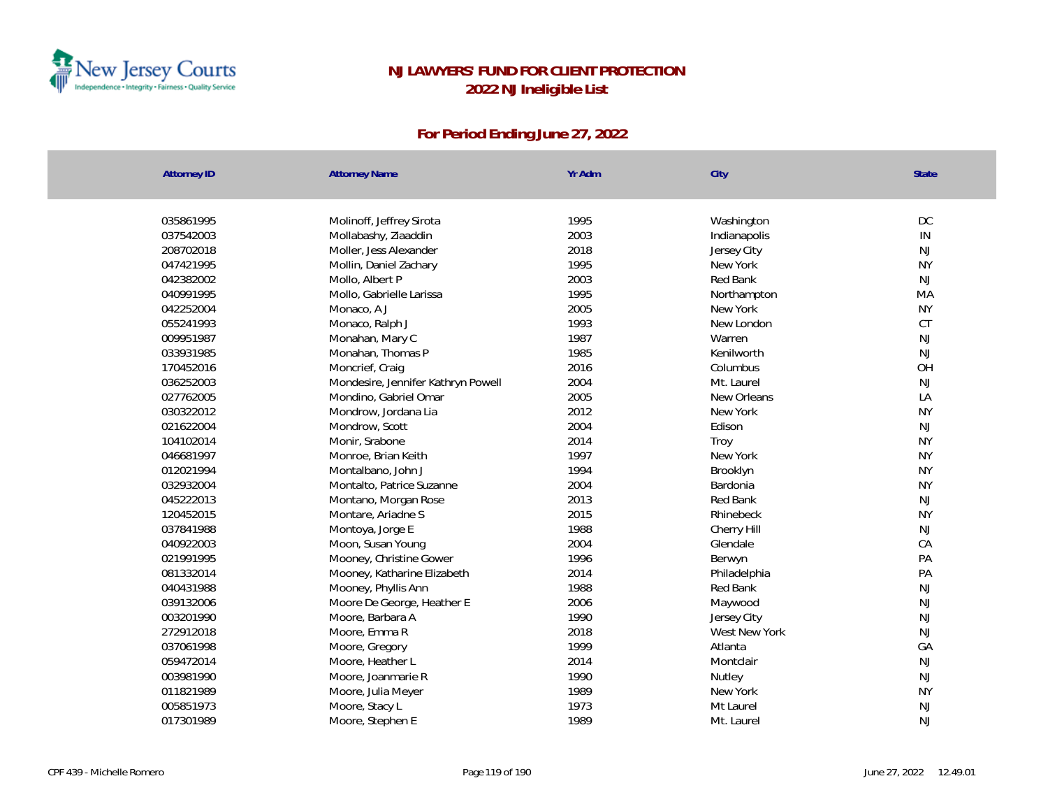

| 035861995<br>Molinoff, Jeffrey Sirota<br>1995<br>Washington           | DC            |
|-----------------------------------------------------------------------|---------------|
| 2003<br>037542003<br>Mollabashy, Ziaaddin<br>Indianapolis             | $\mathsf{IN}$ |
| 2018<br>208702018<br>Moller, Jess Alexander<br>Jersey City            | <b>NJ</b>     |
| 1995<br>047421995<br>Mollin, Daniel Zachary<br>New York               | <b>NY</b>     |
| 2003<br>042382002<br>Mollo, Albert P<br>Red Bank                      | NJ            |
| 1995<br>040991995<br>Mollo, Gabrielle Larissa<br>Northampton          | MA            |
| 2005<br>042252004<br>New York<br>Monaco, A J                          | <b>NY</b>     |
| 1993<br>055241993<br>Monaco, Ralph J<br>New London                    | CT            |
| 1987<br>009951987<br>Monahan, Mary C<br>Warren                        | <b>NJ</b>     |
| 1985<br>033931985<br>Monahan, Thomas P<br>Kenilworth                  | <b>NJ</b>     |
| 2016<br>170452016<br>Moncrief, Craig<br>Columbus                      | OH            |
| 036252003<br>2004<br>Mondesire, Jennifer Kathryn Powell<br>Mt. Laurel | <b>NJ</b>     |
| 027762005<br>2005<br>New Orleans<br>Mondino, Gabriel Omar             | LA            |
| 2012<br>030322012<br>Mondrow, Jordana Lia<br>New York                 | <b>NY</b>     |
| 2004<br>021622004<br>Mondrow, Scott<br>Edison                         | <b>NJ</b>     |
| 2014<br>104102014<br>Monir, Srabone<br>Troy                           | <b>NY</b>     |
| 1997<br>046681997<br>Monroe, Brian Keith<br>New York                  | <b>NY</b>     |
| 012021994<br>1994<br>Montalbano, John J<br>Brooklyn                   | <b>NY</b>     |
| 032932004<br>2004<br>Montalto, Patrice Suzanne<br>Bardonia            | <b>NY</b>     |
| 045222013<br>2013<br>Red Bank<br>Montano, Morgan Rose                 | <b>NJ</b>     |
| 2015<br>120452015<br>Montare, Ariadne S<br>Rhinebeck                  | <b>NY</b>     |
| 1988<br>037841988<br>Montoya, Jorge E<br>Cherry Hill                  | NJ            |
| 2004<br>040922003<br>Moon, Susan Young<br>Glendale                    | CA            |
| 021991995<br>Mooney, Christine Gower<br>1996<br>Berwyn                | PA            |
| 081332014<br>2014<br>Mooney, Katharine Elizabeth<br>Philadelphia      | PA            |
| 040431988<br>1988<br>Red Bank<br>Mooney, Phyllis Ann                  | <b>NJ</b>     |
| 2006<br>039132006<br>Moore De George, Heather E<br>Maywood            | NJ            |
| 1990<br>003201990<br>Moore, Barbara A<br>Jersey City                  | NJ            |
| 2018<br>West New York<br>272912018<br>Moore, Emma R                   | NJ            |
| 1999<br>037061998<br>Atlanta<br>Moore, Gregory                        | GA            |
| 2014<br>059472014<br>Moore, Heather L<br>Montclair                    | NJ            |
| 1990<br>003981990<br>Moore, Joanmarie R<br>Nutley                     | NJ            |
| 011821989<br>1989<br>Moore, Julia Meyer<br>New York                   | <b>NY</b>     |
| 1973<br>005851973<br>Moore, Stacy L<br>Mt Laurel                      | <b>NJ</b>     |
| 1989<br>017301989<br>Moore, Stephen E<br>Mt. Laurel                   | <b>NJ</b>     |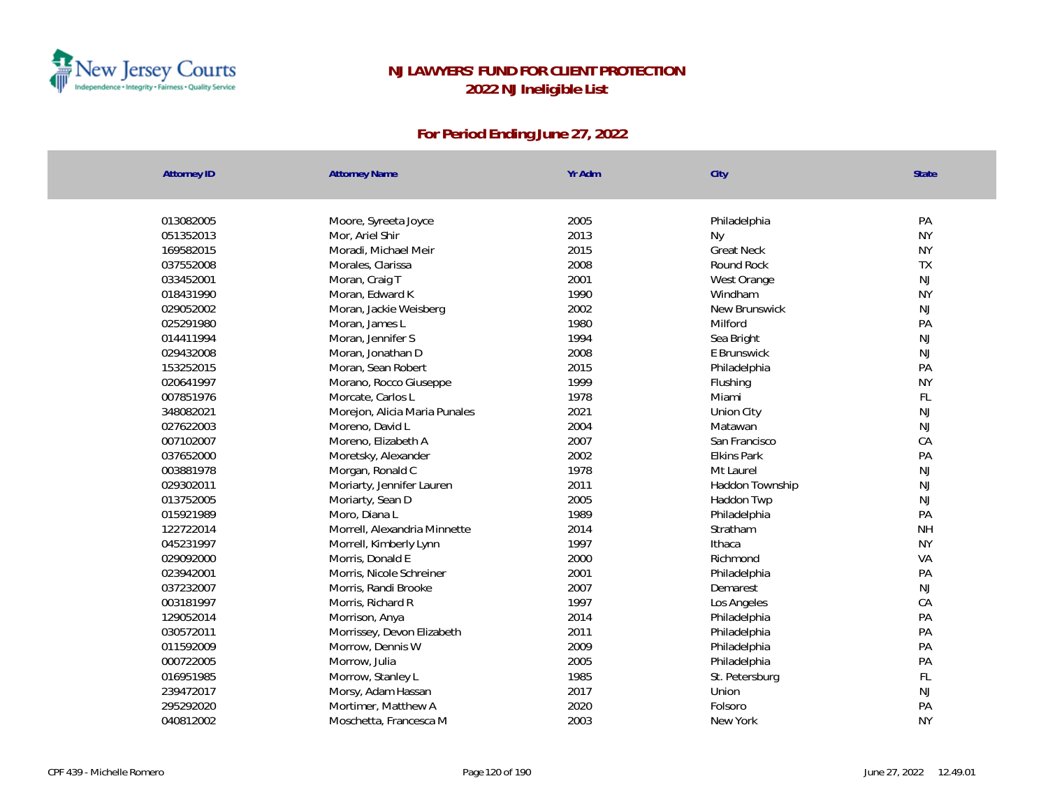

| <b>Attorney ID</b> | <b>Attorney Name</b>          | Yr Adm | City              | State         |
|--------------------|-------------------------------|--------|-------------------|---------------|
| 013082005          | Moore, Syreeta Joyce          | 2005   | Philadelphia      | PA            |
| 051352013          | Mor, Ariel Shir               | 2013   | <b>Ny</b>         | <b>NY</b>     |
| 169582015          | Moradi, Michael Meir          | 2015   | <b>Great Neck</b> | <b>NY</b>     |
| 037552008          | Morales, Clarissa             | 2008   | Round Rock        | <b>TX</b>     |
| 033452001          | Moran, Craig T                | 2001   | West Orange       | NJ            |
| 018431990          | Moran, Edward K               | 1990   | Windham           | <b>NY</b>     |
| 029052002          | Moran, Jackie Weisberg        | 2002   | New Brunswick     | NJ            |
| 025291980          | Moran, James L                | 1980   | Milford           | PA            |
| 014411994          | Moran, Jennifer S             | 1994   | Sea Bright        | $\mathsf{NJ}$ |
| 029432008          | Moran, Jonathan D             | 2008   | E Brunswick       | NJ            |
| 153252015          | Moran, Sean Robert            | 2015   | Philadelphia      | PA            |
| 020641997          | Morano, Rocco Giuseppe        | 1999   | Flushing          | <b>NY</b>     |
| 007851976          | Morcate, Carlos L             | 1978   | Miami             | FL            |
| 348082021          | Morejon, Alicia Maria Punales | 2021   | Union City        | NJ            |
| 027622003          | Moreno, David L               | 2004   | Matawan           | $\mathsf{NJ}$ |
| 007102007          | Moreno, Elizabeth A           | 2007   | San Francisco     | CA            |
| 037652000          | Moretsky, Alexander           | 2002   | Elkins Park       | PA            |
| 003881978          | Morgan, Ronald C              | 1978   | Mt Laurel         | NJ            |
| 029302011          | Moriarty, Jennifer Lauren     | 2011   | Haddon Township   | NJ            |
| 013752005          | Moriarty, Sean D              | 2005   | Haddon Twp        | $\mathsf{NJ}$ |
| 015921989          | Moro, Diana L                 | 1989   | Philadelphia      | PA            |
| 122722014          | Morrell, Alexandria Minnette  | 2014   | Stratham          | <b>NH</b>     |
| 045231997          | Morrell, Kimberly Lynn        | 1997   | Ithaca            | <b>NY</b>     |
| 029092000          | Morris, Donald E              | 2000   | Richmond          | VA            |
| 023942001          | Morris, Nicole Schreiner      | 2001   | Philadelphia      | PA            |
| 037232007          | Morris, Randi Brooke          | 2007   | Demarest          | $\mathsf{NJ}$ |
| 003181997          | Morris, Richard R             | 1997   | Los Angeles       | CA            |
| 129052014          | Morrison, Anya                | 2014   | Philadelphia      | PA            |
| 030572011          | Morrissey, Devon Elizabeth    | 2011   | Philadelphia      | PA            |
| 011592009          | Morrow, Dennis W              | 2009   | Philadelphia      | PA            |
| 000722005          | Morrow, Julia                 | 2005   | Philadelphia      | PA            |
| 016951985          | Morrow, Stanley L             | 1985   | St. Petersburg    | FL            |
| 239472017          | Morsy, Adam Hassan            | 2017   | Union             | NJ            |
| 295292020          | Mortimer, Matthew A           | 2020   | Folsoro           | PA            |
| 040812002          | Moschetta, Francesca M        | 2003   | New York          | <b>NY</b>     |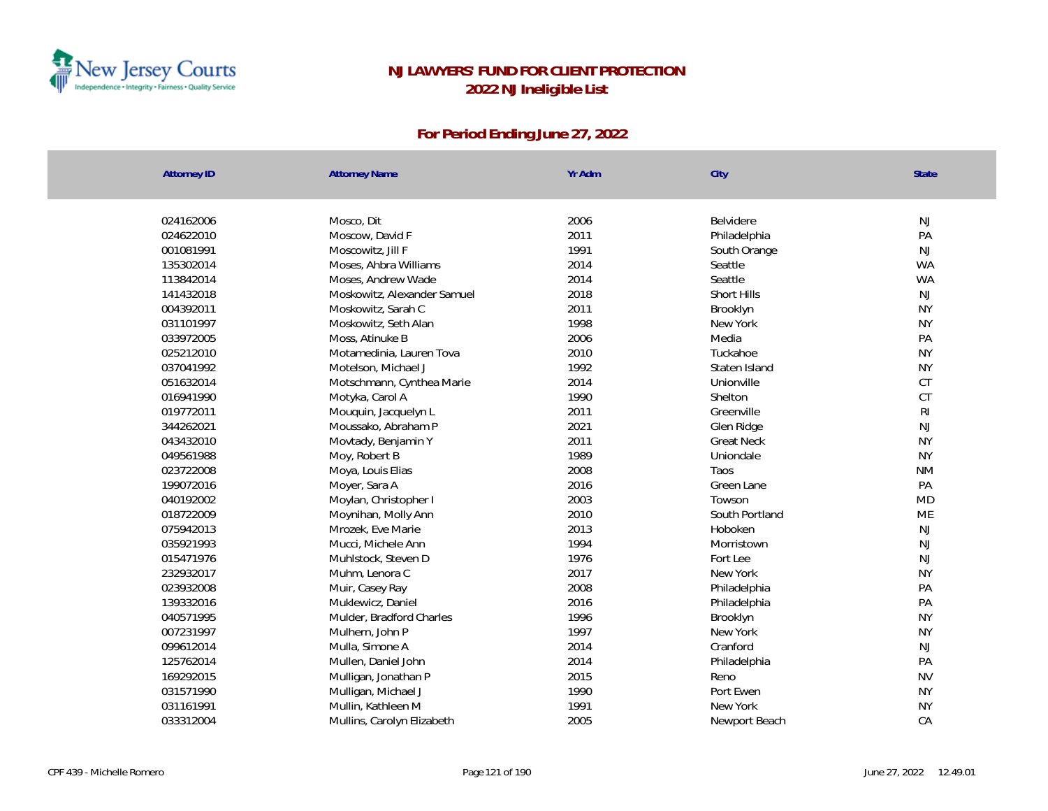

| <b>Attorney ID</b>     | <b>Attorney Name</b>          | Yr Adm       | City                    | State           |
|------------------------|-------------------------------|--------------|-------------------------|-----------------|
|                        |                               | 2006         | Belvidere               | NJ              |
| 024162006<br>024622010 | Mosco, Dit<br>Moscow, David F | 2011         |                         | PA              |
|                        |                               | 1991         | Philadelphia            |                 |
| 001081991              | Moscowitz, Jill F             | 2014         | South Orange<br>Seattle | NJ<br><b>WA</b> |
| 135302014              | Moses, Ahbra Williams         |              |                         |                 |
| 113842014              | Moses, Andrew Wade            | 2014<br>2018 | Seattle                 | <b>WA</b><br>NJ |
| 141432018              | Moskowitz, Alexander Samuel   | 2011         | Short Hills             | <b>NY</b>       |
| 004392011              | Moskowitz, Sarah C            |              | Brooklyn                |                 |
| 031101997              | Moskowitz, Seth Alan          | 1998         | New York                | <b>NY</b>       |
| 033972005              | Moss, Atinuke B               | 2006         | Media                   | PA              |
| 025212010              | Motamedinia, Lauren Tova      | 2010         | Tuckahoe                | <b>NY</b>       |
| 037041992              | Motelson, Michael J           | 1992         | Staten Island           | <b>NY</b>       |
| 051632014              | Motschmann, Cynthea Marie     | 2014         | Unionville              | CT              |
| 016941990              | Motyka, Carol A               | 1990         | Shelton                 | <b>CT</b>       |
| 019772011              | Mouquin, Jacquelyn L          | 2011         | Greenville              | R <sub>l</sub>  |
| 344262021              | Moussako, Abraham P           | 2021         | Glen Ridge              | NJ              |
| 043432010              | Movtady, Benjamin Y           | 2011         | <b>Great Neck</b>       | <b>NY</b>       |
| 049561988              | Moy, Robert B                 | 1989         | Uniondale               | <b>NY</b>       |
| 023722008              | Moya, Louis Elias             | 2008         | Taos                    | <b>NM</b>       |
| 199072016              | Moyer, Sara A                 | 2016         | Green Lane              | PA              |
| 040192002              | Moylan, Christopher I         | 2003         | Towson                  | <b>MD</b>       |
| 018722009              | Moynihan, Molly Ann           | 2010         | South Portland          | ME              |
| 075942013              | Mrozek, Eve Marie             | 2013         | Hoboken                 | NJ              |
| 035921993              | Mucci, Michele Ann            | 1994         | Morristown              | NJ              |
| 015471976              | Muhlstock, Steven D           | 1976         | Fort Lee                | NJ              |
| 232932017              | Muhm, Lenora C                | 2017         | New York                | <b>NY</b>       |
| 023932008              | Muir, Casey Ray               | 2008         | Philadelphia            | PA              |
| 139332016              | Muklewicz, Daniel             | 2016         | Philadelphia            | PA              |
| 040571995              | Mulder, Bradford Charles      | 1996         | Brooklyn                | <b>NY</b>       |
| 007231997              | Mulhern, John P               | 1997         | New York                | <b>NY</b>       |
| 099612014              | Mulla, Simone A               | 2014         | Cranford                | NJ              |
| 125762014              | Mullen, Daniel John           | 2014         | Philadelphia            | PA              |
| 169292015              | Mulligan, Jonathan P          | 2015         | Reno                    | <b>NV</b>       |
| 031571990              | Mulligan, Michael J           | 1990         | Port Ewen               | <b>NY</b>       |
| 031161991              | Mullin, Kathleen M            | 1991         | New York                | <b>NY</b>       |
| 033312004              | Mullins, Carolyn Elizabeth    | 2005         | Newport Beach           | CA              |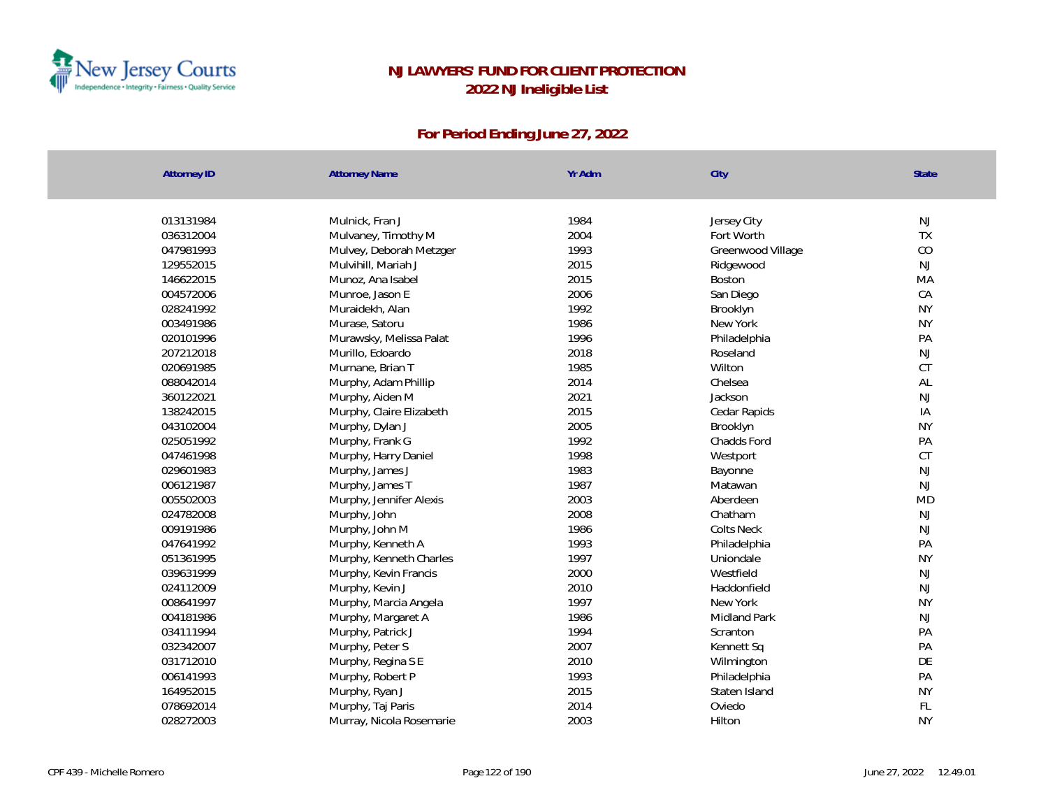

| Attorney ID            | <b>Attorney Name</b>     | Yr Adm       | City                | <b>State</b>    |
|------------------------|--------------------------|--------------|---------------------|-----------------|
|                        |                          |              |                     |                 |
| 013131984              | Mulnick, Fran J          | 1984         | Jersey City         | NJ              |
| 036312004              | Mulvaney, Timothy M      | 2004         | Fort Worth          | TX              |
| 047981993              | Mulvey, Deborah Metzger  | 1993         | Greenwood Village   | CO              |
| 129552015              | Mulvihill, Mariah J      | 2015         | Ridgewood           | <b>NJ</b>       |
| 146622015<br>004572006 | Munoz, Ana Isabel        | 2015         | Boston              | MA              |
|                        | Munroe, Jason E          | 2006         | San Diego           | CA              |
| 028241992              | Muraidekh, Alan          | 1992         | Brooklyn            | <b>NY</b>       |
| 003491986              | Murase, Satoru           | 1986<br>1996 | New York            | <b>NY</b><br>PA |
| 020101996              | Murawsky, Melissa Palat  |              | Philadelphia        |                 |
| 207212018              | Murillo, Edoardo         | 2018         | Roseland            | <b>NJ</b>       |
| 020691985              | Murnane, Brian T         | 1985         | Wilton              | CT              |
| 088042014              | Murphy, Adam Phillip     | 2014         | Chelsea             | AL              |
| 360122021              | Murphy, Aiden M          | 2021         | Jackson             | NJ              |
| 138242015              | Murphy, Claire Elizabeth | 2015         | Cedar Rapids        | IA              |
| 043102004              | Murphy, Dylan J          | 2005         | Brooklyn            | <b>NY</b>       |
| 025051992              | Murphy, Frank G          | 1992         | Chadds Ford         | PA              |
| 047461998              | Murphy, Harry Daniel     | 1998         | Westport            | CT              |
| 029601983              | Murphy, James J          | 1983         | Bayonne             | NJ              |
| 006121987              | Murphy, James T          | 1987         | Matawan             | <b>NJ</b>       |
| 005502003              | Murphy, Jennifer Alexis  | 2003         | Aberdeen            | <b>MD</b>       |
| 024782008              | Murphy, John             | 2008         | Chatham             | NJ              |
| 009191986              | Murphy, John M           | 1986         | <b>Colts Neck</b>   | <b>NJ</b>       |
| 047641992              | Murphy, Kenneth A        | 1993         | Philadelphia        | PA              |
| 051361995              | Murphy, Kenneth Charles  | 1997         | Uniondale           | <b>NY</b>       |
| 039631999              | Murphy, Kevin Francis    | 2000         | Westfield           | NJ              |
| 024112009              | Murphy, Kevin J          | 2010         | Haddonfield         | <b>NJ</b>       |
| 008641997              | Murphy, Marcia Angela    | 1997         | New York            | <b>NY</b>       |
| 004181986              | Murphy, Margaret A       | 1986         | <b>Midland Park</b> | <b>NJ</b>       |
| 034111994              | Murphy, Patrick J        | 1994         | Scranton            | PA              |
| 032342007              | Murphy, Peter S          | 2007         | Kennett Sq          | PA              |
| 031712010              | Murphy, Regina S E       | 2010         | Wilmington          | DE              |
| 006141993              | Murphy, Robert P         | 1993         | Philadelphia        | PA              |
| 164952015              | Murphy, Ryan J           | 2015         | Staten Island       | <b>NY</b>       |
| 078692014              | Murphy, Taj Paris        | 2014         | Oviedo              | FL              |
| 028272003              | Murray, Nicola Rosemarie | 2003         | Hilton              | <b>NY</b>       |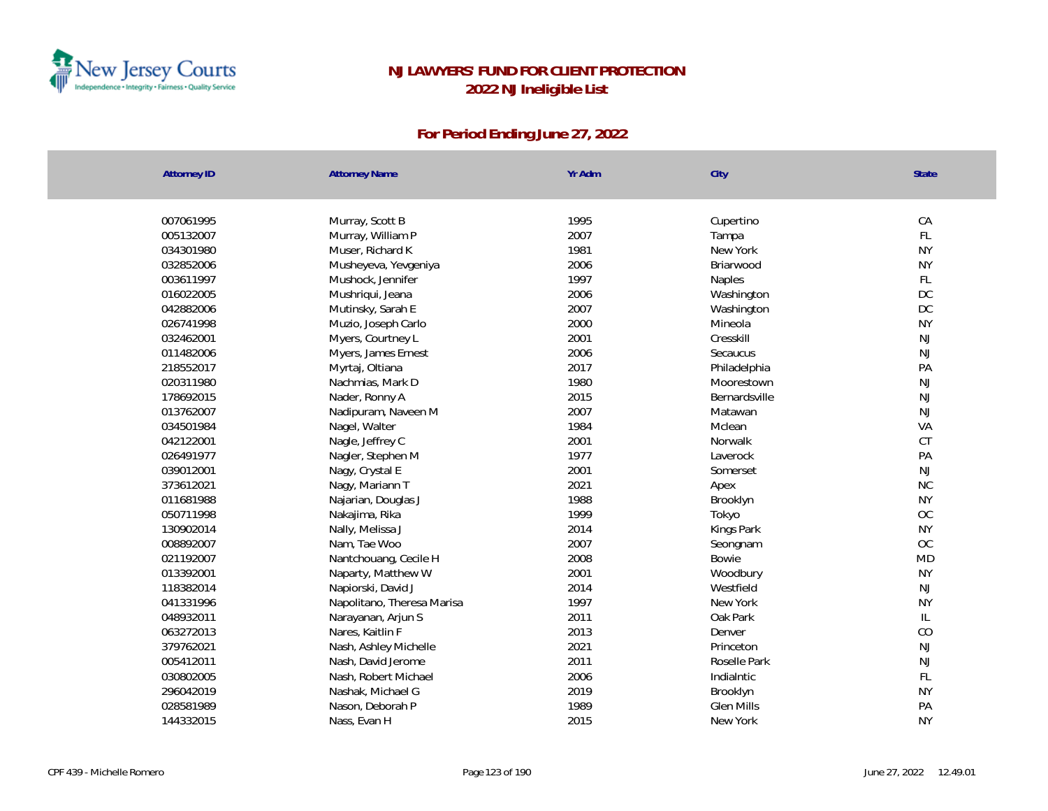

| <b>Attorney ID</b> | <b>Attorney Name</b>       | Yr Adm | City          | State         |
|--------------------|----------------------------|--------|---------------|---------------|
|                    |                            |        |               |               |
| 007061995          | Murray, Scott B            | 1995   | Cupertino     | CA            |
| 005132007          | Murray, William P          | 2007   | Tampa         | FL            |
| 034301980          | Muser, Richard K           | 1981   | New York      | <b>NY</b>     |
| 032852006          | Musheyeva, Yevgeniya       | 2006   | Briarwood     | <b>NY</b>     |
| 003611997          | Mushock, Jennifer          | 1997   | Naples        | FL            |
| 016022005          | Mushriqui, Jeana           | 2006   | Washington    | DC            |
| 042882006          | Mutinsky, Sarah E          | 2007   | Washington    | DC            |
| 026741998          | Muzio, Joseph Carlo        | 2000   | Mineola       | <b>NY</b>     |
| 032462001          | Myers, Courtney L          | 2001   | Cresskill     | NJ            |
| 011482006          | Myers, James Ernest        | 2006   | Secaucus      | NJ            |
| 218552017          | Myrtaj, Oltiana            | 2017   | Philadelphia  | PA            |
| 020311980          | Nachmias, Mark D           | 1980   | Moorestown    | $\mathsf{NJ}$ |
| 178692015          | Nader, Ronny A             | 2015   | Bernardsville | $\mathsf{NJ}$ |
| 013762007          | Nadipuram, Naveen M        | 2007   | Matawan       | NJ            |
| 034501984          | Nagel, Walter              | 1984   | Mclean        | VA            |
| 042122001          | Nagle, Jeffrey C           | 2001   | Norwalk       | <b>CT</b>     |
| 026491977          | Nagler, Stephen M          | 1977   | Laverock      | PA            |
| 039012001          | Nagy, Crystal E            | 2001   | Somerset      | NJ            |
| 373612021          | Nagy, Mariann T            | 2021   | Apex          | NC            |
| 011681988          | Najarian, Douglas J        | 1988   | Brooklyn      | <b>NY</b>     |
| 050711998          | Nakajima, Rika             | 1999   | Tokyo         | OC            |
| 130902014          | Nally, Melissa J           | 2014   | Kings Park    | <b>NY</b>     |
| 008892007          | Nam, Tae Woo               | 2007   | Seongnam      | <b>OC</b>     |
| 021192007          | Nantchouang, Cecile H      | 2008   | Bowie         | <b>MD</b>     |
| 013392001          | Naparty, Matthew W         | 2001   | Woodbury      | <b>NY</b>     |
| 118382014          | Napiorski, David J         | 2014   | Westfield     | NJ            |
| 041331996          | Napolitano, Theresa Marisa | 1997   | New York      | <b>NY</b>     |
| 048932011          | Narayanan, Arjun S         | 2011   | Oak Park      | $\mathsf{IL}$ |
| 063272013          | Nares, Kaitlin F           | 2013   | Denver        | CO            |
| 379762021          | Nash, Ashley Michelle      | 2021   | Princeton     | NJ            |
| 005412011          | Nash, David Jerome         | 2011   | Roselle Park  | NJ            |
| 030802005          | Nash, Robert Michael       | 2006   | IndiaIntic    | FL            |
| 296042019          | Nashak, Michael G          | 2019   | Brooklyn      | <b>NY</b>     |
| 028581989          | Nason, Deborah P           | 1989   | Glen Mills    | PA            |
| 144332015          | Nass, Evan H               | 2015   | New York      | <b>NY</b>     |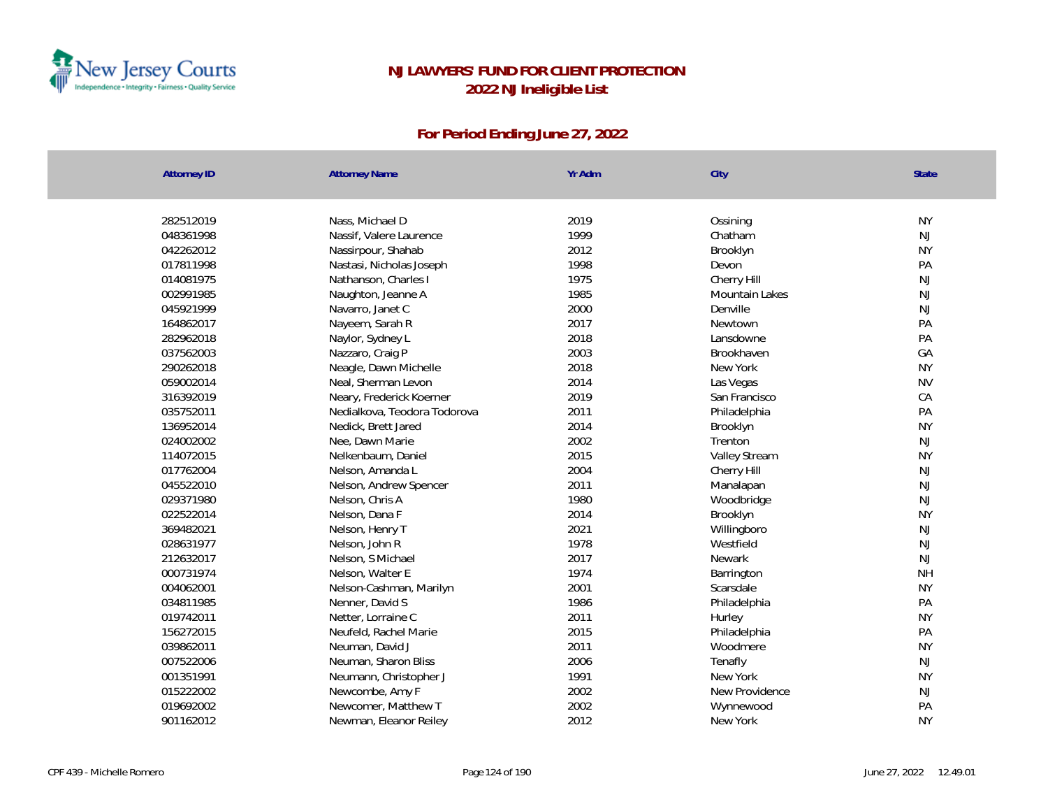

| <b>Attorney ID</b> | <b>Attorney Name</b>         | Yr Adm | City           | State         |
|--------------------|------------------------------|--------|----------------|---------------|
| 282512019          | Nass, Michael D              | 2019   | Ossining       | <b>NY</b>     |
| 048361998          | Nassif, Valere Laurence      | 1999   | Chatham        | NJ            |
| 042262012          | Nassirpour, Shahab           | 2012   | Brooklyn       | <b>NY</b>     |
| 017811998          | Nastasi, Nicholas Joseph     | 1998   | Devon          | PA            |
| 014081975          | Nathanson, Charles I         | 1975   | Cherry Hill    | NJ            |
| 002991985          | Naughton, Jeanne A           | 1985   | Mountain Lakes | $\mathsf{NJ}$ |
| 045921999          | Navarro, Janet C             | 2000   | Denville       | NJ            |
| 164862017          | Nayeem, Sarah R              | 2017   | Newtown        | PA            |
| 282962018          | Naylor, Sydney L             | 2018   | Lansdowne      | PA            |
| 037562003          | Nazzaro, Craig P             | 2003   | Brookhaven     | GA            |
| 290262018          | Neagle, Dawn Michelle        | 2018   | New York       | <b>NY</b>     |
| 059002014          | Neal, Sherman Levon          | 2014   | Las Vegas      | <b>NV</b>     |
| 316392019          | Neary, Frederick Koerner     | 2019   | San Francisco  | CA            |
| 035752011          | Nedialkova, Teodora Todorova | 2011   | Philadelphia   | PA            |
| 136952014          | Nedick, Brett Jared          | 2014   | Brooklyn       | <b>NY</b>     |
| 024002002          | Nee, Dawn Marie              | 2002   | Trenton        | NJ            |
| 114072015          | Nelkenbaum, Daniel           | 2015   | Valley Stream  | <b>NY</b>     |
| 017762004          | Nelson, Amanda L             | 2004   | Cherry Hill    | NJ            |
| 045522010          | Nelson, Andrew Spencer       | 2011   | Manalapan      | $\mathsf{NJ}$ |
| 029371980          | Nelson, Chris A              | 1980   | Woodbridge     | NJ            |
| 022522014          | Nelson, Dana F               | 2014   | Brooklyn       | <b>NY</b>     |
| 369482021          | Nelson, Henry T              | 2021   | Willingboro    | $\mathsf{NJ}$ |
| 028631977          | Nelson, John R               | 1978   | Westfield      | $\mathsf{NJ}$ |
| 212632017          | Nelson, S Michael            | 2017   | Newark         | NJ            |
| 000731974          | Nelson, Walter E             | 1974   | Barrington     | <b>NH</b>     |
| 004062001          | Nelson-Cashman, Marilyn      | 2001   | Scarsdale      | <b>NY</b>     |
| 034811985          | Nenner, David S              | 1986   | Philadelphia   | PA            |
| 019742011          | Netter, Lorraine C           | 2011   | Hurley         | <b>NY</b>     |
| 156272015          | Neufeld, Rachel Marie        | 2015   | Philadelphia   | PA            |
| 039862011          | Neuman, David J              | 2011   | Woodmere       | <b>NY</b>     |
| 007522006          | Neuman, Sharon Bliss         | 2006   | Tenafly        | NJ            |
| 001351991          | Neumann, Christopher J       | 1991   | New York       | <b>NY</b>     |
| 015222002          | Newcombe, Amy F              | 2002   | New Providence | $\mathsf{NJ}$ |
| 019692002          | Newcomer, Matthew T          | 2002   | Wynnewood      | PA            |
| 901162012          |                              | 2012   | New York       | <b>NY</b>     |
|                    | Newman, Eleanor Reiley       |        |                |               |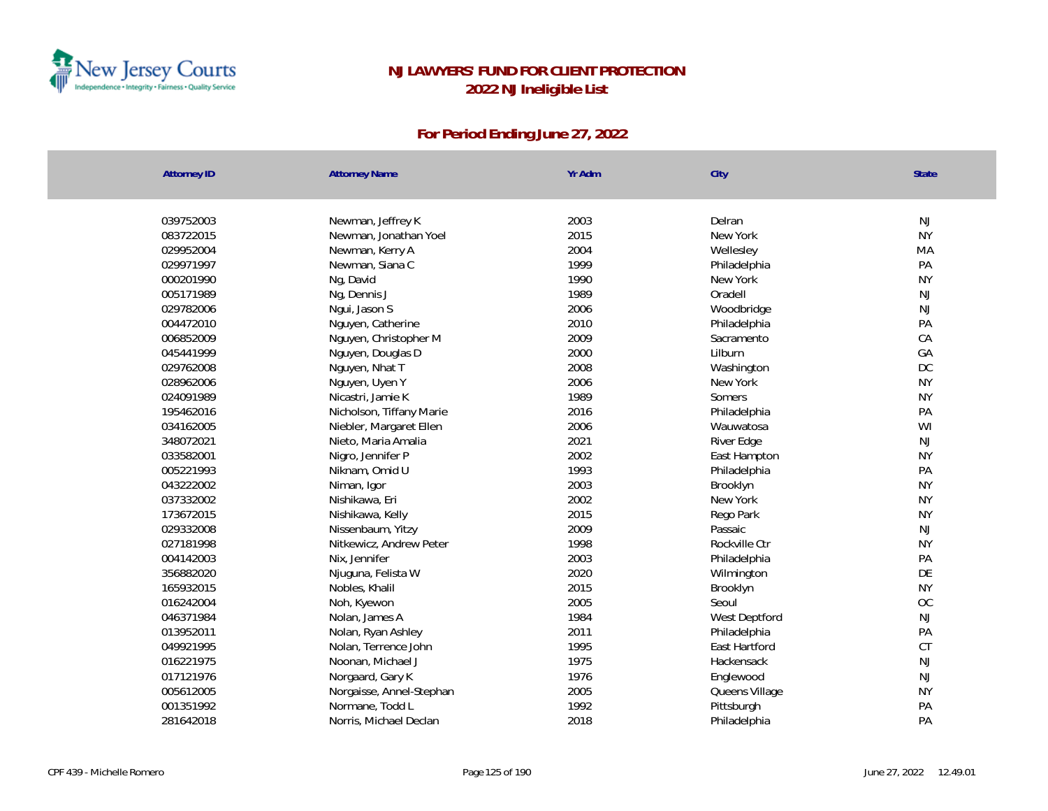

| <b>Attorney ID</b> | <b>Attorney Name</b>     | Yr Adm | City           | State     |
|--------------------|--------------------------|--------|----------------|-----------|
|                    |                          |        |                |           |
| 039752003          | Newman, Jeffrey K        | 2003   | Delran         | NJ        |
| 083722015          | Newman, Jonathan Yoel    | 2015   | New York       | <b>NY</b> |
| 029952004          | Newman, Kerry A          | 2004   | Wellesley      | MA        |
| 029971997          | Newman, Siana C          | 1999   | Philadelphia   | PA        |
| 000201990          | Ng, David                | 1990   | New York       | <b>NY</b> |
| 005171989          | Ng, Dennis J             | 1989   | Oradell        | NJ        |
| 029782006          | Ngui, Jason S            | 2006   | Woodbridge     | NJ        |
| 004472010          | Nguyen, Catherine        | 2010   | Philadelphia   | PA        |
| 006852009          | Nguyen, Christopher M    | 2009   | Sacramento     | CA        |
| 045441999          | Nguyen, Douglas D        | 2000   | Lilburn        | GA        |
| 029762008          | Nguyen, Nhat T           | 2008   | Washington     | DC        |
| 028962006          | Nguyen, Uyen Y           | 2006   | New York       | <b>NY</b> |
| 024091989          | Nicastri, Jamie K        | 1989   | Somers         | <b>NY</b> |
| 195462016          | Nicholson, Tiffany Marie | 2016   | Philadelphia   | PA        |
| 034162005          | Niebler, Margaret Ellen  | 2006   | Wauwatosa      | WI        |
| 348072021          | Nieto, Maria Amalia      | 2021   | River Edge     | <b>NJ</b> |
| 033582001          | Nigro, Jennifer P        | 2002   | East Hampton   | <b>NY</b> |
| 005221993          | Niknam, Omid U           | 1993   | Philadelphia   | PA        |
| 043222002          | Niman, Igor              | 2003   | Brooklyn       | <b>NY</b> |
| 037332002          | Nishikawa, Eri           | 2002   | New York       | <b>NY</b> |
| 173672015          | Nishikawa, Kelly         | 2015   | Rego Park      | <b>NY</b> |
| 029332008          | Nissenbaum, Yitzy        | 2009   | Passaic        | NJ        |
| 027181998          | Nitkewicz, Andrew Peter  | 1998   | Rockville Ctr  | <b>NY</b> |
| 004142003          | Nix, Jennifer            | 2003   | Philadelphia   | PA        |
| 356882020          | Njuguna, Felista W       | 2020   | Wilmington     | DE        |
| 165932015          | Nobles, Khalil           | 2015   | Brooklyn       | <b>NY</b> |
| 016242004          | Noh, Kyewon              | 2005   | Seoul          | <b>OC</b> |
| 046371984          | Nolan, James A           | 1984   | West Deptford  | NJ        |
| 013952011          | Nolan, Ryan Ashley       | 2011   | Philadelphia   | PA        |
| 049921995          | Nolan, Terrence John     | 1995   | East Hartford  | <b>CT</b> |
| 016221975          | Noonan, Michael J        | 1975   | Hackensack     | NJ        |
| 017121976          | Norgaard, Gary K         | 1976   | Englewood      | NJ        |
| 005612005          | Norgaisse, Annel-Stephan | 2005   | Queens Village | <b>NY</b> |
| 001351992          | Normane, Todd L          | 1992   | Pittsburgh     | PA        |
| 281642018          | Norris, Michael Declan   | 2018   | Philadelphia   | PA        |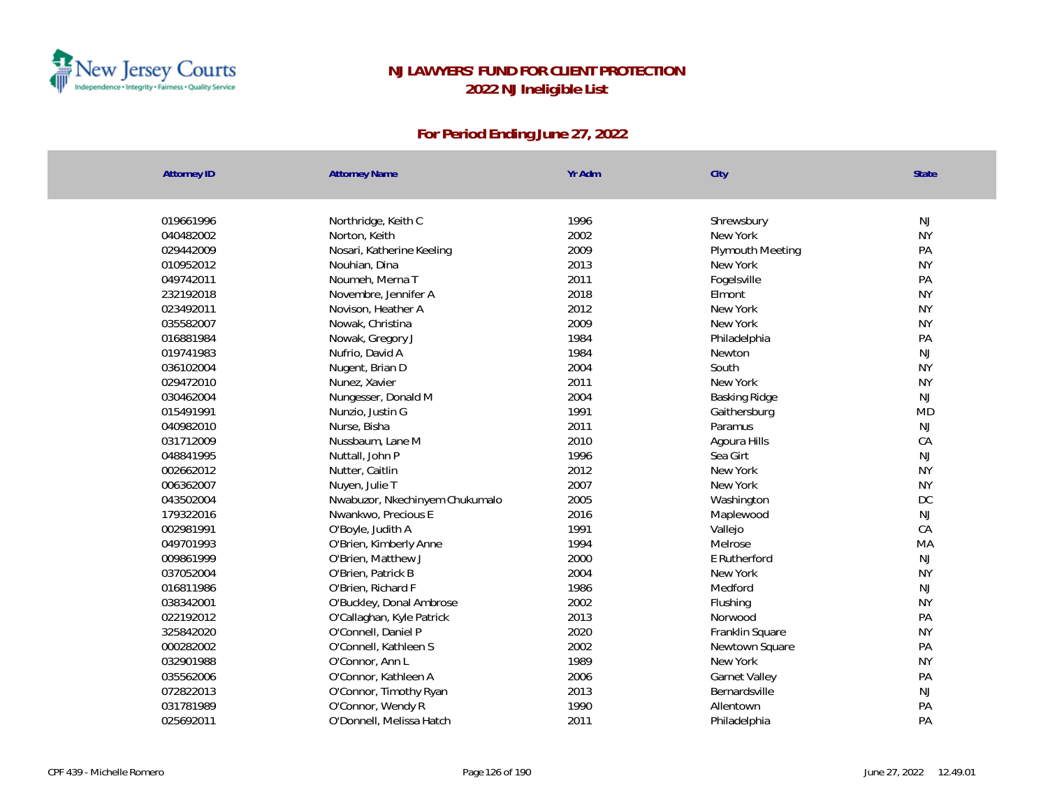

| <b>Attorney ID</b> | <b>Attorney Name</b>           | Yr Adm | City             | State     |
|--------------------|--------------------------------|--------|------------------|-----------|
|                    |                                |        |                  |           |
| 019661996          | Northridge, Keith C            | 1996   | Shrewsbury       | NJ        |
| 040482002          | Norton, Keith                  | 2002   | New York         | <b>NY</b> |
| 029442009          | Nosari, Katherine Keeling      | 2009   | Plymouth Meeting | PA        |
| 010952012          | Nouhian, Dina                  | 2013   | New York         | <b>NY</b> |
| 049742011          | Noumeh, Merna T                | 2011   | Fogelsville      | PA        |
| 232192018          | Novembre, Jennifer A           | 2018   | Elmont           | <b>NY</b> |
| 023492011          | Novison, Heather A             | 2012   | New York         | <b>NY</b> |
| 035582007          | Nowak, Christina               | 2009   | New York         | <b>NY</b> |
| 016881984          | Nowak, Gregory J               | 1984   | Philadelphia     | PA        |
| 019741983          | Nufrio, David A                | 1984   | Newton           | <b>NJ</b> |
| 036102004          | Nugent, Brian D                | 2004   | South            | <b>NY</b> |
| 029472010          | Nunez, Xavier                  | 2011   | New York         | <b>NY</b> |
| 030462004          | Nungesser, Donald M            | 2004   | Basking Ridge    | <b>NJ</b> |
| 015491991          | Nunzio, Justin G               | 1991   | Gaithersburg     | <b>MD</b> |
| 040982010          | Nurse, Bisha                   | 2011   | Paramus          | NJ        |
| 031712009          | Nussbaum, Lane M               | 2010   | Agoura Hills     | CA        |
| 048841995          | Nuttall, John P                | 1996   | Sea Girt         | <b>NJ</b> |
| 002662012          | Nutter, Caitlin                | 2012   | New York         | <b>NY</b> |
| 006362007          | Nuyen, Julie T                 | 2007   | New York         | <b>NY</b> |
| 043502004          | Nwabuzor, Nkechinyem Chukumalo | 2005   | Washington       | DC        |
| 179322016          | Nwankwo, Precious E            | 2016   | Maplewood        | NJ        |
| 002981991          | O'Boyle, Judith A              | 1991   | Vallejo          | CA        |
| 049701993          | O'Brien, Kimberly Anne         | 1994   | Melrose          | MA        |
| 009861999          | O'Brien, Matthew J             | 2000   | E Rutherford     | <b>NJ</b> |
| 037052004          | O'Brien, Patrick B             | 2004   | New York         | <b>NY</b> |
| 016811986          | O'Brien, Richard F             | 1986   | Medford          | <b>NJ</b> |
| 038342001          | O'Buckley, Donal Ambrose       | 2002   | Flushing         | <b>NY</b> |
| 022192012          | O'Callaghan, Kyle Patrick      | 2013   | Norwood          | PA        |
| 325842020          | O'Connell, Daniel P            | 2020   | Franklin Square  | <b>NY</b> |
| 000282002          | O'Connell, Kathleen S          | 2002   | Newtown Square   | PA        |
| 032901988          | O'Connor, Ann L                | 1989   | New York         | <b>NY</b> |
| 035562006          | O'Connor, Kathleen A           | 2006   | Garnet Valley    | PA        |
| 072822013          | O'Connor, Timothy Ryan         | 2013   | Bernardsville    | NJ        |
| 031781989          | O'Connor, Wendy R              | 1990   | Allentown        | PA        |
| 025692011          | O'Donnell, Melissa Hatch       | 2011   | Philadelphia     | PA        |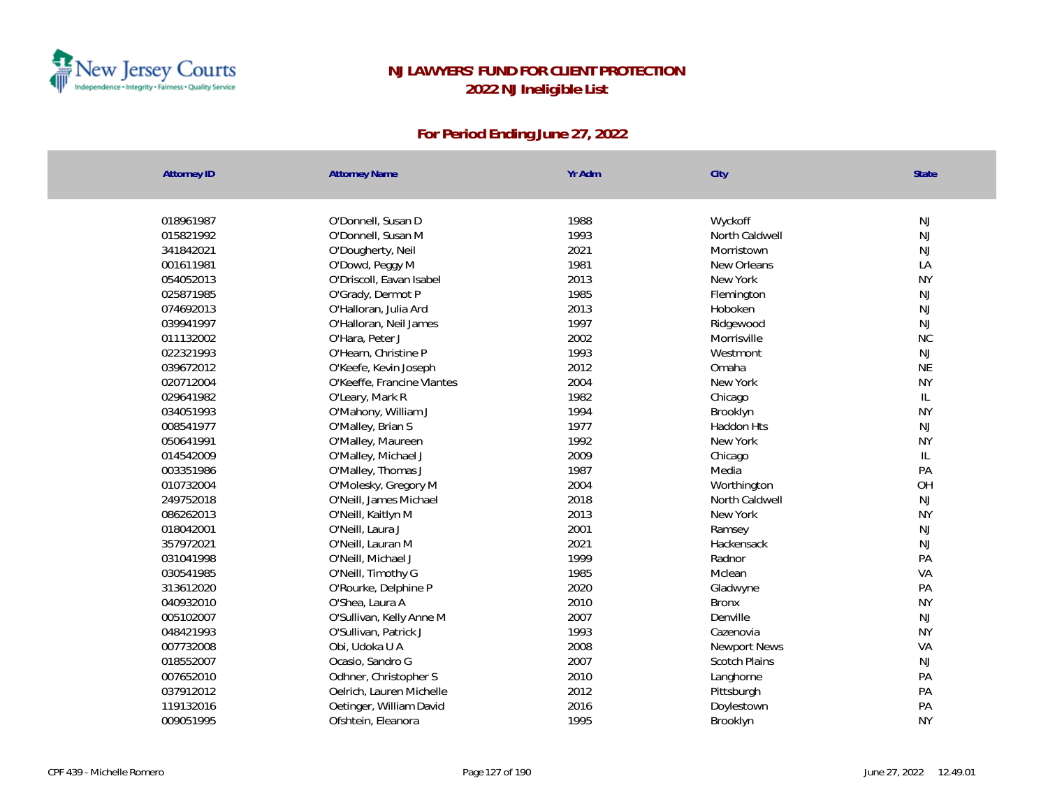

| <b>Attorney ID</b> | <b>Attorney Name</b>       | Yr Adm | City                 | <b>State</b>  |
|--------------------|----------------------------|--------|----------------------|---------------|
|                    |                            |        |                      |               |
| 018961987          | O'Donnell, Susan D         | 1988   | Wyckoff              | NJ            |
| 015821992          | O'Donnell, Susan M         | 1993   | North Caldwell       | NJ            |
| 341842021          | O'Dougherty, Neil          | 2021   | Morristown           | NJ            |
| 001611981          | O'Dowd, Peggy M            | 1981   | New Orleans          | LA            |
| 054052013          | O'Driscoll, Eavan Isabel   | 2013   | New York             | <b>NY</b>     |
| 025871985          | O'Grady, Dermot P          | 1985   | Flemington           | NJ            |
| 074692013          | O'Halloran, Julia Ard      | 2013   | Hoboken              | NJ            |
| 039941997          | O'Halloran, Neil James     | 1997   | Ridgewood            | NJ            |
| 011132002          | O'Hara, Peter J            | 2002   | Morrisville          | <b>NC</b>     |
| 022321993          | O'Hearn, Christine P       | 1993   | Westmont             | NJ            |
| 039672012          | O'Keefe, Kevin Joseph      | 2012   | Omaha                | <b>NE</b>     |
| 020712004          | O'Keeffe, Francine Vlantes | 2004   | New York             | <b>NY</b>     |
| 029641982          | O'Leary, Mark R            | 1982   | Chicago              | $\mathsf{IL}$ |
| 034051993          | O'Mahony, William J        | 1994   | Brooklyn             | <b>NY</b>     |
| 008541977          | O'Malley, Brian S          | 1977   | <b>Haddon Hts</b>    | NJ            |
| 050641991          | O'Malley, Maureen          | 1992   | New York             | <b>NY</b>     |
| 014542009          | O'Malley, Michael J        | 2009   | Chicago              | $\mathsf{IL}$ |
| 003351986          | O'Malley, Thomas J         | 1987   | Media                | PA            |
| 010732004          | O'Molesky, Gregory M       | 2004   | Worthington          | OH            |
| 249752018          | O'Neill, James Michael     | 2018   | North Caldwell       | NJ            |
| 086262013          | O'Neill, Kaitlyn M         | 2013   | New York             | <b>NY</b>     |
| 018042001          | O'Neill, Laura J           | 2001   | Ramsey               | NJ            |
| 357972021          | O'Neill, Lauran M          | 2021   | Hackensack           | NJ            |
| 031041998          | O'Neill, Michael J         | 1999   | Radnor               | PA            |
| 030541985          | O'Neill, Timothy G         | 1985   | Mclean               | VA            |
| 313612020          | O'Rourke, Delphine P       | 2020   | Gladwyne             | PA            |
| 040932010          | O'Shea, Laura A            | 2010   | <b>Bronx</b>         | <b>NY</b>     |
| 005102007          | O'Sullivan, Kelly Anne M   | 2007   | Denville             | NJ            |
| 048421993          | O'Sullivan, Patrick J      | 1993   | Cazenovia            | <b>NY</b>     |
| 007732008          | Obi, Udoka U A             | 2008   | Newport News         | VA            |
| 018552007          | Ocasio, Sandro G           | 2007   | <b>Scotch Plains</b> | NJ            |
| 007652010          | Odhner, Christopher S      | 2010   | Langhorne            | PA            |
| 037912012          | Oelrich, Lauren Michelle   | 2012   | Pittsburgh           | PA            |
| 119132016          | Oetinger, William David    | 2016   | Doylestown           | PA            |
| 009051995          | Ofshtein, Eleanora         | 1995   | Brooklyn             | <b>NY</b>     |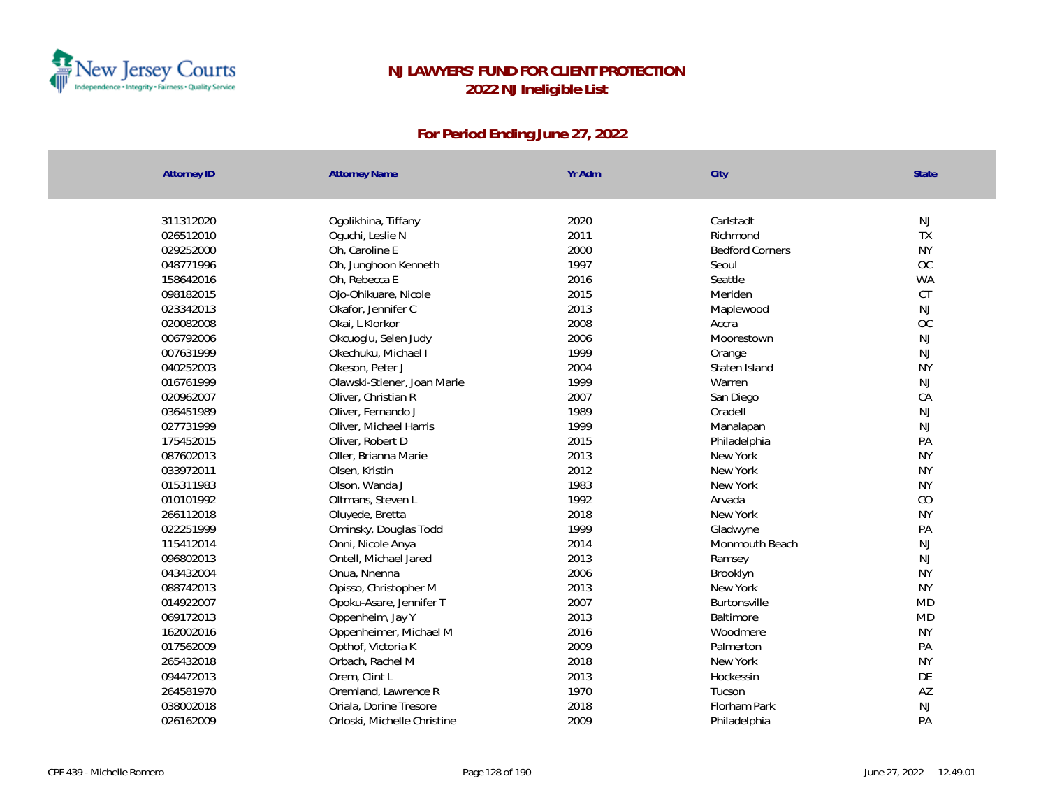

| <b>Attorney ID</b> | <b>Attorney Name</b>        | Yr Adm | City                   | <b>State</b> |
|--------------------|-----------------------------|--------|------------------------|--------------|
| 311312020          | Ogolikhina, Tiffany         | 2020   | Carlstadt              | NJ           |
| 026512010          | Oguchi, Leslie N            | 2011   | Richmond               | <b>TX</b>    |
| 029252000          | Oh, Caroline E              | 2000   | <b>Bedford Corners</b> | <b>NY</b>    |
| 048771996          | Oh, Junghoon Kenneth        | 1997   | Seoul                  | OC           |
| 158642016          | Oh, Rebecca E               | 2016   | Seattle                | <b>WA</b>    |
| 098182015          | Ojo-Ohikuare, Nicole        | 2015   | Meriden                | CT           |
| 023342013          | Okafor, Jennifer C          | 2013   | Maplewood              | <b>NJ</b>    |
| 020082008          | Okai, L Klorkor             | 2008   | Accra                  | OC           |
| 006792006          | Okcuoglu, Selen Judy        | 2006   | Moorestown             | <b>NJ</b>    |
| 007631999          | Okechuku, Michael I         | 1999   | Orange                 | <b>NJ</b>    |
| 040252003          | Okeson, Peter J             | 2004   | Staten Island          | <b>NY</b>    |
| 016761999          | Olawski-Stiener, Joan Marie | 1999   | Warren                 | <b>NJ</b>    |
| 020962007          | Oliver, Christian R         | 2007   | San Diego              | CA           |
| 036451989          | Oliver, Fernando J          | 1989   | Oradell                | <b>NJ</b>    |
| 027731999          | Oliver, Michael Harris      | 1999   | Manalapan              | NJ           |
| 175452015          | Oliver, Robert D            | 2015   | Philadelphia           | PA           |
| 087602013          | Oller, Brianna Marie        | 2013   | New York               | <b>NY</b>    |
| 033972011          | Olsen, Kristin              | 2012   | New York               | <b>NY</b>    |
| 015311983          | Olson, Wanda J              | 1983   | New York               | <b>NY</b>    |
| 010101992          | Oltmans, Steven L           | 1992   | Arvada                 | CO           |
| 266112018          | Oluyede, Bretta             | 2018   | New York               | <b>NY</b>    |
| 022251999          | Ominsky, Douglas Todd       | 1999   | Gladwyne               | PA           |
| 115412014          | Onni, Nicole Anya           | 2014   | Monmouth Beach         | NJ           |
| 096802013          | Ontell, Michael Jared       | 2013   | Ramsey                 | <b>NJ</b>    |
| 043432004          | Onua, Nnenna                | 2006   | Brooklyn               | <b>NY</b>    |
| 088742013          | Opisso, Christopher M       | 2013   | New York               | <b>NY</b>    |
| 014922007          | Opoku-Asare, Jennifer T     | 2007   | Burtonsville           | <b>MD</b>    |
| 069172013          | Oppenheim, Jay Y            | 2013   | Baltimore              | <b>MD</b>    |
| 162002016          | Oppenheimer, Michael M      | 2016   | Woodmere               | <b>NY</b>    |
| 017562009          | Opthof, Victoria K          | 2009   | Palmerton              | PA           |
| 265432018          | Orbach, Rachel M            | 2018   | New York               | <b>NY</b>    |
| 094472013          | Orem, Clint L               | 2013   | Hockessin              | DE           |
| 264581970          | Oremland, Lawrence R        | 1970   | Tucson                 | AZ           |
| 038002018          | Oriala, Dorine Tresore      | 2018   | Florham Park           | NJ           |
| 026162009          | Orloski, Michelle Christine | 2009   | Philadelphia           | PA           |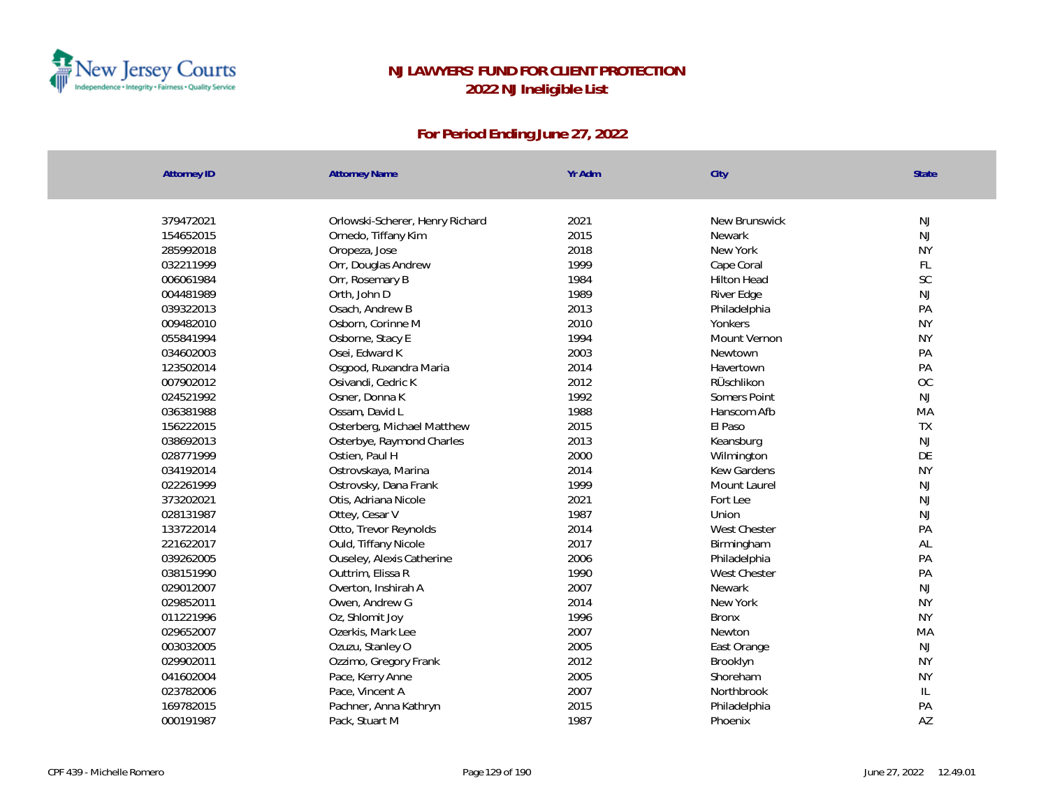

| <b>Attorney ID</b> | <b>Attorney Name</b>            | Yr Adm | City               | <b>State</b>  |
|--------------------|---------------------------------|--------|--------------------|---------------|
|                    |                                 |        |                    |               |
| 379472021          | Orlowski-Scherer, Henry Richard | 2021   | New Brunswick      | <b>NJ</b>     |
| 154652015          | Ornedo, Tiffany Kim             | 2015   | Newark             | NJ            |
| 285992018          | Oropeza, Jose                   | 2018   | New York           | <b>NY</b>     |
| 032211999          | Orr, Douglas Andrew             | 1999   | Cape Coral         | FL.           |
| 006061984          | Orr, Rosemary B                 | 1984   | <b>Hilton Head</b> | SC            |
| 004481989          | Orth, John D                    | 1989   | River Edge         | NJ            |
| 039322013          | Osach, Andrew B                 | 2013   | Philadelphia       | PA            |
| 009482010          | Osborn, Corinne M               | 2010   | Yonkers            | <b>NY</b>     |
| 055841994          | Osborne, Stacy E                | 1994   | Mount Vernon       | <b>NY</b>     |
| 034602003          | Osei, Edward K                  | 2003   | Newtown            | PA            |
| 123502014          | Osgood, Ruxandra Maria          | 2014   | Havertown          | PA            |
| 007902012          | Osivandi, Cedric K              | 2012   | RÜschlikon         | OC            |
| 024521992          | Osner, Donna K                  | 1992   | Somers Point       | NJ            |
| 036381988          | Ossam, David L                  | 1988   | Hanscom Afb        | MA            |
| 156222015          | Osterberg, Michael Matthew      | 2015   | El Paso            | TX            |
| 038692013          | Osterbye, Raymond Charles       | 2013   | Keansburg          | NJ            |
| 028771999          | Ostien, Paul H                  | 2000   | Wilmington         | DE            |
| 034192014          | Ostrovskaya, Marina             | 2014   | Kew Gardens        | <b>NY</b>     |
| 022261999          | Ostrovsky, Dana Frank           | 1999   | Mount Laurel       | $\mathsf{NJ}$ |
| 373202021          | Otis, Adriana Nicole            | 2021   | Fort Lee           | NJ            |
| 028131987          | Ottey, Cesar V                  | 1987   | Union              | NJ            |
| 133722014          | Otto, Trevor Reynolds           | 2014   | West Chester       | PA            |
| 221622017          | Ould, Tiffany Nicole            | 2017   | Birmingham         | AL            |
| 039262005          | Ouseley, Alexis Catherine       | 2006   | Philadelphia       | PA            |
| 038151990          | Outtrim, Elissa R               | 1990   | West Chester       | PA            |
| 029012007          | Overton, Inshirah A             | 2007   | Newark             | <b>NJ</b>     |
| 029852011          | Owen, Andrew G                  | 2014   | New York           | <b>NY</b>     |
| 011221996          | Oz, Shlomit Joy                 | 1996   | <b>Bronx</b>       | <b>NY</b>     |
| 029652007          | Ozerkis, Mark Lee               | 2007   | Newton             | MA            |
| 003032005          | Ozuzu, Stanley O                | 2005   | East Orange        | <b>NJ</b>     |
| 029902011          | Ozzimo, Gregory Frank           | 2012   | Brooklyn           | <b>NY</b>     |
| 041602004          | Pace, Kerry Anne                | 2005   | Shoreham           | <b>NY</b>     |
| 023782006          | Pace, Vincent A                 | 2007   | Northbrook         | $\mathsf{IL}$ |
| 169782015          | Pachner, Anna Kathryn           | 2015   | Philadelphia       | PA            |
| 000191987          | Pack, Stuart M                  | 1987   | Phoenix            | AZ            |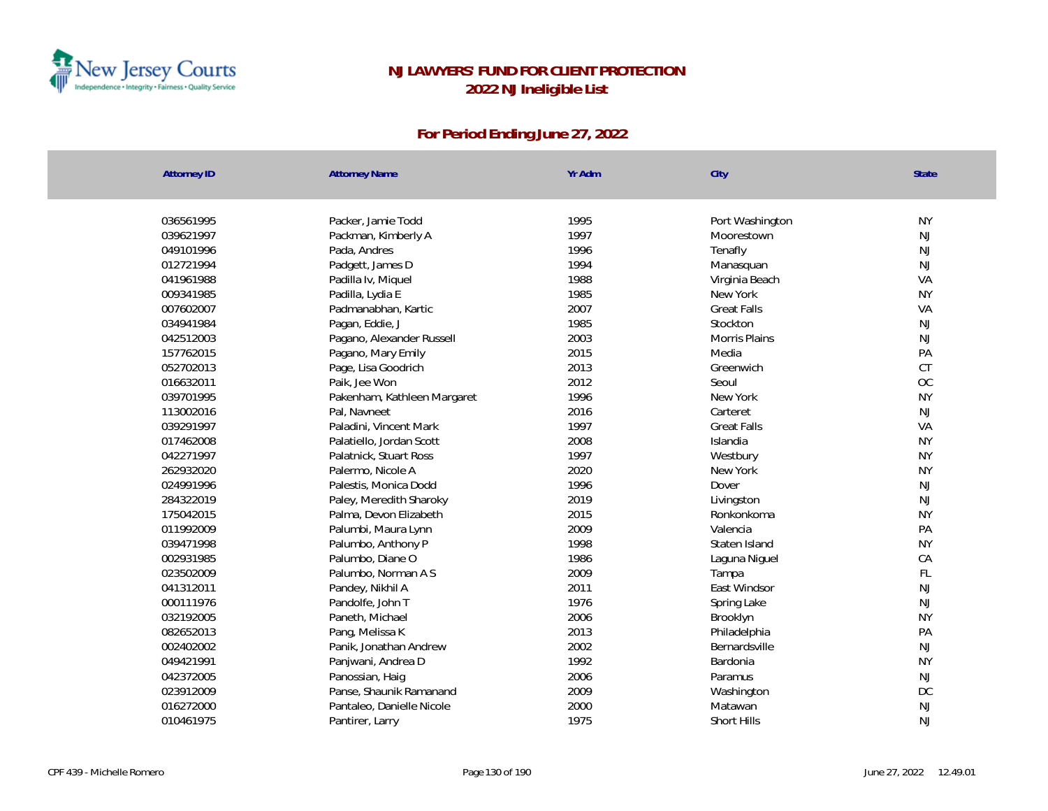

| <b>Attorney ID</b> | <b>Attorney Name</b>        | Yr Adm | City               | State     |
|--------------------|-----------------------------|--------|--------------------|-----------|
|                    |                             |        |                    |           |
| 036561995          | Packer, Jamie Todd          | 1995   | Port Washington    | <b>NY</b> |
| 039621997          | Packman, Kimberly A         | 1997   | Moorestown         | NJ        |
| 049101996          | Pada, Andres                | 1996   | Tenafly            | NJ        |
| 012721994          | Padgett, James D            | 1994   | Manasquan          | NJ        |
| 041961988          | Padilla Iv, Miquel          | 1988   | Virginia Beach     | VA        |
| 009341985          | Padilla, Lydia E            | 1985   | New York           | <b>NY</b> |
| 007602007          | Padmanabhan, Kartic         | 2007   | <b>Great Falls</b> | VA        |
| 034941984          | Pagan, Eddie, J             | 1985   | Stockton           | NJ        |
| 042512003          | Pagano, Alexander Russell   | 2003   | Morris Plains      | NJ        |
| 157762015          | Pagano, Mary Emily          | 2015   | Media              | PA        |
| 052702013          | Page, Lisa Goodrich         | 2013   | Greenwich          | <b>CT</b> |
| 016632011          | Paik, Jee Won               | 2012   | Seoul              | OC        |
| 039701995          | Pakenham, Kathleen Margaret | 1996   | New York           | <b>NY</b> |
| 113002016          | Pal, Navneet                | 2016   | Carteret           | NJ        |
| 039291997          | Paladini, Vincent Mark      | 1997   | <b>Great Falls</b> | VA        |
| 017462008          | Palatiello, Jordan Scott    | 2008   | Islandia           | <b>NY</b> |
| 042271997          | Palatnick, Stuart Ross      | 1997   | Westbury           | <b>NY</b> |
| 262932020          | Palermo, Nicole A           | 2020   | New York           | <b>NY</b> |
| 024991996          | Palestis, Monica Dodd       | 1996   | Dover              | NJ        |
| 284322019          | Paley, Meredith Sharoky     | 2019   | Livingston         | NJ        |
| 175042015          | Palma, Devon Elizabeth      | 2015   | Ronkonkoma         | <b>NY</b> |
| 011992009          | Palumbi, Maura Lynn         | 2009   | Valencia           | PA        |
| 039471998          | Palumbo, Anthony P          | 1998   | Staten Island      | <b>NY</b> |
| 002931985          | Palumbo, Diane O            | 1986   | Laguna Niguel      | CA        |
| 023502009          | Palumbo, Norman A S         | 2009   | Tampa              | FL        |
| 041312011          | Pandey, Nikhil A            | 2011   | East Windsor       | NJ        |
| 000111976          | Pandolfe, John T            | 1976   | Spring Lake        | NJ        |
| 032192005          | Paneth, Michael             | 2006   | Brooklyn           | <b>NY</b> |
| 082652013          | Pang, Melissa K             | 2013   | Philadelphia       | PA        |
| 002402002          | Panik, Jonathan Andrew      | 2002   | Bernardsville      | NJ        |
| 049421991          | Panjwani, Andrea D          | 1992   | Bardonia           | <b>NY</b> |
| 042372005          | Panossian, Haig             | 2006   | Paramus            | NJ        |
| 023912009          | Panse, Shaunik Ramanand     | 2009   | Washington         | DC        |
| 016272000          | Pantaleo, Danielle Nicole   | 2000   | Matawan            | NJ        |
| 010461975          | Pantirer, Larry             | 1975   | Short Hills        | NJ        |
|                    |                             |        |                    |           |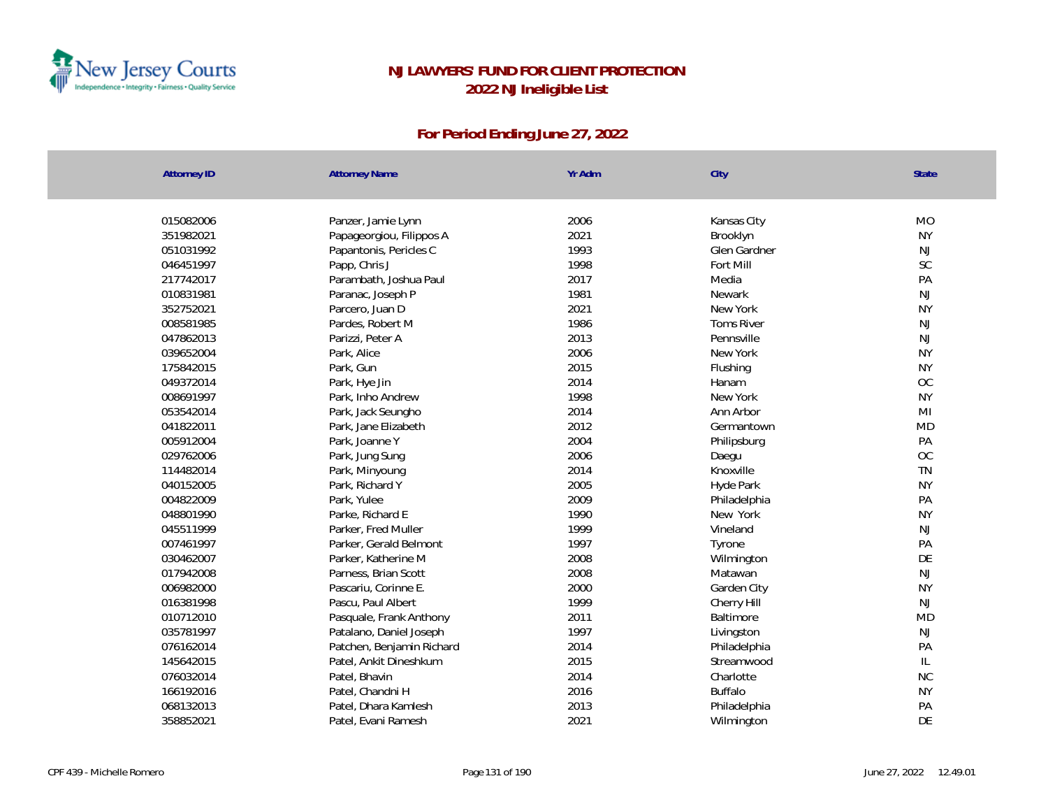

| <b>Attorney ID</b> | <b>Attorney Name</b>      | Yr Adm | City              | State          |
|--------------------|---------------------------|--------|-------------------|----------------|
|                    |                           |        |                   |                |
| 015082006          | Panzer, Jamie Lynn        | 2006   | Kansas City       | <b>MO</b>      |
| 351982021          | Papageorgiou, Filippos A  | 2021   | Brooklyn          | <b>NY</b>      |
| 051031992          | Papantonis, Pericles C    | 1993   | Glen Gardner      | <b>NJ</b>      |
| 046451997          | Papp, Chris J             | 1998   | Fort Mill         | SC             |
| 217742017          | Parambath, Joshua Paul    | 2017   | Media             | PA             |
| 010831981          | Paranac, Joseph P         | 1981   | Newark            | NJ             |
| 352752021          | Parcero, Juan D           | 2021   | New York          | <b>NY</b>      |
| 008581985          | Pardes, Robert M          | 1986   | <b>Toms River</b> | NJ             |
| 047862013          | Parizzi, Peter A          | 2013   | Pennsville        | <b>NJ</b>      |
| 039652004          | Park, Alice               | 2006   | New York          | <b>NY</b>      |
| 175842015          | Park, Gun                 | 2015   | Flushing          | <b>NY</b>      |
| 049372014          | Park, Hye Jin             | 2014   | Hanam             | OC             |
| 008691997          | Park, Inho Andrew         | 1998   | New York          | <b>NY</b>      |
| 053542014          | Park, Jack Seungho        | 2014   | Ann Arbor         | M <sub>l</sub> |
| 041822011          | Park, Jane Elizabeth      | 2012   | Germantown        | <b>MD</b>      |
| 005912004          | Park, Joanne Y            | 2004   | Philipsburg       | PA             |
| 029762006          | Park, Jung Sung           | 2006   | Daegu             | <b>OC</b>      |
| 114482014          | Park, Minyoung            | 2014   | Knoxville         | TN             |
| 040152005          | Park, Richard Y           | 2005   | Hyde Park         | <b>NY</b>      |
| 004822009          | Park, Yulee               | 2009   | Philadelphia      | PA             |
| 048801990          | Parke, Richard E          | 1990   | New York          | <b>NY</b>      |
| 045511999          | Parker, Fred Muller       | 1999   | Vineland          | <b>NJ</b>      |
| 007461997          | Parker, Gerald Belmont    | 1997   | Tyrone            | PA             |
| 030462007          | Parker, Katherine M       | 2008   | Wilmington        | DE             |
| 017942008          | Parness, Brian Scott      | 2008   | Matawan           | NJ             |
| 006982000          | Pascariu, Corinne E.      | 2000   | Garden City       | <b>NY</b>      |
| 016381998          | Pascu, Paul Albert        | 1999   | Cherry Hill       | <b>NJ</b>      |
| 010712010          | Pasquale, Frank Anthony   | 2011   | Baltimore         | <b>MD</b>      |
| 035781997          | Patalano, Daniel Joseph   | 1997   | Livingston        | <b>NJ</b>      |
| 076162014          | Patchen, Benjamin Richard | 2014   | Philadelphia      | PA             |
| 145642015          | Patel, Ankit Dineshkum    | 2015   | Streamwood        | $\mathsf{IL}$  |
| 076032014          | Patel, Bhavin             | 2014   | Charlotte         | NC             |
| 166192016          | Patel, Chandni H          | 2016   | <b>Buffalo</b>    | <b>NY</b>      |
| 068132013          | Patel, Dhara Kamlesh      | 2013   | Philadelphia      | PA             |
| 358852021          | Patel, Evani Ramesh       | 2021   | Wilmington        | DE             |
|                    |                           |        |                   |                |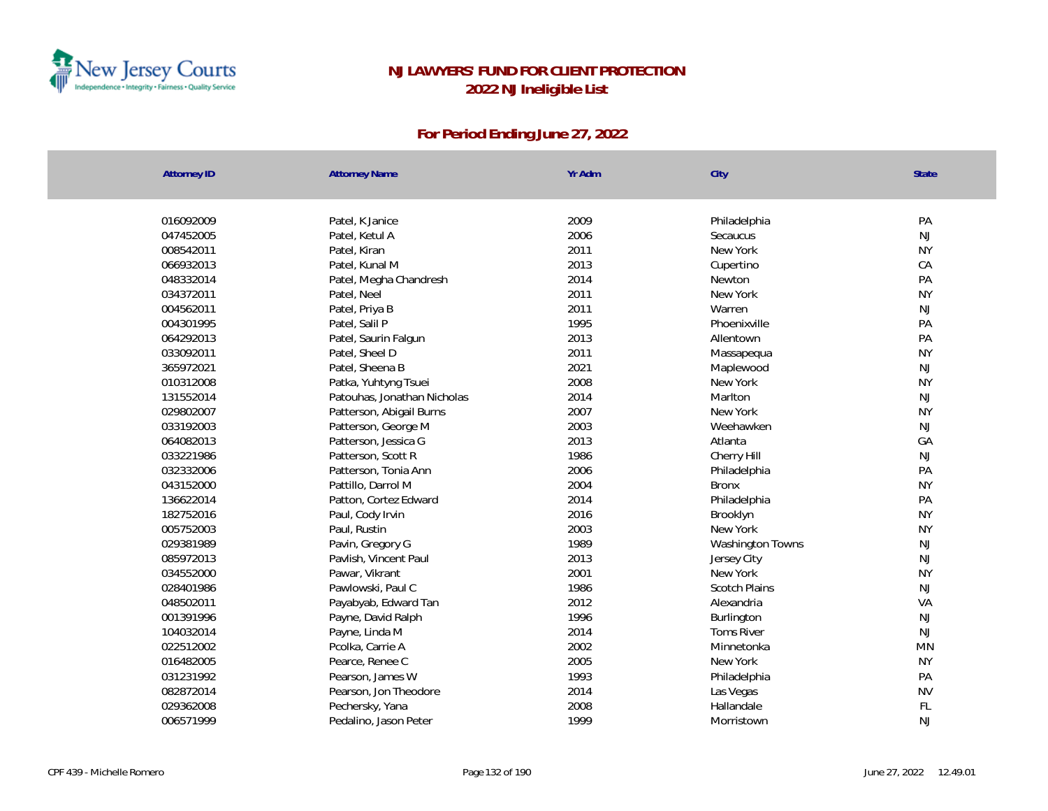

| <b>Attorney ID</b> | <b>Attorney Name</b>        | Yr Adm | City                 | State     |
|--------------------|-----------------------------|--------|----------------------|-----------|
|                    |                             |        |                      |           |
| 016092009          | Patel, K Janice             | 2009   | Philadelphia         | PA        |
| 047452005          | Patel, Ketul A              | 2006   | Secaucus             | NJ        |
| 008542011          | Patel, Kiran                | 2011   | New York             | <b>NY</b> |
| 066932013          | Patel, Kunal M              | 2013   | Cupertino            | CA        |
| 048332014          | Patel, Megha Chandresh      | 2014   | Newton               | PA        |
| 034372011          | Patel, Neel                 | 2011   | New York             | <b>NY</b> |
| 004562011          | Patel, Priya B              | 2011   | Warren               | <b>NJ</b> |
| 004301995          | Patel, Salil P              | 1995   | Phoenixville         | PA        |
| 064292013          | Patel, Saurin Falgun        | 2013   | Allentown            | PA        |
| 033092011          | Patel, Sheel D              | 2011   | Massapequa           | <b>NY</b> |
| 365972021          | Patel, Sheena B             | 2021   | Maplewood            | <b>NJ</b> |
| 010312008          | Patka, Yuhtyng Tsuei        | 2008   | New York             | <b>NY</b> |
| 131552014          | Patouhas, Jonathan Nicholas | 2014   | Marlton              | <b>NJ</b> |
| 029802007          | Patterson, Abigail Burns    | 2007   | New York             | <b>NY</b> |
| 033192003          | Patterson, George M         | 2003   | Weehawken            | <b>NJ</b> |
| 064082013          | Patterson, Jessica G        | 2013   | Atlanta              | GA        |
| 033221986          | Patterson, Scott R          | 1986   | Cherry Hill          | NJ        |
| 032332006          | Patterson, Tonia Ann        | 2006   | Philadelphia         | PA        |
| 043152000          | Pattillo, Darrol M          | 2004   | <b>Bronx</b>         | <b>NY</b> |
| 136622014          | Patton, Cortez Edward       | 2014   | Philadelphia         | PA        |
| 182752016          | Paul, Cody Irvin            | 2016   | Brooklyn             | <b>NY</b> |
| 005752003          | Paul, Rustin                | 2003   | New York             | <b>NY</b> |
| 029381989          | Pavin, Gregory G            | 1989   | Washington Towns     | <b>NJ</b> |
| 085972013          | Pavlish, Vincent Paul       | 2013   | Jersey City          | <b>NJ</b> |
| 034552000          | Pawar, Vikrant              | 2001   | New York             | <b>NY</b> |
| 028401986          | Pawlowski, Paul C           | 1986   | <b>Scotch Plains</b> | NJ        |
| 048502011          | Payabyab, Edward Tan        | 2012   | Alexandria           | VA        |
| 001391996          | Payne, David Ralph          | 1996   | Burlington           | <b>NJ</b> |
| 104032014          | Payne, Linda M              | 2014   | <b>Toms River</b>    | NJ        |
| 022512002          | Pcolka, Carrie A            | 2002   | Minnetonka           | <b>MN</b> |
| 016482005          | Pearce, Renee C             | 2005   | New York             | <b>NY</b> |
| 031231992          | Pearson, James W            | 1993   | Philadelphia         | PA        |
| 082872014          | Pearson, Jon Theodore       | 2014   | Las Vegas            | <b>NV</b> |
| 029362008          | Pechersky, Yana             | 2008   | Hallandale           | FL        |
| 006571999          | Pedalino, Jason Peter       | 1999   | Morristown           | <b>NJ</b> |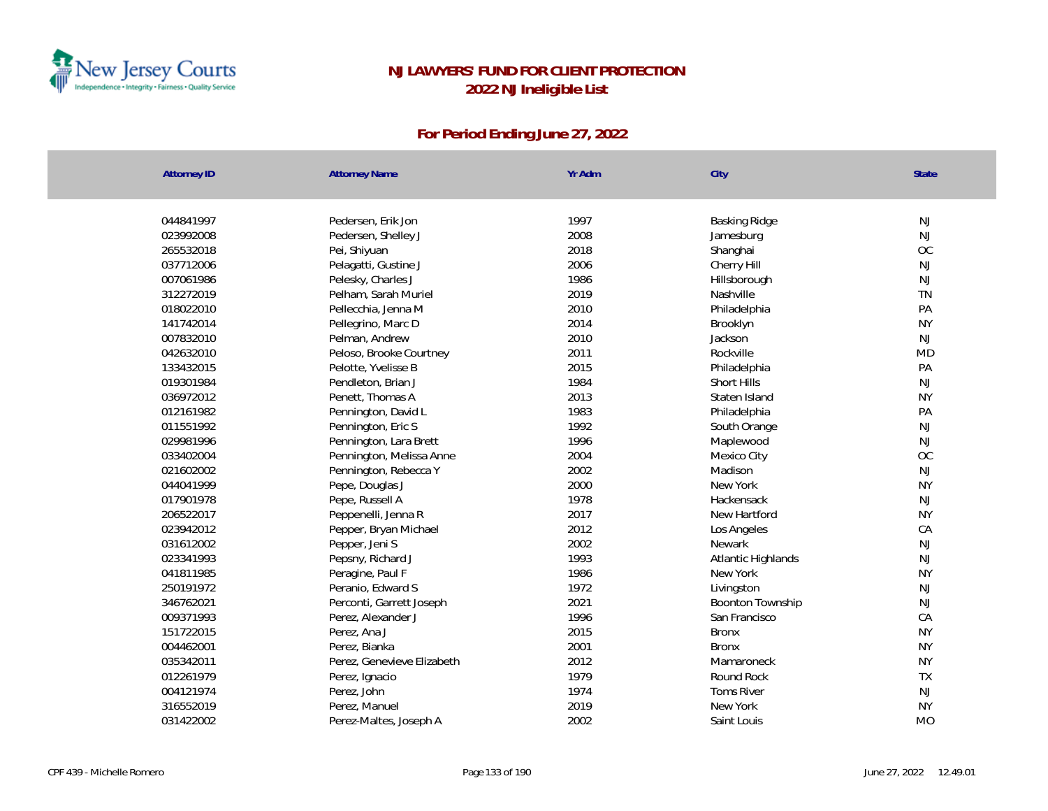

| <b>Attorney ID</b>     | <b>Attorney Name</b>                 | Yr Adm       | City                    | <b>State</b>    |
|------------------------|--------------------------------------|--------------|-------------------------|-----------------|
| 044841997              | Pedersen, Erik Jon                   | 1997         | Basking Ridge           | $\mathsf{NJ}$   |
| 023992008              | Pedersen, Shelley J                  | 2008         |                         | <b>NJ</b>       |
| 265532018              |                                      | 2018         | Jamesburg               | OC              |
| 037712006              | Pei, Shiyuan<br>Pelagatti, Gustine J | 2006         | Shanghai<br>Cherry Hill | $\mathsf{NJ}$   |
| 007061986              | Pelesky, Charles J                   | 1986         | Hillsborough            | <b>NJ</b>       |
| 312272019              | Pelham, Sarah Muriel                 | 2019         | Nashville               | <b>TN</b>       |
| 018022010              | Pellecchia, Jenna M                  | 2010         | Philadelphia            | PA              |
| 141742014              |                                      | 2014         |                         | <b>NY</b>       |
| 007832010              | Pellegrino, Marc D                   | 2010         | Brooklyn                | <b>NJ</b>       |
|                        | Pelman, Andrew                       |              | Jackson                 | <b>MD</b>       |
| 042632010              | Peloso, Brooke Courtney              | 2011<br>2015 | Rockville               | PA              |
| 133432015<br>019301984 | Pelotte, Yvelisse B                  | 1984         | Philadelphia            | <b>NJ</b>       |
|                        | Pendleton, Brian J                   |              | Short Hills             |                 |
| 036972012              | Penett, Thomas A                     | 2013<br>1983 | Staten Island           | <b>NY</b><br>PA |
| 012161982              | Pennington, David L                  |              | Philadelphia            |                 |
| 011551992              | Pennington, Eric S                   | 1992         | South Orange            | NJ              |
| 029981996              | Pennington, Lara Brett               | 1996         | Maplewood               | <b>NJ</b>       |
| 033402004              | Pennington, Melissa Anne             | 2004         | Mexico City             | OC              |
| 021602002              | Pennington, Rebecca Y                | 2002         | Madison                 | <b>NJ</b>       |
| 044041999              | Pepe, Douglas J                      | 2000         | New York                | <b>NY</b>       |
| 017901978              | Pepe, Russell A                      | 1978         | Hackensack              | $\mathsf{NJ}$   |
| 206522017              | Peppenelli, Jenna R                  | 2017         | New Hartford            | <b>NY</b>       |
| 023942012              | Pepper, Bryan Michael                | 2012         | Los Angeles             | CA              |
| 031612002              | Pepper, Jeni S                       | 2002         | Newark                  | NJ              |
| 023341993              | Pepsny, Richard J                    | 1993         | Atlantic Highlands      | <b>NJ</b>       |
| 041811985              | Peragine, Paul F                     | 1986         | New York                | <b>NY</b>       |
| 250191972              | Peranio, Edward S                    | 1972         | Livingston              | NJ              |
| 346762021              | Perconti, Garrett Joseph             | 2021         | <b>Boonton Township</b> | <b>NJ</b>       |
| 009371993              | Perez, Alexander J                   | 1996         | San Francisco           | CA              |
| 151722015              | Perez, Ana J                         | 2015         | <b>Bronx</b>            | <b>NY</b>       |
| 004462001              | Perez, Bianka                        | 2001         | <b>Bronx</b>            | <b>NY</b>       |
| 035342011              | Perez, Genevieve Elizabeth           | 2012         | Mamaroneck              | <b>NY</b>       |
| 012261979              | Perez, Ignacio                       | 1979         | Round Rock              | TX              |
| 004121974              | Perez, John                          | 1974         | <b>Toms River</b>       | <b>NJ</b>       |
| 316552019              | Perez, Manuel                        | 2019         | New York                | <b>NY</b>       |
| 031422002              | Perez-Maltes, Joseph A               | 2002         | Saint Louis             | <b>MO</b>       |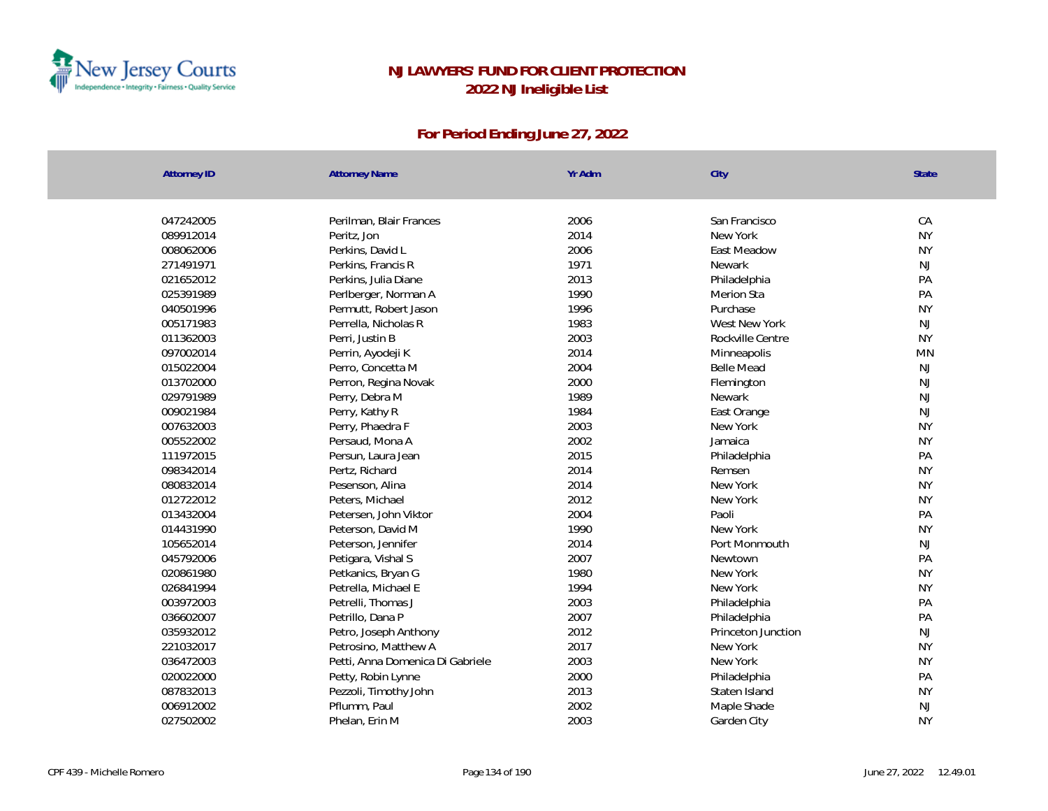

| <b>Attorney ID</b> | <b>Attorney Name</b>    | Yr Adm                                   | City               | State         |
|--------------------|-------------------------|------------------------------------------|--------------------|---------------|
|                    |                         |                                          |                    |               |
| 047242005          | Perilman, Blair Frances | 2006                                     | San Francisco      | CA            |
| 089912014          | Peritz, Jon             | 2014                                     | New York           | <b>NY</b>     |
| 008062006          | Perkins, David L        | 2006                                     | East Meadow        | <b>NY</b>     |
| 271491971          | Perkins, Francis R      | 1971                                     | <b>Newark</b>      | <b>NJ</b>     |
| 021652012          | Perkins, Julia Diane    | 2013                                     | Philadelphia       | PA            |
| 025391989          | Perlberger, Norman A    | 1990                                     | <b>Merion Sta</b>  | PA            |
| 040501996          | Permutt, Robert Jason   | 1996                                     | Purchase           | <b>NY</b>     |
| 005171983          | Perrella, Nicholas R    | 1983                                     | West New York      | $\mathsf{NJ}$ |
| 011362003          | Perri, Justin B         | 2003                                     | Rockville Centre   | <b>NY</b>     |
| 097002014          | Perrin, Ayodeji K       | 2014                                     | Minneapolis        | <b>MN</b>     |
| 015022004          | Perro, Concetta M       | 2004                                     | <b>Belle Mead</b>  | NJ            |
| 013702000          | Perron, Regina Novak    | 2000                                     | Flemington         | NJ            |
| 029791989          | Perry, Debra M          | 1989                                     | Newark             | NJ            |
| 009021984          | Perry, Kathy R          | 1984                                     | East Orange        | NJ            |
| 007632003          | Perry, Phaedra F        | 2003                                     | New York           | <b>NY</b>     |
| 005522002          | Persaud, Mona A         | 2002                                     | Jamaica            | <b>NY</b>     |
| 111972015          | Persun, Laura Jean      | 2015                                     | Philadelphia       | PA            |
| 098342014          | Pertz, Richard          | 2014                                     | Remsen             | <b>NY</b>     |
| 080832014          | Pesenson, Alina         | 2014                                     | New York           | <b>NY</b>     |
| 012722012          | Peters, Michael         | 2012                                     | New York           | <b>NY</b>     |
| 013432004          | Petersen, John Viktor   | 2004                                     | Paoli              | PA            |
| 014431990          | Peterson, David M       | 1990                                     | New York           | <b>NY</b>     |
| 105652014          | Peterson, Jennifer      | 2014                                     | Port Monmouth      | NJ            |
| 045792006          | Petigara, Vishal S      | 2007                                     | Newtown            | PA            |
| 020861980          | Petkanics, Bryan G      | 1980                                     | New York           | <b>NY</b>     |
| 026841994          | Petrella, Michael E     | 1994                                     | New York           | <b>NY</b>     |
| 003972003          | Petrelli, Thomas J      | 2003                                     | Philadelphia       | PA            |
| 036602007          | Petrillo, Dana P        | 2007                                     | Philadelphia       | PA            |
| 035932012          | Petro, Joseph Anthony   | 2012                                     | Princeton Junction | NJ            |
| 221032017          | Petrosino, Matthew A    | 2017                                     | New York           | <b>NY</b>     |
| 036472003          |                         | 2003<br>Petti, Anna Domenica Di Gabriele | New York           | <b>NY</b>     |
| 020022000          | Petty, Robin Lynne      | 2000                                     | Philadelphia       | PA            |
| 087832013          | Pezzoli, Timothy John   | 2013                                     | Staten Island      | <b>NY</b>     |
| 006912002          | Pflumm, Paul            | 2002                                     | Maple Shade        | NJ            |
| 027502002          | Phelan, Erin M          | 2003                                     | Garden City        | <b>NY</b>     |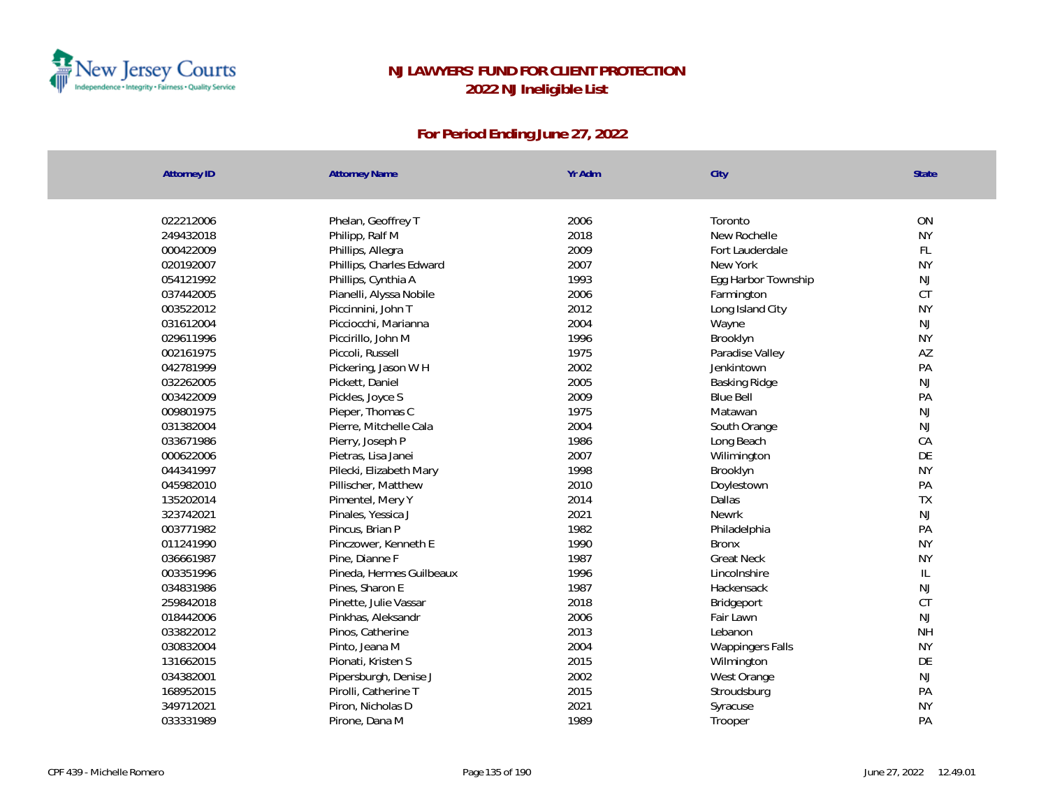

| <b>Attorney ID</b> | <b>Attorney Name</b>     | Yr Adm | City                | State        |
|--------------------|--------------------------|--------|---------------------|--------------|
|                    |                          |        |                     |              |
| 022212006          | Phelan, Geoffrey T       | 2006   | Toronto             | ON           |
| 249432018          | Philipp, Ralf M          | 2018   | New Rochelle        | <b>NY</b>    |
| 000422009          | Phillips, Allegra        | 2009   | Fort Lauderdale     | <b>FL</b>    |
| 020192007          | Phillips, Charles Edward | 2007   | New York            | <b>NY</b>    |
| 054121992          | Phillips, Cynthia A      | 1993   | Egg Harbor Township | NJ           |
| 037442005          | Pianelli, Alyssa Nobile  | 2006   | Farmington          | CT           |
| 003522012          | Piccinnini, John T       | 2012   | Long Island City    | <b>NY</b>    |
| 031612004          | Picciocchi, Marianna     | 2004   | Wayne               | NJ           |
| 029611996          | Piccirillo, John M       | 1996   | Brooklyn            | <b>NY</b>    |
| 002161975          | Piccoli, Russell         | 1975   | Paradise Valley     | AZ           |
| 042781999          | Pickering, Jason W H     | 2002   | Jenkintown          | PA           |
| 032262005          | Pickett, Daniel          | 2005   | Basking Ridge       | NJ           |
| 003422009          | Pickles, Joyce S         | 2009   | <b>Blue Bell</b>    | PA           |
| 009801975          | Pieper, Thomas C         | 1975   | Matawan             | NJ           |
| 031382004          | Pierre, Mitchelle Cala   | 2004   | South Orange        | NJ           |
| 033671986          | Pierry, Joseph P         | 1986   | Long Beach          | CA           |
| 000622006          | Pietras, Lisa Janei      | 2007   | Wilimington         | DE           |
| 044341997          | Pilecki, Elizabeth Mary  | 1998   | Brooklyn            | <b>NY</b>    |
| 045982010          | Pillischer, Matthew      | 2010   | Doylestown          | PA           |
| 135202014          | Pimentel, Mery Y         | 2014   | Dallas              | TX           |
| 323742021          | Pinales, Yessica J       | 2021   | Newrk               | NJ           |
| 003771982          | Pincus, Brian P          | 1982   | Philadelphia        | PA           |
| 011241990          | Pinczower, Kenneth E     | 1990   | <b>Bronx</b>        | <b>NY</b>    |
| 036661987          | Pine, Dianne F           | 1987   | <b>Great Neck</b>   | <b>NY</b>    |
| 003351996          | Pineda, Hermes Guilbeaux | 1996   | Lincolnshire        | $\mathbb{L}$ |
| 034831986          | Pines, Sharon E          | 1987   | Hackensack          | NJ           |
| 259842018          | Pinette, Julie Vassar    | 2018   | Bridgeport          | CT           |
| 018442006          | Pinkhas, Aleksandr       | 2006   | Fair Lawn           | NJ           |
| 033822012          | Pinos, Catherine         | 2013   | Lebanon             | <b>NH</b>    |
| 030832004          | Pinto, Jeana M           | 2004   | Wappingers Falls    | <b>NY</b>    |
| 131662015          | Pionati, Kristen S       | 2015   | Wilmington          | DE           |
| 034382001          | Pipersburgh, Denise J    | 2002   | West Orange         | NJ           |
| 168952015          | Pirolli, Catherine T     | 2015   | Stroudsburg         | PA           |
| 349712021          | Piron, Nicholas D        | 2021   | Syracuse            | <b>NY</b>    |
| 033331989          | Pirone, Dana M           | 1989   | Trooper             | PA           |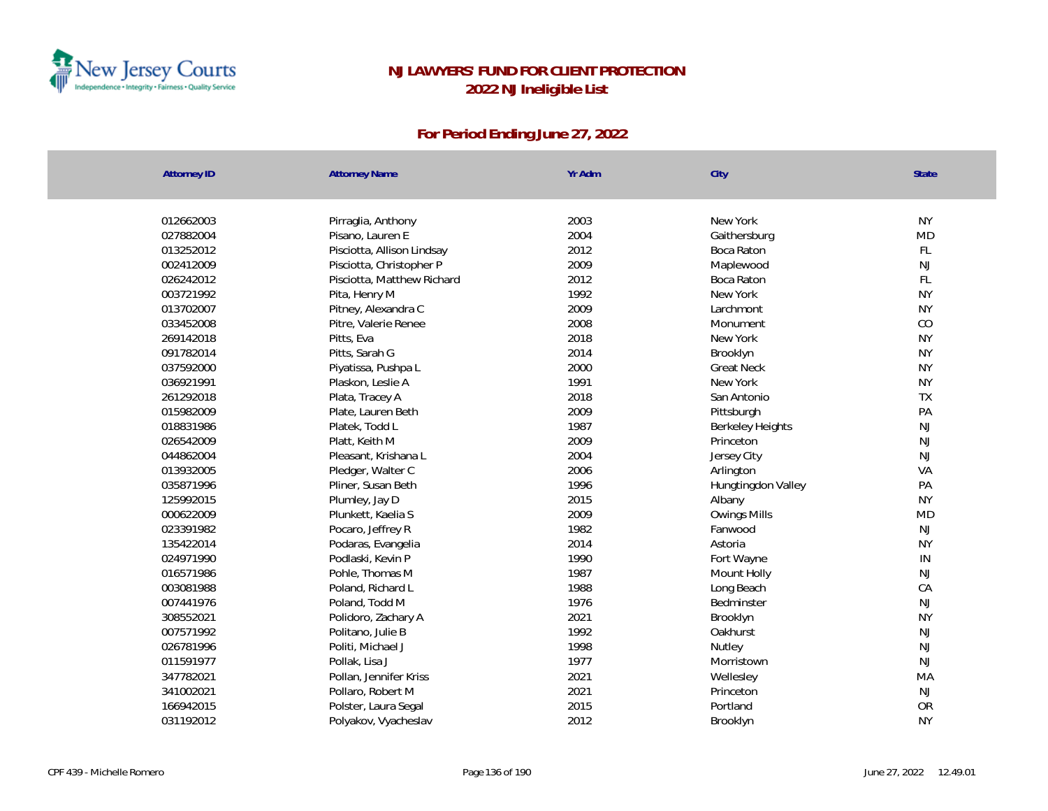

| <b>Attorney ID</b> | <b>Attorney Name</b>       | Yr Adm | City                    | State         |
|--------------------|----------------------------|--------|-------------------------|---------------|
|                    |                            |        |                         |               |
| 012662003          | Pirraglia, Anthony         | 2003   | New York                | <b>NY</b>     |
| 027882004          | Pisano, Lauren E           | 2004   | Gaithersburg            | <b>MD</b>     |
| 013252012          | Pisciotta, Allison Lindsay | 2012   | Boca Raton              | FL            |
| 002412009          | Pisciotta, Christopher P   | 2009   | Maplewood               | $\mathsf{NJ}$ |
| 026242012          | Pisciotta, Matthew Richard | 2012   | Boca Raton              | FL            |
| 003721992          | Pita, Henry M              | 1992   | New York                | <b>NY</b>     |
| 013702007          | Pitney, Alexandra C        | 2009   | Larchmont               | <b>NY</b>     |
| 033452008          | Pitre, Valerie Renee       | 2008   | Monument                | CO            |
| 269142018          | Pitts, Eva                 | 2018   | New York                | <b>NY</b>     |
| 091782014          | Pitts, Sarah G             | 2014   | Brooklyn                | <b>NY</b>     |
| 037592000          | Piyatissa, Pushpa L        | 2000   | <b>Great Neck</b>       | <b>NY</b>     |
| 036921991          | Plaskon, Leslie A          | 1991   | New York                | <b>NY</b>     |
| 261292018          | Plata, Tracey A            | 2018   | San Antonio             | TX            |
| 015982009          | Plate, Lauren Beth         | 2009   | Pittsburgh              | PA            |
| 018831986          | Platek, Todd L             | 1987   | <b>Berkeley Heights</b> | NJ            |
| 026542009          | Platt, Keith M             | 2009   | Princeton               | NJ            |
| 044862004          | Pleasant, Krishana L       | 2004   | Jersey City             | NJ            |
| 013932005          | Pledger, Walter C          | 2006   | Arlington               | VA            |
| 035871996          | Pliner, Susan Beth         | 1996   | Hungtingdon Valley      | PA            |
| 125992015          | Plumley, Jay D             | 2015   | Albany                  | <b>NY</b>     |
| 000622009          | Plunkett, Kaelia S         | 2009   | Owings Mills            | <b>MD</b>     |
| 023391982          | Pocaro, Jeffrey R          | 1982   | Fanwood                 | NJ            |
| 135422014          | Podaras, Evangelia         | 2014   | Astoria                 | <b>NY</b>     |
| 024971990          | Podlaski, Kevin P          | 1990   | Fort Wayne              | IN            |
| 016571986          | Pohle, Thomas M            | 1987   | Mount Holly             | $\mathsf{NJ}$ |
| 003081988          | Poland, Richard L          | 1988   | Long Beach              | CA            |
| 007441976          | Poland, Todd M             | 1976   | Bedminster              | NJ            |
| 308552021          | Polidoro, Zachary A        | 2021   | Brooklyn                | <b>NY</b>     |
| 007571992          | Politano, Julie B          | 1992   | Oakhurst                | NJ            |
| 026781996          | Politi, Michael J          | 1998   | Nutley                  | NJ            |
| 011591977          | Pollak, Lisa J             | 1977   | Morristown              | NJ            |
| 347782021          | Pollan, Jennifer Kriss     | 2021   | Wellesley               | MA            |
| 341002021          | Pollaro, Robert M          | 2021   | Princeton               | NJ            |
| 166942015          | Polster, Laura Segal       | 2015   | Portland                | <b>OR</b>     |
| 031192012          | Polyakov, Vyacheslav       | 2012   | Brooklyn                | <b>NY</b>     |
|                    |                            |        |                         |               |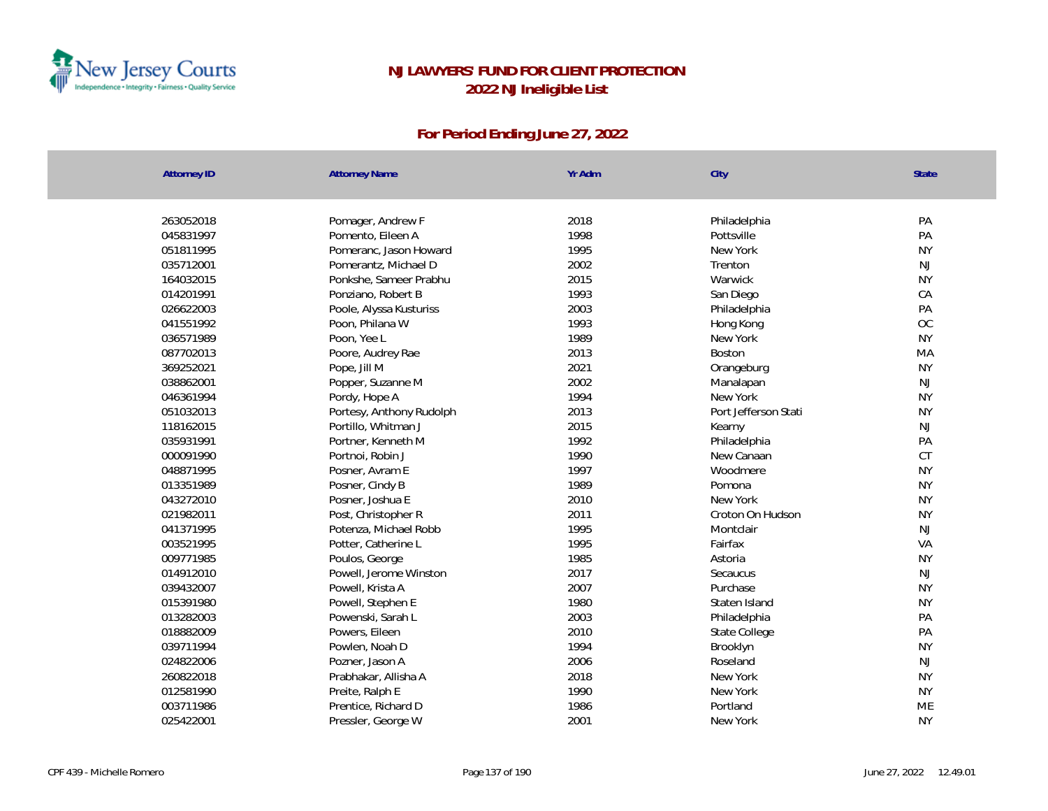

| <b>Attorney ID</b> | <b>Attorney Name</b>     | Yr Adm | City                 | State     |
|--------------------|--------------------------|--------|----------------------|-----------|
|                    |                          |        |                      |           |
| 263052018          | Pomager, Andrew F        | 2018   | Philadelphia         | PA        |
| 045831997          | Pomento, Eileen A        | 1998   | Pottsville           | PA        |
| 051811995          | Pomeranc, Jason Howard   | 1995   | New York             | <b>NY</b> |
| 035712001          | Pomerantz, Michael D     | 2002   | Trenton              | NJ        |
| 164032015          | Ponkshe, Sameer Prabhu   | 2015   | Warwick              | <b>NY</b> |
| 014201991          | Ponziano, Robert B       | 1993   | San Diego            | CA        |
| 026622003          | Poole, Alyssa Kusturiss  | 2003   | Philadelphia         | PA        |
| 041551992          | Poon, Philana W          | 1993   | Hong Kong            | <b>OC</b> |
| 036571989          | Poon, Yee L              | 1989   | New York             | <b>NY</b> |
| 087702013          | Poore, Audrey Rae        | 2013   | Boston               | MA        |
| 369252021          | Pope, Jill M             | 2021   | Orangeburg           | <b>NY</b> |
| 038862001          | Popper, Suzanne M        | 2002   | Manalapan            | NJ        |
| 046361994          | Pordy, Hope A            | 1994   | New York             | <b>NY</b> |
| 051032013          | Portesy, Anthony Rudolph | 2013   | Port Jefferson Stati | <b>NY</b> |
| 118162015          | Portillo, Whitman J      | 2015   | Kearny               | <b>NJ</b> |
| 035931991          | Portner, Kenneth M       | 1992   | Philadelphia         | PA        |
| 000091990          | Portnoi, Robin J         | 1990   | New Canaan           | CT        |
| 048871995          | Posner, Avram E          | 1997   | Woodmere             | <b>NY</b> |
| 013351989          | Posner, Cindy B          | 1989   | Pomona               | <b>NY</b> |
| 043272010          | Posner, Joshua E         | 2010   | New York             | <b>NY</b> |
| 021982011          | Post, Christopher R      | 2011   | Croton On Hudson     | <b>NY</b> |
| 041371995          | Potenza, Michael Robb    | 1995   | Montclair            | <b>NJ</b> |
| 003521995          | Potter, Catherine L      | 1995   | Fairfax              | VA        |
| 009771985          | Poulos, George           | 1985   | Astoria              | <b>NY</b> |
| 014912010          | Powell, Jerome Winston   | 2017   | Secaucus             | NJ        |
| 039432007          | Powell, Krista A         | 2007   | Purchase             | <b>NY</b> |
| 015391980          | Powell, Stephen E        | 1980   | Staten Island        | <b>NY</b> |
| 013282003          | Powenski, Sarah L        | 2003   | Philadelphia         | PA        |
| 018882009          | Powers, Eileen           | 2010   | State College        | PA        |
| 039711994          | Powlen, Noah D           | 1994   | Brooklyn             | <b>NY</b> |
| 024822006          | Pozner, Jason A          | 2006   | Roseland             | NJ        |
| 260822018          | Prabhakar, Allisha A     | 2018   | New York             | <b>NY</b> |
| 012581990          | Preite, Ralph E          | 1990   | New York             | <b>NY</b> |
| 003711986          | Prentice, Richard D      | 1986   | Portland             | ME        |
| 025422001          | Pressler, George W       | 2001   | New York             | <b>NY</b> |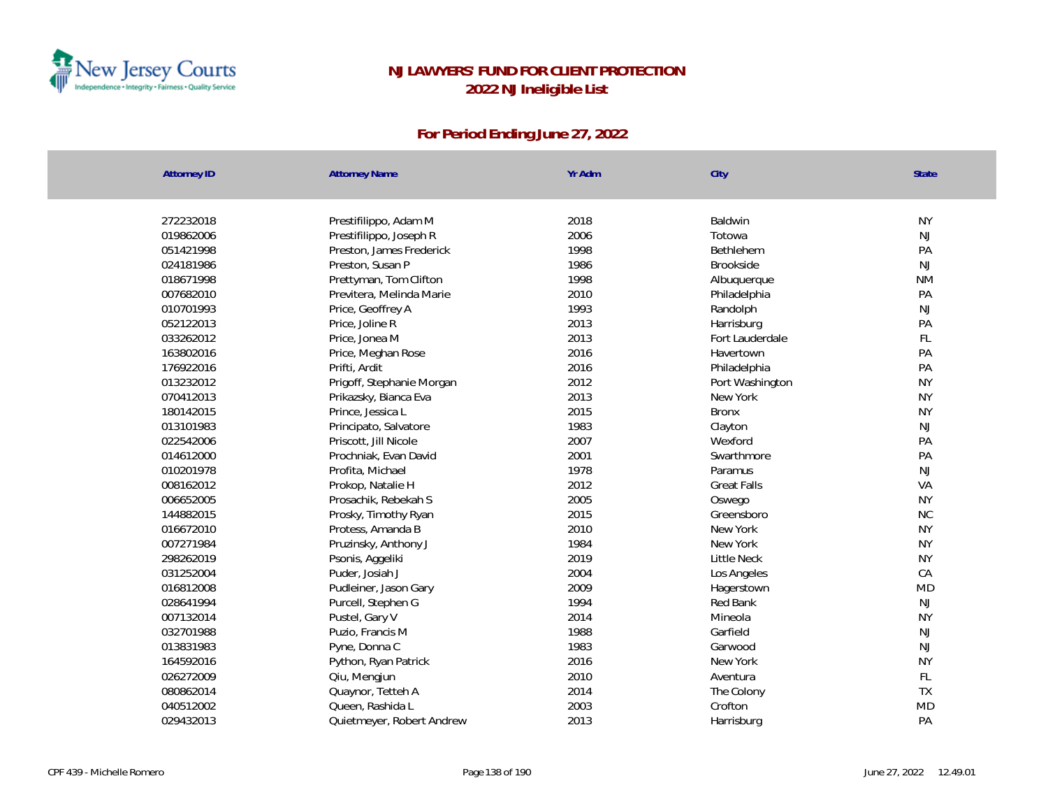

| <b>Attorney ID</b> | <b>Attorney Name</b>      | Yr Adm | City               | State     |
|--------------------|---------------------------|--------|--------------------|-----------|
|                    |                           |        |                    |           |
| 272232018          | Prestifilippo, Adam M     | 2018   | Baldwin            | <b>NY</b> |
| 019862006          | Prestifilippo, Joseph R   | 2006   | Totowa             | <b>NJ</b> |
| 051421998          | Preston, James Frederick  | 1998   | Bethlehem          | PA        |
| 024181986          | Preston, Susan P          | 1986   | Brookside          | <b>NJ</b> |
| 018671998          | Prettyman, Tom Clifton    | 1998   | Albuquerque        | <b>NM</b> |
| 007682010          | Previtera, Melinda Marie  | 2010   | Philadelphia       | PA        |
| 010701993          | Price, Geoffrey A         | 1993   | Randolph           | NJ        |
| 052122013          | Price, Joline R           | 2013   | Harrisburg         | PA        |
| 033262012          | Price, Jonea M            | 2013   | Fort Lauderdale    | FL        |
| 163802016          | Price, Meghan Rose        | 2016   | Havertown          | PA        |
| 176922016          | Prifti, Ardit             | 2016   | Philadelphia       | PA        |
| 013232012          | Prigoff, Stephanie Morgan | 2012   | Port Washington    | <b>NY</b> |
| 070412013          | Prikazsky, Bianca Eva     | 2013   | New York           | <b>NY</b> |
| 180142015          | Prince, Jessica L         | 2015   | <b>Bronx</b>       | <b>NY</b> |
| 013101983          | Principato, Salvatore     | 1983   | Clayton            | <b>NJ</b> |
| 022542006          | Priscott, Jill Nicole     | 2007   | Wexford            | PA        |
| 014612000          | Prochniak, Evan David     | 2001   | Swarthmore         | PA        |
| 010201978          | Profita, Michael          | 1978   | Paramus            | NJ        |
| 008162012          | Prokop, Natalie H         | 2012   | <b>Great Falls</b> | VA        |
| 006652005          | Prosachik, Rebekah S      | 2005   | Oswego             | <b>NY</b> |
| 144882015          | Prosky, Timothy Ryan      | 2015   | Greensboro         | NC        |
| 016672010          | Protess, Amanda B         | 2010   | New York           | <b>NY</b> |
| 007271984          | Pruzinsky, Anthony J      | 1984   | New York           | <b>NY</b> |
| 298262019          | Psonis, Aggeliki          | 2019   | <b>Little Neck</b> | <b>NY</b> |
| 031252004          | Puder, Josiah J           | 2004   | Los Angeles        | CA        |
| 016812008          | Pudleiner, Jason Gary     | 2009   | Hagerstown         | <b>MD</b> |
| 028641994          | Purcell, Stephen G        | 1994   | Red Bank           | NJ        |
| 007132014          | Pustel, Gary V            | 2014   | Mineola            | <b>NY</b> |
| 032701988          | Puzio, Francis M          | 1988   | Garfield           | NJ        |
| 013831983          | Pyne, Donna C             | 1983   | Garwood            | NJ        |
| 164592016          | Python, Ryan Patrick      | 2016   | New York           | <b>NY</b> |
| 026272009          | Qiu, Mengjun              | 2010   | Aventura           | FL        |
| 080862014          | Quaynor, Tetteh A         | 2014   | The Colony         | <b>TX</b> |
| 040512002          | Queen, Rashida L          | 2003   | Crofton            | <b>MD</b> |
| 029432013          | Quietmeyer, Robert Andrew | 2013   | Harrisburg         | PA        |
|                    |                           |        |                    |           |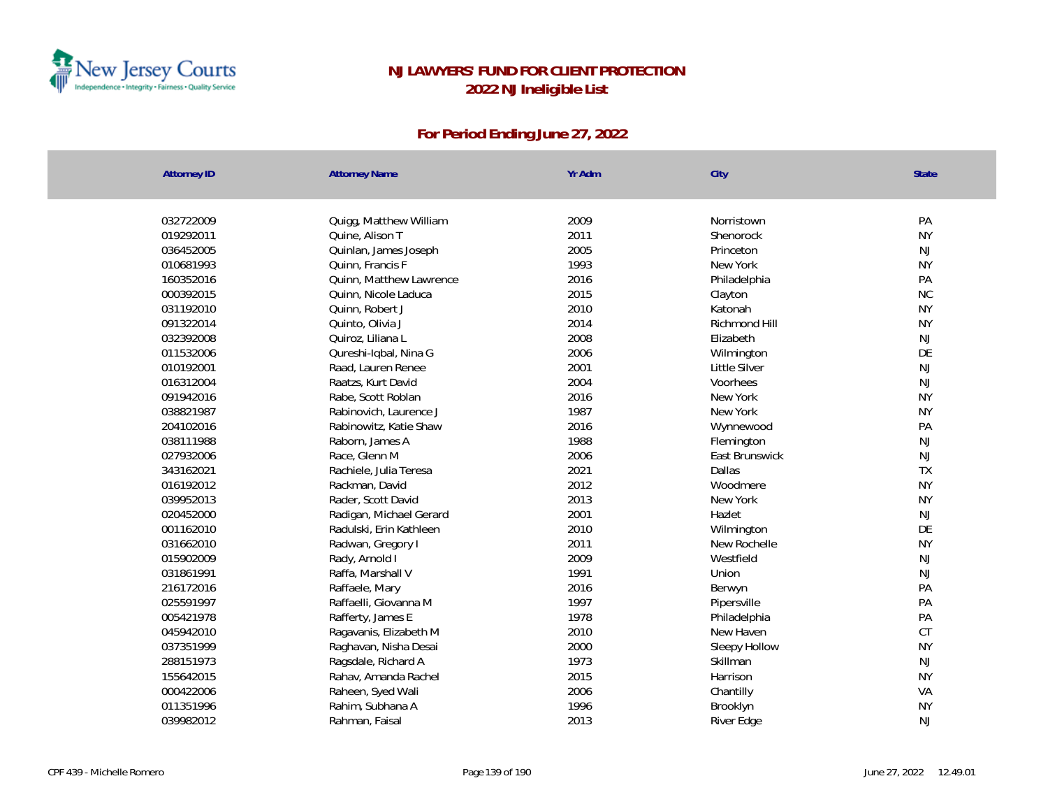

| <b>Attorney ID</b> | <b>Attorney Name</b>    | Yr Adm | City           | State     |
|--------------------|-------------------------|--------|----------------|-----------|
|                    |                         |        |                |           |
| 032722009          | Quigg, Matthew William  | 2009   | Norristown     | PA        |
| 019292011          | Quine, Alison T         | 2011   | Shenorock      | <b>NY</b> |
| 036452005          | Quinlan, James Joseph   | 2005   | Princeton      | <b>NJ</b> |
| 010681993          | Quinn, Francis F        | 1993   | New York       | <b>NY</b> |
| 160352016          | Quinn, Matthew Lawrence | 2016   | Philadelphia   | PA        |
| 000392015          | Quinn, Nicole Laduca    | 2015   | Clayton        | NC        |
| 031192010          | Quinn, Robert J         | 2010   | Katonah        | <b>NY</b> |
| 091322014          | Quinto, Olivia J        | 2014   | Richmond Hill  | <b>NY</b> |
| 032392008          | Quiroz, Liliana L       | 2008   | Elizabeth      | <b>NJ</b> |
| 011532006          | Qureshi-Iqbal, Nina G   | 2006   | Wilmington     | DE        |
| 010192001          | Raad, Lauren Renee      | 2001   | Little Silver  | NJ        |
| 016312004          | Raatzs, Kurt David      | 2004   | Voorhees       | NJ        |
| 091942016          | Rabe, Scott Roblan      | 2016   | New York       | <b>NY</b> |
| 038821987          | Rabinovich, Laurence J  | 1987   | New York       | <b>NY</b> |
| 204102016          | Rabinowitz, Katie Shaw  | 2016   | Wynnewood      | PA        |
| 038111988          | Raborn, James A         | 1988   | Flemington     | <b>NJ</b> |
| 027932006          | Race, Glenn M           | 2006   | East Brunswick | NJ        |
| 343162021          | Rachiele, Julia Teresa  | 2021   | Dallas         | <b>TX</b> |
| 016192012          | Rackman, David          | 2012   | Woodmere       | <b>NY</b> |
| 039952013          | Rader, Scott David      | 2013   | New York       | <b>NY</b> |
| 020452000          | Radigan, Michael Gerard | 2001   | Hazlet         | <b>NJ</b> |
| 001162010          | Radulski, Erin Kathleen | 2010   | Wilmington     | DE        |
| 031662010          | Radwan, Gregory I       | 2011   | New Rochelle   | <b>NY</b> |
| 015902009          | Rady, Arnold I          | 2009   | Westfield      | NJ        |
| 031861991          | Raffa, Marshall V       | 1991   | Union          | NJ        |
| 216172016          | Raffaele, Mary          | 2016   | Berwyn         | PA        |
| 025591997          | Raffaelli, Giovanna M   | 1997   | Pipersville    | PA        |
| 005421978          | Rafferty, James E       | 1978   | Philadelphia   | PA        |
| 045942010          | Ragavanis, Elizabeth M  | 2010   | New Haven      | CT        |
| 037351999          | Raghavan, Nisha Desai   | 2000   | Sleepy Hollow  | <b>NY</b> |
| 288151973          | Ragsdale, Richard A     | 1973   | Skillman       | NJ        |
| 155642015          | Rahav, Amanda Rachel    | 2015   | Harrison       | <b>NY</b> |
| 000422006          | Raheen, Syed Wali       | 2006   | Chantilly      | VA        |
| 011351996          | Rahim, Subhana A        | 1996   | Brooklyn       | <b>NY</b> |
| 039982012          | Rahman, Faisal          | 2013   | River Edge     | <b>NJ</b> |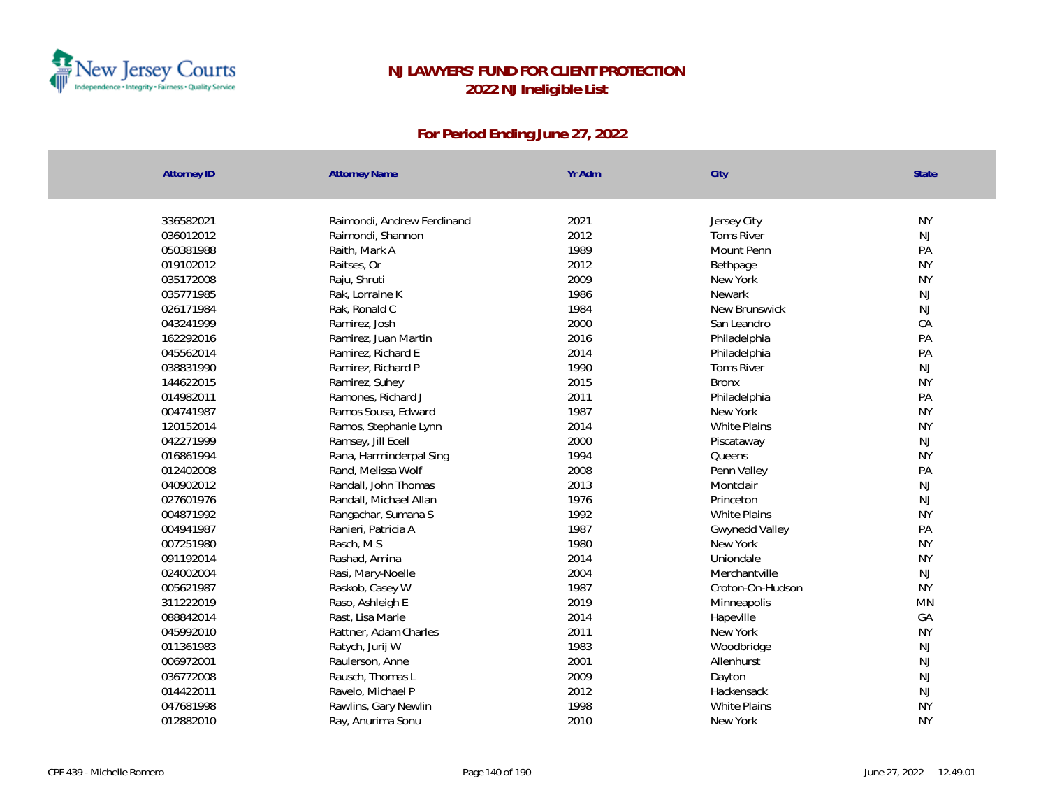

| 336582021<br>Raimondi, Andrew Ferdinand<br>2021<br>Jersey City    | <b>NY</b>     |
|-------------------------------------------------------------------|---------------|
| 2012<br>036012012<br>Raimondi, Shannon<br><b>Toms River</b>       | $\mathsf{NJ}$ |
| 1989<br>050381988<br>Raith, Mark A<br>Mount Penn                  | PA            |
| 2012<br>019102012<br>Raitses, Or<br>Bethpage                      | <b>NY</b>     |
| 2009<br>035172008<br>Raju, Shruti<br>New York                     | <b>NY</b>     |
| 1986<br>035771985<br>Rak, Lorraine K<br>Newark                    | NJ            |
| 1984<br>026171984<br>Rak, Ronald C<br>New Brunswick               | NJ            |
| 2000<br>043241999<br>San Leandro<br>Ramirez, Josh                 | CA            |
| 2016<br>162292016<br>Ramirez, Juan Martin<br>Philadelphia         | PA            |
| 2014<br>045562014<br>Ramirez, Richard E<br>Philadelphia           | PA            |
| 038831990<br>1990<br>Toms River<br>Ramirez, Richard P             | NJ            |
| 2015<br>144622015<br>Ramirez, Suhey<br><b>Bronx</b>               | <b>NY</b>     |
| 014982011<br>2011<br>Ramones, Richard J<br>Philadelphia           | PA            |
| 1987<br>004741987<br>Ramos Sousa, Edward<br>New York              | <b>NY</b>     |
| 120152014<br>2014<br><b>White Plains</b><br>Ramos, Stephanie Lynn | <b>NY</b>     |
| 2000<br>042271999<br>Ramsey, Jill Ecell<br>Piscataway             | <b>NJ</b>     |
| 016861994<br>1994<br>Rana, Harminderpal Sing<br>Queens            | <b>NY</b>     |
| 012402008<br>2008<br>Penn Valley<br>Rand, Melissa Wolf            | PA            |
| 2013<br>040902012<br>Randall, John Thomas<br>Montclair            | $\mathsf{NJ}$ |
| 027601976<br>1976<br>Randall, Michael Allan<br>Princeton          | NJ            |
| 1992<br>004871992<br>White Plains<br>Rangachar, Sumana S          | <b>NY</b>     |
| 1987<br>004941987<br>Ranieri, Patricia A<br>Gwynedd Valley        | PA            |
| 1980<br>007251980<br>Rasch, MS<br>New York                        | <b>NY</b>     |
| 2014<br>091192014<br>Rashad, Amina<br>Uniondale                   | <b>NY</b>     |
| 2004<br>024002004<br>Merchantville<br>Rasi, Mary-Noelle           | NJ            |
| 1987<br>005621987<br>Raskob, Casey W<br>Croton-On-Hudson          | <b>NY</b>     |
| 2019<br>311222019<br>Raso, Ashleigh E<br>Minneapolis              | MN            |
| 2014<br>088842014<br>Rast, Lisa Marie<br>Hapeville                | GA            |
| 2011<br>045992010<br>Rattner, Adam Charles<br>New York            | <b>NY</b>     |
| 011361983<br>1983<br>Ratych, Jurij W<br>Woodbridge                | NJ            |
| 2001<br>006972001<br>Raulerson, Anne<br>Allenhurst                | NJ            |
| 2009<br>036772008<br>Rausch, Thomas L<br>Dayton                   | NJ            |
| 014422011<br>2012<br>Ravelo, Michael P<br>Hackensack              | NJ            |
| 1998<br>047681998<br>Rawlins, Gary Newlin<br><b>White Plains</b>  | <b>NY</b>     |
| 2010<br>012882010<br>New York<br>Ray, Anurima Sonu                | <b>NY</b>     |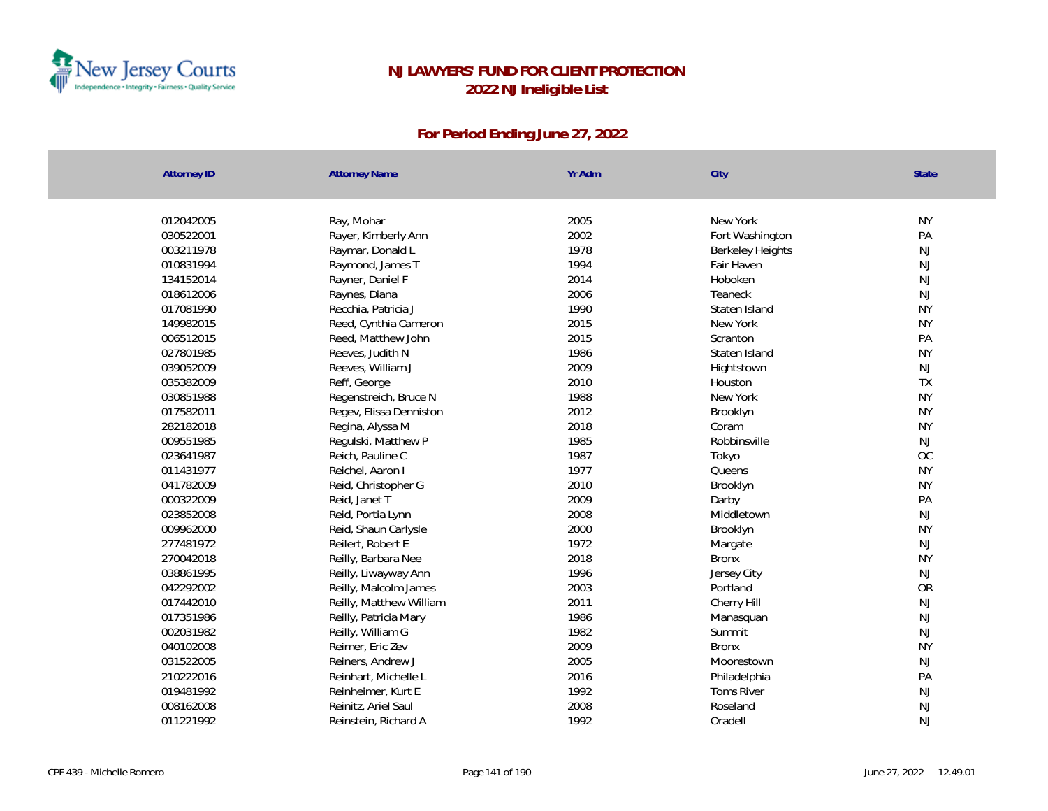

| <b>Attorney ID</b> | <b>Attorney Name</b>    | Yr Adm | City                    | State     |
|--------------------|-------------------------|--------|-------------------------|-----------|
|                    |                         |        |                         |           |
| 012042005          | Ray, Mohar              | 2005   | New York                | <b>NY</b> |
| 030522001          | Rayer, Kimberly Ann     | 2002   | Fort Washington         | PA        |
| 003211978          | Raymar, Donald L        | 1978   | <b>Berkeley Heights</b> | NJ        |
| 010831994          | Raymond, James T        | 1994   | Fair Haven              | NJ        |
| 134152014          | Rayner, Daniel F        | 2014   | Hoboken                 | NJ        |
| 018612006          | Raynes, Diana           | 2006   | Teaneck                 | NJ        |
| 017081990          | Recchia, Patricia J     | 1990   | Staten Island           | <b>NY</b> |
| 149982015          | Reed, Cynthia Cameron   | 2015   | New York                | <b>NY</b> |
| 006512015          | Reed, Matthew John      | 2015   | Scranton                | PA        |
| 027801985          | Reeves, Judith N        | 1986   | Staten Island           | <b>NY</b> |
| 039052009          | Reeves, William J       | 2009   | Hightstown              | NJ        |
| 035382009          | Reff, George            | 2010   | Houston                 | TX        |
| 030851988          | Regenstreich, Bruce N   | 1988   | New York                | <b>NY</b> |
| 017582011          | Regev, Elissa Denniston | 2012   | Brooklyn                | <b>NY</b> |
| 282182018          | Regina, Alyssa M        | 2018   | Coram                   | <b>NY</b> |
| 009551985          | Regulski, Matthew P     | 1985   | Robbinsville            | NJ        |
| 023641987          | Reich, Pauline C        | 1987   | Tokyo                   | OC        |
| 011431977          | Reichel, Aaron I        | 1977   | Queens                  | <b>NY</b> |
| 041782009          | Reid, Christopher G     | 2010   | Brooklyn                | <b>NY</b> |
| 000322009          | Reid, Janet T           | 2009   | Darby                   | PA        |
| 023852008          | Reid, Portia Lynn       | 2008   | Middletown              | NJ        |
| 009962000          | Reid, Shaun Carlysle    | 2000   | Brooklyn                | <b>NY</b> |
| 277481972          | Reilert, Robert E       | 1972   | Margate                 | NJ        |
| 270042018          | Reilly, Barbara Nee     | 2018   | <b>Bronx</b>            | <b>NY</b> |
| 038861995          | Reilly, Liwayway Ann    | 1996   | Jersey City             | NJ        |
| 042292002          | Reilly, Malcolm James   | 2003   | Portland                | <b>OR</b> |
| 017442010          | Reilly, Matthew William | 2011   | Cherry Hill             | NJ        |
| 017351986          | Reilly, Patricia Mary   | 1986   | Manasquan               | NJ        |
| 002031982          | Reilly, William G       | 1982   | Summit                  | NJ        |
| 040102008          | Reimer, Eric Zev        | 2009   | <b>Bronx</b>            | <b>NY</b> |
| 031522005          | Reiners, Andrew J       | 2005   | Moorestown              | NJ        |
| 210222016          | Reinhart, Michelle L    | 2016   | Philadelphia            | PA        |
| 019481992          | Reinheimer, Kurt E      | 1992   | <b>Toms River</b>       | NJ        |
| 008162008          | Reinitz, Ariel Saul     | 2008   | Roseland                | NJ        |
| 011221992          | Reinstein, Richard A    | 1992   | Oradell                 | NJ        |
|                    |                         |        |                         |           |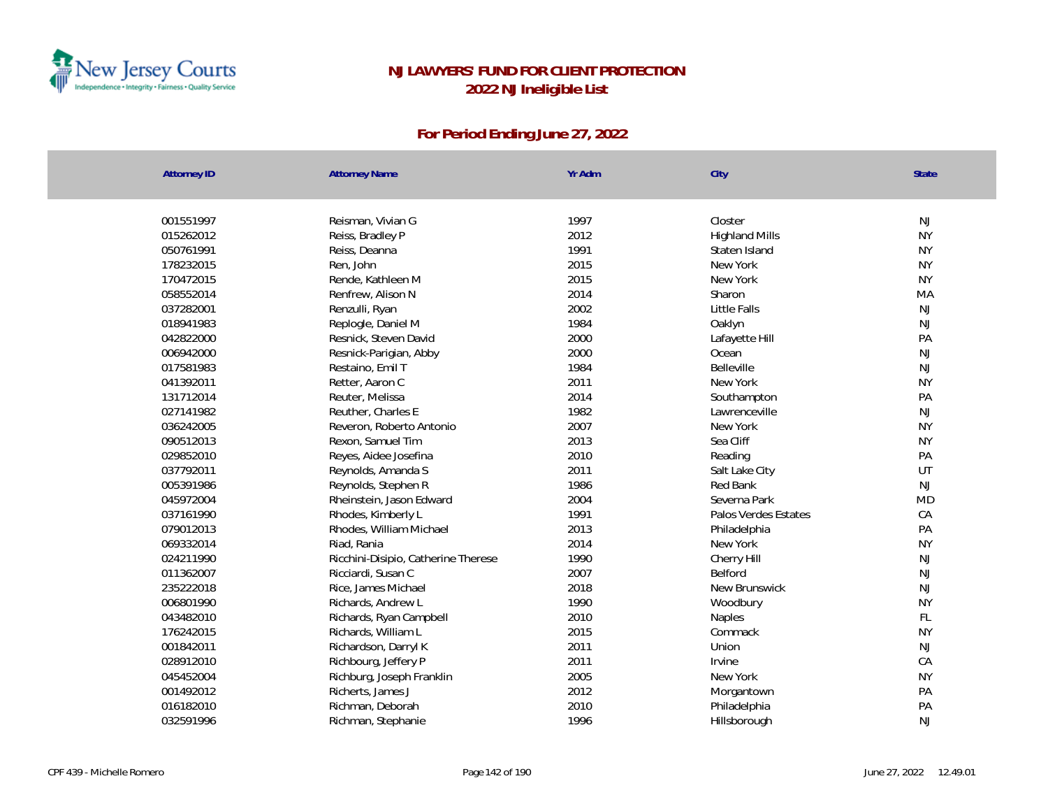

| <b>Attorney ID</b> | <b>Attorney Name</b>                | Yr Adm | City                  | State     |
|--------------------|-------------------------------------|--------|-----------------------|-----------|
|                    |                                     |        |                       |           |
| 001551997          | Reisman, Vivian G                   | 1997   | Closter               | NJ        |
| 015262012          | Reiss, Bradley P                    | 2012   | <b>Highland Mills</b> | <b>NY</b> |
| 050761991          | Reiss, Deanna                       | 1991   | Staten Island         | <b>NY</b> |
| 178232015          | Ren, John                           | 2015   | New York              | <b>NY</b> |
| 170472015          | Rende, Kathleen M                   | 2015   | New York              | <b>NY</b> |
| 058552014          | Renfrew, Alison N                   | 2014   | Sharon                | MA        |
| 037282001          | Renzulli, Ryan                      | 2002   | Little Falls          | NJ        |
| 018941983          | Replogle, Daniel M                  | 1984   | Oaklyn                | NJ        |
| 042822000          | Resnick, Steven David               | 2000   | Lafayette Hill        | PA        |
| 006942000          | Resnick-Parigian, Abby              | 2000   | Ocean                 | NJ        |
| 017581983          | Restaino, Emil T                    | 1984   | Belleville            | NJ        |
| 041392011          | Retter, Aaron C                     | 2011   | New York              | <b>NY</b> |
| 131712014          | Reuter, Melissa                     | 2014   | Southampton           | PA        |
| 027141982          | Reuther, Charles E                  | 1982   | Lawrenceville         | NJ        |
| 036242005          | Reveron, Roberto Antonio            | 2007   | New York              | <b>NY</b> |
| 090512013          | Rexon, Samuel Tim                   | 2013   | Sea Cliff             | <b>NY</b> |
| 029852010          | Reyes, Aidee Josefina               | 2010   | Reading               | PA        |
| 037792011          | Reynolds, Amanda S                  | 2011   | Salt Lake City        | UT        |
| 005391986          | Reynolds, Stephen R                 | 1986   | Red Bank              | NJ        |
| 045972004          | Rheinstein, Jason Edward            | 2004   | Severna Park          | <b>MD</b> |
| 037161990          | Rhodes, Kimberly L                  | 1991   | Palos Verdes Estates  | CA        |
| 079012013          | Rhodes, William Michael             | 2013   | Philadelphia          | PA        |
| 069332014          | Riad, Rania                         | 2014   | New York              | <b>NY</b> |
| 024211990          | Ricchini-Disipio, Catherine Therese | 1990   | Cherry Hill           | NJ        |
| 011362007          | Ricciardi, Susan C                  | 2007   | Belford               | NJ        |
| 235222018          | Rice, James Michael                 | 2018   | New Brunswick         | NJ        |
| 006801990          | Richards, Andrew L                  | 1990   | Woodbury              | <b>NY</b> |
| 043482010          | Richards, Ryan Campbell             | 2010   | Naples                | FL        |
| 176242015          | Richards, William L                 | 2015   | Commack               | <b>NY</b> |
| 001842011          | Richardson, Darryl K                | 2011   | Union                 | NJ        |
| 028912010          | Richbourg, Jeffery P                | 2011   | Irvine                | CA        |
| 045452004          | Richburg, Joseph Franklin           | 2005   | New York              | <b>NY</b> |
| 001492012          | Richerts, James J                   | 2012   | Morgantown            | PA        |
| 016182010          | Richman, Deborah                    | 2010   | Philadelphia          | PA        |
| 032591996          | Richman, Stephanie                  | 1996   | Hillsborough          | NJ        |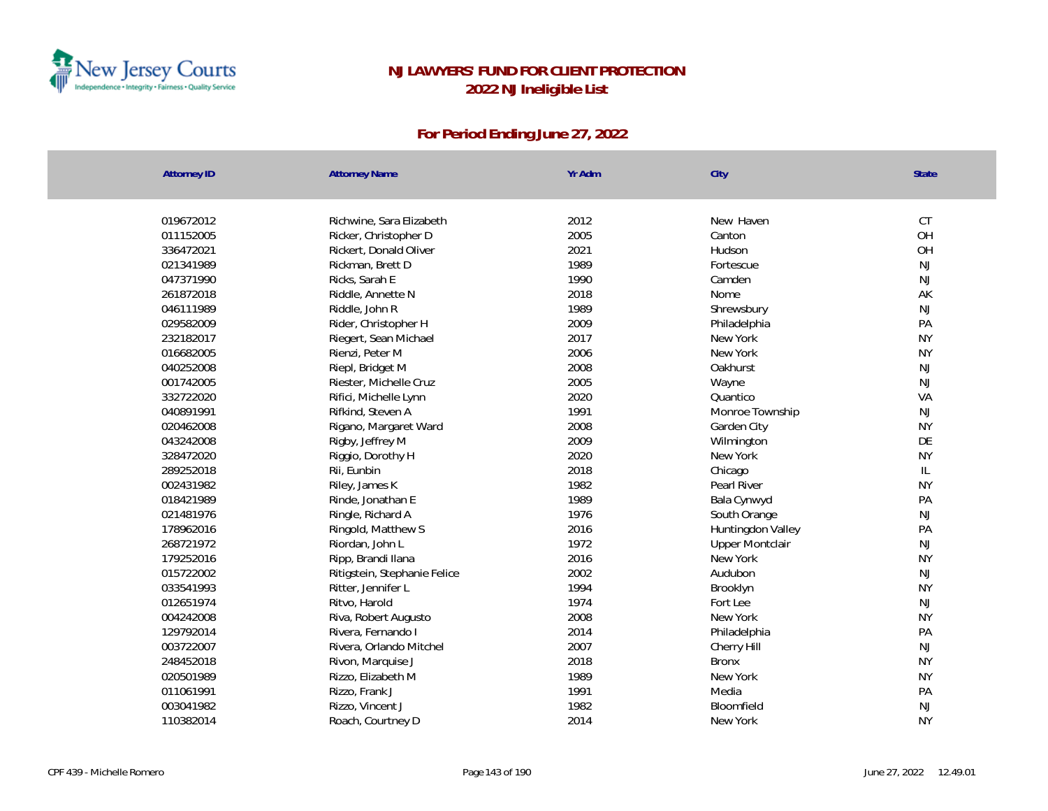

| Attorney ID | <b>Attorney Name</b>         | Yr Adm | City                   | <b>State</b>  |
|-------------|------------------------------|--------|------------------------|---------------|
|             |                              |        |                        |               |
| 019672012   | Richwine, Sara Elizabeth     | 2012   | New Haven              | CT            |
| 011152005   | Ricker, Christopher D        | 2005   | Canton                 | OH            |
| 336472021   | Rickert, Donald Oliver       | 2021   | Hudson                 | OH            |
| 021341989   | Rickman, Brett D             | 1989   | Fortescue              | NJ            |
| 047371990   | Ricks, Sarah E               | 1990   | Camden                 | <b>NJ</b>     |
| 261872018   | Riddle, Annette N            | 2018   | Nome                   | AK            |
| 046111989   | Riddle, John R               | 1989   | Shrewsbury             | NJ            |
| 029582009   | Rider, Christopher H         | 2009   | Philadelphia           | PA            |
| 232182017   | Riegert, Sean Michael        | 2017   | New York               | <b>NY</b>     |
| 016682005   | Rienzi, Peter M              | 2006   | New York               | <b>NY</b>     |
| 040252008   | Riepl, Bridget M             | 2008   | Oakhurst               | <b>NJ</b>     |
| 001742005   | Riester, Michelle Cruz       | 2005   | Wayne                  | NJ            |
| 332722020   | Rifici, Michelle Lynn        | 2020   | Quantico               | VA            |
| 040891991   | Rifkind, Steven A            | 1991   | Monroe Township        | <b>NJ</b>     |
| 020462008   | Rigano, Margaret Ward        | 2008   | Garden City            | <b>NY</b>     |
| 043242008   | Rigby, Jeffrey M             | 2009   | Wilmington             | DE            |
| 328472020   | Riggio, Dorothy H            | 2020   | New York               | <b>NY</b>     |
| 289252018   | Rii, Eunbin                  | 2018   | Chicago                | $\mathsf{IL}$ |
| 002431982   | Riley, James K               | 1982   | Pearl River            | <b>NY</b>     |
| 018421989   | Rinde, Jonathan E            | 1989   | Bala Cynwyd            | PA            |
| 021481976   | Ringle, Richard A            | 1976   | South Orange           | <b>NJ</b>     |
| 178962016   | Ringold, Matthew S           | 2016   | Huntingdon Valley      | PA            |
| 268721972   | Riordan, John L              | 1972   | <b>Upper Montclair</b> | NJ            |
| 179252016   | Ripp, Brandi Ilana           | 2016   | New York               | <b>NY</b>     |
| 015722002   | Ritigstein, Stephanie Felice | 2002   | Audubon                | NJ            |
| 033541993   | Ritter, Jennifer L           | 1994   | Brooklyn               | <b>NY</b>     |
| 012651974   | Ritvo, Harold                | 1974   | Fort Lee               | <b>NJ</b>     |
| 004242008   | Riva, Robert Augusto         | 2008   | New York               | <b>NY</b>     |
| 129792014   | Rivera, Fernando I           | 2014   | Philadelphia           | PA            |
| 003722007   | Rivera, Orlando Mitchel      | 2007   | Cherry Hill            | NJ            |
| 248452018   | Rivon, Marquise J            | 2018   | <b>Bronx</b>           | <b>NY</b>     |
| 020501989   | Rizzo, Elizabeth M           | 1989   | New York               | <b>NY</b>     |
| 011061991   | Rizzo, Frank J               | 1991   | Media                  | PA            |
| 003041982   | Rizzo, Vincent J             | 1982   | Bloomfield             | NJ            |
| 110382014   | Roach, Courtney D            | 2014   | New York               | <b>NY</b>     |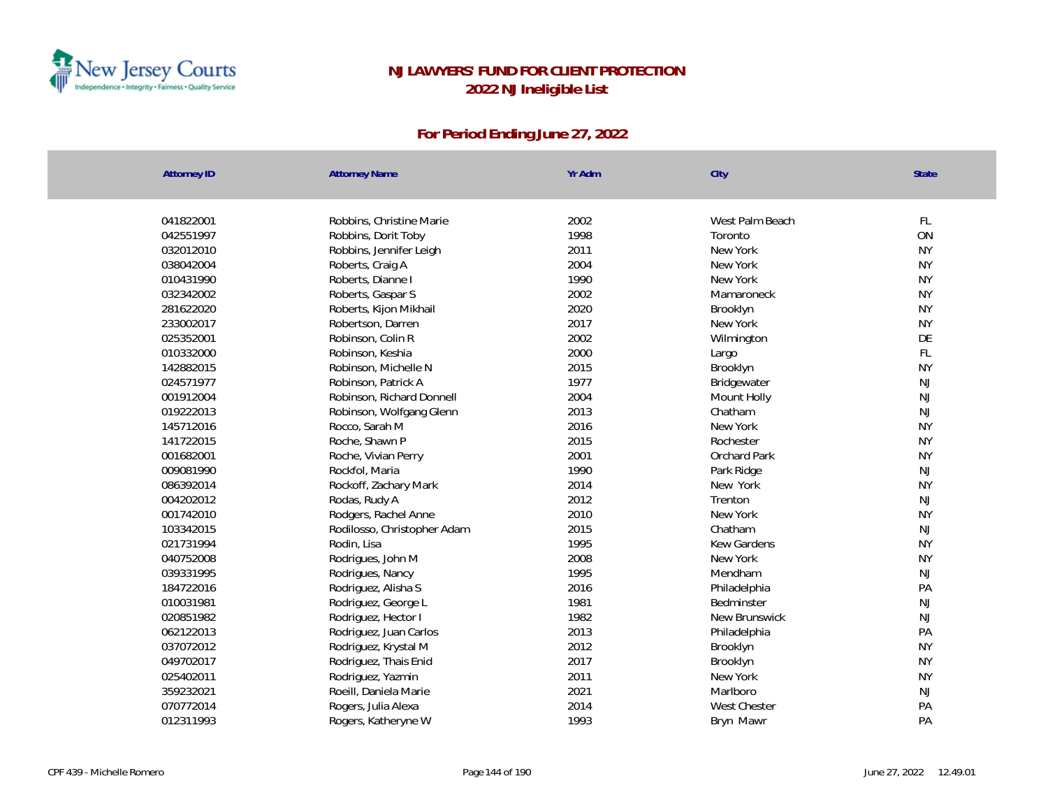

| 041822001<br>Robbins, Christine Marie<br>2002<br>West Palm Beach | FL        |
|------------------------------------------------------------------|-----------|
| 1998<br>042551997<br>Robbins, Dorit Toby<br>Toronto              | ON        |
| 2011<br>032012010<br>Robbins, Jennifer Leigh<br>New York         | <b>NY</b> |
| 2004<br>038042004<br>Roberts, Craig A<br>New York                | <b>NY</b> |
| 1990<br>010431990<br>Roberts, Dianne I<br>New York               | <b>NY</b> |
| 2002<br>032342002<br>Roberts, Gaspar S<br>Mamaroneck             | <b>NY</b> |
| 2020<br>281622020<br>Roberts, Kijon Mikhail<br>Brooklyn          | <b>NY</b> |
| 2017<br>233002017<br>Robertson, Darren<br>New York               | <b>NY</b> |
| 2002<br>Robinson, Colin R<br>025352001<br>Wilmington             | DE        |
| 2000<br>010332000<br>Robinson, Keshia<br>Largo                   | FL        |
| 142882015<br>2015<br>Robinson, Michelle N<br>Brooklyn            | <b>NY</b> |
| 024571977<br>1977<br>Robinson, Patrick A<br>Bridgewater          | NJ        |
| 2004<br>001912004<br>Robinson, Richard Donnell<br>Mount Holly    | NJ        |
| 019222013<br>Robinson, Wolfgang Glenn<br>2013<br>Chatham         | <b>NJ</b> |
| 145712016<br>2016<br>New York<br>Rocco, Sarah M                  | <b>NY</b> |
| 2015<br>141722015<br>Roche, Shawn P<br>Rochester                 | <b>NY</b> |
| 001682001<br>2001<br>Orchard Park<br>Roche, Vivian Perry         | <b>NY</b> |
| 009081990<br>1990<br>Rockfol, Maria<br>Park Ridge                | NJ        |
| 2014<br>086392014<br>Rockoff, Zachary Mark<br>New York           | <b>NY</b> |
| 004202012<br>2012<br>Rodas, Rudy A<br>Trenton                    | NJ        |
| 2010<br>001742010<br>Rodgers, Rachel Anne<br>New York            | <b>NY</b> |
| 2015<br>Chatham<br>103342015<br>Rodilosso, Christopher Adam      | <b>NJ</b> |
| Rodin, Lisa<br>1995<br><b>Kew Gardens</b><br>021731994           | <b>NY</b> |
| 2008<br>040752008<br>Rodrigues, John M<br>New York               | <b>NY</b> |
| 1995<br>039331995<br>Rodrigues, Nancy<br>Mendham                 | <b>NJ</b> |
| 184722016<br>2016<br>Rodriguez, Alisha S<br>Philadelphia         | PA        |
| 010031981<br>1981<br>Rodriguez, George L<br>Bedminster           | <b>NJ</b> |
| Rodriguez, Hector I<br>1982<br>020851982<br>New Brunswick        | <b>NJ</b> |
| 2013<br>062122013<br>Rodriguez, Juan Carlos<br>Philadelphia      | PA        |
| 2012<br>037072012<br>Rodriguez, Krystal M<br>Brooklyn            | <b>NY</b> |
| 2017<br>049702017<br>Rodriguez, Thais Enid<br>Brooklyn           | <b>NY</b> |
| 2011<br>025402011<br>Rodriguez, Yazmin<br>New York               | <b>NY</b> |
| 359232021<br>2021<br>Roeill, Daniela Marie<br>Marlboro           | <b>NJ</b> |
| 2014<br>070772014<br>Rogers, Julia Alexa<br><b>West Chester</b>  | PA        |
| 1993<br>012311993<br>Rogers, Katheryne W<br>Bryn Mawr            | PA        |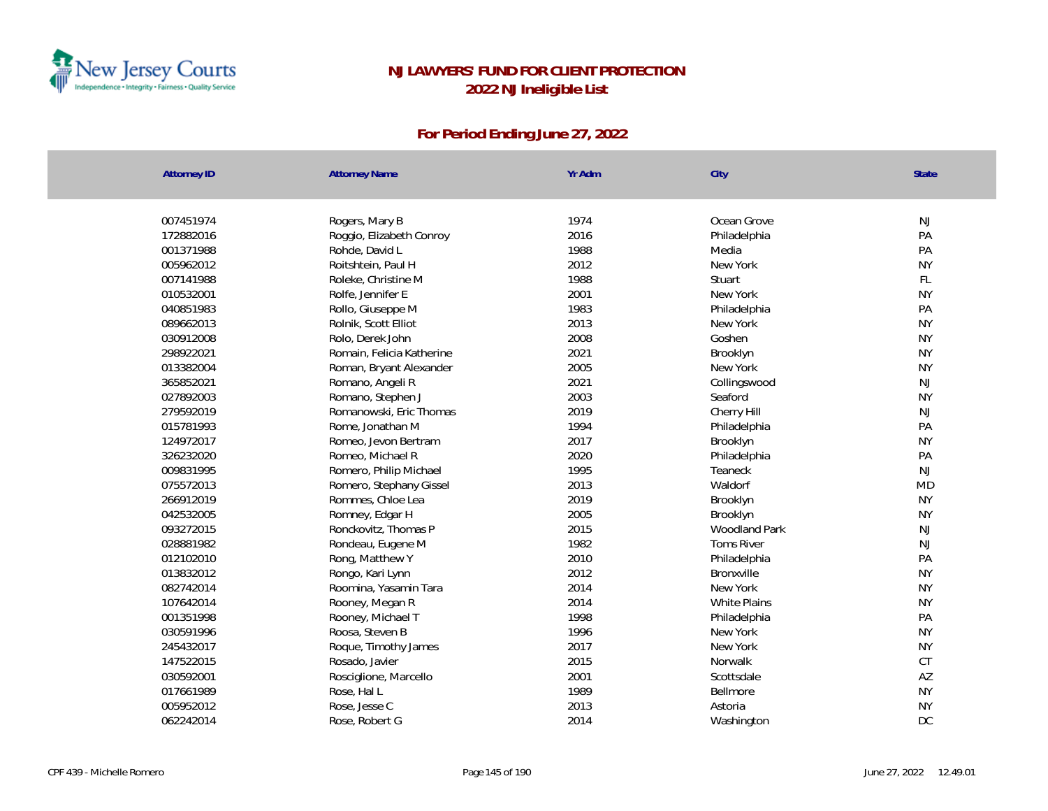

| <b>Attorney ID</b> | <b>Attorney Name</b>      | Yr Adm | City                 | State     |
|--------------------|---------------------------|--------|----------------------|-----------|
|                    |                           |        |                      |           |
| 007451974          | Rogers, Mary B            | 1974   | Ocean Grove          | NJ        |
| 172882016          | Roggio, Elizabeth Conroy  | 2016   | Philadelphia         | PA        |
| 001371988          | Rohde, David L            | 1988   | Media                | PA        |
| 005962012          | Roitshtein, Paul H        | 2012   | New York             | <b>NY</b> |
| 007141988          | Roleke, Christine M       | 1988   | Stuart               | <b>FL</b> |
| 010532001          | Rolfe, Jennifer E         | 2001   | New York             | <b>NY</b> |
| 040851983          | Rollo, Giuseppe M         | 1983   | Philadelphia         | PA        |
| 089662013          | Rolnik, Scott Elliot      | 2013   | New York             | <b>NY</b> |
| 030912008          | Rolo, Derek John          | 2008   | Goshen               | <b>NY</b> |
| 298922021          | Romain, Felicia Katherine | 2021   | Brooklyn             | <b>NY</b> |
| 013382004          | Roman, Bryant Alexander   | 2005   | New York             | <b>NY</b> |
| 365852021          | Romano, Angeli R          | 2021   | Collingswood         | NJ        |
| 027892003          | Romano, Stephen J         | 2003   | Seaford              | <b>NY</b> |
| 279592019          | Romanowski, Eric Thomas   | 2019   | Cherry Hill          | NJ        |
| 015781993          | Rome, Jonathan M          | 1994   | Philadelphia         | PA        |
| 124972017          | Romeo, Jevon Bertram      | 2017   | Brooklyn             | <b>NY</b> |
| 326232020          | Romeo, Michael R          | 2020   | Philadelphia         | PA        |
| 009831995          | Romero, Philip Michael    | 1995   | Teaneck              | NJ        |
| 075572013          | Romero, Stephany Gissel   | 2013   | Waldorf              | <b>MD</b> |
| 266912019          | Rommes, Chloe Lea         | 2019   | Brooklyn             | <b>NY</b> |
| 042532005          | Romney, Edgar H           | 2005   | Brooklyn             | <b>NY</b> |
| 093272015          | Ronckovitz, Thomas P      | 2015   | <b>Woodland Park</b> | NJ        |
| 028881982          | Rondeau, Eugene M         | 1982   | <b>Toms River</b>    | NJ        |
| 012102010          | Rong, Matthew Y           | 2010   | Philadelphia         | PA        |
| 013832012          | Rongo, Kari Lynn          | 2012   | Bronxville           | <b>NY</b> |
| 082742014          | Roomina, Yasamin Tara     | 2014   | New York             | <b>NY</b> |
| 107642014          | Rooney, Megan R           | 2014   | White Plains         | <b>NY</b> |
| 001351998          | Rooney, Michael T         | 1998   | Philadelphia         | PA        |
| 030591996          | Roosa, Steven B           | 1996   | New York             | <b>NY</b> |
| 245432017          | Roque, Timothy James      | 2017   | New York             | <b>NY</b> |
| 147522015          | Rosado, Javier            | 2015   | Norwalk              | CT        |
| 030592001          | Rosciglione, Marcello     | 2001   | Scottsdale           | AZ        |
| 017661989          | Rose, Hal L               | 1989   | Bellmore             | <b>NY</b> |
| 005952012          | Rose, Jesse C             | 2013   | Astoria              | <b>NY</b> |
| 062242014          | Rose, Robert G            | 2014   | Washington           | DC        |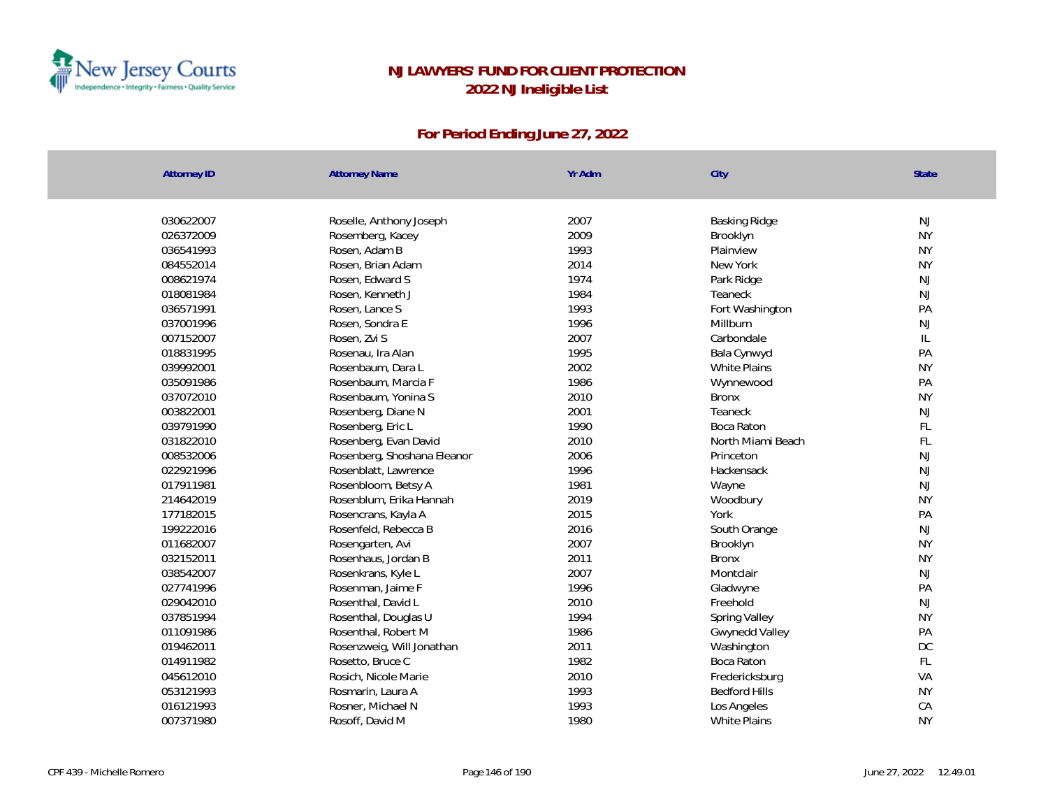

| <b>Attorney ID</b>     | <b>Attorney Name</b>                | Yr Adm       | City                   | <b>State</b>    |
|------------------------|-------------------------------------|--------------|------------------------|-----------------|
|                        |                                     |              |                        |                 |
| 030622007<br>026372009 | Roselle, Anthony Joseph             | 2007<br>2009 | Basking Ridge          | NJ<br><b>NY</b> |
|                        | Rosemberg, Kacey                    |              | Brooklyn               | <b>NY</b>       |
| 036541993              | Rosen, Adam B<br>Rosen, Brian Adam  | 1993<br>2014 | Plainview<br>New York  | <b>NY</b>       |
| 084552014              |                                     | 1974         |                        | <b>NJ</b>       |
| 008621974<br>018081984 | Rosen, Edward S<br>Rosen, Kenneth J | 1984         | Park Ridge<br>Teaneck  | NJ              |
| 036571991              | Rosen, Lance S                      | 1993         |                        | PA              |
|                        | Rosen, Sondra E                     | 1996         | Fort Washington        | NJ              |
| 037001996<br>007152007 |                                     | 2007         | Millburn<br>Carbondale |                 |
| 018831995              | Rosen, Zvi S                        | 1995         |                        | IL<br>PA        |
|                        | Rosenau, Ira Alan                   | 2002         | Bala Cynwyd            | <b>NY</b>       |
| 039992001              | Rosenbaum, Dara L                   |              | <b>White Plains</b>    |                 |
| 035091986              | Rosenbaum, Marcia F                 | 1986         | Wynnewood              | PA              |
| 037072010              | Rosenbaum, Yonina S                 | 2010         | <b>Bronx</b>           | <b>NY</b>       |
| 003822001              | Rosenberg, Diane N                  | 2001         | Teaneck                | <b>NJ</b>       |
| 039791990              | Rosenberg, Eric L                   | 1990         | Boca Raton             | FL              |
| 031822010              | Rosenberg, Evan David               | 2010         | North Miami Beach      | FL              |
| 008532006              | Rosenberg, Shoshana Eleanor         | 2006         | Princeton              | <b>NJ</b>       |
| 022921996              | Rosenblatt, Lawrence                | 1996         | Hackensack             | <b>NJ</b>       |
| 017911981              | Rosenbloom, Betsy A                 | 1981         | Wayne                  | <b>NJ</b>       |
| 214642019              | Rosenblum, Erika Hannah             | 2019         | Woodbury               | <b>NY</b>       |
| 177182015              | Rosencrans, Kayla A                 | 2015         | York                   | PA              |
| 199222016              | Rosenfeld, Rebecca B                | 2016         | South Orange           | <b>NJ</b>       |
| 011682007              | Rosengarten, Avi                    | 2007         | Brooklyn               | <b>NY</b>       |
| 032152011              | Rosenhaus, Jordan B                 | 2011         | <b>Bronx</b>           | <b>NY</b>       |
| 038542007              | Rosenkrans, Kyle L                  | 2007         | Montclair              | <b>NJ</b>       |
| 027741996              | Rosenman, Jaime F                   | 1996         | Gladwyne               | PA              |
| 029042010              | Rosenthal, David L                  | 2010         | Freehold               | <b>NJ</b>       |
| 037851994              | Rosenthal, Douglas U                | 1994         | Spring Valley          | <b>NY</b>       |
| 011091986              | Rosenthal, Robert M                 | 1986         | Gwynedd Valley         | PA              |
| 019462011              | Rosenzweig, Will Jonathan           | 2011         | Washington             | DC              |
| 014911982              | Rosetto, Bruce C                    | 1982         | Boca Raton             | FL              |
| 045612010              | Rosich, Nicole Marie                | 2010         | Fredericksburg         | VA              |
| 053121993              | Rosmarin, Laura A                   | 1993         | <b>Bedford Hills</b>   | <b>NY</b>       |
| 016121993              | Rosner, Michael N                   | 1993         | Los Angeles            | CA              |
| 007371980              | Rosoff, David M                     | 1980         | White Plains           | <b>NY</b>       |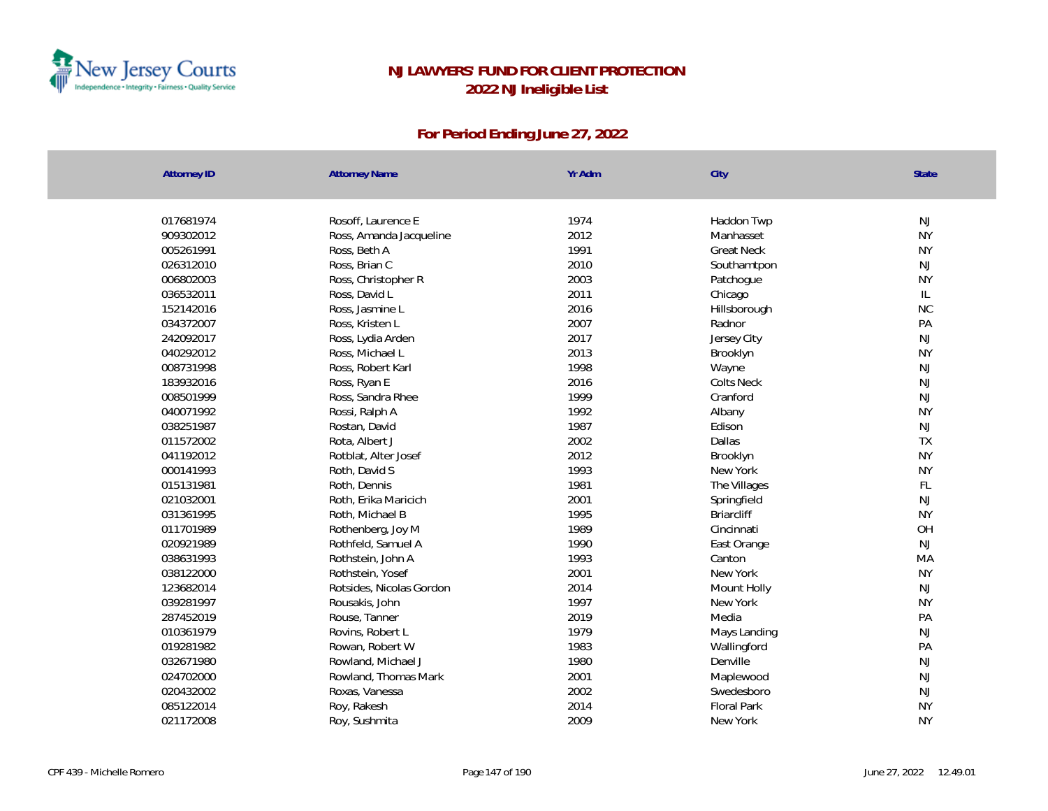

| <b>Attorney ID</b> | <b>Attorney Name</b>     | Yr Adm | City              | State         |
|--------------------|--------------------------|--------|-------------------|---------------|
|                    |                          |        |                   |               |
| 017681974          | Rosoff, Laurence E       | 1974   | Haddon Twp        | NJ            |
| 909302012          | Ross, Amanda Jacqueline  | 2012   | Manhasset         | <b>NY</b>     |
| 005261991          | Ross, Beth A             | 1991   | <b>Great Neck</b> | <b>NY</b>     |
| 026312010          | Ross, Brian C            | 2010   | Southamtpon       | NJ            |
| 006802003          | Ross, Christopher R      | 2003   | Patchogue         | <b>NY</b>     |
| 036532011          | Ross, David L            | 2011   | Chicago           | $\mathsf{IL}$ |
| 152142016          | Ross, Jasmine L          | 2016   | Hillsborough      | NC            |
| 034372007          | Ross, Kristen L          | 2007   | Radnor            | PA            |
| 242092017          | Ross, Lydia Arden        | 2017   | Jersey City       | NJ            |
| 040292012          | Ross, Michael L          | 2013   | Brooklyn          | <b>NY</b>     |
| 008731998          | Ross, Robert Karl        | 1998   | Wayne             | NJ            |
| 183932016          | Ross, Ryan E             | 2016   | <b>Colts Neck</b> | NJ            |
| 008501999          | Ross, Sandra Rhee        | 1999   | Cranford          | $\mathsf{NJ}$ |
| 040071992          | Rossi, Ralph A           | 1992   | Albany            | <b>NY</b>     |
| 038251987          | Rostan, David            | 1987   | Edison            | $\mathsf{NJ}$ |
| 011572002          | Rota, Albert J           | 2002   | Dallas            | <b>TX</b>     |
| 041192012          | Rotblat, Alter Josef     | 2012   | Brooklyn          | <b>NY</b>     |
| 000141993          | Roth, David S            | 1993   | New York          | <b>NY</b>     |
| 015131981          | Roth, Dennis             | 1981   | The Villages      | $\mathsf{FL}$ |
| 021032001          | Roth, Erika Maricich     | 2001   | Springfield       | NJ            |
| 031361995          | Roth, Michael B          | 1995   | <b>Briarcliff</b> | <b>NY</b>     |
| 011701989          | Rothenberg, Joy M        | 1989   | Cincinnati        | OH            |
| 020921989          | Rothfeld, Samuel A       | 1990   | East Orange       | NJ            |
| 038631993          | Rothstein, John A        | 1993   | Canton            | MA            |
| 038122000          | Rothstein, Yosef         | 2001   | New York          | <b>NY</b>     |
| 123682014          | Rotsides, Nicolas Gordon | 2014   | Mount Holly       | NJ            |
| 039281997          | Rousakis, John           | 1997   | New York          | <b>NY</b>     |
| 287452019          | Rouse, Tanner            | 2019   | Media             | PA            |
| 010361979          | Rovins, Robert L         | 1979   | Mays Landing      | NJ            |
| 019281982          | Rowan, Robert W          | 1983   | Wallingford       | PA            |
| 032671980          | Rowland, Michael J       | 1980   | Denville          | NJ            |
| 024702000          | Rowland, Thomas Mark     | 2001   | Maplewood         | NJ            |
| 020432002          | Roxas, Vanessa           | 2002   | Swedesboro        | NJ            |
| 085122014          | Roy, Rakesh              | 2014   | Floral Park       | <b>NY</b>     |
| 021172008          | Roy, Sushmita            | 2009   | New York          | <b>NY</b>     |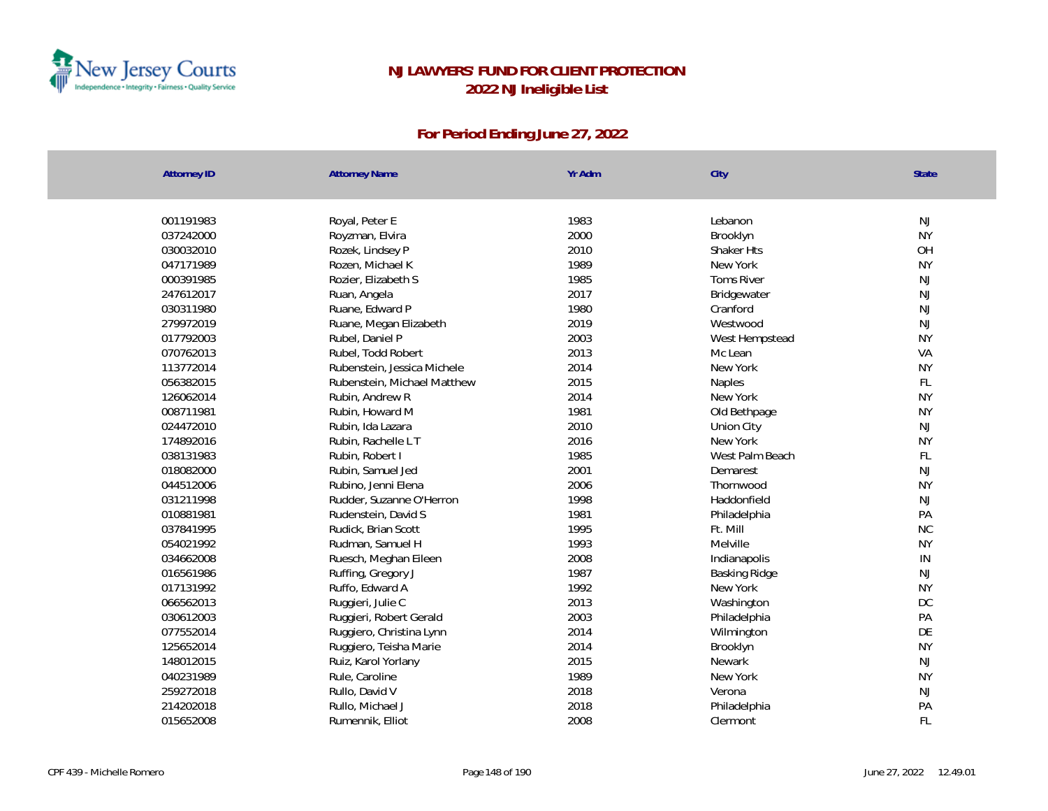

| <b>Attorney ID</b> | <b>Attorney Name</b>        | Yr Adm       | City              | State     |
|--------------------|-----------------------------|--------------|-------------------|-----------|
|                    |                             | 1983         | Lebanon           | NJ        |
| 001191983          | Royal, Peter E              |              |                   | <b>NY</b> |
| 037242000          | Royzman, Elvira             | 2000         | Brooklyn          |           |
| 030032010          | Rozek, Lindsey P            | 2010         | Shaker Hts        | OH        |
| 047171989          | Rozen, Michael K            | 1989         | New York          | <b>NY</b> |
| 000391985          | Rozier, Elizabeth S         | 1985<br>2017 | <b>Toms River</b> | NJ        |
| 247612017          | Ruan, Angela                |              | Bridgewater       | NJ        |
| 030311980          | Ruane, Edward P             | 1980         | Cranford          | NJ        |
| 279972019          | Ruane, Megan Elizabeth      | 2019         | Westwood          | NJ        |
| 017792003          | Rubel, Daniel P             | 2003         | West Hempstead    | <b>NY</b> |
| 070762013          | Rubel, Todd Robert          | 2013         | Mc Lean           | VA        |
| 113772014          | Rubenstein, Jessica Michele | 2014         | New York          | <b>NY</b> |
| 056382015          | Rubenstein, Michael Matthew | 2015         | Naples            | FL        |
| 126062014          | Rubin, Andrew R             | 2014         | New York          | <b>NY</b> |
| 008711981          | Rubin, Howard M             | 1981         | Old Bethpage      | <b>NY</b> |
| 024472010          | Rubin, Ida Lazara           | 2010         | Union City        | <b>NJ</b> |
| 174892016          | Rubin, Rachelle L T         | 2016         | New York          | <b>NY</b> |
| 038131983          | Rubin, Robert I             | 1985         | West Palm Beach   | FL        |
| 018082000          | Rubin, Samuel Jed           | 2001         | Demarest          | NJ        |
| 044512006          | Rubino, Jenni Elena         | 2006         | Thornwood         | <b>NY</b> |
| 031211998          | Rudder, Suzanne O'Herron    | 1998         | Haddonfield       | NJ        |
| 010881981          | Rudenstein, David S         | 1981         | Philadelphia      | PA        |
| 037841995          | Rudick, Brian Scott         | 1995         | Ft. Mill          | <b>NC</b> |
| 054021992          | Rudman, Samuel H            | 1993         | Melville          | <b>NY</b> |
| 034662008          | Ruesch, Meghan Eileen       | 2008         | Indianapolis      | IN        |
| 016561986          | Ruffing, Gregory J          | 1987         | Basking Ridge     | NJ        |
| 017131992          | Ruffo, Edward A             | 1992         | New York          | <b>NY</b> |
| 066562013          | Ruggieri, Julie C           | 2013         | Washington        | <b>DC</b> |
| 030612003          | Ruggieri, Robert Gerald     | 2003         | Philadelphia      | PA        |
| 077552014          | Ruggiero, Christina Lynn    | 2014         | Wilmington        | DE        |
| 125652014          | Ruggiero, Teisha Marie      | 2014         | Brooklyn          | <b>NY</b> |
| 148012015          | Ruiz, Karol Yorlany         | 2015         | Newark            | NJ        |
| 040231989          | Rule, Caroline              | 1989         | New York          | <b>NY</b> |
| 259272018          | Rullo, David V              | 2018         | Verona            | NJ        |
| 214202018          | Rullo, Michael J            | 2018         | Philadelphia      | PA        |
| 015652008          | Rumennik, Elliot            | 2008         | Clermont          | FL        |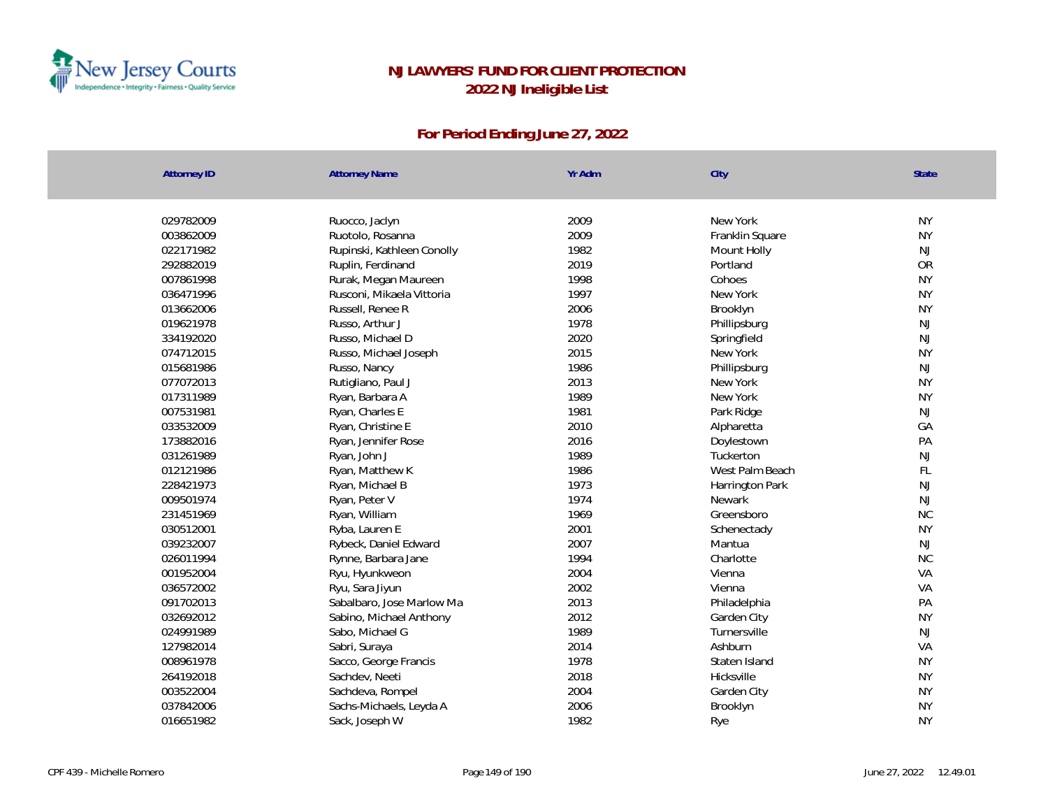

| <b>Attorney ID</b>     | <b>Attorney Name</b>                              | Yr Adm       | City                    | State           |
|------------------------|---------------------------------------------------|--------------|-------------------------|-----------------|
| 029782009              |                                                   | 2009         | New York                | <b>NY</b>       |
|                        | Ruocco, Jaclyn                                    |              |                         |                 |
| 003862009              | Ruotolo, Rosanna                                  | 2009<br>1982 | Franklin Square         | <b>NY</b>       |
| 022171982<br>292882019 | Rupinski, Kathleen Conolly                        | 2019         | Mount Holly<br>Portland | NJ<br><b>OR</b> |
|                        | Ruplin, Ferdinand                                 |              |                         | <b>NY</b>       |
| 007861998<br>036471996 | Rurak, Megan Maureen<br>Rusconi, Mikaela Vittoria | 1998<br>1997 | Cohoes<br>New York      | <b>NY</b>       |
|                        |                                                   |              |                         |                 |
| 013662006              | Russell, Renee R                                  | 2006         | Brooklyn                | <b>NY</b>       |
| 019621978<br>334192020 | Russo, Arthur J                                   | 1978<br>2020 | Phillipsburg            | NJ<br>NJ        |
|                        | Russo, Michael D                                  |              | Springfield             |                 |
| 074712015              | Russo, Michael Joseph                             | 2015         | New York                | <b>NY</b>       |
| 015681986              | Russo, Nancy                                      | 1986         | Phillipsburg            | NJ              |
| 077072013              | Rutigliano, Paul J                                | 2013         | New York                | <b>NY</b>       |
| 017311989              | Ryan, Barbara A                                   | 1989         | New York                | <b>NY</b>       |
| 007531981              | Ryan, Charles E                                   | 1981         | Park Ridge              | $\mathsf{NJ}$   |
| 033532009              | Ryan, Christine E                                 | 2010         | Alpharetta              | GA              |
| 173882016              | Ryan, Jennifer Rose                               | 2016         | Doylestown              | PA              |
| 031261989              | Ryan, John J                                      | 1989         | Tuckerton               | $\mathsf{NJ}$   |
| 012121986              | Ryan, Matthew K                                   | 1986         | West Palm Beach         | FL              |
| 228421973              | Ryan, Michael B                                   | 1973         | Harrington Park         | $\mathsf{NJ}$   |
| 009501974              | Ryan, Peter V                                     | 1974         | Newark                  | $\mathsf{NJ}$   |
| 231451969              | Ryan, William                                     | 1969         | Greensboro              | <b>NC</b>       |
| 030512001              | Ryba, Lauren E                                    | 2001         | Schenectady             | <b>NY</b>       |
| 039232007              | Rybeck, Daniel Edward                             | 2007         | Mantua                  | NJ              |
| 026011994              | Rynne, Barbara Jane                               | 1994         | Charlotte               | <b>NC</b>       |
| 001952004              | Ryu, Hyunkweon                                    | 2004         | Vienna                  | VA              |
| 036572002              | Ryu, Sara Jiyun                                   | 2002         | Vienna                  | VA              |
| 091702013              | Sabalbaro, Jose Marlow Ma                         | 2013         | Philadelphia            | PA              |
| 032692012              | Sabino, Michael Anthony                           | 2012         | Garden City             | <b>NY</b>       |
| 024991989              | Sabo, Michael G                                   | 1989         | Turnersville            | NJ              |
| 127982014              | Sabri, Suraya                                     | 2014         | Ashburn                 | VA              |
| 008961978              | Sacco, George Francis                             | 1978         | Staten Island           | <b>NY</b>       |
| 264192018              | Sachdev, Neeti                                    | 2018         | Hicksville              | <b>NY</b>       |
| 003522004              | Sachdeva, Rompel                                  | 2004         | Garden City             | <b>NY</b>       |
| 037842006              | Sachs-Michaels, Leyda A                           | 2006         | Brooklyn                | <b>NY</b>       |
| 016651982              | Sack, Joseph W                                    | 1982         | Rye                     | <b>NY</b>       |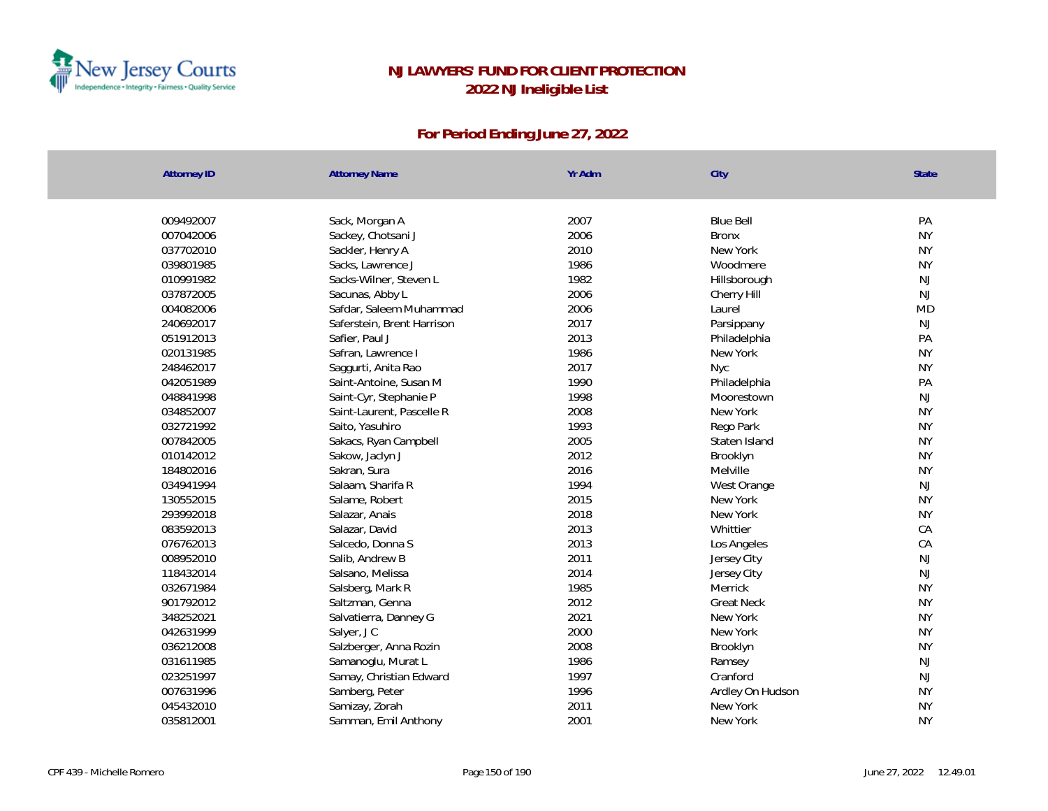

| <b>Attorney ID</b>     | <b>Attorney Name</b>       | Yr Adm       | City              | <b>State</b>           |
|------------------------|----------------------------|--------------|-------------------|------------------------|
|                        |                            | 2007         | <b>Blue Bell</b>  | PA                     |
| 009492007<br>007042006 | Sack, Morgan A             | 2006         | <b>Bronx</b>      | <b>NY</b>              |
|                        | Sackey, Chotsani J         |              | New York          |                        |
| 037702010              | Sackler, Henry A           | 2010<br>1986 | Woodmere          | <b>NY</b><br><b>NY</b> |
| 039801985              | Sacks, Lawrence J          |              |                   |                        |
| 010991982              | Sacks-Wilner, Steven L     | 1982         | Hillsborough      | NJ                     |
| 037872005              | Sacunas, Abby L            | 2006         | Cherry Hill       | NJ                     |
| 004082006              | Safdar, Saleem Muhammad    | 2006         | Laurel            | <b>MD</b>              |
| 240692017              | Saferstein, Brent Harrison | 2017         | Parsippany        | NJ                     |
| 051912013              | Safier, Paul J             | 2013         | Philadelphia      | PA                     |
| 020131985              | Safran, Lawrence I         | 1986         | New York          | <b>NY</b>              |
| 248462017              | Saggurti, Anita Rao        | 2017         | Nyc               | <b>NY</b>              |
| 042051989              | Saint-Antoine, Susan M     | 1990         | Philadelphia      | PA                     |
| 048841998              | Saint-Cyr, Stephanie P     | 1998         | Moorestown        | NJ                     |
| 034852007              | Saint-Laurent, Pascelle R  | 2008         | New York          | <b>NY</b>              |
| 032721992              | Saito, Yasuhiro            | 1993         | Rego Park         | <b>NY</b>              |
| 007842005              | Sakacs, Ryan Campbell      | 2005         | Staten Island     | <b>NY</b>              |
| 010142012              | Sakow, Jaclyn J            | 2012         | Brooklyn          | <b>NY</b>              |
| 184802016              | Sakran, Sura               | 2016         | Melville          | <b>NY</b>              |
| 034941994              | Salaam, Sharifa R          | 1994         | West Orange       | NJ                     |
| 130552015              | Salame, Robert             | 2015         | New York          | <b>NY</b>              |
| 293992018              | Salazar, Anais             | 2018         | New York          | <b>NY</b>              |
| 083592013              | Salazar, David             | 2013         | Whittier          | CA                     |
| 076762013              | Salcedo, Donna S           | 2013         | Los Angeles       | CA                     |
| 008952010              | Salib, Andrew B            | 2011         | Jersey City       | NJ                     |
| 118432014              | Salsano, Melissa           | 2014         | Jersey City       | <b>NJ</b>              |
| 032671984              | Salsberg, Mark R           | 1985         | Merrick           | <b>NY</b>              |
| 901792012              | Saltzman, Genna            | 2012         | <b>Great Neck</b> | <b>NY</b>              |
| 348252021              | Salvatierra, Danney G      | 2021         | New York          | <b>NY</b>              |
| 042631999              | Salyer, JC                 | 2000         | New York          | <b>NY</b>              |
| 036212008              | Salzberger, Anna Rozin     | 2008         | Brooklyn          | <b>NY</b>              |
| 031611985              | Samanoglu, Murat L         | 1986         | Ramsey            | NJ                     |
| 023251997              | Samay, Christian Edward    | 1997         | Cranford          | <b>NJ</b>              |
| 007631996              | Samberg, Peter             | 1996         | Ardley On Hudson  | <b>NY</b>              |
| 045432010              | Samizay, Zorah             | 2011         | New York          | <b>NY</b>              |
| 035812001              | Samman, Emil Anthony       | 2001         | New York          | <b>NY</b>              |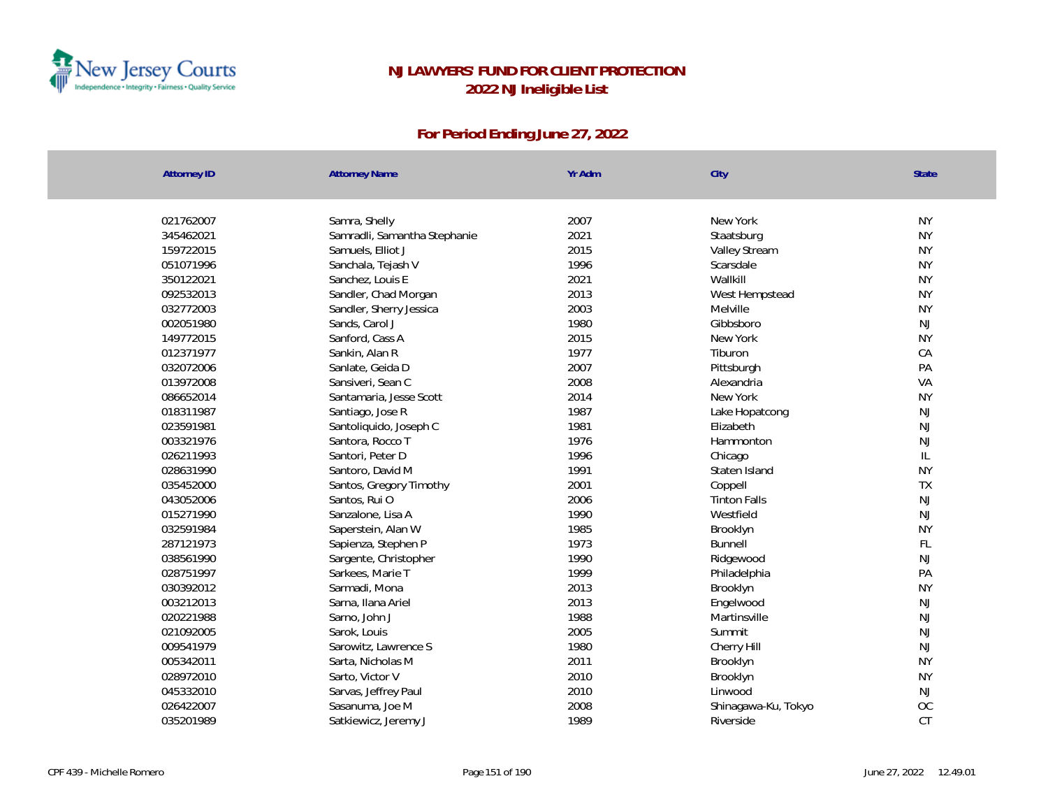

| <b>Attorney ID</b> | <b>Attorney Name</b>         | Yr Adm | City                | <b>State</b>  |
|--------------------|------------------------------|--------|---------------------|---------------|
| 021762007          | Samra, Shelly                | 2007   | New York            | <b>NY</b>     |
| 345462021          | Samradli, Samantha Stephanie | 2021   | Staatsburg          | <b>NY</b>     |
| 159722015          | Samuels, Elliot J            | 2015   | Valley Stream       | <b>NY</b>     |
| 051071996          | Sanchala, Tejash V           | 1996   | Scarsdale           | <b>NY</b>     |
| 350122021          | Sanchez, Louis E             | 2021   | Wallkill            | <b>NY</b>     |
| 092532013          | Sandler, Chad Morgan         | 2013   | West Hempstead      | <b>NY</b>     |
| 032772003          | Sandler, Sherry Jessica      | 2003   | Melville            | <b>NY</b>     |
| 002051980          | Sands, Carol J               | 1980   | Gibbsboro           | NJ            |
| 149772015          | Sanford, Cass A              | 2015   | New York            | <b>NY</b>     |
| 012371977          | Sankin, Alan R               | 1977   | Tiburon             | CA            |
| 032072006          | Sanlate, Geida D             | 2007   | Pittsburgh          | PA            |
| 013972008          | Sansiveri, Sean C            | 2008   | Alexandria          | VA            |
| 086652014          | Santamaria, Jesse Scott      | 2014   | New York            | <b>NY</b>     |
| 018311987          | Santiago, Jose R             | 1987   | Lake Hopatcong      | NJ            |
| 023591981          | Santoliquido, Joseph C       | 1981   | Elizabeth           | NJ            |
| 003321976          | Santora, Rocco T             | 1976   | Hammonton           | NJ            |
| 026211993          | Santori, Peter D             | 1996   | Chicago             | L             |
| 028631990          | Santoro, David M             | 1991   | Staten Island       | <b>NY</b>     |
| 035452000          | Santos, Gregory Timothy      | 2001   | Coppell             | TX            |
| 043052006          | Santos, Rui O                | 2006   | <b>Tinton Falls</b> | NJ            |
| 015271990          | Sanzalone, Lisa A            | 1990   | Westfield           | NJ            |
| 032591984          | Saperstein, Alan W           | 1985   | Brooklyn            | <b>NY</b>     |
| 287121973          | Sapienza, Stephen P          | 1973   | <b>Bunnell</b>      | $\mathsf{FL}$ |
| 038561990          | Sargente, Christopher        | 1990   | Ridgewood           | <b>NJ</b>     |
| 028751997          | Sarkees, Marie T             | 1999   | Philadelphia        | PA            |
| 030392012          | Sarmadi, Mona                | 2013   | Brooklyn            | <b>NY</b>     |
| 003212013          | Sarna, Ilana Ariel           | 2013   | Engelwood           | NJ            |
| 020221988          | Sarno, John J                | 1988   | Martinsville        | NJ            |
| 021092005          | Sarok, Louis                 | 2005   | Summit              | NJ            |
| 009541979          | Sarowitz, Lawrence S         | 1980   | Cherry Hill         | NJ            |
| 005342011          | Sarta, Nicholas M            | 2011   | Brooklyn            | <b>NY</b>     |
| 028972010          | Sarto, Victor V              | 2010   | Brooklyn            | <b>NY</b>     |
| 045332010          | Sarvas, Jeffrey Paul         | 2010   | Linwood             | NJ            |
| 026422007          | Sasanuma, Joe M              | 2008   | Shinagawa-Ku, Tokyo | OC            |
| 035201989          | Satkiewicz, Jeremy J         | 1989   | Riverside           | CT            |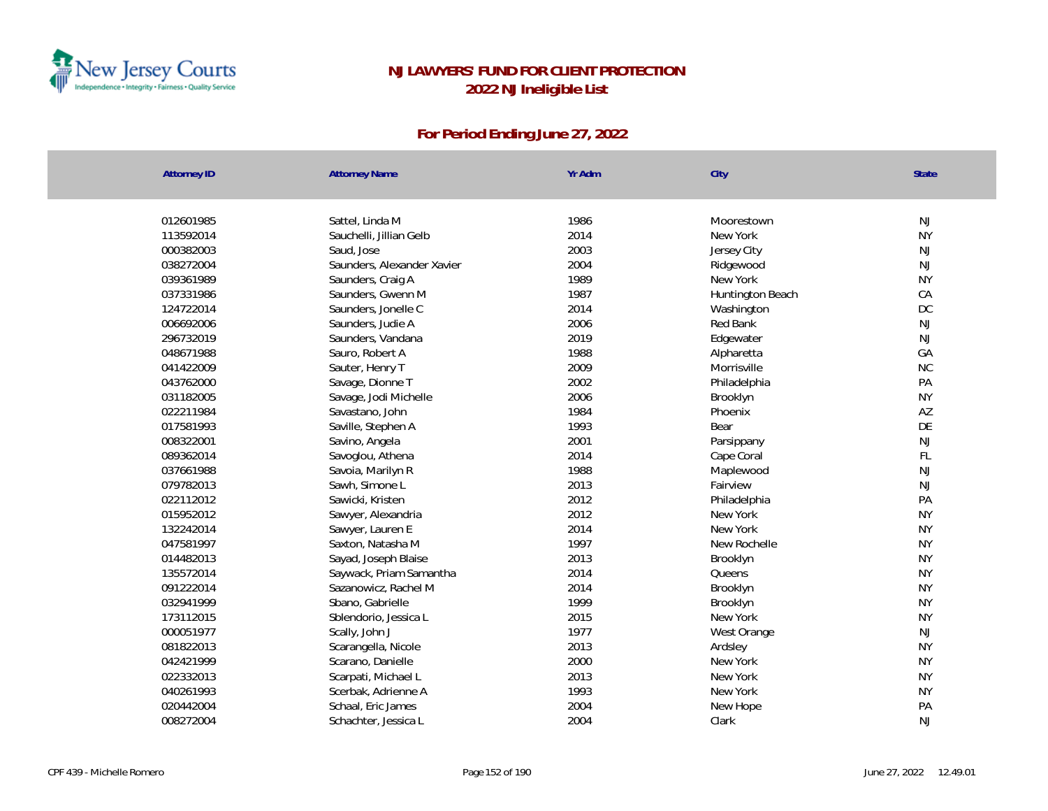

| <b>Attorney ID</b> | <b>Attorney Name</b>       | Yr Adm | City             | <b>State</b> |
|--------------------|----------------------------|--------|------------------|--------------|
|                    |                            |        |                  |              |
| 012601985          | Sattel, Linda M            | 1986   | Moorestown       | NJ           |
| 113592014          | Sauchelli, Jillian Gelb    | 2014   | New York         | <b>NY</b>    |
| 000382003          | Saud, Jose                 | 2003   | Jersey City      | <b>NJ</b>    |
| 038272004          | Saunders, Alexander Xavier | 2004   | Ridgewood        | <b>NJ</b>    |
| 039361989          | Saunders, Craig A          | 1989   | New York         | <b>NY</b>    |
| 037331986          | Saunders, Gwenn M          | 1987   | Huntington Beach | CA           |
| 124722014          | Saunders, Jonelle C        | 2014   | Washington       | DC           |
| 006692006          | Saunders, Judie A          | 2006   | Red Bank         | NJ           |
| 296732019          | Saunders, Vandana          | 2019   | Edgewater        | <b>NJ</b>    |
| 048671988          | Sauro, Robert A            | 1988   | Alpharetta       | GA           |
| 041422009          | Sauter, Henry T            | 2009   | Morrisville      | <b>NC</b>    |
| 043762000          | Savage, Dionne T           | 2002   | Philadelphia     | PA           |
| 031182005          | Savage, Jodi Michelle      | 2006   | Brooklyn         | <b>NY</b>    |
| 022211984          | Savastano, John            | 1984   | Phoenix          | AZ           |
| 017581993          | Saville, Stephen A         | 1993   | Bear             | DE           |
| 008322001          | Savino, Angela             | 2001   | Parsippany       | <b>NJ</b>    |
| 089362014          | Savoglou, Athena           | 2014   | Cape Coral       | FL           |
| 037661988          | Savoia, Marilyn R          | 1988   | Maplewood        | NJ           |
| 079782013          | Sawh, Simone L             | 2013   | Fairview         | <b>NJ</b>    |
| 022112012          | Sawicki, Kristen           | 2012   | Philadelphia     | PA           |
| 015952012          | Sawyer, Alexandria         | 2012   | New York         | <b>NY</b>    |
| 132242014          | Sawyer, Lauren E           | 2014   | New York         | <b>NY</b>    |
| 047581997          | Saxton, Natasha M          | 1997   | New Rochelle     | <b>NY</b>    |
| 014482013          | Sayad, Joseph Blaise       | 2013   | Brooklyn         | <b>NY</b>    |
| 135572014          | Saywack, Priam Samantha    | 2014   | Queens           | <b>NY</b>    |
| 091222014          | Sazanowicz, Rachel M       | 2014   | Brooklyn         | <b>NY</b>    |
| 032941999          | Sbano, Gabrielle           | 1999   | Brooklyn         | <b>NY</b>    |
| 173112015          | Sblendorio, Jessica L      | 2015   | New York         | <b>NY</b>    |
| 000051977          | Scally, John J             | 1977   | West Orange      | NJ           |
| 081822013          | Scarangella, Nicole        | 2013   | Ardsley          | <b>NY</b>    |
| 042421999          | Scarano, Danielle          | 2000   | New York         | <b>NY</b>    |
| 022332013          | Scarpati, Michael L        | 2013   | New York         | <b>NY</b>    |
| 040261993          | Scerbak, Adrienne A        | 1993   | New York         | <b>NY</b>    |
| 020442004          | Schaal, Eric James         | 2004   | New Hope         | PA           |
| 008272004          | Schachter, Jessica L       | 2004   | Clark            | <b>NJ</b>    |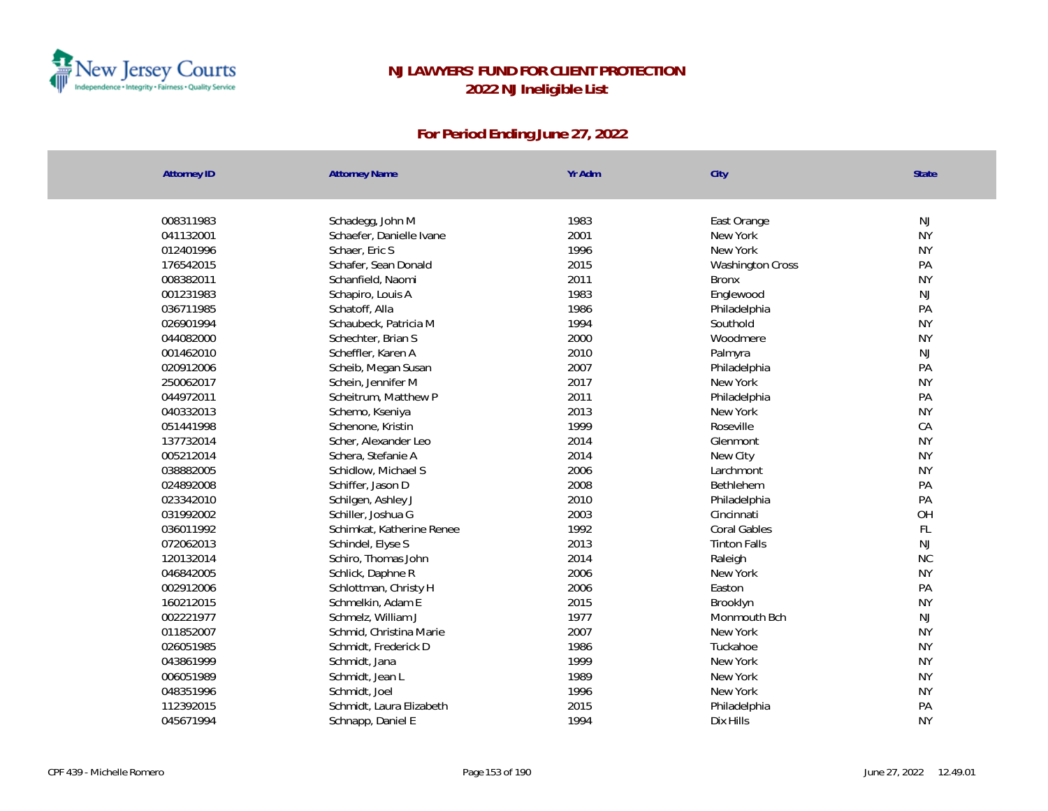

| <b>Attorney ID</b> | <b>Attorney Name</b>      | Yr Adm | City                    | <b>State</b> |
|--------------------|---------------------------|--------|-------------------------|--------------|
| 008311983          | Schadegg, John M          | 1983   | East Orange             | NJ           |
| 041132001          | Schaefer, Danielle Ivane  | 2001   | New York                | <b>NY</b>    |
| 012401996          | Schaer, Eric S            | 1996   | New York                | <b>NY</b>    |
| 176542015          | Schafer, Sean Donald      | 2015   | <b>Washington Cross</b> | PA           |
| 008382011          | Schanfield, Naomi         | 2011   | <b>Bronx</b>            | <b>NY</b>    |
| 001231983          | Schapiro, Louis A         | 1983   | Englewood               | NJ           |
| 036711985          | Schatoff, Alla            | 1986   | Philadelphia            | PA           |
| 026901994          | Schaubeck, Patricia M     | 1994   | Southold                | <b>NY</b>    |
| 044082000          | Schechter, Brian S        | 2000   | Woodmere                | <b>NY</b>    |
| 001462010          | Scheffler, Karen A        | 2010   | Palmyra                 | NJ           |
| 020912006          | Scheib, Megan Susan       | 2007   | Philadelphia            | PA           |
| 250062017          | Schein, Jennifer M        | 2017   | New York                | <b>NY</b>    |
| 044972011          | Scheitrum, Matthew P      | 2011   | Philadelphia            | PA           |
| 040332013          | Schemo, Kseniya           | 2013   | New York                | <b>NY</b>    |
| 051441998          | Schenone, Kristin         | 1999   | Roseville               | CA           |
| 137732014          | Scher, Alexander Leo      | 2014   | Glenmont                | <b>NY</b>    |
| 005212014          | Schera, Stefanie A        | 2014   | New City                | <b>NY</b>    |
| 038882005          | Schidlow, Michael S       | 2006   | Larchmont               | <b>NY</b>    |
| 024892008          | Schiffer, Jason D         | 2008   | Bethlehem               | PA           |
| 023342010          | Schilgen, Ashley J        | 2010   | Philadelphia            | PA           |
| 031992002          | Schiller, Joshua G        | 2003   | Cincinnati              | OH           |
| 036011992          | Schimkat, Katherine Renee | 1992   | <b>Coral Gables</b>     | FL           |
| 072062013          | Schindel, Elyse S         | 2013   | <b>Tinton Falls</b>     | <b>NJ</b>    |
| 120132014          | Schiro, Thomas John       | 2014   | Raleigh                 | <b>NC</b>    |
| 046842005          | Schlick, Daphne R         | 2006   | New York                | <b>NY</b>    |
| 002912006          | Schlottman, Christy H     | 2006   | Easton                  | PA           |
| 160212015          | Schmelkin, Adam E         | 2015   | Brooklyn                | <b>NY</b>    |
| 002221977          | Schmelz, William J        | 1977   | Monmouth Bch            | <b>NJ</b>    |
| 011852007          | Schmid, Christina Marie   | 2007   | New York                | <b>NY</b>    |
| 026051985          | Schmidt, Frederick D      | 1986   | Tuckahoe                | <b>NY</b>    |
| 043861999          | Schmidt, Jana             | 1999   | New York                | <b>NY</b>    |
| 006051989          | Schmidt, Jean L           | 1989   | New York                | <b>NY</b>    |
| 048351996          | Schmidt, Joel             | 1996   | New York                | <b>NY</b>    |
| 112392015          | Schmidt, Laura Elizabeth  | 2015   | Philadelphia            | PA           |
| 045671994          | Schnapp, Daniel E         | 1994   | Dix Hills               | <b>NY</b>    |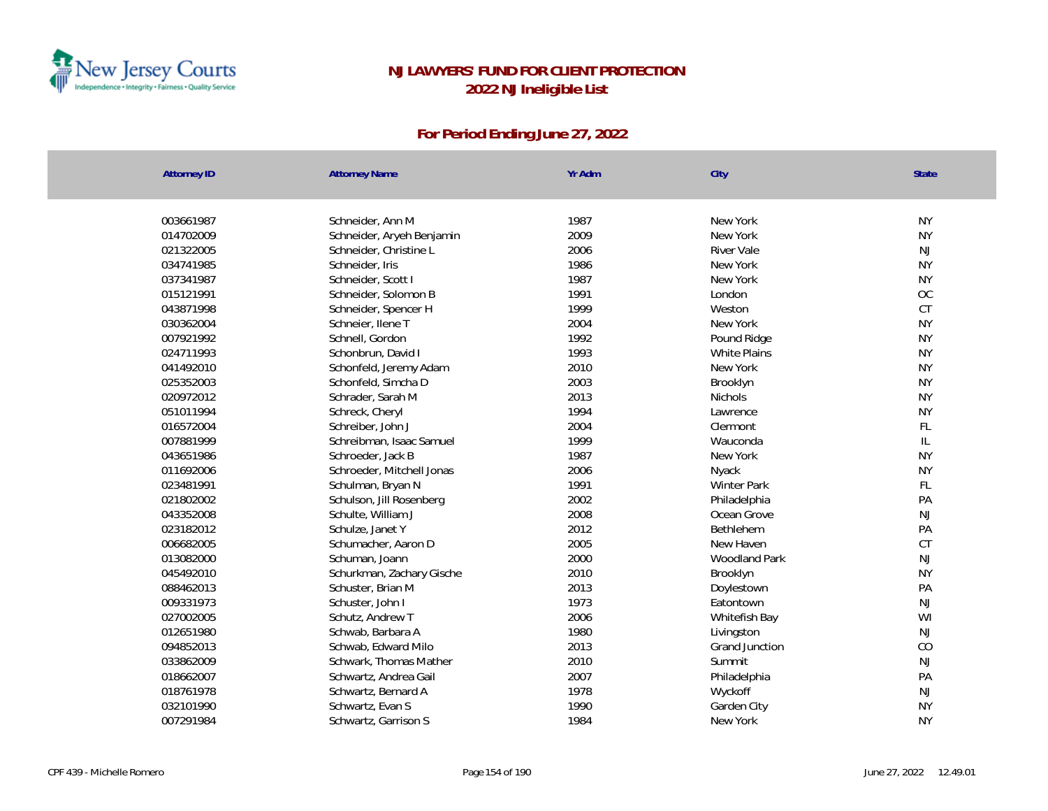

| <b>Attorney ID</b> | <b>Attorney Name</b>      | Yr Adm | City               | State         |
|--------------------|---------------------------|--------|--------------------|---------------|
| 003661987          | Schneider, Ann M          | 1987   | New York           | <b>NY</b>     |
| 014702009          | Schneider, Aryeh Benjamin | 2009   | New York           | <b>NY</b>     |
| 021322005          | Schneider, Christine L    | 2006   | <b>River Vale</b>  | NJ            |
| 034741985          | Schneider, Iris           | 1986   | New York           | <b>NY</b>     |
| 037341987          | Schneider, Scott I        | 1987   | New York           | <b>NY</b>     |
| 015121991          | Schneider, Solomon B      | 1991   | London             | <b>OC</b>     |
| 043871998          | Schneider, Spencer H      | 1999   | Weston             | CT            |
| 030362004          | Schneier, Ilene T         | 2004   | New York           | <b>NY</b>     |
| 007921992          | Schnell, Gordon           | 1992   | Pound Ridge        | <b>NY</b>     |
| 024711993          | Schonbrun, David I        | 1993   | White Plains       | <b>NY</b>     |
| 041492010          | Schonfeld, Jeremy Adam    | 2010   | New York           | <b>NY</b>     |
| 025352003          | Schonfeld, Simcha D       | 2003   | Brooklyn           | <b>NY</b>     |
| 020972012          | Schrader, Sarah M         | 2013   | <b>Nichols</b>     | <b>NY</b>     |
| 051011994          | Schreck, Cheryl           | 1994   | Lawrence           | <b>NY</b>     |
| 016572004          | Schreiber, John J         | 2004   | Clermont           | FL            |
| 007881999          | Schreibman, Isaac Samuel  | 1999   | Wauconda           | $\mathbb{L}$  |
| 043651986          | Schroeder, Jack B         | 1987   | New York           | <b>NY</b>     |
| 011692006          | Schroeder, Mitchell Jonas | 2006   | Nyack              | <b>NY</b>     |
| 023481991          | Schulman, Bryan N         | 1991   | <b>Winter Park</b> | FL            |
| 021802002          | Schulson, Jill Rosenberg  | 2002   | Philadelphia       | PA            |
| 043352008          | Schulte, William J        | 2008   | Ocean Grove        | NJ            |
| 023182012          | Schulze, Janet Y          | 2012   | Bethlehem          | PA            |
| 006682005          | Schumacher, Aaron D       | 2005   | New Haven          | <b>CT</b>     |
| 013082000          | Schuman, Joann            | 2000   | Woodland Park      | NJ            |
| 045492010          | Schurkman, Zachary Gische | 2010   | Brooklyn           | <b>NY</b>     |
| 088462013          | Schuster, Brian M         | 2013   | Doylestown         | PA            |
| 009331973          | Schuster, John I          | 1973   | Eatontown          | $\mathsf{NJ}$ |
| 027002005          | Schutz, Andrew T          | 2006   | Whitefish Bay      | WI            |
| 012651980          | Schwab, Barbara A         | 1980   | Livingston         | NJ            |
| 094852013          | Schwab, Edward Milo       | 2013   | Grand Junction     | CO            |
| 033862009          | Schwark, Thomas Mather    | 2010   | Summit             | $\mathsf{NJ}$ |
| 018662007          | Schwartz, Andrea Gail     | 2007   | Philadelphia       | PA            |
| 018761978          | Schwartz, Bernard A       | 1978   | Wyckoff            | $\mathsf{NJ}$ |
| 032101990          | Schwartz, Evan S          | 1990   | Garden City        | <b>NY</b>     |
| 007291984          | Schwartz, Garrison S      | 1984   | New York           | <b>NY</b>     |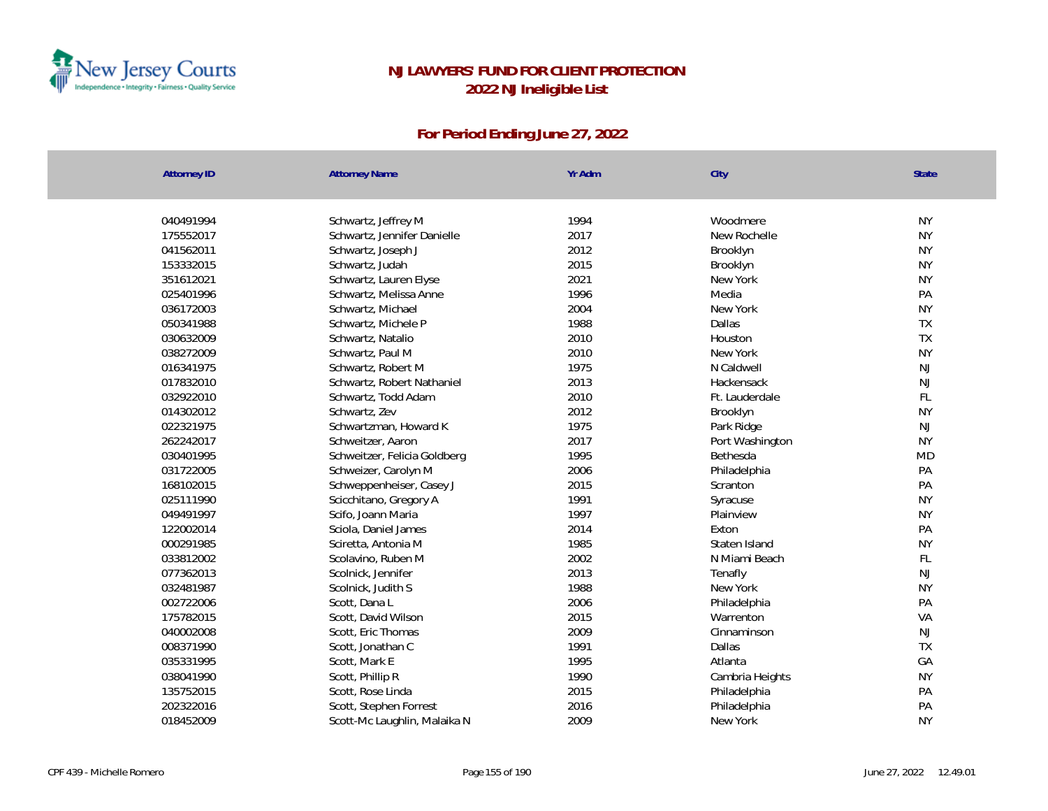

| <b>Attorney ID</b> | <b>Attorney Name</b>         | Yr Adm | City            | <b>State</b> |
|--------------------|------------------------------|--------|-----------------|--------------|
|                    |                              |        |                 |              |
| 040491994          | Schwartz, Jeffrey M          | 1994   | Woodmere        | <b>NY</b>    |
| 175552017          | Schwartz, Jennifer Danielle  | 2017   | New Rochelle    | <b>NY</b>    |
| 041562011          | Schwartz, Joseph J           | 2012   | Brooklyn        | <b>NY</b>    |
| 153332015          | Schwartz, Judah              | 2015   | Brooklyn        | <b>NY</b>    |
| 351612021          | Schwartz, Lauren Elyse       | 2021   | New York        | <b>NY</b>    |
| 025401996          | Schwartz, Melissa Anne       | 1996   | Media           | PA           |
| 036172003          | Schwartz, Michael            | 2004   | New York        | <b>NY</b>    |
| 050341988          | Schwartz, Michele P          | 1988   | Dallas          | TX           |
| 030632009          | Schwartz, Natalio            | 2010   | Houston         | TX           |
| 038272009          | Schwartz, Paul M             | 2010   | New York        | <b>NY</b>    |
| 016341975          | Schwartz, Robert M           | 1975   | N Caldwell      | NJ           |
| 017832010          | Schwartz, Robert Nathaniel   | 2013   | Hackensack      | NJ           |
| 032922010          | Schwartz, Todd Adam          | 2010   | Ft. Lauderdale  | FL           |
| 014302012          | Schwartz, Zev                | 2012   | Brooklyn        | <b>NY</b>    |
| 022321975          | Schwartzman, Howard K        | 1975   | Park Ridge      | <b>NJ</b>    |
| 262242017          | Schweitzer, Aaron            | 2017   | Port Washington | <b>NY</b>    |
| 030401995          | Schweitzer, Felicia Goldberg | 1995   | Bethesda        | <b>MD</b>    |
| 031722005          | Schweizer, Carolyn M         | 2006   | Philadelphia    | PA           |
| 168102015          | Schweppenheiser, Casey J     | 2015   | Scranton        | PA           |
| 025111990          | Scicchitano, Gregory A       | 1991   | Syracuse        | <b>NY</b>    |
| 049491997          | Scifo, Joann Maria           | 1997   | Plainview       | <b>NY</b>    |
| 122002014          | Sciola, Daniel James         | 2014   | Exton           | PA           |
| 000291985          | Sciretta, Antonia M          | 1985   | Staten Island   | <b>NY</b>    |
| 033812002          | Scolavino, Ruben M           | 2002   | N Miami Beach   | FL           |
| 077362013          | Scolnick, Jennifer           | 2013   | Tenafly         | <b>NJ</b>    |
| 032481987          | Scolnick, Judith S           | 1988   | New York        | <b>NY</b>    |
| 002722006          | Scott, Dana L                | 2006   | Philadelphia    | PA           |
| 175782015          | Scott, David Wilson          | 2015   | Warrenton       | VA           |
| 040002008          | Scott, Eric Thomas           | 2009   | Cinnaminson     | <b>NJ</b>    |
| 008371990          | Scott, Jonathan C            | 1991   | Dallas          | <b>TX</b>    |
| 035331995          | Scott, Mark E                | 1995   | Atlanta         | GA           |
| 038041990          | Scott, Phillip R             | 1990   | Cambria Heights | <b>NY</b>    |
| 135752015          | Scott, Rose Linda            | 2015   | Philadelphia    | PA           |
| 202322016          | Scott, Stephen Forrest       | 2016   | Philadelphia    | PA           |
| 018452009          | Scott-Mc Laughlin, Malaika N | 2009   | New York        | <b>NY</b>    |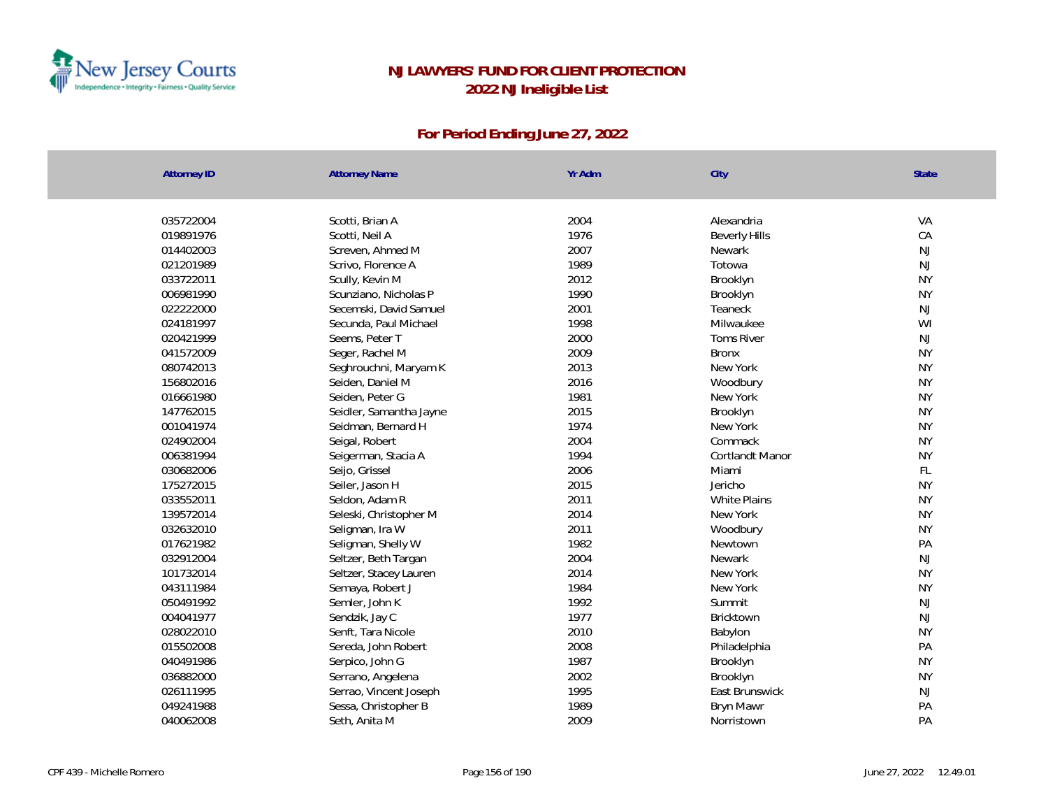

| <b>Attorney ID</b> | <b>Attorney Name</b>    | Yr Adm | City                 | State     |
|--------------------|-------------------------|--------|----------------------|-----------|
|                    |                         |        |                      |           |
| 035722004          | Scotti, Brian A         | 2004   | Alexandria           | VA        |
| 019891976          | Scotti, Neil A          | 1976   | <b>Beverly Hills</b> | CA        |
| 014402003          | Screven, Ahmed M        | 2007   | Newark               | NJ        |
| 021201989          | Scrivo, Florence A      | 1989   | Totowa               | NJ        |
| 033722011          | Scully, Kevin M         | 2012   | Brooklyn             | <b>NY</b> |
| 006981990          | Scunziano, Nicholas P   | 1990   | Brooklyn             | <b>NY</b> |
| 022222000          | Secemski, David Samuel  | 2001   | Teaneck              | NJ        |
| 024181997          | Secunda, Paul Michael   | 1998   | Milwaukee            | WI        |
| 020421999          | Seems, Peter T          | 2000   | <b>Toms River</b>    | NJ        |
| 041572009          | Seger, Rachel M         | 2009   | <b>Bronx</b>         | <b>NY</b> |
| 080742013          | Seghrouchni, Maryam K   | 2013   | New York             | <b>NY</b> |
| 156802016          | Seiden, Daniel M        | 2016   | Woodbury             | <b>NY</b> |
| 016661980          | Seiden, Peter G         | 1981   | New York             | <b>NY</b> |
| 147762015          | Seidler, Samantha Jayne | 2015   | Brooklyn             | <b>NY</b> |
| 001041974          | Seidman, Bernard H      | 1974   | New York             | <b>NY</b> |
| 024902004          | Seigal, Robert          | 2004   | Commack              | <b>NY</b> |
| 006381994          | Seigerman, Stacia A     | 1994   | Cortlandt Manor      | <b>NY</b> |
| 030682006          | Seijo, Grissel          | 2006   | Miami                | FL        |
| 175272015          | Seiler, Jason H         | 2015   | Jericho              | <b>NY</b> |
| 033552011          | Seldon, Adam R          | 2011   | White Plains         | <b>NY</b> |
| 139572014          | Seleski, Christopher M  | 2014   | New York             | <b>NY</b> |
| 032632010          | Seligman, Ira W         | 2011   | Woodbury             | <b>NY</b> |
| 017621982          | Seligman, Shelly W      | 1982   | Newtown              | PA        |
| 032912004          | Seltzer, Beth Targan    | 2004   | Newark               | NJ        |
| 101732014          | Seltzer, Stacey Lauren  | 2014   | New York             | <b>NY</b> |
| 043111984          | Semaya, Robert J        | 1984   | New York             | <b>NY</b> |
| 050491992          | Semler, John K          | 1992   | Summit               | NJ        |
| 004041977          | Sendzik, Jay C          | 1977   | <b>Bricktown</b>     | NJ        |
| 028022010          | Senft, Tara Nicole      | 2010   | Babylon              | <b>NY</b> |
| 015502008          | Sereda, John Robert     | 2008   | Philadelphia         | PA        |
| 040491986          | Serpico, John G         | 1987   | Brooklyn             | <b>NY</b> |
| 036882000          | Serrano, Angelena       | 2002   | Brooklyn             | <b>NY</b> |
| 026111995          | Serrao, Vincent Joseph  | 1995   | East Brunswick       | NJ        |
| 049241988          | Sessa, Christopher B    | 1989   | Bryn Mawr            | PA        |
| 040062008          | Seth, Anita M           | 2009   | Norristown           | PA        |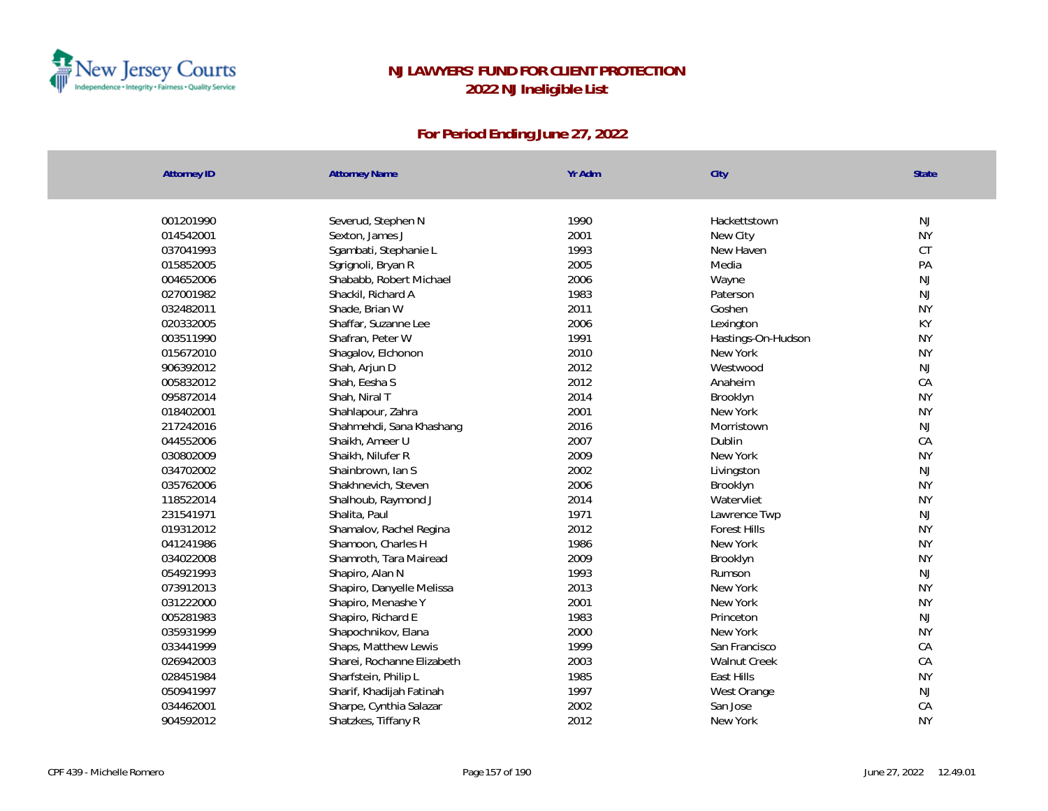

| Attorney ID | <b>Attorney Name</b>       | Yr Adm | City                | <b>State</b>             |
|-------------|----------------------------|--------|---------------------|--------------------------|
|             |                            |        |                     |                          |
| 001201990   | Severud, Stephen N         | 1990   | Hackettstown        | <b>NJ</b>                |
| 014542001   | Sexton, James J            | 2001   | New City            | <b>NY</b>                |
| 037041993   | Sgambati, Stephanie L      | 1993   | New Haven           | CT                       |
| 015852005   | Sgrignoli, Bryan R         | 2005   | Media               | PA                       |
| 004652006   | Shababb, Robert Michael    | 2006   | Wayne               | NJ                       |
| 027001982   | Shackil, Richard A         | 1983   | Paterson            | <b>NJ</b>                |
| 032482011   | Shade, Brian W             | 2011   | Goshen              | <b>NY</b>                |
| 020332005   | Shaffar, Suzanne Lee       | 2006   | Lexington           | KY                       |
| 003511990   | Shafran, Peter W           | 1991   | Hastings-On-Hudson  | <b>NY</b>                |
| 015672010   | Shagalov, Elchonon         | 2010   | New York            | <b>NY</b>                |
| 906392012   | Shah, Arjun D              | 2012   | Westwood            | NJ                       |
| 005832012   | Shah, Eesha S              | 2012   | Anaheim             | CA                       |
| 095872014   | Shah, Niral T              | 2014   | Brooklyn            | <b>NY</b>                |
| 018402001   | Shahlapour, Zahra          | 2001   | New York            | <b>NY</b>                |
| 217242016   | Shahmehdi, Sana Khashang   | 2016   | Morristown          | <b>NJ</b>                |
| 044552006   | Shaikh, Ameer U            | 2007   | Dublin              | CA                       |
| 030802009   | Shaikh, Nilufer R          | 2009   | New York            | <b>NY</b>                |
| 034702002   | Shainbrown, Ian S          | 2002   | Livingston          | <b>NJ</b>                |
| 035762006   | Shakhnevich, Steven        | 2006   | Brooklyn            | <b>NY</b>                |
| 118522014   | Shalhoub, Raymond J        | 2014   | Watervliet          | <b>NY</b>                |
| 231541971   | Shalita, Paul              | 1971   | Lawrence Twp        | NJ                       |
| 019312012   | Shamalov, Rachel Regina    | 2012   | <b>Forest Hills</b> | <b>NY</b>                |
| 041241986   | Shamoon, Charles H         | 1986   | New York            | <b>NY</b>                |
| 034022008   | Shamroth, Tara Mairead     | 2009   | Brooklyn            | <b>NY</b>                |
| 054921993   | Shapiro, Alan N            | 1993   | Rumson              | NJ                       |
| 073912013   | Shapiro, Danyelle Melissa  | 2013   | New York            | <b>NY</b>                |
| 031222000   | Shapiro, Menashe Y         | 2001   | New York            | <b>NY</b>                |
| 005281983   | Shapiro, Richard E         | 1983   | Princeton           | <b>NJ</b>                |
| 035931999   | Shapochnikov, Elana        | 2000   | New York            | <b>NY</b>                |
| 033441999   | Shaps, Matthew Lewis       | 1999   | San Francisco       | CA                       |
| 026942003   | Sharei, Rochanne Elizabeth | 2003   | Walnut Creek        | ${\mathsf C}{\mathsf A}$ |
| 028451984   | Sharfstein, Philip L       | 1985   | East Hills          | <b>NY</b>                |
| 050941997   | Sharif, Khadijah Fatinah   | 1997   | West Orange         | NJ                       |
| 034462001   | Sharpe, Cynthia Salazar    | 2002   | San Jose            | CA                       |
| 904592012   | Shatzkes, Tiffany R        | 2012   | New York            | <b>NY</b>                |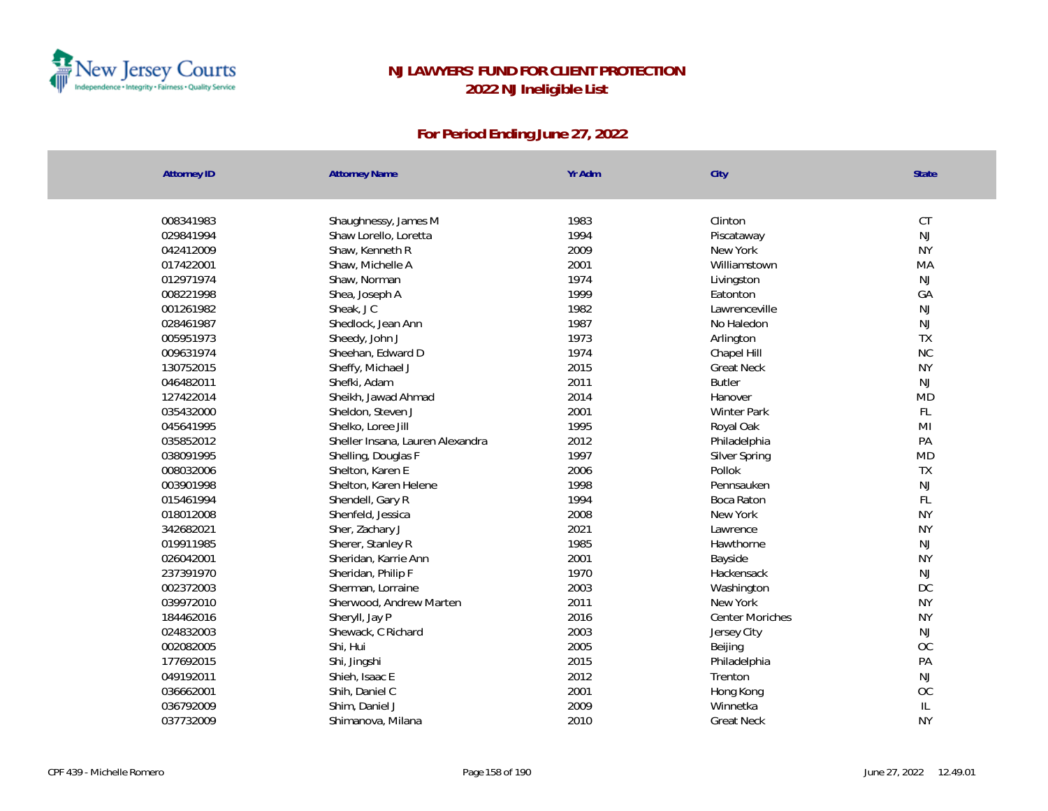

| <b>Attorney ID</b> | <b>Attorney Name</b>             | Yr Adm | City               | State         |
|--------------------|----------------------------------|--------|--------------------|---------------|
|                    |                                  |        |                    |               |
| 008341983          | Shaughnessy, James M             | 1983   | Clinton            | CT            |
| 029841994          | Shaw Lorello, Loretta            | 1994   | Piscataway         | NJ            |
| 042412009          | Shaw, Kenneth R                  | 2009   | New York           | <b>NY</b>     |
| 017422001          | Shaw, Michelle A                 | 2001   | Williamstown       | MA            |
| 012971974          | Shaw, Norman                     | 1974   | Livingston         | <b>NJ</b>     |
| 008221998          | Shea, Joseph A                   | 1999   | Eatonton           | GA            |
| 001261982          | Sheak, JC                        | 1982   | I awrenceville     | <b>NJ</b>     |
| 028461987          | Shedlock, Jean Ann               | 1987   | No Haledon         | NJ            |
| 005951973          | Sheedy, John J                   | 1973   | Arlington          | TX            |
| 009631974          | Sheehan, Edward D                | 1974   | Chapel Hill        | <b>NC</b>     |
| 130752015          | Sheffy, Michael J                | 2015   | <b>Great Neck</b>  | <b>NY</b>     |
| 046482011          | Shefki, Adam                     | 2011   | <b>Butler</b>      | NJ            |
| 127422014          | Sheikh, Jawad Ahmad              | 2014   | Hanover            | <b>MD</b>     |
| 035432000          | Sheldon, Steven J                | 2001   | <b>Winter Park</b> | FL            |
| 045641995          | Shelko, Loree Jill               | 1995   | Royal Oak          | MI            |
| 035852012          | Sheller Insana, Lauren Alexandra | 2012   | Philadelphia       | PA            |
| 038091995          | Shelling, Douglas F              | 1997   | Silver Spring      | <b>MD</b>     |
| 008032006          | Shelton, Karen E                 | 2006   | Pollok             | TX            |
| 003901998          | Shelton, Karen Helene            | 1998   | Pennsauken         | NJ            |
| 015461994          | Shendell, Gary R                 | 1994   | Boca Raton         | FL            |
| 018012008          | Shenfeld, Jessica                | 2008   | New York           | <b>NY</b>     |
| 342682021          | Sher, Zachary J                  | 2021   | Lawrence           | <b>NY</b>     |
| 019911985          | Sherer, Stanley R                | 1985   | Hawthorne          | <b>NJ</b>     |
| 026042001          | Sheridan, Karrie Ann             | 2001   | Bayside            | <b>NY</b>     |
| 237391970          | Sheridan, Philip F               | 1970   | Hackensack         | NJ            |
| 002372003          | Sherman, Lorraine                | 2003   | Washington         | DC            |
| 039972010          | Sherwood, Andrew Marten          | 2011   | New York           | <b>NY</b>     |
| 184462016          | Sheryll, Jay P                   | 2016   | Center Moriches    | <b>NY</b>     |
| 024832003          | Shewack, C Richard               | 2003   | Jersey City        | <b>NJ</b>     |
| 002082005          | Shi, Hui                         | 2005   | Beijing            | OC            |
| 177692015          | Shi, Jingshi                     | 2015   | Philadelphia       | PA            |
| 049192011          | Shieh, Isaac E                   | 2012   | Trenton            | <b>NJ</b>     |
| 036662001          | Shih, Daniel C                   | 2001   | Hong Kong          | OC            |
| 036792009          | Shim, Daniel J                   | 2009   | Winnetka           | $\mathsf{IL}$ |
| 037732009          | Shimanova, Milana                | 2010   | <b>Great Neck</b>  | <b>NY</b>     |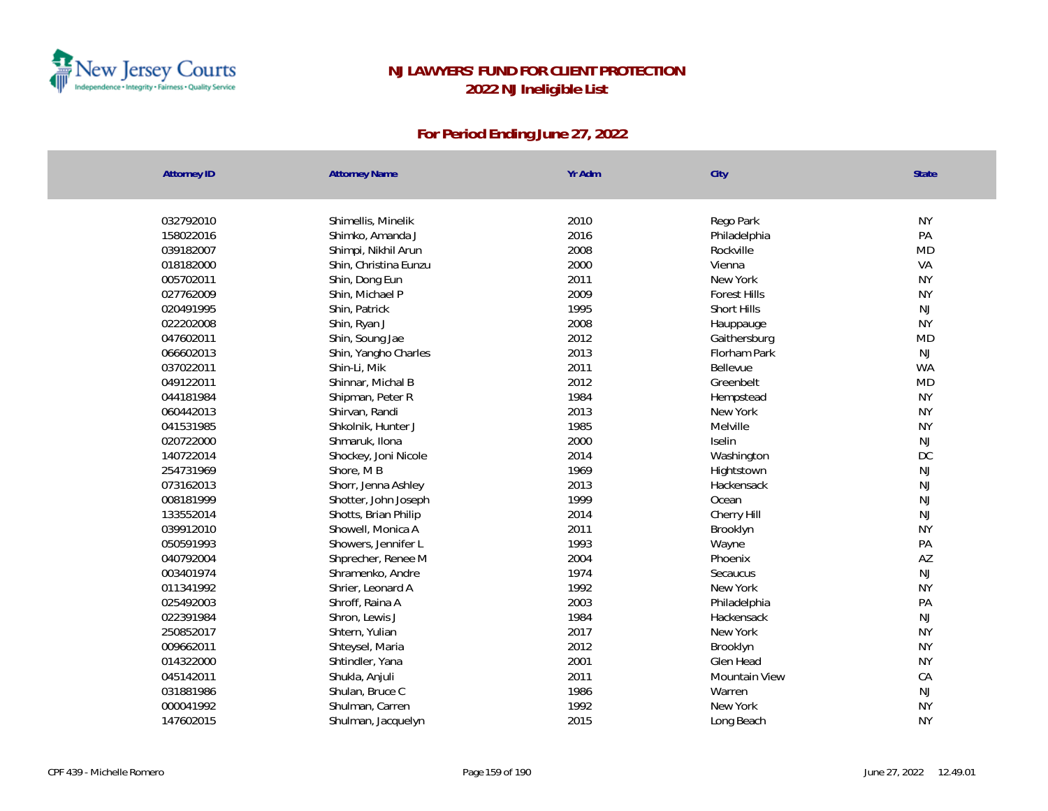

| <b>Attorney ID</b> | <b>Attorney Name</b>  | Yr Adm | City                | State     |
|--------------------|-----------------------|--------|---------------------|-----------|
|                    |                       |        |                     |           |
| 032792010          | Shimellis, Minelik    | 2010   | Rego Park           | <b>NY</b> |
| 158022016          | Shimko, Amanda J      | 2016   | Philadelphia        | PA        |
| 039182007          | Shimpi, Nikhil Arun   | 2008   | Rockville           | <b>MD</b> |
| 018182000          | Shin, Christina Eunzu | 2000   | Vienna              | VA        |
| 005702011          | Shin, Dong Eun        | 2011   | New York            | <b>NY</b> |
| 027762009          | Shin, Michael P       | 2009   | <b>Forest Hills</b> | <b>NY</b> |
| 020491995          | Shin, Patrick         | 1995   | Short Hills         | <b>NJ</b> |
| 022202008          | Shin, Ryan J          | 2008   | Hauppauge           | <b>NY</b> |
| 047602011          | Shin, Soung Jae       | 2012   | Gaithersburg        | MD        |
| 066602013          | Shin, Yangho Charles  | 2013   | Florham Park        | <b>NJ</b> |
| 037022011          | Shin-Li, Mik          | 2011   | Bellevue            | <b>WA</b> |
| 049122011          | Shinnar, Michal B     | 2012   | Greenbelt           | <b>MD</b> |
| 044181984          | Shipman, Peter R      | 1984   | Hempstead           | <b>NY</b> |
| 060442013          | Shirvan, Randi        | 2013   | New York            | <b>NY</b> |
| 041531985          | Shkolnik, Hunter J    | 1985   | Melville            | <b>NY</b> |
| 020722000          | Shmaruk, Ilona        | 2000   | Iselin              | <b>NJ</b> |
| 140722014          | Shockey, Joni Nicole  | 2014   | Washington          | DC        |
| 254731969          | Shore, MB             | 1969   | Hightstown          | <b>NJ</b> |
| 073162013          | Shorr, Jenna Ashley   | 2013   | Hackensack          | NJ        |
| 008181999          | Shotter, John Joseph  | 1999   | Ocean               | NJ        |
| 133552014          | Shotts, Brian Philip  | 2014   | Cherry Hill         | <b>NJ</b> |
| 039912010          | Showell, Monica A     | 2011   | Brooklyn            | <b>NY</b> |
| 050591993          | Showers, Jennifer L   | 1993   | Wayne               | PA        |
| 040792004          | Shprecher, Renee M    | 2004   | Phoenix             | AZ        |
| 003401974          | Shramenko, Andre      | 1974   | Secaucus            | <b>NJ</b> |
| 011341992          | Shrier, Leonard A     | 1992   | New York            | <b>NY</b> |
| 025492003          | Shroff, Raina A       | 2003   | Philadelphia        | PA        |
| 022391984          | Shron, Lewis J        | 1984   | Hackensack          | <b>NJ</b> |
| 250852017          | Shtern, Yulian        | 2017   | New York            | <b>NY</b> |
| 009662011          | Shteysel, Maria       | 2012   | Brooklyn            | <b>NY</b> |
| 014322000          | Shtindler, Yana       | 2001   | Glen Head           | <b>NY</b> |
| 045142011          | Shukla, Anjuli        | 2011   | Mountain View       | CA        |
| 031881986          | Shulan, Bruce C       | 1986   | Warren              | <b>NJ</b> |
| 000041992          | Shulman, Carren       | 1992   | New York            | <b>NY</b> |
| 147602015          | Shulman, Jacquelyn    | 2015   | Long Beach          | <b>NY</b> |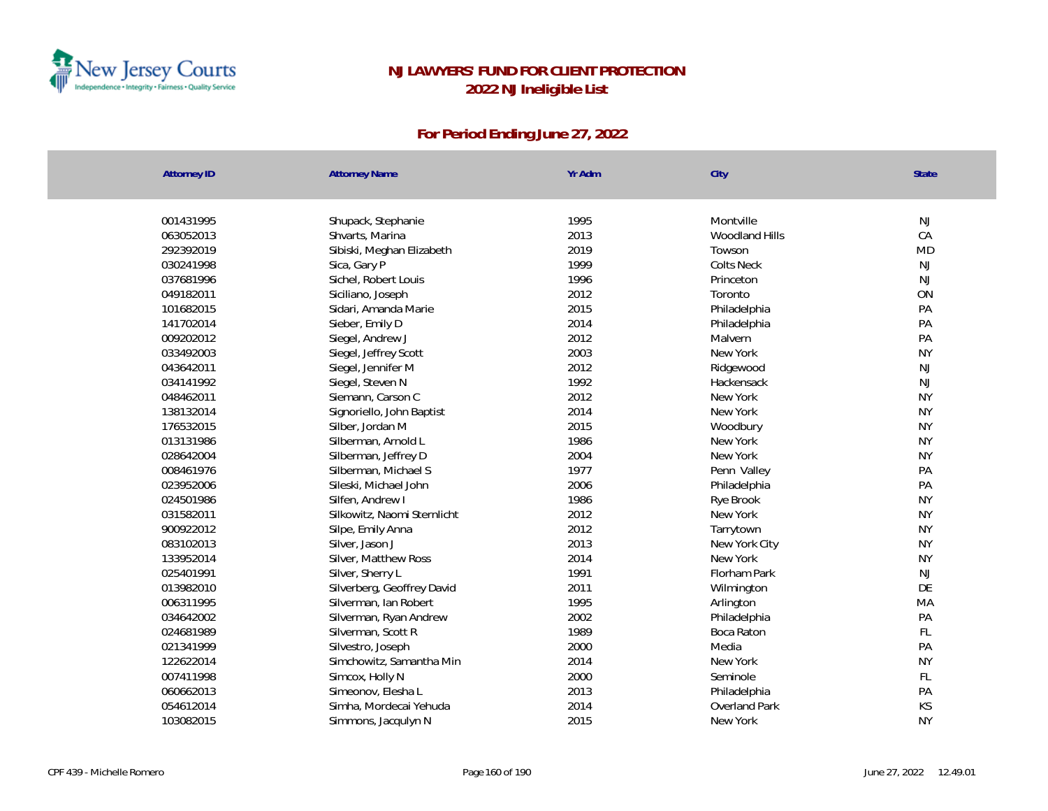

| <b>Attorney ID</b> | <b>Attorney Name</b>        | Yr Adm | City              | <b>State</b> |
|--------------------|-----------------------------|--------|-------------------|--------------|
| 001431995          | Shupack, Stephanie          | 1995   | Montville         | <b>NJ</b>    |
| 063052013          | Shvarts, Marina             | 2013   | Woodland Hills    | CA           |
| 292392019          | Sibiski, Meghan Elizabeth   | 2019   | Towson            | <b>MD</b>    |
| 030241998          | Sica, Gary P                | 1999   | <b>Colts Neck</b> | <b>NJ</b>    |
| 037681996          | Sichel, Robert Louis        | 1996   | Princeton         | <b>NJ</b>    |
| 049182011          | Siciliano, Joseph           | 2012   | Toronto           | ON           |
| 101682015          | Sidari, Amanda Marie        | 2015   | Philadelphia      | PA           |
| 141702014          | Sieber, Emily D             | 2014   | Philadelphia      | PA           |
| 009202012          | Siegel, Andrew J            | 2012   | Malvern           | PA           |
| 033492003          | Siegel, Jeffrey Scott       | 2003   | New York          | <b>NY</b>    |
| 043642011          | Siegel, Jennifer M          | 2012   | Ridgewood         | <b>NJ</b>    |
| 034141992          | Siegel, Steven N            | 1992   | Hackensack        | NJ           |
| 048462011          | Siemann, Carson C           | 2012   | New York          | <b>NY</b>    |
| 138132014          | Signoriello, John Baptist   | 2014   | New York          | <b>NY</b>    |
| 176532015          | Silber, Jordan M            | 2015   | Woodbury          | <b>NY</b>    |
| 013131986          | Silberman, Arnold L         | 1986   | New York          | <b>NY</b>    |
| 028642004          | Silberman, Jeffrey D        | 2004   | New York          | <b>NY</b>    |
| 008461976          | Silberman, Michael S        | 1977   | Penn Valley       | PA           |
| 023952006          | Sileski, Michael John       | 2006   | Philadelphia      | PA           |
| 024501986          | Silfen, Andrew I            | 1986   | Rye Brook         | <b>NY</b>    |
| 031582011          | Silkowitz, Naomi Sternlicht | 2012   | New York          | <b>NY</b>    |
| 900922012          | Silpe, Emily Anna           | 2012   | Tarrytown         | <b>NY</b>    |
| 083102013          | Silver, Jason J             | 2013   | New York City     | <b>NY</b>    |
| 133952014          | Silver, Matthew Ross        | 2014   | New York          | <b>NY</b>    |
| 025401991          | Silver, Sherry L            | 1991   | Florham Park      | <b>NJ</b>    |
| 013982010          | Silverberg, Geoffrey David  | 2011   | Wilmington        | DE           |
| 006311995          | Silverman, Ian Robert       | 1995   | Arlington         | MA           |
| 034642002          | Silverman, Ryan Andrew      | 2002   | Philadelphia      | PA           |
| 024681989          | Silverman, Scott R          | 1989   | Boca Raton        | FL.          |
| 021341999          | Silvestro, Joseph           | 2000   | Media             | PA           |
| 122622014          | Simchowitz, Samantha Min    | 2014   | New York          | <b>NY</b>    |
| 007411998          | Simcox, Holly N             | 2000   | Seminole          | FL           |
| 060662013          | Simeonov, Elesha L          | 2013   | Philadelphia      | PA           |
| 054612014          | Simha, Mordecai Yehuda      | 2014   | Overland Park     | KS           |
| 103082015          | Simmons, Jacqulyn N         | 2015   | New York          | <b>NY</b>    |
|                    |                             |        |                   |              |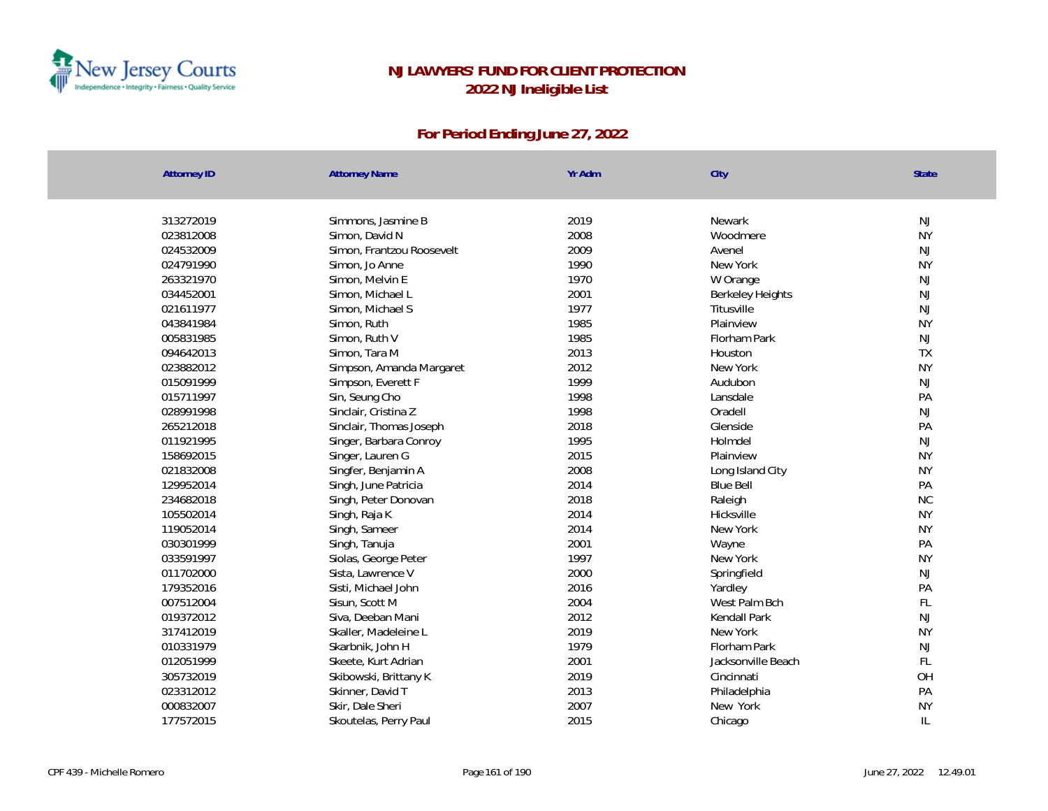

| 2019<br>NJ<br>313272019<br>Simmons, Jasmine B<br>Newark<br>2008<br><b>NY</b><br>023812008<br>Simon, David N<br>Woodmere<br>2009<br>024532009<br>Simon, Frantzou Roosevelt<br>Avenel<br>NJ<br><b>NY</b><br>024791990<br>1990<br>New York<br>Simon, Jo Anne<br>Simon, Melvin E<br>1970<br>NJ<br>263321970<br>W Orange<br>2001<br>NJ<br>034452001<br>Simon, Michael L<br><b>Berkeley Heights</b><br>NJ<br>021611977<br>Simon, Michael S<br>1977<br>Titusville<br><b>NY</b><br>Simon, Ruth<br>1985<br>Plainview<br>043841984<br>1985<br>005831985<br>Florham Park<br>NJ<br>Simon, Ruth V<br>TX<br>2013<br>094642013<br>Simon, Tara M<br>Houston<br>2012<br><b>NY</b><br>023882012<br>Simpson, Amanda Margaret<br>New York<br>015091999<br>1999<br>Simpson, Everett F<br>Audubon<br>NJ<br>1998<br>015711997<br>Sin, Seung Cho<br>Lansdale<br>PA<br>1998<br>Oradell<br>NJ<br>028991998<br>Sinclair, Cristina Z<br>2018<br>PA<br>265212018<br>Sinclair, Thomas Joseph<br>Glenside<br>1995<br>NJ<br>011921995<br>Holmdel<br>Singer, Barbara Conroy<br><b>NY</b><br>158692015<br>2015<br>Singer, Lauren G<br>Plainview<br><b>NY</b><br>021832008<br>Singfer, Benjamin A<br>2008<br>Long Island City<br>2014<br>PA<br>129952014<br><b>Blue Bell</b><br>Singh, June Patricia<br>2018<br><b>NC</b><br>234682018<br>Singh, Peter Donovan<br>Raleigh<br><b>NY</b><br>105502014<br>2014<br>Hicksville<br>Singh, Raja K<br><b>NY</b><br>119052014<br>Singh, Sameer<br>2014<br>New York<br>2001<br>030301999<br>PA<br>Singh, Tanuja<br>Wayne<br>1997<br><b>NY</b><br>033591997<br>Siolas, George Peter<br>New York<br>2000<br>NJ<br>011702000<br>Sista, Lawrence V<br>Springfield<br>2016<br>179352016<br>PA<br>Sisti, Michael John<br>Yardley<br>FL<br>007512004<br>2004<br>West Palm Bch<br>Sisun, Scott M<br>NJ<br>2012<br>019372012<br>Siva, Deeban Mani<br>Kendall Park<br>2019<br><b>NY</b><br>New York<br>317412019<br>Skaller, Madeleine L<br>1979<br>010331979<br>Florham Park<br>NJ<br>Skarbnik, John H<br>FL<br>2001<br>012051999<br>Skeete, Kurt Adrian<br>Jacksonville Beach<br>OH<br>2019<br>305732019<br>Cincinnati<br>Skibowski, Brittany K | <b>Attorney ID</b> | <b>Attorney Name</b> | Yr Adm | City         | State |  |
|--------------------------------------------------------------------------------------------------------------------------------------------------------------------------------------------------------------------------------------------------------------------------------------------------------------------------------------------------------------------------------------------------------------------------------------------------------------------------------------------------------------------------------------------------------------------------------------------------------------------------------------------------------------------------------------------------------------------------------------------------------------------------------------------------------------------------------------------------------------------------------------------------------------------------------------------------------------------------------------------------------------------------------------------------------------------------------------------------------------------------------------------------------------------------------------------------------------------------------------------------------------------------------------------------------------------------------------------------------------------------------------------------------------------------------------------------------------------------------------------------------------------------------------------------------------------------------------------------------------------------------------------------------------------------------------------------------------------------------------------------------------------------------------------------------------------------------------------------------------------------------------------------------------------------------------------------------------------------------------------------------------------------------------------------------------------------------------------------------------------------------------------|--------------------|----------------------|--------|--------------|-------|--|
|                                                                                                                                                                                                                                                                                                                                                                                                                                                                                                                                                                                                                                                                                                                                                                                                                                                                                                                                                                                                                                                                                                                                                                                                                                                                                                                                                                                                                                                                                                                                                                                                                                                                                                                                                                                                                                                                                                                                                                                                                                                                                                                                            |                    |                      |        |              |       |  |
|                                                                                                                                                                                                                                                                                                                                                                                                                                                                                                                                                                                                                                                                                                                                                                                                                                                                                                                                                                                                                                                                                                                                                                                                                                                                                                                                                                                                                                                                                                                                                                                                                                                                                                                                                                                                                                                                                                                                                                                                                                                                                                                                            |                    |                      |        |              |       |  |
|                                                                                                                                                                                                                                                                                                                                                                                                                                                                                                                                                                                                                                                                                                                                                                                                                                                                                                                                                                                                                                                                                                                                                                                                                                                                                                                                                                                                                                                                                                                                                                                                                                                                                                                                                                                                                                                                                                                                                                                                                                                                                                                                            |                    |                      |        |              |       |  |
|                                                                                                                                                                                                                                                                                                                                                                                                                                                                                                                                                                                                                                                                                                                                                                                                                                                                                                                                                                                                                                                                                                                                                                                                                                                                                                                                                                                                                                                                                                                                                                                                                                                                                                                                                                                                                                                                                                                                                                                                                                                                                                                                            |                    |                      |        |              |       |  |
|                                                                                                                                                                                                                                                                                                                                                                                                                                                                                                                                                                                                                                                                                                                                                                                                                                                                                                                                                                                                                                                                                                                                                                                                                                                                                                                                                                                                                                                                                                                                                                                                                                                                                                                                                                                                                                                                                                                                                                                                                                                                                                                                            |                    |                      |        |              |       |  |
|                                                                                                                                                                                                                                                                                                                                                                                                                                                                                                                                                                                                                                                                                                                                                                                                                                                                                                                                                                                                                                                                                                                                                                                                                                                                                                                                                                                                                                                                                                                                                                                                                                                                                                                                                                                                                                                                                                                                                                                                                                                                                                                                            |                    |                      |        |              |       |  |
|                                                                                                                                                                                                                                                                                                                                                                                                                                                                                                                                                                                                                                                                                                                                                                                                                                                                                                                                                                                                                                                                                                                                                                                                                                                                                                                                                                                                                                                                                                                                                                                                                                                                                                                                                                                                                                                                                                                                                                                                                                                                                                                                            |                    |                      |        |              |       |  |
|                                                                                                                                                                                                                                                                                                                                                                                                                                                                                                                                                                                                                                                                                                                                                                                                                                                                                                                                                                                                                                                                                                                                                                                                                                                                                                                                                                                                                                                                                                                                                                                                                                                                                                                                                                                                                                                                                                                                                                                                                                                                                                                                            |                    |                      |        |              |       |  |
|                                                                                                                                                                                                                                                                                                                                                                                                                                                                                                                                                                                                                                                                                                                                                                                                                                                                                                                                                                                                                                                                                                                                                                                                                                                                                                                                                                                                                                                                                                                                                                                                                                                                                                                                                                                                                                                                                                                                                                                                                                                                                                                                            |                    |                      |        |              |       |  |
|                                                                                                                                                                                                                                                                                                                                                                                                                                                                                                                                                                                                                                                                                                                                                                                                                                                                                                                                                                                                                                                                                                                                                                                                                                                                                                                                                                                                                                                                                                                                                                                                                                                                                                                                                                                                                                                                                                                                                                                                                                                                                                                                            |                    |                      |        |              |       |  |
|                                                                                                                                                                                                                                                                                                                                                                                                                                                                                                                                                                                                                                                                                                                                                                                                                                                                                                                                                                                                                                                                                                                                                                                                                                                                                                                                                                                                                                                                                                                                                                                                                                                                                                                                                                                                                                                                                                                                                                                                                                                                                                                                            |                    |                      |        |              |       |  |
|                                                                                                                                                                                                                                                                                                                                                                                                                                                                                                                                                                                                                                                                                                                                                                                                                                                                                                                                                                                                                                                                                                                                                                                                                                                                                                                                                                                                                                                                                                                                                                                                                                                                                                                                                                                                                                                                                                                                                                                                                                                                                                                                            |                    |                      |        |              |       |  |
|                                                                                                                                                                                                                                                                                                                                                                                                                                                                                                                                                                                                                                                                                                                                                                                                                                                                                                                                                                                                                                                                                                                                                                                                                                                                                                                                                                                                                                                                                                                                                                                                                                                                                                                                                                                                                                                                                                                                                                                                                                                                                                                                            |                    |                      |        |              |       |  |
|                                                                                                                                                                                                                                                                                                                                                                                                                                                                                                                                                                                                                                                                                                                                                                                                                                                                                                                                                                                                                                                                                                                                                                                                                                                                                                                                                                                                                                                                                                                                                                                                                                                                                                                                                                                                                                                                                                                                                                                                                                                                                                                                            |                    |                      |        |              |       |  |
|                                                                                                                                                                                                                                                                                                                                                                                                                                                                                                                                                                                                                                                                                                                                                                                                                                                                                                                                                                                                                                                                                                                                                                                                                                                                                                                                                                                                                                                                                                                                                                                                                                                                                                                                                                                                                                                                                                                                                                                                                                                                                                                                            |                    |                      |        |              |       |  |
|                                                                                                                                                                                                                                                                                                                                                                                                                                                                                                                                                                                                                                                                                                                                                                                                                                                                                                                                                                                                                                                                                                                                                                                                                                                                                                                                                                                                                                                                                                                                                                                                                                                                                                                                                                                                                                                                                                                                                                                                                                                                                                                                            |                    |                      |        |              |       |  |
|                                                                                                                                                                                                                                                                                                                                                                                                                                                                                                                                                                                                                                                                                                                                                                                                                                                                                                                                                                                                                                                                                                                                                                                                                                                                                                                                                                                                                                                                                                                                                                                                                                                                                                                                                                                                                                                                                                                                                                                                                                                                                                                                            |                    |                      |        |              |       |  |
|                                                                                                                                                                                                                                                                                                                                                                                                                                                                                                                                                                                                                                                                                                                                                                                                                                                                                                                                                                                                                                                                                                                                                                                                                                                                                                                                                                                                                                                                                                                                                                                                                                                                                                                                                                                                                                                                                                                                                                                                                                                                                                                                            |                    |                      |        |              |       |  |
|                                                                                                                                                                                                                                                                                                                                                                                                                                                                                                                                                                                                                                                                                                                                                                                                                                                                                                                                                                                                                                                                                                                                                                                                                                                                                                                                                                                                                                                                                                                                                                                                                                                                                                                                                                                                                                                                                                                                                                                                                                                                                                                                            |                    |                      |        |              |       |  |
|                                                                                                                                                                                                                                                                                                                                                                                                                                                                                                                                                                                                                                                                                                                                                                                                                                                                                                                                                                                                                                                                                                                                                                                                                                                                                                                                                                                                                                                                                                                                                                                                                                                                                                                                                                                                                                                                                                                                                                                                                                                                                                                                            |                    |                      |        |              |       |  |
|                                                                                                                                                                                                                                                                                                                                                                                                                                                                                                                                                                                                                                                                                                                                                                                                                                                                                                                                                                                                                                                                                                                                                                                                                                                                                                                                                                                                                                                                                                                                                                                                                                                                                                                                                                                                                                                                                                                                                                                                                                                                                                                                            |                    |                      |        |              |       |  |
|                                                                                                                                                                                                                                                                                                                                                                                                                                                                                                                                                                                                                                                                                                                                                                                                                                                                                                                                                                                                                                                                                                                                                                                                                                                                                                                                                                                                                                                                                                                                                                                                                                                                                                                                                                                                                                                                                                                                                                                                                                                                                                                                            |                    |                      |        |              |       |  |
|                                                                                                                                                                                                                                                                                                                                                                                                                                                                                                                                                                                                                                                                                                                                                                                                                                                                                                                                                                                                                                                                                                                                                                                                                                                                                                                                                                                                                                                                                                                                                                                                                                                                                                                                                                                                                                                                                                                                                                                                                                                                                                                                            |                    |                      |        |              |       |  |
|                                                                                                                                                                                                                                                                                                                                                                                                                                                                                                                                                                                                                                                                                                                                                                                                                                                                                                                                                                                                                                                                                                                                                                                                                                                                                                                                                                                                                                                                                                                                                                                                                                                                                                                                                                                                                                                                                                                                                                                                                                                                                                                                            |                    |                      |        |              |       |  |
|                                                                                                                                                                                                                                                                                                                                                                                                                                                                                                                                                                                                                                                                                                                                                                                                                                                                                                                                                                                                                                                                                                                                                                                                                                                                                                                                                                                                                                                                                                                                                                                                                                                                                                                                                                                                                                                                                                                                                                                                                                                                                                                                            |                    |                      |        |              |       |  |
|                                                                                                                                                                                                                                                                                                                                                                                                                                                                                                                                                                                                                                                                                                                                                                                                                                                                                                                                                                                                                                                                                                                                                                                                                                                                                                                                                                                                                                                                                                                                                                                                                                                                                                                                                                                                                                                                                                                                                                                                                                                                                                                                            |                    |                      |        |              |       |  |
|                                                                                                                                                                                                                                                                                                                                                                                                                                                                                                                                                                                                                                                                                                                                                                                                                                                                                                                                                                                                                                                                                                                                                                                                                                                                                                                                                                                                                                                                                                                                                                                                                                                                                                                                                                                                                                                                                                                                                                                                                                                                                                                                            |                    |                      |        |              |       |  |
|                                                                                                                                                                                                                                                                                                                                                                                                                                                                                                                                                                                                                                                                                                                                                                                                                                                                                                                                                                                                                                                                                                                                                                                                                                                                                                                                                                                                                                                                                                                                                                                                                                                                                                                                                                                                                                                                                                                                                                                                                                                                                                                                            |                    |                      |        |              |       |  |
|                                                                                                                                                                                                                                                                                                                                                                                                                                                                                                                                                                                                                                                                                                                                                                                                                                                                                                                                                                                                                                                                                                                                                                                                                                                                                                                                                                                                                                                                                                                                                                                                                                                                                                                                                                                                                                                                                                                                                                                                                                                                                                                                            |                    |                      |        |              |       |  |
|                                                                                                                                                                                                                                                                                                                                                                                                                                                                                                                                                                                                                                                                                                                                                                                                                                                                                                                                                                                                                                                                                                                                                                                                                                                                                                                                                                                                                                                                                                                                                                                                                                                                                                                                                                                                                                                                                                                                                                                                                                                                                                                                            |                    |                      |        |              |       |  |
|                                                                                                                                                                                                                                                                                                                                                                                                                                                                                                                                                                                                                                                                                                                                                                                                                                                                                                                                                                                                                                                                                                                                                                                                                                                                                                                                                                                                                                                                                                                                                                                                                                                                                                                                                                                                                                                                                                                                                                                                                                                                                                                                            |                    |                      |        |              |       |  |
|                                                                                                                                                                                                                                                                                                                                                                                                                                                                                                                                                                                                                                                                                                                                                                                                                                                                                                                                                                                                                                                                                                                                                                                                                                                                                                                                                                                                                                                                                                                                                                                                                                                                                                                                                                                                                                                                                                                                                                                                                                                                                                                                            |                    |                      |        |              |       |  |
|                                                                                                                                                                                                                                                                                                                                                                                                                                                                                                                                                                                                                                                                                                                                                                                                                                                                                                                                                                                                                                                                                                                                                                                                                                                                                                                                                                                                                                                                                                                                                                                                                                                                                                                                                                                                                                                                                                                                                                                                                                                                                                                                            | 023312012          | Skinner, David T     | 2013   | Philadelphia | PA    |  |
| <b>NY</b><br>000832007<br>2007<br>New York<br>Skir, Dale Sheri                                                                                                                                                                                                                                                                                                                                                                                                                                                                                                                                                                                                                                                                                                                                                                                                                                                                                                                                                                                                                                                                                                                                                                                                                                                                                                                                                                                                                                                                                                                                                                                                                                                                                                                                                                                                                                                                                                                                                                                                                                                                             |                    |                      |        |              |       |  |
| $\mathbb{L}$<br>2015<br>177572015<br>Skoutelas, Perry Paul<br>Chicago                                                                                                                                                                                                                                                                                                                                                                                                                                                                                                                                                                                                                                                                                                                                                                                                                                                                                                                                                                                                                                                                                                                                                                                                                                                                                                                                                                                                                                                                                                                                                                                                                                                                                                                                                                                                                                                                                                                                                                                                                                                                      |                    |                      |        |              |       |  |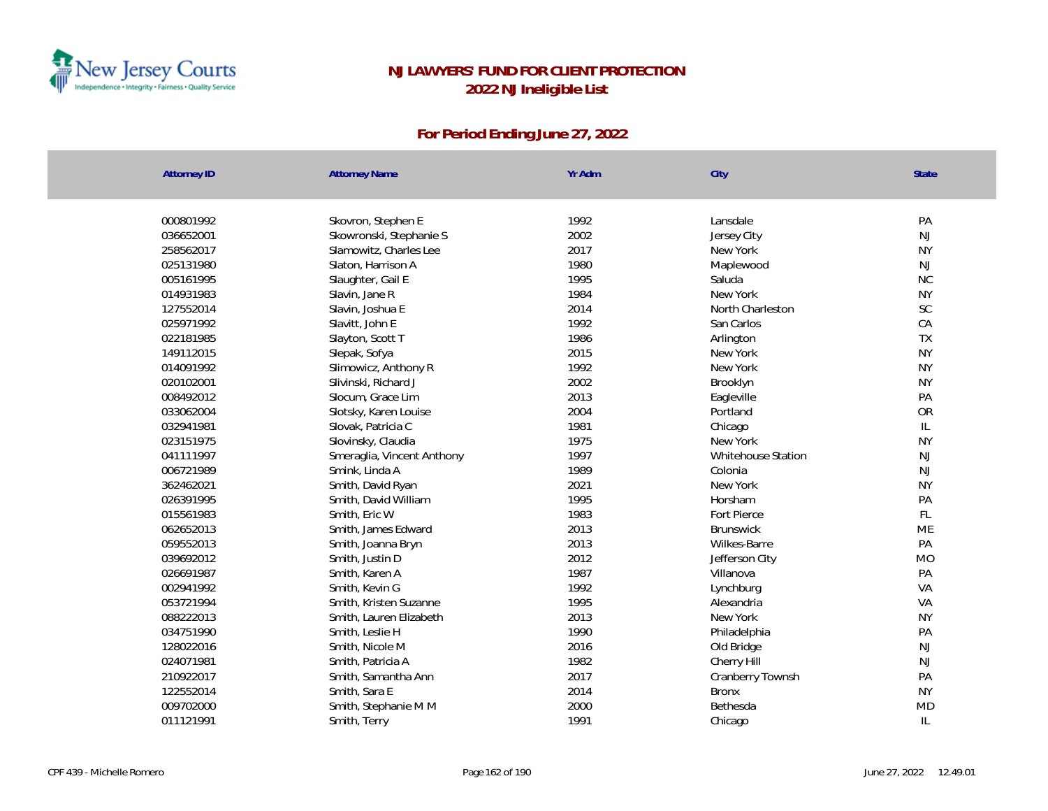

| <b>Attorney ID</b> | <b>Attorney Name</b>       | Yr Adm | City               | <b>State</b>                      |
|--------------------|----------------------------|--------|--------------------|-----------------------------------|
|                    |                            |        |                    |                                   |
| 000801992          | Skovron, Stephen E         | 1992   | Lansdale           | PA                                |
| 036652001          | Skowronski, Stephanie S    | 2002   | Jersey City        | <b>NJ</b>                         |
| 258562017          | Slamowitz, Charles Lee     | 2017   | New York           | <b>NY</b>                         |
| 025131980          | Slaton, Harrison A         | 1980   | Maplewood          | NJ                                |
| 005161995          | Slaughter, Gail E          | 1995   | Saluda             | $\rm NC$                          |
| 014931983          | Slavin, Jane R             | 1984   | New York           | <b>NY</b>                         |
| 127552014          | Slavin, Joshua E           | 2014   | North Charleston   | SC                                |
| 025971992          | Slavitt, John E            | 1992   | San Carlos         | CA                                |
| 022181985          | Slayton, Scott T           | 1986   | Arlington          | TX                                |
| 149112015          | Slepak, Sofya              | 2015   | New York           | <b>NY</b>                         |
| 014091992          | Slimowicz, Anthony R       | 1992   | New York           | <b>NY</b>                         |
| 020102001          | Slivinski, Richard J       | 2002   | Brooklyn           | <b>NY</b>                         |
| 008492012          | Slocum, Grace Lim          | 2013   | Eagleville         | PA                                |
| 033062004          | Slotsky, Karen Louise      | 2004   | Portland           | <b>OR</b>                         |
| 032941981          | Slovak, Patricia C         | 1981   | Chicago            | $\ensuremath{\mathsf{IL}}\xspace$ |
| 023151975          | Slovinsky, Claudia         | 1975   | New York           | <b>NY</b>                         |
| 041111997          | Smeraglia, Vincent Anthony | 1997   | Whitehouse Station | NJ                                |
| 006721989          | Smink, Linda A             | 1989   | Colonia            | NJ                                |
| 362462021          | Smith, David Ryan          | 2021   | New York           | <b>NY</b>                         |
| 026391995          | Smith, David William       | 1995   | Horsham            | PA                                |
| 015561983          | Smith, Eric W              | 1983   | Fort Pierce        | FL                                |
| 062652013          | Smith, James Edward        | 2013   | <b>Brunswick</b>   | ME                                |
| 059552013          | Smith, Joanna Bryn         | 2013   | Wilkes-Barre       | PA                                |
| 039692012          | Smith, Justin D            | 2012   | Jefferson City     | <b>MO</b>                         |
| 026691987          | Smith, Karen A             | 1987   | Villanova          | PA                                |
| 002941992          | Smith, Kevin G             | 1992   | Lynchburg          | VA                                |
| 053721994          | Smith, Kristen Suzanne     | 1995   | Alexandria         | VA                                |
| 088222013          | Smith, Lauren Elizabeth    | 2013   | New York           | <b>NY</b>                         |
| 034751990          | Smith, Leslie H            | 1990   | Philadelphia       | PA                                |
| 128022016          | Smith, Nicole M            | 2016   | Old Bridge         | NJ                                |
| 024071981          | Smith, Patricia A          | 1982   | Cherry Hill        | <b>NJ</b>                         |
| 210922017          | Smith, Samantha Ann        | 2017   | Cranberry Townsh   | PA                                |
| 122552014          | Smith, Sara E              | 2014   | <b>Bronx</b>       | <b>NY</b>                         |
| 009702000          | Smith, Stephanie M M       | 2000   | Bethesda           | <b>MD</b>                         |
| 011121991          | Smith, Terry               | 1991   | Chicago            | IL                                |
|                    |                            |        |                    |                                   |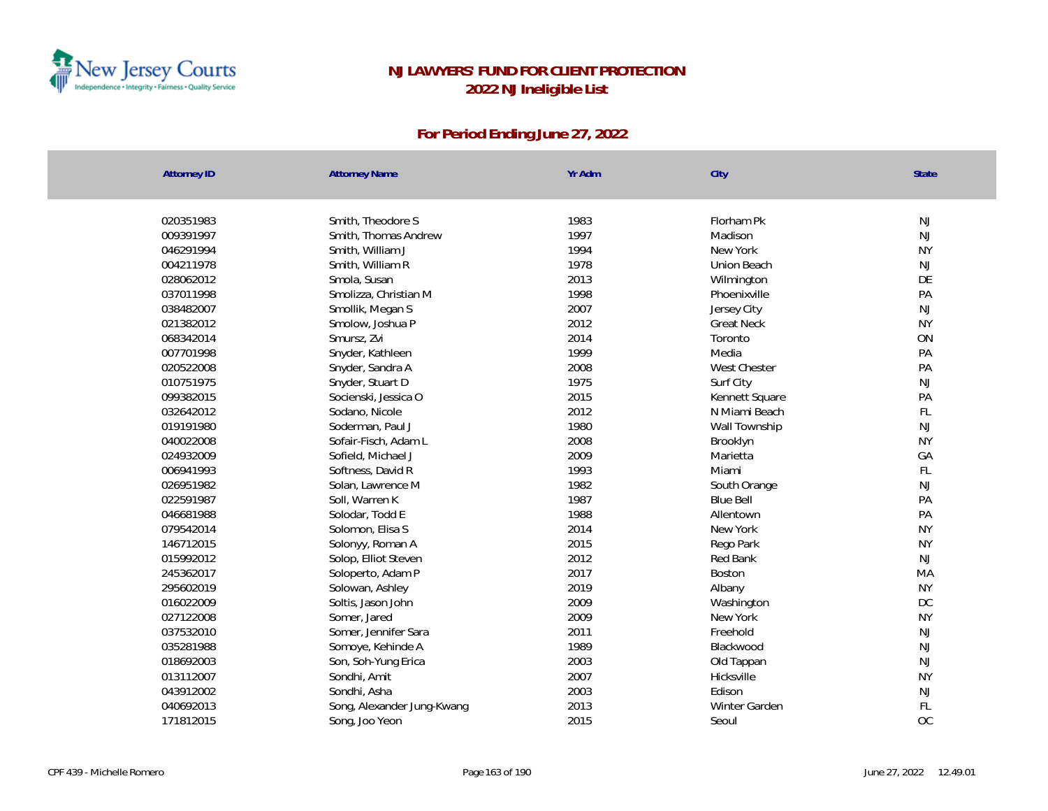

| <b>Attorney ID</b> | <b>Attorney Name</b>       | Yr Adm | City              | <b>State</b>  |
|--------------------|----------------------------|--------|-------------------|---------------|
|                    |                            |        |                   |               |
| 020351983          | Smith, Theodore S          | 1983   | Florham Pk        | NJ            |
| 009391997          | Smith, Thomas Andrew       | 1997   | Madison           | NJ            |
| 046291994          | Smith, William J           | 1994   | New York          | <b>NY</b>     |
| 004211978          | Smith, William R           | 1978   | Union Beach       | NJ            |
| 028062012          | Smola, Susan               | 2013   | Wilmington        | DE            |
| 037011998          | Smolizza, Christian M      | 1998   | Phoenixville      | PA            |
| 038482007          | Smollik, Megan S           | 2007   | Jersey City       | NJ            |
| 021382012          | Smolow, Joshua P           | 2012   | <b>Great Neck</b> | <b>NY</b>     |
| 068342014          | Smursz, Zvi                | 2014   | Toronto           | ON            |
| 007701998          | Snyder, Kathleen           | 1999   | Media             | PA            |
| 020522008          | Snyder, Sandra A           | 2008   | West Chester      | PA            |
| 010751975          | Snyder, Stuart D           | 1975   | Surf City         | <b>NJ</b>     |
| 099382015          | Socienski, Jessica O       | 2015   | Kennett Square    | PA            |
| 032642012          | Sodano, Nicole             | 2012   | N Miami Beach     | FL            |
| 019191980          | Soderman, Paul J           | 1980   | Wall Township     | NJ            |
| 040022008          | Sofair-Fisch, Adam L       | 2008   | Brooklyn          | <b>NY</b>     |
| 024932009          | Sofield, Michael J         | 2009   | Marietta          | GA            |
| 006941993          | Softness, David R          | 1993   | Miami             | $\mathsf{FL}$ |
| 026951982          | Solan, Lawrence M          | 1982   | South Orange      | NJ            |
| 022591987          | Soll, Warren K             | 1987   | <b>Blue Bell</b>  | PA            |
| 046681988          | Solodar, Todd E            | 1988   | Allentown         | PA            |
| 079542014          | Solomon, Elisa S           | 2014   | New York          | <b>NY</b>     |
| 146712015          | Solonyy, Roman A           | 2015   | Rego Park         | <b>NY</b>     |
| 015992012          | Solop, Elliot Steven       | 2012   | Red Bank          | NJ            |
| 245362017          | Soloperto, Adam P          | 2017   | Boston            | MA            |
| 295602019          | Solowan, Ashley            | 2019   | Albany            | <b>NY</b>     |
| 016022009          | Soltis, Jason John         | 2009   | Washington        | DC            |
| 027122008          | Somer, Jared               | 2009   | New York          | <b>NY</b>     |
| 037532010          | Somer, Jennifer Sara       | 2011   | Freehold          | <b>NJ</b>     |
| 035281988          | Somoye, Kehinde A          | 1989   | Blackwood         | NJ            |
| 018692003          | Son, Soh-Yung Erica        | 2003   | Old Tappan        | NJ            |
| 013112007          | Sondhi, Amit               | 2007   | Hicksville        | <b>NY</b>     |
| 043912002          | Sondhi, Asha               | 2003   | Edison            | <b>NJ</b>     |
| 040692013          | Song, Alexander Jung-Kwang | 2013   | Winter Garden     | FL            |
| 171812015          | Song, Joo Yeon             | 2015   | Seoul             | OC            |
|                    |                            |        |                   |               |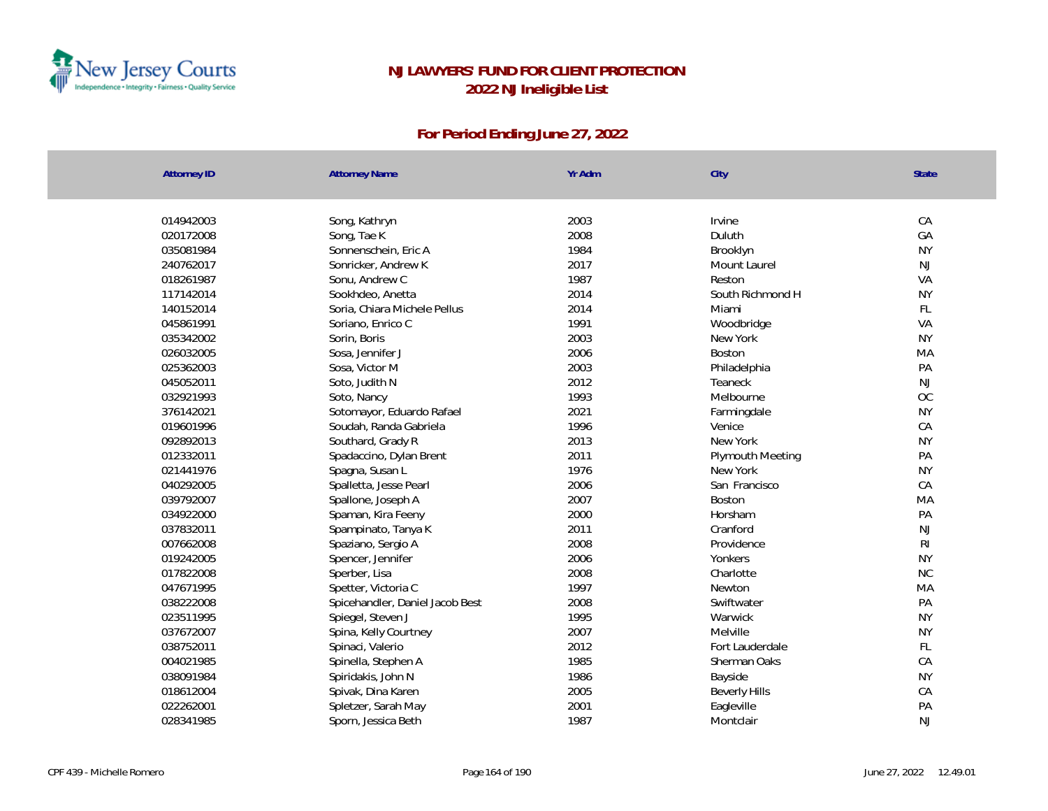

| <b>Attorney ID</b> | <b>Attorney Name</b>            | Yr Adm | City                 | State          |
|--------------------|---------------------------------|--------|----------------------|----------------|
|                    |                                 |        |                      |                |
| 014942003          | Song, Kathryn                   | 2003   | Irvine               | CA             |
| 020172008          | Song, Tae K                     | 2008   | Duluth               | GA             |
| 035081984          | Sonnenschein, Eric A            | 1984   | Brooklyn             | <b>NY</b>      |
| 240762017          | Sonricker, Andrew K             | 2017   | Mount Laurel         | <b>NJ</b>      |
| 018261987          | Sonu, Andrew C                  | 1987   | Reston               | VA             |
| 117142014          | Sookhdeo, Anetta                | 2014   | South Richmond H     | <b>NY</b>      |
| 140152014          | Soria, Chiara Michele Pellus    | 2014   | Miami                | FL             |
| 045861991          | Soriano, Enrico C               | 1991   | Woodbridge           | VA             |
| 035342002          | Sorin, Boris                    | 2003   | New York             | <b>NY</b>      |
| 026032005          | Sosa, Jennifer J                | 2006   | Boston               | MA             |
| 025362003          | Sosa, Victor M                  | 2003   | Philadelphia         | PA             |
| 045052011          | Soto, Judith N                  | 2012   | Teaneck              | <b>NJ</b>      |
| 032921993          | Soto, Nancy                     | 1993   | Melbourne            | OC             |
| 376142021          | Sotomayor, Eduardo Rafael       | 2021   | Farmingdale          | <b>NY</b>      |
| 019601996          | Soudah, Randa Gabriela          | 1996   | Venice               | CA             |
| 092892013          | Southard, Grady R               | 2013   | New York             | <b>NY</b>      |
| 012332011          | Spadaccino, Dylan Brent         | 2011   | Plymouth Meeting     | PA             |
| 021441976          | Spagna, Susan L                 | 1976   | New York             | <b>NY</b>      |
| 040292005          | Spalletta, Jesse Pearl          | 2006   | San Francisco        | CA             |
| 039792007          | Spallone, Joseph A              | 2007   | Boston               | MA             |
| 034922000          | Spaman, Kira Feeny              | 2000   | Horsham              | PA             |
| 037832011          | Spampinato, Tanya K             | 2011   | Cranford             | <b>NJ</b>      |
| 007662008          | Spaziano, Sergio A              | 2008   | Providence           | R <sub>l</sub> |
| 019242005          | Spencer, Jennifer               | 2006   | Yonkers              | <b>NY</b>      |
| 017822008          | Sperber, Lisa                   | 2008   | Charlotte            | NC             |
| 047671995          | Spetter, Victoria C             | 1997   | Newton               | MA             |
| 038222008          | Spicehandler, Daniel Jacob Best | 2008   | Swiftwater           | PA             |
| 023511995          | Spiegel, Steven J               | 1995   | Warwick              | <b>NY</b>      |
| 037672007          | Spina, Kelly Courtney           | 2007   | Melville             | <b>NY</b>      |
| 038752011          | Spinaci, Valerio                | 2012   | Fort Lauderdale      | FL             |
| 004021985          | Spinella, Stephen A             | 1985   | Sherman Oaks         | CA             |
| 038091984          | Spiridakis, John N              | 1986   | Bayside              | <b>NY</b>      |
| 018612004          | Spivak, Dina Karen              | 2005   | <b>Beverly Hills</b> | CA             |
| 022262001          | Spletzer, Sarah May             | 2001   | Eagleville           | PA             |
| 028341985          | Sporn, Jessica Beth             | 1987   | Montclair            | <b>NJ</b>      |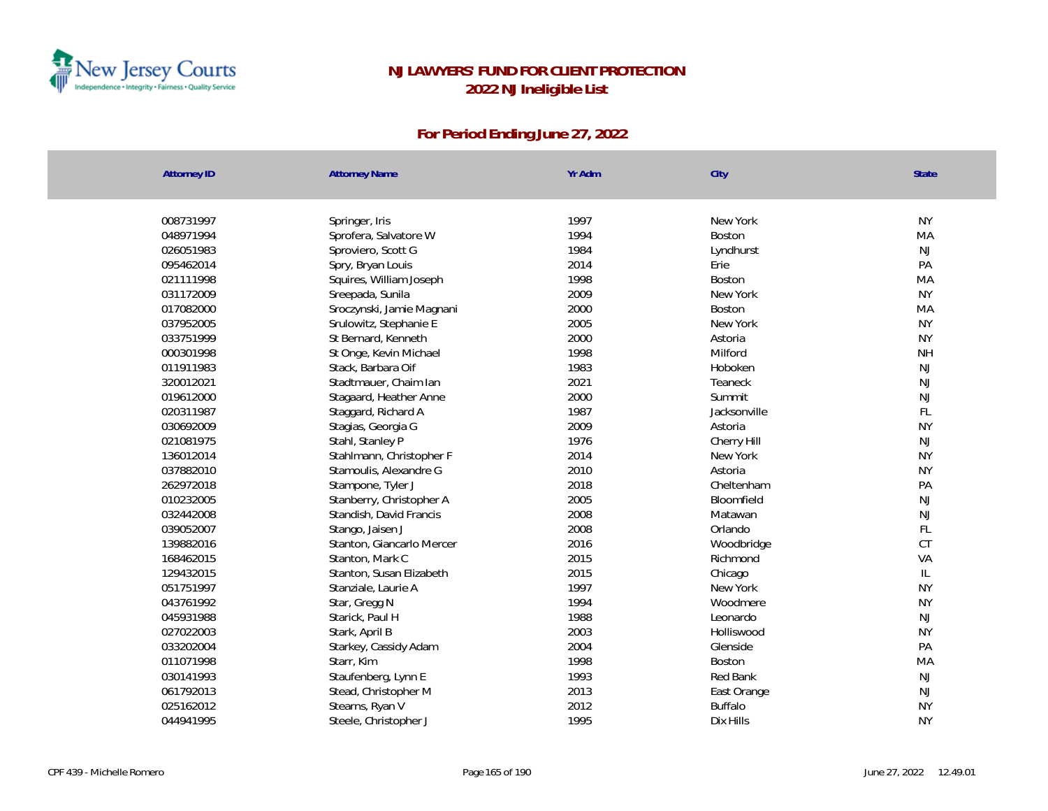

| <b>Attorney ID</b> | <b>Attorney Name</b>      | Yr Adm | City           | <b>State</b>  |
|--------------------|---------------------------|--------|----------------|---------------|
| 008731997          | Springer, Iris            | 1997   | New York       | <b>NY</b>     |
| 048971994          | Sprofera, Salvatore W     | 1994   | Boston         | MA            |
| 026051983          | Sproviero, Scott G        | 1984   | Lyndhurst      | <b>NJ</b>     |
| 095462014          | Spry, Bryan Louis         | 2014   | Erie           | PA            |
| 021111998          | Squires, William Joseph   | 1998   | Boston         | MA            |
| 031172009          | Sreepada, Sunila          | 2009   | New York       | <b>NY</b>     |
| 017082000          | Sroczynski, Jamie Magnani | 2000   | Boston         | MA            |
| 037952005          | Srulowitz, Stephanie E    | 2005   | New York       | <b>NY</b>     |
| 033751999          | St Bernard, Kenneth       | 2000   | Astoria        | <b>NY</b>     |
| 000301998          | St Onge, Kevin Michael    | 1998   | Milford        | <b>NH</b>     |
| 011911983          | Stack, Barbara Oif        | 1983   | Hoboken        | <b>NJ</b>     |
| 320012021          | Stadtmauer, Chaim Ian     | 2021   | Teaneck        | <b>NJ</b>     |
| 019612000          | Stagaard, Heather Anne    | 2000   | Summit         | NJ            |
| 020311987          | Staggard, Richard A       | 1987   | Jacksonville   | FL.           |
| 030692009          | Stagias, Georgia G        | 2009   | Astoria        | <b>NY</b>     |
| 021081975          | Stahl, Stanley P          | 1976   | Cherry Hill    | <b>NJ</b>     |
| 136012014          | Stahlmann, Christopher F  | 2014   | New York       | <b>NY</b>     |
| 037882010          | Stamoulis, Alexandre G    | 2010   | Astoria        | <b>NY</b>     |
| 262972018          | Stampone, Tyler J         | 2018   | Cheltenham     | PA            |
| 010232005          | Stanberry, Christopher A  | 2005   | Bloomfield     | NJ            |
| 032442008          | Standish, David Francis   | 2008   | Matawan        | NJ            |
| 039052007          | Stango, Jaisen J          | 2008   | Orlando        | FL            |
| 139882016          | Stanton, Giancarlo Mercer | 2016   | Woodbridge     | CT            |
| 168462015          | Stanton, Mark C           | 2015   | Richmond       | VA            |
| 129432015          | Stanton, Susan Elizabeth  | 2015   | Chicago        | $\mathsf{IL}$ |
| 051751997          | Stanziale, Laurie A       | 1997   | New York       | <b>NY</b>     |
| 043761992          | Star, Gregg N             | 1994   | Woodmere       | <b>NY</b>     |
| 045931988          | Starick, Paul H           | 1988   | Leonardo       | <b>NJ</b>     |
| 027022003          | Stark, April B            | 2003   | Holliswood     | <b>NY</b>     |
| 033202004          | Starkey, Cassidy Adam     | 2004   | Glenside       | PA            |
| 011071998          | Starr, Kim                | 1998   | Boston         | MA            |
| 030141993          | Staufenberg, Lynn E       | 1993   | Red Bank       | <b>NJ</b>     |
| 061792013          | Stead, Christopher M      | 2013   | East Orange    | <b>NJ</b>     |
| 025162012          | Stearns, Ryan V           | 2012   | <b>Buffalo</b> | <b>NY</b>     |
| 044941995          | Steele, Christopher J     | 1995   | Dix Hills      | <b>NY</b>     |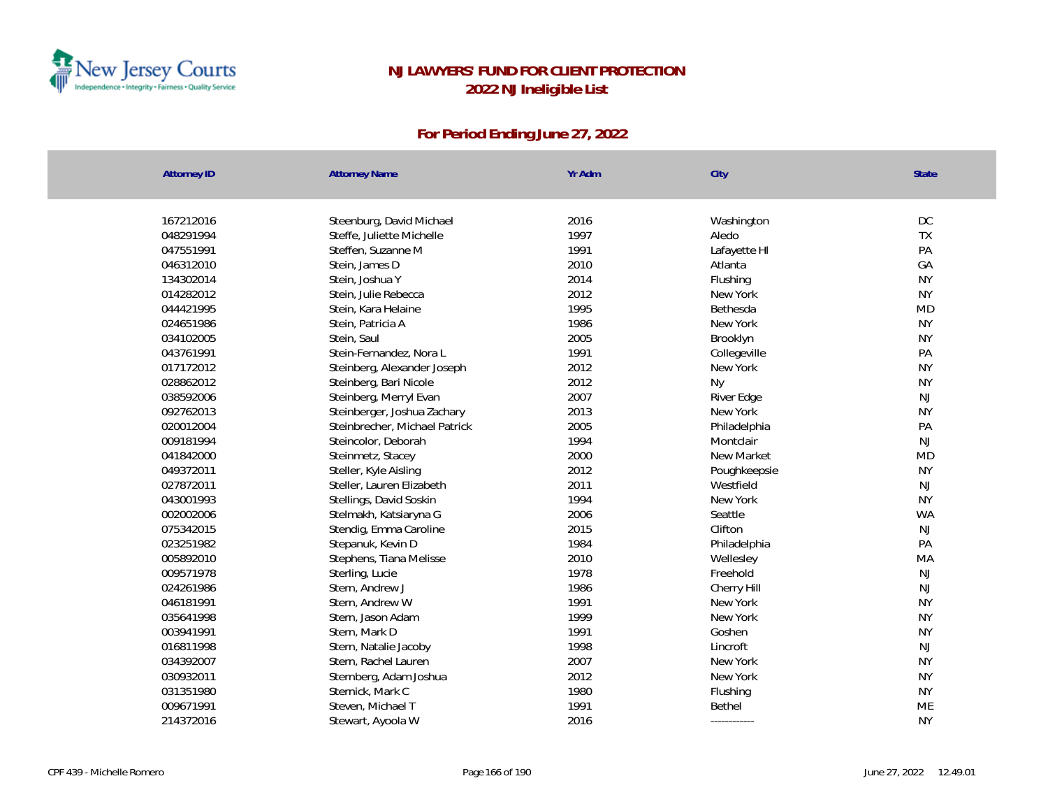

| <b>Attorney ID</b> | <b>Attorney Name</b>          | Yr Adm | City         | State         |
|--------------------|-------------------------------|--------|--------------|---------------|
|                    |                               |        |              |               |
| 167212016          | Steenburg, David Michael      | 2016   | Washington   | DC            |
| 048291994          | Steffe, Juliette Michelle     | 1997   | Aledo        | TX            |
| 047551991          | Steffen, Suzanne M            | 1991   | Lafayette HI | PA            |
| 046312010          | Stein, James D                | 2010   | Atlanta      | GA            |
| 134302014          | Stein, Joshua Y               | 2014   | Flushing     | <b>NY</b>     |
| 014282012          | Stein, Julie Rebecca          | 2012   | New York     | <b>NY</b>     |
| 044421995          | Stein, Kara Helaine           | 1995   | Bethesda     | <b>MD</b>     |
| 024651986          | Stein, Patricia A             | 1986   | New York     | <b>NY</b>     |
| 034102005          | Stein, Saul                   | 2005   | Brooklyn     | <b>NY</b>     |
| 043761991          | Stein-Fernandez, Nora L       | 1991   | Collegeville | PA            |
| 017172012          | Steinberg, Alexander Joseph   | 2012   | New York     | <b>NY</b>     |
| 028862012          | Steinberg, Bari Nicole        | 2012   | <b>Ny</b>    | <b>NY</b>     |
| 038592006          | Steinberg, Merryl Evan        | 2007   | River Edge   | NJ            |
| 092762013          | Steinberger, Joshua Zachary   | 2013   | New York     | <b>NY</b>     |
| 020012004          | Steinbrecher, Michael Patrick | 2005   | Philadelphia | PA            |
| 009181994          | Steincolor, Deborah           | 1994   | Montclair    | NJ            |
| 041842000          | Steinmetz, Stacey             | 2000   | New Market   | <b>MD</b>     |
| 049372011          | Steller, Kyle Aisling         | 2012   | Poughkeepsie | <b>NY</b>     |
| 027872011          | Steller, Lauren Elizabeth     | 2011   | Westfield    | NJ            |
| 043001993          | Stellings, David Soskin       | 1994   | New York     | <b>NY</b>     |
| 002002006          | Stelmakh, Katsiaryna G        | 2006   | Seattle      | <b>WA</b>     |
| 075342015          | Stendig, Emma Caroline        | 2015   | Clifton      | NJ            |
| 023251982          | Stepanuk, Kevin D             | 1984   | Philadelphia | PA            |
| 005892010          | Stephens, Tiana Melisse       | 2010   | Wellesley    | MA            |
| 009571978          | Sterling, Lucie               | 1978   | Freehold     | $\mathsf{NJ}$ |
| 024261986          | Stern, Andrew J               | 1986   | Cherry Hill  | NJ            |
| 046181991          | Stern, Andrew W               | 1991   | New York     | <b>NY</b>     |
| 035641998          | Stern, Jason Adam             | 1999   | New York     | <b>NY</b>     |
| 003941991          | Stern, Mark D                 | 1991   | Goshen       | <b>NY</b>     |
| 016811998          | Stern, Natalie Jacoby         | 1998   | Lincroft     | NJ            |
| 034392007          | Stern, Rachel Lauren          | 2007   | New York     | <b>NY</b>     |
| 030932011          | Sternberg, Adam Joshua        | 2012   | New York     | <b>NY</b>     |
| 031351980          | Sternick, Mark C              | 1980   | Flushing     | <b>NY</b>     |
| 009671991          | Steven, Michael T             | 1991   | Bethel       | ME            |
| 214372016          | Stewart, Ayoola W             | 2016   | ------------ | <b>NY</b>     |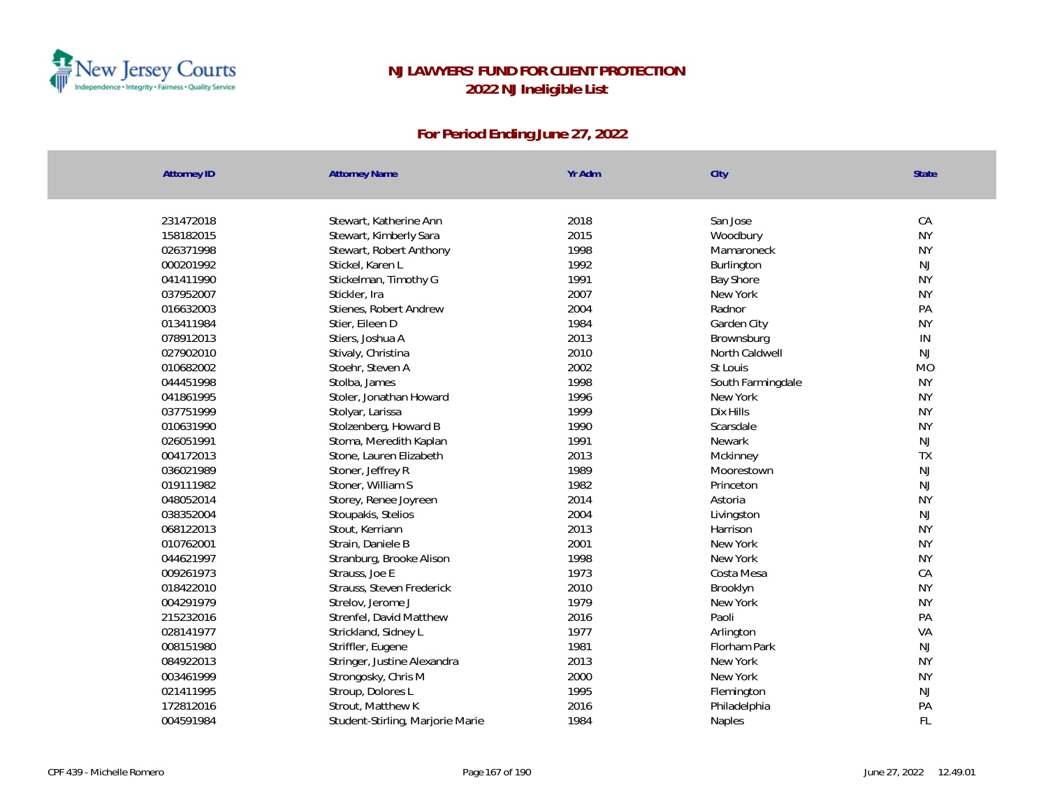

| <b>Attorney ID</b> | <b>Attorney Name</b>             | Yr Adm | City              | State     |
|--------------------|----------------------------------|--------|-------------------|-----------|
|                    |                                  |        |                   |           |
| 231472018          | Stewart, Katherine Ann           | 2018   | San Jose          | CA        |
| 158182015          | Stewart, Kimberly Sara           | 2015   | Woodbury          | <b>NY</b> |
| 026371998          | Stewart, Robert Anthony          | 1998   | Mamaroneck        | <b>NY</b> |
| 000201992          | Stickel, Karen L                 | 1992   | Burlington        | <b>NJ</b> |
| 041411990          | Stickelman, Timothy G            | 1991   | <b>Bay Shore</b>  | <b>NY</b> |
| 037952007          | Stickler, Ira                    | 2007   | New York          | <b>NY</b> |
| 016632003          | Stienes, Robert Andrew           | 2004   | Radnor            | PA        |
| 013411984          | Stier, Eileen D                  | 1984   | Garden City       | <b>NY</b> |
| 078912013          | Stiers, Joshua A                 | 2013   | Brownsburg        | IN        |
| 027902010          | Stivaly, Christina               | 2010   | North Caldwell    | <b>NJ</b> |
| 010682002          | Stoehr, Steven A                 | 2002   | St Louis          | <b>MO</b> |
| 044451998          | Stolba, James                    | 1998   | South Farmingdale | <b>NY</b> |
| 041861995          | Stoler, Jonathan Howard          | 1996   | New York          | <b>NY</b> |
| 037751999          | Stolyar, Larissa                 | 1999   | Dix Hills         | <b>NY</b> |
| 010631990          | Stolzenberg, Howard B            | 1990   | Scarsdale         | <b>NY</b> |
| 026051991          | Stoma, Meredith Kaplan           | 1991   | Newark            | <b>NJ</b> |
| 004172013          | Stone, Lauren Elizabeth          | 2013   | Mckinney          | <b>TX</b> |
| 036021989          | Stoner, Jeffrey R                | 1989   | Moorestown        | <b>NJ</b> |
| 019111982          | Stoner, William S                | 1982   | Princeton         | NJ        |
| 048052014          | Storey, Renee Joyreen            | 2014   | Astoria           | <b>NY</b> |
| 038352004          | Stoupakis, Stelios               | 2004   | Livingston        | NJ        |
| 068122013          | Stout, Kerriann                  | 2013   | Harrison          | <b>NY</b> |
| 010762001          | Strain, Daniele B                | 2001   | New York          | <b>NY</b> |
| 044621997          | Stranburg, Brooke Alison         | 1998   | New York          | <b>NY</b> |
| 009261973          | Strauss, Joe E                   | 1973   | Costa Mesa        | CA        |
| 018422010          | Strauss, Steven Frederick        | 2010   | Brooklyn          | <b>NY</b> |
| 004291979          | Strelov, Jerome J                | 1979   | New York          | <b>NY</b> |
| 215232016          | Strenfel, David Matthew          | 2016   | Paoli             | PA        |
| 028141977          | Strickland, Sidney L             | 1977   | Arlington         | VA        |
| 008151980          | Striffler, Eugene                | 1981   | Florham Park      | <b>NJ</b> |
| 084922013          | Stringer, Justine Alexandra      | 2013   | New York          | <b>NY</b> |
| 003461999          | Strongosky, Chris M              | 2000   | New York          | <b>NY</b> |
| 021411995          | Stroup, Dolores L                | 1995   | Flemington        | <b>NJ</b> |
| 172812016          | Strout, Matthew K                | 2016   | Philadelphia      | PA        |
| 004591984          | Student-Stirling, Marjorie Marie | 1984   | <b>Naples</b>     | <b>FL</b> |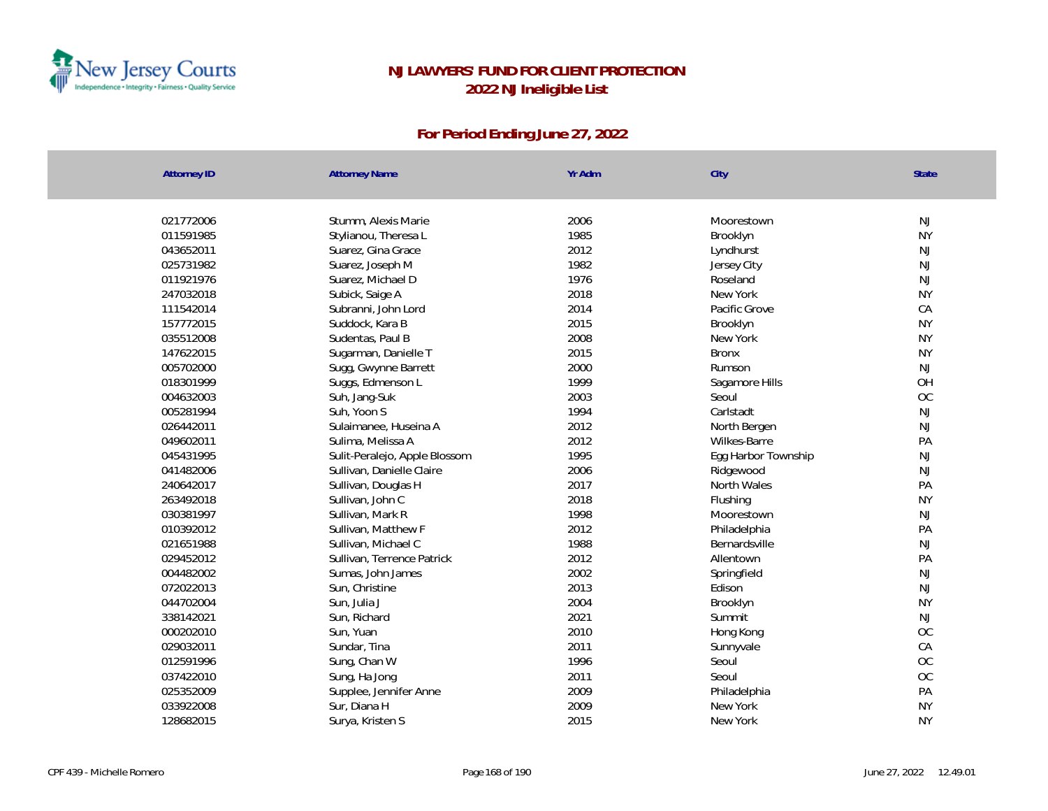

| Attorney ID | <b>Attorney Name</b>          | Yr Adm | City                | State     |
|-------------|-------------------------------|--------|---------------------|-----------|
|             |                               |        |                     |           |
| 021772006   | Stumm, Alexis Marie           | 2006   | Moorestown          | <b>NJ</b> |
| 011591985   | Stylianou, Theresa L          | 1985   | Brooklyn            | <b>NY</b> |
| 043652011   | Suarez, Gina Grace            | 2012   | Lyndhurst           | <b>NJ</b> |
| 025731982   | Suarez, Joseph M              | 1982   | Jersey City         | <b>NJ</b> |
| 011921976   | Suarez, Michael D             | 1976   | Roseland            | <b>NJ</b> |
| 247032018   | Subick, Saige A               | 2018   | New York            | <b>NY</b> |
| 111542014   | Subranni, John Lord           | 2014   | Pacific Grove       | CA        |
| 157772015   | Suddock, Kara B               | 2015   | Brooklyn            | <b>NY</b> |
| 035512008   | Sudentas, Paul B              | 2008   | New York            | <b>NY</b> |
| 147622015   | Sugarman, Danielle T          | 2015   | <b>Bronx</b>        | <b>NY</b> |
| 005702000   | Sugg, Gwynne Barrett          | 2000   | Rumson              | <b>NJ</b> |
| 018301999   | Suggs, Edmenson L             | 1999   | Sagamore Hills      | OH        |
| 004632003   | Suh, Jang-Suk                 | 2003   | Seoul               | OC        |
| 005281994   | Suh, Yoon S                   | 1994   | Carlstadt           | <b>NJ</b> |
| 026442011   | Sulaimanee, Huseina A         | 2012   | North Bergen        | <b>NJ</b> |
| 049602011   | Sulima, Melissa A             | 2012   | Wilkes-Barre        | PA        |
| 045431995   | Sulit-Peralejo, Apple Blossom | 1995   | Egg Harbor Township | <b>NJ</b> |
| 041482006   | Sullivan, Danielle Claire     | 2006   | Ridgewood           | <b>NJ</b> |
| 240642017   | Sullivan, Douglas H           | 2017   | North Wales         | PA        |
| 263492018   | Sullivan, John C              | 2018   | Flushing            | <b>NY</b> |
| 030381997   | Sullivan, Mark R              | 1998   | Moorestown          | NJ        |
| 010392012   | Sullivan, Matthew F           | 2012   | Philadelphia        | PA        |
| 021651988   | Sullivan, Michael C           | 1988   | Bernardsville       | <b>NJ</b> |
| 029452012   | Sullivan, Terrence Patrick    | 2012   | Allentown           | PA        |
| 004482002   | Sumas, John James             | 2002   | Springfield         | <b>NJ</b> |
| 072022013   | Sun, Christine                | 2013   | Edison              | <b>NJ</b> |
| 044702004   | Sun, Julia J                  | 2004   | Brooklyn            | <b>NY</b> |
| 338142021   | Sun, Richard                  | 2021   | Summit              | <b>NJ</b> |
| 000202010   | Sun, Yuan                     | 2010   | Hong Kong           | OC        |
| 029032011   | Sundar, Tina                  | 2011   | Sunnyvale           | CA        |
| 012591996   | Sung, Chan W                  | 1996   | Seoul               | OC        |
| 037422010   | Sung, Ha Jong                 | 2011   | Seoul               | OC        |
| 025352009   | Supplee, Jennifer Anne        | 2009   | Philadelphia        | PA        |
| 033922008   | Sur, Diana H                  | 2009   | New York            | <b>NY</b> |
| 128682015   | Surya, Kristen S              | 2015   | New York            | <b>NY</b> |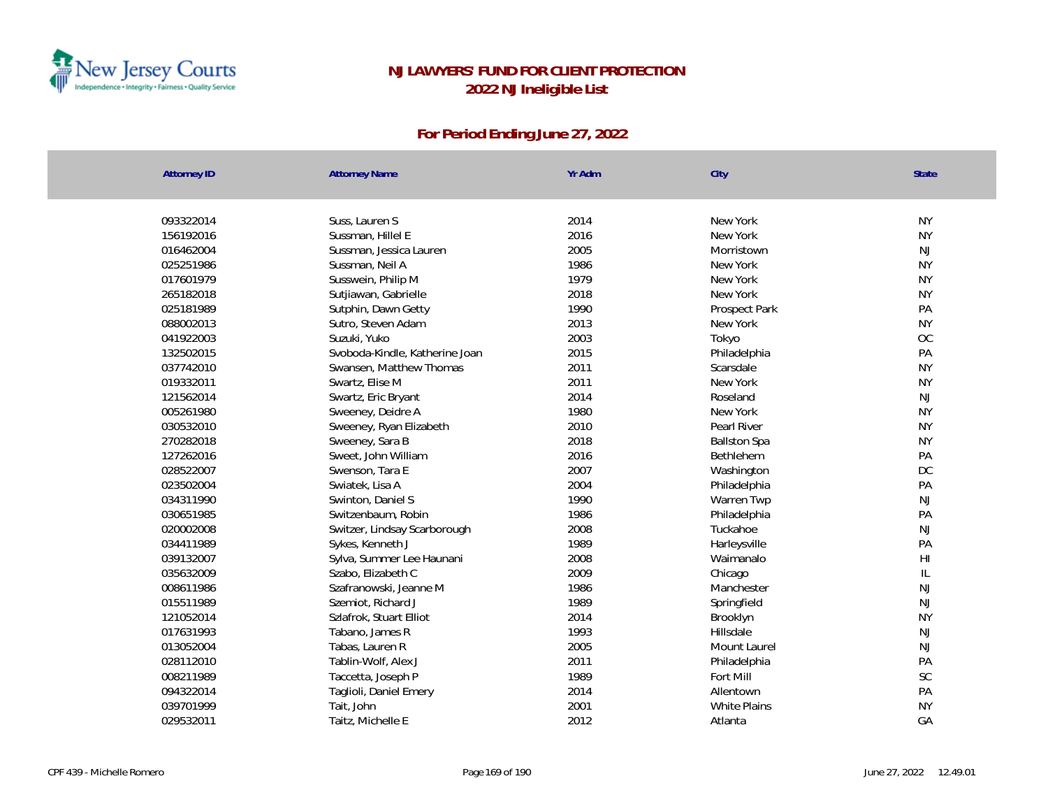

| <b>Attorney ID</b> | <b>Attorney Name</b>           | Yr Adm | City                | <b>State</b> |
|--------------------|--------------------------------|--------|---------------------|--------------|
|                    |                                |        |                     |              |
| 093322014          | Suss, Lauren S                 | 2014   | New York            | <b>NY</b>    |
| 156192016          | Sussman, Hillel E              | 2016   | New York            | <b>NY</b>    |
| 016462004          | Sussman, Jessica Lauren        | 2005   | Morristown          | NJ           |
| 025251986          | Sussman, Neil A                | 1986   | New York            | <b>NY</b>    |
| 017601979          | Susswein, Philip M             | 1979   | New York            | <b>NY</b>    |
| 265182018          | Sutjiawan, Gabrielle           | 2018   | New York            | <b>NY</b>    |
| 025181989          | Sutphin, Dawn Getty            | 1990   | Prospect Park       | PA           |
| 088002013          | Sutro, Steven Adam             | 2013   | New York            | <b>NY</b>    |
| 041922003          | Suzuki, Yuko                   | 2003   | Tokyo               | OC           |
| 132502015          | Svoboda-Kindle, Katherine Joan | 2015   | Philadelphia        | PA           |
| 037742010          | Swansen, Matthew Thomas        | 2011   | Scarsdale           | <b>NY</b>    |
| 019332011          | Swartz, Elise M                | 2011   | New York            | <b>NY</b>    |
| 121562014          | Swartz, Eric Bryant            | 2014   | Roseland            | <b>NJ</b>    |
| 005261980          | Sweeney, Deidre A              | 1980   | New York            | <b>NY</b>    |
| 030532010          | Sweeney, Ryan Elizabeth        | 2010   | Pearl River         | <b>NY</b>    |
| 270282018          | Sweeney, Sara B                | 2018   | <b>Ballston Spa</b> | <b>NY</b>    |
| 127262016          | Sweet, John William            | 2016   | Bethlehem           | PA           |
| 028522007          | Swenson, Tara E                | 2007   | Washington          | DC           |
| 023502004          | Swiatek, Lisa A                | 2004   | Philadelphia        | PA           |
| 034311990          | Swinton, Daniel S              | 1990   | Warren Twp          | NJ           |
| 030651985          | Switzenbaum, Robin             | 1986   | Philadelphia        | PA           |
| 020002008          | Switzer, Lindsay Scarborough   | 2008   | Tuckahoe            | NJ           |
| 034411989          | Sykes, Kenneth J               | 1989   | Harleysville        | PA           |
| 039132007          | Sylva, Summer Lee Haunani      | 2008   | Waimanalo           | H1           |
| 035632009          | Szabo, Elizabeth C             | 2009   | Chicago             | $\mathbb{L}$ |
| 008611986          | Szafranowski, Jeanne M         | 1986   | Manchester          | NJ           |
| 015511989          | Szemiot, Richard J             | 1989   | Springfield         | NJ           |
| 121052014          | Szlafrok, Stuart Elliot        | 2014   | Brooklyn            | <b>NY</b>    |
| 017631993          | Tabano, James R                | 1993   | Hillsdale           | NJ           |
| 013052004          | Tabas, Lauren R                | 2005   | Mount Laurel        | NJ           |
| 028112010          | Tablin-Wolf, Alex J            | 2011   | Philadelphia        | PA           |
| 008211989          | Taccetta, Joseph P             | 1989   | Fort Mill           | SC           |
| 094322014          | Taglioli, Daniel Emery         | 2014   | Allentown           | PA           |
| 039701999          | Tait, John                     | 2001   | White Plains        | <b>NY</b>    |
| 029532011          | Taitz, Michelle E              | 2012   | Atlanta             | GA           |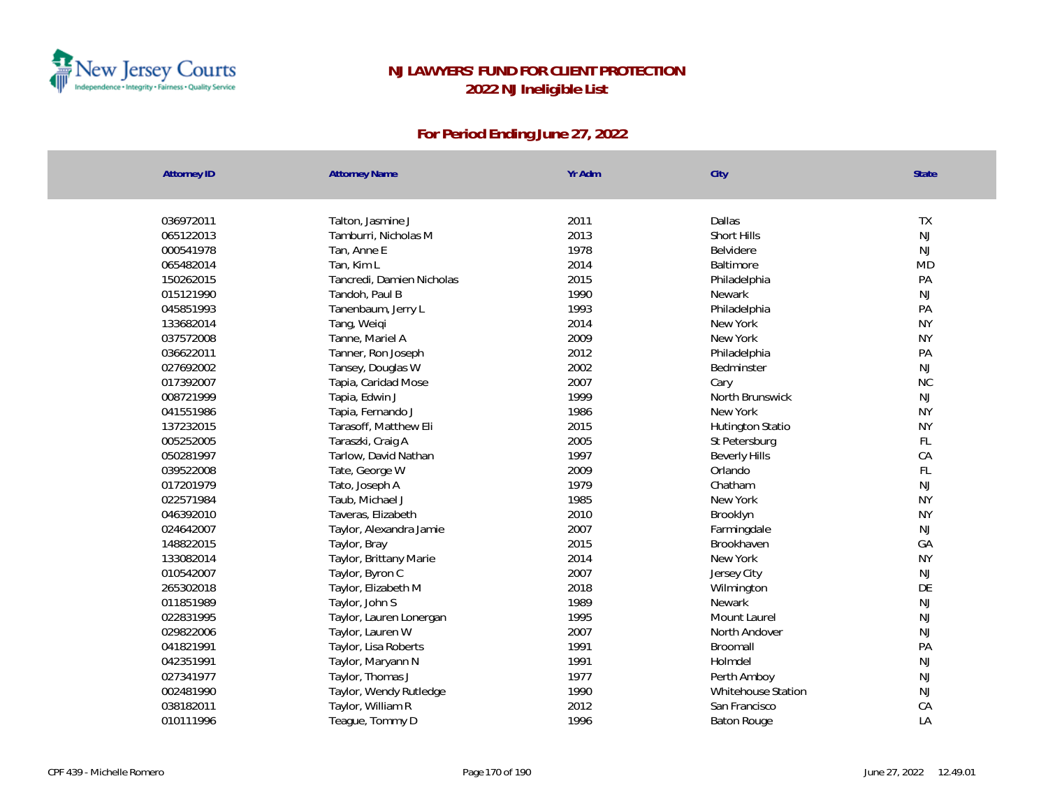

| <b>Attorney ID</b> | <b>Attorney Name</b>      | Yr Adm | City                 | State         |
|--------------------|---------------------------|--------|----------------------|---------------|
| 036972011          | Talton, Jasmine J         | 2011   | Dallas               | <b>TX</b>     |
| 065122013          | Tamburri, Nicholas M      | 2013   | Short Hills          | $\mathsf{NJ}$ |
| 000541978          | Tan, Anne E               | 1978   | Belvidere            | NJ            |
| 065482014          | Tan, Kim L                | 2014   | Baltimore            | <b>MD</b>     |
| 150262015          | Tancredi, Damien Nicholas | 2015   | Philadelphia         | PA            |
| 015121990          | Tandoh, Paul B            | 1990   | Newark               | NJ            |
| 045851993          | Tanenbaum, Jerry L        | 1993   | Philadelphia         | PA            |
| 133682014          | Tang, Weiqi               | 2014   | New York             | <b>NY</b>     |
| 037572008          | Tanne, Mariel A           | 2009   | New York             | <b>NY</b>     |
| 036622011          | Tanner, Ron Joseph        | 2012   | Philadelphia         | PA            |
| 027692002          | Tansey, Douglas W         | 2002   | Bedminster           | NJ            |
| 017392007          | Tapia, Caridad Mose       | 2007   | Cary                 | <b>NC</b>     |
| 008721999          | Tapia, Edwin J            | 1999   | North Brunswick      | NJ            |
| 041551986          | Tapia, Fernando J         | 1986   | New York             | <b>NY</b>     |
| 137232015          | Tarasoff, Matthew Eli     | 2015   | Hutington Statio     | <b>NY</b>     |
| 005252005          | Taraszki, Craig A         | 2005   | St Petersburg        | FL            |
| 050281997          | Tarlow, David Nathan      | 1997   | <b>Beverly Hills</b> | CA            |
| 039522008          | Tate, George W            | 2009   | Orlando              | FL            |
| 017201979          | Tato, Joseph A            | 1979   | Chatham              | NJ            |
| 022571984          | Taub, Michael J           | 1985   | New York             | <b>NY</b>     |
| 046392010          | Taveras, Elizabeth        | 2010   | Brooklyn             | <b>NY</b>     |
| 024642007          | Taylor, Alexandra Jamie   | 2007   | Farmingdale          | <b>NJ</b>     |
| 148822015          | Taylor, Bray              | 2015   | Brookhaven           | GA            |
| 133082014          | Taylor, Brittany Marie    | 2014   | New York             | <b>NY</b>     |
| 010542007          | Taylor, Byron C           | 2007   | Jersey City          | $\mathsf{NJ}$ |
| 265302018          | Taylor, Elizabeth M       | 2018   | Wilmington           | DE            |
| 011851989          | Taylor, John S            | 1989   | Newark               | NJ            |
| 022831995          | Taylor, Lauren Lonergan   | 1995   | Mount Laurel         | NJ            |
| 029822006          | Taylor, Lauren W          | 2007   | North Andover        | NJ            |
| 041821991          | Taylor, Lisa Roberts      | 1991   | Broomall             | PA            |
| 042351991          | Taylor, Maryann N         | 1991   | Holmdel              | $\mathsf{NJ}$ |
| 027341977          | Taylor, Thomas J          | 1977   | Perth Amboy          | NJ            |
| 002481990          | Taylor, Wendy Rutledge    | 1990   | Whitehouse Station   | NJ            |
| 038182011          | Taylor, William R         | 2012   | San Francisco        | CA            |
| 010111996          | Teague, Tommy D           | 1996   | <b>Baton Rouge</b>   | LA            |
|                    |                           |        |                      |               |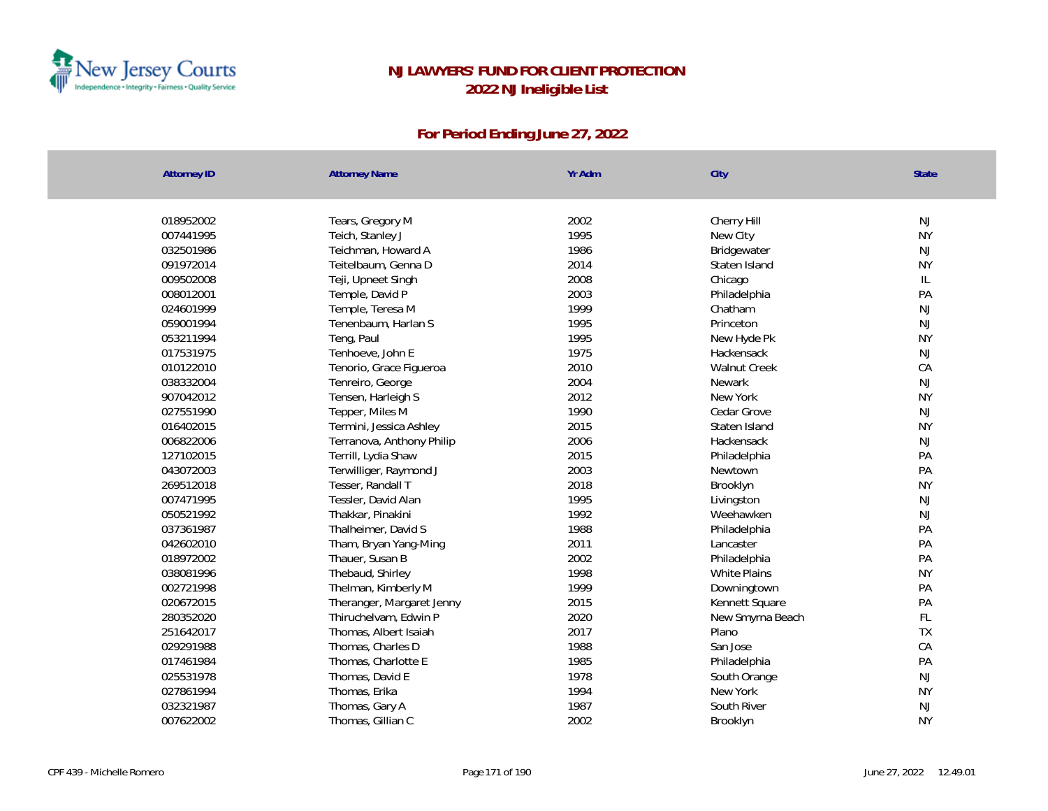

| Attorney ID | <b>Attorney Name</b>      | Yr Adm | City             | State         |
|-------------|---------------------------|--------|------------------|---------------|
|             |                           |        |                  |               |
| 018952002   | Tears, Gregory M          | 2002   | Cherry Hill      | NJ            |
| 007441995   | Teich, Stanley J          | 1995   | New City         | <b>NY</b>     |
| 032501986   | Teichman, Howard A        | 1986   | Bridgewater      | NJ            |
| 091972014   | Teitelbaum, Genna D       | 2014   | Staten Island    | <b>NY</b>     |
| 009502008   | Teji, Upneet Singh        | 2008   | Chicago          | IL            |
| 008012001   | Temple, David P           | 2003   | Philadelphia     | PA            |
| 024601999   | Temple, Teresa M          | 1999   | Chatham          | NJ            |
| 059001994   | Tenenbaum, Harlan S       | 1995   | Princeton        | NJ            |
| 053211994   | Teng, Paul                | 1995   | New Hyde Pk      | <b>NY</b>     |
| 017531975   | Tenhoeve, John E          | 1975   | Hackensack       | NJ            |
| 010122010   | Tenorio, Grace Figueroa   | 2010   | Walnut Creek     | CA            |
| 038332004   | Tenreiro, George          | 2004   | Newark           | NJ            |
| 907042012   | Tensen, Harleigh S        | 2012   | New York         | <b>NY</b>     |
| 027551990   | Tepper, Miles M           | 1990   | Cedar Grove      | NJ            |
| 016402015   | Termini, Jessica Ashley   | 2015   | Staten Island    | <b>NY</b>     |
| 006822006   | Terranova, Anthony Philip | 2006   | Hackensack       | $\mathsf{NJ}$ |
| 127102015   | Terrill, Lydia Shaw       | 2015   | Philadelphia     | PA            |
| 043072003   | Terwilliger, Raymond J    | 2003   | Newtown          | PA            |
| 269512018   | Tesser, Randall T         | 2018   | Brooklyn         | <b>NY</b>     |
| 007471995   | Tessler, David Alan       | 1995   | Livingston       | $\mathsf{NJ}$ |
| 050521992   | Thakkar, Pinakini         | 1992   | Weehawken        | $\mathsf{NJ}$ |
| 037361987   | Thalheimer, David S       | 1988   | Philadelphia     | PA            |
| 042602010   | Tham, Bryan Yang-Ming     | 2011   | Lancaster        | PA            |
| 018972002   | Thauer, Susan B           | 2002   | Philadelphia     | PA            |
| 038081996   | Thebaud, Shirley          | 1998   | White Plains     | <b>NY</b>     |
| 002721998   | Thelman, Kimberly M       | 1999   | Downingtown      | PA            |
| 020672015   | Theranger, Margaret Jenny | 2015   | Kennett Square   | PA            |
| 280352020   | Thiruchelvam, Edwin P     | 2020   | New Smyrna Beach | FL            |
| 251642017   | Thomas, Albert Isaiah     | 2017   | Plano            | TX            |
| 029291988   | Thomas, Charles D         | 1988   | San Jose         | CA            |
| 017461984   | Thomas, Charlotte E       | 1985   | Philadelphia     | PA            |
| 025531978   | Thomas, David E           | 1978   | South Orange     | NJ            |
| 027861994   | Thomas, Erika             | 1994   | New York         | <b>NY</b>     |
| 032321987   | Thomas, Gary A            | 1987   | South River      | NJ            |
| 007622002   | Thomas, Gillian C         | 2002   | Brooklyn         | <b>NY</b>     |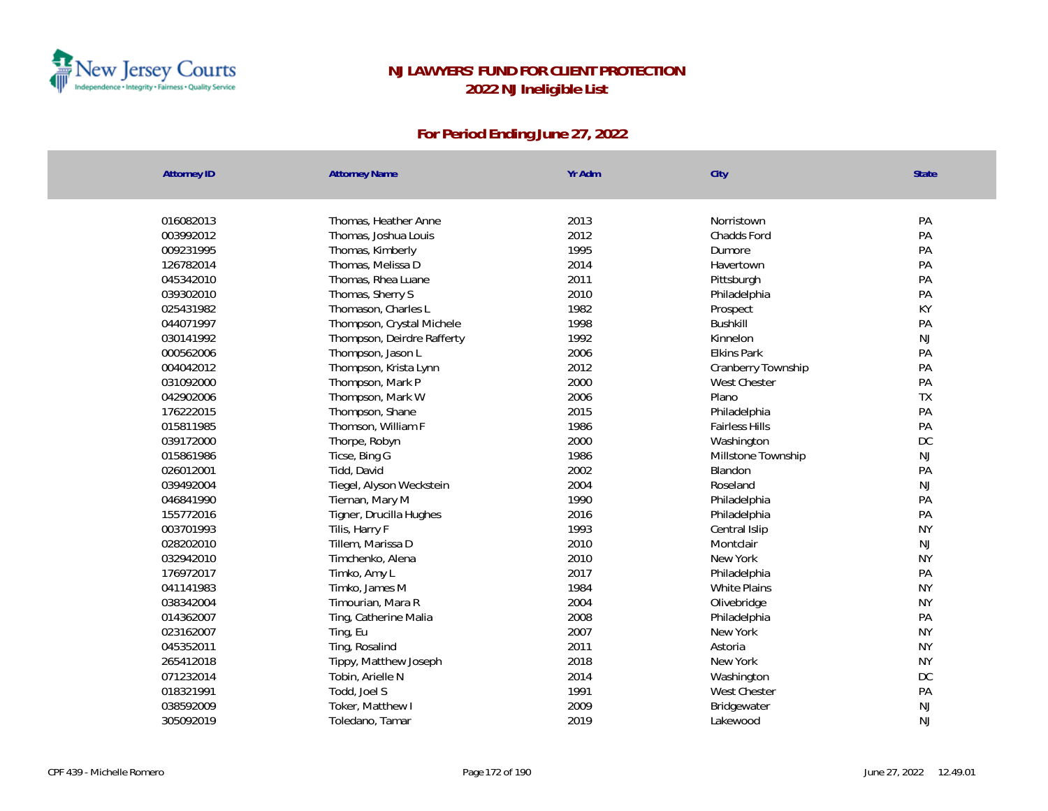

| <b>Attorney ID</b> | <b>Attorney Name</b>       | Yr Adm | City                  | <b>State</b> |
|--------------------|----------------------------|--------|-----------------------|--------------|
|                    |                            |        |                       |              |
| 016082013          | Thomas, Heather Anne       | 2013   | Norristown            | PA           |
| 003992012          | Thomas, Joshua Louis       | 2012   | <b>Chadds Ford</b>    | PA           |
| 009231995          | Thomas, Kimberly           | 1995   | Dumore                | PA           |
| 126782014          | Thomas, Melissa D          | 2014   | Havertown             | PA           |
| 045342010          | Thomas, Rhea Luane         | 2011   | Pittsburgh            | PA           |
| 039302010          | Thomas, Sherry S           | 2010   | Philadelphia          | PA           |
| 025431982          | Thomason, Charles L        | 1982   | Prospect              | KY           |
| 044071997          | Thompson, Crystal Michele  | 1998   | <b>Bushkill</b>       | PA           |
| 030141992          | Thompson, Deirdre Rafferty | 1992   | Kinnelon              | <b>NJ</b>    |
| 000562006          | Thompson, Jason L          | 2006   | <b>Elkins Park</b>    | PA           |
| 004042012          | Thompson, Krista Lynn      | 2012   | Cranberry Township    | PA           |
| 031092000          | Thompson, Mark P           | 2000   | West Chester          | PA           |
| 042902006          | Thompson, Mark W           | 2006   | Plano                 | <b>TX</b>    |
| 176222015          | Thompson, Shane            | 2015   | Philadelphia          | PA           |
| 015811985          | Thomson, William F         | 1986   | <b>Fairless Hills</b> | PA           |
| 039172000          | Thorpe, Robyn              | 2000   | Washington            | DC           |
| 015861986          | Ticse, Bing G              | 1986   | Millstone Township    | <b>NJ</b>    |
| 026012001          | Tidd, David                | 2002   | Blandon               | PA           |
| 039492004          | Tiegel, Alyson Weckstein   | 2004   | Roseland              | NJ           |
| 046841990          | Tiernan, Mary M            | 1990   | Philadelphia          | PA           |
| 155772016          | Tigner, Drucilla Hughes    | 2016   | Philadelphia          | PA           |
| 003701993          | Tilis, Harry F             | 1993   | Central Islip         | <b>NY</b>    |
| 028202010          | Tillem, Marissa D          | 2010   | Montclair             | <b>NJ</b>    |
| 032942010          | Timchenko, Alena           | 2010   | New York              | <b>NY</b>    |
| 176972017          | Timko, Amy L               | 2017   | Philadelphia          | PA           |
| 041141983          | Timko, James M             | 1984   | <b>White Plains</b>   | <b>NY</b>    |
| 038342004          | Timourian, Mara R          | 2004   | Olivebridge           | <b>NY</b>    |
| 014362007          | Ting, Catherine Malia      | 2008   | Philadelphia          | PA           |
| 023162007          | Ting, Eu                   | 2007   | New York              | <b>NY</b>    |
| 045352011          | Ting, Rosalind             | 2011   | Astoria               | <b>NY</b>    |
| 265412018          | Tippy, Matthew Joseph      | 2018   | New York              | <b>NY</b>    |
| 071232014          | Tobin, Arielle N           | 2014   | Washington            | DC           |
| 018321991          | Todd, Joel S               | 1991   | West Chester          | PA           |
| 038592009          | Toker, Matthew I           | 2009   | Bridgewater           | <b>NJ</b>    |
| 305092019          | Toledano, Tamar            | 2019   | Lakewood              | <b>NJ</b>    |
|                    |                            |        |                       |              |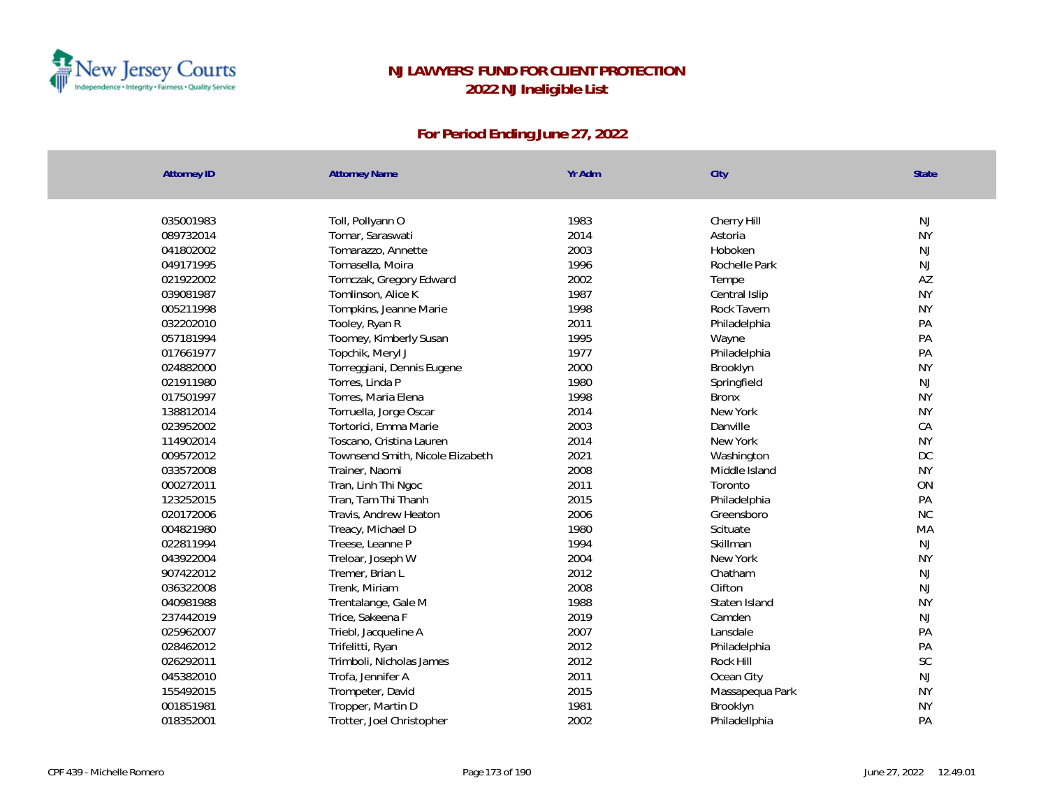

| Attorney ID | <b>Attorney Name</b>             | Yr Adm | City            | State         |
|-------------|----------------------------------|--------|-----------------|---------------|
|             |                                  |        |                 |               |
| 035001983   | Toll, Pollyann O                 | 1983   | Cherry Hill     | NJ            |
| 089732014   | Tomar, Saraswati                 | 2014   | Astoria         | <b>NY</b>     |
| 041802002   | Tomarazzo, Annette               | 2003   | Hoboken         | NJ            |
| 049171995   | Tomasella, Moira                 | 1996   | Rochelle Park   | $\mathsf{NJ}$ |
| 021922002   | Tomczak, Gregory Edward          | 2002   | Tempe           | AZ            |
| 039081987   | Tomlinson, Alice K               | 1987   | Central Islip   | <b>NY</b>     |
| 005211998   | Tompkins, Jeanne Marie           | 1998   | Rock Tavern     | <b>NY</b>     |
| 032202010   | Tooley, Ryan R                   | 2011   | Philadelphia    | PA            |
| 057181994   | Toomey, Kimberly Susan           | 1995   | Wayne           | PA            |
| 017661977   | Topchik, Meryl J                 | 1977   | Philadelphia    | PA            |
| 024882000   | Torreggiani, Dennis Eugene       | 2000   | Brooklyn        | <b>NY</b>     |
| 021911980   | Torres, Linda P                  | 1980   | Springfield     | <b>NJ</b>     |
| 017501997   | Torres, Maria Elena              | 1998   | <b>Bronx</b>    | <b>NY</b>     |
| 138812014   | Torruella, Jorge Oscar           | 2014   | New York        | <b>NY</b>     |
| 023952002   | Tortorici, Emma Marie            | 2003   | Danville        | CA            |
| 114902014   | Toscano, Cristina Lauren         | 2014   | New York        | <b>NY</b>     |
| 009572012   | Townsend Smith, Nicole Elizabeth | 2021   | Washington      | DC            |
| 033572008   | Trainer, Naomi                   | 2008   | Middle Island   | <b>NY</b>     |
| 000272011   | Tran, Linh Thi Ngoc              | 2011   | Toronto         | ON            |
| 123252015   | Tran, Tam Thi Thanh              | 2015   | Philadelphia    | PA            |
| 020172006   | Travis, Andrew Heaton            | 2006   | Greensboro      | <b>NC</b>     |
| 004821980   | Treacy, Michael D                | 1980   | Scituate        | MA            |
| 022811994   | Treese, Leanne P                 | 1994   | Skillman        | NJ            |
| 043922004   | Treloar, Joseph W                | 2004   | New York        | <b>NY</b>     |
| 907422012   | Tremer, Brian L                  | 2012   | Chatham         | NJ            |
| 036322008   | Trenk, Miriam                    | 2008   | Clifton         | NJ            |
| 040981988   | Trentalange, Gale M              | 1988   | Staten Island   | <b>NY</b>     |
| 237442019   | Trice, Sakeena F                 | 2019   | Camden          | NJ            |
| 025962007   | Triebl, Jacqueline A             | 2007   | Lansdale        | PA            |
| 028462012   | Trifelitti, Ryan                 | 2012   | Philadelphia    | PA            |
| 026292011   | Trimboli, Nicholas James         | 2012   | Rock Hill       | SC            |
| 045382010   | Trofa, Jennifer A                | 2011   | Ocean City      | $\mathsf{NJ}$ |
| 155492015   | Trompeter, David                 | 2015   | Massapequa Park | <b>NY</b>     |
| 001851981   | Tropper, Martin D                | 1981   | Brooklyn        | <b>NY</b>     |
| 018352001   | Trotter, Joel Christopher        | 2002   | Philadellphia   | PA            |
|             |                                  |        |                 |               |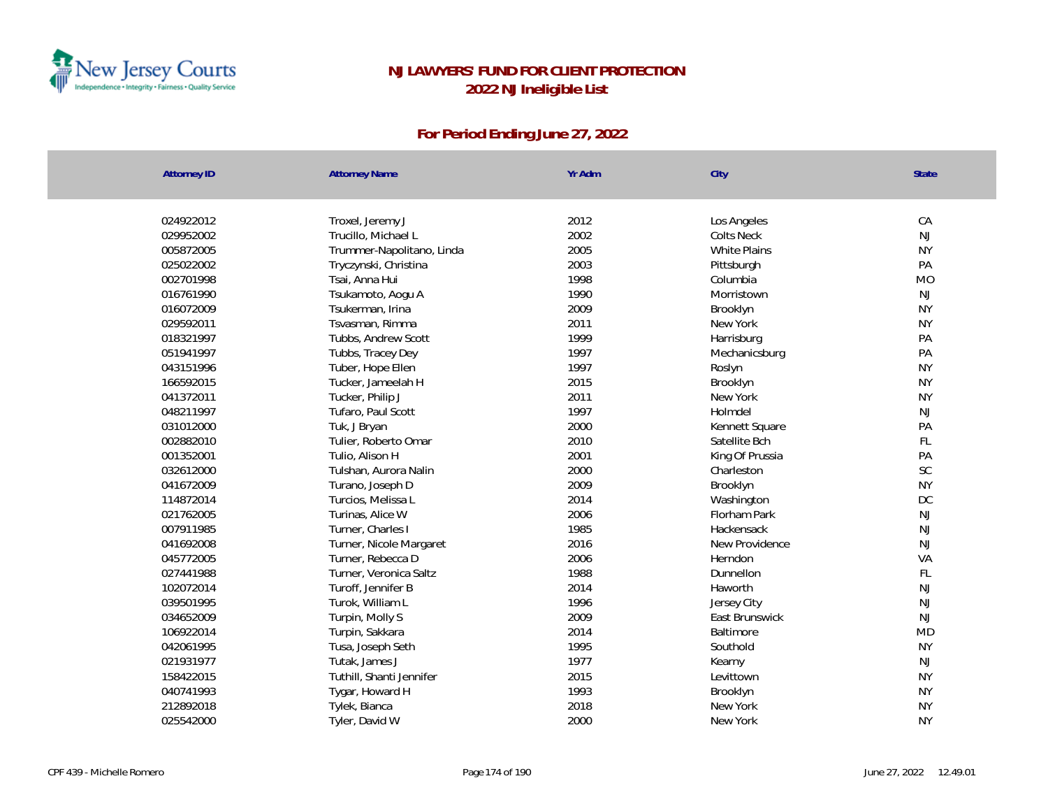

| <b>Attorney ID</b> | <b>Attorney Name</b>      | Yr Adm | City                | <b>State</b>  |
|--------------------|---------------------------|--------|---------------------|---------------|
|                    |                           |        |                     |               |
| 024922012          | Troxel, Jeremy J          | 2012   | Los Angeles         | CA            |
| 029952002          | Trucillo, Michael L       | 2002   | <b>Colts Neck</b>   | <b>NJ</b>     |
| 005872005          | Trummer-Napolitano, Linda | 2005   | <b>White Plains</b> | <b>NY</b>     |
| 025022002          | Tryczynski, Christina     | 2003   | Pittsburgh          | PA            |
| 002701998          | Tsai, Anna Hui            | 1998   | Columbia            | <b>MO</b>     |
| 016761990          | Tsukamoto, Aogu A         | 1990   | Morristown          | NJ            |
| 016072009          | Tsukerman, Irina          | 2009   | Brooklyn            | <b>NY</b>     |
| 029592011          | Tsvasman, Rimma           | 2011   | New York            | <b>NY</b>     |
| 018321997          | Tubbs, Andrew Scott       | 1999   | Harrisburg          | PA            |
| 051941997          | Tubbs, Tracey Dey         | 1997   | Mechanicsburg       | PA            |
| 043151996          | Tuber, Hope Ellen         | 1997   | Roslyn              | <b>NY</b>     |
| 166592015          | Tucker, Jameelah H        | 2015   | Brooklyn            | <b>NY</b>     |
| 041372011          | Tucker, Philip J          | 2011   | New York            | <b>NY</b>     |
| 048211997          | Tufaro, Paul Scott        | 1997   | Holmdel             | NJ            |
| 031012000          | Tuk, J Bryan              | 2000   | Kennett Square      | PA            |
| 002882010          | Tulier, Roberto Omar      | 2010   | Satellite Bch       | FL            |
| 001352001          | Tulio, Alison H           | 2001   | King Of Prussia     | PA            |
| 032612000          | Tulshan, Aurora Nalin     | 2000   | Charleston          | $\mathsf{SC}$ |
| 041672009          | Turano, Joseph D          | 2009   | Brooklyn            | <b>NY</b>     |
| 114872014          | Turcios, Melissa L        | 2014   | Washington          | $DC$          |
| 021762005          | Turinas, Alice W          | 2006   | Florham Park        | NJ            |
| 007911985          | Turner, Charles I         | 1985   | Hackensack          | <b>NJ</b>     |
| 041692008          | Turner, Nicole Margaret   | 2016   | New Providence      | <b>NJ</b>     |
| 045772005          | Turner, Rebecca D         | 2006   | Herndon             | VA            |
| 027441988          | Turner, Veronica Saltz    | 1988   | Dunnellon           | FL            |
| 102072014          | Turoff, Jennifer B        | 2014   | Haworth             | <b>NJ</b>     |
| 039501995          | Turok, William L          | 1996   | Jersey City         | <b>NJ</b>     |
| 034652009          | Turpin, Molly S           | 2009   | East Brunswick      | <b>NJ</b>     |
| 106922014          | Turpin, Sakkara           | 2014   | Baltimore           | <b>MD</b>     |
| 042061995          | Tusa, Joseph Seth         | 1995   | Southold            | <b>NY</b>     |
| 021931977          | Tutak, James J            | 1977   | Kearny              | NJ            |
| 158422015          | Tuthill, Shanti Jennifer  | 2015   | Levittown           | <b>NY</b>     |
| 040741993          | Tygar, Howard H           | 1993   | Brooklyn            | <b>NY</b>     |
| 212892018          | Tylek, Bianca             | 2018   | New York            | <b>NY</b>     |
| 025542000          | Tyler, David W            | 2000   | New York            | <b>NY</b>     |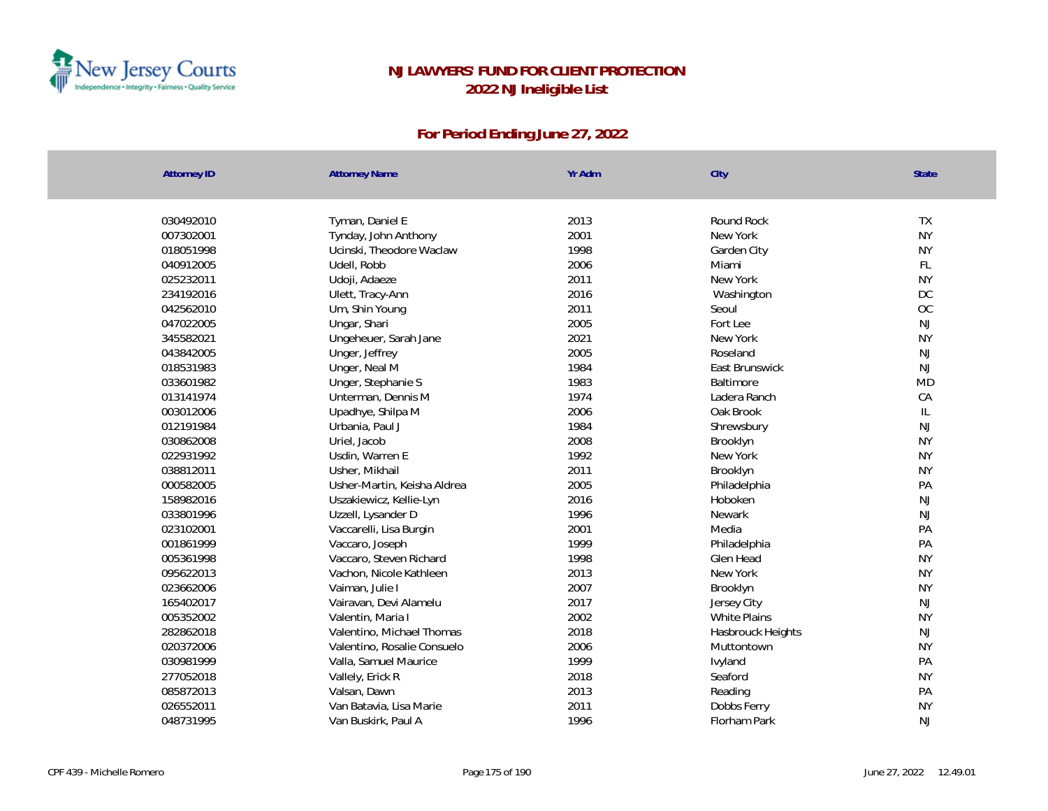

| <b>Attorney ID</b> | <b>Attorney Name</b>        | Yr Adm | City                | State         |
|--------------------|-----------------------------|--------|---------------------|---------------|
|                    |                             |        |                     |               |
| 030492010          | Tyman, Daniel E             | 2013   | Round Rock          | TX            |
| 007302001          | Tynday, John Anthony        | 2001   | New York            | <b>NY</b>     |
| 018051998          | Ucinski, Theodore Waclaw    | 1998   | Garden City         | <b>NY</b>     |
| 040912005          | Udell, Robb                 | 2006   | Miami               | FL            |
| 025232011          | Udoji, Adaeze               | 2011   | New York            | <b>NY</b>     |
| 234192016          | Ulett, Tracy-Ann            | 2016   | Washington          | DC            |
| 042562010          | Um, Shin Young              | 2011   | Seoul               | OC            |
| 047022005          | Ungar, Shari                | 2005   | Fort Lee            | NJ            |
| 345582021          | Ungeheuer, Sarah Jane       | 2021   | New York            | <b>NY</b>     |
| 043842005          | Unger, Jeffrey              | 2005   | Roseland            | $\mathsf{NJ}$ |
| 018531983          | Unger, Neal M               | 1984   | East Brunswick      | $\mathsf{NJ}$ |
| 033601982          | Unger, Stephanie S          | 1983   | Baltimore           | <b>MD</b>     |
| 013141974          | Unterman, Dennis M          | 1974   | Ladera Ranch        | CA            |
| 003012006          | Upadhye, Shilpa M           | 2006   | Oak Brook           | $\mathsf{IL}$ |
| 012191984          | Urbania, Paul J             | 1984   | Shrewsbury          | $\mathsf{NJ}$ |
| 030862008          | Uriel, Jacob                | 2008   | Brooklyn            | <b>NY</b>     |
| 022931992          | Usdin, Warren E             | 1992   | New York            | <b>NY</b>     |
| 038812011          | Usher, Mikhail              | 2011   | Brooklyn            | <b>NY</b>     |
| 000582005          | Usher-Martin, Keisha Aldrea | 2005   | Philadelphia        | PA            |
| 158982016          | Uszakiewicz, Kellie-Lyn     | 2016   | Hoboken             | NJ            |
| 033801996          | Uzzell, Lysander D          | 1996   | Newark              | NJ            |
| 023102001          | Vaccarelli, Lisa Burgin     | 2001   | Media               | PA            |
| 001861999          | Vaccaro, Joseph             | 1999   | Philadelphia        | PA            |
| 005361998          | Vaccaro, Steven Richard     | 1998   | Glen Head           | <b>NY</b>     |
| 095622013          | Vachon, Nicole Kathleen     | 2013   | New York            | <b>NY</b>     |
| 023662006          | Vaiman, Julie I             | 2007   | Brooklyn            | <b>NY</b>     |
| 165402017          | Vairavan, Devi Alamelu      | 2017   | Jersey City         | $\mathsf{NJ}$ |
| 005352002          | Valentin, Maria I           | 2002   | <b>White Plains</b> | <b>NY</b>     |
| 282862018          | Valentino, Michael Thomas   | 2018   | Hasbrouck Heights   | NJ            |
| 020372006          | Valentino, Rosalie Consuelo | 2006   | Muttontown          | <b>NY</b>     |
| 030981999          | Valla, Samuel Maurice       | 1999   | Ivyland             | PA            |
| 277052018          | Vallely, Erick R            | 2018   | Seaford             | <b>NY</b>     |
| 085872013          | Valsan, Dawn                | 2013   | Reading             | PA            |
| 026552011          | Van Batavia, Lisa Marie     | 2011   | Dobbs Ferry         | <b>NY</b>     |
| 048731995          | Van Buskirk, Paul A         | 1996   | Florham Park        | <b>NJ</b>     |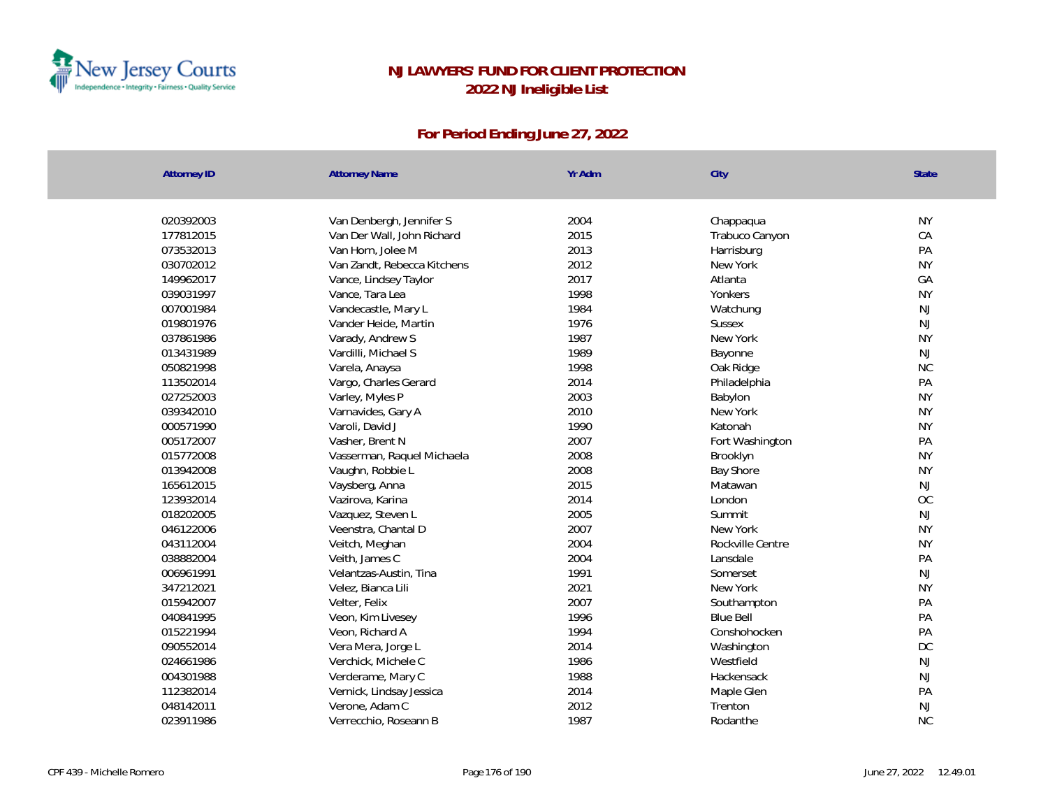

| Attorney ID | <b>Attorney Name</b>        | Yr Adm | City             | <b>State</b>  |
|-------------|-----------------------------|--------|------------------|---------------|
|             |                             |        |                  |               |
| 020392003   | Van Denbergh, Jennifer S    | 2004   | Chappaqua        | <b>NY</b>     |
| 177812015   | Van Der Wall, John Richard  | 2015   | Trabuco Canyon   | CA            |
| 073532013   | Van Horn, Jolee M           | 2013   | Harrisburg       | PA            |
| 030702012   | Van Zandt, Rebecca Kitchens | 2012   | New York         | <b>NY</b>     |
| 149962017   | Vance, Lindsey Taylor       | 2017   | Atlanta          | GA            |
| 039031997   | Vance, Tara Lea             | 1998   | Yonkers          | <b>NY</b>     |
| 007001984   | Vandecastle, Mary L         | 1984   | Watchung         | NJ            |
| 019801976   | Vander Heide, Martin        | 1976   | <b>Sussex</b>    | NJ            |
| 037861986   | Varady, Andrew S            | 1987   | New York         | <b>NY</b>     |
| 013431989   | Vardilli, Michael S         | 1989   | Bayonne          | NJ            |
| 050821998   | Varela, Anaysa              | 1998   | Oak Ridge        | <b>NC</b>     |
| 113502014   | Vargo, Charles Gerard       | 2014   | Philadelphia     | PA            |
| 027252003   | Varley, Myles P             | 2003   | Babylon          | <b>NY</b>     |
| 039342010   | Varnavides, Gary A          | 2010   | New York         | <b>NY</b>     |
| 000571990   | Varoli, David J             | 1990   | Katonah          | <b>NY</b>     |
| 005172007   | Vasher, Brent N             | 2007   | Fort Washington  | PA            |
| 015772008   | Vasserman, Raquel Michaela  | 2008   | Brooklyn         | <b>NY</b>     |
| 013942008   | Vaughn, Robbie L            | 2008   | <b>Bay Shore</b> | <b>NY</b>     |
| 165612015   | Vaysberg, Anna              | 2015   | Matawan          | NJ            |
| 123932014   | Vazirova, Karina            | 2014   | London           | OC            |
| 018202005   | Vazquez, Steven L           | 2005   | Summit           | <b>NJ</b>     |
| 046122006   | Veenstra, Chantal D         | 2007   | New York         | <b>NY</b>     |
| 043112004   | Veitch, Meghan              | 2004   | Rockville Centre | <b>NY</b>     |
| 038882004   | Veith, James C              | 2004   | Lansdale         | PA            |
| 006961991   | Velantzas-Austin, Tina      | 1991   | Somerset         | $\mathsf{NJ}$ |
| 347212021   | Velez, Bianca Lili          | 2021   | New York         | <b>NY</b>     |
| 015942007   | Velter, Felix               | 2007   | Southampton      | PA            |
| 040841995   | Veon, Kim Livesey           | 1996   | <b>Blue Bell</b> | PA            |
| 015221994   | Veon, Richard A             | 1994   | Conshohocken     | PA            |
| 090552014   | Vera Mera, Jorge L          | 2014   | Washington       | DC            |
| 024661986   | Verchick, Michele C         | 1986   | Westfield        | NJ            |
| 004301988   | Verderame, Mary C           | 1988   | Hackensack       | $\mathsf{NJ}$ |
| 112382014   | Vernick, Lindsay Jessica    | 2014   | Maple Glen       | PA            |
| 048142011   | Verone, Adam C              | 2012   | Trenton          | $\mathsf{NJ}$ |
| 023911986   | Verrecchio, Roseann B       | 1987   | Rodanthe         | <b>NC</b>     |
|             |                             |        |                  |               |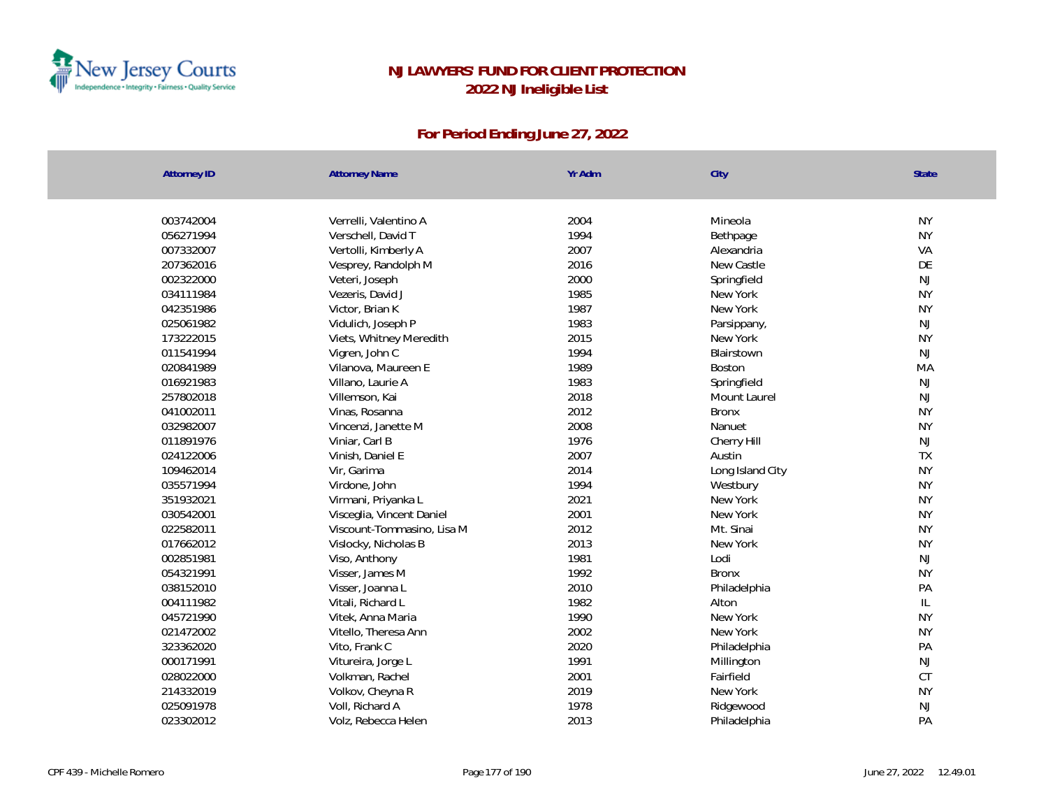

| 003742004<br>2004<br><b>NY</b><br>Verrelli, Valentino A<br>Mineola<br>1994<br><b>NY</b><br>056271994<br>Verschell, David T<br>Bethpage<br>2007<br>VA<br>007332007<br>Vertolli, Kimberly A<br>Alexandria<br>2016<br>New Castle<br>DE<br>207362016<br>Vesprey, Randolph M<br>2000<br>NJ<br>002322000<br>Veteri, Joseph<br>Springfield<br>1985<br><b>NY</b><br>034111984<br>Vezeris, David J<br>New York<br>1987<br><b>NY</b><br>042351986<br>Victor, Brian K<br>New York<br>NJ<br>1983<br>025061982<br>Vidulich, Joseph P<br>Parsippany,<br>2015<br>173222015<br><b>NY</b><br>Viets, Whitney Meredith<br>New York<br>1994<br><b>NJ</b><br>011541994<br>Vigren, John C<br>Blairstown<br>1989<br>020841989<br>Vilanova, Maureen E<br>Boston<br>MA<br>1983<br>016921983<br>Villano, Laurie A<br>Springfield<br>NJ<br>2018<br>257802018<br><b>NJ</b><br>Villemson, Kai<br>Mount Laurel<br><b>NY</b><br>2012<br>041002011<br>Vinas, Rosanna<br><b>Bronx</b><br>2008<br>032982007<br><b>NY</b><br>Vincenzi, Janette M<br>Nanuet<br>NJ<br>1976<br>011891976<br>Viniar, Carl B<br>Cherry Hill<br>2007<br>Austin<br>TX<br>024122006<br>Vinish, Daniel E<br><b>NY</b><br>2014<br>109462014<br>Vir, Garima<br>Long Island City<br>1994<br><b>NY</b><br>035571994<br>Virdone, John<br>Westbury<br>2021<br><b>NY</b><br>351932021<br>Virmani, Priyanka L<br>New York<br>2001<br><b>NY</b><br>New York<br>030542001<br>Visceglia, Vincent Daniel<br>2012<br>022582011<br>Mt. Sinai<br><b>NY</b><br>Viscount-Tommasino, Lisa M<br>2013<br><b>NY</b><br>017662012<br>Vislocky, Nicholas B<br>New York<br>1981<br>Lodi<br><b>NJ</b><br>002851981<br>Viso, Anthony<br>1992<br><b>NY</b><br>054321991<br>Visser, James M<br><b>Bronx</b><br>2010<br>038152010<br>PA<br>Visser, Joanna L<br>Philadelphia |  |
|------------------------------------------------------------------------------------------------------------------------------------------------------------------------------------------------------------------------------------------------------------------------------------------------------------------------------------------------------------------------------------------------------------------------------------------------------------------------------------------------------------------------------------------------------------------------------------------------------------------------------------------------------------------------------------------------------------------------------------------------------------------------------------------------------------------------------------------------------------------------------------------------------------------------------------------------------------------------------------------------------------------------------------------------------------------------------------------------------------------------------------------------------------------------------------------------------------------------------------------------------------------------------------------------------------------------------------------------------------------------------------------------------------------------------------------------------------------------------------------------------------------------------------------------------------------------------------------------------------------------------------------------------------------------------------------------------------------------------------------------------------------------------------|--|
|                                                                                                                                                                                                                                                                                                                                                                                                                                                                                                                                                                                                                                                                                                                                                                                                                                                                                                                                                                                                                                                                                                                                                                                                                                                                                                                                                                                                                                                                                                                                                                                                                                                                                                                                                                                    |  |
|                                                                                                                                                                                                                                                                                                                                                                                                                                                                                                                                                                                                                                                                                                                                                                                                                                                                                                                                                                                                                                                                                                                                                                                                                                                                                                                                                                                                                                                                                                                                                                                                                                                                                                                                                                                    |  |
|                                                                                                                                                                                                                                                                                                                                                                                                                                                                                                                                                                                                                                                                                                                                                                                                                                                                                                                                                                                                                                                                                                                                                                                                                                                                                                                                                                                                                                                                                                                                                                                                                                                                                                                                                                                    |  |
|                                                                                                                                                                                                                                                                                                                                                                                                                                                                                                                                                                                                                                                                                                                                                                                                                                                                                                                                                                                                                                                                                                                                                                                                                                                                                                                                                                                                                                                                                                                                                                                                                                                                                                                                                                                    |  |
|                                                                                                                                                                                                                                                                                                                                                                                                                                                                                                                                                                                                                                                                                                                                                                                                                                                                                                                                                                                                                                                                                                                                                                                                                                                                                                                                                                                                                                                                                                                                                                                                                                                                                                                                                                                    |  |
|                                                                                                                                                                                                                                                                                                                                                                                                                                                                                                                                                                                                                                                                                                                                                                                                                                                                                                                                                                                                                                                                                                                                                                                                                                                                                                                                                                                                                                                                                                                                                                                                                                                                                                                                                                                    |  |
|                                                                                                                                                                                                                                                                                                                                                                                                                                                                                                                                                                                                                                                                                                                                                                                                                                                                                                                                                                                                                                                                                                                                                                                                                                                                                                                                                                                                                                                                                                                                                                                                                                                                                                                                                                                    |  |
|                                                                                                                                                                                                                                                                                                                                                                                                                                                                                                                                                                                                                                                                                                                                                                                                                                                                                                                                                                                                                                                                                                                                                                                                                                                                                                                                                                                                                                                                                                                                                                                                                                                                                                                                                                                    |  |
|                                                                                                                                                                                                                                                                                                                                                                                                                                                                                                                                                                                                                                                                                                                                                                                                                                                                                                                                                                                                                                                                                                                                                                                                                                                                                                                                                                                                                                                                                                                                                                                                                                                                                                                                                                                    |  |
|                                                                                                                                                                                                                                                                                                                                                                                                                                                                                                                                                                                                                                                                                                                                                                                                                                                                                                                                                                                                                                                                                                                                                                                                                                                                                                                                                                                                                                                                                                                                                                                                                                                                                                                                                                                    |  |
|                                                                                                                                                                                                                                                                                                                                                                                                                                                                                                                                                                                                                                                                                                                                                                                                                                                                                                                                                                                                                                                                                                                                                                                                                                                                                                                                                                                                                                                                                                                                                                                                                                                                                                                                                                                    |  |
|                                                                                                                                                                                                                                                                                                                                                                                                                                                                                                                                                                                                                                                                                                                                                                                                                                                                                                                                                                                                                                                                                                                                                                                                                                                                                                                                                                                                                                                                                                                                                                                                                                                                                                                                                                                    |  |
|                                                                                                                                                                                                                                                                                                                                                                                                                                                                                                                                                                                                                                                                                                                                                                                                                                                                                                                                                                                                                                                                                                                                                                                                                                                                                                                                                                                                                                                                                                                                                                                                                                                                                                                                                                                    |  |
|                                                                                                                                                                                                                                                                                                                                                                                                                                                                                                                                                                                                                                                                                                                                                                                                                                                                                                                                                                                                                                                                                                                                                                                                                                                                                                                                                                                                                                                                                                                                                                                                                                                                                                                                                                                    |  |
|                                                                                                                                                                                                                                                                                                                                                                                                                                                                                                                                                                                                                                                                                                                                                                                                                                                                                                                                                                                                                                                                                                                                                                                                                                                                                                                                                                                                                                                                                                                                                                                                                                                                                                                                                                                    |  |
|                                                                                                                                                                                                                                                                                                                                                                                                                                                                                                                                                                                                                                                                                                                                                                                                                                                                                                                                                                                                                                                                                                                                                                                                                                                                                                                                                                                                                                                                                                                                                                                                                                                                                                                                                                                    |  |
|                                                                                                                                                                                                                                                                                                                                                                                                                                                                                                                                                                                                                                                                                                                                                                                                                                                                                                                                                                                                                                                                                                                                                                                                                                                                                                                                                                                                                                                                                                                                                                                                                                                                                                                                                                                    |  |
|                                                                                                                                                                                                                                                                                                                                                                                                                                                                                                                                                                                                                                                                                                                                                                                                                                                                                                                                                                                                                                                                                                                                                                                                                                                                                                                                                                                                                                                                                                                                                                                                                                                                                                                                                                                    |  |
|                                                                                                                                                                                                                                                                                                                                                                                                                                                                                                                                                                                                                                                                                                                                                                                                                                                                                                                                                                                                                                                                                                                                                                                                                                                                                                                                                                                                                                                                                                                                                                                                                                                                                                                                                                                    |  |
|                                                                                                                                                                                                                                                                                                                                                                                                                                                                                                                                                                                                                                                                                                                                                                                                                                                                                                                                                                                                                                                                                                                                                                                                                                                                                                                                                                                                                                                                                                                                                                                                                                                                                                                                                                                    |  |
|                                                                                                                                                                                                                                                                                                                                                                                                                                                                                                                                                                                                                                                                                                                                                                                                                                                                                                                                                                                                                                                                                                                                                                                                                                                                                                                                                                                                                                                                                                                                                                                                                                                                                                                                                                                    |  |
|                                                                                                                                                                                                                                                                                                                                                                                                                                                                                                                                                                                                                                                                                                                                                                                                                                                                                                                                                                                                                                                                                                                                                                                                                                                                                                                                                                                                                                                                                                                                                                                                                                                                                                                                                                                    |  |
|                                                                                                                                                                                                                                                                                                                                                                                                                                                                                                                                                                                                                                                                                                                                                                                                                                                                                                                                                                                                                                                                                                                                                                                                                                                                                                                                                                                                                                                                                                                                                                                                                                                                                                                                                                                    |  |
|                                                                                                                                                                                                                                                                                                                                                                                                                                                                                                                                                                                                                                                                                                                                                                                                                                                                                                                                                                                                                                                                                                                                                                                                                                                                                                                                                                                                                                                                                                                                                                                                                                                                                                                                                                                    |  |
|                                                                                                                                                                                                                                                                                                                                                                                                                                                                                                                                                                                                                                                                                                                                                                                                                                                                                                                                                                                                                                                                                                                                                                                                                                                                                                                                                                                                                                                                                                                                                                                                                                                                                                                                                                                    |  |
|                                                                                                                                                                                                                                                                                                                                                                                                                                                                                                                                                                                                                                                                                                                                                                                                                                                                                                                                                                                                                                                                                                                                                                                                                                                                                                                                                                                                                                                                                                                                                                                                                                                                                                                                                                                    |  |
|                                                                                                                                                                                                                                                                                                                                                                                                                                                                                                                                                                                                                                                                                                                                                                                                                                                                                                                                                                                                                                                                                                                                                                                                                                                                                                                                                                                                                                                                                                                                                                                                                                                                                                                                                                                    |  |
| 1982<br>IL<br>004111982<br>Vitali, Richard L<br>Alton                                                                                                                                                                                                                                                                                                                                                                                                                                                                                                                                                                                                                                                                                                                                                                                                                                                                                                                                                                                                                                                                                                                                                                                                                                                                                                                                                                                                                                                                                                                                                                                                                                                                                                                              |  |
| 1990<br><b>NY</b><br>045721990<br>Vitek, Anna Maria<br>New York                                                                                                                                                                                                                                                                                                                                                                                                                                                                                                                                                                                                                                                                                                                                                                                                                                                                                                                                                                                                                                                                                                                                                                                                                                                                                                                                                                                                                                                                                                                                                                                                                                                                                                                    |  |
| 2002<br><b>NY</b><br>021472002<br>Vitello, Theresa Ann<br>New York                                                                                                                                                                                                                                                                                                                                                                                                                                                                                                                                                                                                                                                                                                                                                                                                                                                                                                                                                                                                                                                                                                                                                                                                                                                                                                                                                                                                                                                                                                                                                                                                                                                                                                                 |  |
| 2020<br>PA<br>323362020<br>Vito, Frank C<br>Philadelphia                                                                                                                                                                                                                                                                                                                                                                                                                                                                                                                                                                                                                                                                                                                                                                                                                                                                                                                                                                                                                                                                                                                                                                                                                                                                                                                                                                                                                                                                                                                                                                                                                                                                                                                           |  |
| 1991<br><b>NJ</b><br>000171991<br>Vitureira, Jorge L<br>Millington                                                                                                                                                                                                                                                                                                                                                                                                                                                                                                                                                                                                                                                                                                                                                                                                                                                                                                                                                                                                                                                                                                                                                                                                                                                                                                                                                                                                                                                                                                                                                                                                                                                                                                                 |  |
| 2001<br>CT<br>028022000<br>Volkman, Rachel<br>Fairfield                                                                                                                                                                                                                                                                                                                                                                                                                                                                                                                                                                                                                                                                                                                                                                                                                                                                                                                                                                                                                                                                                                                                                                                                                                                                                                                                                                                                                                                                                                                                                                                                                                                                                                                            |  |
| 2019<br>214332019<br>Volkov, Cheyna R<br><b>NY</b><br>New York                                                                                                                                                                                                                                                                                                                                                                                                                                                                                                                                                                                                                                                                                                                                                                                                                                                                                                                                                                                                                                                                                                                                                                                                                                                                                                                                                                                                                                                                                                                                                                                                                                                                                                                     |  |
| 1978<br><b>NJ</b><br>025091978<br>Voll, Richard A<br>Ridgewood                                                                                                                                                                                                                                                                                                                                                                                                                                                                                                                                                                                                                                                                                                                                                                                                                                                                                                                                                                                                                                                                                                                                                                                                                                                                                                                                                                                                                                                                                                                                                                                                                                                                                                                     |  |
| PA<br>2013<br>023302012<br>Volz, Rebecca Helen<br>Philadelphia                                                                                                                                                                                                                                                                                                                                                                                                                                                                                                                                                                                                                                                                                                                                                                                                                                                                                                                                                                                                                                                                                                                                                                                                                                                                                                                                                                                                                                                                                                                                                                                                                                                                                                                     |  |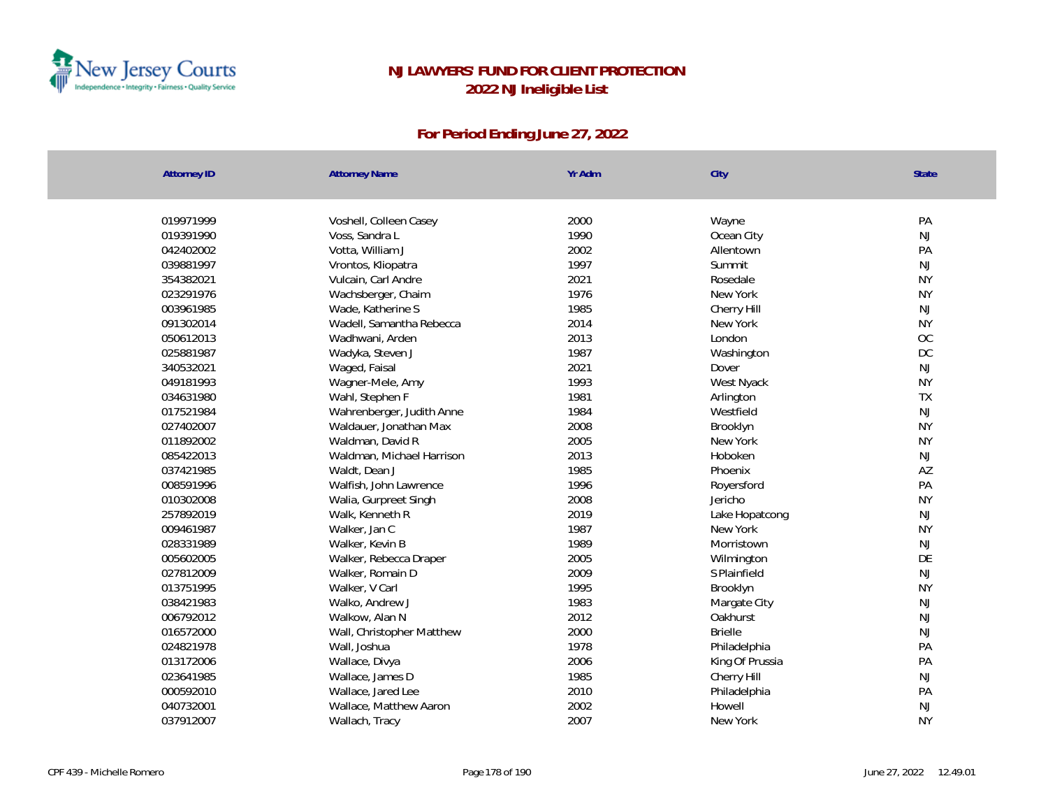

| <b>Attorney ID</b> | <b>Attorney Name</b>      | Yr Adm | City            | State         |
|--------------------|---------------------------|--------|-----------------|---------------|
|                    |                           |        |                 |               |
| 019971999          | Voshell, Colleen Casey    | 2000   | Wayne           | PA            |
| 019391990          | Voss, Sandra L            | 1990   | Ocean City      | NJ            |
| 042402002          | Votta, William J          | 2002   | Allentown       | PA            |
| 039881997          | Vrontos, Kliopatra        | 1997   | Summit          | NJ            |
| 354382021          | Vulcain, Carl Andre       | 2021   | Rosedale        | <b>NY</b>     |
| 023291976          | Wachsberger, Chaim        | 1976   | New York        | <b>NY</b>     |
| 003961985          | Wade, Katherine S         | 1985   | Cherry Hill     | NJ            |
| 091302014          | Wadell, Samantha Rebecca  | 2014   | New York        | <b>NY</b>     |
| 050612013          | Wadhwani, Arden           | 2013   | London          | OC            |
| 025881987          | Wadyka, Steven J          | 1987   | Washington      | DC            |
| 340532021          | Waged, Faisal             | 2021   | Dover           | NJ            |
| 049181993          | Wagner-Mele, Amy          | 1993   | West Nyack      | <b>NY</b>     |
| 034631980          | Wahl, Stephen F           | 1981   | Arlington       | TX            |
| 017521984          | Wahrenberger, Judith Anne | 1984   | Westfield       | NJ            |
| 027402007          | Waldauer, Jonathan Max    | 2008   | Brooklyn        | <b>NY</b>     |
| 011892002          | Waldman, David R          | 2005   | New York        | <b>NY</b>     |
| 085422013          | Waldman, Michael Harrison | 2013   | Hoboken         | NJ            |
| 037421985          | Waldt, Dean J             | 1985   | Phoenix         | AZ            |
| 008591996          | Walfish, John Lawrence    | 1996   | Royersford      | PA            |
| 010302008          | Walia, Gurpreet Singh     | 2008   | Jericho         | <b>NY</b>     |
| 257892019          | Walk, Kenneth R           | 2019   | Lake Hopatcong  | NJ            |
| 009461987          | Walker, Jan C             | 1987   | New York        | <b>NY</b>     |
| 028331989          | Walker, Kevin B           | 1989   | Morristown      | NJ            |
| 005602005          | Walker, Rebecca Draper    | 2005   | Wilmington      | DE            |
| 027812009          | Walker, Romain D          | 2009   | S Plainfield    | NJ            |
| 013751995          | Walker, V Carl            | 1995   | Brooklyn        | <b>NY</b>     |
| 038421983          | Walko, Andrew J           | 1983   | Margate City    | $\mathsf{NJ}$ |
| 006792012          | Walkow, Alan N            | 2012   | Oakhurst        | NJ            |
| 016572000          | Wall, Christopher Matthew | 2000   | <b>Brielle</b>  | NJ            |
| 024821978          | Wall, Joshua              | 1978   | Philadelphia    | PA            |
| 013172006          | Wallace, Divya            | 2006   | King Of Prussia | PA            |
| 023641985          | Wallace, James D          | 1985   | Cherry Hill     | NJ            |
| 000592010          | Wallace, Jared Lee        | 2010   | Philadelphia    | PA            |
| 040732001          | Wallace, Matthew Aaron    | 2002   | Howell          | NJ            |
| 037912007          | Wallach, Tracy            | 2007   | New York        | <b>NY</b>     |
|                    |                           |        |                 |               |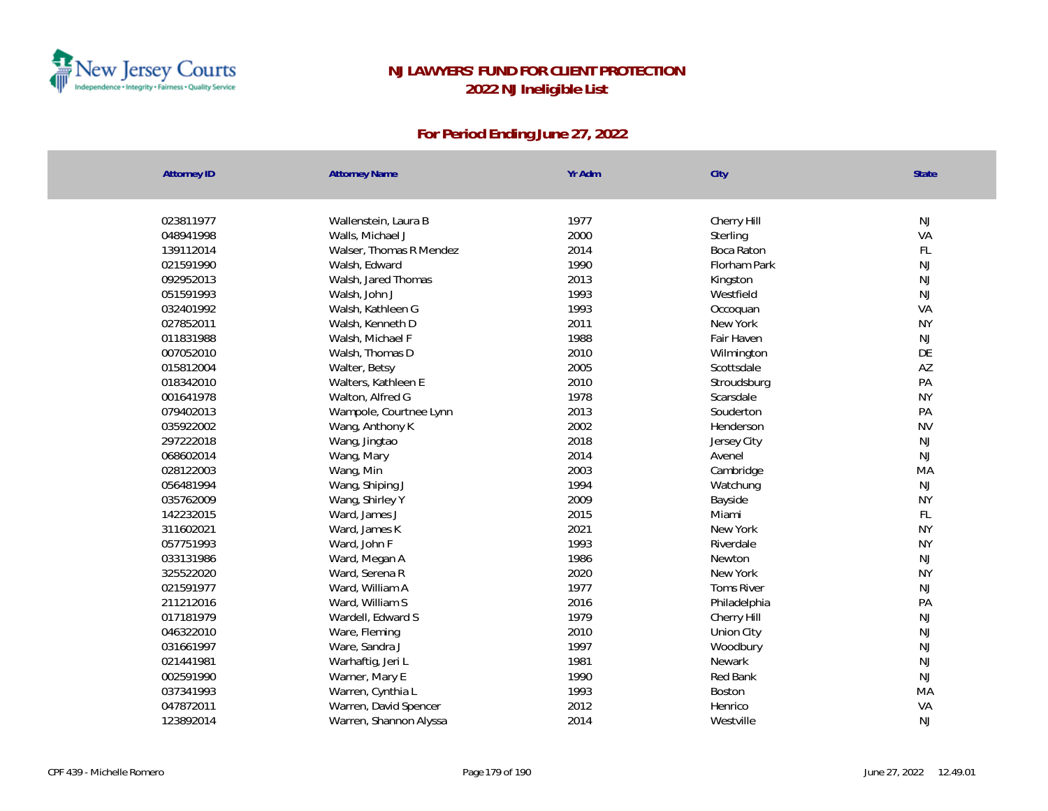

| 023811977<br>1977<br>NJ<br>Wallenstein, Laura B<br>Cherry Hill<br>2000<br>VA<br>048941998<br>Walls, Michael J<br>Sterling<br>2014<br>FL<br>139112014<br>Walser, Thomas R Mendez<br>Boca Raton<br>1990<br>NJ<br>021591990<br>Walsh, Edward<br>Florham Park<br>2013<br>NJ<br>092952013<br>Walsh, Jared Thomas<br>Kingston<br>1993<br>NJ<br>051591993<br>Westfield<br>Walsh, John J<br>VA<br>032401992<br>1993<br>Walsh, Kathleen G<br>Occoquan<br><b>NY</b><br>027852011<br>2011<br>Walsh, Kenneth D<br>New York<br>1988<br>NJ<br>011831988<br>Walsh, Michael F<br>Fair Haven<br>2010<br>DE<br>007052010<br>Walsh, Thomas D<br>Wilmington<br>2005<br>AZ<br>015812004<br>Walter, Betsy<br>Scottsdale<br>2010<br>PA<br>018342010<br>Stroudsburg<br>Walters, Kathleen E<br>1978<br><b>NY</b><br>001641978<br>Walton, Alfred G<br>Scarsdale<br>2013<br>PA<br>079402013<br>Wampole, Courtnee Lynn<br>Souderton<br>2002<br><b>NV</b><br>035922002<br>Henderson<br>Wang, Anthony K<br>2018<br>NJ<br>297222018<br>Jersey City<br>Wang, Jingtao<br>2014<br>NJ<br>068602014<br>Wang, Mary<br>Avenel<br>2003<br>MA<br>028122003<br>Cambridge<br>Wang, Min<br>1994<br>NJ<br>056481994<br>Wang, Shiping J<br>Watchung<br>2009<br><b>NY</b><br>035762009<br>Wang, Shirley Y<br>Bayside<br>FL<br>142232015<br>2015<br>Miami<br>Ward, James J<br>2021<br><b>NY</b><br>311602021<br>New York<br>Ward, James K<br>1993<br>057751993<br><b>NY</b><br>Ward, John F<br>Riverdale<br>1986<br>NJ<br>033131986<br>Newton<br>Ward, Megan A<br>2020<br><b>NY</b><br>325522020<br>Ward, Serena R<br>New York<br>1977<br>021591977<br><b>Toms River</b><br>NJ<br>Ward, William A<br>2016<br>PA<br>211212016<br>Ward, William S<br>Philadelphia<br>1979<br>NJ<br>017181979<br>Wardell, Edward S<br>Cherry Hill<br>2010<br>NJ<br>046322010<br>Ware, Fleming<br>Union City<br>1997<br>NJ<br>031661997<br>Ware, Sandra J<br>Woodbury<br>1981<br>NJ<br>021441981<br>Warhaftig, Jeri L<br>Newark<br>NJ<br>002591990<br>1990<br>Red Bank<br>Warner, Mary E<br>037341993<br>1993<br>MA<br>Warren, Cynthia L<br>Boston<br>2012<br>VA<br>047872011<br>Warren, David Spencer<br>Henrico<br>2014<br>NJ<br>123892014<br>Warren, Shannon Alyssa<br>Westville | <b>Attorney ID</b> | <b>Attorney Name</b> | Yr Adm | City | State |
|------------------------------------------------------------------------------------------------------------------------------------------------------------------------------------------------------------------------------------------------------------------------------------------------------------------------------------------------------------------------------------------------------------------------------------------------------------------------------------------------------------------------------------------------------------------------------------------------------------------------------------------------------------------------------------------------------------------------------------------------------------------------------------------------------------------------------------------------------------------------------------------------------------------------------------------------------------------------------------------------------------------------------------------------------------------------------------------------------------------------------------------------------------------------------------------------------------------------------------------------------------------------------------------------------------------------------------------------------------------------------------------------------------------------------------------------------------------------------------------------------------------------------------------------------------------------------------------------------------------------------------------------------------------------------------------------------------------------------------------------------------------------------------------------------------------------------------------------------------------------------------------------------------------------------------------------------------------------------------------------------------------------------------------------------------------------------------------------------------------------------------------------------------------------------------------------------------------|--------------------|----------------------|--------|------|-------|
|                                                                                                                                                                                                                                                                                                                                                                                                                                                                                                                                                                                                                                                                                                                                                                                                                                                                                                                                                                                                                                                                                                                                                                                                                                                                                                                                                                                                                                                                                                                                                                                                                                                                                                                                                                                                                                                                                                                                                                                                                                                                                                                                                                                                                  |                    |                      |        |      |       |
|                                                                                                                                                                                                                                                                                                                                                                                                                                                                                                                                                                                                                                                                                                                                                                                                                                                                                                                                                                                                                                                                                                                                                                                                                                                                                                                                                                                                                                                                                                                                                                                                                                                                                                                                                                                                                                                                                                                                                                                                                                                                                                                                                                                                                  |                    |                      |        |      |       |
|                                                                                                                                                                                                                                                                                                                                                                                                                                                                                                                                                                                                                                                                                                                                                                                                                                                                                                                                                                                                                                                                                                                                                                                                                                                                                                                                                                                                                                                                                                                                                                                                                                                                                                                                                                                                                                                                                                                                                                                                                                                                                                                                                                                                                  |                    |                      |        |      |       |
|                                                                                                                                                                                                                                                                                                                                                                                                                                                                                                                                                                                                                                                                                                                                                                                                                                                                                                                                                                                                                                                                                                                                                                                                                                                                                                                                                                                                                                                                                                                                                                                                                                                                                                                                                                                                                                                                                                                                                                                                                                                                                                                                                                                                                  |                    |                      |        |      |       |
|                                                                                                                                                                                                                                                                                                                                                                                                                                                                                                                                                                                                                                                                                                                                                                                                                                                                                                                                                                                                                                                                                                                                                                                                                                                                                                                                                                                                                                                                                                                                                                                                                                                                                                                                                                                                                                                                                                                                                                                                                                                                                                                                                                                                                  |                    |                      |        |      |       |
|                                                                                                                                                                                                                                                                                                                                                                                                                                                                                                                                                                                                                                                                                                                                                                                                                                                                                                                                                                                                                                                                                                                                                                                                                                                                                                                                                                                                                                                                                                                                                                                                                                                                                                                                                                                                                                                                                                                                                                                                                                                                                                                                                                                                                  |                    |                      |        |      |       |
|                                                                                                                                                                                                                                                                                                                                                                                                                                                                                                                                                                                                                                                                                                                                                                                                                                                                                                                                                                                                                                                                                                                                                                                                                                                                                                                                                                                                                                                                                                                                                                                                                                                                                                                                                                                                                                                                                                                                                                                                                                                                                                                                                                                                                  |                    |                      |        |      |       |
|                                                                                                                                                                                                                                                                                                                                                                                                                                                                                                                                                                                                                                                                                                                                                                                                                                                                                                                                                                                                                                                                                                                                                                                                                                                                                                                                                                                                                                                                                                                                                                                                                                                                                                                                                                                                                                                                                                                                                                                                                                                                                                                                                                                                                  |                    |                      |        |      |       |
|                                                                                                                                                                                                                                                                                                                                                                                                                                                                                                                                                                                                                                                                                                                                                                                                                                                                                                                                                                                                                                                                                                                                                                                                                                                                                                                                                                                                                                                                                                                                                                                                                                                                                                                                                                                                                                                                                                                                                                                                                                                                                                                                                                                                                  |                    |                      |        |      |       |
|                                                                                                                                                                                                                                                                                                                                                                                                                                                                                                                                                                                                                                                                                                                                                                                                                                                                                                                                                                                                                                                                                                                                                                                                                                                                                                                                                                                                                                                                                                                                                                                                                                                                                                                                                                                                                                                                                                                                                                                                                                                                                                                                                                                                                  |                    |                      |        |      |       |
|                                                                                                                                                                                                                                                                                                                                                                                                                                                                                                                                                                                                                                                                                                                                                                                                                                                                                                                                                                                                                                                                                                                                                                                                                                                                                                                                                                                                                                                                                                                                                                                                                                                                                                                                                                                                                                                                                                                                                                                                                                                                                                                                                                                                                  |                    |                      |        |      |       |
|                                                                                                                                                                                                                                                                                                                                                                                                                                                                                                                                                                                                                                                                                                                                                                                                                                                                                                                                                                                                                                                                                                                                                                                                                                                                                                                                                                                                                                                                                                                                                                                                                                                                                                                                                                                                                                                                                                                                                                                                                                                                                                                                                                                                                  |                    |                      |        |      |       |
|                                                                                                                                                                                                                                                                                                                                                                                                                                                                                                                                                                                                                                                                                                                                                                                                                                                                                                                                                                                                                                                                                                                                                                                                                                                                                                                                                                                                                                                                                                                                                                                                                                                                                                                                                                                                                                                                                                                                                                                                                                                                                                                                                                                                                  |                    |                      |        |      |       |
|                                                                                                                                                                                                                                                                                                                                                                                                                                                                                                                                                                                                                                                                                                                                                                                                                                                                                                                                                                                                                                                                                                                                                                                                                                                                                                                                                                                                                                                                                                                                                                                                                                                                                                                                                                                                                                                                                                                                                                                                                                                                                                                                                                                                                  |                    |                      |        |      |       |
|                                                                                                                                                                                                                                                                                                                                                                                                                                                                                                                                                                                                                                                                                                                                                                                                                                                                                                                                                                                                                                                                                                                                                                                                                                                                                                                                                                                                                                                                                                                                                                                                                                                                                                                                                                                                                                                                                                                                                                                                                                                                                                                                                                                                                  |                    |                      |        |      |       |
|                                                                                                                                                                                                                                                                                                                                                                                                                                                                                                                                                                                                                                                                                                                                                                                                                                                                                                                                                                                                                                                                                                                                                                                                                                                                                                                                                                                                                                                                                                                                                                                                                                                                                                                                                                                                                                                                                                                                                                                                                                                                                                                                                                                                                  |                    |                      |        |      |       |
|                                                                                                                                                                                                                                                                                                                                                                                                                                                                                                                                                                                                                                                                                                                                                                                                                                                                                                                                                                                                                                                                                                                                                                                                                                                                                                                                                                                                                                                                                                                                                                                                                                                                                                                                                                                                                                                                                                                                                                                                                                                                                                                                                                                                                  |                    |                      |        |      |       |
|                                                                                                                                                                                                                                                                                                                                                                                                                                                                                                                                                                                                                                                                                                                                                                                                                                                                                                                                                                                                                                                                                                                                                                                                                                                                                                                                                                                                                                                                                                                                                                                                                                                                                                                                                                                                                                                                                                                                                                                                                                                                                                                                                                                                                  |                    |                      |        |      |       |
|                                                                                                                                                                                                                                                                                                                                                                                                                                                                                                                                                                                                                                                                                                                                                                                                                                                                                                                                                                                                                                                                                                                                                                                                                                                                                                                                                                                                                                                                                                                                                                                                                                                                                                                                                                                                                                                                                                                                                                                                                                                                                                                                                                                                                  |                    |                      |        |      |       |
|                                                                                                                                                                                                                                                                                                                                                                                                                                                                                                                                                                                                                                                                                                                                                                                                                                                                                                                                                                                                                                                                                                                                                                                                                                                                                                                                                                                                                                                                                                                                                                                                                                                                                                                                                                                                                                                                                                                                                                                                                                                                                                                                                                                                                  |                    |                      |        |      |       |
|                                                                                                                                                                                                                                                                                                                                                                                                                                                                                                                                                                                                                                                                                                                                                                                                                                                                                                                                                                                                                                                                                                                                                                                                                                                                                                                                                                                                                                                                                                                                                                                                                                                                                                                                                                                                                                                                                                                                                                                                                                                                                                                                                                                                                  |                    |                      |        |      |       |
|                                                                                                                                                                                                                                                                                                                                                                                                                                                                                                                                                                                                                                                                                                                                                                                                                                                                                                                                                                                                                                                                                                                                                                                                                                                                                                                                                                                                                                                                                                                                                                                                                                                                                                                                                                                                                                                                                                                                                                                                                                                                                                                                                                                                                  |                    |                      |        |      |       |
|                                                                                                                                                                                                                                                                                                                                                                                                                                                                                                                                                                                                                                                                                                                                                                                                                                                                                                                                                                                                                                                                                                                                                                                                                                                                                                                                                                                                                                                                                                                                                                                                                                                                                                                                                                                                                                                                                                                                                                                                                                                                                                                                                                                                                  |                    |                      |        |      |       |
|                                                                                                                                                                                                                                                                                                                                                                                                                                                                                                                                                                                                                                                                                                                                                                                                                                                                                                                                                                                                                                                                                                                                                                                                                                                                                                                                                                                                                                                                                                                                                                                                                                                                                                                                                                                                                                                                                                                                                                                                                                                                                                                                                                                                                  |                    |                      |        |      |       |
|                                                                                                                                                                                                                                                                                                                                                                                                                                                                                                                                                                                                                                                                                                                                                                                                                                                                                                                                                                                                                                                                                                                                                                                                                                                                                                                                                                                                                                                                                                                                                                                                                                                                                                                                                                                                                                                                                                                                                                                                                                                                                                                                                                                                                  |                    |                      |        |      |       |
|                                                                                                                                                                                                                                                                                                                                                                                                                                                                                                                                                                                                                                                                                                                                                                                                                                                                                                                                                                                                                                                                                                                                                                                                                                                                                                                                                                                                                                                                                                                                                                                                                                                                                                                                                                                                                                                                                                                                                                                                                                                                                                                                                                                                                  |                    |                      |        |      |       |
|                                                                                                                                                                                                                                                                                                                                                                                                                                                                                                                                                                                                                                                                                                                                                                                                                                                                                                                                                                                                                                                                                                                                                                                                                                                                                                                                                                                                                                                                                                                                                                                                                                                                                                                                                                                                                                                                                                                                                                                                                                                                                                                                                                                                                  |                    |                      |        |      |       |
|                                                                                                                                                                                                                                                                                                                                                                                                                                                                                                                                                                                                                                                                                                                                                                                                                                                                                                                                                                                                                                                                                                                                                                                                                                                                                                                                                                                                                                                                                                                                                                                                                                                                                                                                                                                                                                                                                                                                                                                                                                                                                                                                                                                                                  |                    |                      |        |      |       |
|                                                                                                                                                                                                                                                                                                                                                                                                                                                                                                                                                                                                                                                                                                                                                                                                                                                                                                                                                                                                                                                                                                                                                                                                                                                                                                                                                                                                                                                                                                                                                                                                                                                                                                                                                                                                                                                                                                                                                                                                                                                                                                                                                                                                                  |                    |                      |        |      |       |
|                                                                                                                                                                                                                                                                                                                                                                                                                                                                                                                                                                                                                                                                                                                                                                                                                                                                                                                                                                                                                                                                                                                                                                                                                                                                                                                                                                                                                                                                                                                                                                                                                                                                                                                                                                                                                                                                                                                                                                                                                                                                                                                                                                                                                  |                    |                      |        |      |       |
|                                                                                                                                                                                                                                                                                                                                                                                                                                                                                                                                                                                                                                                                                                                                                                                                                                                                                                                                                                                                                                                                                                                                                                                                                                                                                                                                                                                                                                                                                                                                                                                                                                                                                                                                                                                                                                                                                                                                                                                                                                                                                                                                                                                                                  |                    |                      |        |      |       |
|                                                                                                                                                                                                                                                                                                                                                                                                                                                                                                                                                                                                                                                                                                                                                                                                                                                                                                                                                                                                                                                                                                                                                                                                                                                                                                                                                                                                                                                                                                                                                                                                                                                                                                                                                                                                                                                                                                                                                                                                                                                                                                                                                                                                                  |                    |                      |        |      |       |
|                                                                                                                                                                                                                                                                                                                                                                                                                                                                                                                                                                                                                                                                                                                                                                                                                                                                                                                                                                                                                                                                                                                                                                                                                                                                                                                                                                                                                                                                                                                                                                                                                                                                                                                                                                                                                                                                                                                                                                                                                                                                                                                                                                                                                  |                    |                      |        |      |       |
|                                                                                                                                                                                                                                                                                                                                                                                                                                                                                                                                                                                                                                                                                                                                                                                                                                                                                                                                                                                                                                                                                                                                                                                                                                                                                                                                                                                                                                                                                                                                                                                                                                                                                                                                                                                                                                                                                                                                                                                                                                                                                                                                                                                                                  |                    |                      |        |      |       |
|                                                                                                                                                                                                                                                                                                                                                                                                                                                                                                                                                                                                                                                                                                                                                                                                                                                                                                                                                                                                                                                                                                                                                                                                                                                                                                                                                                                                                                                                                                                                                                                                                                                                                                                                                                                                                                                                                                                                                                                                                                                                                                                                                                                                                  |                    |                      |        |      |       |
|                                                                                                                                                                                                                                                                                                                                                                                                                                                                                                                                                                                                                                                                                                                                                                                                                                                                                                                                                                                                                                                                                                                                                                                                                                                                                                                                                                                                                                                                                                                                                                                                                                                                                                                                                                                                                                                                                                                                                                                                                                                                                                                                                                                                                  |                    |                      |        |      |       |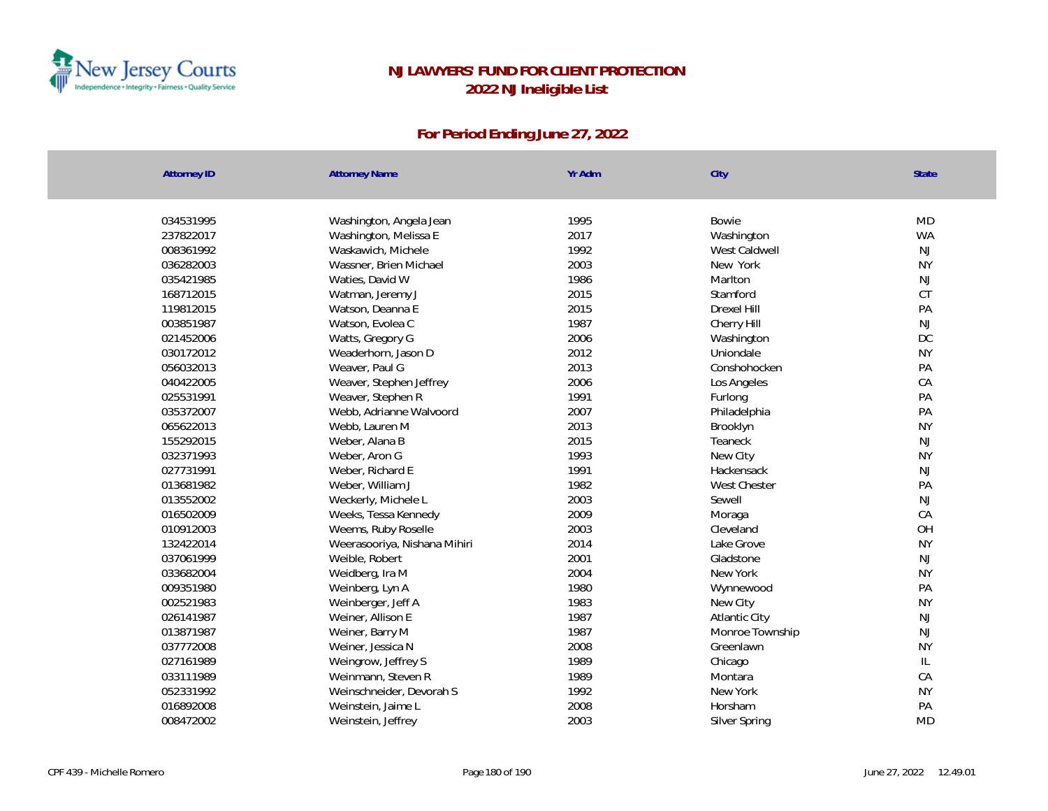

| <b>Attorney ID</b> | <b>Attorney Name</b>         | Yr Adm | City            | <b>State</b>  |
|--------------------|------------------------------|--------|-----------------|---------------|
|                    |                              |        |                 |               |
| 034531995          | Washington, Angela Jean      | 1995   | Bowie           | <b>MD</b>     |
| 237822017          | Washington, Melissa E        | 2017   | Washington      | <b>WA</b>     |
| 008361992          | Waskawich, Michele           | 1992   | West Caldwell   | <b>NJ</b>     |
| 036282003          | Wassner, Brien Michael       | 2003   | New York        | <b>NY</b>     |
| 035421985          | Waties, David W              | 1986   | Marlton         | $\mathsf{NJ}$ |
| 168712015          | Watman, Jeremy J             | 2015   | Stamford        | CT            |
| 119812015          | Watson, Deanna E             | 2015   | Drexel Hill     | PA            |
| 003851987          | Watson, Evolea C             | 1987   | Cherry Hill     | $\mathsf{NJ}$ |
| 021452006          | Watts, Gregory G             | 2006   | Washington      | <b>DC</b>     |
| 030172012          | Weaderhorn, Jason D          | 2012   | Uniondale       | <b>NY</b>     |
| 056032013          | Weaver, Paul G               | 2013   | Conshohocken    | PA            |
| 040422005          | Weaver, Stephen Jeffrey      | 2006   | Los Angeles     | CA            |
| 025531991          | Weaver, Stephen R            | 1991   | Furlong         | PA            |
| 035372007          | Webb, Adrianne Walvoord      | 2007   | Philadelphia    | PA            |
| 065622013          | Webb, Lauren M               | 2013   | Brooklyn        | <b>NY</b>     |
| 155292015          | Weber, Alana B               | 2015   | Teaneck         | NJ            |
| 032371993          | Weber, Aron G                | 1993   | New City        | <b>NY</b>     |
| 027731991          | Weber, Richard E             | 1991   | Hackensack      | NJ            |
| 013681982          | Weber, William J             | 1982   | West Chester    | PA            |
| 013552002          | Weckerly, Michele L          | 2003   | Sewell          | NJ            |
| 016502009          | Weeks, Tessa Kennedy         | 2009   | Moraga          | CA            |
| 010912003          | Weems, Ruby Roselle          | 2003   | Cleveland       | OH            |
| 132422014          | Weerasooriya, Nishana Mihiri | 2014   | Lake Grove      | <b>NY</b>     |
| 037061999          | Weible, Robert               | 2001   | Gladstone       | NJ            |
| 033682004          | Weidberg, Ira M              | 2004   | New York        | <b>NY</b>     |
| 009351980          | Weinberg, Lyn A              | 1980   | Wynnewood       | PA            |
| 002521983          | Weinberger, Jeff A           | 1983   | New City        | <b>NY</b>     |
| 026141987          | Weiner, Allison E            | 1987   | Atlantic City   | NJ            |
| 013871987          | Weiner, Barry M              | 1987   | Monroe Township | NJ            |
| 037772008          | Weiner, Jessica N            | 2008   | Greenlawn       | <b>NY</b>     |
| 027161989          | Weingrow, Jeffrey S          | 1989   | Chicago         | $\mathsf{IL}$ |
| 033111989          | Weinmann, Steven R           | 1989   | Montara         | CA            |
| 052331992          | Weinschneider, Devorah S     | 1992   | New York        | <b>NY</b>     |
| 016892008          | Weinstein, Jaime L           | 2008   | Horsham         | PA            |
| 008472002          | Weinstein, Jeffrey           | 2003   | Silver Spring   | <b>MD</b>     |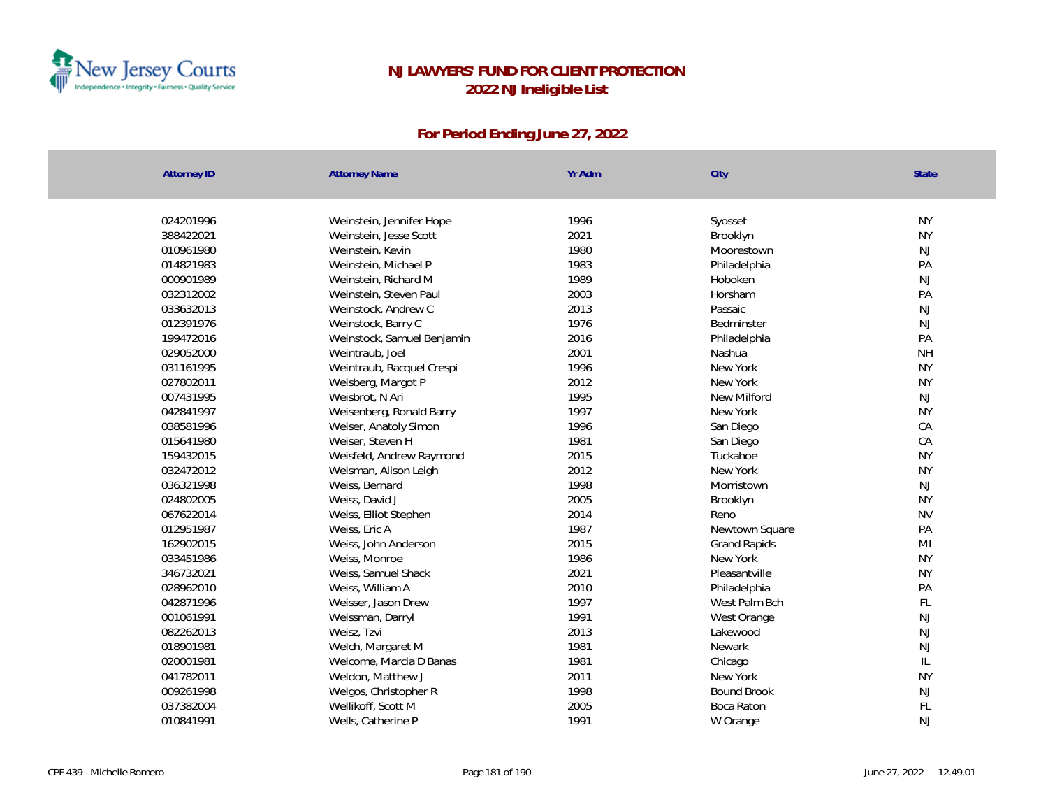

| Attorney ID | <b>Attorney Name</b>       | Yr Adm | City                | State          |
|-------------|----------------------------|--------|---------------------|----------------|
|             |                            |        |                     |                |
| 024201996   | Weinstein, Jennifer Hope   | 1996   | Syosset             | <b>NY</b>      |
| 388422021   | Weinstein, Jesse Scott     | 2021   | Brooklyn            | <b>NY</b>      |
| 010961980   | Weinstein, Kevin           | 1980   | Moorestown          | NJ             |
| 014821983   | Weinstein, Michael P       | 1983   | Philadelphia        | PA             |
| 000901989   | Weinstein, Richard M       | 1989   | Hoboken             | NJ             |
| 032312002   | Weinstein, Steven Paul     | 2003   | Horsham             | PA             |
| 033632013   | Weinstock, Andrew C        | 2013   | Passaic             | $\mathsf{NJ}$  |
| 012391976   | Weinstock, Barry C         | 1976   | Bedminster          | NJ             |
| 199472016   | Weinstock, Samuel Benjamin | 2016   | Philadelphia        | PA             |
| 029052000   | Weintraub, Joel            | 2001   | Nashua              | <b>NH</b>      |
| 031161995   | Weintraub, Racquel Crespi  | 1996   | New York            | <b>NY</b>      |
| 027802011   | Weisberg, Margot P         | 2012   | New York            | <b>NY</b>      |
| 007431995   | Weisbrot, N Ari            | 1995   | New Milford         | $\mathsf{NJ}$  |
| 042841997   | Weisenberg, Ronald Barry   | 1997   | New York            | <b>NY</b>      |
| 038581996   | Weiser, Anatoly Simon      | 1996   | San Diego           | CA             |
| 015641980   | Weiser, Steven H           | 1981   | San Diego           | CA             |
| 159432015   | Weisfeld, Andrew Raymond   | 2015   | Tuckahoe            | <b>NY</b>      |
| 032472012   | Weisman, Alison Leigh      | 2012   | New York            | <b>NY</b>      |
| 036321998   | Weiss, Bernard             | 1998   | Morristown          | NJ             |
| 024802005   | Weiss, David J             | 2005   | Brooklyn            | <b>NY</b>      |
| 067622014   | Weiss, Elliot Stephen      | 2014   | Reno                | <b>NV</b>      |
| 012951987   | Weiss, Eric A              | 1987   | Newtown Square      | PA             |
| 162902015   | Weiss, John Anderson       | 2015   | <b>Grand Rapids</b> | M <sub>l</sub> |
| 033451986   | Weiss, Monroe              | 1986   | New York            | <b>NY</b>      |
| 346732021   | Weiss, Samuel Shack        | 2021   | Pleasantville       | <b>NY</b>      |
| 028962010   | Weiss, William A           | 2010   | Philadelphia        | PA             |
| 042871996   | Weisser, Jason Drew        | 1997   | West Palm Bch       | FL             |
| 001061991   | Weissman, Darryl           | 1991   | West Orange         | NJ             |
| 082262013   | Weisz, Tzvi                | 2013   | Lakewood            | NJ             |
| 018901981   | Welch, Margaret M          | 1981   | Newark              | NJ             |
| 020001981   | Welcome, Marcia D Banas    | 1981   | Chicago             | $\mathbb{L}$   |
| 041782011   | Weldon, Matthew J          | 2011   | New York            | <b>NY</b>      |
| 009261998   | Welgos, Christopher R      | 1998   | <b>Bound Brook</b>  | NJ             |
| 037382004   | Wellikoff, Scott M         | 2005   | Boca Raton          | FL             |
| 010841991   | Wells, Catherine P         | 1991   | W Orange            | NJ             |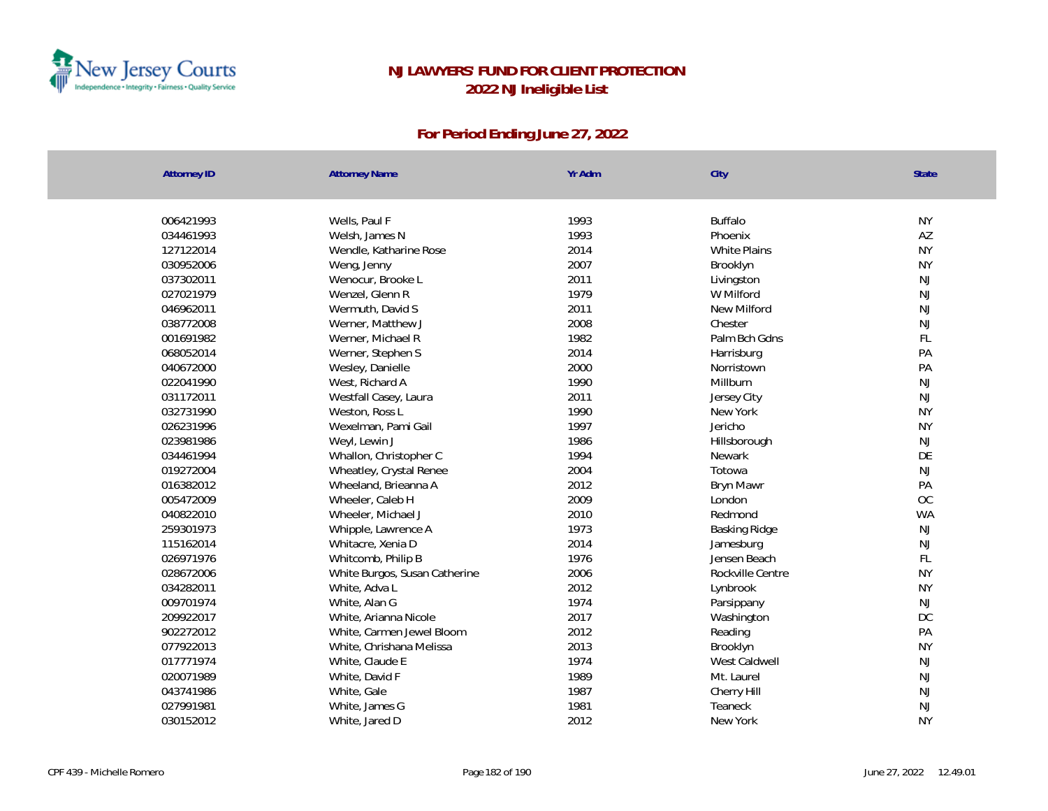

| <b>Attorney ID</b> | <b>Attorney Name</b>          | Yr Adm | City                | State         |
|--------------------|-------------------------------|--------|---------------------|---------------|
|                    |                               |        |                     |               |
| 006421993          | Wells, Paul F                 | 1993   | <b>Buffalo</b>      | <b>NY</b>     |
| 034461993          | Welsh, James N                | 1993   | Phoenix             | AZ            |
| 127122014          | Wendle, Katharine Rose        | 2014   | <b>White Plains</b> | <b>NY</b>     |
| 030952006          | Weng, Jenny                   | 2007   | Brooklyn            | <b>NY</b>     |
| 037302011          | Wenocur, Brooke L             | 2011   | Livingston          | NJ            |
| 027021979          | Wenzel, Glenn R               | 1979   | W Milford           | NJ            |
| 046962011          | Wermuth, David S              | 2011   | <b>New Milford</b>  | NJ            |
| 038772008          | Werner, Matthew J             | 2008   | Chester             | NJ            |
| 001691982          | Werner, Michael R             | 1982   | Palm Bch Gdns       | FL            |
| 068052014          | Werner, Stephen S             | 2014   | Harrisburg          | PA            |
| 040672000          | Wesley, Danielle              | 2000   | Norristown          | PA            |
| 022041990          | West, Richard A               | 1990   | Millburn            | NJ            |
| 031172011          | Westfall Casey, Laura         | 2011   | Jersey City         | NJ            |
| 032731990          | Weston, Ross L                | 1990   | New York            | <b>NY</b>     |
| 026231996          | Wexelman, Pami Gail           | 1997   | Jericho             | <b>NY</b>     |
| 023981986          | Weyl, Lewin J                 | 1986   | Hillsborough        | NJ            |
| 034461994          | Whallon, Christopher C        | 1994   | Newark              | DE            |
| 019272004          | Wheatley, Crystal Renee       | 2004   | Totowa              | NJ            |
| 016382012          | Wheeland, Brieanna A          | 2012   | <b>Bryn Mawr</b>    | PA            |
| 005472009          | Wheeler, Caleb H              | 2009   | London              | OC            |
| 040822010          | Wheeler, Michael J            | 2010   | Redmond             | <b>WA</b>     |
| 259301973          | Whipple, Lawrence A           | 1973   | Basking Ridge       | NJ            |
| 115162014          | Whitacre, Xenia D             | 2014   | Jamesburg           | NJ            |
| 026971976          | Whitcomb, Philip B            | 1976   | Jensen Beach        | FL            |
| 028672006          | White Burgos, Susan Catherine | 2006   | Rockville Centre    | <b>NY</b>     |
| 034282011          | White, Adva L                 | 2012   | Lynbrook            | <b>NY</b>     |
| 009701974          | White, Alan G                 | 1974   | Parsippany          | $\mathsf{NJ}$ |
| 209922017          | White, Arianna Nicole         | 2017   | Washington          | <b>DC</b>     |
| 902272012          | White, Carmen Jewel Bloom     | 2012   | Reading             | PA            |
| 077922013          | White, Chrishana Melissa      | 2013   | Brooklyn            | <b>NY</b>     |
| 017771974          | White, Claude E               | 1974   | West Caldwell       | NJ            |
| 020071989          | White, David F                | 1989   | Mt. Laurel          | NJ            |
| 043741986          | White, Gale                   | 1987   | Cherry Hill         | NJ            |
| 027991981          | White, James G                | 1981   | Teaneck             | NJ            |
| 030152012          | White, Jared D                | 2012   | New York            | <b>NY</b>     |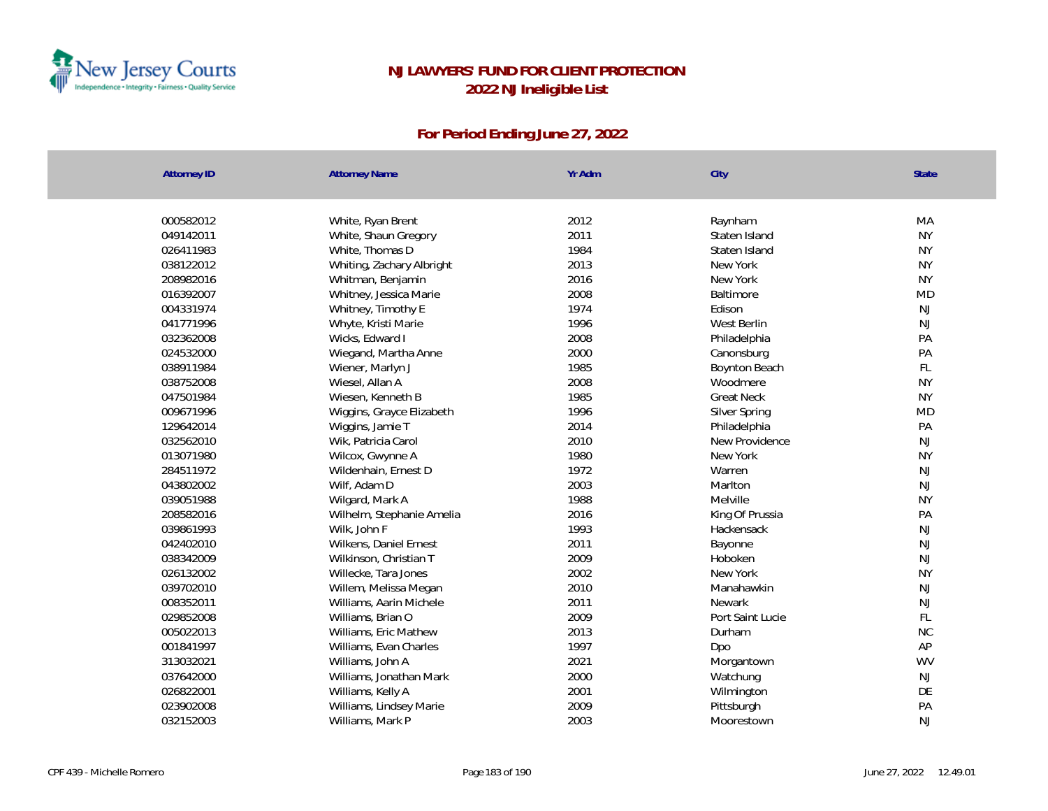

| <b>Attorney ID</b> | <b>Attorney Name</b>      | Yr Adm | City              | State     |
|--------------------|---------------------------|--------|-------------------|-----------|
|                    |                           |        |                   |           |
| 000582012          | White, Ryan Brent         | 2012   | Raynham           | MA        |
| 049142011          | White, Shaun Gregory      | 2011   | Staten Island     | <b>NY</b> |
| 026411983          | White, Thomas D           | 1984   | Staten Island     | <b>NY</b> |
| 038122012          | Whiting, Zachary Albright | 2013   | New York          | <b>NY</b> |
| 208982016          | Whitman, Benjamin         | 2016   | New York          | <b>NY</b> |
| 016392007          | Whitney, Jessica Marie    | 2008   | Baltimore         | <b>MD</b> |
| 004331974          | Whitney, Timothy E        | 1974   | Edison            | <b>NJ</b> |
| 041771996          | Whyte, Kristi Marie       | 1996   | West Berlin       | <b>NJ</b> |
| 032362008          | Wicks, Edward I           | 2008   | Philadelphia      | PA        |
| 024532000          | Wiegand, Martha Anne      | 2000   | Canonsburg        | PA        |
| 038911984          | Wiener, Marlyn J          | 1985   | Boynton Beach     | FL        |
| 038752008          | Wiesel, Allan A           | 2008   | Woodmere          | <b>NY</b> |
| 047501984          | Wiesen, Kenneth B         | 1985   | <b>Great Neck</b> | <b>NY</b> |
| 009671996          | Wiggins, Grayce Elizabeth | 1996   | Silver Spring     | <b>MD</b> |
| 129642014          | Wiggins, Jamie T          | 2014   | Philadelphia      | PA        |
| 032562010          | Wik, Patricia Carol       | 2010   | New Providence    | <b>NJ</b> |
| 013071980          | Wilcox, Gwynne A          | 1980   | New York          | <b>NY</b> |
| 284511972          | Wildenhain, Ernest D      | 1972   | Warren            | NJ        |
| 043802002          | Wilf, Adam D              | 2003   | Marlton           | <b>NJ</b> |
| 039051988          | Wilgard, Mark A           | 1988   | Melville          | <b>NY</b> |
| 208582016          | Wilhelm, Stephanie Amelia | 2016   | King Of Prussia   | PA        |
| 039861993          | Wilk, John F              | 1993   | Hackensack        | <b>NJ</b> |
| 042402010          | Wilkens, Daniel Ernest    | 2011   | Bayonne           | <b>NJ</b> |
| 038342009          | Wilkinson, Christian T    | 2009   | Hoboken           | <b>NJ</b> |
| 026132002          | Willecke, Tara Jones      | 2002   | New York          | <b>NY</b> |
| 039702010          | Willem, Melissa Megan     | 2010   | Manahawkin        | <b>NJ</b> |
| 008352011          | Williams, Aarin Michele   | 2011   | Newark            | <b>NJ</b> |
| 029852008          | Williams, Brian O         | 2009   | Port Saint Lucie  | FL        |
| 005022013          | Williams, Eric Mathew     | 2013   | Durham            | <b>NC</b> |
| 001841997          | Williams, Evan Charles    | 1997   | Dpo               | AP        |
| 313032021          | Williams, John A          | 2021   | Morgantown        | <b>WV</b> |
| 037642000          | Williams, Jonathan Mark   | 2000   | Watchung          | <b>NJ</b> |
| 026822001          | Williams, Kelly A         | 2001   | Wilmington        | DE        |
| 023902008          | Williams, Lindsey Marie   | 2009   | Pittsburgh        | PA        |
| 032152003          | Williams, Mark P          | 2003   | Moorestown        | <b>NJ</b> |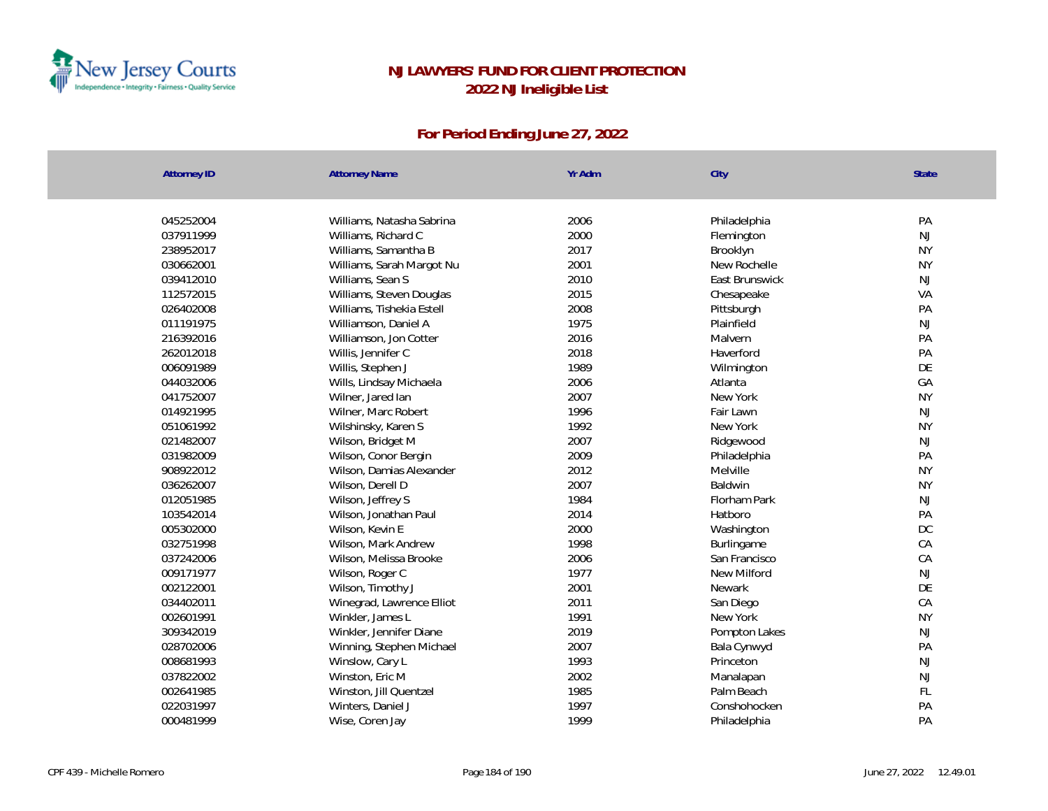

| <b>Attorney ID</b> | <b>Attorney Name</b>      | Yr Adm | City           | <b>State</b> |
|--------------------|---------------------------|--------|----------------|--------------|
|                    |                           |        |                |              |
| 045252004          | Williams, Natasha Sabrina | 2006   | Philadelphia   | PA           |
| 037911999          | Williams, Richard C       | 2000   | Flemington     | NJ           |
| 238952017          | Williams, Samantha B      | 2017   | Brooklyn       | <b>NY</b>    |
| 030662001          | Williams, Sarah Margot Nu | 2001   | New Rochelle   | <b>NY</b>    |
| 039412010          | Williams, Sean S          | 2010   | East Brunswick | NJ           |
| 112572015          | Williams, Steven Douglas  | 2015   | Chesapeake     | VA           |
| 026402008          | Williams, Tishekia Estell | 2008   | Pittsburgh     | PA           |
| 011191975          | Williamson, Daniel A      | 1975   | Plainfield     | NJ           |
| 216392016          | Williamson, Jon Cotter    | 2016   | Malvern        | PA           |
| 262012018          | Willis, Jennifer C        | 2018   | Haverford      | PA           |
| 006091989          | Willis, Stephen J         | 1989   | Wilmington     | DE           |
| 044032006          | Wills, Lindsay Michaela   | 2006   | Atlanta        | GA           |
| 041752007          | Wilner, Jared lan         | 2007   | New York       | <b>NY</b>    |
| 014921995          | Wilner, Marc Robert       | 1996   | Fair Lawn      | NJ           |
| 051061992          | Wilshinsky, Karen S       | 1992   | New York       | <b>NY</b>    |
| 021482007          | Wilson, Bridget M         | 2007   | Ridgewood      | NJ           |
| 031982009          | Wilson, Conor Bergin      | 2009   | Philadelphia   | PA           |
| 908922012          | Wilson, Damias Alexander  | 2012   | Melville       | <b>NY</b>    |
| 036262007          | Wilson, Derell D          | 2007   | Baldwin        | <b>NY</b>    |
| 012051985          | Wilson, Jeffrey S         | 1984   | Florham Park   | NJ           |
| 103542014          | Wilson, Jonathan Paul     | 2014   | Hatboro        | PA           |
| 005302000          | Wilson, Kevin E           | 2000   | Washington     | DC           |
| 032751998          | Wilson, Mark Andrew       | 1998   | Burlingame     | CA           |
| 037242006          | Wilson, Melissa Brooke    | 2006   | San Francisco  | CA           |
| 009171977          | Wilson, Roger C           | 1977   | New Milford    | NJ           |
| 002122001          | Wilson, Timothy J         | 2001   | <b>Newark</b>  | DE           |
| 034402011          | Winegrad, Lawrence Elliot | 2011   | San Diego      | CA           |
| 002601991          | Winkler, James L          | 1991   | New York       | <b>NY</b>    |
| 309342019          | Winkler, Jennifer Diane   | 2019   | Pompton Lakes  | NJ           |
| 028702006          | Winning, Stephen Michael  | 2007   | Bala Cynwyd    | PA           |
| 008681993          | Winslow, Cary L           | 1993   | Princeton      | NJ           |
| 037822002          | Winston, Eric M           | 2002   | Manalapan      | NJ           |
| 002641985          | Winston, Jill Quentzel    | 1985   | Palm Beach     | FL           |
| 022031997          | Winters, Daniel J         | 1997   | Conshohocken   | PA           |
| 000481999          | Wise, Coren Jay           | 1999   | Philadelphia   | PA           |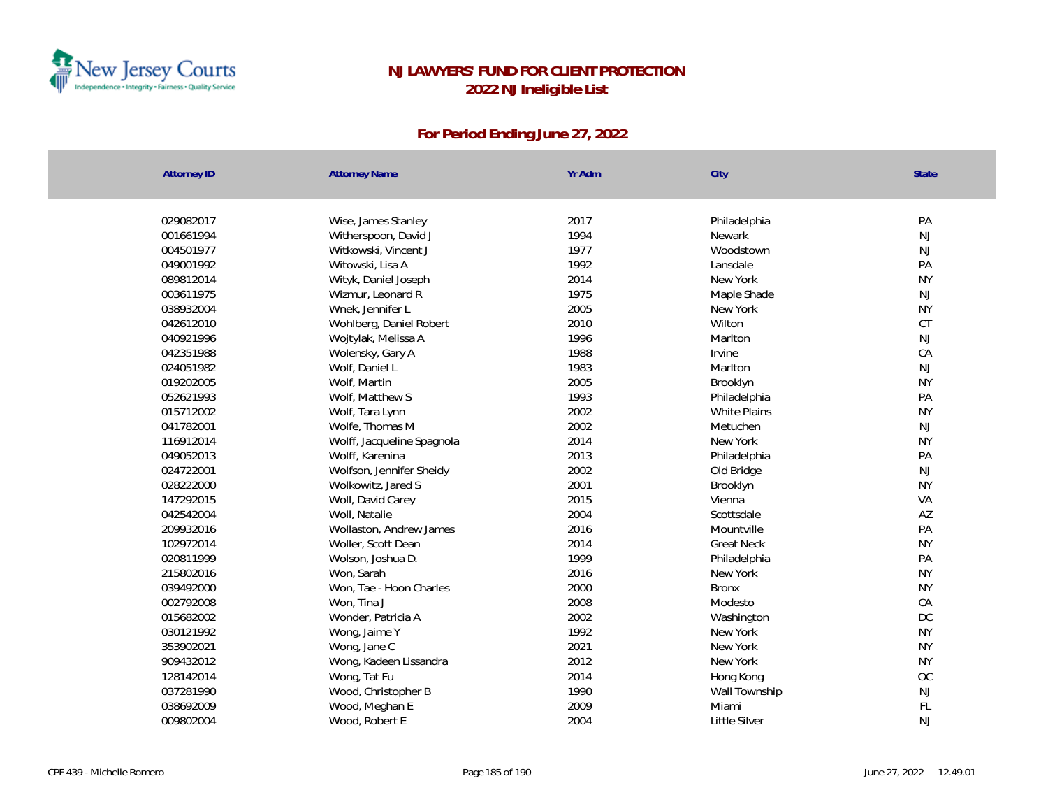

| 029082017<br>2017<br>PA<br>Wise, James Stanley<br>Philadelphia<br>NJ<br>001661994<br>Witherspoon, David J<br>1994<br>Newark<br>1977<br><b>NJ</b><br>004501977<br>Witkowski, Vincent J<br>Woodstown<br>1992<br>PA<br>049001992<br>Witowski, Lisa A<br>Lansdale<br>2014<br><b>NY</b><br>089812014<br>Wityk, Daniel Joseph<br>New York<br>1975<br><b>NJ</b><br>Wizmur, Leonard R<br>003611975<br>Maple Shade<br>2005<br><b>NY</b><br>038932004<br>Wnek, Jennifer L<br>New York<br>CT<br>042612010<br>2010<br>Wilton<br>Wohlberg, Daniel Robert<br>040921996<br>1996<br><b>NJ</b><br>Wojtylak, Melissa A<br>Marlton<br>042351988<br>1988<br>CA<br>Wolensky, Gary A<br>Irvine<br>1983<br><b>NJ</b><br>024051982<br>Wolf, Daniel L<br>Marlton<br>2005<br><b>NY</b><br>019202005<br>Wolf, Martin<br>Brooklyn<br>1993<br>PA<br>052621993<br>Wolf, Matthew S<br>Philadelphia<br>2002<br>015712002<br><b>White Plains</b><br><b>NY</b><br>Wolf, Tara Lynn<br><b>NJ</b><br>041782001<br>2002<br>Metuchen<br>Wolfe, Thomas M<br>2014<br><b>NY</b><br>116912014<br>Wolff, Jacqueline Spagnola<br>New York<br>2013<br>PA<br>049052013<br>Wolff, Karenina<br>Philadelphia<br><b>NJ</b><br>024722001<br>Wolfson, Jennifer Sheidy<br>2002<br>Old Bridge<br>028222000<br>2001<br><b>NY</b><br>Wolkowitz, Jared S<br>Brooklyn<br>147292015<br>2015<br>VA<br>Woll, David Carey<br>Vienna<br>2004<br>AZ<br>042542004<br>Woll, Natalie<br>Scottsdale<br>2016<br>PA<br>209932016<br>Wollaston, Andrew James<br>Mountville<br>2014<br><b>NY</b><br>102972014<br>Woller, Scott Dean<br><b>Great Neck</b><br>1999<br>PA<br>020811999<br>Wolson, Joshua D.<br>Philadelphia<br>215802016<br>2016<br><b>NY</b><br>Won, Sarah<br>New York<br>039492000<br>Won, Tae - Hoon Charles<br>2000<br><b>NY</b><br><b>Bronx</b><br>2008<br>CA<br>002792008<br>Won, Tina J<br>Modesto<br>DC<br>2002<br>015682002<br>Wonder, Patricia A<br>Washington<br>1992<br><b>NY</b><br>030121992<br>New York<br>Wong, Jaime Y<br>2021<br><b>NY</b><br>353902021<br>New York<br>Wong, Jane C<br>2012<br><b>NY</b><br>909432012<br>Wong, Kadeen Lissandra<br>New York | <b>Attorney ID</b> | <b>Attorney Name</b> | Yr Adm | City | State |
|-------------------------------------------------------------------------------------------------------------------------------------------------------------------------------------------------------------------------------------------------------------------------------------------------------------------------------------------------------------------------------------------------------------------------------------------------------------------------------------------------------------------------------------------------------------------------------------------------------------------------------------------------------------------------------------------------------------------------------------------------------------------------------------------------------------------------------------------------------------------------------------------------------------------------------------------------------------------------------------------------------------------------------------------------------------------------------------------------------------------------------------------------------------------------------------------------------------------------------------------------------------------------------------------------------------------------------------------------------------------------------------------------------------------------------------------------------------------------------------------------------------------------------------------------------------------------------------------------------------------------------------------------------------------------------------------------------------------------------------------------------------------------------------------------------------------------------------------------------------------------------------------------------------------------------------------------------------------------------------------------------------------------------------------------------------------------------------------------------------------|--------------------|----------------------|--------|------|-------|
|                                                                                                                                                                                                                                                                                                                                                                                                                                                                                                                                                                                                                                                                                                                                                                                                                                                                                                                                                                                                                                                                                                                                                                                                                                                                                                                                                                                                                                                                                                                                                                                                                                                                                                                                                                                                                                                                                                                                                                                                                                                                                                                   |                    |                      |        |      |       |
|                                                                                                                                                                                                                                                                                                                                                                                                                                                                                                                                                                                                                                                                                                                                                                                                                                                                                                                                                                                                                                                                                                                                                                                                                                                                                                                                                                                                                                                                                                                                                                                                                                                                                                                                                                                                                                                                                                                                                                                                                                                                                                                   |                    |                      |        |      |       |
|                                                                                                                                                                                                                                                                                                                                                                                                                                                                                                                                                                                                                                                                                                                                                                                                                                                                                                                                                                                                                                                                                                                                                                                                                                                                                                                                                                                                                                                                                                                                                                                                                                                                                                                                                                                                                                                                                                                                                                                                                                                                                                                   |                    |                      |        |      |       |
|                                                                                                                                                                                                                                                                                                                                                                                                                                                                                                                                                                                                                                                                                                                                                                                                                                                                                                                                                                                                                                                                                                                                                                                                                                                                                                                                                                                                                                                                                                                                                                                                                                                                                                                                                                                                                                                                                                                                                                                                                                                                                                                   |                    |                      |        |      |       |
|                                                                                                                                                                                                                                                                                                                                                                                                                                                                                                                                                                                                                                                                                                                                                                                                                                                                                                                                                                                                                                                                                                                                                                                                                                                                                                                                                                                                                                                                                                                                                                                                                                                                                                                                                                                                                                                                                                                                                                                                                                                                                                                   |                    |                      |        |      |       |
|                                                                                                                                                                                                                                                                                                                                                                                                                                                                                                                                                                                                                                                                                                                                                                                                                                                                                                                                                                                                                                                                                                                                                                                                                                                                                                                                                                                                                                                                                                                                                                                                                                                                                                                                                                                                                                                                                                                                                                                                                                                                                                                   |                    |                      |        |      |       |
|                                                                                                                                                                                                                                                                                                                                                                                                                                                                                                                                                                                                                                                                                                                                                                                                                                                                                                                                                                                                                                                                                                                                                                                                                                                                                                                                                                                                                                                                                                                                                                                                                                                                                                                                                                                                                                                                                                                                                                                                                                                                                                                   |                    |                      |        |      |       |
|                                                                                                                                                                                                                                                                                                                                                                                                                                                                                                                                                                                                                                                                                                                                                                                                                                                                                                                                                                                                                                                                                                                                                                                                                                                                                                                                                                                                                                                                                                                                                                                                                                                                                                                                                                                                                                                                                                                                                                                                                                                                                                                   |                    |                      |        |      |       |
|                                                                                                                                                                                                                                                                                                                                                                                                                                                                                                                                                                                                                                                                                                                                                                                                                                                                                                                                                                                                                                                                                                                                                                                                                                                                                                                                                                                                                                                                                                                                                                                                                                                                                                                                                                                                                                                                                                                                                                                                                                                                                                                   |                    |                      |        |      |       |
|                                                                                                                                                                                                                                                                                                                                                                                                                                                                                                                                                                                                                                                                                                                                                                                                                                                                                                                                                                                                                                                                                                                                                                                                                                                                                                                                                                                                                                                                                                                                                                                                                                                                                                                                                                                                                                                                                                                                                                                                                                                                                                                   |                    |                      |        |      |       |
|                                                                                                                                                                                                                                                                                                                                                                                                                                                                                                                                                                                                                                                                                                                                                                                                                                                                                                                                                                                                                                                                                                                                                                                                                                                                                                                                                                                                                                                                                                                                                                                                                                                                                                                                                                                                                                                                                                                                                                                                                                                                                                                   |                    |                      |        |      |       |
|                                                                                                                                                                                                                                                                                                                                                                                                                                                                                                                                                                                                                                                                                                                                                                                                                                                                                                                                                                                                                                                                                                                                                                                                                                                                                                                                                                                                                                                                                                                                                                                                                                                                                                                                                                                                                                                                                                                                                                                                                                                                                                                   |                    |                      |        |      |       |
|                                                                                                                                                                                                                                                                                                                                                                                                                                                                                                                                                                                                                                                                                                                                                                                                                                                                                                                                                                                                                                                                                                                                                                                                                                                                                                                                                                                                                                                                                                                                                                                                                                                                                                                                                                                                                                                                                                                                                                                                                                                                                                                   |                    |                      |        |      |       |
|                                                                                                                                                                                                                                                                                                                                                                                                                                                                                                                                                                                                                                                                                                                                                                                                                                                                                                                                                                                                                                                                                                                                                                                                                                                                                                                                                                                                                                                                                                                                                                                                                                                                                                                                                                                                                                                                                                                                                                                                                                                                                                                   |                    |                      |        |      |       |
|                                                                                                                                                                                                                                                                                                                                                                                                                                                                                                                                                                                                                                                                                                                                                                                                                                                                                                                                                                                                                                                                                                                                                                                                                                                                                                                                                                                                                                                                                                                                                                                                                                                                                                                                                                                                                                                                                                                                                                                                                                                                                                                   |                    |                      |        |      |       |
|                                                                                                                                                                                                                                                                                                                                                                                                                                                                                                                                                                                                                                                                                                                                                                                                                                                                                                                                                                                                                                                                                                                                                                                                                                                                                                                                                                                                                                                                                                                                                                                                                                                                                                                                                                                                                                                                                                                                                                                                                                                                                                                   |                    |                      |        |      |       |
|                                                                                                                                                                                                                                                                                                                                                                                                                                                                                                                                                                                                                                                                                                                                                                                                                                                                                                                                                                                                                                                                                                                                                                                                                                                                                                                                                                                                                                                                                                                                                                                                                                                                                                                                                                                                                                                                                                                                                                                                                                                                                                                   |                    |                      |        |      |       |
|                                                                                                                                                                                                                                                                                                                                                                                                                                                                                                                                                                                                                                                                                                                                                                                                                                                                                                                                                                                                                                                                                                                                                                                                                                                                                                                                                                                                                                                                                                                                                                                                                                                                                                                                                                                                                                                                                                                                                                                                                                                                                                                   |                    |                      |        |      |       |
|                                                                                                                                                                                                                                                                                                                                                                                                                                                                                                                                                                                                                                                                                                                                                                                                                                                                                                                                                                                                                                                                                                                                                                                                                                                                                                                                                                                                                                                                                                                                                                                                                                                                                                                                                                                                                                                                                                                                                                                                                                                                                                                   |                    |                      |        |      |       |
|                                                                                                                                                                                                                                                                                                                                                                                                                                                                                                                                                                                                                                                                                                                                                                                                                                                                                                                                                                                                                                                                                                                                                                                                                                                                                                                                                                                                                                                                                                                                                                                                                                                                                                                                                                                                                                                                                                                                                                                                                                                                                                                   |                    |                      |        |      |       |
|                                                                                                                                                                                                                                                                                                                                                                                                                                                                                                                                                                                                                                                                                                                                                                                                                                                                                                                                                                                                                                                                                                                                                                                                                                                                                                                                                                                                                                                                                                                                                                                                                                                                                                                                                                                                                                                                                                                                                                                                                                                                                                                   |                    |                      |        |      |       |
|                                                                                                                                                                                                                                                                                                                                                                                                                                                                                                                                                                                                                                                                                                                                                                                                                                                                                                                                                                                                                                                                                                                                                                                                                                                                                                                                                                                                                                                                                                                                                                                                                                                                                                                                                                                                                                                                                                                                                                                                                                                                                                                   |                    |                      |        |      |       |
|                                                                                                                                                                                                                                                                                                                                                                                                                                                                                                                                                                                                                                                                                                                                                                                                                                                                                                                                                                                                                                                                                                                                                                                                                                                                                                                                                                                                                                                                                                                                                                                                                                                                                                                                                                                                                                                                                                                                                                                                                                                                                                                   |                    |                      |        |      |       |
|                                                                                                                                                                                                                                                                                                                                                                                                                                                                                                                                                                                                                                                                                                                                                                                                                                                                                                                                                                                                                                                                                                                                                                                                                                                                                                                                                                                                                                                                                                                                                                                                                                                                                                                                                                                                                                                                                                                                                                                                                                                                                                                   |                    |                      |        |      |       |
|                                                                                                                                                                                                                                                                                                                                                                                                                                                                                                                                                                                                                                                                                                                                                                                                                                                                                                                                                                                                                                                                                                                                                                                                                                                                                                                                                                                                                                                                                                                                                                                                                                                                                                                                                                                                                                                                                                                                                                                                                                                                                                                   |                    |                      |        |      |       |
|                                                                                                                                                                                                                                                                                                                                                                                                                                                                                                                                                                                                                                                                                                                                                                                                                                                                                                                                                                                                                                                                                                                                                                                                                                                                                                                                                                                                                                                                                                                                                                                                                                                                                                                                                                                                                                                                                                                                                                                                                                                                                                                   |                    |                      |        |      |       |
|                                                                                                                                                                                                                                                                                                                                                                                                                                                                                                                                                                                                                                                                                                                                                                                                                                                                                                                                                                                                                                                                                                                                                                                                                                                                                                                                                                                                                                                                                                                                                                                                                                                                                                                                                                                                                                                                                                                                                                                                                                                                                                                   |                    |                      |        |      |       |
|                                                                                                                                                                                                                                                                                                                                                                                                                                                                                                                                                                                                                                                                                                                                                                                                                                                                                                                                                                                                                                                                                                                                                                                                                                                                                                                                                                                                                                                                                                                                                                                                                                                                                                                                                                                                                                                                                                                                                                                                                                                                                                                   |                    |                      |        |      |       |
|                                                                                                                                                                                                                                                                                                                                                                                                                                                                                                                                                                                                                                                                                                                                                                                                                                                                                                                                                                                                                                                                                                                                                                                                                                                                                                                                                                                                                                                                                                                                                                                                                                                                                                                                                                                                                                                                                                                                                                                                                                                                                                                   |                    |                      |        |      |       |
|                                                                                                                                                                                                                                                                                                                                                                                                                                                                                                                                                                                                                                                                                                                                                                                                                                                                                                                                                                                                                                                                                                                                                                                                                                                                                                                                                                                                                                                                                                                                                                                                                                                                                                                                                                                                                                                                                                                                                                                                                                                                                                                   |                    |                      |        |      |       |
|                                                                                                                                                                                                                                                                                                                                                                                                                                                                                                                                                                                                                                                                                                                                                                                                                                                                                                                                                                                                                                                                                                                                                                                                                                                                                                                                                                                                                                                                                                                                                                                                                                                                                                                                                                                                                                                                                                                                                                                                                                                                                                                   |                    |                      |        |      |       |
|                                                                                                                                                                                                                                                                                                                                                                                                                                                                                                                                                                                                                                                                                                                                                                                                                                                                                                                                                                                                                                                                                                                                                                                                                                                                                                                                                                                                                                                                                                                                                                                                                                                                                                                                                                                                                                                                                                                                                                                                                                                                                                                   |                    |                      |        |      |       |
| 2014<br>OC<br>128142014<br>Wong, Tat Fu<br>Hong Kong                                                                                                                                                                                                                                                                                                                                                                                                                                                                                                                                                                                                                                                                                                                                                                                                                                                                                                                                                                                                                                                                                                                                                                                                                                                                                                                                                                                                                                                                                                                                                                                                                                                                                                                                                                                                                                                                                                                                                                                                                                                              |                    |                      |        |      |       |
| 037281990<br>Wood, Christopher B<br>1990<br>Wall Township<br>NJ                                                                                                                                                                                                                                                                                                                                                                                                                                                                                                                                                                                                                                                                                                                                                                                                                                                                                                                                                                                                                                                                                                                                                                                                                                                                                                                                                                                                                                                                                                                                                                                                                                                                                                                                                                                                                                                                                                                                                                                                                                                   |                    |                      |        |      |       |
| 2009<br>FL<br>038692009<br>Wood, Meghan E<br>Miami                                                                                                                                                                                                                                                                                                                                                                                                                                                                                                                                                                                                                                                                                                                                                                                                                                                                                                                                                                                                                                                                                                                                                                                                                                                                                                                                                                                                                                                                                                                                                                                                                                                                                                                                                                                                                                                                                                                                                                                                                                                                |                    |                      |        |      |       |
| 2004<br><b>NJ</b><br>009802004<br>Wood, Robert E<br>Little Silver                                                                                                                                                                                                                                                                                                                                                                                                                                                                                                                                                                                                                                                                                                                                                                                                                                                                                                                                                                                                                                                                                                                                                                                                                                                                                                                                                                                                                                                                                                                                                                                                                                                                                                                                                                                                                                                                                                                                                                                                                                                 |                    |                      |        |      |       |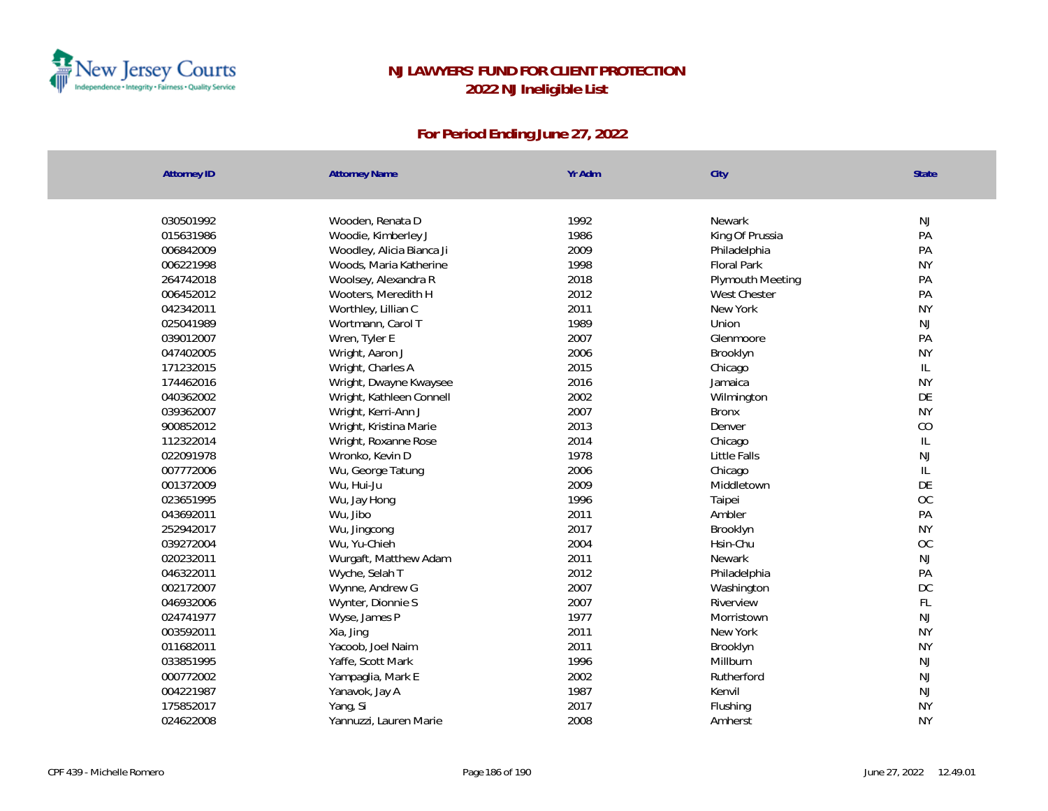

| <b>Attorney ID</b> | <b>Attorney Name</b>      | Yr Adm | City                | State         |
|--------------------|---------------------------|--------|---------------------|---------------|
|                    |                           |        |                     |               |
| 030501992          | Wooden, Renata D          | 1992   | Newark              | NJ            |
| 015631986          | Woodie, Kimberley J       | 1986   | King Of Prussia     | PA            |
| 006842009          | Woodley, Alicia Bianca Ji | 2009   | Philadelphia        | PA            |
| 006221998          | Woods, Maria Katherine    | 1998   | Floral Park         | <b>NY</b>     |
| 264742018          | Woolsey, Alexandra R      | 2018   | Plymouth Meeting    | PA            |
| 006452012          | Wooters, Meredith H       | 2012   | <b>West Chester</b> | PA            |
| 042342011          | Worthley, Lillian C       | 2011   | New York            | <b>NY</b>     |
| 025041989          | Wortmann, Carol T         | 1989   | Union               | NJ            |
| 039012007          | Wren, Tyler E             | 2007   | Glenmoore           | PA            |
| 047402005          | Wright, Aaron J           | 2006   | Brooklyn            | <b>NY</b>     |
| 171232015          | Wright, Charles A         | 2015   | Chicago             | $\mathsf{IL}$ |
| 174462016          | Wright, Dwayne Kwaysee    | 2016   | Jamaica             | <b>NY</b>     |
| 040362002          | Wright, Kathleen Connell  | 2002   | Wilmington          | DE            |
| 039362007          | Wright, Kerri-Ann J       | 2007   | <b>Bronx</b>        | <b>NY</b>     |
| 900852012          | Wright, Kristina Marie    | 2013   | Denver              | CO            |
| 112322014          | Wright, Roxanne Rose      | 2014   | Chicago             | $\mathsf{IL}$ |
| 022091978          | Wronko, Kevin D           | 1978   | Little Falls        | <b>NJ</b>     |
| 007772006          | Wu, George Tatung         | 2006   | Chicago             | IL            |
| 001372009          | Wu, Hui-Ju                | 2009   | Middletown          | DE            |
| 023651995          | Wu, Jay Hong              | 1996   | Taipei              | OC            |
| 043692011          | Wu, Jibo                  | 2011   | Ambler              | PA            |
| 252942017          | Wu, Jingcong              | 2017   | Brooklyn            | <b>NY</b>     |
| 039272004          | Wu, Yu-Chieh              | 2004   | Hsin-Chu            | OC            |
| 020232011          | Wurgaft, Matthew Adam     | 2011   | Newark              | <b>NJ</b>     |
| 046322011          | Wyche, Selah T            | 2012   | Philadelphia        | PA            |
| 002172007          | Wynne, Andrew G           | 2007   | Washington          | <b>DC</b>     |
| 046932006          | Wynter, Dionnie S         | 2007   | Riverview           | FL            |
| 024741977          | Wyse, James P             | 1977   | Morristown          | NJ            |
| 003592011          | Xia, Jing                 | 2011   | New York            | <b>NY</b>     |
| 011682011          | Yacoob, Joel Naim         | 2011   | Brooklyn            | <b>NY</b>     |
| 033851995          | Yaffe, Scott Mark         | 1996   | Millburn            | NJ            |
| 000772002          | Yampaglia, Mark E         | 2002   | Rutherford          | NJ            |
| 004221987          | Yanavok, Jay A            | 1987   | Kenvil              | NJ            |
| 175852017          | Yang, Si                  | 2017   | Flushing            | <b>NY</b>     |
| 024622008          | Yannuzzi, Lauren Marie    | 2008   | Amherst             | <b>NY</b>     |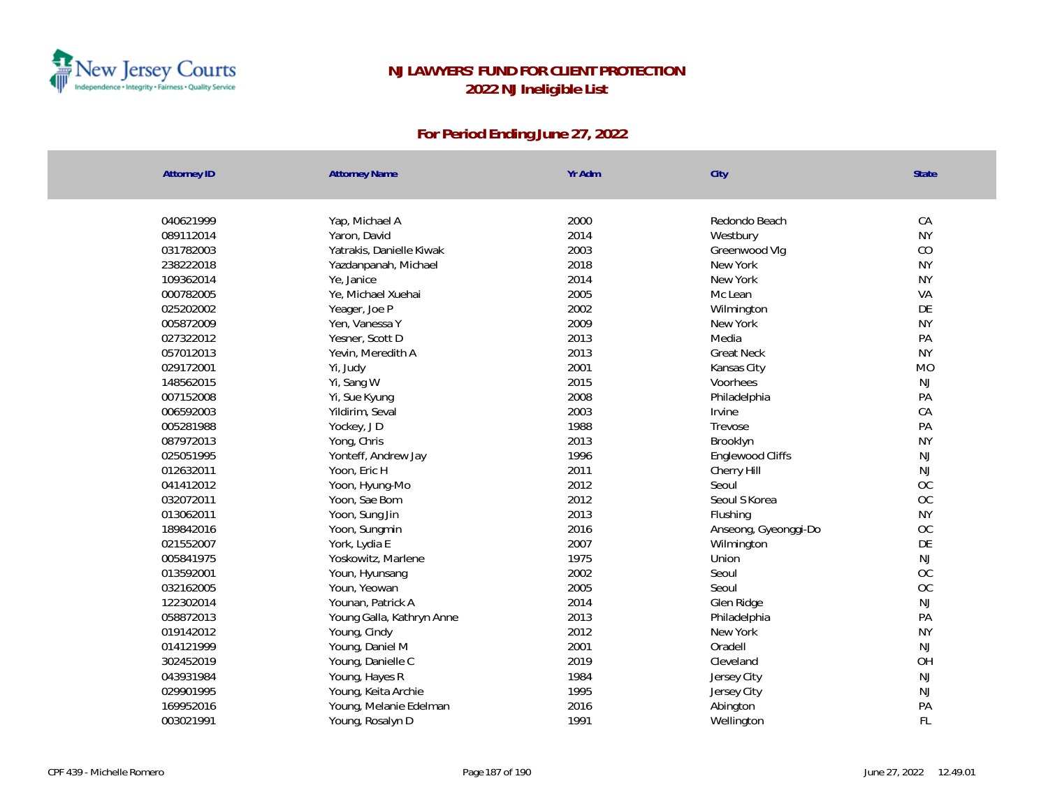

| <b>Attorney ID</b> | <b>Attorney Name</b>      | Yr Adm | City                 | <b>State</b> |
|--------------------|---------------------------|--------|----------------------|--------------|
|                    |                           |        |                      |              |
| 040621999          | Yap, Michael A            | 2000   | Redondo Beach        | CA           |
| 089112014          | Yaron, David              | 2014   | Westbury             | <b>NY</b>    |
| 031782003          | Yatrakis, Danielle Kiwak  | 2003   | Greenwood Vlg        | CO           |
| 238222018          | Yazdanpanah, Michael      | 2018   | New York             | <b>NY</b>    |
| 109362014          | Ye, Janice                | 2014   | New York             | <b>NY</b>    |
| 000782005          | Ye, Michael Xuehai        | 2005   | Mc Lean              | VA           |
| 025202002          | Yeager, Joe P             | 2002   | Wilmington           | DE           |
| 005872009          | Yen, Vanessa Y            | 2009   | New York             | <b>NY</b>    |
| 027322012          | Yesner, Scott D           | 2013   | Media                | PA           |
| 057012013          | Yevin, Meredith A         | 2013   | <b>Great Neck</b>    | <b>NY</b>    |
| 029172001          | Yi, Judy                  | 2001   | Kansas City          | <b>MO</b>    |
| 148562015          | Yi, Sang W                | 2015   | Voorhees             | <b>NJ</b>    |
| 007152008          | Yi, Sue Kyung             | 2008   | Philadelphia         | PA           |
| 006592003          | Yildirim, Seval           | 2003   | Irvine               | CA           |
| 005281988          | Yockey, JD                | 1988   | Trevose              | PA           |
| 087972013          | Yong, Chris               | 2013   | Brooklyn             | <b>NY</b>    |
| 025051995          | Yonteff, Andrew Jay       | 1996   | Englewood Cliffs     | NJ           |
| 012632011          | Yoon, Eric H              | 2011   | Cherry Hill          | NJ           |
| 041412012          | Yoon, Hyung-Mo            | 2012   | Seoul                | OC           |
| 032072011          | Yoon, Sae Bom             | 2012   | Seoul S Korea        | OC           |
| 013062011          | Yoon, Sung Jin            | 2013   | Flushing             | <b>NY</b>    |
| 189842016          | Yoon, Sungmin             | 2016   | Anseong, Gyeonggi-Do | OC           |
| 021552007          | York, Lydia E             | 2007   | Wilmington           | DE           |
| 005841975          | Yoskowitz, Marlene        | 1975   | Union                | NJ           |
| 013592001          | Youn, Hyunsang            | 2002   | Seoul                | OC           |
| 032162005          | Youn, Yeowan              | 2005   | Seoul                | OC           |
| 122302014          | Younan, Patrick A         | 2014   | Glen Ridge           | NJ           |
| 058872013          | Young Galla, Kathryn Anne | 2013   | Philadelphia         | PA           |
| 019142012          | Young, Cindy              | 2012   | New York             | <b>NY</b>    |
| 014121999          | Young, Daniel M           | 2001   | Oradell              | <b>NJ</b>    |
| 302452019          | Young, Danielle C         | 2019   | Cleveland            | OH           |
| 043931984          | Young, Hayes R            | 1984   | Jersey City          | NJ           |
| 029901995          | Young, Keita Archie       | 1995   | Jersey City          | NJ           |
| 169952016          | Young, Melanie Edelman    | 2016   | Abington             | PA           |
| 003021991          | Young, Rosalyn D          | 1991   | Wellington           | FL           |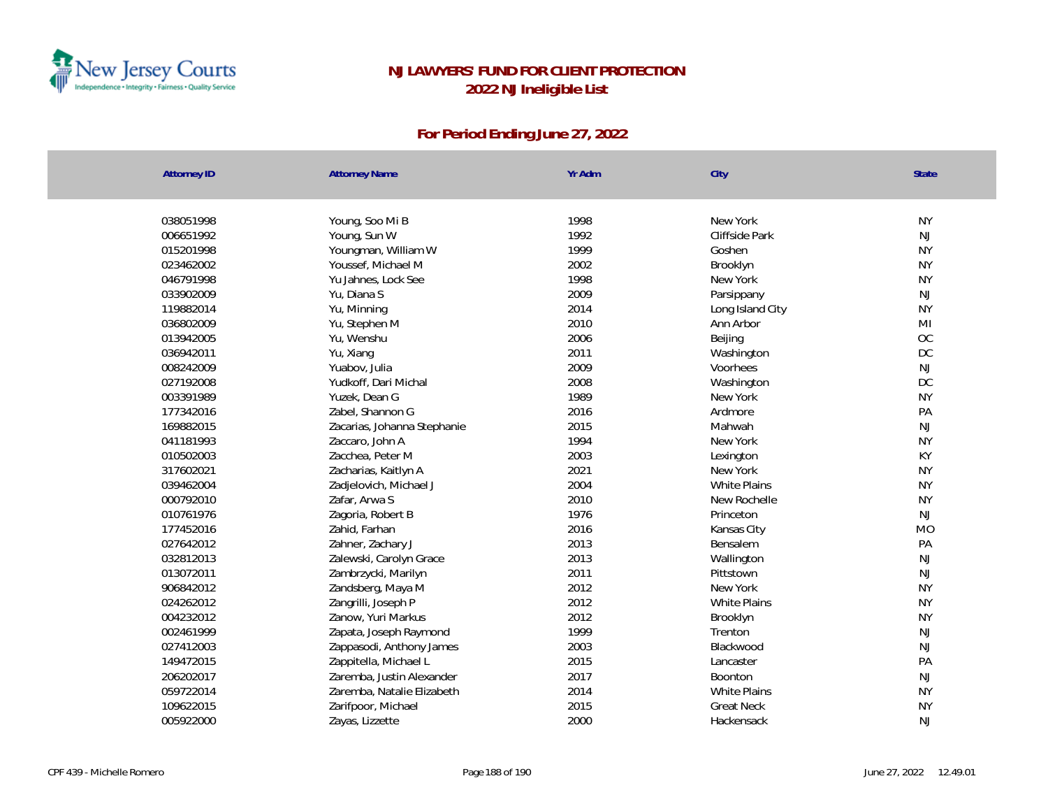

| New York<br><b>NY</b><br>038051998<br>Young, Soo Mi B<br>1998<br>1992<br>NJ<br>006651992<br>Young, Sun W<br>Cliffside Park<br>1999<br><b>NY</b><br>015201998<br>Youngman, William W<br>Goshen<br><b>NY</b><br>Youssef, Michael M<br>2002<br>023462002<br>Brooklyn<br><b>NY</b><br>046791998<br>Yu Jahnes, Lock See<br>1998<br>New York<br>033902009<br>2009<br>NJ<br>Yu, Diana S<br>Parsippany<br><b>NY</b><br>2014<br>119882014<br>Yu, Minning<br>Long Island City<br>2010<br>M <sub>l</sub><br>036802009<br>Yu, Stephen M<br>Ann Arbor<br>OC<br>2006<br>013942005<br>Yu, Wenshu<br>Beijing<br>2011<br><b>DC</b><br>036942011<br>Yu, Xiang<br>Washington<br>2009<br>008242009<br>Yuabov, Julia<br>NJ<br>Voorhees<br>DC<br>2008<br>027192008<br>Yudkoff, Dari Michal<br>Washington<br>1989<br><b>NY</b><br>003391989<br>Yuzek, Dean G<br>New York<br>2016<br>PA<br>177342016<br>Zabel, Shannon G<br>Ardmore<br>2015<br>NJ<br>169882015<br>Zacarias, Johanna Stephanie<br>Mahwah<br><b>NY</b><br>1994<br>041181993<br>New York<br>Zaccaro, John A<br>KY<br>2003<br>010502003<br>Zacchea, Peter M<br>Lexington<br>2021<br><b>NY</b><br>317602021<br>Zacharias, Kaitlyn A<br>New York<br>2004<br><b>NY</b><br>039462004<br><b>White Plains</b><br>Zadjelovich, Michael J<br>2010<br><b>NY</b><br>000792010<br>Zafar, Arwa S<br>New Rochelle<br>1976<br>010761976<br>Zagoria, Robert B<br><b>NJ</b><br>Princeton<br>2016<br>177452016<br>Zahid, Farhan<br><b>MO</b><br>Kansas City<br>2013<br>027642012<br>PA<br>Zahner, Zachary J<br>Bensalem<br>032812013<br>2013<br>$\mathsf{NJ}$<br>Zalewski, Carolyn Grace<br>Wallington<br>013072011<br>2011<br>$\mathsf{NJ}$<br>Zambrzycki, Marilyn<br>Pittstown<br><b>NY</b><br>906842012<br>Zandsberg, Maya M<br>2012<br>New York<br>Zangrilli, Joseph P<br>2012<br><b>NY</b><br>024262012<br>White Plains<br>2012<br><b>NY</b><br>004232012<br>Zanow, Yuri Markus<br>Brooklyn<br>1999<br>002461999<br><b>NJ</b><br>Zapata, Joseph Raymond<br>Trenton<br>NJ<br>027412003<br>2003<br>Zappasodi, Anthony James<br>Blackwood<br>2015<br>PA<br>149472015<br>Zappitella, Michael L<br>Lancaster<br>NJ<br>206202017<br>2017<br>Zaremba, Justin Alexander<br>Boonton<br><b>NY</b><br>2014<br>059722014<br>Zaremba, Natalie Elizabeth<br><b>White Plains</b><br>2015<br><b>NY</b><br>109622015<br>Zarifpoor, Michael<br><b>Great Neck</b><br>2000<br>NJ<br>005922000<br>Hackensack | <b>Attorney ID</b> | <b>Attorney Name</b> | Yr Adm | City | <b>State</b> |
|-----------------------------------------------------------------------------------------------------------------------------------------------------------------------------------------------------------------------------------------------------------------------------------------------------------------------------------------------------------------------------------------------------------------------------------------------------------------------------------------------------------------------------------------------------------------------------------------------------------------------------------------------------------------------------------------------------------------------------------------------------------------------------------------------------------------------------------------------------------------------------------------------------------------------------------------------------------------------------------------------------------------------------------------------------------------------------------------------------------------------------------------------------------------------------------------------------------------------------------------------------------------------------------------------------------------------------------------------------------------------------------------------------------------------------------------------------------------------------------------------------------------------------------------------------------------------------------------------------------------------------------------------------------------------------------------------------------------------------------------------------------------------------------------------------------------------------------------------------------------------------------------------------------------------------------------------------------------------------------------------------------------------------------------------------------------------------------------------------------------------------------------------------------------------------------------------------------------------------------------------------------------------------------------------------------------------------------------------------------------------------------------------------------------|--------------------|----------------------|--------|------|--------------|
|                                                                                                                                                                                                                                                                                                                                                                                                                                                                                                                                                                                                                                                                                                                                                                                                                                                                                                                                                                                                                                                                                                                                                                                                                                                                                                                                                                                                                                                                                                                                                                                                                                                                                                                                                                                                                                                                                                                                                                                                                                                                                                                                                                                                                                                                                                                                                                                                                 |                    |                      |        |      |              |
|                                                                                                                                                                                                                                                                                                                                                                                                                                                                                                                                                                                                                                                                                                                                                                                                                                                                                                                                                                                                                                                                                                                                                                                                                                                                                                                                                                                                                                                                                                                                                                                                                                                                                                                                                                                                                                                                                                                                                                                                                                                                                                                                                                                                                                                                                                                                                                                                                 |                    |                      |        |      |              |
|                                                                                                                                                                                                                                                                                                                                                                                                                                                                                                                                                                                                                                                                                                                                                                                                                                                                                                                                                                                                                                                                                                                                                                                                                                                                                                                                                                                                                                                                                                                                                                                                                                                                                                                                                                                                                                                                                                                                                                                                                                                                                                                                                                                                                                                                                                                                                                                                                 |                    |                      |        |      |              |
|                                                                                                                                                                                                                                                                                                                                                                                                                                                                                                                                                                                                                                                                                                                                                                                                                                                                                                                                                                                                                                                                                                                                                                                                                                                                                                                                                                                                                                                                                                                                                                                                                                                                                                                                                                                                                                                                                                                                                                                                                                                                                                                                                                                                                                                                                                                                                                                                                 |                    |                      |        |      |              |
|                                                                                                                                                                                                                                                                                                                                                                                                                                                                                                                                                                                                                                                                                                                                                                                                                                                                                                                                                                                                                                                                                                                                                                                                                                                                                                                                                                                                                                                                                                                                                                                                                                                                                                                                                                                                                                                                                                                                                                                                                                                                                                                                                                                                                                                                                                                                                                                                                 |                    |                      |        |      |              |
|                                                                                                                                                                                                                                                                                                                                                                                                                                                                                                                                                                                                                                                                                                                                                                                                                                                                                                                                                                                                                                                                                                                                                                                                                                                                                                                                                                                                                                                                                                                                                                                                                                                                                                                                                                                                                                                                                                                                                                                                                                                                                                                                                                                                                                                                                                                                                                                                                 |                    |                      |        |      |              |
|                                                                                                                                                                                                                                                                                                                                                                                                                                                                                                                                                                                                                                                                                                                                                                                                                                                                                                                                                                                                                                                                                                                                                                                                                                                                                                                                                                                                                                                                                                                                                                                                                                                                                                                                                                                                                                                                                                                                                                                                                                                                                                                                                                                                                                                                                                                                                                                                                 |                    |                      |        |      |              |
|                                                                                                                                                                                                                                                                                                                                                                                                                                                                                                                                                                                                                                                                                                                                                                                                                                                                                                                                                                                                                                                                                                                                                                                                                                                                                                                                                                                                                                                                                                                                                                                                                                                                                                                                                                                                                                                                                                                                                                                                                                                                                                                                                                                                                                                                                                                                                                                                                 |                    |                      |        |      |              |
|                                                                                                                                                                                                                                                                                                                                                                                                                                                                                                                                                                                                                                                                                                                                                                                                                                                                                                                                                                                                                                                                                                                                                                                                                                                                                                                                                                                                                                                                                                                                                                                                                                                                                                                                                                                                                                                                                                                                                                                                                                                                                                                                                                                                                                                                                                                                                                                                                 |                    |                      |        |      |              |
|                                                                                                                                                                                                                                                                                                                                                                                                                                                                                                                                                                                                                                                                                                                                                                                                                                                                                                                                                                                                                                                                                                                                                                                                                                                                                                                                                                                                                                                                                                                                                                                                                                                                                                                                                                                                                                                                                                                                                                                                                                                                                                                                                                                                                                                                                                                                                                                                                 |                    |                      |        |      |              |
|                                                                                                                                                                                                                                                                                                                                                                                                                                                                                                                                                                                                                                                                                                                                                                                                                                                                                                                                                                                                                                                                                                                                                                                                                                                                                                                                                                                                                                                                                                                                                                                                                                                                                                                                                                                                                                                                                                                                                                                                                                                                                                                                                                                                                                                                                                                                                                                                                 |                    |                      |        |      |              |
|                                                                                                                                                                                                                                                                                                                                                                                                                                                                                                                                                                                                                                                                                                                                                                                                                                                                                                                                                                                                                                                                                                                                                                                                                                                                                                                                                                                                                                                                                                                                                                                                                                                                                                                                                                                                                                                                                                                                                                                                                                                                                                                                                                                                                                                                                                                                                                                                                 |                    |                      |        |      |              |
|                                                                                                                                                                                                                                                                                                                                                                                                                                                                                                                                                                                                                                                                                                                                                                                                                                                                                                                                                                                                                                                                                                                                                                                                                                                                                                                                                                                                                                                                                                                                                                                                                                                                                                                                                                                                                                                                                                                                                                                                                                                                                                                                                                                                                                                                                                                                                                                                                 |                    |                      |        |      |              |
|                                                                                                                                                                                                                                                                                                                                                                                                                                                                                                                                                                                                                                                                                                                                                                                                                                                                                                                                                                                                                                                                                                                                                                                                                                                                                                                                                                                                                                                                                                                                                                                                                                                                                                                                                                                                                                                                                                                                                                                                                                                                                                                                                                                                                                                                                                                                                                                                                 |                    |                      |        |      |              |
|                                                                                                                                                                                                                                                                                                                                                                                                                                                                                                                                                                                                                                                                                                                                                                                                                                                                                                                                                                                                                                                                                                                                                                                                                                                                                                                                                                                                                                                                                                                                                                                                                                                                                                                                                                                                                                                                                                                                                                                                                                                                                                                                                                                                                                                                                                                                                                                                                 |                    |                      |        |      |              |
|                                                                                                                                                                                                                                                                                                                                                                                                                                                                                                                                                                                                                                                                                                                                                                                                                                                                                                                                                                                                                                                                                                                                                                                                                                                                                                                                                                                                                                                                                                                                                                                                                                                                                                                                                                                                                                                                                                                                                                                                                                                                                                                                                                                                                                                                                                                                                                                                                 |                    |                      |        |      |              |
|                                                                                                                                                                                                                                                                                                                                                                                                                                                                                                                                                                                                                                                                                                                                                                                                                                                                                                                                                                                                                                                                                                                                                                                                                                                                                                                                                                                                                                                                                                                                                                                                                                                                                                                                                                                                                                                                                                                                                                                                                                                                                                                                                                                                                                                                                                                                                                                                                 |                    |                      |        |      |              |
|                                                                                                                                                                                                                                                                                                                                                                                                                                                                                                                                                                                                                                                                                                                                                                                                                                                                                                                                                                                                                                                                                                                                                                                                                                                                                                                                                                                                                                                                                                                                                                                                                                                                                                                                                                                                                                                                                                                                                                                                                                                                                                                                                                                                                                                                                                                                                                                                                 |                    |                      |        |      |              |
|                                                                                                                                                                                                                                                                                                                                                                                                                                                                                                                                                                                                                                                                                                                                                                                                                                                                                                                                                                                                                                                                                                                                                                                                                                                                                                                                                                                                                                                                                                                                                                                                                                                                                                                                                                                                                                                                                                                                                                                                                                                                                                                                                                                                                                                                                                                                                                                                                 |                    |                      |        |      |              |
|                                                                                                                                                                                                                                                                                                                                                                                                                                                                                                                                                                                                                                                                                                                                                                                                                                                                                                                                                                                                                                                                                                                                                                                                                                                                                                                                                                                                                                                                                                                                                                                                                                                                                                                                                                                                                                                                                                                                                                                                                                                                                                                                                                                                                                                                                                                                                                                                                 |                    |                      |        |      |              |
|                                                                                                                                                                                                                                                                                                                                                                                                                                                                                                                                                                                                                                                                                                                                                                                                                                                                                                                                                                                                                                                                                                                                                                                                                                                                                                                                                                                                                                                                                                                                                                                                                                                                                                                                                                                                                                                                                                                                                                                                                                                                                                                                                                                                                                                                                                                                                                                                                 |                    |                      |        |      |              |
|                                                                                                                                                                                                                                                                                                                                                                                                                                                                                                                                                                                                                                                                                                                                                                                                                                                                                                                                                                                                                                                                                                                                                                                                                                                                                                                                                                                                                                                                                                                                                                                                                                                                                                                                                                                                                                                                                                                                                                                                                                                                                                                                                                                                                                                                                                                                                                                                                 |                    |                      |        |      |              |
|                                                                                                                                                                                                                                                                                                                                                                                                                                                                                                                                                                                                                                                                                                                                                                                                                                                                                                                                                                                                                                                                                                                                                                                                                                                                                                                                                                                                                                                                                                                                                                                                                                                                                                                                                                                                                                                                                                                                                                                                                                                                                                                                                                                                                                                                                                                                                                                                                 |                    |                      |        |      |              |
|                                                                                                                                                                                                                                                                                                                                                                                                                                                                                                                                                                                                                                                                                                                                                                                                                                                                                                                                                                                                                                                                                                                                                                                                                                                                                                                                                                                                                                                                                                                                                                                                                                                                                                                                                                                                                                                                                                                                                                                                                                                                                                                                                                                                                                                                                                                                                                                                                 |                    |                      |        |      |              |
|                                                                                                                                                                                                                                                                                                                                                                                                                                                                                                                                                                                                                                                                                                                                                                                                                                                                                                                                                                                                                                                                                                                                                                                                                                                                                                                                                                                                                                                                                                                                                                                                                                                                                                                                                                                                                                                                                                                                                                                                                                                                                                                                                                                                                                                                                                                                                                                                                 |                    |                      |        |      |              |
|                                                                                                                                                                                                                                                                                                                                                                                                                                                                                                                                                                                                                                                                                                                                                                                                                                                                                                                                                                                                                                                                                                                                                                                                                                                                                                                                                                                                                                                                                                                                                                                                                                                                                                                                                                                                                                                                                                                                                                                                                                                                                                                                                                                                                                                                                                                                                                                                                 |                    |                      |        |      |              |
|                                                                                                                                                                                                                                                                                                                                                                                                                                                                                                                                                                                                                                                                                                                                                                                                                                                                                                                                                                                                                                                                                                                                                                                                                                                                                                                                                                                                                                                                                                                                                                                                                                                                                                                                                                                                                                                                                                                                                                                                                                                                                                                                                                                                                                                                                                                                                                                                                 |                    |                      |        |      |              |
|                                                                                                                                                                                                                                                                                                                                                                                                                                                                                                                                                                                                                                                                                                                                                                                                                                                                                                                                                                                                                                                                                                                                                                                                                                                                                                                                                                                                                                                                                                                                                                                                                                                                                                                                                                                                                                                                                                                                                                                                                                                                                                                                                                                                                                                                                                                                                                                                                 |                    |                      |        |      |              |
|                                                                                                                                                                                                                                                                                                                                                                                                                                                                                                                                                                                                                                                                                                                                                                                                                                                                                                                                                                                                                                                                                                                                                                                                                                                                                                                                                                                                                                                                                                                                                                                                                                                                                                                                                                                                                                                                                                                                                                                                                                                                                                                                                                                                                                                                                                                                                                                                                 |                    |                      |        |      |              |
|                                                                                                                                                                                                                                                                                                                                                                                                                                                                                                                                                                                                                                                                                                                                                                                                                                                                                                                                                                                                                                                                                                                                                                                                                                                                                                                                                                                                                                                                                                                                                                                                                                                                                                                                                                                                                                                                                                                                                                                                                                                                                                                                                                                                                                                                                                                                                                                                                 |                    |                      |        |      |              |
|                                                                                                                                                                                                                                                                                                                                                                                                                                                                                                                                                                                                                                                                                                                                                                                                                                                                                                                                                                                                                                                                                                                                                                                                                                                                                                                                                                                                                                                                                                                                                                                                                                                                                                                                                                                                                                                                                                                                                                                                                                                                                                                                                                                                                                                                                                                                                                                                                 |                    |                      |        |      |              |
|                                                                                                                                                                                                                                                                                                                                                                                                                                                                                                                                                                                                                                                                                                                                                                                                                                                                                                                                                                                                                                                                                                                                                                                                                                                                                                                                                                                                                                                                                                                                                                                                                                                                                                                                                                                                                                                                                                                                                                                                                                                                                                                                                                                                                                                                                                                                                                                                                 |                    |                      |        |      |              |
|                                                                                                                                                                                                                                                                                                                                                                                                                                                                                                                                                                                                                                                                                                                                                                                                                                                                                                                                                                                                                                                                                                                                                                                                                                                                                                                                                                                                                                                                                                                                                                                                                                                                                                                                                                                                                                                                                                                                                                                                                                                                                                                                                                                                                                                                                                                                                                                                                 |                    |                      |        |      |              |
|                                                                                                                                                                                                                                                                                                                                                                                                                                                                                                                                                                                                                                                                                                                                                                                                                                                                                                                                                                                                                                                                                                                                                                                                                                                                                                                                                                                                                                                                                                                                                                                                                                                                                                                                                                                                                                                                                                                                                                                                                                                                                                                                                                                                                                                                                                                                                                                                                 |                    |                      |        |      |              |
|                                                                                                                                                                                                                                                                                                                                                                                                                                                                                                                                                                                                                                                                                                                                                                                                                                                                                                                                                                                                                                                                                                                                                                                                                                                                                                                                                                                                                                                                                                                                                                                                                                                                                                                                                                                                                                                                                                                                                                                                                                                                                                                                                                                                                                                                                                                                                                                                                 |                    |                      |        |      |              |
|                                                                                                                                                                                                                                                                                                                                                                                                                                                                                                                                                                                                                                                                                                                                                                                                                                                                                                                                                                                                                                                                                                                                                                                                                                                                                                                                                                                                                                                                                                                                                                                                                                                                                                                                                                                                                                                                                                                                                                                                                                                                                                                                                                                                                                                                                                                                                                                                                 |                    | Zayas, Lizzette      |        |      |              |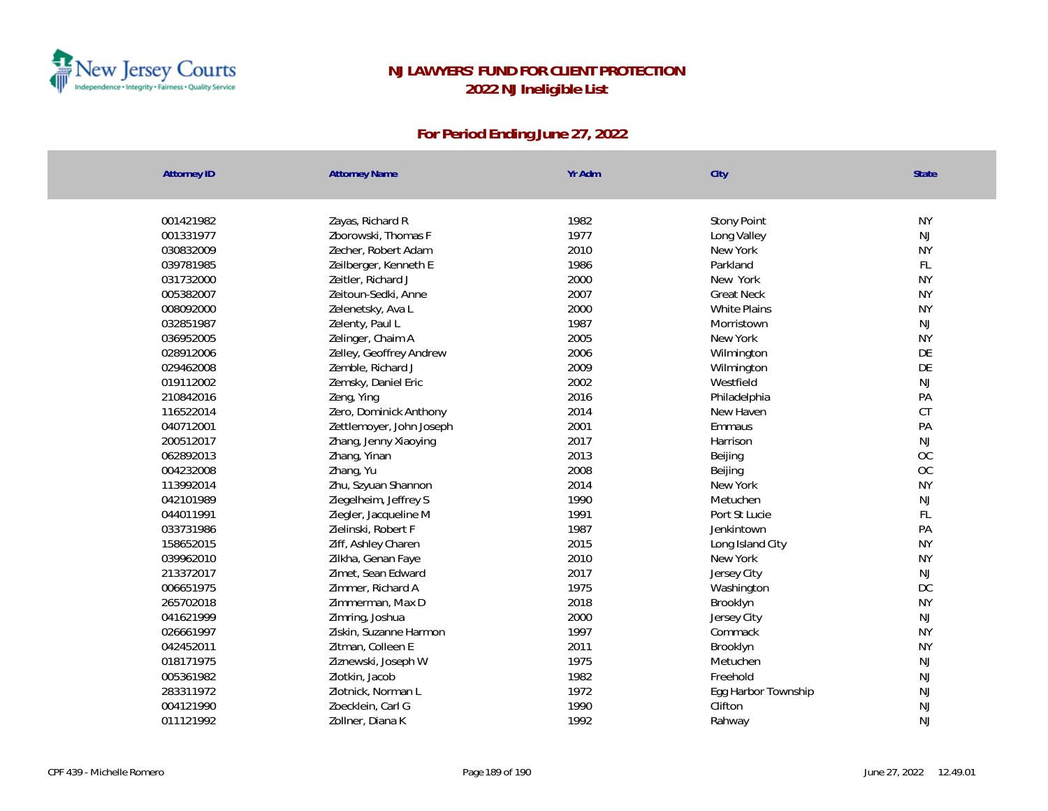

| <b>Attorney ID</b> | <b>Attorney Name</b>     | Yr Adm | City                | <b>State</b>  |
|--------------------|--------------------------|--------|---------------------|---------------|
|                    |                          |        |                     |               |
| 001421982          | Zayas, Richard R         | 1982   | <b>Stony Point</b>  | <b>NY</b>     |
| 001331977          | Zborowski, Thomas F      | 1977   | Long Valley         | $\mathsf{NJ}$ |
| 030832009          | Zecher, Robert Adam      | 2010   | New York            | <b>NY</b>     |
| 039781985          | Zeilberger, Kenneth E    | 1986   | Parkland            | FL            |
| 031732000          | Zeitler, Richard J       | 2000   | New York            | <b>NY</b>     |
| 005382007          | Zeitoun-Sedki, Anne      | 2007   | <b>Great Neck</b>   | <b>NY</b>     |
| 008092000          | Zelenetsky, Ava L        | 2000   | White Plains        | <b>NY</b>     |
| 032851987          | Zelenty, Paul L          | 1987   | Morristown          | $\mathsf{NJ}$ |
| 036952005          | Zelinger, Chaim A        | 2005   | New York            | <b>NY</b>     |
| 028912006          | Zelley, Geoffrey Andrew  | 2006   | Wilmington          | DE            |
| 029462008          | Zemble, Richard J        | 2009   | Wilmington          | DE            |
| 019112002          | Zemsky, Daniel Eric      | 2002   | Westfield           | NJ            |
| 210842016          | Zeng, Ying               | 2016   | Philadelphia        | PA            |
| 116522014          | Zero, Dominick Anthony   | 2014   | New Haven           | CT            |
| 040712001          | Zettlemoyer, John Joseph | 2001   | Emmaus              | PA            |
| 200512017          | Zhang, Jenny Xiaoying    | 2017   | Harrison            | NJ            |
| 062892013          | Zhang, Yinan             | 2013   | Beijing             | <b>OC</b>     |
| 004232008          | Zhang, Yu                | 2008   | Beijing             | <b>OC</b>     |
| 113992014          | Zhu, Szyuan Shannon      | 2014   | New York            | <b>NY</b>     |
| 042101989          | Ziegelheim, Jeffrey S    | 1990   | Metuchen            | NJ            |
| 044011991          | Ziegler, Jacqueline M    | 1991   | Port St Lucie       | FL            |
| 033731986          | Zielinski, Robert F      | 1987   | Jenkintown          | PA            |
| 158652015          | Ziff, Ashley Charen      | 2015   | Long Island City    | <b>NY</b>     |
| 039962010          | Zilkha, Genan Faye       | 2010   | New York            | <b>NY</b>     |
| 213372017          | Zimet, Sean Edward       | 2017   | Jersey City         | NJ            |
| 006651975          | Zimmer, Richard A        | 1975   | Washington          | <b>DC</b>     |
| 265702018          | Zimmerman, Max D         | 2018   | Brooklyn            | <b>NY</b>     |
| 041621999          | Zimring, Joshua          | 2000   | Jersey City         | NJ            |
| 026661997          | Ziskin, Suzanne Harmon   | 1997   | Commack             | <b>NY</b>     |
| 042452011          | Zitman, Colleen E        | 2011   | Brooklyn            | <b>NY</b>     |
| 018171975          | Ziznewski, Joseph W      | 1975   | Metuchen            | NJ            |
| 005361982          | Zlotkin, Jacob           | 1982   | Freehold            | NJ            |
| 283311972          | Zlotnick, Norman L       | 1972   | Egg Harbor Township | $\mathsf{NJ}$ |
| 004121990          | Zoecklein, Carl G        | 1990   | Clifton             | $\mathsf{NJ}$ |
| 011121992          | Zollner, Diana K         | 1992   | Rahway              | NJ            |
|                    |                          |        |                     |               |